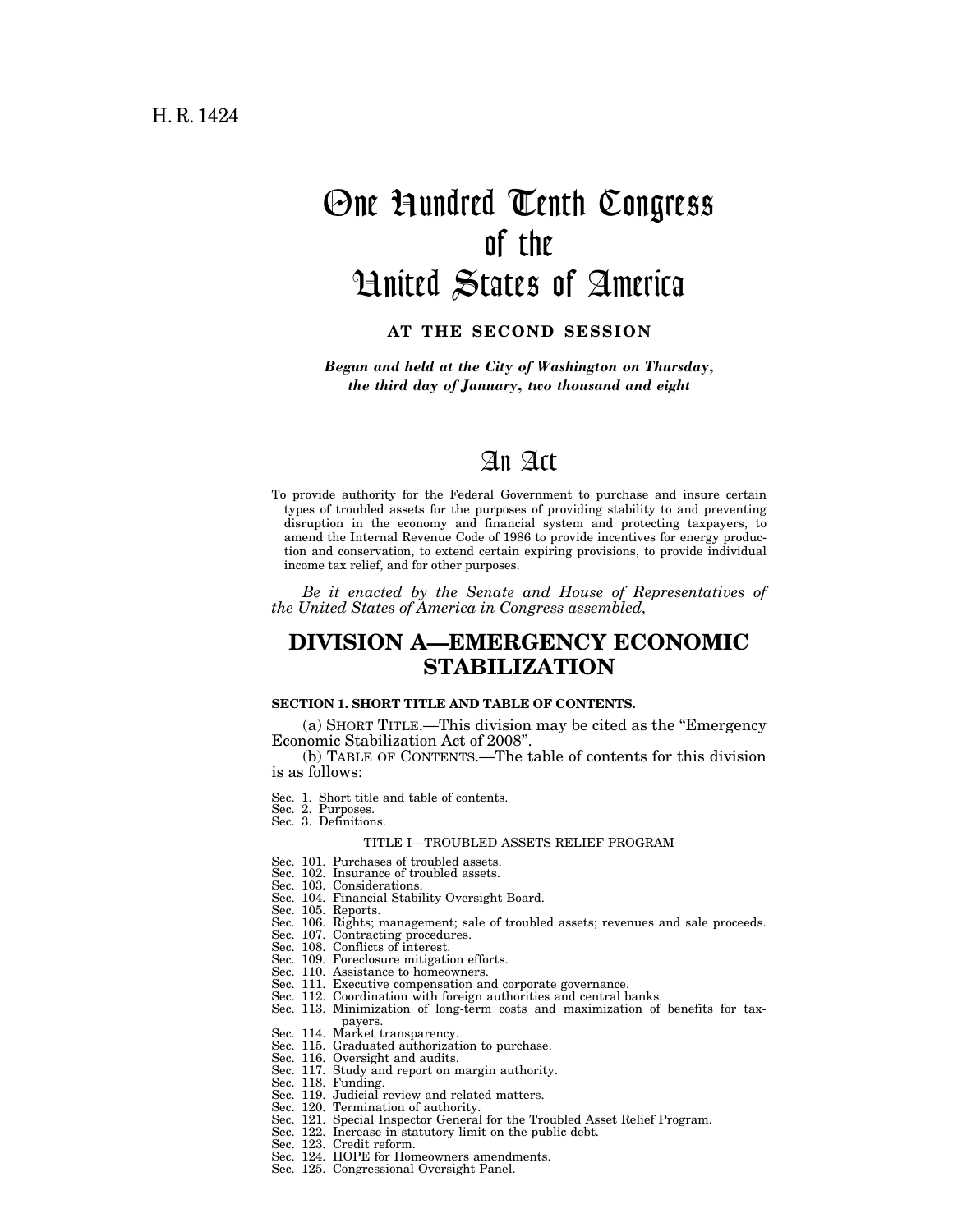# One Hundred Tenth Congress of the United States of America

## **AT THE SECOND SESSION**

*Begun and held at the City of Washington on Thursday, the third day of January, two thousand and eight* 

## An Act

To provide authority for the Federal Government to purchase and insure certain types of troubled assets for the purposes of providing stability to and preventing disruption in the economy and financial system and protecting taxpayers, to amend the Internal Revenue Code of 1986 to provide incentives for energy production and conservation, to extend certain expiring provisions, to provide individual income tax relief, and for other purposes.

*Be it enacted by the Senate and House of Representatives of the United States of America in Congress assembled,* 

## **DIVISION A—EMERGENCY ECONOMIC STABILIZATION**

## **SECTION 1. SHORT TITLE AND TABLE OF CONTENTS.**

(a) SHORT TITLE.—This division may be cited as the ''Emergency Economic Stabilization Act of 2008''.

(b) TABLE OF CONTENTS.—The table of contents for this division is as follows:

- Sec. 1. Short title and table of contents.
- Sec. 2. Purposes. Sec. 3. Definitions.
- 

#### TITLE I—TROUBLED ASSETS RELIEF PROGRAM

- Sec. 101. Purchases of troubled assets.
- Sec. 102. Insurance of troubled assets.
- Sec. 103. Considerations Sec. 104. Financial Stability Oversight Board.
- Sec. 105. Reports.
	-
- Sec. 106. Rights; management; sale of troubled assets; revenues and sale proceeds. Sec. 107. Contracting procedures.
- 
- Sec. 108. Conflicts of interest. Sec. 109. Foreclosure mitigation efforts.
- 
- Sec. 110. Assistance to homeowners.
- Sec. 111. Executive compensation and corporate governance.
- Sec. 112. Coordination with foreign authorities and central banks. Sec. 113. Minimization of long-term costs and maximization of benefits for tax-
- payers. Sec. 114. Market transparency.
- Sec. 115. Graduated authorization to purchase.
- Sec. 116. Oversight and audits.
- Sec. 117. Study and report on margin authority.
- Sec. 118. Funding.
- Sec. 119. Judicial review and related matters.
- 
- Sec. 120. Termination of authority. Sec. 121. Special Inspector General for the Troubled Asset Relief Program.
- Sec. 122. Increase in statutory limit on the public debt.
- Sec. 123. Credit reform.
- Sec. 124. HOPE for Homeowners amendments.
- Sec. 125. Congressional Oversight Panel.
	-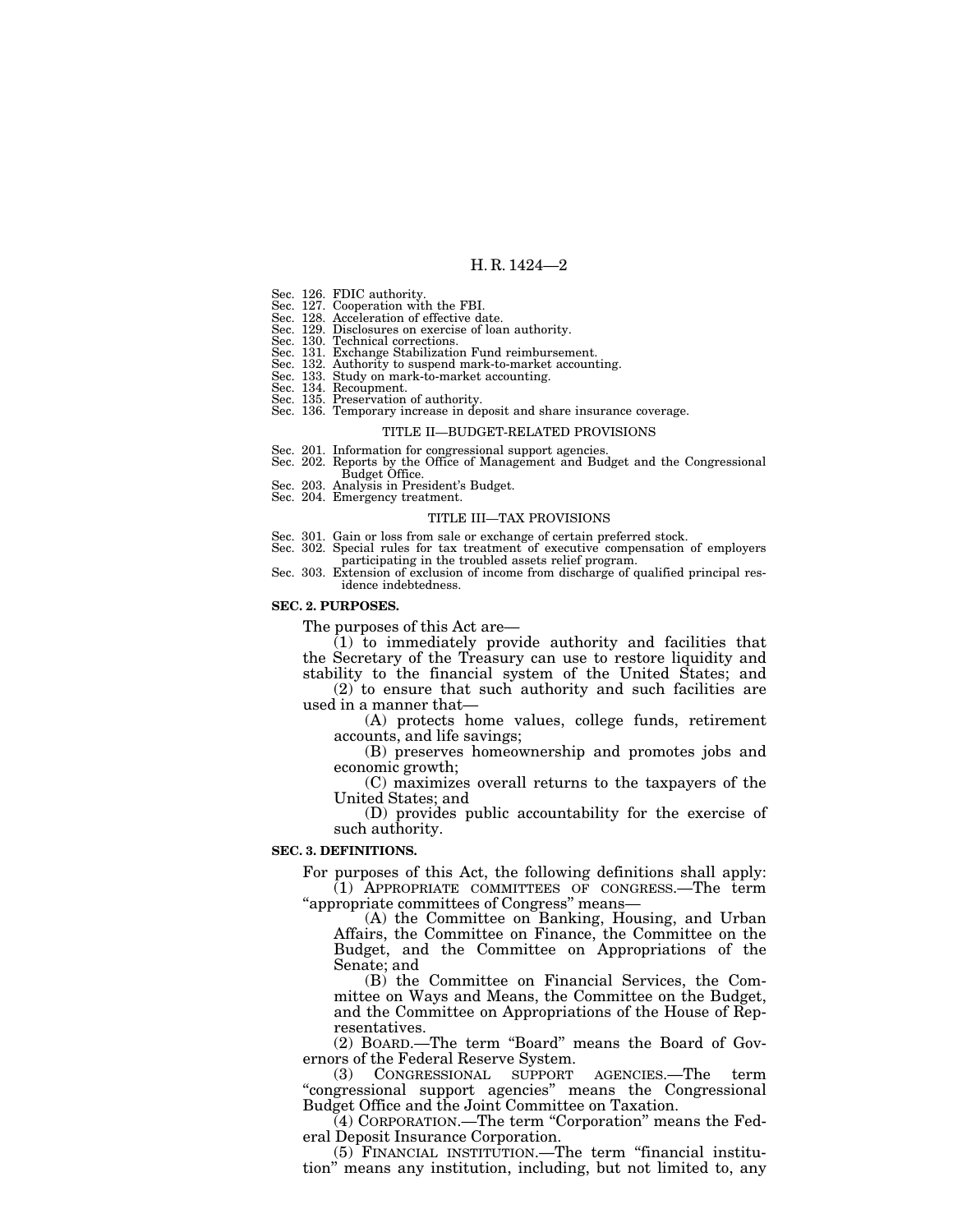- Sec. 126. FDIC authority.
- Sec. 127. Cooperation with the FBI.
- Sec. 128. Acceleration of effective date.
- Sec. 129. Disclosures on exercise of loan authority.
- Sec. 130. Technical corrections.
- Sec. 131. Exchange Stabilization Fund reimbursement.
- Sec. 132. Authority to suspend mark-to-market accounting. Sec. 133. Study on mark-to-market accounting.
- Sec. 134. Recoupment.
- Sec. 135. Preservation of authority.

## Sec. 136. Temporary increase in deposit and share insurance coverage.

#### TITLE II—BUDGET-RELATED PROVISIONS

- 
- Sec. 201. Information for congressional support agencies. Sec. 202. Reports by the Office of Management and Budget and the Congressional Budget Office. Sec. 203. Analysis in President's Budget.
- 
- Sec. 204. Emergency treatment.

#### TITLE III—TAX PROVISIONS

- Sec. 301. Gain or loss from sale or exchange of certain preferred stock.
- Sec. 302. Special rules for tax treatment of executive compensation of employers participating in the troubled assets relief program.
- Sec. 303. Extension of exclusion of income from discharge of qualified principal residence indebtedness.

#### **SEC. 2. PURPOSES.**

The purposes of this Act are—

(1) to immediately provide authority and facilities that the Secretary of the Treasury can use to restore liquidity and

stability to the financial system of the United States; and (2) to ensure that such authority and such facilities are used in a manner that—

(A) protects home values, college funds, retirement accounts, and life savings;

(B) preserves homeownership and promotes jobs and economic growth;

(C) maximizes overall returns to the taxpayers of the United States; and

(D) provides public accountability for the exercise of such authority.

#### **SEC. 3. DEFINITIONS.**

For purposes of this Act, the following definitions shall apply: (1) APPROPRIATE COMMITTEES OF CONGRESS.—The term ''appropriate committees of Congress'' means—

(A) the Committee on Banking, Housing, and Urban Affairs, the Committee on Finance, the Committee on the Budget, and the Committee on Appropriations of the Senate; and

(B) the Committee on Financial Services, the Committee on Ways and Means, the Committee on the Budget, and the Committee on Appropriations of the House of Representatives.

(2) BOARD.—The term ''Board'' means the Board of Governors of the Federal Reserve System.

(3) CONGRESSIONAL SUPPORT AGENCIES.—The term ''congressional support agencies'' means the Congressional Budget Office and the Joint Committee on Taxation.

 $(4)$  CORPORATION.—The term "Corporation" means the Federal Deposit Insurance Corporation.

(5) FINANCIAL INSTITUTION.—The term ''financial institution'' means any institution, including, but not limited to, any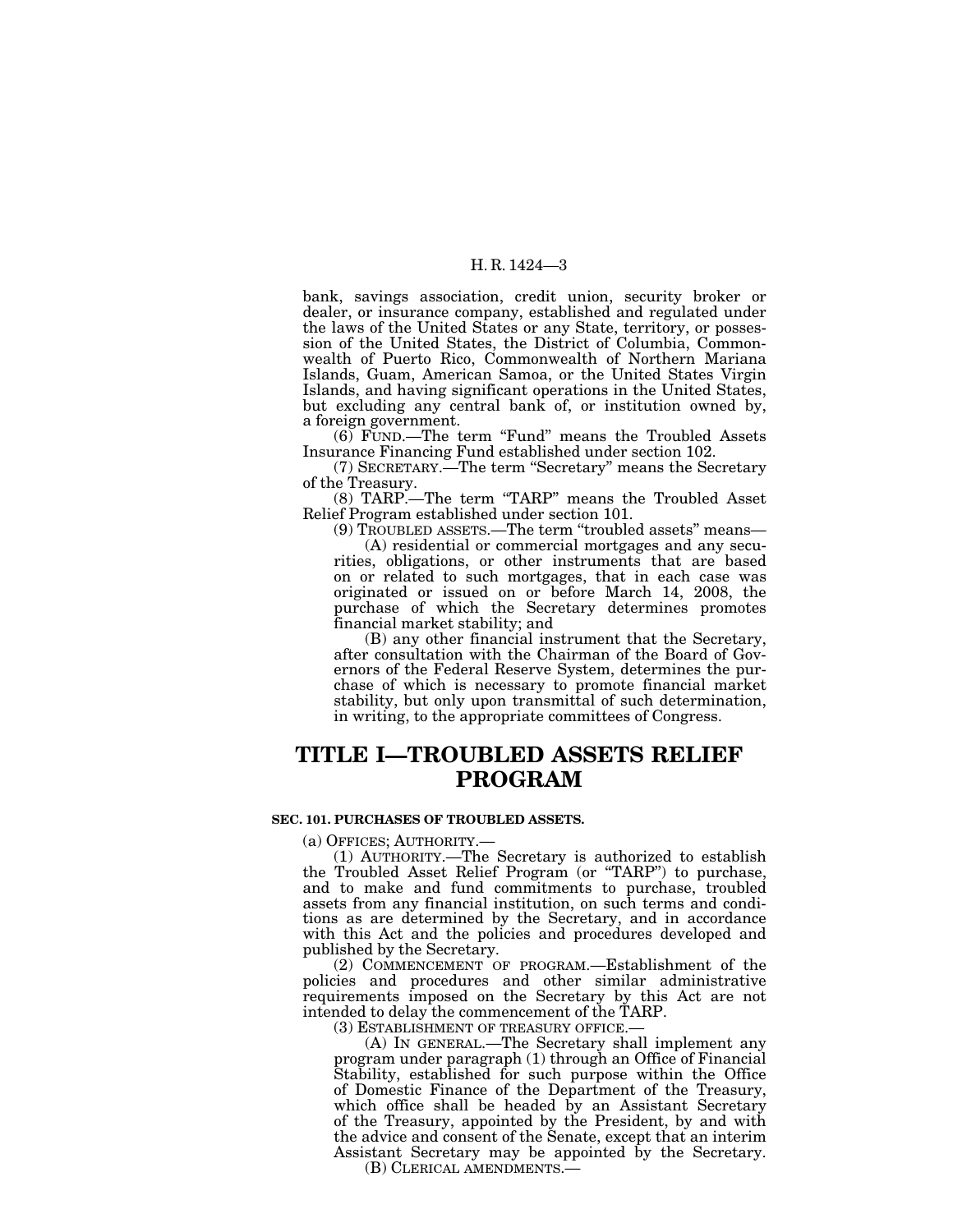bank, savings association, credit union, security broker or dealer, or insurance company, established and regulated under the laws of the United States or any State, territory, or possession of the United States, the District of Columbia, Commonwealth of Puerto Rico, Commonwealth of Northern Mariana Islands, Guam, American Samoa, or the United States Virgin Islands, and having significant operations in the United States, but excluding any central bank of, or institution owned by, a foreign government.

(6) FUND.—The term ''Fund'' means the Troubled Assets Insurance Financing Fund established under section 102.

(7) SECRETARY.—The term ''Secretary'' means the Secretary of the Treasury.

(8) TARP.—The term ''TARP'' means the Troubled Asset Relief Program established under section 101.

(9) TROUBLED ASSETS.—The term ''troubled assets'' means—

(A) residential or commercial mortgages and any securities, obligations, or other instruments that are based on or related to such mortgages, that in each case was originated or issued on or before March 14, 2008, the purchase of which the Secretary determines promotes financial market stability; and

(B) any other financial instrument that the Secretary, after consultation with the Chairman of the Board of Governors of the Federal Reserve System, determines the purchase of which is necessary to promote financial market stability, but only upon transmittal of such determination, in writing, to the appropriate committees of Congress.

## **TITLE I—TROUBLED ASSETS RELIEF PROGRAM**

#### **SEC. 101. PURCHASES OF TROUBLED ASSETS.**

(a) OFFICES; AUTHORITY.—

(1) AUTHORITY.—The Secretary is authorized to establish the Troubled Asset Relief Program (or ''TARP'') to purchase, and to make and fund commitments to purchase, troubled assets from any financial institution, on such terms and conditions as are determined by the Secretary, and in accordance with this Act and the policies and procedures developed and published by the Secretary.

(2) COMMENCEMENT OF PROGRAM.—Establishment of the policies and procedures and other similar administrative requirements imposed on the Secretary by this Act are not intended to delay the commencement of the TARP.<br>(3) ESTABLISHMENT OF TREASURY OFFICE.—

(A) IN GENERAL.—The Secretary shall implement any program under paragraph (1) through an Office of Financial Stability, established for such purpose within the Office of Domestic Finance of the Department of the Treasury, which office shall be headed by an Assistant Secretary of the Treasury, appointed by the President, by and with the advice and consent of the Senate, except that an interim Assistant Secretary may be appointed by the Secretary.

(B) CLERICAL AMENDMENTS.—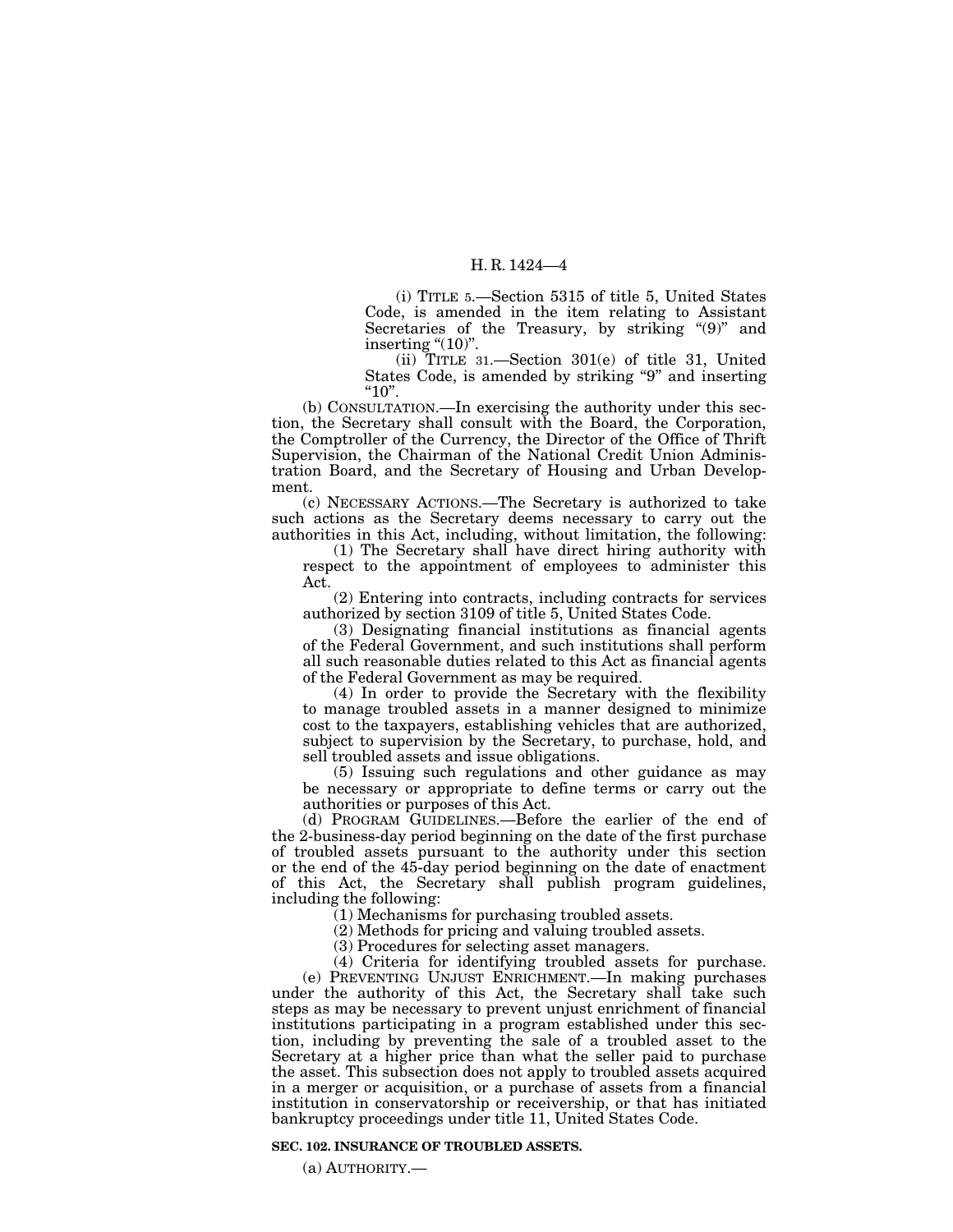(i) TITLE 5.—Section 5315 of title 5, United States Code, is amended in the item relating to Assistant Secretaries of the Treasury, by striking "(9)" and inserting  $"(10)"$ .

(ii) TITLE 31.—Section 301(e) of title 31, United States Code, is amended by striking "9" and inserting " $10"$ .

(b) CONSULTATION.—In exercising the authority under this section, the Secretary shall consult with the Board, the Corporation, the Comptroller of the Currency, the Director of the Office of Thrift Supervision, the Chairman of the National Credit Union Administration Board, and the Secretary of Housing and Urban Development.

(c) NECESSARY ACTIONS.—The Secretary is authorized to take such actions as the Secretary deems necessary to carry out the authorities in this Act, including, without limitation, the following:

(1) The Secretary shall have direct hiring authority with respect to the appointment of employees to administer this Act.

(2) Entering into contracts, including contracts for services authorized by section 3109 of title 5, United States Code.

(3) Designating financial institutions as financial agents of the Federal Government, and such institutions shall perform all such reasonable duties related to this Act as financial agents of the Federal Government as may be required.

(4) In order to provide the Secretary with the flexibility to manage troubled assets in a manner designed to minimize cost to the taxpayers, establishing vehicles that are authorized, subject to supervision by the Secretary, to purchase, hold, and sell troubled assets and issue obligations.

(5) Issuing such regulations and other guidance as may be necessary or appropriate to define terms or carry out the authorities or purposes of this Act.

(d) PROGRAM GUIDELINES.—Before the earlier of the end of the 2-business-day period beginning on the date of the first purchase of troubled assets pursuant to the authority under this section or the end of the 45-day period beginning on the date of enactment of this Act, the Secretary shall publish program guidelines, including the following:

(1) Mechanisms for purchasing troubled assets.

(2) Methods for pricing and valuing troubled assets.

(3) Procedures for selecting asset managers.

(4) Criteria for identifying troubled assets for purchase. (e) PREVENTING UNJUST ENRICHMENT.—In making purchases under the authority of this Act, the Secretary shall take such steps as may be necessary to prevent unjust enrichment of financial institutions participating in a program established under this section, including by preventing the sale of a troubled asset to the Secretary at a higher price than what the seller paid to purchase the asset. This subsection does not apply to troubled assets acquired in a merger or acquisition, or a purchase of assets from a financial institution in conservatorship or receivership, or that has initiated bankruptcy proceedings under title 11, United States Code.

#### **SEC. 102. INSURANCE OF TROUBLED ASSETS.**

(a) AUTHORITY.—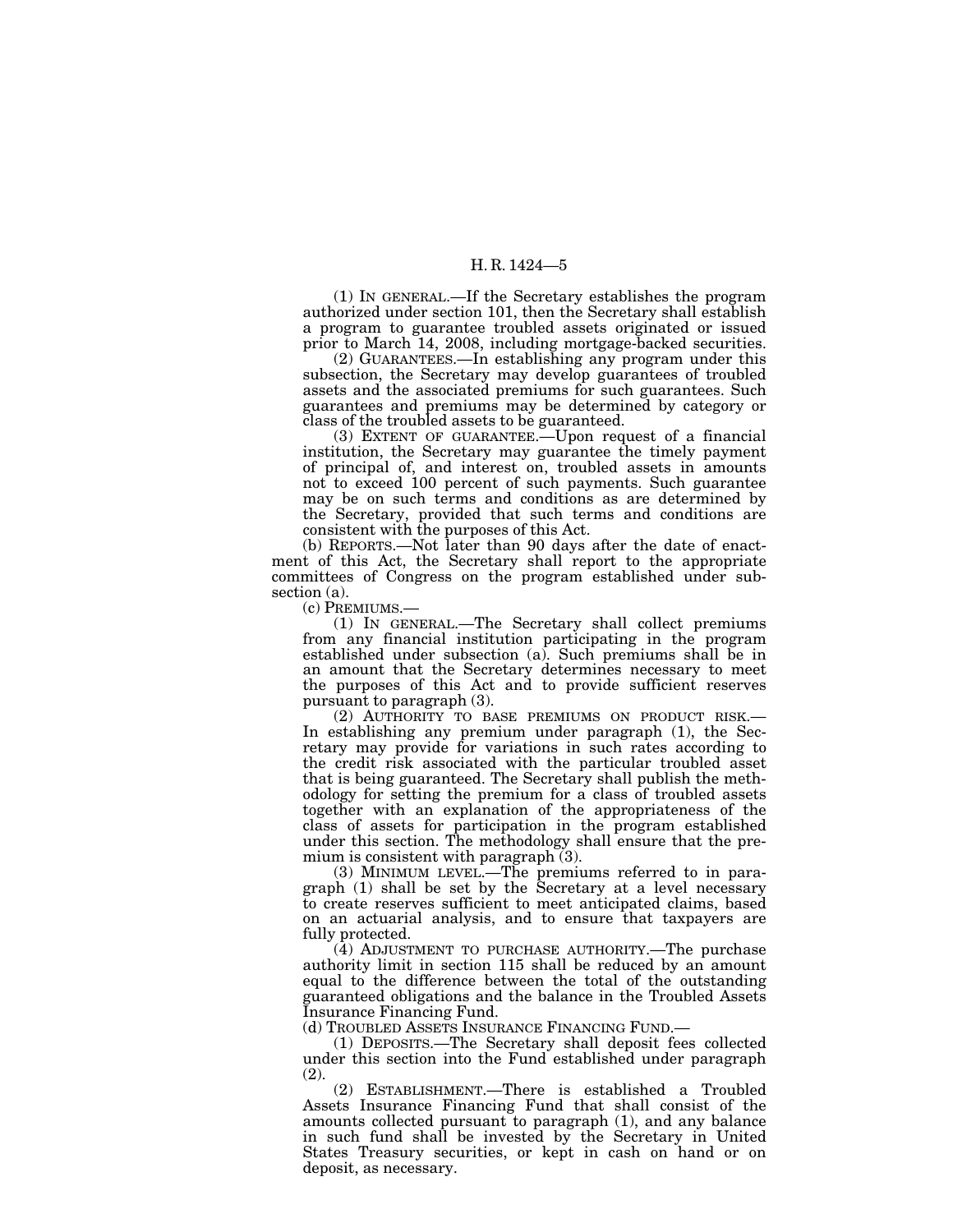(1) IN GENERAL.—If the Secretary establishes the program authorized under section 101, then the Secretary shall establish a program to guarantee troubled assets originated or issued prior to March 14, 2008, including mortgage-backed securities.

(2) GUARANTEES.—In establishing any program under this subsection, the Secretary may develop guarantees of troubled assets and the associated premiums for such guarantees. Such guarantees and premiums may be determined by category or class of the troubled assets to be guaranteed.

(3) EXTENT OF GUARANTEE.—Upon request of a financial institution, the Secretary may guarantee the timely payment of principal of, and interest on, troubled assets in amounts not to exceed 100 percent of such payments. Such guarantee may be on such terms and conditions as are determined by the Secretary, provided that such terms and conditions are consistent with the purposes of this Act.

(b) REPORTS.—Not later than 90 days after the date of enactment of this Act, the Secretary shall report to the appropriate committees of Congress on the program established under subsection (a).

(c) PREMIUMS.—

(1) IN GENERAL.—The Secretary shall collect premiums from any financial institution participating in the program established under subsection (a). Such premiums shall be in an amount that the Secretary determines necessary to meet the purposes of this Act and to provide sufficient reserves pursuant to paragraph (3).

(2) AUTHORITY TO BASE PREMIUMS ON PRODUCT RISK.— In establishing any premium under paragraph (1), the Secretary may provide for variations in such rates according to the credit risk associated with the particular troubled asset that is being guaranteed. The Secretary shall publish the methodology for setting the premium for a class of troubled assets together with an explanation of the appropriateness of the class of assets for participation in the program established under this section. The methodology shall ensure that the premium is consistent with paragraph (3).

(3) MINIMUM LEVEL.—The premiums referred to in paragraph (1) shall be set by the Secretary at a level necessary to create reserves sufficient to meet anticipated claims, based on an actuarial analysis, and to ensure that taxpayers are fully protected.

(4) ADJUSTMENT TO PURCHASE AUTHORITY.—The purchase authority limit in section 115 shall be reduced by an amount equal to the difference between the total of the outstanding guaranteed obligations and the balance in the Troubled Assets Insurance Financing Fund.<br>(d) Troubled Assets Insurance Financing Fund.—

(1) DEPOSITS.—The Secretary shall deposit fees collected under this section into the Fund established under paragraph (2).

(2) ESTABLISHMENT.—There is established a Troubled Assets Insurance Financing Fund that shall consist of the amounts collected pursuant to paragraph (1), and any balance in such fund shall be invested by the Secretary in United States Treasury securities, or kept in cash on hand or on deposit, as necessary.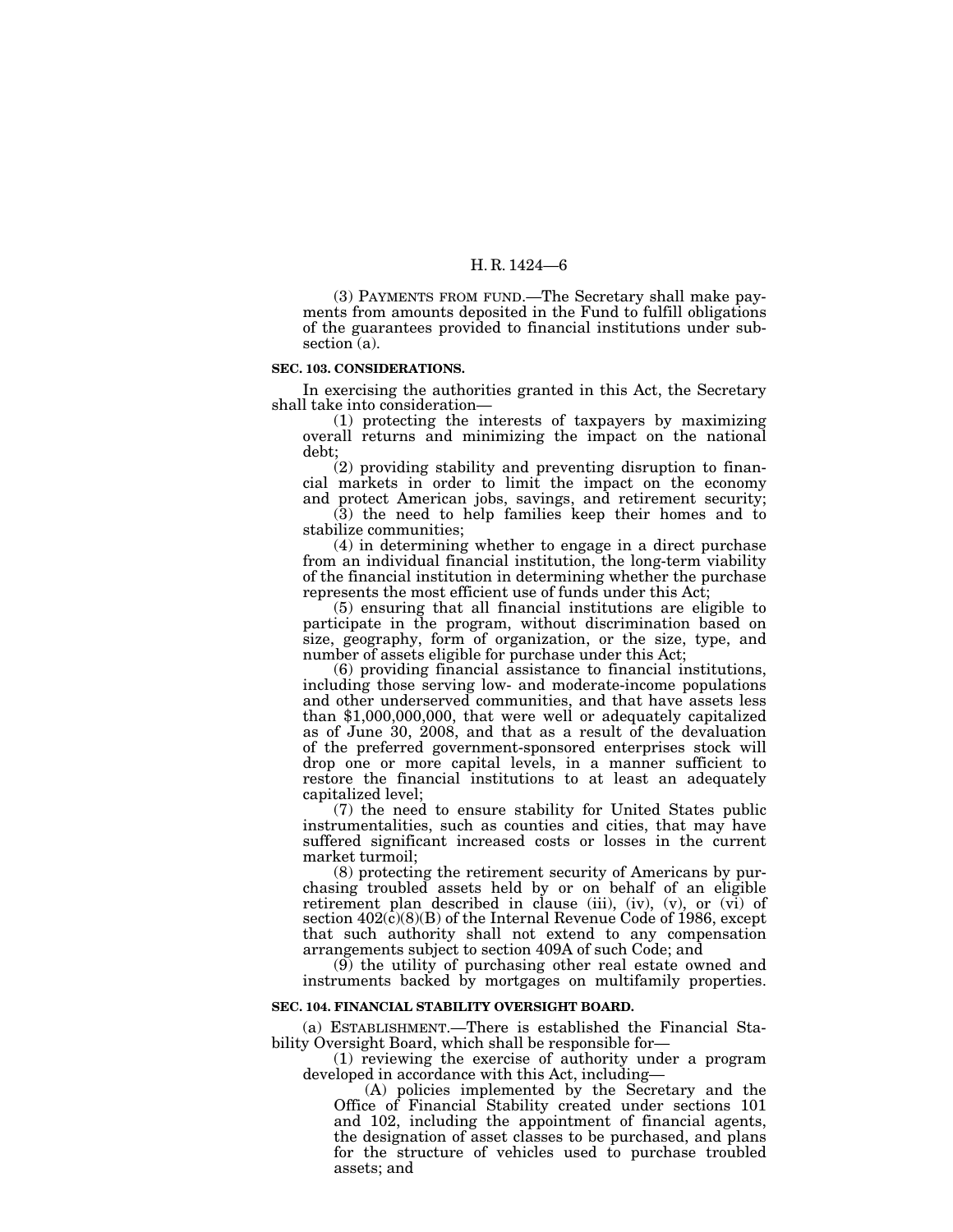(3) PAYMENTS FROM FUND.—The Secretary shall make payments from amounts deposited in the Fund to fulfill obligations of the guarantees provided to financial institutions under subsection (a).

#### **SEC. 103. CONSIDERATIONS.**

In exercising the authorities granted in this Act, the Secretary shall take into consideration—

(1) protecting the interests of taxpayers by maximizing overall returns and minimizing the impact on the national debt;

(2) providing stability and preventing disruption to financial markets in order to limit the impact on the economy and protect American jobs, savings, and retirement security;

(3) the need to help families keep their homes and to stabilize communities;

(4) in determining whether to engage in a direct purchase from an individual financial institution, the long-term viability of the financial institution in determining whether the purchase represents the most efficient use of funds under this Act;

(5) ensuring that all financial institutions are eligible to participate in the program, without discrimination based on size, geography, form of organization, or the size, type, and number of assets eligible for purchase under this Act;

(6) providing financial assistance to financial institutions, including those serving low- and moderate-income populations and other underserved communities, and that have assets less than \$1,000,000,000, that were well or adequately capitalized as of June 30, 2008, and that as a result of the devaluation of the preferred government-sponsored enterprises stock will drop one or more capital levels, in a manner sufficient to restore the financial institutions to at least an adequately capitalized level;

(7) the need to ensure stability for United States public instrumentalities, such as counties and cities, that may have suffered significant increased costs or losses in the current market turmoil;

(8) protecting the retirement security of Americans by purchasing troubled assets held by or on behalf of an eligible retirement plan described in clause (iii), (iv), (v), or (vi) of section 402(c)(8)(B) of the Internal Revenue Code of 1986, except that such authority shall not extend to any compensation arrangements subject to section 409A of such Code; and

(9) the utility of purchasing other real estate owned and instruments backed by mortgages on multifamily properties.

#### **SEC. 104. FINANCIAL STABILITY OVERSIGHT BOARD.**

(a) ESTABLISHMENT.—There is established the Financial Stability Oversight Board, which shall be responsible for—

(1) reviewing the exercise of authority under a program developed in accordance with this Act, including—

(A) policies implemented by the Secretary and the Office of Financial Stability created under sections 101 and 102, including the appointment of financial agents, the designation of asset classes to be purchased, and plans for the structure of vehicles used to purchase troubled assets; and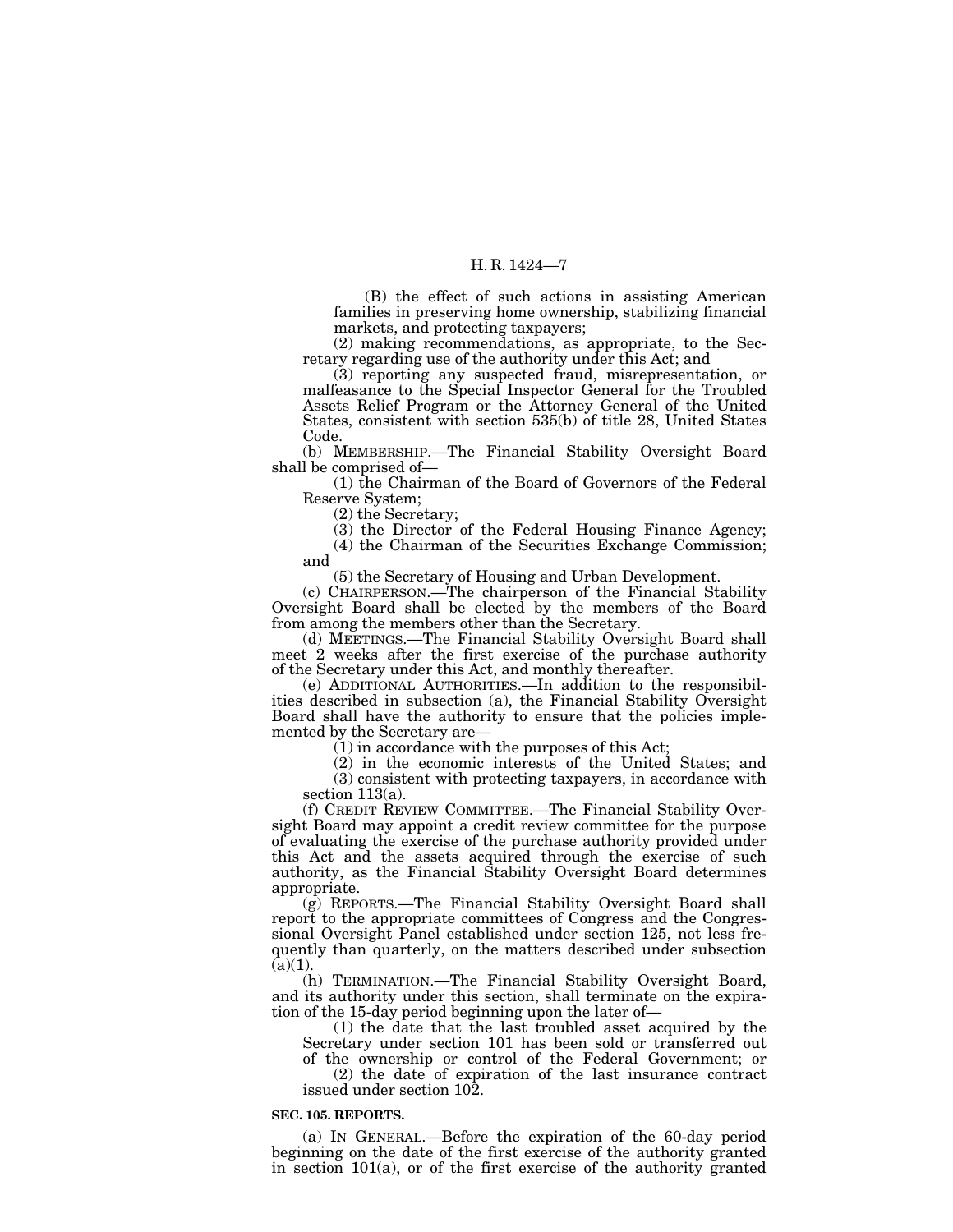(B) the effect of such actions in assisting American families in preserving home ownership, stabilizing financial markets, and protecting taxpayers;

(2) making recommendations, as appropriate, to the Secretary regarding use of the authority under this Act; and

(3) reporting any suspected fraud, misrepresentation, or malfeasance to the Special Inspector General for the Troubled Assets Relief Program or the Attorney General of the United States, consistent with section 535(b) of title 28, United States Code.

(b) MEMBERSHIP.—The Financial Stability Oversight Board shall be comprised of—

(1) the Chairman of the Board of Governors of the Federal Reserve System;

(2) the Secretary;

(3) the Director of the Federal Housing Finance Agency;

(4) the Chairman of the Securities Exchange Commission; and

(5) the Secretary of Housing and Urban Development.

(c) CHAIRPERSON.—The chairperson of the Financial Stability Oversight Board shall be elected by the members of the Board from among the members other than the Secretary.

(d) MEETINGS.—The Financial Stability Oversight Board shall meet 2 weeks after the first exercise of the purchase authority of the Secretary under this Act, and monthly thereafter.

(e) ADDITIONAL AUTHORITIES.—In addition to the responsibilities described in subsection (a), the Financial Stability Oversight Board shall have the authority to ensure that the policies implemented by the Secretary are—

(1) in accordance with the purposes of this Act;

(2) in the economic interests of the United States; and (3) consistent with protecting taxpayers, in accordance with section 113(a).

(f) CREDIT REVIEW COMMITTEE.—The Financial Stability Oversight Board may appoint a credit review committee for the purpose of evaluating the exercise of the purchase authority provided under this Act and the assets acquired through the exercise of such authority, as the Financial Stability Oversight Board determines appropriate.

(g) REPORTS.—The Financial Stability Oversight Board shall report to the appropriate committees of Congress and the Congressional Oversight Panel established under section 125, not less frequently than quarterly, on the matters described under subsection  $(a)(1)$ .

(h) TERMINATION.—The Financial Stability Oversight Board, and its authority under this section, shall terminate on the expiration of the 15-day period beginning upon the later of—

(1) the date that the last troubled asset acquired by the Secretary under section 101 has been sold or transferred out

of the ownership or control of the Federal Government; or (2) the date of expiration of the last insurance contract

issued under section 102.

#### **SEC. 105. REPORTS.**

(a) IN GENERAL.—Before the expiration of the 60-day period beginning on the date of the first exercise of the authority granted in section 101(a), or of the first exercise of the authority granted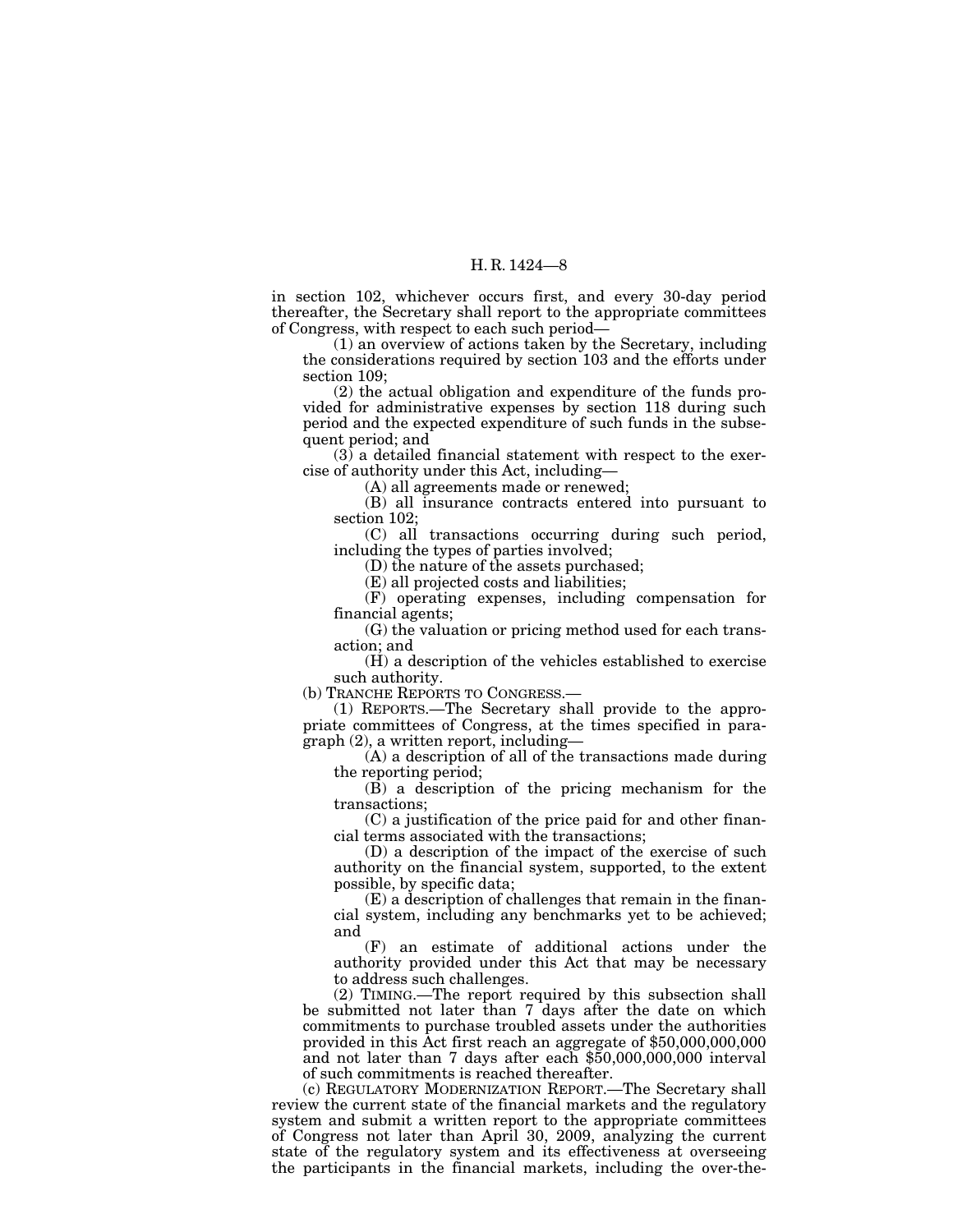in section 102, whichever occurs first, and every 30-day period thereafter, the Secretary shall report to the appropriate committees of Congress, with respect to each such period—

(1) an overview of actions taken by the Secretary, including the considerations required by section 103 and the efforts under section 109;

(2) the actual obligation and expenditure of the funds provided for administrative expenses by section 118 during such period and the expected expenditure of such funds in the subsequent period; and

(3) a detailed financial statement with respect to the exercise of authority under this Act, including—

(A) all agreements made or renewed;

(B) all insurance contracts entered into pursuant to section 102;

(C) all transactions occurring during such period, including the types of parties involved;

(D) the nature of the assets purchased;

(E) all projected costs and liabilities;

(F) operating expenses, including compensation for financial agents;

(G) the valuation or pricing method used for each transaction; and

(H) a description of the vehicles established to exercise such authority.

(b) TRANCHE REPORTS TO CONGRESS.—

(1) REPORTS.—The Secretary shall provide to the appropriate committees of Congress, at the times specified in paragraph (2), a written report, including—

(A) a description of all of the transactions made during the reporting period;

(B) a description of the pricing mechanism for the transactions;

(C) a justification of the price paid for and other financial terms associated with the transactions;

(D) a description of the impact of the exercise of such authority on the financial system, supported, to the extent possible, by specific data;

(E) a description of challenges that remain in the financial system, including any benchmarks yet to be achieved; and

(F) an estimate of additional actions under the authority provided under this Act that may be necessary to address such challenges.

(2) TIMING.—The report required by this subsection shall be submitted not later than 7 days after the date on which commitments to purchase troubled assets under the authorities provided in this Act first reach an aggregate of \$50,000,000,000 and not later than 7 days after each \$50,000,000,000 interval of such commitments is reached thereafter.

(c) REGULATORY MODERNIZATION REPORT.—The Secretary shall review the current state of the financial markets and the regulatory system and submit a written report to the appropriate committees of Congress not later than April 30, 2009, analyzing the current state of the regulatory system and its effectiveness at overseeing the participants in the financial markets, including the over-the-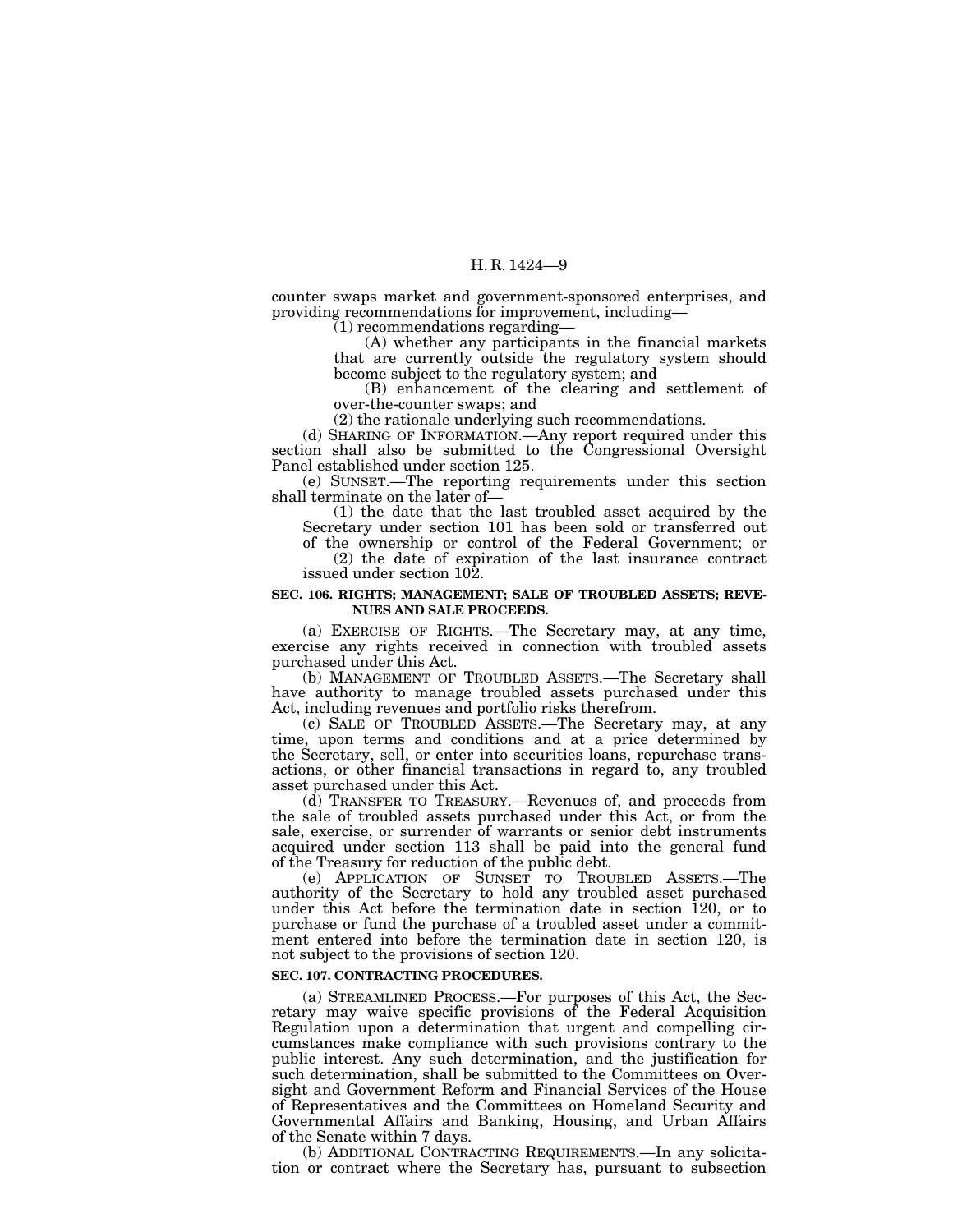counter swaps market and government-sponsored enterprises, and providing recommendations for improvement, including—

(1) recommendations regarding—

(A) whether any participants in the financial markets that are currently outside the regulatory system should become subject to the regulatory system; and

(B) enhancement of the clearing and settlement of over-the-counter swaps; and

(2) the rationale underlying such recommendations.

(d) SHARING OF INFORMATION.—Any report required under this section shall also be submitted to the Congressional Oversight Panel established under section 125.

(e) SUNSET.—The reporting requirements under this section shall terminate on the later of—

(1) the date that the last troubled asset acquired by the Secretary under section 101 has been sold or transferred out

of the ownership or control of the Federal Government; or (2) the date of expiration of the last insurance contract

issued under section 102.

#### **SEC. 106. RIGHTS; MANAGEMENT; SALE OF TROUBLED ASSETS; REVE-NUES AND SALE PROCEEDS.**

(a) EXERCISE OF RIGHTS.—The Secretary may, at any time, exercise any rights received in connection with troubled assets purchased under this Act.

(b) MANAGEMENT OF TROUBLED ASSETS.—The Secretary shall have authority to manage troubled assets purchased under this Act, including revenues and portfolio risks therefrom.

(c) SALE OF TROUBLED ASSETS.—The Secretary may, at any time, upon terms and conditions and at a price determined by the Secretary, sell, or enter into securities loans, repurchase transactions, or other financial transactions in regard to, any troubled asset purchased under this Act.

(d) TRANSFER TO TREASURY.—Revenues of, and proceeds from the sale of troubled assets purchased under this Act, or from the sale, exercise, or surrender of warrants or senior debt instruments acquired under section 113 shall be paid into the general fund of the Treasury for reduction of the public debt.

(e) APPLICATION OF SUNSET TO TROUBLED ASSETS.—The authority of the Secretary to hold any troubled asset purchased under this Act before the termination date in section 120, or to purchase or fund the purchase of a troubled asset under a commitment entered into before the termination date in section 120, is not subject to the provisions of section 120.

## **SEC. 107. CONTRACTING PROCEDURES.**

(a) STREAMLINED PROCESS.—For purposes of this Act, the Secretary may waive specific provisions of the Federal Acquisition Regulation upon a determination that urgent and compelling circumstances make compliance with such provisions contrary to the public interest. Any such determination, and the justification for such determination, shall be submitted to the Committees on Oversight and Government Reform and Financial Services of the House of Representatives and the Committees on Homeland Security and Governmental Affairs and Banking, Housing, and Urban Affairs of the Senate within 7 days.

(b) ADDITIONAL CONTRACTING REQUIREMENTS.—In any solicitation or contract where the Secretary has, pursuant to subsection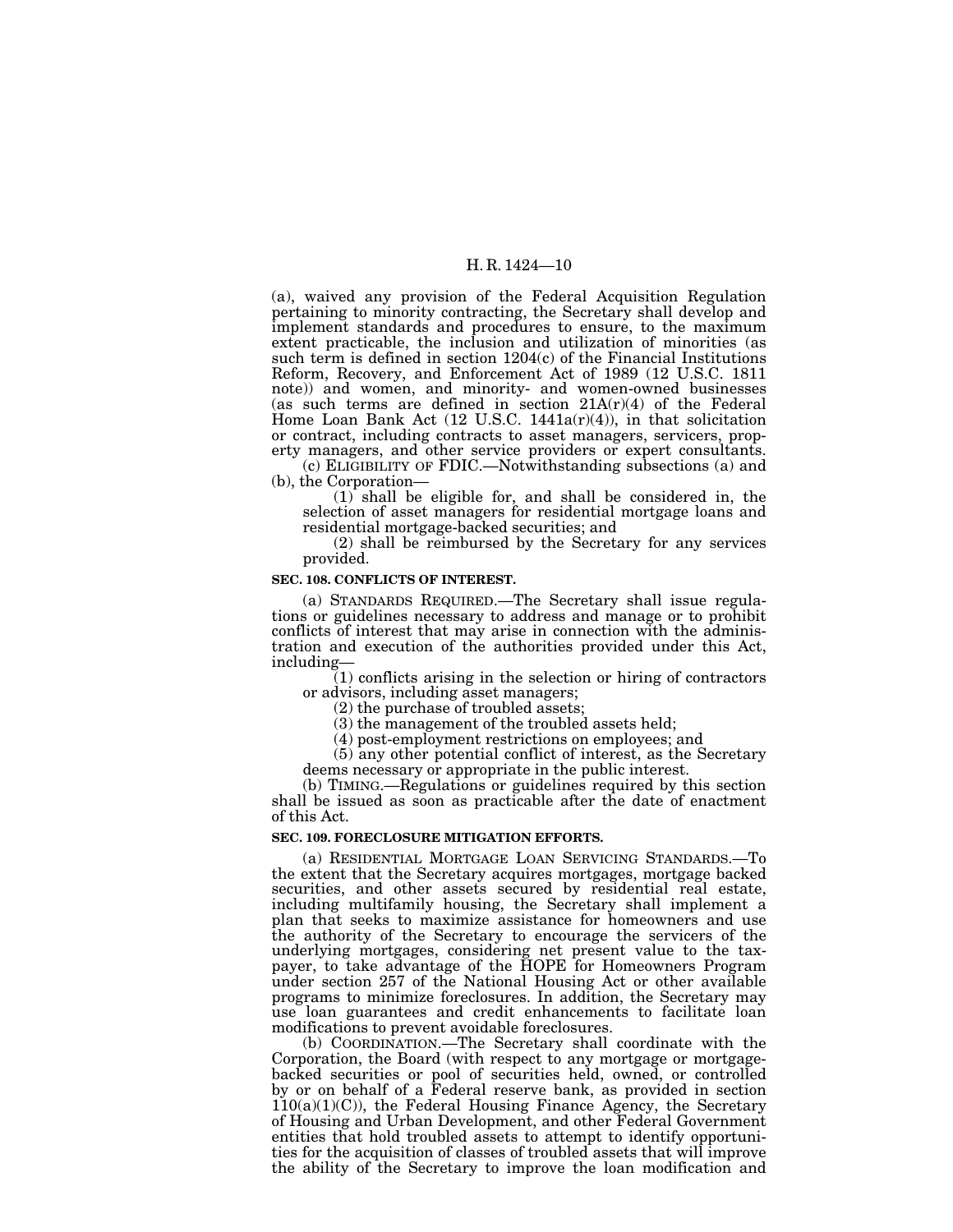(a), waived any provision of the Federal Acquisition Regulation pertaining to minority contracting, the Secretary shall develop and implement standards and procedures to ensure, to the maximum extent practicable, the inclusion and utilization of minorities (as such term is defined in section 1204(c) of the Financial Institutions Reform, Recovery, and Enforcement Act of 1989 (12 U.S.C. 1811 note)) and women, and minority- and women-owned businesses (as such terms are defined in section  $21A(r)(4)$  of the Federal Home Loan Bank Act (12 U.S.C. 1441a(r)(4)), in that solicitation or contract, including contracts to asset managers, servicers, property managers, and other service providers or expert consultants.

(c) ELIGIBILITY OF FDIC.—Notwithstanding subsections (a) and (b), the Corporation—

(1) shall be eligible for, and shall be considered in, the selection of asset managers for residential mortgage loans and residential mortgage-backed securities; and

(2) shall be reimbursed by the Secretary for any services provided.

#### **SEC. 108. CONFLICTS OF INTEREST.**

(a) STANDARDS REQUIRED.—The Secretary shall issue regulations or guidelines necessary to address and manage or to prohibit conflicts of interest that may arise in connection with the administration and execution of the authorities provided under this Act, including—

 $(1)$  conflicts arising in the selection or hiring of contractors or advisors, including asset managers;

(2) the purchase of troubled assets;

(3) the management of the troubled assets held;

(4) post-employment restrictions on employees; and

(5) any other potential conflict of interest, as the Secretary deems necessary or appropriate in the public interest.

(b) TIMING.—Regulations or guidelines required by this section shall be issued as soon as practicable after the date of enactment of this Act.

#### **SEC. 109. FORECLOSURE MITIGATION EFFORTS.**

(a) RESIDENTIAL MORTGAGE LOAN SERVICING STANDARDS.—To the extent that the Secretary acquires mortgages, mortgage backed securities, and other assets secured by residential real estate, including multifamily housing, the Secretary shall implement a plan that seeks to maximize assistance for homeowners and use the authority of the Secretary to encourage the servicers of the underlying mortgages, considering net present value to the taxpayer, to take advantage of the HOPE for Homeowners Program under section 257 of the National Housing Act or other available programs to minimize foreclosures. In addition, the Secretary may use loan guarantees and credit enhancements to facilitate loan modifications to prevent avoidable foreclosures.

(b) COORDINATION.—The Secretary shall coordinate with the Corporation, the Board (with respect to any mortgage or mortgagebacked securities or pool of securities held, owned, or controlled by or on behalf of a Federal reserve bank, as provided in section  $110(a)(1)(C)$ , the Federal Housing Finance Agency, the Secretary of Housing and Urban Development, and other Federal Government entities that hold troubled assets to attempt to identify opportunities for the acquisition of classes of troubled assets that will improve the ability of the Secretary to improve the loan modification and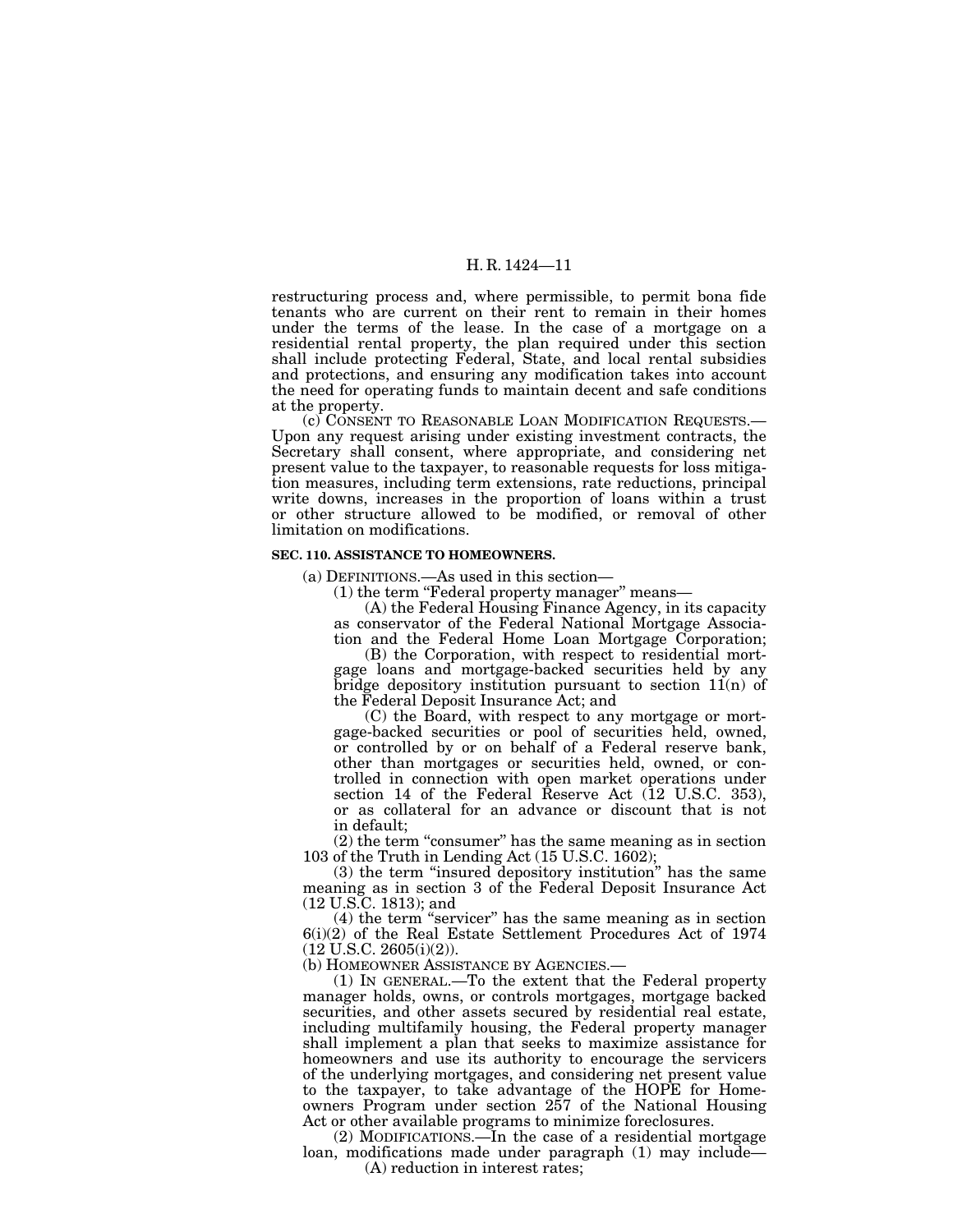restructuring process and, where permissible, to permit bona fide tenants who are current on their rent to remain in their homes under the terms of the lease. In the case of a mortgage on a residential rental property, the plan required under this section shall include protecting Federal, State, and local rental subsidies and protections, and ensuring any modification takes into account the need for operating funds to maintain decent and safe conditions at the property.

(c) CONSENT TO REASONABLE LOAN MODIFICATION REQUESTS.— Upon any request arising under existing investment contracts, the Secretary shall consent, where appropriate, and considering net present value to the taxpayer, to reasonable requests for loss mitigation measures, including term extensions, rate reductions, principal write downs, increases in the proportion of loans within a trust or other structure allowed to be modified, or removal of other limitation on modifications.

#### **SEC. 110. ASSISTANCE TO HOMEOWNERS.**

(a) DEFINITIONS.—As used in this section—

(1) the term ''Federal property manager'' means—

(A) the Federal Housing Finance Agency, in its capacity as conservator of the Federal National Mortgage Association and the Federal Home Loan Mortgage Corporation;

(B) the Corporation, with respect to residential mortgage loans and mortgage-backed securities held by any bridge depository institution pursuant to section  $11(n)$  of the Federal Deposit Insurance Act; and

(C) the Board, with respect to any mortgage or mortgage-backed securities or pool of securities held, owned, or controlled by or on behalf of a Federal reserve bank, other than mortgages or securities held, owned, or controlled in connection with open market operations under section 14 of the Federal Reserve Act (12 U.S.C. 353), or as collateral for an advance or discount that is not in default;

 $(2)$  the term "consumer" has the same meaning as in section 103 of the Truth in Lending Act (15 U.S.C. 1602);

(3) the term ''insured depository institution'' has the same meaning as in section 3 of the Federal Deposit Insurance Act (12 U.S.C. 1813); and

 $(4)$  the term "servicer" has the same meaning as in section 6(i)(2) of the Real Estate Settlement Procedures Act of 1974 (12 U.S.C. 2605(i)(2)).

(b) HOMEOWNER ASSISTANCE BY AGENCIES.—

(1) IN GENERAL.—To the extent that the Federal property manager holds, owns, or controls mortgages, mortgage backed securities, and other assets secured by residential real estate, including multifamily housing, the Federal property manager shall implement a plan that seeks to maximize assistance for homeowners and use its authority to encourage the servicers of the underlying mortgages, and considering net present value to the taxpayer, to take advantage of the HOPE for Homeowners Program under section 257 of the National Housing Act or other available programs to minimize foreclosures.

(2) MODIFICATIONS.—In the case of a residential mortgage loan, modifications made under paragraph (1) may include—

(A) reduction in interest rates;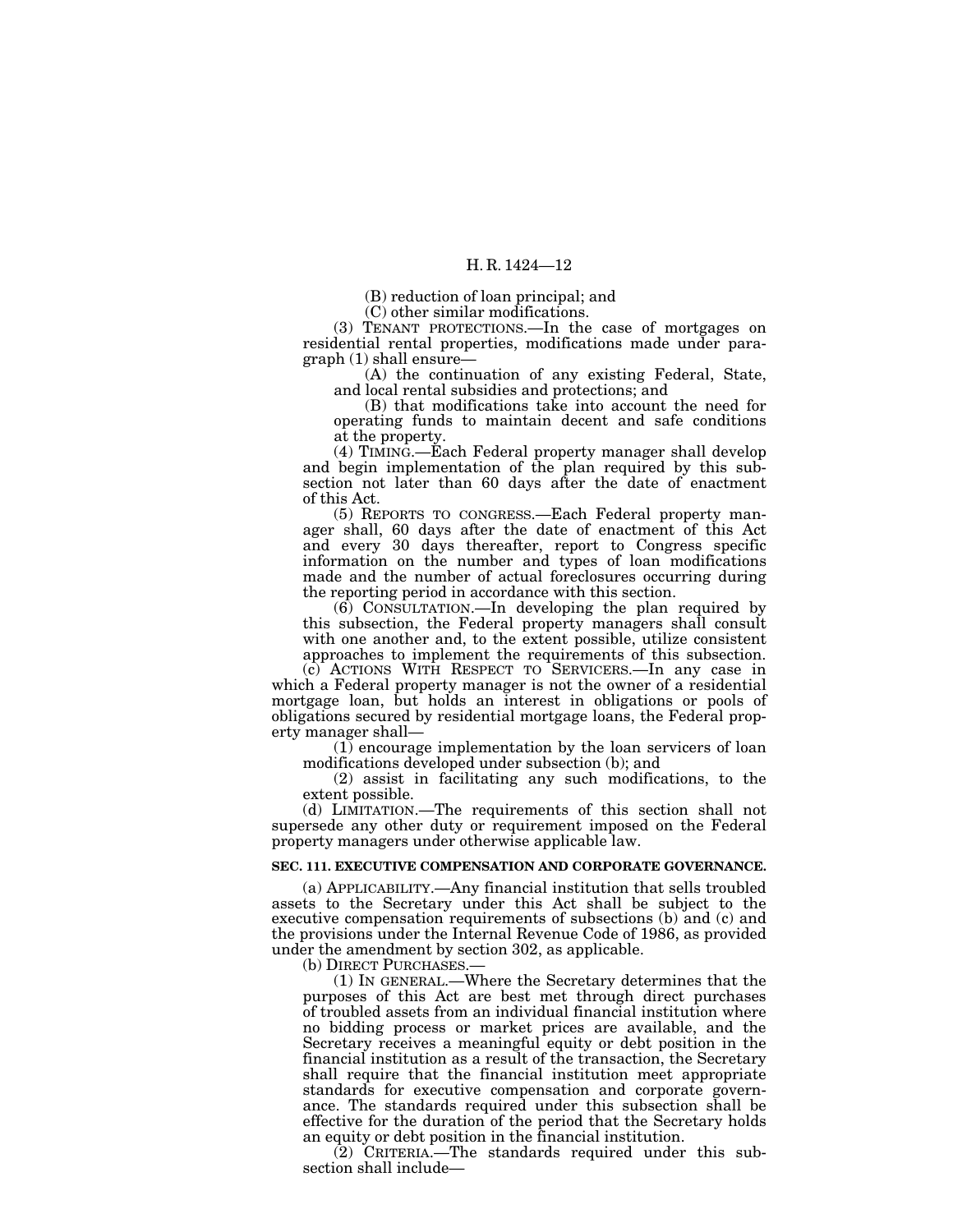(B) reduction of loan principal; and

(C) other similar modifications.

(3) TENANT PROTECTIONS.—In the case of mortgages on residential rental properties, modifications made under paragraph (1) shall ensure—

(A) the continuation of any existing Federal, State, and local rental subsidies and protections; and

(B) that modifications take into account the need for operating funds to maintain decent and safe conditions at the property.

(4) TIMING.—Each Federal property manager shall develop and begin implementation of the plan required by this subsection not later than 60 days after the date of enactment of this Act.

(5) REPORTS TO CONGRESS.—Each Federal property manager shall, 60 days after the date of enactment of this Act and every 30 days thereafter, report to Congress specific information on the number and types of loan modifications made and the number of actual foreclosures occurring during the reporting period in accordance with this section.

(6) CONSULTATION.—In developing the plan required by this subsection, the Federal property managers shall consult with one another and, to the extent possible, utilize consistent approaches to implement the requirements of this subsection.

(c) ACTIONS WITH RESPECT TO SERVICERS.—In any case in which a Federal property manager is not the owner of a residential mortgage loan, but holds an interest in obligations or pools of obligations secured by residential mortgage loans, the Federal property manager shall—

 $(1)$  encourage implementation by the loan servicers of loan modifications developed under subsection (b); and

(2) assist in facilitating any such modifications, to the extent possible.

(d) LIMITATION.—The requirements of this section shall not supersede any other duty or requirement imposed on the Federal property managers under otherwise applicable law.

#### **SEC. 111. EXECUTIVE COMPENSATION AND CORPORATE GOVERNANCE.**

(a) APPLICABILITY.—Any financial institution that sells troubled assets to the Secretary under this Act shall be subject to the executive compensation requirements of subsections (b) and (c) and the provisions under the Internal Revenue Code of 1986, as provided under the amendment by section 302, as applicable.

(b) DIRECT PURCHASES.—

(1) IN GENERAL.—Where the Secretary determines that the purposes of this Act are best met through direct purchases of troubled assets from an individual financial institution where no bidding process or market prices are available, and the Secretary receives a meaningful equity or debt position in the financial institution as a result of the transaction, the Secretary shall require that the financial institution meet appropriate standards for executive compensation and corporate governance. The standards required under this subsection shall be effective for the duration of the period that the Secretary holds an equity or debt position in the financial institution.

(2) CRITERIA.—The standards required under this subsection shall include—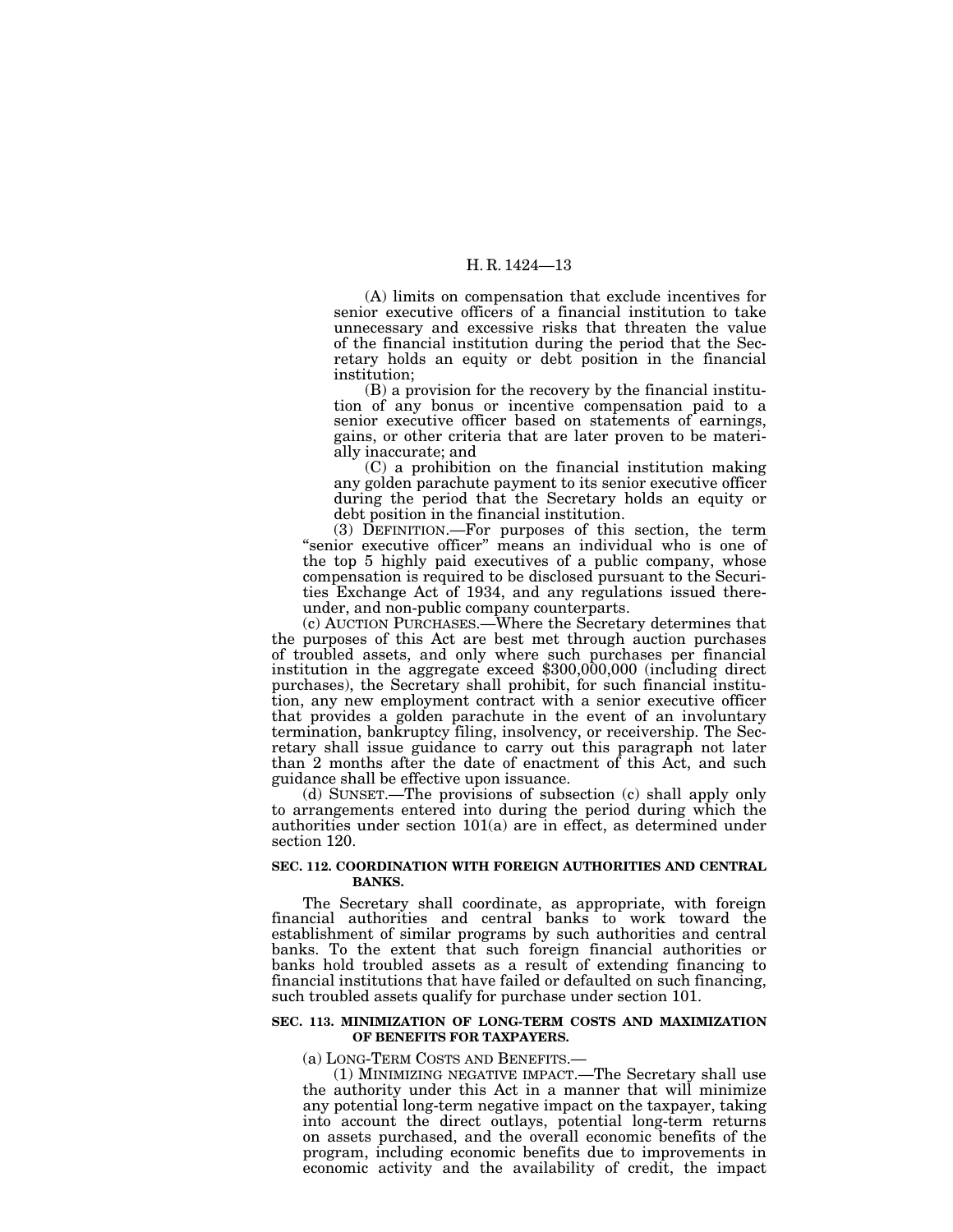(A) limits on compensation that exclude incentives for senior executive officers of a financial institution to take unnecessary and excessive risks that threaten the value of the financial institution during the period that the Secretary holds an equity or debt position in the financial institution;

(B) a provision for the recovery by the financial institution of any bonus or incentive compensation paid to a senior executive officer based on statements of earnings, gains, or other criteria that are later proven to be materially inaccurate; and

(C) a prohibition on the financial institution making any golden parachute payment to its senior executive officer during the period that the Secretary holds an equity or debt position in the financial institution.

(3) DEFINITION.—For purposes of this section, the term "senior executive officer" means an individual who is one of the top 5 highly paid executives of a public company, whose compensation is required to be disclosed pursuant to the Securities Exchange Act of 1934, and any regulations issued thereunder, and non-public company counterparts.

(c) AUCTION PURCHASES.—Where the Secretary determines that the purposes of this Act are best met through auction purchases of troubled assets, and only where such purchases per financial institution in the aggregate exceed \$300,000,000 (including direct purchases), the Secretary shall prohibit, for such financial institution, any new employment contract with a senior executive officer that provides a golden parachute in the event of an involuntary termination, bankruptcy filing, insolvency, or receivership. The Secretary shall issue guidance to carry out this paragraph not later than 2 months after the date of enactment of this Act, and such guidance shall be effective upon issuance.

(d) SUNSET.—The provisions of subsection (c) shall apply only to arrangements entered into during the period during which the authorities under section 101(a) are in effect, as determined under section 120.

## **SEC. 112. COORDINATION WITH FOREIGN AUTHORITIES AND CENTRAL BANKS.**

The Secretary shall coordinate, as appropriate, with foreign financial authorities and central banks to work toward the establishment of similar programs by such authorities and central banks. To the extent that such foreign financial authorities or banks hold troubled assets as a result of extending financing to financial institutions that have failed or defaulted on such financing, such troubled assets qualify for purchase under section 101.

#### **SEC. 113. MINIMIZATION OF LONG-TERM COSTS AND MAXIMIZATION OF BENEFITS FOR TAXPAYERS.**

(a) LONG-TERM COSTS AND BENEFITS.—

(1) MINIMIZING NEGATIVE IMPACT.—The Secretary shall use the authority under this Act in a manner that will minimize any potential long-term negative impact on the taxpayer, taking into account the direct outlays, potential long-term returns on assets purchased, and the overall economic benefits of the program, including economic benefits due to improvements in economic activity and the availability of credit, the impact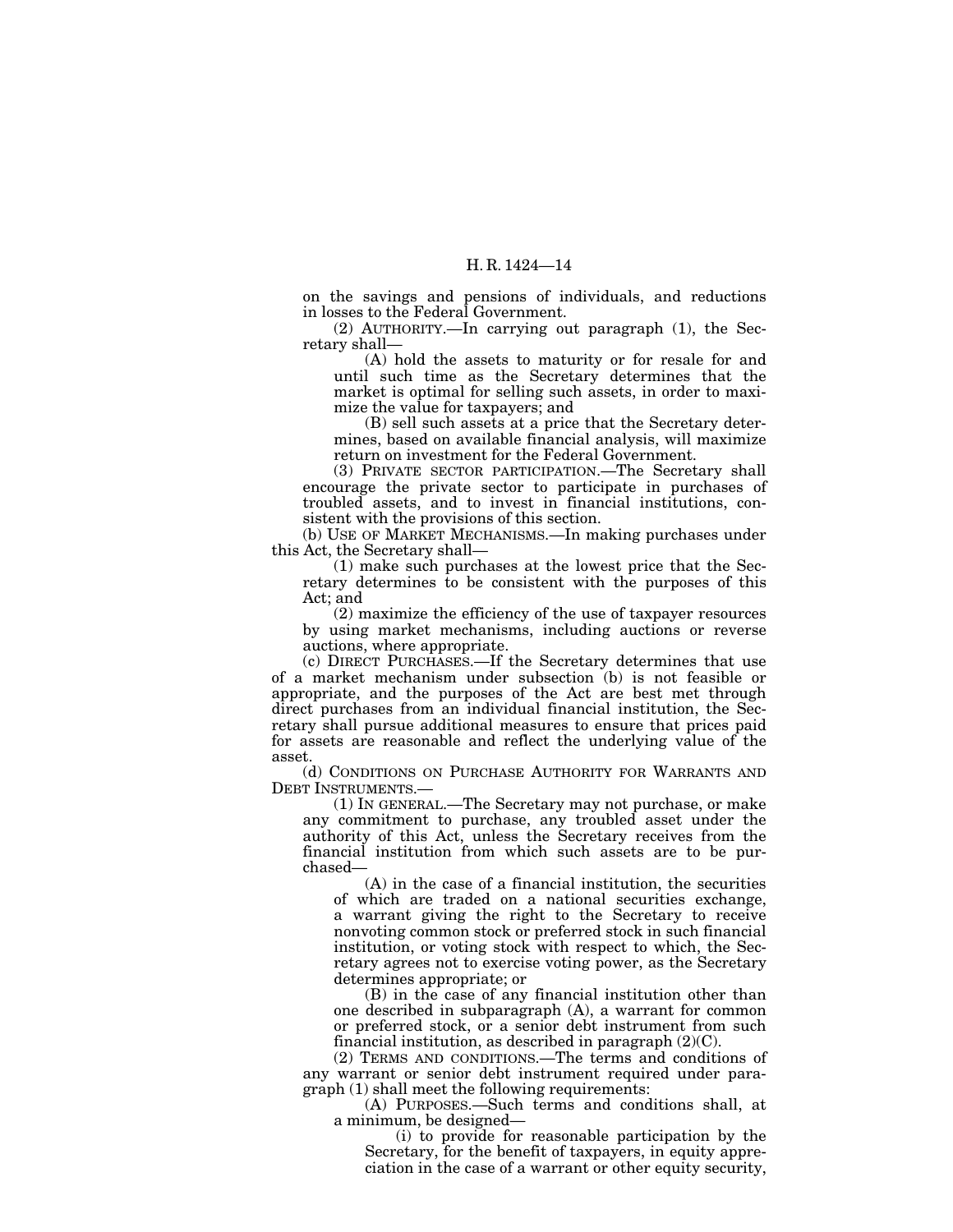on the savings and pensions of individuals, and reductions in losses to the Federal Government.

(2) AUTHORITY.—In carrying out paragraph (1), the Secretary shall—

(A) hold the assets to maturity or for resale for and until such time as the Secretary determines that the market is optimal for selling such assets, in order to maximize the value for taxpayers; and

(B) sell such assets at a price that the Secretary determines, based on available financial analysis, will maximize return on investment for the Federal Government.

(3) PRIVATE SECTOR PARTICIPATION.—The Secretary shall encourage the private sector to participate in purchases of troubled assets, and to invest in financial institutions, consistent with the provisions of this section.

(b) USE OF MARKET MECHANISMS.—In making purchases under this Act, the Secretary shall—

(1) make such purchases at the lowest price that the Secretary determines to be consistent with the purposes of this Act; and

(2) maximize the efficiency of the use of taxpayer resources by using market mechanisms, including auctions or reverse auctions, where appropriate.

(c) DIRECT PURCHASES.—If the Secretary determines that use of a market mechanism under subsection (b) is not feasible or appropriate, and the purposes of the Act are best met through direct purchases from an individual financial institution, the Secretary shall pursue additional measures to ensure that prices paid for assets are reasonable and reflect the underlying value of the asset.

(d) CONDITIONS ON PURCHASE AUTHORITY FOR WARRANTS AND DEBT INSTRUMENTS.—

(1) IN GENERAL.—The Secretary may not purchase, or make any commitment to purchase, any troubled asset under the authority of this Act, unless the Secretary receives from the financial institution from which such assets are to be purchased—

(A) in the case of a financial institution, the securities of which are traded on a national securities exchange, a warrant giving the right to the Secretary to receive nonvoting common stock or preferred stock in such financial institution, or voting stock with respect to which, the Secretary agrees not to exercise voting power, as the Secretary determines appropriate; or

(B) in the case of any financial institution other than one described in subparagraph (A), a warrant for common or preferred stock, or a senior debt instrument from such financial institution, as described in paragraph (2)(C).

(2) TERMS AND CONDITIONS.—The terms and conditions of any warrant or senior debt instrument required under paragraph (1) shall meet the following requirements:

(A) PURPOSES.—Such terms and conditions shall, at a minimum, be designed—

(i) to provide for reasonable participation by the Secretary, for the benefit of taxpayers, in equity appreciation in the case of a warrant or other equity security,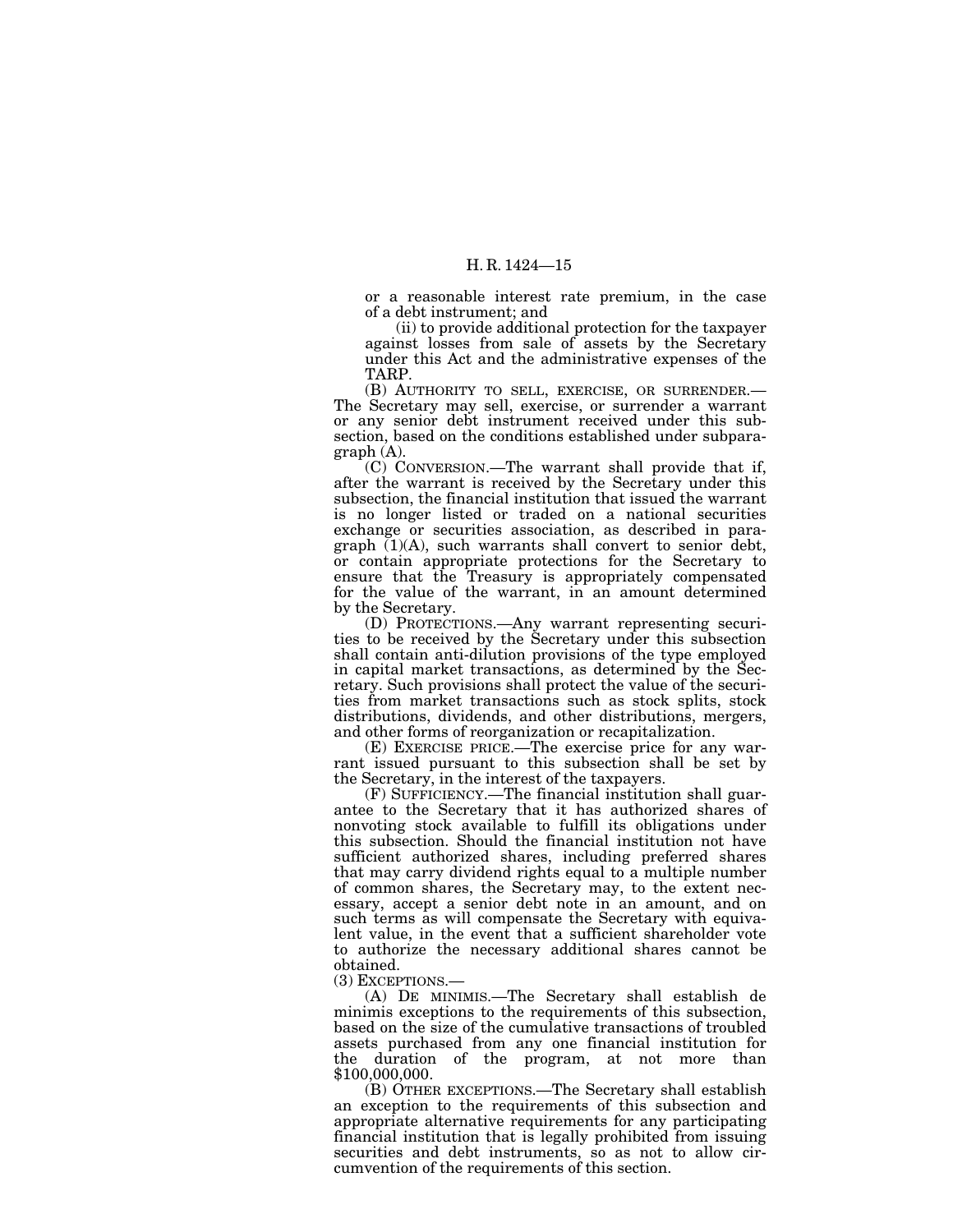or a reasonable interest rate premium, in the case of a debt instrument; and

(ii) to provide additional protection for the taxpayer against losses from sale of assets by the Secretary under this Act and the administrative expenses of the TARP.

(B) AUTHORITY TO SELL, EXERCISE, OR SURRENDER.— The Secretary may sell, exercise, or surrender a warrant or any senior debt instrument received under this subsection, based on the conditions established under subparagraph (A).

(C) CONVERSION.—The warrant shall provide that if, after the warrant is received by the Secretary under this subsection, the financial institution that issued the warrant is no longer listed or traded on a national securities exchange or securities association, as described in paragraph  $(1)(A)$ , such warrants shall convert to senior debt, or contain appropriate protections for the Secretary to ensure that the Treasury is appropriately compensated for the value of the warrant, in an amount determined by the Secretary.

(D) PROTECTIONS.—Any warrant representing securities to be received by the Secretary under this subsection shall contain anti-dilution provisions of the type employed in capital market transactions, as determined by the Secretary. Such provisions shall protect the value of the securities from market transactions such as stock splits, stock distributions, dividends, and other distributions, mergers, and other forms of reorganization or recapitalization.

(E) EXERCISE PRICE.—The exercise price for any warrant issued pursuant to this subsection shall be set by the Secretary, in the interest of the taxpayers.

(F) SUFFICIENCY.—The financial institution shall guarantee to the Secretary that it has authorized shares of nonvoting stock available to fulfill its obligations under this subsection. Should the financial institution not have sufficient authorized shares, including preferred shares that may carry dividend rights equal to a multiple number of common shares, the Secretary may, to the extent necessary, accept a senior debt note in an amount, and on such terms as will compensate the Secretary with equivalent value, in the event that a sufficient shareholder vote to authorize the necessary additional shares cannot be obtained.

(3) EXCEPTIONS.—

(A) DE MINIMIS.—The Secretary shall establish de minimis exceptions to the requirements of this subsection, based on the size of the cumulative transactions of troubled assets purchased from any one financial institution for the duration of the program, at not more than \$100,000,000.

(B) OTHER EXCEPTIONS.—The Secretary shall establish an exception to the requirements of this subsection and appropriate alternative requirements for any participating financial institution that is legally prohibited from issuing securities and debt instruments, so as not to allow circumvention of the requirements of this section.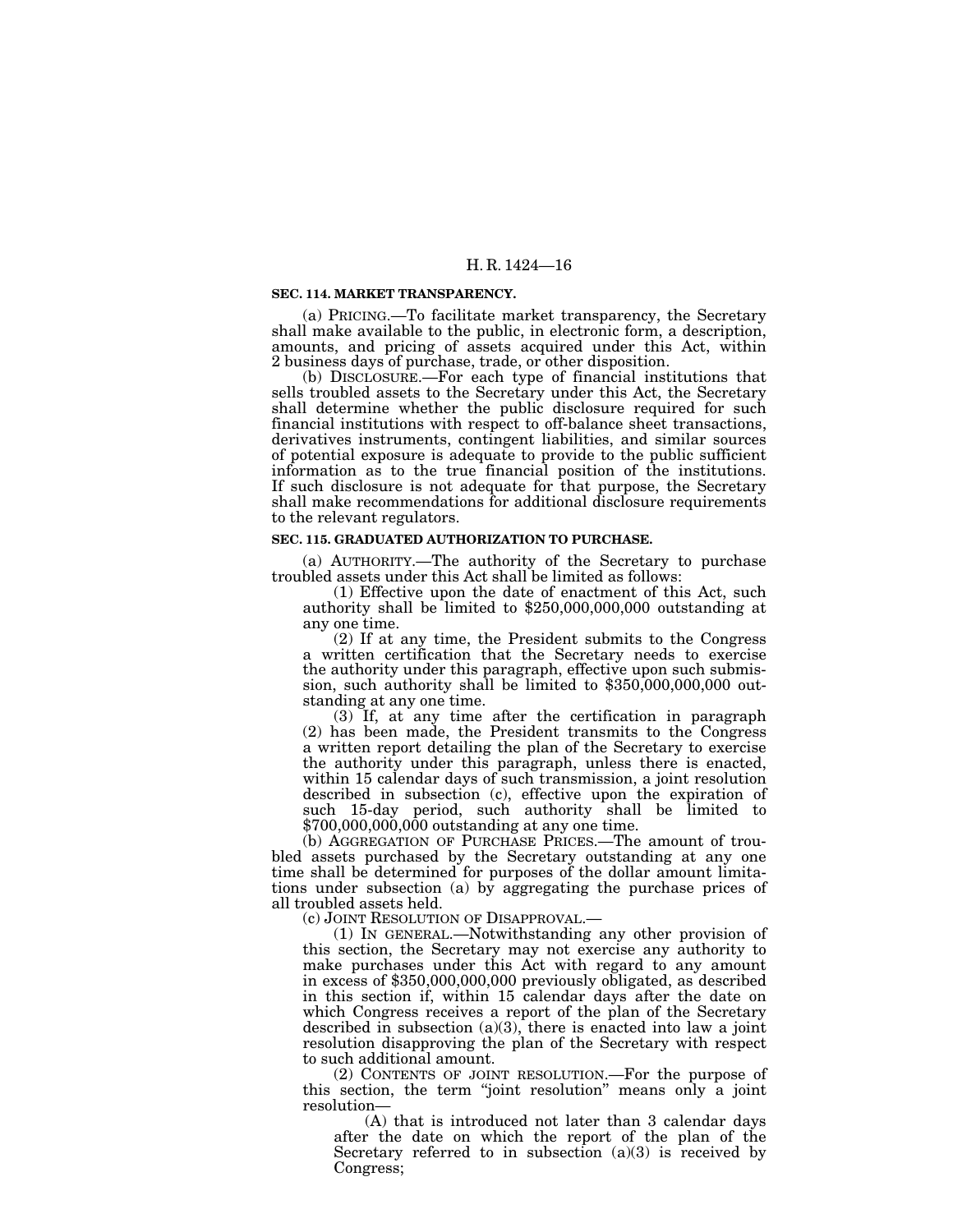#### **SEC. 114. MARKET TRANSPARENCY.**

(a) PRICING.—To facilitate market transparency, the Secretary shall make available to the public, in electronic form, a description, amounts, and pricing of assets acquired under this Act, within 2 business days of purchase, trade, or other disposition.

(b) DISCLOSURE.—For each type of financial institutions that sells troubled assets to the Secretary under this Act, the Secretary shall determine whether the public disclosure required for such financial institutions with respect to off-balance sheet transactions, derivatives instruments, contingent liabilities, and similar sources of potential exposure is adequate to provide to the public sufficient information as to the true financial position of the institutions. If such disclosure is not adequate for that purpose, the Secretary shall make recommendations for additional disclosure requirements to the relevant regulators.

#### **SEC. 115. GRADUATED AUTHORIZATION TO PURCHASE.**

(a) AUTHORITY.—The authority of the Secretary to purchase troubled assets under this Act shall be limited as follows:

(1) Effective upon the date of enactment of this Act, such authority shall be limited to \$250,000,000,000 outstanding at any one time.

(2) If at any time, the President submits to the Congress a written certification that the Secretary needs to exercise the authority under this paragraph, effective upon such submission, such authority shall be limited to \$350,000,000,000 outstanding at any one time.

(3) If, at any time after the certification in paragraph (2) has been made, the President transmits to the Congress a written report detailing the plan of the Secretary to exercise the authority under this paragraph, unless there is enacted, within 15 calendar days of such transmission, a joint resolution described in subsection (c), effective upon the expiration of such 15-day period, such authority shall be limited to \$700,000,000,000 outstanding at any one time.

(b) AGGREGATION OF PURCHASE PRICES.—The amount of troubled assets purchased by the Secretary outstanding at any one time shall be determined for purposes of the dollar amount limitations under subsection (a) by aggregating the purchase prices of all troubled assets held.

(c) JOINT RESOLUTION OF DISAPPROVAL.—

(1) IN GENERAL.—Notwithstanding any other provision of this section, the Secretary may not exercise any authority to make purchases under this Act with regard to any amount in excess of \$350,000,000,000 previously obligated, as described in this section if, within 15 calendar days after the date on which Congress receives a report of the plan of the Secretary described in subsection  $(a)(3)$ , there is enacted into law a joint resolution disapproving the plan of the Secretary with respect to such additional amount.

(2) CONTENTS OF JOINT RESOLUTION.—For the purpose of this section, the term ''joint resolution'' means only a joint resolution—

(A) that is introduced not later than 3 calendar days after the date on which the report of the plan of the Secretary referred to in subsection  $(a)(3)$  is received by Congress;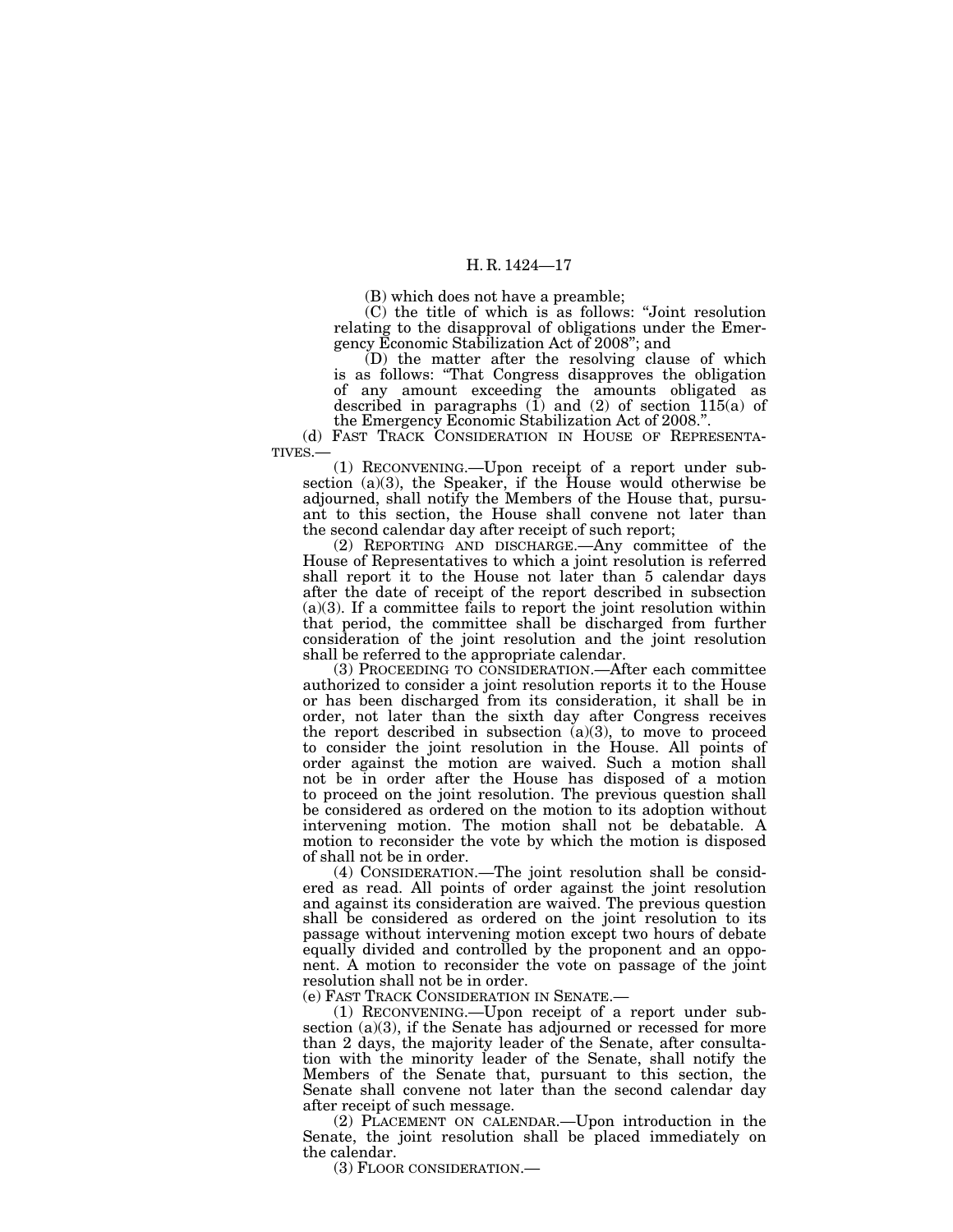(B) which does not have a preamble;

(C) the title of which is as follows: ''Joint resolution relating to the disapproval of obligations under the Emergency Economic Stabilization Act of 2008''; and

 $(D)$  the matter after the resolving clause of which is as follows: ''That Congress disapproves the obligation of any amount exceeding the amounts obligated as described in paragraphs (1) and (2) of section 115(a) of the Emergency Economic Stabilization Act of 2008.''.

(d) FAST TRACK CONSIDERATION IN HOUSE OF REPRESENTA-TIVES.—

(1) RECONVENING.—Upon receipt of a report under subsection (a)(3), the Speaker, if the House would otherwise be adjourned, shall notify the Members of the House that, pursuant to this section, the House shall convene not later than the second calendar day after receipt of such report;

(2) REPORTING AND DISCHARGE.—Any committee of the House of Representatives to which a joint resolution is referred shall report it to the House not later than 5 calendar days after the date of receipt of the report described in subsection (a)(3). If a committee fails to report the joint resolution within that period, the committee shall be discharged from further consideration of the joint resolution and the joint resolution shall be referred to the appropriate calendar.

(3) PROCEEDING TO CONSIDERATION.—After each committee authorized to consider a joint resolution reports it to the House or has been discharged from its consideration, it shall be in order, not later than the sixth day after Congress receives the report described in subsection  $(a)(3)$ , to move to proceed to consider the joint resolution in the House. All points of order against the motion are waived. Such a motion shall not be in order after the House has disposed of a motion to proceed on the joint resolution. The previous question shall be considered as ordered on the motion to its adoption without intervening motion. The motion shall not be debatable. A motion to reconsider the vote by which the motion is disposed of shall not be in order.

(4) CONSIDERATION.—The joint resolution shall be considered as read. All points of order against the joint resolution and against its consideration are waived. The previous question shall be considered as ordered on the joint resolution to its passage without intervening motion except two hours of debate equally divided and controlled by the proponent and an opponent. A motion to reconsider the vote on passage of the joint resolution shall not be in order.

(e) FAST TRACK CONSIDERATION IN SENATE.— (1) RECONVENING.—Upon receipt of a report under subsection (a)(3), if the Senate has adjourned or recessed for more than 2 days, the majority leader of the Senate, after consultation with the minority leader of the Senate, shall notify the Members of the Senate that, pursuant to this section, the Senate shall convene not later than the second calendar day after receipt of such message.

(2) PLACEMENT ON CALENDAR.—Upon introduction in the Senate, the joint resolution shall be placed immediately on the calendar.

(3) FLOOR CONSIDERATION.—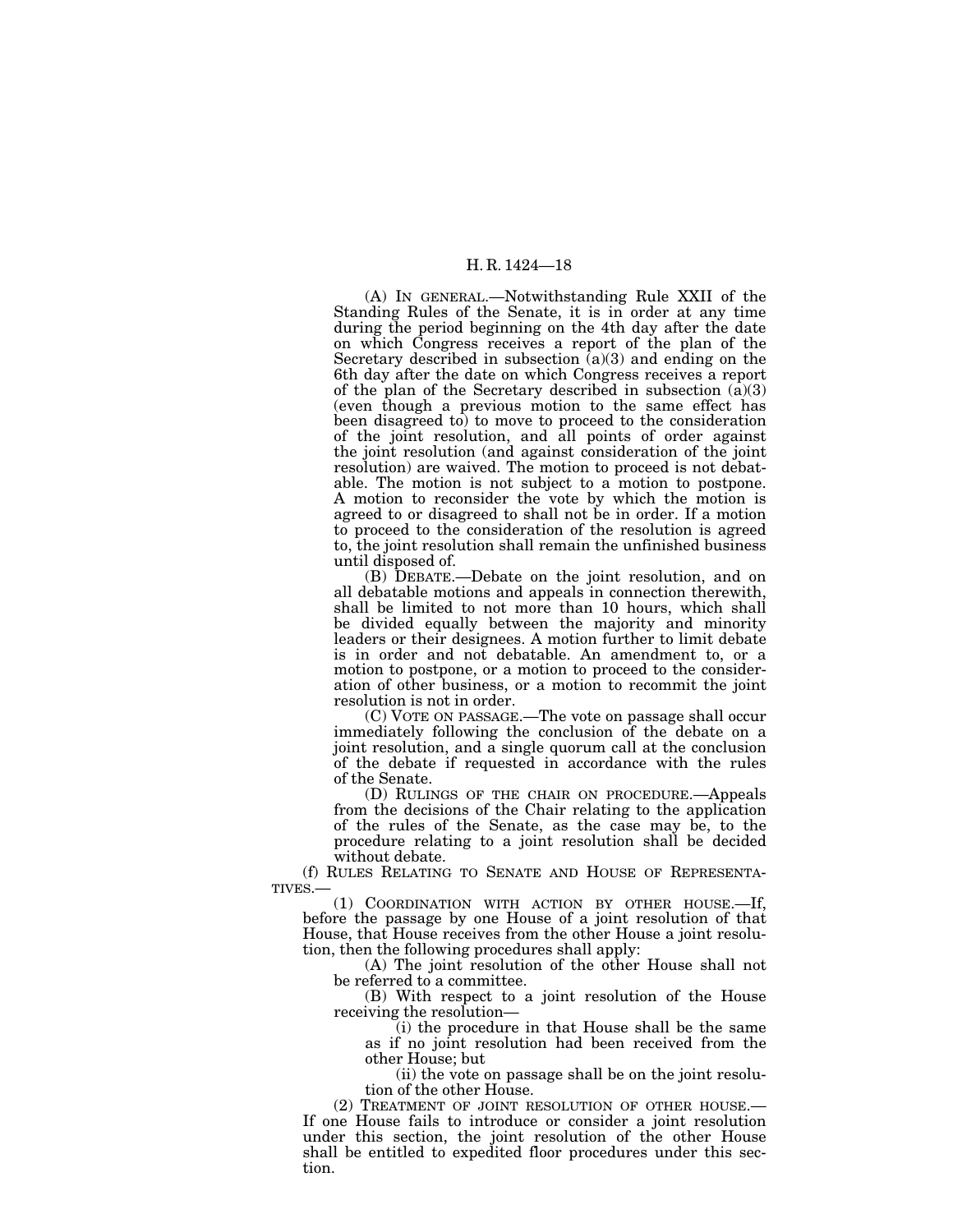(A) IN GENERAL.—Notwithstanding Rule XXII of the Standing Rules of the Senate, it is in order at any time during the period beginning on the 4th day after the date on which Congress receives a report of the plan of the Secretary described in subsection  $(a)(3)$  and ending on the 6th day after the date on which Congress receives a report of the plan of the Secretary described in subsection  $(a)(3)$ (even though a previous motion to the same effect has been disagreed to) to move to proceed to the consideration of the joint resolution, and all points of order against the joint resolution (and against consideration of the joint resolution) are waived. The motion to proceed is not debatable. The motion is not subject to a motion to postpone. A motion to reconsider the vote by which the motion is agreed to or disagreed to shall not be in order. If a motion to proceed to the consideration of the resolution is agreed to, the joint resolution shall remain the unfinished business until disposed of.

(B) DEBATE.—Debate on the joint resolution, and on all debatable motions and appeals in connection therewith, shall be limited to not more than 10 hours, which shall be divided equally between the majority and minority leaders or their designees. A motion further to limit debate is in order and not debatable. An amendment to, or a motion to postpone, or a motion to proceed to the consideration of other business, or a motion to recommit the joint resolution is not in order.

(C) VOTE ON PASSAGE.—The vote on passage shall occur immediately following the conclusion of the debate on a joint resolution, and a single quorum call at the conclusion of the debate if requested in accordance with the rules of the Senate.

(D) RULINGS OF THE CHAIR ON PROCEDURE.—Appeals from the decisions of the Chair relating to the application of the rules of the Senate, as the case may be, to the procedure relating to a joint resolution shall be decided without debate.

(f) RULES RELATING TO SENATE AND HOUSE OF REPRESENTA-TIVES.—

(1) COORDINATION WITH ACTION BY OTHER HOUSE.—If, before the passage by one House of a joint resolution of that House, that House receives from the other House a joint resolution, then the following procedures shall apply:

(A) The joint resolution of the other House shall not be referred to a committee.

(B) With respect to a joint resolution of the House receiving the resolution—

(i) the procedure in that House shall be the same as if no joint resolution had been received from the other House; but

(ii) the vote on passage shall be on the joint resolution of the other House.<br>(2) TREATMENT OF JOINT RESOLUTION OF OTHER HOUSE.—

If one House fails to introduce or consider a joint resolution under this section, the joint resolution of the other House shall be entitled to expedited floor procedures under this section.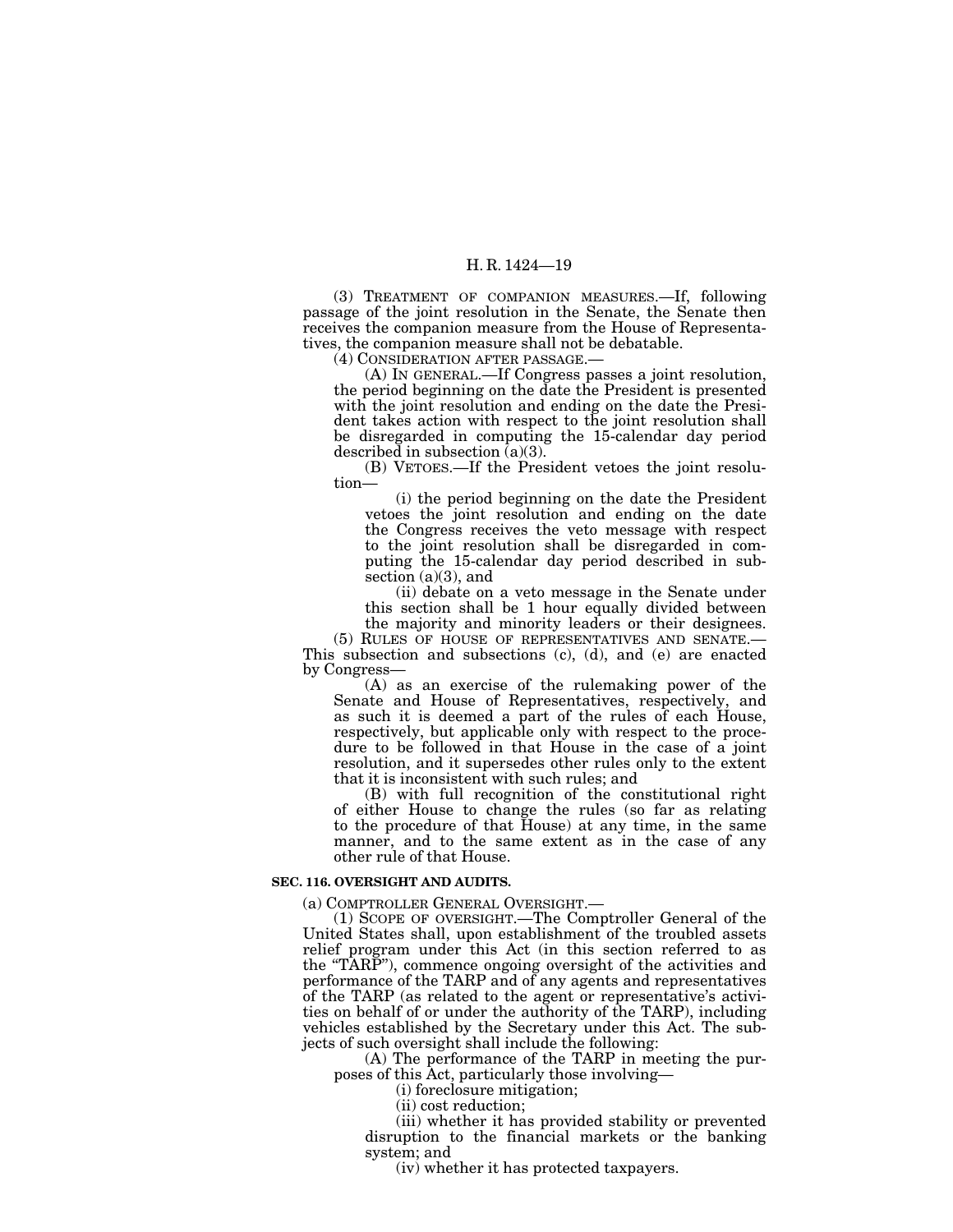(3) TREATMENT OF COMPANION MEASURES.—If, following passage of the joint resolution in the Senate, the Senate then receives the companion measure from the House of Representatives, the companion measure shall not be debatable.

(4) CONSIDERATION AFTER PASSAGE.—

(A) IN GENERAL.—If Congress passes a joint resolution, the period beginning on the date the President is presented with the joint resolution and ending on the date the President takes action with respect to the joint resolution shall be disregarded in computing the 15-calendar day period described in subsection  $(a)(3)$ .

(B) VETOES.—If the President vetoes the joint resolution—

(i) the period beginning on the date the President vetoes the joint resolution and ending on the date the Congress receives the veto message with respect to the joint resolution shall be disregarded in computing the 15-calendar day period described in subsection (a)(3), and

(ii) debate on a veto message in the Senate under this section shall be 1 hour equally divided between

the majority and minority leaders or their designees. (5) RULES OF HOUSE OF REPRESENTATIVES AND SENATE.— This subsection and subsections (c), (d), and (e) are enacted by Congress—

(A) as an exercise of the rulemaking power of the Senate and House of Representatives, respectively, and as such it is deemed a part of the rules of each House, respectively, but applicable only with respect to the procedure to be followed in that House in the case of a joint resolution, and it supersedes other rules only to the extent that it is inconsistent with such rules; and

(B) with full recognition of the constitutional right of either House to change the rules (so far as relating to the procedure of that House) at any time, in the same manner, and to the same extent as in the case of any other rule of that House.

#### **SEC. 116. OVERSIGHT AND AUDITS.**

(a) COMPTROLLER GENERAL OVERSIGHT.—

(1) SCOPE OF OVERSIGHT.—The Comptroller General of the United States shall, upon establishment of the troubled assets relief program under this Act (in this section referred to as the "TARP"), commence ongoing oversight of the activities and performance of the TARP and of any agents and representatives of the TARP (as related to the agent or representative's activities on behalf of or under the authority of the TARP), including vehicles established by the Secretary under this Act. The subjects of such oversight shall include the following:

(A) The performance of the TARP in meeting the purposes of this Act, particularly those involving—

(i) foreclosure mitigation;

(ii) cost reduction;

(iii) whether it has provided stability or prevented disruption to the financial markets or the banking system; and

(iv) whether it has protected taxpayers.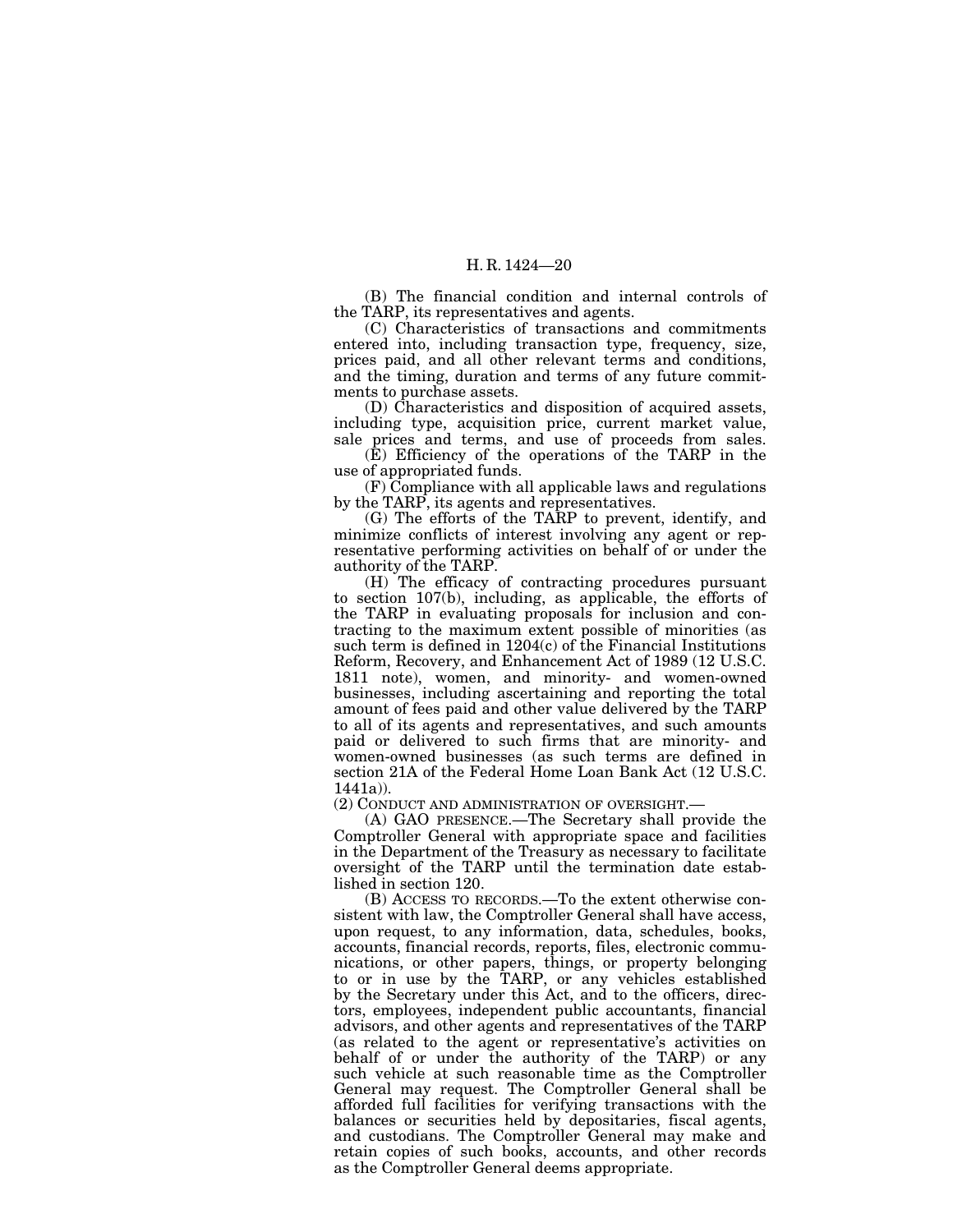(B) The financial condition and internal controls of the TARP, its representatives and agents.

(C) Characteristics of transactions and commitments entered into, including transaction type, frequency, size, prices paid, and all other relevant terms and conditions, and the timing, duration and terms of any future commitments to purchase assets.

(D) Characteristics and disposition of acquired assets, including type, acquisition price, current market value, sale prices and terms, and use of proceeds from sales.

(E) Efficiency of the operations of the TARP in the use of appropriated funds.

 $(F)$  Compliance with all applicable laws and regulations by the TARP, its agents and representatives.

(G) The efforts of the TARP to prevent, identify, and minimize conflicts of interest involving any agent or representative performing activities on behalf of or under the authority of the TARP.

(H) The efficacy of contracting procedures pursuant to section 107(b), including, as applicable, the efforts of the TARP in evaluating proposals for inclusion and contracting to the maximum extent possible of minorities (as such term is defined in  $1204(c)$  of the Financial Institutions Reform, Recovery, and Enhancement Act of 1989 (12 U.S.C. 1811 note), women, and minority- and women-owned businesses, including ascertaining and reporting the total amount of fees paid and other value delivered by the TARP to all of its agents and representatives, and such amounts paid or delivered to such firms that are minority- and women-owned businesses (as such terms are defined in section 21A of the Federal Home Loan Bank Act (12 U.S.C. 1441a)).

(2) CONDUCT AND ADMINISTRATION OF OVERSIGHT.—

(A) GAO PRESENCE.—The Secretary shall provide the Comptroller General with appropriate space and facilities in the Department of the Treasury as necessary to facilitate oversight of the TARP until the termination date established in section 120.

(B) ACCESS TO RECORDS.—To the extent otherwise consistent with law, the Comptroller General shall have access, upon request, to any information, data, schedules, books, accounts, financial records, reports, files, electronic communications, or other papers, things, or property belonging to or in use by the TARP, or any vehicles established by the Secretary under this Act, and to the officers, directors, employees, independent public accountants, financial advisors, and other agents and representatives of the TARP (as related to the agent or representative's activities on behalf of or under the authority of the TARP) or any such vehicle at such reasonable time as the Comptroller General may request. The Comptroller General shall be afforded full facilities for verifying transactions with the balances or securities held by depositaries, fiscal agents, and custodians. The Comptroller General may make and retain copies of such books, accounts, and other records as the Comptroller General deems appropriate.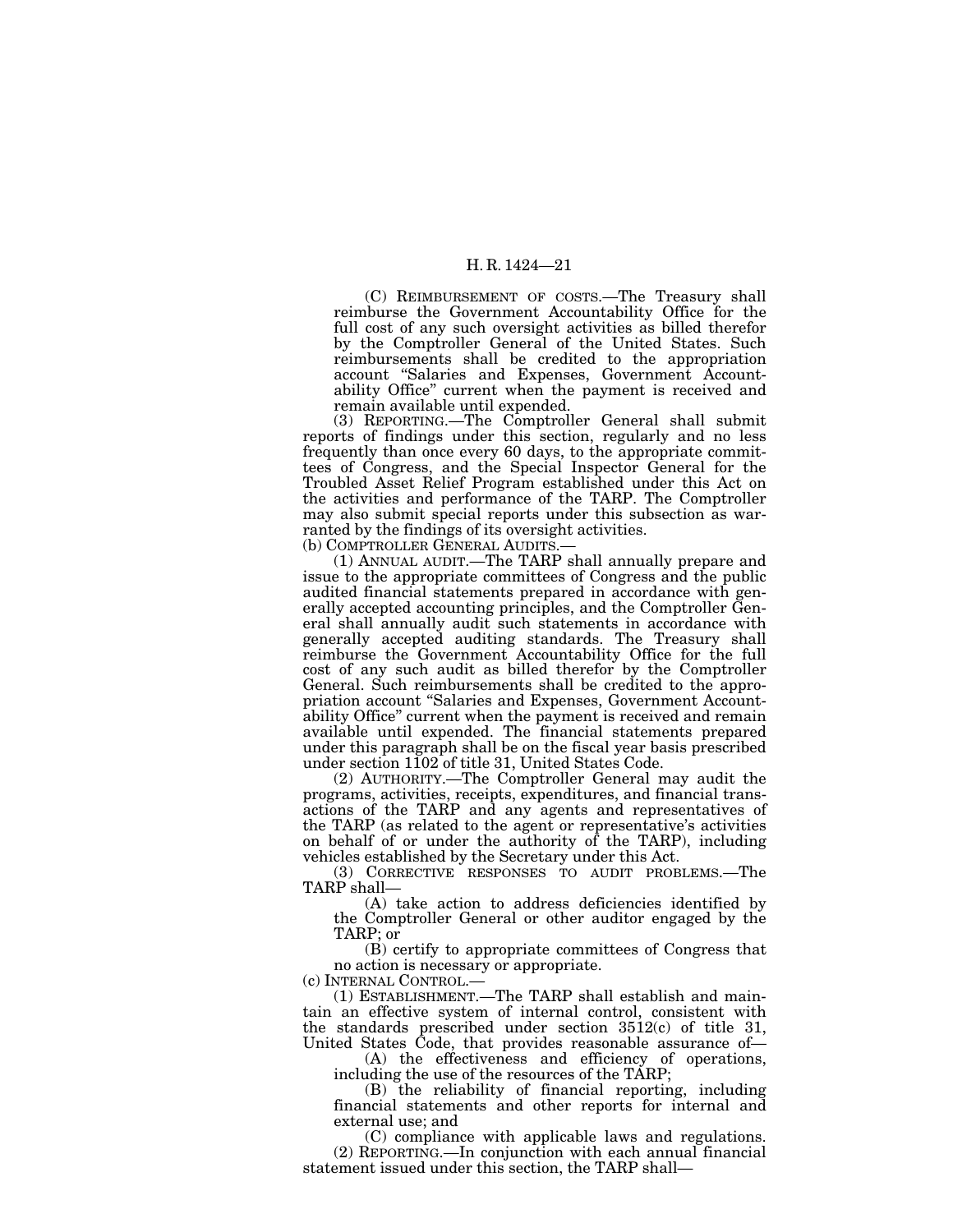(C) REIMBURSEMENT OF COSTS.—The Treasury shall reimburse the Government Accountability Office for the full cost of any such oversight activities as billed therefor by the Comptroller General of the United States. Such reimbursements shall be credited to the appropriation account ''Salaries and Expenses, Government Accountability Office'' current when the payment is received and remain available until expended.

(3) REPORTING.—The Comptroller General shall submit reports of findings under this section, regularly and no less frequently than once every 60 days, to the appropriate committees of Congress, and the Special Inspector General for the Troubled Asset Relief Program established under this Act on the activities and performance of the TARP. The Comptroller may also submit special reports under this subsection as warranted by the findings of its oversight activities.

(b) COMPTROLLER GENERAL AUDITS.—

(1) ANNUAL AUDIT.—The TARP shall annually prepare and issue to the appropriate committees of Congress and the public audited financial statements prepared in accordance with generally accepted accounting principles, and the Comptroller General shall annually audit such statements in accordance with generally accepted auditing standards. The Treasury shall reimburse the Government Accountability Office for the full cost of any such audit as billed therefor by the Comptroller General. Such reimbursements shall be credited to the appropriation account ''Salaries and Expenses, Government Accountability Office'' current when the payment is received and remain available until expended. The financial statements prepared under this paragraph shall be on the fiscal year basis prescribed under section 1102 of title 31, United States Code.

(2) AUTHORITY.—The Comptroller General may audit the programs, activities, receipts, expenditures, and financial transactions of the TARP and any agents and representatives of the TARP (as related to the agent or representative's activities on behalf of or under the authority of the TARP), including vehicles established by the Secretary under this Act.

(3) CORRECTIVE RESPONSES TO AUDIT PROBLEMS.—The TARP shall—

(A) take action to address deficiencies identified by the Comptroller General or other auditor engaged by the TARP; or

(B) certify to appropriate committees of Congress that no action is necessary or appropriate.

(c) INTERNAL CONTROL.—

(1) ESTABLISHMENT.—The TARP shall establish and maintain an effective system of internal control, consistent with the standards prescribed under section 3512(c) of title 31, United States Code, that provides reasonable assurance of—

(A) the effectiveness and efficiency of operations, including the use of the resources of the TARP;

(B) the reliability of financial reporting, including financial statements and other reports for internal and external use; and

(C) compliance with applicable laws and regulations. (2) REPORTING.—In conjunction with each annual financial statement issued under this section, the TARP shall—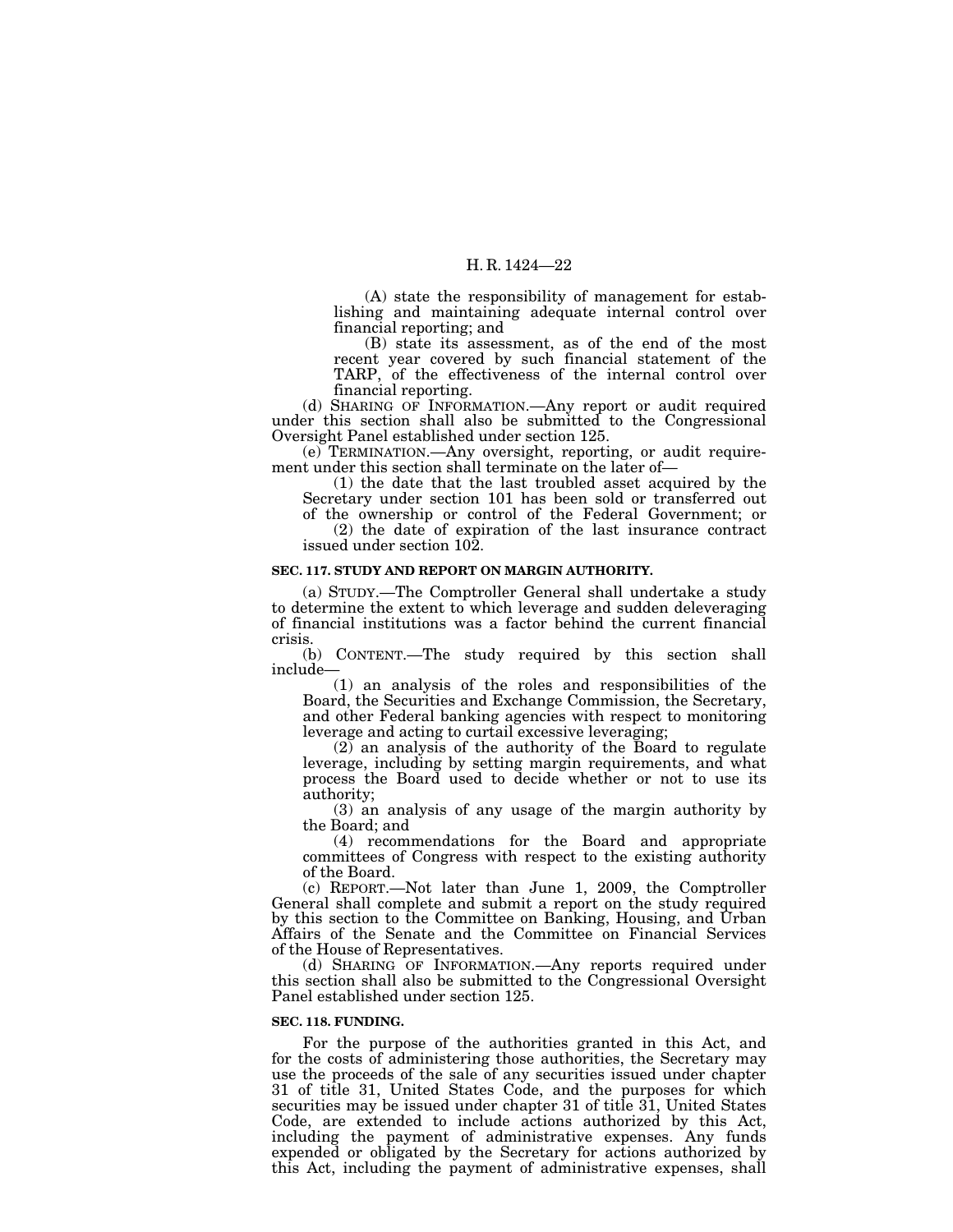(A) state the responsibility of management for establishing and maintaining adequate internal control over financial reporting; and

(B) state its assessment, as of the end of the most recent year covered by such financial statement of the TARP, of the effectiveness of the internal control over financial reporting.

(d) SHARING OF INFORMATION.—Any report or audit required under this section shall also be submitted to the Congressional Oversight Panel established under section 125.

(e) TERMINATION.—Any oversight, reporting, or audit requirement under this section shall terminate on the later of—

(1) the date that the last troubled asset acquired by the Secretary under section 101 has been sold or transferred out of the ownership or control of the Federal Government; or

(2) the date of expiration of the last insurance contract issued under section 102.

#### **SEC. 117. STUDY AND REPORT ON MARGIN AUTHORITY.**

(a) STUDY.—The Comptroller General shall undertake a study to determine the extent to which leverage and sudden deleveraging of financial institutions was a factor behind the current financial crisis.

(b) CONTENT.—The study required by this section shall include—

(1) an analysis of the roles and responsibilities of the Board, the Securities and Exchange Commission, the Secretary, and other Federal banking agencies with respect to monitoring leverage and acting to curtail excessive leveraging;

 $(2)$  an analysis of the authority of the Board to regulate leverage, including by setting margin requirements, and what process the Board used to decide whether or not to use its authority;

(3) an analysis of any usage of the margin authority by the Board; and

(4) recommendations for the Board and appropriate committees of Congress with respect to the existing authority of the Board.

(c) REPORT.—Not later than June 1, 2009, the Comptroller General shall complete and submit a report on the study required by this section to the Committee on Banking, Housing, and Urban Affairs of the Senate and the Committee on Financial Services of the House of Representatives.

(d) SHARING OF INFORMATION.—Any reports required under this section shall also be submitted to the Congressional Oversight Panel established under section 125.

#### **SEC. 118. FUNDING.**

For the purpose of the authorities granted in this Act, and for the costs of administering those authorities, the Secretary may use the proceeds of the sale of any securities issued under chapter 31 of title 31, United States Code, and the purposes for which securities may be issued under chapter 31 of title 31, United States Code, are extended to include actions authorized by this Act, including the payment of administrative expenses. Any funds expended or obligated by the Secretary for actions authorized by this Act, including the payment of administrative expenses, shall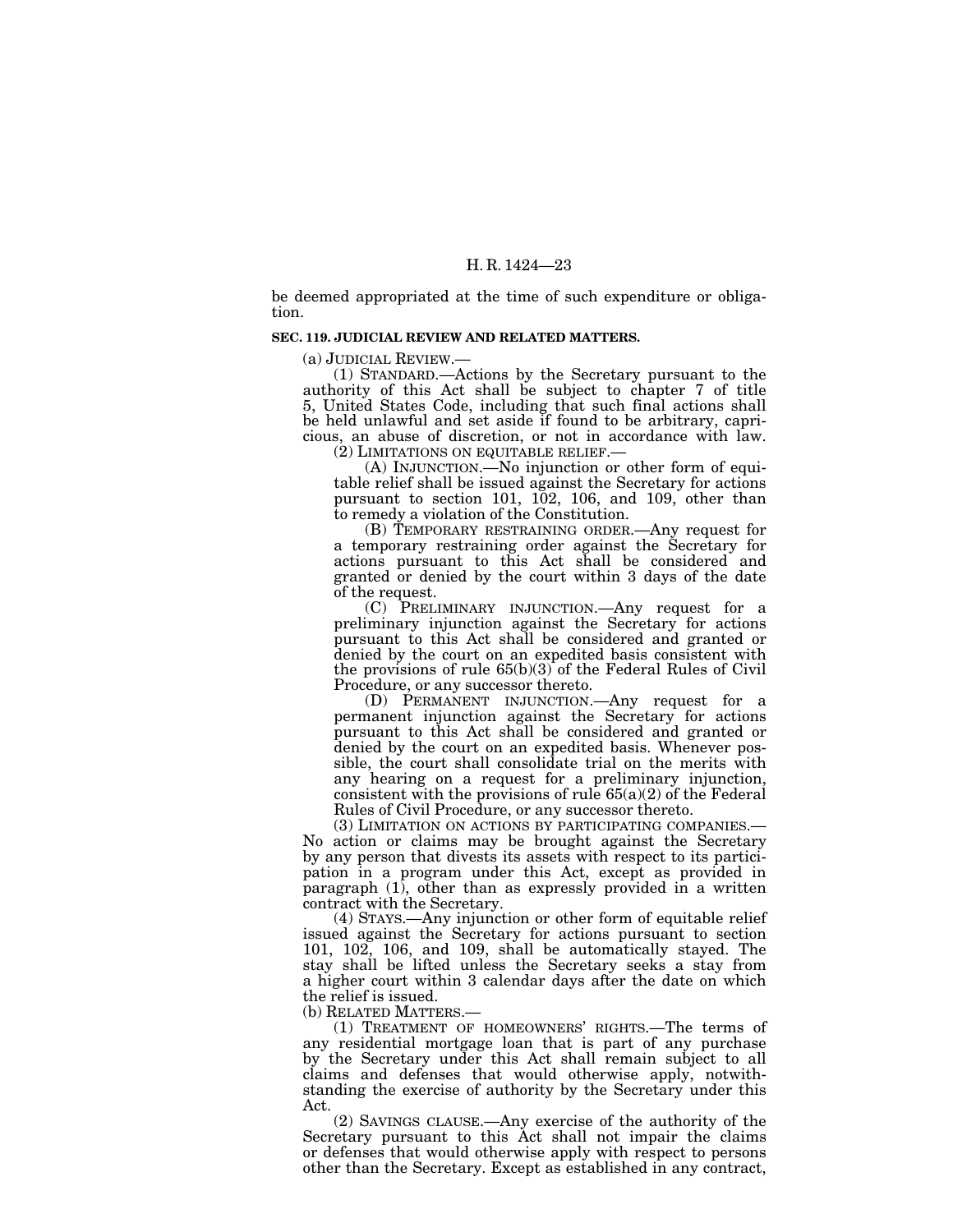be deemed appropriated at the time of such expenditure or obligation.

## **SEC. 119. JUDICIAL REVIEW AND RELATED MATTERS.**

(a) JUDICIAL REVIEW.—

(1) STANDARD.—Actions by the Secretary pursuant to the authority of this Act shall be subject to chapter 7 of title 5, United States Code, including that such final actions shall be held unlawful and set aside if found to be arbitrary, capricious, an abuse of discretion, or not in accordance with law. (2) LIMITATIONS ON EQUITABLE RELIEF.—

(A) INJUNCTION.—No injunction or other form of equitable relief shall be issued against the Secretary for actions pursuant to section 101, 102, 106, and 109, other than to remedy a violation of the Constitution.

(B) TEMPORARY RESTRAINING ORDER.—Any request for a temporary restraining order against the Secretary for actions pursuant to this Act shall be considered and granted or denied by the court within 3 days of the date of the request.

(C) PRELIMINARY INJUNCTION.—Any request for a preliminary injunction against the Secretary for actions pursuant to this Act shall be considered and granted or denied by the court on an expedited basis consistent with the provisions of rule  $65(b)(3)$  of the Federal Rules of Civil Procedure, or any successor thereto.

(D) PERMANENT INJUNCTION.—Any request for a permanent injunction against the Secretary for actions pursuant to this Act shall be considered and granted or denied by the court on an expedited basis. Whenever possible, the court shall consolidate trial on the merits with any hearing on a request for a preliminary injunction, consistent with the provisions of rule 65(a)(2) of the Federal Rules of Civil Procedure, or any successor thereto.

(3) LIMITATION ON ACTIONS BY PARTICIPATING COMPANIES.— No action or claims may be brought against the Secretary by any person that divests its assets with respect to its participation in a program under this Act, except as provided in paragraph (1), other than as expressly provided in a written contract with the Secretary.

(4) STAYS.—Any injunction or other form of equitable relief issued against the Secretary for actions pursuant to section 101, 102, 106, and 109, shall be automatically stayed. The stay shall be lifted unless the Secretary seeks a stay from a higher court within 3 calendar days after the date on which the relief is issued.

(b) RELATED MATTERS.—

(1) TREATMENT OF HOMEOWNERS' RIGHTS.—The terms of any residential mortgage loan that is part of any purchase by the Secretary under this Act shall remain subject to all claims and defenses that would otherwise apply, notwithstanding the exercise of authority by the Secretary under this Act.

(2) SAVINGS CLAUSE.—Any exercise of the authority of the Secretary pursuant to this Act shall not impair the claims or defenses that would otherwise apply with respect to persons other than the Secretary. Except as established in any contract,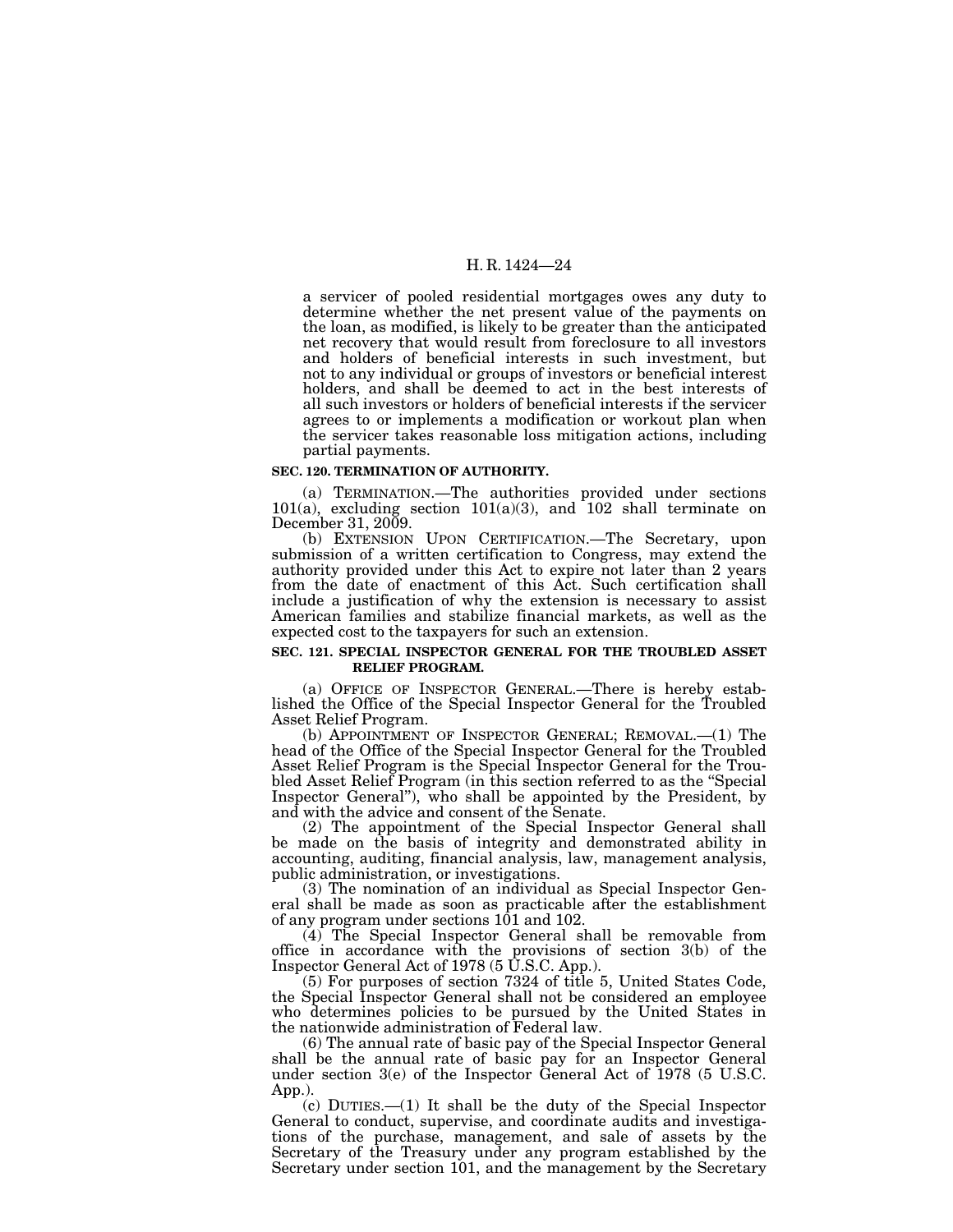a servicer of pooled residential mortgages owes any duty to determine whether the net present value of the payments on the loan, as modified, is likely to be greater than the anticipated net recovery that would result from foreclosure to all investors and holders of beneficial interests in such investment, but not to any individual or groups of investors or beneficial interest holders, and shall be deemed to act in the best interests of all such investors or holders of beneficial interests if the servicer agrees to or implements a modification or workout plan when the servicer takes reasonable loss mitigation actions, including partial payments.

#### **SEC. 120. TERMINATION OF AUTHORITY.**

(a) TERMINATION.—The authorities provided under sections  $101(a)$ , excluding section  $101(a)(3)$ , and  $102$  shall terminate on December 31, 2009.

(b) EXTENSION UPON CERTIFICATION.—The Secretary, upon submission of a written certification to Congress, may extend the authority provided under this Act to expire not later than 2 years from the date of enactment of this Act. Such certification shall include a justification of why the extension is necessary to assist American families and stabilize financial markets, as well as the expected cost to the taxpayers for such an extension.

#### **SEC. 121. SPECIAL INSPECTOR GENERAL FOR THE TROUBLED ASSET RELIEF PROGRAM.**

(a) OFFICE OF INSPECTOR GENERAL.—There is hereby established the Office of the Special Inspector General for the Troubled Asset Relief Program.

(b) APPOINTMENT OF INSPECTOR GENERAL; REMOVAL.—(1) The head of the Office of the Special Inspector General for the Troubled Asset Relief Program is the Special Inspector General for the Troubled Asset Relief Program (in this section referred to as the ''Special Inspector General''), who shall be appointed by the President, by and with the advice and consent of the Senate.

(2) The appointment of the Special Inspector General shall be made on the basis of integrity and demonstrated ability in accounting, auditing, financial analysis, law, management analysis, public administration, or investigations.

(3) The nomination of an individual as Special Inspector General shall be made as soon as practicable after the establishment of any program under sections 101 and 102.

(4) The Special Inspector General shall be removable from office in accordance with the provisions of section 3(b) of the Inspector General Act of 1978 (5 U.S.C. App.).

(5) For purposes of section 7324 of title 5, United States Code, the Special Inspector General shall not be considered an employee who determines policies to be pursued by the United States in the nationwide administration of Federal law.

(6) The annual rate of basic pay of the Special Inspector General shall be the annual rate of basic pay for an Inspector General under section 3(e) of the Inspector General Act of 1978 (5 U.S.C. App.).

(c) DUTIES.—(1) It shall be the duty of the Special Inspector General to conduct, supervise, and coordinate audits and investigations of the purchase, management, and sale of assets by the Secretary of the Treasury under any program established by the Secretary under section 101, and the management by the Secretary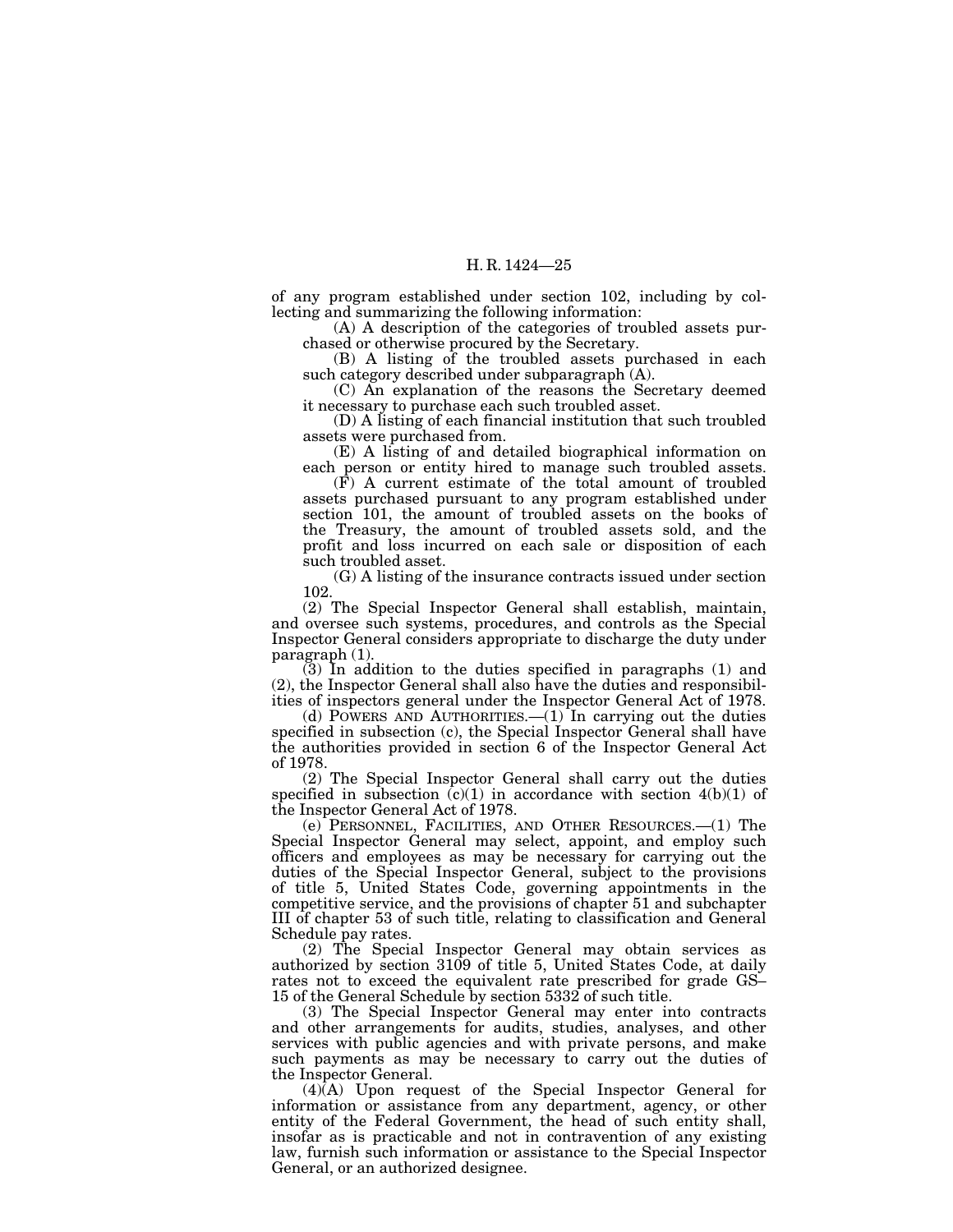of any program established under section 102, including by collecting and summarizing the following information:

(A) A description of the categories of troubled assets purchased or otherwise procured by the Secretary.

(B) A listing of the troubled assets purchased in each such category described under subparagraph  $(A)$ .

(C) An explanation of the reasons the Secretary deemed it necessary to purchase each such troubled asset.

(D) A listing of each financial institution that such troubled assets were purchased from.

(E) A listing of and detailed biographical information on each person or entity hired to manage such troubled assets.

(F) A current estimate of the total amount of troubled assets purchased pursuant to any program established under section 101, the amount of troubled assets on the books of the Treasury, the amount of troubled assets sold, and the profit and loss incurred on each sale or disposition of each such troubled asset.

(G) A listing of the insurance contracts issued under section 102.

(2) The Special Inspector General shall establish, maintain, and oversee such systems, procedures, and controls as the Special Inspector General considers appropriate to discharge the duty under paragraph (1).

(3) In addition to the duties specified in paragraphs (1) and (2), the Inspector General shall also have the duties and responsibilities of inspectors general under the Inspector General Act of 1978.

(d) POWERS AND AUTHORITIES.— $(1)$  In carrying out the duties specified in subsection (c), the Special Inspector General shall have the authorities provided in section 6 of the Inspector General Act of 1978.

(2) The Special Inspector General shall carry out the duties specified in subsection  $(c)(1)$  in accordance with section  $4(b)(1)$  of the Inspector General Act of 1978.

(e) PERSONNEL, FACILITIES, AND OTHER RESOURCES.—(1) The Special Inspector General may select, appoint, and employ such officers and employees as may be necessary for carrying out the duties of the Special Inspector General, subject to the provisions of title 5, United States Code, governing appointments in the competitive service, and the provisions of chapter 51 and subchapter III of chapter 53 of such title, relating to classification and General Schedule pay rates.

(2) The Special Inspector General may obtain services as authorized by section 3109 of title 5, United States Code, at daily rates not to exceed the equivalent rate prescribed for grade GS– 15 of the General Schedule by section 5332 of such title.

(3) The Special Inspector General may enter into contracts and other arrangements for audits, studies, analyses, and other services with public agencies and with private persons, and make such payments as may be necessary to carry out the duties of the Inspector General.

(4)(A) Upon request of the Special Inspector General for information or assistance from any department, agency, or other entity of the Federal Government, the head of such entity shall, insofar as is practicable and not in contravention of any existing law, furnish such information or assistance to the Special Inspector General, or an authorized designee.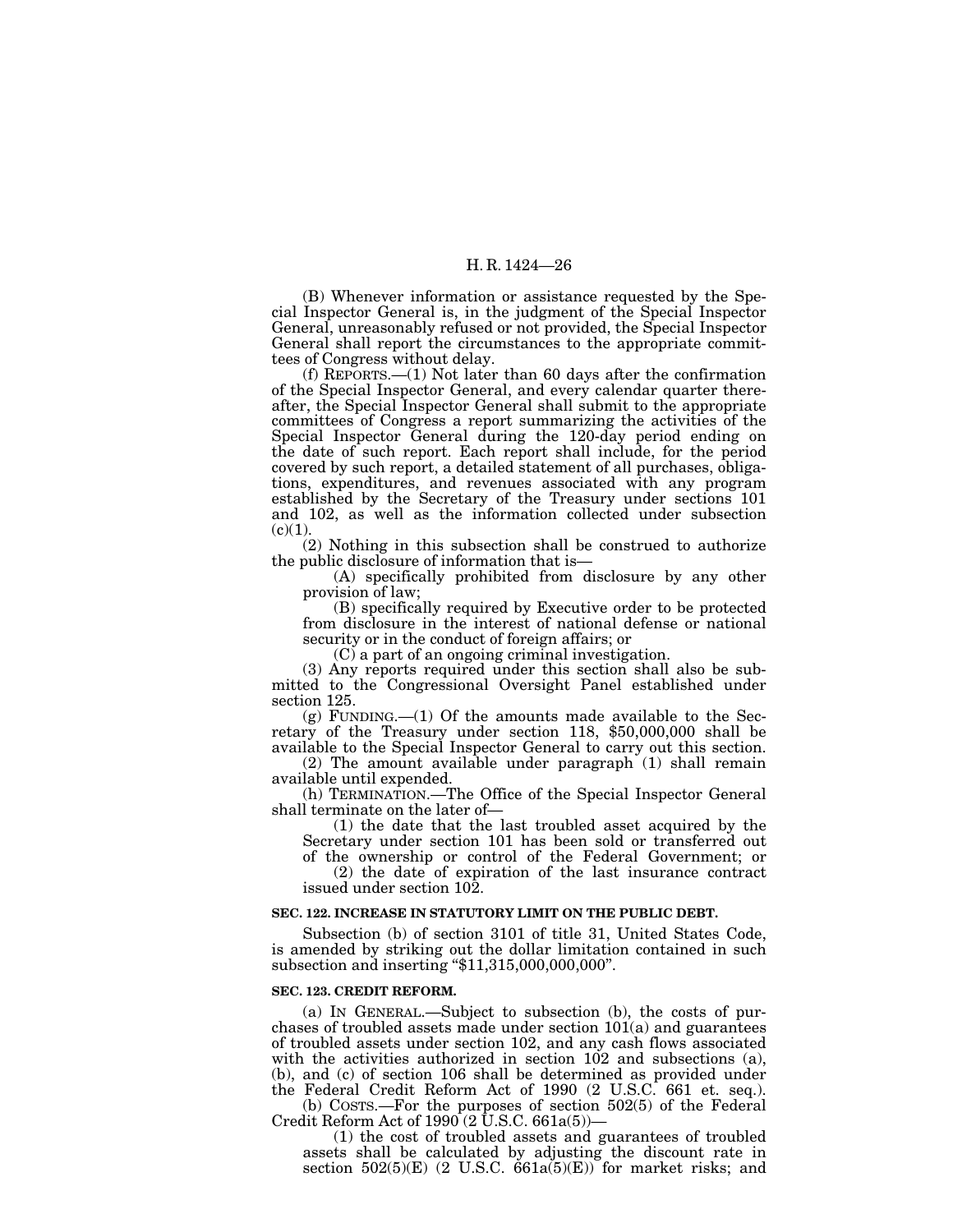(B) Whenever information or assistance requested by the Special Inspector General is, in the judgment of the Special Inspector General, unreasonably refused or not provided, the Special Inspector General shall report the circumstances to the appropriate committees of Congress without delay.

(f) REPORTS.—(1) Not later than 60 days after the confirmation of the Special Inspector General, and every calendar quarter thereafter, the Special Inspector General shall submit to the appropriate committees of Congress a report summarizing the activities of the Special Inspector General during the 120-day period ending on the date of such report. Each report shall include, for the period covered by such report, a detailed statement of all purchases, obligations, expenditures, and revenues associated with any program established by the Secretary of the Treasury under sections 101 and 102, as well as the information collected under subsection  $(c)(1)$ .

(2) Nothing in this subsection shall be construed to authorize the public disclosure of information that is—

(A) specifically prohibited from disclosure by any other provision of law;

(B) specifically required by Executive order to be protected from disclosure in the interest of national defense or national security or in the conduct of foreign affairs; or

(C) a part of an ongoing criminal investigation.

(3) Any reports required under this section shall also be submitted to the Congressional Oversight Panel established under section 125.

 $(g)$  FUNDING.— $(1)$  Of the amounts made available to the Secretary of the Treasury under section 118, \$50,000,000 shall be available to the Special Inspector General to carry out this section.

(2) The amount available under paragraph (1) shall remain available until expended.

(h) TERMINATION.—The Office of the Special Inspector General shall terminate on the later of—

(1) the date that the last troubled asset acquired by the Secretary under section 101 has been sold or transferred out

of the ownership or control of the Federal Government; or (2) the date of expiration of the last insurance contract issued under section 102.

#### **SEC. 122. INCREASE IN STATUTORY LIMIT ON THE PUBLIC DEBT.**

Subsection (b) of section 3101 of title 31, United States Code, is amended by striking out the dollar limitation contained in such subsection and inserting "\$11,315,000,000,000".

### **SEC. 123. CREDIT REFORM.**

(a) IN GENERAL.—Subject to subsection (b), the costs of purchases of troubled assets made under section 101(a) and guarantees of troubled assets under section 102, and any cash flows associated with the activities authorized in section 102 and subsections (a), (b), and (c) of section 106 shall be determined as provided under the Federal Credit Reform Act of 1990 (2 U.S.C. 661 et. seq.). (b) COSTS.—For the purposes of section 502(5) of the Federal

Credit Reform Act of  $1990(2 \text{ U.S.C. } 661a(5))$ 

(1) the cost of troubled assets and guarantees of troubled assets shall be calculated by adjusting the discount rate in section  $502(5)(E)$  (2 U.S.C.  $661a(5)(E)$ ) for market risks; and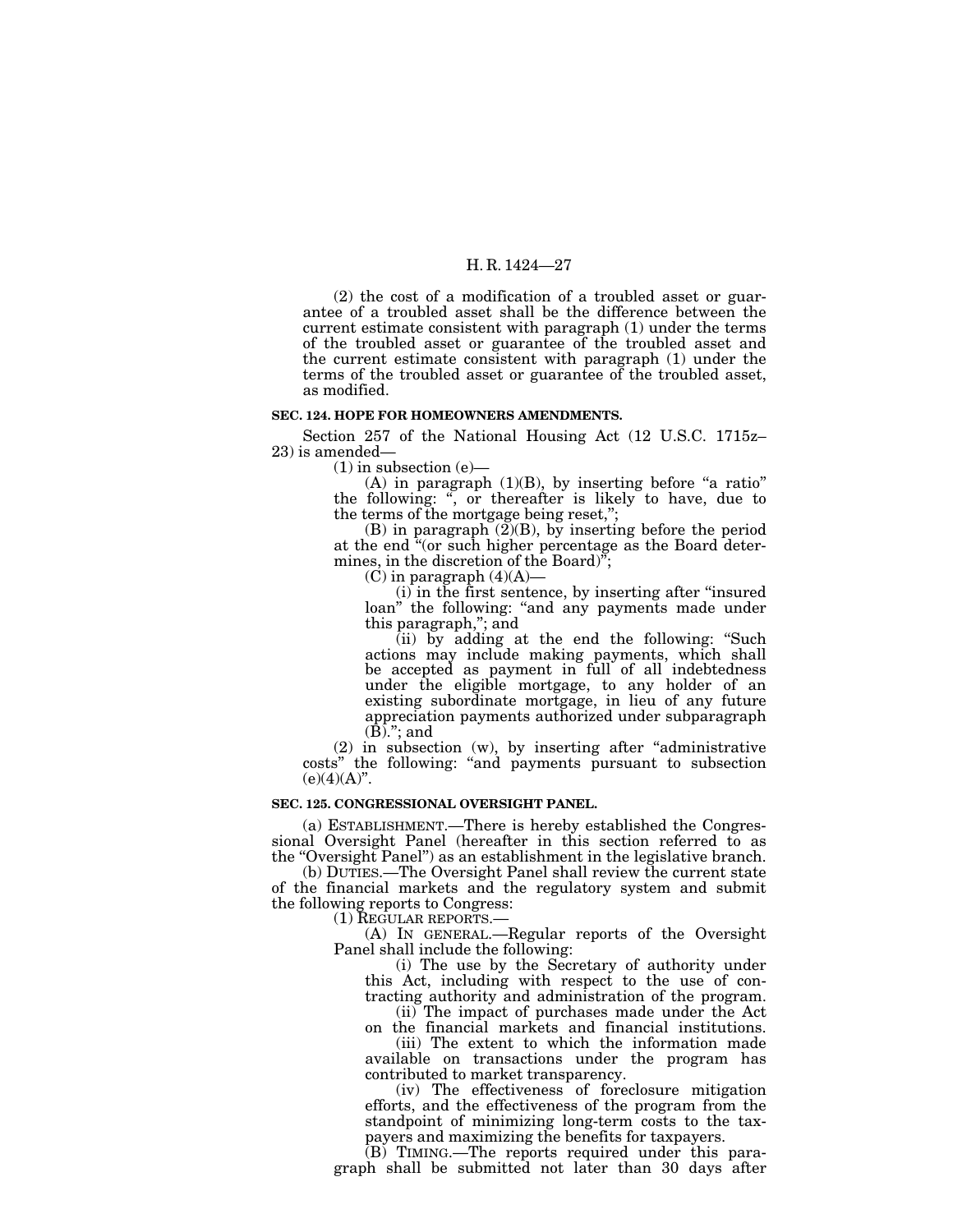(2) the cost of a modification of a troubled asset or guarantee of a troubled asset shall be the difference between the current estimate consistent with paragraph (1) under the terms of the troubled asset or guarantee of the troubled asset and the current estimate consistent with paragraph (1) under the terms of the troubled asset or guarantee of the troubled asset, as modified.

### **SEC. 124. HOPE FOR HOMEOWNERS AMENDMENTS.**

Section 257 of the National Housing Act (12 U.S.C. 1715z– 23) is amended—

 $(1)$  in subsection  $(e)$ —

 $(A)$  in paragraph  $(1)(B)$ , by inserting before "a ratio" the following: '', or thereafter is likely to have, due to the terms of the mortgage being reset,'';

(B) in paragraph  $(\tilde{2})(B)$ , by inserting before the period at the end ''(or such higher percentage as the Board determines, in the discretion of the Board)'';

 $(C)$  in paragraph  $(4)(A)$ —

(i) in the first sentence, by inserting after ''insured loan" the following: "and any payments made under this paragraph,''; and

(ii) by adding at the end the following: ''Such actions may include making payments, which shall be accepted as payment in full of all indebtedness under the eligible mortgage, to any holder of an existing subordinate mortgage, in lieu of any future appreciation payments authorized under subparagraph  $(\overline{B})$ ."; and

(2) in subsection (w), by inserting after ''administrative costs'' the following: ''and payments pursuant to subsection  $(e)(4)(A)$ ".

#### **SEC. 125. CONGRESSIONAL OVERSIGHT PANEL.**

(a) ESTABLISHMENT.—There is hereby established the Congressional Oversight Panel (hereafter in this section referred to as the ''Oversight Panel'') as an establishment in the legislative branch.

(b) DUTIES.—The Oversight Panel shall review the current state of the financial markets and the regulatory system and submit the following reports to Congress:

(1) REGULAR REPORTS.—

(A) IN GENERAL.—Regular reports of the Oversight Panel shall include the following:

(i) The use by the Secretary of authority under this Act, including with respect to the use of contracting authority and administration of the program.

(ii) The impact of purchases made under the Act on the financial markets and financial institutions.

(iii) The extent to which the information made available on transactions under the program has contributed to market transparency.

(iv) The effectiveness of foreclosure mitigation efforts, and the effectiveness of the program from the standpoint of minimizing long-term costs to the taxpayers and maximizing the benefits for taxpayers.

(B) TIMING.—The reports required under this paragraph shall be submitted not later than 30 days after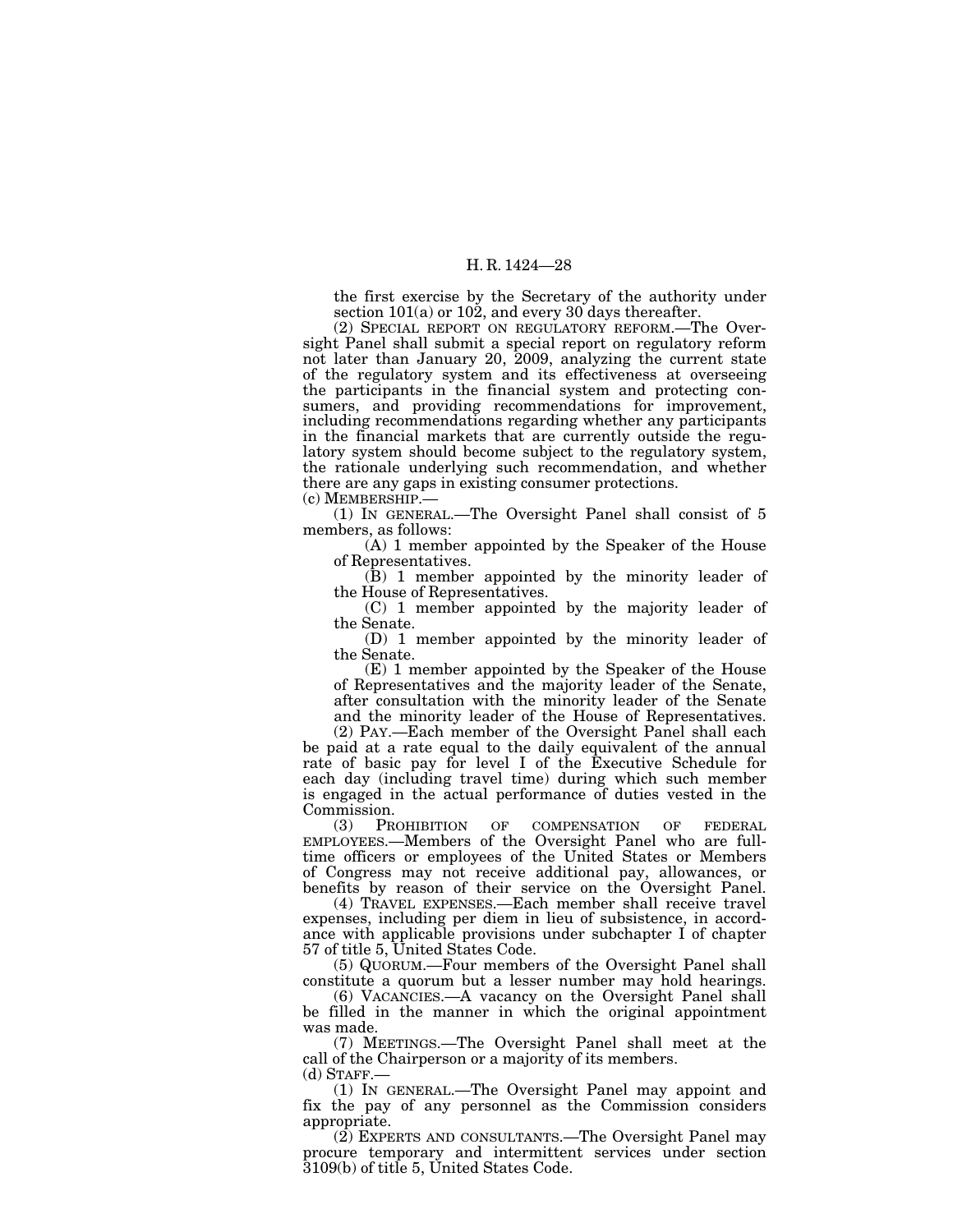the first exercise by the Secretary of the authority under section  $101(a)$  or  $10\overline{2}$ , and every  $30$  days thereafter.

(2) SPECIAL REPORT ON REGULATORY REFORM.—The Oversight Panel shall submit a special report on regulatory reform not later than January 20, 2009, analyzing the current state of the regulatory system and its effectiveness at overseeing the participants in the financial system and protecting consumers, and providing recommendations for improvement, including recommendations regarding whether any participants in the financial markets that are currently outside the regulatory system should become subject to the regulatory system, the rationale underlying such recommendation, and whether there are any gaps in existing consumer protections.

(c) MEMBERSHIP.—

(1) IN GENERAL.—The Oversight Panel shall consist of 5 members, as follows:

(A) 1 member appointed by the Speaker of the House of Representatives.

(B) 1 member appointed by the minority leader of the House of Representatives.

(C) 1 member appointed by the majority leader of the Senate.

(D) 1 member appointed by the minority leader of the Senate.

(E) 1 member appointed by the Speaker of the House of Representatives and the majority leader of the Senate, after consultation with the minority leader of the Senate and the minority leader of the House of Representatives.

(2) PAY.—Each member of the Oversight Panel shall each be paid at a rate equal to the daily equivalent of the annual rate of basic pay for level I of the Executive Schedule for each day (including travel time) during which such member is engaged in the actual performance of duties vested in the Commission.

(3) PROHIBITION OF COMPENSATION OF FEDERAL EMPLOYEES.—Members of the Oversight Panel who are fulltime officers or employees of the United States or Members of Congress may not receive additional pay, allowances, or benefits by reason of their service on the Oversight Panel.

(4) TRAVEL EXPENSES.—Each member shall receive travel expenses, including per diem in lieu of subsistence, in accordance with applicable provisions under subchapter I of chapter 57 of title 5, United States Code.

(5) QUORUM.—Four members of the Oversight Panel shall constitute a quorum but a lesser number may hold hearings.

(6) VACANCIES.—A vacancy on the Oversight Panel shall be filled in the manner in which the original appointment was made.

(7) MEETINGS.—The Oversight Panel shall meet at the call of the Chairperson or a majority of its members.

 $(d)$  STAFF. $-$ 

(1) IN GENERAL.—The Oversight Panel may appoint and fix the pay of any personnel as the Commission considers appropriate.

(2) EXPERTS AND CONSULTANTS.—The Oversight Panel may procure temporary and intermittent services under section 3109(b) of title 5, United States Code.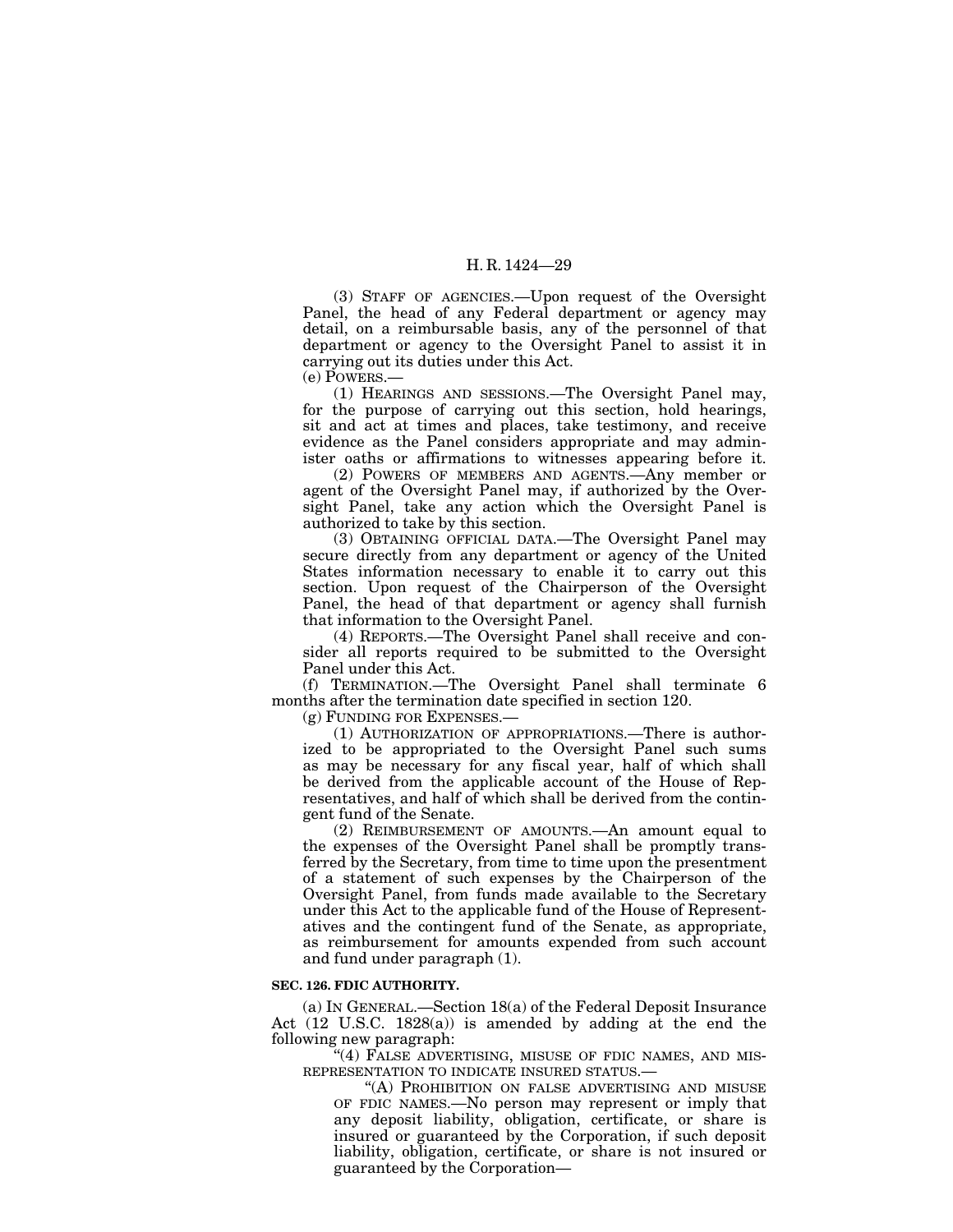(3) STAFF OF AGENCIES.—Upon request of the Oversight Panel, the head of any Federal department or agency may detail, on a reimbursable basis, any of the personnel of that department or agency to the Oversight Panel to assist it in carrying out its duties under this Act.

(e) POWERS.—

(1) HEARINGS AND SESSIONS.—The Oversight Panel may, for the purpose of carrying out this section, hold hearings, sit and act at times and places, take testimony, and receive evidence as the Panel considers appropriate and may administer oaths or affirmations to witnesses appearing before it.

(2) POWERS OF MEMBERS AND AGENTS.—Any member or agent of the Oversight Panel may, if authorized by the Oversight Panel, take any action which the Oversight Panel is authorized to take by this section.

(3) OBTAINING OFFICIAL DATA.—The Oversight Panel may secure directly from any department or agency of the United States information necessary to enable it to carry out this section. Upon request of the Chairperson of the Oversight Panel, the head of that department or agency shall furnish that information to the Oversight Panel.

(4) REPORTS.—The Oversight Panel shall receive and consider all reports required to be submitted to the Oversight Panel under this Act.

(f) TERMINATION.—The Oversight Panel shall terminate 6 months after the termination date specified in section 120.

(g) FUNDING FOR EXPENSES.—

(1) AUTHORIZATION OF APPROPRIATIONS.—There is authorized to be appropriated to the Oversight Panel such sums as may be necessary for any fiscal year, half of which shall be derived from the applicable account of the House of Representatives, and half of which shall be derived from the contingent fund of the Senate.

(2) REIMBURSEMENT OF AMOUNTS.—An amount equal to the expenses of the Oversight Panel shall be promptly transferred by the Secretary, from time to time upon the presentment of a statement of such expenses by the Chairperson of the Oversight Panel, from funds made available to the Secretary under this Act to the applicable fund of the House of Representatives and the contingent fund of the Senate, as appropriate, as reimbursement for amounts expended from such account and fund under paragraph (1).

#### **SEC. 126. FDIC AUTHORITY.**

(a) IN GENERAL.—Section 18(a) of the Federal Deposit Insurance Act (12 U.S.C. 1828(a)) is amended by adding at the end the following new paragraph:

"(4) FALSE ADVERTISING, MISUSE OF FDIC NAMES, AND MIS-REPRESENTATION TO INDICATE INSURED STATUS.—

"(A) PROHIBITION ON FALSE ADVERTISING AND MISUSE OF FDIC NAMES.—No person may represent or imply that any deposit liability, obligation, certificate, or share is insured or guaranteed by the Corporation, if such deposit liability, obligation, certificate, or share is not insured or guaranteed by the Corporation—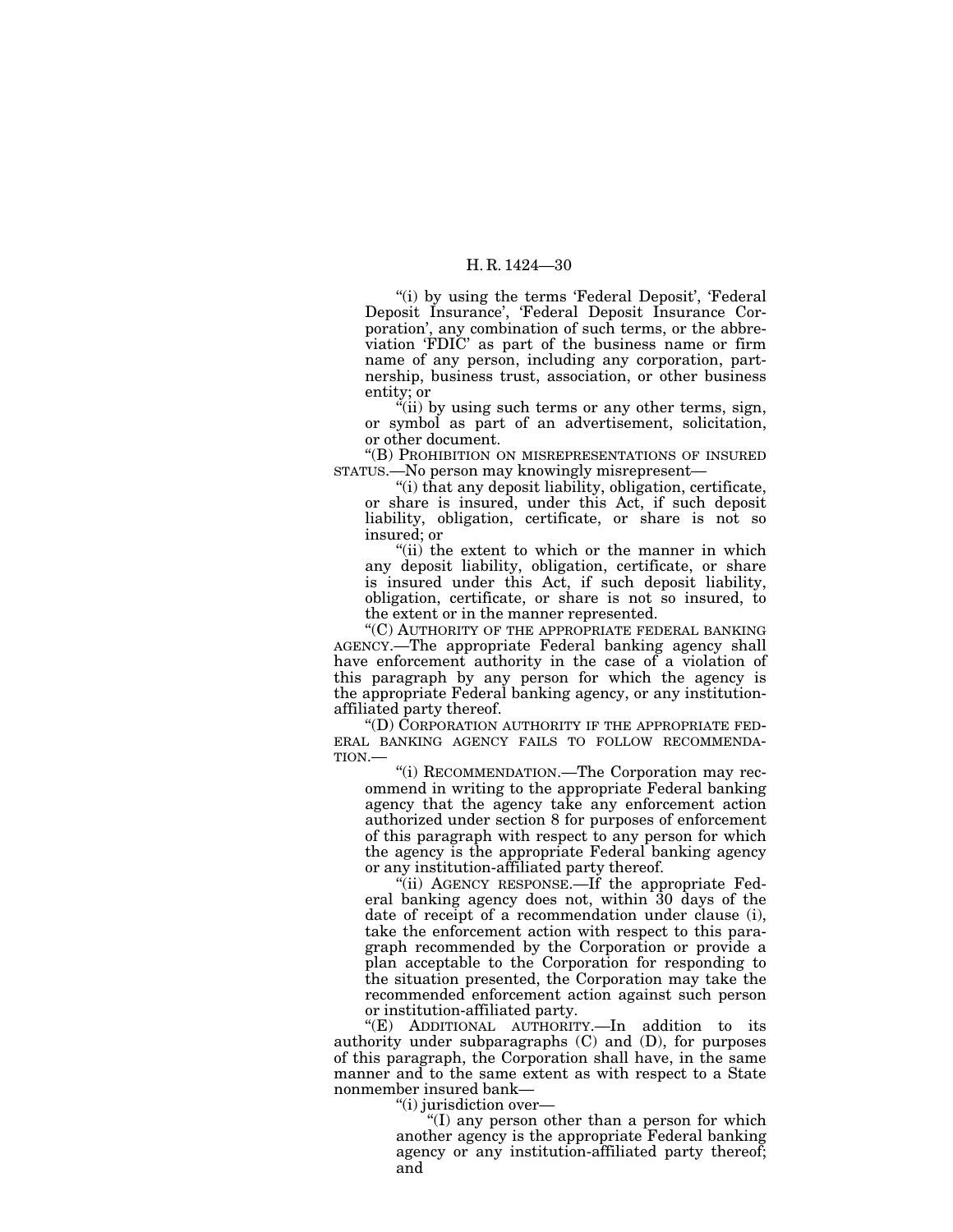"(i) by using the terms 'Federal Deposit', 'Federal' Deposit Insurance', 'Federal Deposit Insurance Corporation', any combination of such terms, or the abbreviation 'FDIC' as part of the business name or firm name of any person, including any corporation, partnership, business trust, association, or other business entity; or

''(ii) by using such terms or any other terms, sign, or symbol as part of an advertisement, solicitation, or other document.

''(B) PROHIBITION ON MISREPRESENTATIONS OF INSURED STATUS.—No person may knowingly misrepresent—

''(i) that any deposit liability, obligation, certificate, or share is insured, under this Act, if such deposit liability, obligation, certificate, or share is not so insured; or

''(ii) the extent to which or the manner in which any deposit liability, obligation, certificate, or share is insured under this Act, if such deposit liability, obligation, certificate, or share is not so insured, to the extent or in the manner represented.

''(C) AUTHORITY OF THE APPROPRIATE FEDERAL BANKING AGENCY.—The appropriate Federal banking agency shall have enforcement authority in the case of a violation of this paragraph by any person for which the agency is the appropriate Federal banking agency, or any institutionaffiliated party thereof.

''(D) CORPORATION AUTHORITY IF THE APPROPRIATE FED-ERAL BANKING AGENCY FAILS TO FOLLOW RECOMMENDA-TION.—

''(i) RECOMMENDATION.—The Corporation may recommend in writing to the appropriate Federal banking agency that the agency take any enforcement action authorized under section 8 for purposes of enforcement of this paragraph with respect to any person for which the agency is the appropriate Federal banking agency or any institution-affiliated party thereof.

"(ii) AGENCY RESPONSE.—If the appropriate Federal banking agency does not, within 30 days of the date of receipt of a recommendation under clause (i), take the enforcement action with respect to this paragraph recommended by the Corporation or provide a plan acceptable to the Corporation for responding to the situation presented, the Corporation may take the recommended enforcement action against such person or institution-affiliated party.

''(E) ADDITIONAL AUTHORITY.—In addition to its authority under subparagraphs (C) and (D), for purposes of this paragraph, the Corporation shall have, in the same manner and to the same extent as with respect to a State nonmember insured bank—

''(i) jurisdiction over—

''(I) any person other than a person for which another agency is the appropriate Federal banking agency or any institution-affiliated party thereof; and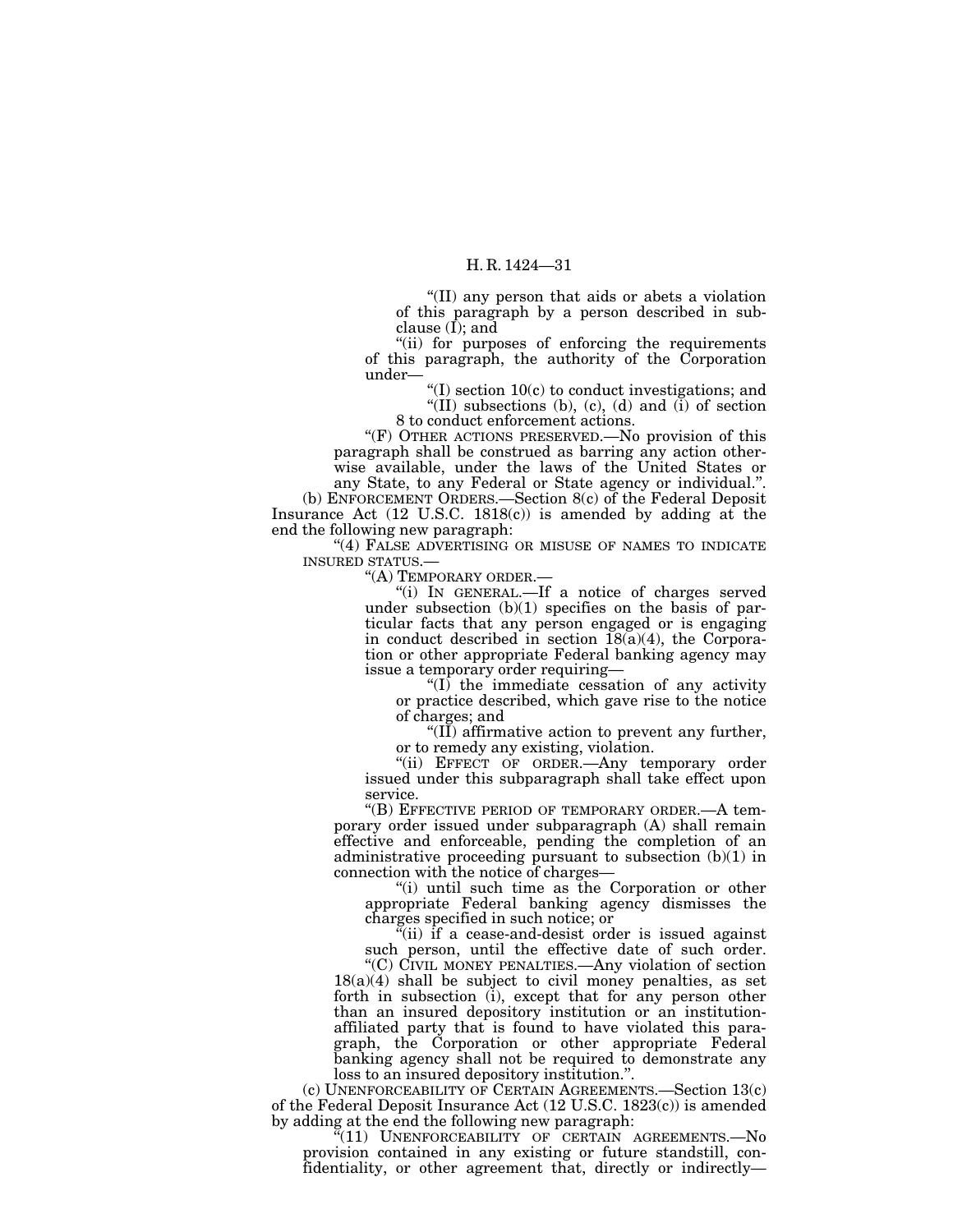''(II) any person that aids or abets a violation of this paragraph by a person described in subclause (I); and

"(ii) for purposes of enforcing the requirements of this paragraph, the authority of the Corporation under—

 $f(T)$  section 10 $(c)$  to conduct investigations; and " $(II)$  subsections (b), (c), (d) and (i) of section 8 to conduct enforcement actions.

"(F) OTHER ACTIONS PRESERVED.—No provision of this paragraph shall be construed as barring any action otherwise available, under the laws of the United States or any State, to any Federal or State agency or individual.

(b) ENFORCEMENT ORDERS.—Section 8(c) of the Federal Deposit Insurance Act (12 U.S.C. 1818(c)) is amended by adding at the end the following new paragraph:

 $\lq\lq(4)$  FALSE ADVERTISING OR MISUSE OF NAMES TO INDICATE INSURED STATUS.—

"(A) TEMPORARY ORDER.—

''(i) IN GENERAL.—If a notice of charges served under subsection  $(b)(1)$  specifies on the basis of particular facts that any person engaged or is engaging in conduct described in section  $\overline{18(a)(4)}$ , the Corporation or other appropriate Federal banking agency may issue a temporary order requiring—

 $\sqrt[4]{(I)}$  the immediate cessation of any activity or practice described, which gave rise to the notice of charges; and

" $(II)$  affirmative action to prevent any further, or to remedy any existing, violation.

''(ii) EFFECT OF ORDER.—Any temporary order issued under this subparagraph shall take effect upon service.

''(B) EFFECTIVE PERIOD OF TEMPORARY ORDER.—A temporary order issued under subparagraph (A) shall remain effective and enforceable, pending the completion of an administrative proceeding pursuant to subsection  $(b)(1)$  in connection with the notice of charges—

''(i) until such time as the Corporation or other appropriate Federal banking agency dismisses the charges specified in such notice; or

 $\ddot{f}$ (ii) if a cease-and-desist order is issued against such person, until the effective date of such order.

''(C) CIVIL MONEY PENALTIES.—Any violation of section  $18(a)(4)$  shall be subject to civil money penalties, as set forth in subsection (i), except that for any person other than an insured depository institution or an institutionaffiliated party that is found to have violated this paragraph, the Corporation or other appropriate Federal banking agency shall not be required to demonstrate any loss to an insured depository institution."

(c) UNENFORCEABILITY OF CERTAIN AGREEMENTS.—Section 13(c) of the Federal Deposit Insurance Act (12 U.S.C. 1823(c)) is amended by adding at the end the following new paragraph:

"(11) UNENFORCEABILITY OF CERTAIN AGREEMENTS.—No provision contained in any existing or future standstill, confidentiality, or other agreement that, directly or indirectly—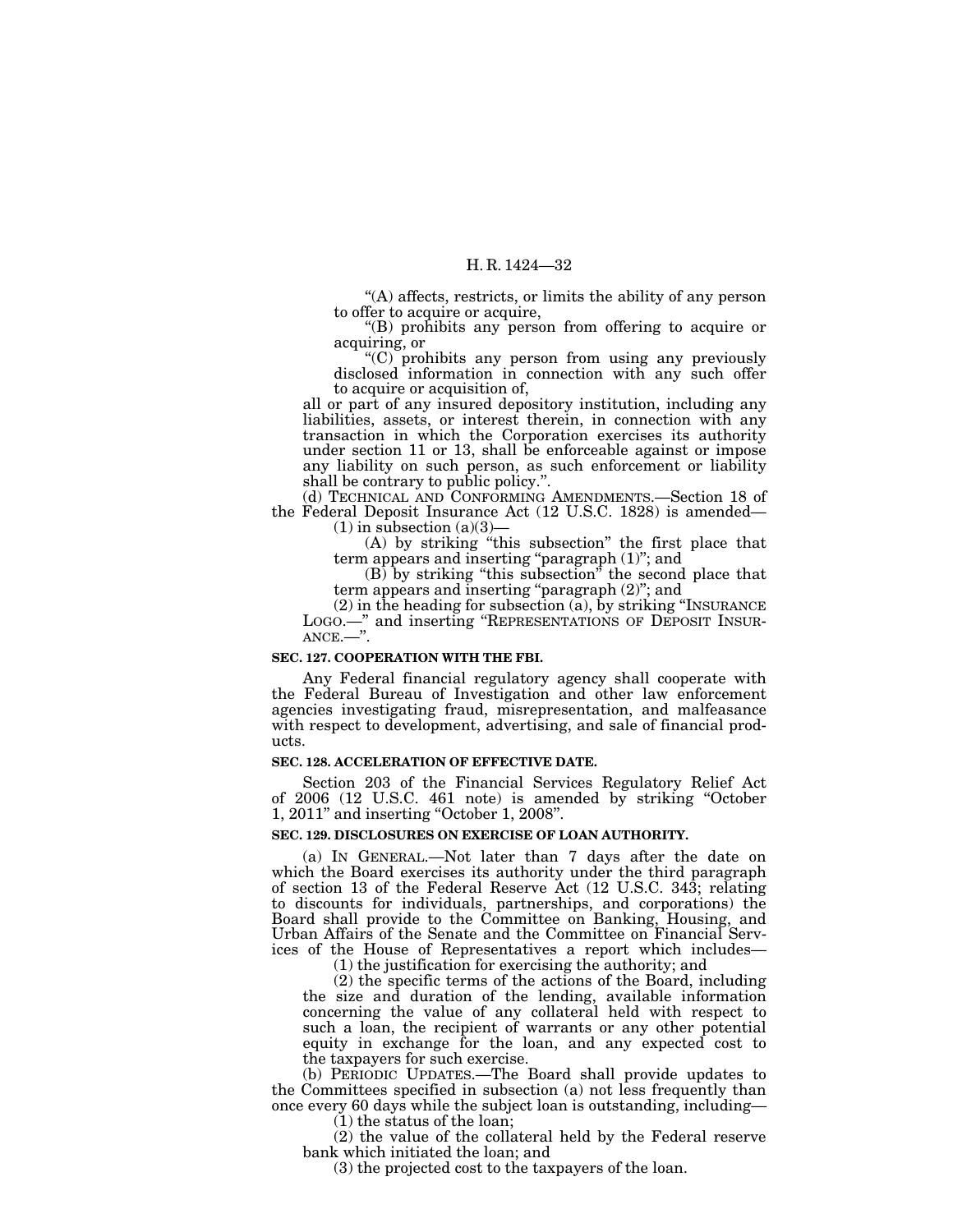''(A) affects, restricts, or limits the ability of any person to offer to acquire or acquire,

''(B) prohibits any person from offering to acquire or acquiring, or

"(C) prohibits any person from using any previously disclosed information in connection with any such offer to acquire or acquisition of,

all or part of any insured depository institution, including any liabilities, assets, or interest therein, in connection with any transaction in which the Corporation exercises its authority under section 11 or 13, shall be enforceable against or impose any liability on such person, as such enforcement or liability shall be contrary to public policy."

(d) TECHNICAL AND CONFORMING AMENDMENTS.—Section 18 of the Federal Deposit Insurance Act (12 U.S.C. 1828) is amended—

 $(1)$  in subsection  $(a)(3)$ 

(A) by striking ''this subsection'' the first place that term appears and inserting "paragraph (1)"; and

(B) by striking ''this subsection'' the second place that term appears and inserting ''paragraph (2)''; and

(2) in the heading for subsection (a), by striking ''INSURANCE LOGO.—" and inserting "REPRESENTATIONS OF DEPOSIT INSURANCE.—".

#### **SEC. 127. COOPERATION WITH THE FBI.**

Any Federal financial regulatory agency shall cooperate with the Federal Bureau of Investigation and other law enforcement agencies investigating fraud, misrepresentation, and malfeasance with respect to development, advertising, and sale of financial products.

## **SEC. 128. ACCELERATION OF EFFECTIVE DATE.**

Section 203 of the Financial Services Regulatory Relief Act of 2006 (12 U.S.C. 461 note) is amended by striking ''October 1, 2011'' and inserting ''October 1, 2008''.

### **SEC. 129. DISCLOSURES ON EXERCISE OF LOAN AUTHORITY.**

(a) IN GENERAL.—Not later than 7 days after the date on which the Board exercises its authority under the third paragraph of section 13 of the Federal Reserve Act (12 U.S.C. 343; relating to discounts for individuals, partnerships, and corporations) the Board shall provide to the Committee on Banking, Housing, and Urban Affairs of the Senate and the Committee on Financial Services of the House of Representatives a report which includes—

(1) the justification for exercising the authority; and

(2) the specific terms of the actions of the Board, including the size and duration of the lending, available information concerning the value of any collateral held with respect to such a loan, the recipient of warrants or any other potential equity in exchange for the loan, and any expected cost to the taxpayers for such exercise.

(b) PERIODIC UPDATES.—The Board shall provide updates to the Committees specified in subsection (a) not less frequently than once every 60 days while the subject loan is outstanding, including—

(1) the status of the loan;

(2) the value of the collateral held by the Federal reserve bank which initiated the loan; and

(3) the projected cost to the taxpayers of the loan.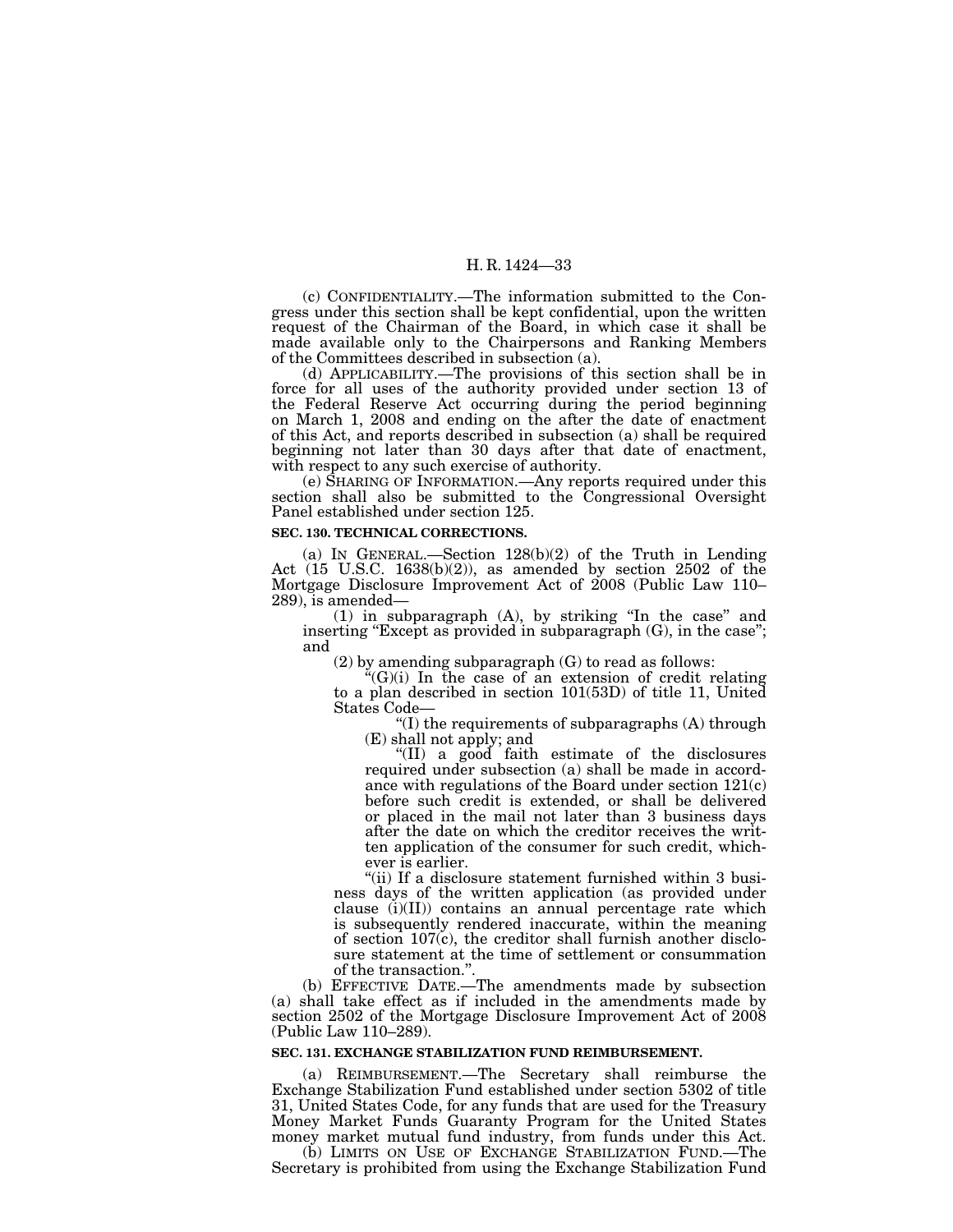(c) CONFIDENTIALITY.—The information submitted to the Congress under this section shall be kept confidential, upon the written request of the Chairman of the Board, in which case it shall be made available only to the Chairpersons and Ranking Members of the Committees described in subsection (a).

(d) APPLICABILITY.—The provisions of this section shall be in force for all uses of the authority provided under section 13 of the Federal Reserve Act occurring during the period beginning on March 1, 2008 and ending on the after the date of enactment of this Act, and reports described in subsection (a) shall be required beginning not later than 30 days after that date of enactment, with respect to any such exercise of authority.

(e) SHARING OF INFORMATION.—Any reports required under this section shall also be submitted to the Congressional Oversight Panel established under section 125.

#### **SEC. 130. TECHNICAL CORRECTIONS.**

(a) IN GENERAL.—Section 128(b)(2) of the Truth in Lending Act  $(15 \text{ U.S.C. } 1638(b)(2))$ , as amended by section 2502 of the Mortgage Disclosure Improvement Act of 2008 (Public Law 110– 289), is amended—

(1) in subparagraph (A), by striking ''In the case'' and inserting "Except as provided in subparagraph  $(G)$ , in the case"; and

(2) by amending subparagraph (G) to read as follows:

 $\mathcal{F}(G)(i)$  In the case of an extension of credit relating to a plan described in section 101(53D) of title 11, United States Code—

''(I) the requirements of subparagraphs (A) through (E) shall not apply; and

''(II) a good faith estimate of the disclosures required under subsection (a) shall be made in accordance with regulations of the Board under section 121(c) before such credit is extended, or shall be delivered or placed in the mail not later than 3 business days after the date on which the creditor receives the written application of the consumer for such credit, whichever is earlier.

"(ii) If a disclosure statement furnished within 3 business days of the written application (as provided under clause (i)(II)) contains an annual percentage rate which is subsequently rendered inaccurate, within the meaning of section 107(c), the creditor shall furnish another disclosure statement at the time of settlement or consummation of the transaction.''.

(b) EFFECTIVE DATE.—The amendments made by subsection (a) shall take effect as if included in the amendments made by section 2502 of the Mortgage Disclosure Improvement Act of 2008 (Public Law 110–289).

#### **SEC. 131. EXCHANGE STABILIZATION FUND REIMBURSEMENT.**

(a) REIMBURSEMENT.—The Secretary shall reimburse the Exchange Stabilization Fund established under section 5302 of title 31, United States Code, for any funds that are used for the Treasury Money Market Funds Guaranty Program for the United States money market mutual fund industry, from funds under this Act.

(b) LIMITS ON USE OF EXCHANGE STABILIZATION FUND.—The Secretary is prohibited from using the Exchange Stabilization Fund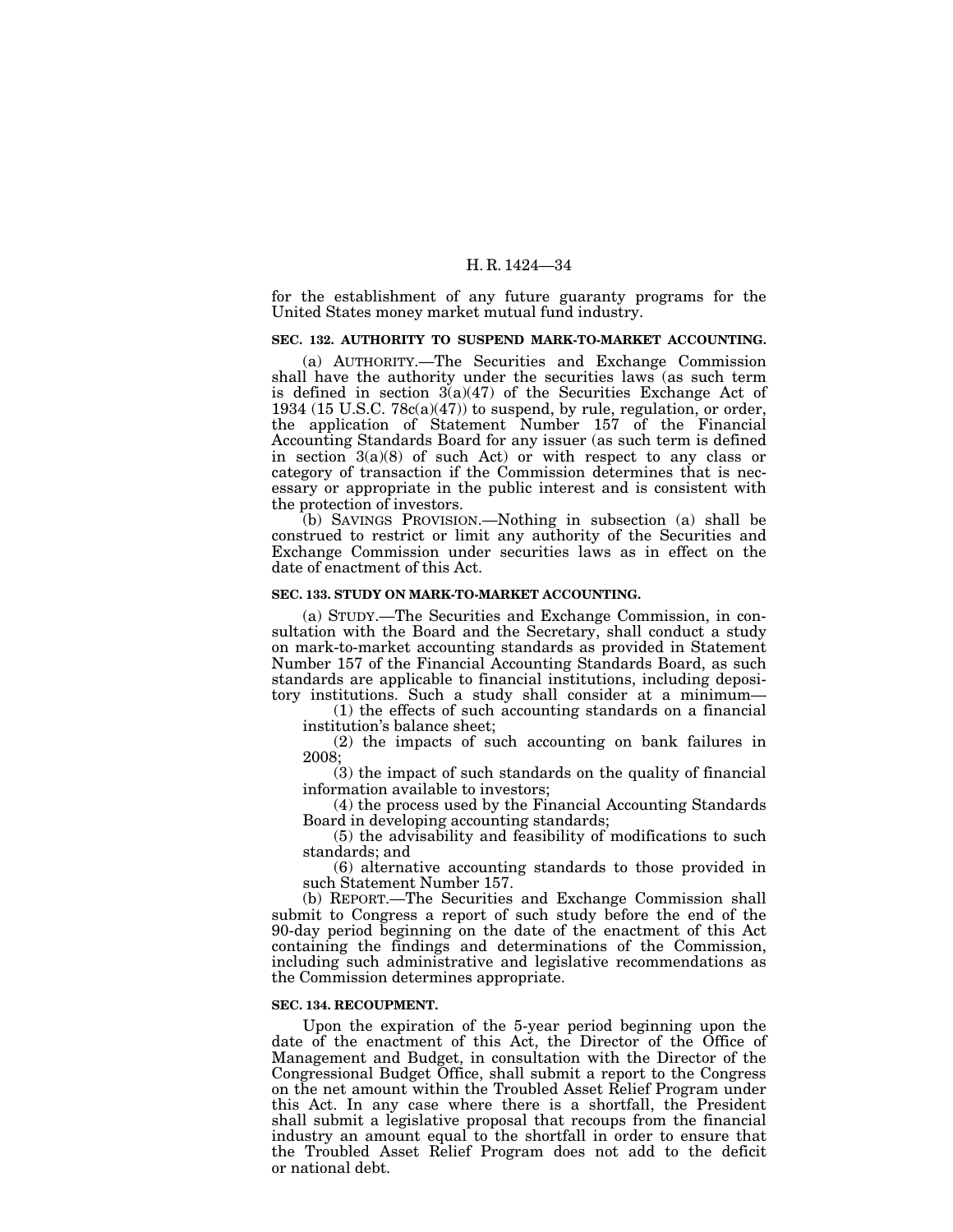for the establishment of any future guaranty programs for the United States money market mutual fund industry.

#### **SEC. 132. AUTHORITY TO SUSPEND MARK-TO-MARKET ACCOUNTING.**

(a) AUTHORITY.—The Securities and Exchange Commission shall have the authority under the securities laws (as such term is defined in section  $3(a)(47)$  of the Securities Exchange Act of 1934 (15 U.S.C.  $78c(a)(47)$ ) to suspend, by rule, regulation, or order, the application of Statement Number 157 of the Financial Accounting Standards Board for any issuer (as such term is defined in section  $3(a)(8)$  of such Act) or with respect to any class or category of transaction if the Commission determines that is necessary or appropriate in the public interest and is consistent with the protection of investors.

(b) SAVINGS PROVISION.—Nothing in subsection (a) shall be construed to restrict or limit any authority of the Securities and Exchange Commission under securities laws as in effect on the date of enactment of this Act.

#### **SEC. 133. STUDY ON MARK-TO-MARKET ACCOUNTING.**

(a) STUDY.—The Securities and Exchange Commission, in consultation with the Board and the Secretary, shall conduct a study on mark-to-market accounting standards as provided in Statement Number 157 of the Financial Accounting Standards Board, as such standards are applicable to financial institutions, including depository institutions. Such a study shall consider at a minimum—

(1) the effects of such accounting standards on a financial institution's balance sheet;

(2) the impacts of such accounting on bank failures in 2008;

(3) the impact of such standards on the quality of financial information available to investors;

(4) the process used by the Financial Accounting Standards Board in developing accounting standards;

(5) the advisability and feasibility of modifications to such standards; and

(6) alternative accounting standards to those provided in such Statement Number 157.

(b) REPORT.—The Securities and Exchange Commission shall submit to Congress a report of such study before the end of the 90-day period beginning on the date of the enactment of this Act containing the findings and determinations of the Commission, including such administrative and legislative recommendations as the Commission determines appropriate.

#### **SEC. 134. RECOUPMENT.**

Upon the expiration of the 5-year period beginning upon the date of the enactment of this Act, the Director of the Office of Management and Budget, in consultation with the Director of the Congressional Budget Office, shall submit a report to the Congress on the net amount within the Troubled Asset Relief Program under this Act. In any case where there is a shortfall, the President shall submit a legislative proposal that recoups from the financial industry an amount equal to the shortfall in order to ensure that the Troubled Asset Relief Program does not add to the deficit or national debt.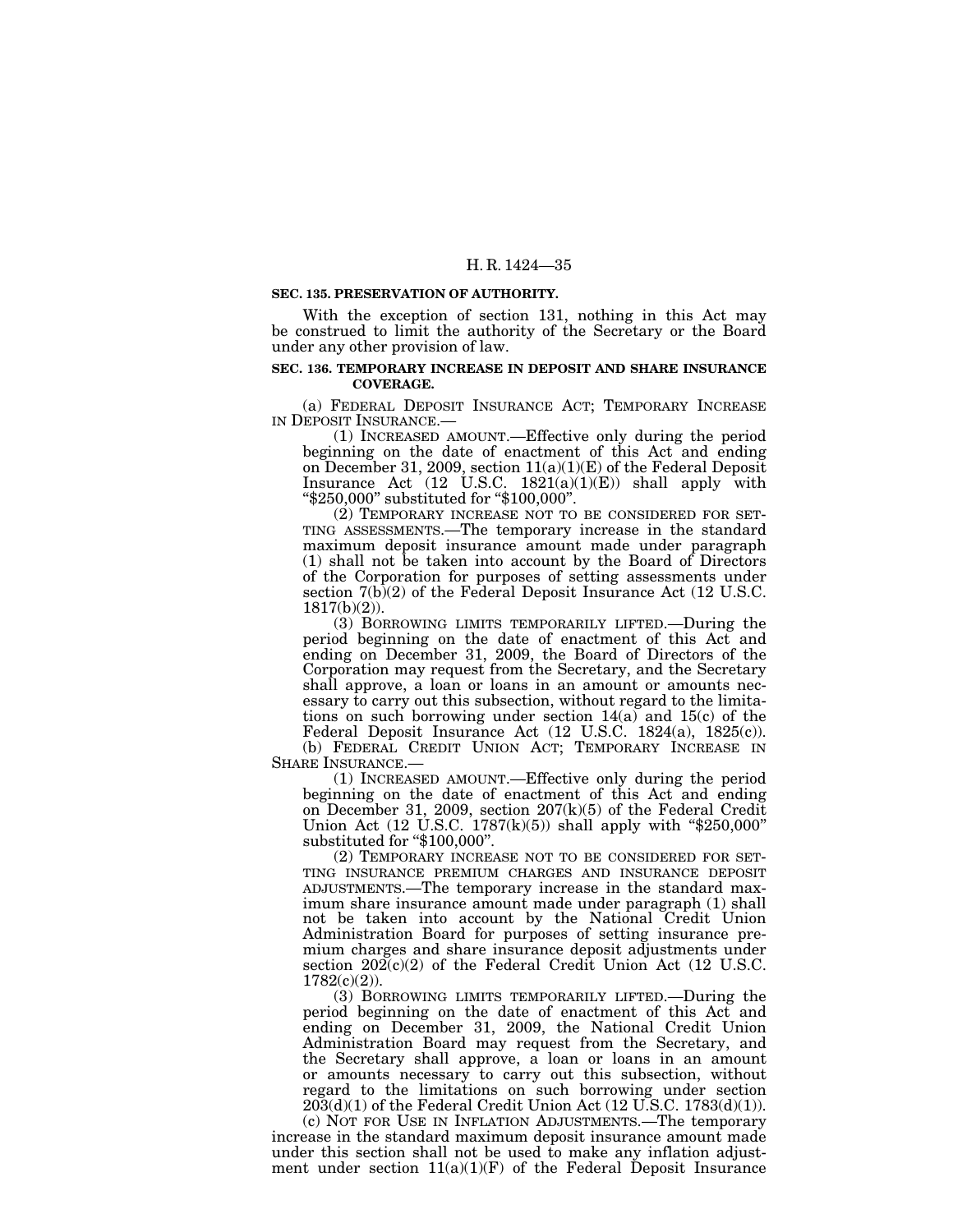#### **SEC. 135. PRESERVATION OF AUTHORITY.**

With the exception of section 131, nothing in this Act may be construed to limit the authority of the Secretary or the Board under any other provision of law.

#### **SEC. 136. TEMPORARY INCREASE IN DEPOSIT AND SHARE INSURANCE COVERAGE.**

(a) FEDERAL DEPOSIT INSURANCE ACT; TEMPORARY INCREASE IN DEPOSIT INSURANCE.—

(1) INCREASED AMOUNT.—Effective only during the period beginning on the date of enactment of this Act and ending on December 31, 2009, section  $11(a)(1)(E)$  of the Federal Deposit Insurance Act  $(12 \text{ U.S.C. } 1821(a)(1)(E))$  shall apply with ''\$250,000'' substituted for ''\$100,000''.

(2) TEMPORARY INCREASE NOT TO BE CONSIDERED FOR SET-TING ASSESSMENTS.—The temporary increase in the standard maximum deposit insurance amount made under paragraph (1) shall not be taken into account by the Board of Directors of the Corporation for purposes of setting assessments under section  $7(b)(2)$  of the Federal Deposit Insurance Act (12 U.S.C. 1817(b)(2)).

(3) BORROWING LIMITS TEMPORARILY LIFTED.—During the period beginning on the date of enactment of this Act and ending on December 31, 2009, the Board of Directors of the Corporation may request from the Secretary, and the Secretary shall approve, a loan or loans in an amount or amounts necessary to carry out this subsection, without regard to the limitations on such borrowing under section 14(a) and 15(c) of the Federal Deposit Insurance Act (12 U.S.C. 1824(a), 1825(c)). (b) FEDERAL CREDIT UNION ACT; TEMPORARY INCREASE IN SHARE INSURANCE.—

(1) INCREASED AMOUNT.—Effective only during the period beginning on the date of enactment of this Act and ending on December 31, 2009, section 207(k)(5) of the Federal Credit Union Act (12 U.S.C. 1787(k)(5)) shall apply with "\$250,000" substituted for "\$100,000".

(2) TEMPORARY INCREASE NOT TO BE CONSIDERED FOR SET-TING INSURANCE PREMIUM CHARGES AND INSURANCE DEPOSIT ADJUSTMENTS.—The temporary increase in the standard maximum share insurance amount made under paragraph (1) shall not be taken into account by the National Credit Union Administration Board for purposes of setting insurance premium charges and share insurance deposit adjustments under section  $20\tilde{2}(c)(2)$  of the Federal Credit Union Act (12 U.S.C.  $1782(c)(2)$ ).

(3) BORROWING LIMITS TEMPORARILY LIFTED.—During the period beginning on the date of enactment of this Act and ending on December 31, 2009, the National Credit Union Administration Board may request from the Secretary, and the Secretary shall approve, a loan or loans in an amount or amounts necessary to carry out this subsection, without regard to the limitations on such borrowing under section 203(d)(1) of the Federal Credit Union Act (12 U.S.C. 1783(d)(1)).

(c) NOT FOR USE IN INFLATION ADJUSTMENTS.—The temporary increase in the standard maximum deposit insurance amount made under this section shall not be used to make any inflation adjustment under section  $11(a)(1)(F)$  of the Federal Deposit Insurance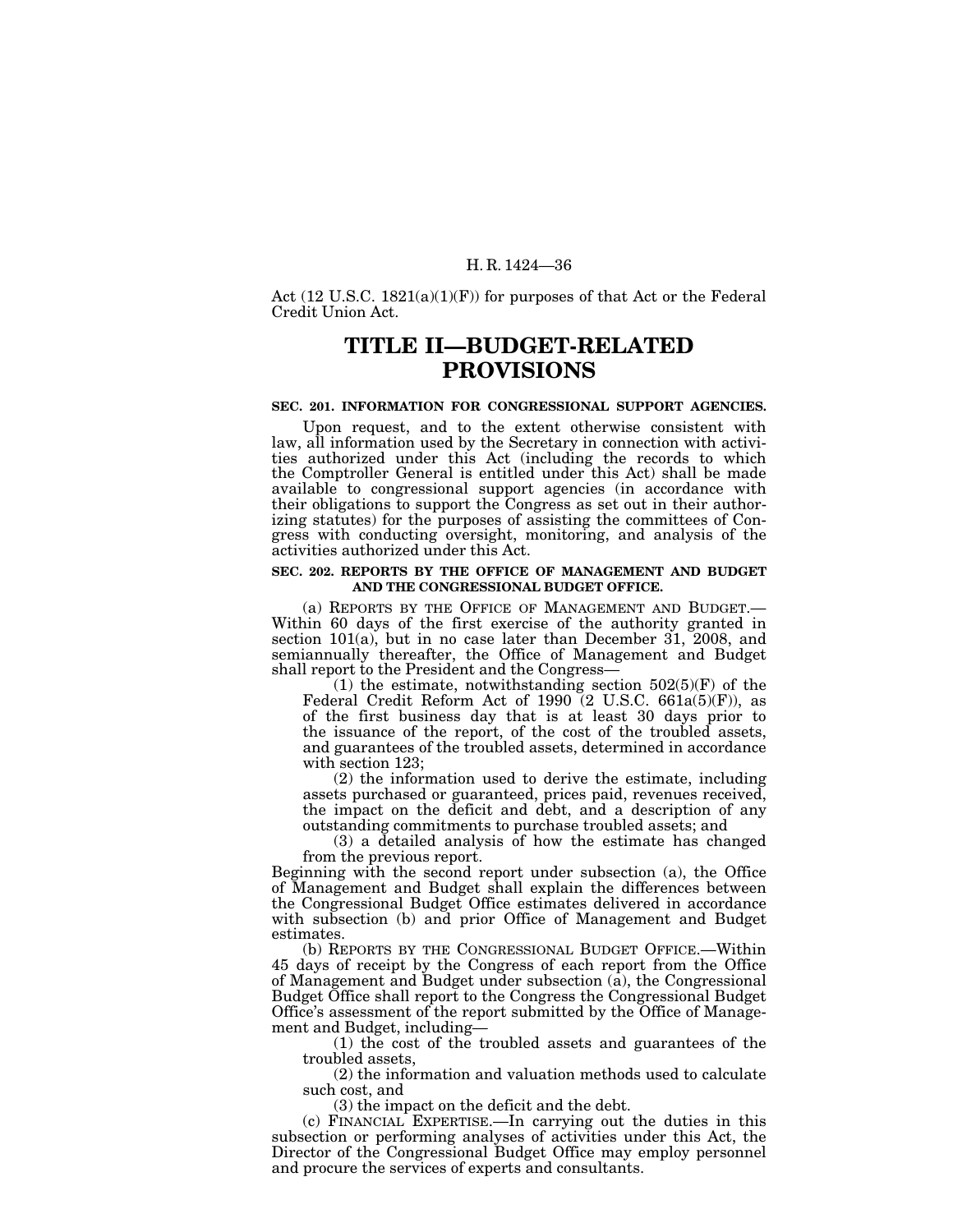Act  $(12 \text{ U.S.C. } 1821(a)(1)(\text{F}))$  for purposes of that Act or the Federal Credit Union Act.

## **TITLE II—BUDGET-RELATED PROVISIONS**

#### **SEC. 201. INFORMATION FOR CONGRESSIONAL SUPPORT AGENCIES.**

Upon request, and to the extent otherwise consistent with law, all information used by the Secretary in connection with activities authorized under this Act (including the records to which the Comptroller General is entitled under this Act) shall be made available to congressional support agencies (in accordance with their obligations to support the Congress as set out in their authorizing statutes) for the purposes of assisting the committees of Congress with conducting oversight, monitoring, and analysis of the activities authorized under this Act.

#### **SEC. 202. REPORTS BY THE OFFICE OF MANAGEMENT AND BUDGET AND THE CONGRESSIONAL BUDGET OFFICE.**

(a) REPORTS BY THE OFFICE OF MANAGEMENT AND BUDGET.— Within 60 days of the first exercise of the authority granted in section  $101(a)$ , but in no case later than December 31, 2008, and semiannually thereafter, the Office of Management and Budget shall report to the President and the Congress-

(1) the estimate, notwithstanding section  $502(5)(F)$  of the Federal Credit Reform Act of 1990  $(2 \text{ U.S.C. } 661a(5)(F))$ , as of the first business day that is at least 30 days prior to the issuance of the report, of the cost of the troubled assets, and guarantees of the troubled assets, determined in accordance with section 123;

(2) the information used to derive the estimate, including assets purchased or guaranteed, prices paid, revenues received, the impact on the deficit and debt, and a description of any outstanding commitments to purchase troubled assets; and

(3) a detailed analysis of how the estimate has changed from the previous report.

Beginning with the second report under subsection (a), the Office of Management and Budget shall explain the differences between the Congressional Budget Office estimates delivered in accordance with subsection (b) and prior Office of Management and Budget estimates.

(b) REPORTS BY THE CONGRESSIONAL BUDGET OFFICE.—Within 45 days of receipt by the Congress of each report from the Office of Management and Budget under subsection (a), the Congressional Budget Office shall report to the Congress the Congressional Budget Office's assessment of the report submitted by the Office of Management and Budget, including—

(1) the cost of the troubled assets and guarantees of the troubled assets,

(2) the information and valuation methods used to calculate such cost, and

(3) the impact on the deficit and the debt.

(c) FINANCIAL EXPERTISE.—In carrying out the duties in this subsection or performing analyses of activities under this Act, the Director of the Congressional Budget Office may employ personnel and procure the services of experts and consultants.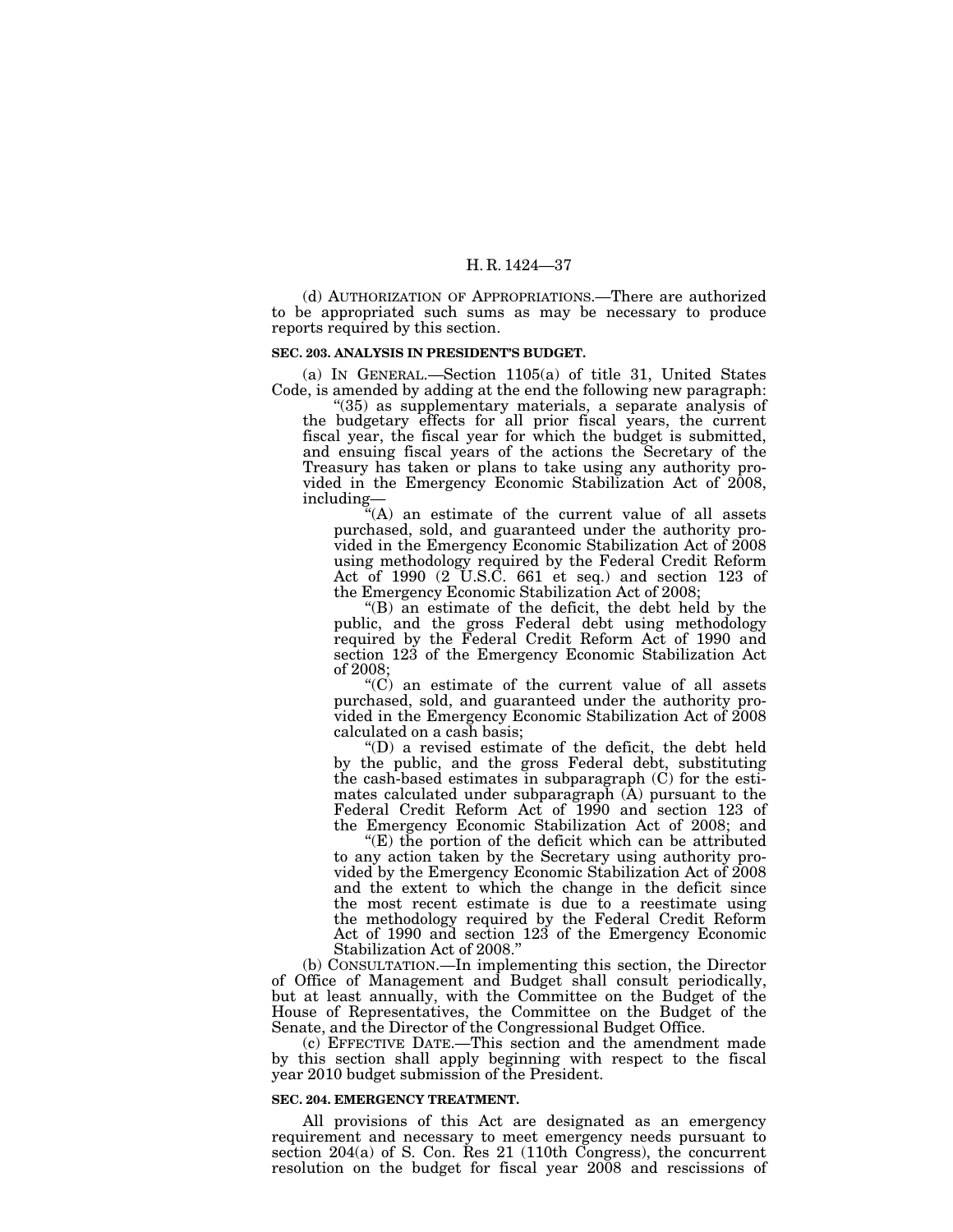(d) AUTHORIZATION OF APPROPRIATIONS.—There are authorized to be appropriated such sums as may be necessary to produce reports required by this section.

#### **SEC. 203. ANALYSIS IN PRESIDENT'S BUDGET.**

(a) IN GENERAL.—Section 1105(a) of title 31, United States Code, is amended by adding at the end the following new paragraph:

"(35) as supplementary materials, a separate analysis of the budgetary effects for all prior fiscal years, the current fiscal year, the fiscal year for which the budget is submitted, and ensuing fiscal years of the actions the Secretary of the Treasury has taken or plans to take using any authority provided in the Emergency Economic Stabilization Act of 2008, including—

''(A) an estimate of the current value of all assets purchased, sold, and guaranteed under the authority provided in the Emergency Economic Stabilization Act of 2008 using methodology required by the Federal Credit Reform Act of 1990  $(2 \text{ U.S.C. } 661 \text{ et seq.})$  and section 123 of the Emergency Economic Stabilization Act of 2008;

''(B) an estimate of the deficit, the debt held by the public, and the gross Federal debt using methodology required by the Federal Credit Reform Act of 1990 and section 123 of the Emergency Economic Stabilization Act of 2008;

" $(C)$  an estimate of the current value of all assets" purchased, sold, and guaranteed under the authority provided in the Emergency Economic Stabilization Act of 2008 calculated on a cash basis;

''(D) a revised estimate of the deficit, the debt held by the public, and the gross Federal debt, substituting the cash-based estimates in subparagraph (C) for the estimates calculated under subparagraph (A) pursuant to the Federal Credit Reform Act of 1990 and section 123 of the Emergency Economic Stabilization Act of 2008; and

 $E(E)$  the portion of the deficit which can be attributed to any action taken by the Secretary using authority provided by the Emergency Economic Stabilization Act of 2008 and the extent to which the change in the deficit since the most recent estimate is due to a reestimate using the methodology required by the Federal Credit Reform Act of 1990 and section 123 of the Emergency Economic Stabilization Act of 2008.''

(b) CONSULTATION.—In implementing this section, the Director of Office of Management and Budget shall consult periodically, but at least annually, with the Committee on the Budget of the House of Representatives, the Committee on the Budget of the Senate, and the Director of the Congressional Budget Office.

(c) EFFECTIVE DATE.—This section and the amendment made by this section shall apply beginning with respect to the fiscal year 2010 budget submission of the President.

#### **SEC. 204. EMERGENCY TREATMENT.**

All provisions of this Act are designated as an emergency requirement and necessary to meet emergency needs pursuant to section 204(a) of S. Con. Res 21 (110th Congress), the concurrent resolution on the budget for fiscal year 2008 and rescissions of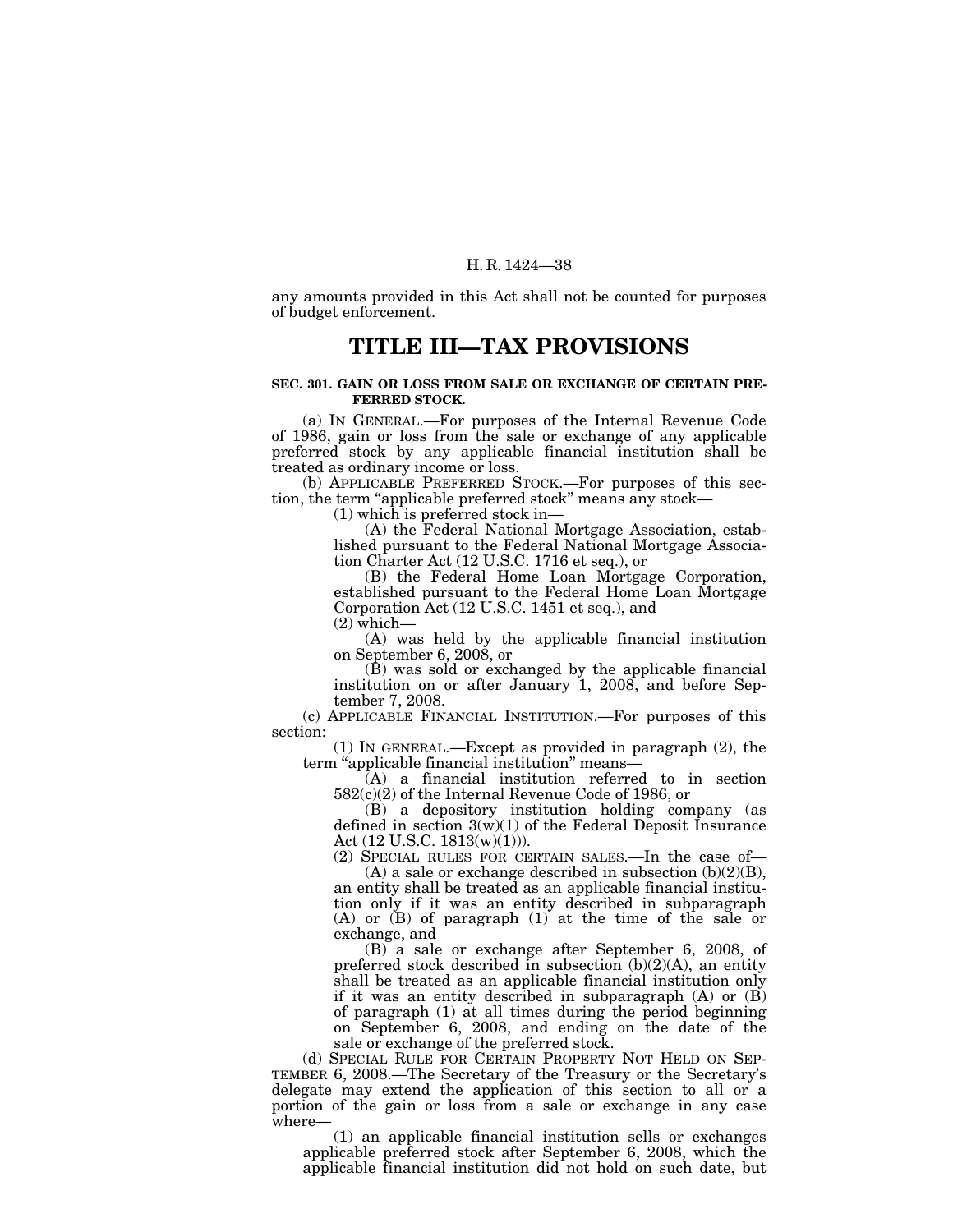any amounts provided in this Act shall not be counted for purposes of budget enforcement.

# **TITLE III—TAX PROVISIONS**

#### **SEC. 301. GAIN OR LOSS FROM SALE OR EXCHANGE OF CERTAIN PRE-FERRED STOCK.**

(a) IN GENERAL.—For purposes of the Internal Revenue Code of 1986, gain or loss from the sale or exchange of any applicable preferred stock by any applicable financial institution shall be treated as ordinary income or loss.

(b) APPLICABLE PREFERRED STOCK.—For purposes of this section, the term ''applicable preferred stock'' means any stock—

(1) which is preferred stock in—

(A) the Federal National Mortgage Association, established pursuant to the Federal National Mortgage Association Charter Act (12 U.S.C. 1716 et seq.), or

(B) the Federal Home Loan Mortgage Corporation, established pursuant to the Federal Home Loan Mortgage Corporation Act (12 U.S.C. 1451 et seq.), and

 $(2)$  which-

(A) was held by the applicable financial institution on September 6, 2008, or

(B) was sold or exchanged by the applicable financial institution on or after January 1, 2008, and before September 7, 2008.

(c) APPLICABLE FINANCIAL INSTITUTION.—For purposes of this section:

(1) IN GENERAL.—Except as provided in paragraph (2), the term ''applicable financial institution'' means—

(A) a financial institution referred to in section 582(c)(2) of the Internal Revenue Code of 1986, or

(B) a depository institution holding company (as defined in section 3(w)(1) of the Federal Deposit Insurance Act  $(12 \text{ U.S.C. } 1813(\text{w})(1))$ .

(2) SPECIAL RULES FOR CERTAIN SALES.—In the case of—

 $(A)$  a sale or exchange described in subsection  $(b)(2)(B)$ , an entity shall be treated as an applicable financial institution only if it was an entity described in subparagraph (A) or (B) of paragraph (1) at the time of the sale or exchange, and

(B) a sale or exchange after September 6, 2008, of preferred stock described in subsection  $(b)(2)(A)$ , an entity shall be treated as an applicable financial institution only if it was an entity described in subparagraph (A) or (B) of paragraph (1) at all times during the period beginning on September 6, 2008, and ending on the date of the sale or exchange of the preferred stock.

(d) SPECIAL RULE FOR CERTAIN PROPERTY NOT HELD ON SEP-TEMBER 6, 2008.—The Secretary of the Treasury or the Secretary's delegate may extend the application of this section to all or a portion of the gain or loss from a sale or exchange in any case where—

(1) an applicable financial institution sells or exchanges applicable preferred stock after September 6, 2008, which the applicable financial institution did not hold on such date, but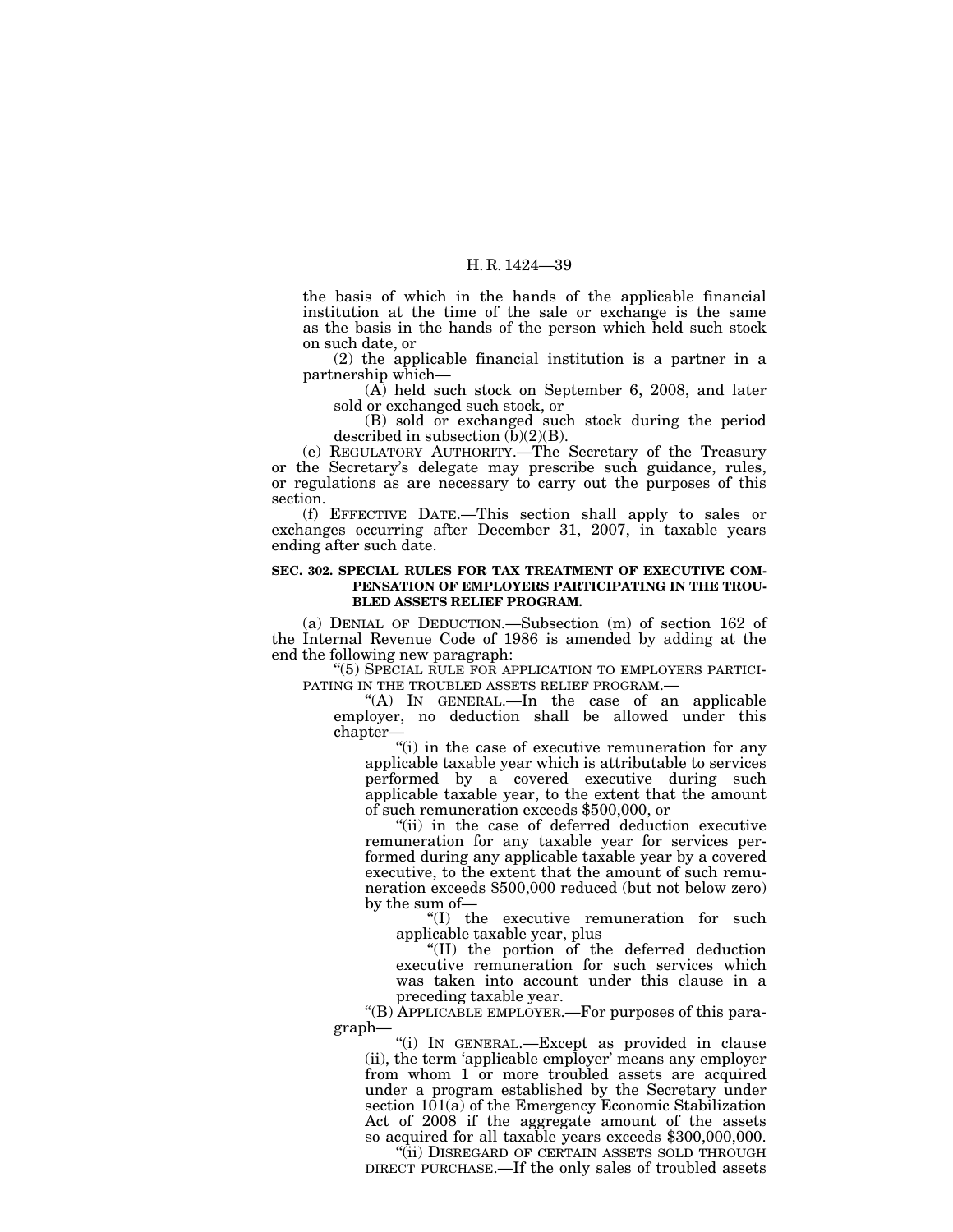the basis of which in the hands of the applicable financial institution at the time of the sale or exchange is the same as the basis in the hands of the person which held such stock on such date, or

(2) the applicable financial institution is a partner in a partnership which—

(A) held such stock on September 6, 2008, and later sold or exchanged such stock, or

(B) sold or exchanged such stock during the period described in subsection (b)(2)(B).

(e) REGULATORY AUTHORITY.—The Secretary of the Treasury or the Secretary's delegate may prescribe such guidance, rules, or regulations as are necessary to carry out the purposes of this section.

(f) EFFECTIVE DATE.—This section shall apply to sales or exchanges occurring after December 31, 2007, in taxable years ending after such date.

#### **SEC. 302. SPECIAL RULES FOR TAX TREATMENT OF EXECUTIVE COM-PENSATION OF EMPLOYERS PARTICIPATING IN THE TROU-BLED ASSETS RELIEF PROGRAM.**

(a) DENIAL OF DEDUCTION.—Subsection (m) of section 162 of the Internal Revenue Code of 1986 is amended by adding at the end the following new paragraph:

''(5) SPECIAL RULE FOR APPLICATION TO EMPLOYERS PARTICI-PATING IN THE TROUBLED ASSETS RELIEF PROGRAM.—

''(A) IN GENERAL.—In the case of an applicable employer, no deduction shall be allowed under this chapter—

''(i) in the case of executive remuneration for any applicable taxable year which is attributable to services performed by a covered executive during such applicable taxable year, to the extent that the amount of such remuneration exceeds \$500,000, or

''(ii) in the case of deferred deduction executive remuneration for any taxable year for services performed during any applicable taxable year by a covered executive, to the extent that the amount of such remuneration exceeds \$500,000 reduced (but not below zero) by the sum of—

''(I) the executive remuneration for such applicable taxable year, plus

''(II) the portion of the deferred deduction executive remuneration for such services which was taken into account under this clause in a preceding taxable year.

''(B) APPLICABLE EMPLOYER.—For purposes of this paragraph—

''(i) IN GENERAL.—Except as provided in clause (ii), the term 'applicable employer' means any employer from whom 1 or more troubled assets are acquired under a program established by the Secretary under section  $101(a)$  of the Emergency Economic Stabilization Act of 2008 if the aggregate amount of the assets so acquired for all taxable years exceeds \$300,000,000.

''(ii) DISREGARD OF CERTAIN ASSETS SOLD THROUGH DIRECT PURCHASE.—If the only sales of troubled assets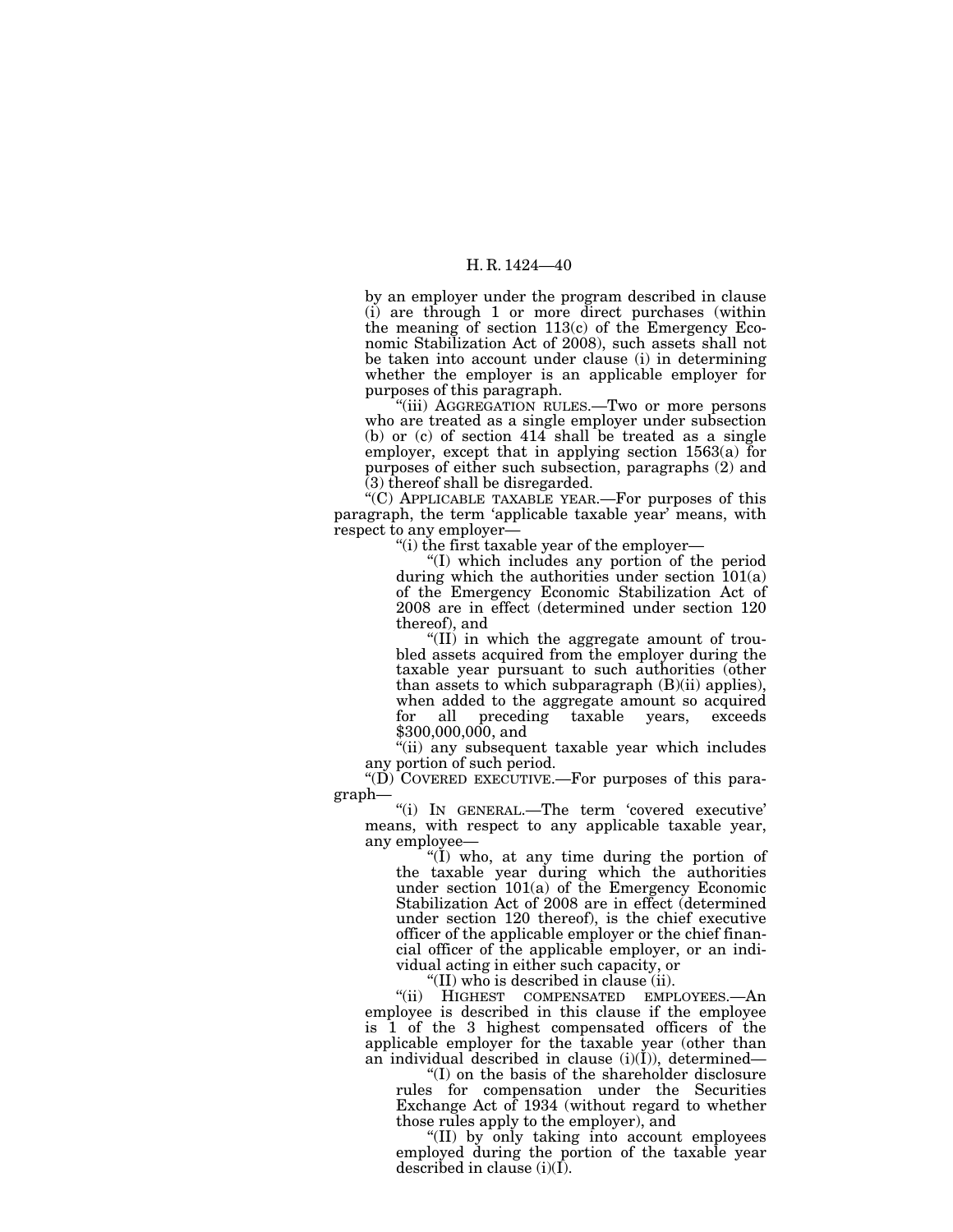by an employer under the program described in clause (i) are through 1 or more direct purchases (within the meaning of section 113(c) of the Emergency Economic Stabilization Act of 2008), such assets shall not be taken into account under clause (i) in determining whether the employer is an applicable employer for purposes of this paragraph.

''(iii) AGGREGATION RULES.—Two or more persons who are treated as a single employer under subsection (b) or (c) of section 414 shall be treated as a single employer, except that in applying section 1563(a) for purposes of either such subsection, paragraphs (2) and (3) thereof shall be disregarded.

''(C) APPLICABLE TAXABLE YEAR.—For purposes of this paragraph, the term 'applicable taxable year' means, with respect to any employer—

''(i) the first taxable year of the employer—

''(I) which includes any portion of the period during which the authorities under section  $101(a)$ of the Emergency Economic Stabilization Act of 2008 are in effect (determined under section 120 thereof), and

" $(II)$  in which the aggregate amount of troubled assets acquired from the employer during the taxable year pursuant to such authorities (other than assets to which subparagraph  $(B)(ii)$  applies), when added to the aggregate amount so acquired<br>for all preceding taxable years, exceeds for all preceding taxable years, exceeds \$300,000,000, and

''(ii) any subsequent taxable year which includes any portion of such period.

''(D) COVERED EXECUTIVE.—For purposes of this paragraph—

''(i) IN GENERAL.—The term 'covered executive' means, with respect to any applicable taxable year, any employee—

''(I) who, at any time during the portion of the taxable year during which the authorities under section 101(a) of the Emergency Economic Stabilization Act of 2008 are in effect (determined under section 120 thereof), is the chief executive officer of the applicable employer or the chief financial officer of the applicable employer, or an individual acting in either such capacity, or

''(II) who is described in clause (ii).

''(ii) HIGHEST COMPENSATED EMPLOYEES.—An employee is described in this clause if the employee is 1 of the 3 highest compensated officers of the applicable employer for the taxable year (other than an individual described in clause (i)(I)), determined—

''(I) on the basis of the shareholder disclosure rules for compensation under the Securities Exchange Act of 1934 (without regard to whether those rules apply to the employer), and

''(II) by only taking into account employees employed during the portion of the taxable year described in clause  $(i)(\bar{I})$ .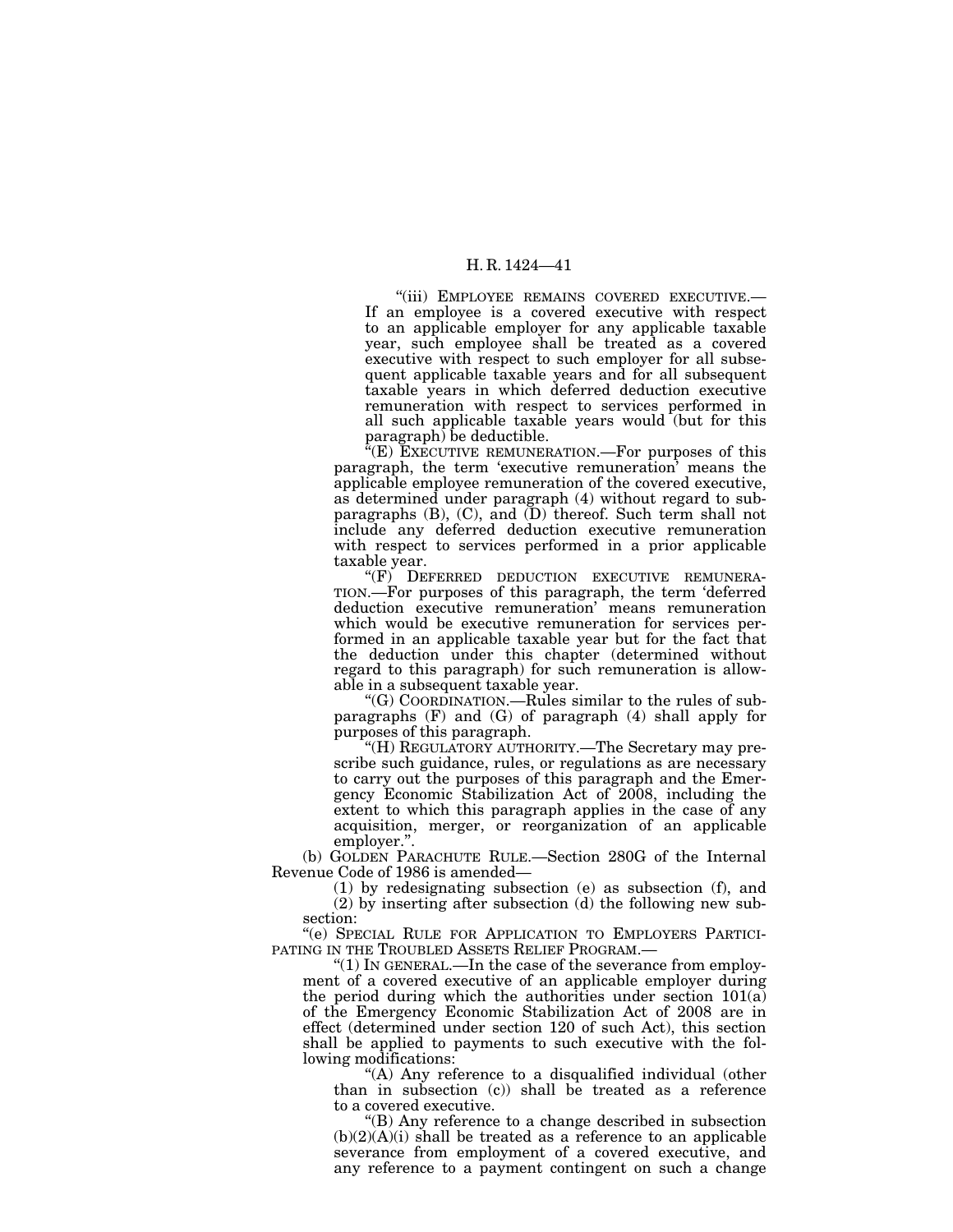"(iii) EMPLOYEE REMAINS COVERED EXECUTIVE.-If an employee is a covered executive with respect to an applicable employer for any applicable taxable year, such employee shall be treated as a covered executive with respect to such employer for all subsequent applicable taxable years and for all subsequent taxable years in which deferred deduction executive remuneration with respect to services performed in all such applicable taxable years would (but for this paragraph) be deductible.

"(E) EXECUTIVE REMUNERATION.—For purposes of this paragraph, the term 'executive remuneration' means the applicable employee remuneration of the covered executive, as determined under paragraph (4) without regard to subparagraphs (B), (C), and (D) thereof. Such term shall not include any deferred deduction executive remuneration with respect to services performed in a prior applicable taxable year.

"(F) DEFERRED DEDUCTION EXECUTIVE REMUNERA-TION.—For purposes of this paragraph, the term 'deferred deduction executive remuneration' means remuneration which would be executive remuneration for services performed in an applicable taxable year but for the fact that the deduction under this chapter (determined without regard to this paragraph) for such remuneration is allowable in a subsequent taxable year.

''(G) COORDINATION.—Rules similar to the rules of subparagraphs  $(F)$  and  $(G)$  of paragraph  $(4)$  shall apply for purposes of this paragraph.

''(H) REGULATORY AUTHORITY.—The Secretary may prescribe such guidance, rules, or regulations as are necessary to carry out the purposes of this paragraph and the Emergency Economic Stabilization Act of 2008, including the extent to which this paragraph applies in the case of any acquisition, merger, or reorganization of an applicable employer.''.

(b) GOLDEN PARACHUTE RULE.—Section 280G of the Internal Revenue Code of 1986 is amended—

(1) by redesignating subsection (e) as subsection (f), and (2) by inserting after subsection (d) the following new subsection:

''(e) SPECIAL RULE FOR APPLICATION TO EMPLOYERS PARTICI-PATING IN THE TROUBLED ASSETS RELIEF PROGRAM.—

''(1) IN GENERAL.—In the case of the severance from employment of a covered executive of an applicable employer during the period during which the authorities under section  $101(a)$ of the Emergency Economic Stabilization Act of 2008 are in effect (determined under section 120 of such Act), this section shall be applied to payments to such executive with the following modifications:

''(A) Any reference to a disqualified individual (other than in subsection (c)) shall be treated as a reference to a covered executive.

''(B) Any reference to a change described in subsection  $(b)(2)(A)(i)$  shall be treated as a reference to an applicable severance from employment of a covered executive, and any reference to a payment contingent on such a change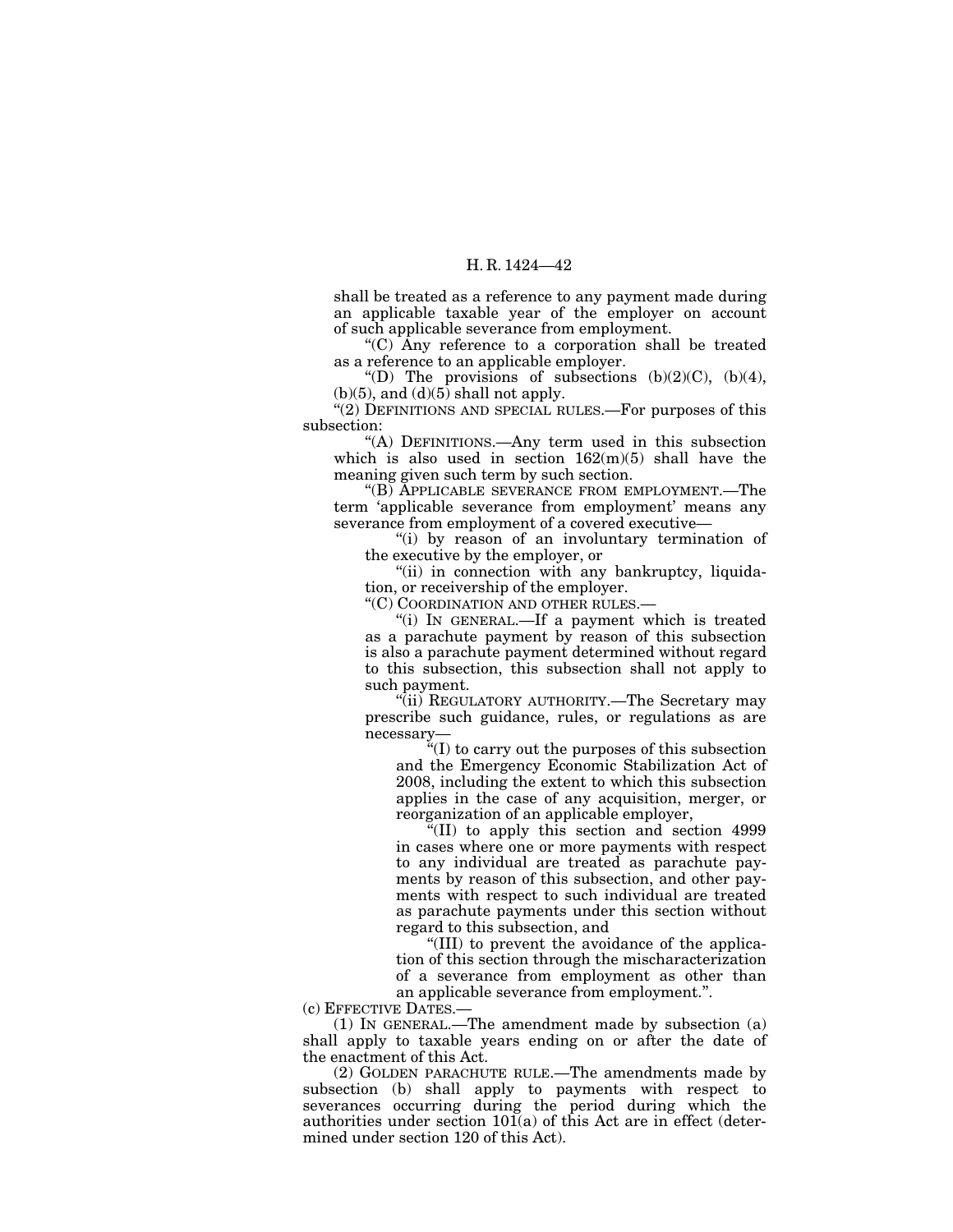shall be treated as a reference to any payment made during an applicable taxable year of the employer on account of such applicable severance from employment.

''(C) Any reference to a corporation shall be treated as a reference to an applicable employer.

"(D) The provisions of subsections  $(b)(2)(C)$ ,  $(b)(4)$ ,  $(b)(5)$ , and  $(d)(5)$  shall not apply.

"(2) DEFINITIONS AND SPECIAL RULES.—For purposes of this subsection:

''(A) DEFINITIONS.—Any term used in this subsection which is also used in section  $162(m)(5)$  shall have the meaning given such term by such section.

''(B) APPLICABLE SEVERANCE FROM EMPLOYMENT.—The term 'applicable severance from employment' means any severance from employment of a covered executive—

''(i) by reason of an involuntary termination of the executive by the employer, or

"(ii) in connection with any bankruptcy, liquidation, or receivership of the employer.

''(C) COORDINATION AND OTHER RULES.—

''(i) IN GENERAL.—If a payment which is treated as a parachute payment by reason of this subsection is also a parachute payment determined without regard to this subsection, this subsection shall not apply to such payment.

"(ii) REGULATORY AUTHORITY.—The Secretary may prescribe such guidance, rules, or regulations as are necessary—

''(I) to carry out the purposes of this subsection and the Emergency Economic Stabilization Act of 2008, including the extent to which this subsection applies in the case of any acquisition, merger, or reorganization of an applicable employer,

 $\sqrt[4]{\text{III}}$  to apply this section and section 4999 in cases where one or more payments with respect to any individual are treated as parachute payments by reason of this subsection, and other payments with respect to such individual are treated as parachute payments under this section without regard to this subsection, and

''(III) to prevent the avoidance of the application of this section through the mischaracterization of a severance from employment as other than an applicable severance from employment.''.

(c) EFFECTIVE DATES.—

(1) IN GENERAL.—The amendment made by subsection (a) shall apply to taxable years ending on or after the date of the enactment of this Act.

(2) GOLDEN PARACHUTE RULE.—The amendments made by subsection (b) shall apply to payments with respect to severances occurring during the period during which the authorities under section 101(a) of this Act are in effect (determined under section 120 of this Act).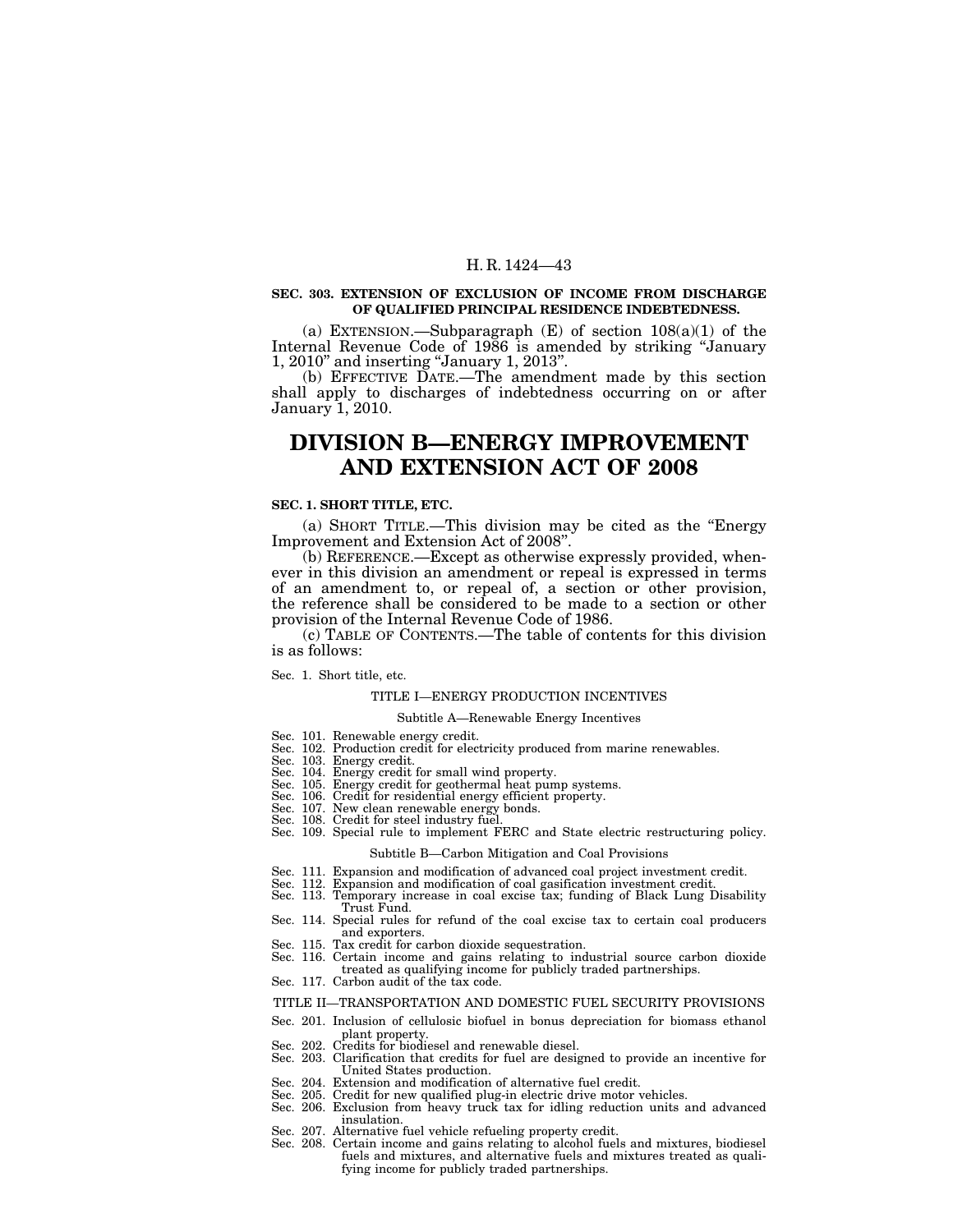#### **SEC. 303. EXTENSION OF EXCLUSION OF INCOME FROM DISCHARGE OF QUALIFIED PRINCIPAL RESIDENCE INDEBTEDNESS.**

(a) EXTENSION.—Subparagraph  $(E)$  of section  $108(a)(1)$  of the Internal Revenue Code of 1986 is amended by striking ''January 1, 2010'' and inserting ''January 1, 2013''.

(b) EFFECTIVE DATE.—The amendment made by this section shall apply to discharges of indebtedness occurring on or after January 1, 2010.

# **DIVISION B—ENERGY IMPROVEMENT AND EXTENSION ACT OF 2008**

### **SEC. 1. SHORT TITLE, ETC.**

(a) SHORT TITLE.—This division may be cited as the ''Energy Improvement and Extension Act of 2008''.

(b) REFERENCE.—Except as otherwise expressly provided, whenever in this division an amendment or repeal is expressed in terms of an amendment to, or repeal of, a section or other provision, the reference shall be considered to be made to a section or other provision of the Internal Revenue Code of 1986.

(c) TABLE OF CONTENTS.—The table of contents for this division is as follows:

#### Sec. 1. Short title, etc.

#### TITLE I—ENERGY PRODUCTION INCENTIVES

#### Subtitle A—Renewable Energy Incentives

- 
- Sec. 101. Renewable energy credit. Sec. 102. Production credit for electricity produced from marine renewables. Sec. 103. Energy credit.
- 
- 
- Sec. 104. Energy credit for small wind property. Sec. 105. Energy credit for geothermal heat pump systems. Sec. 106. Credit for residential energy efficient property.
- 
- Sec. 107. New clean renewable energy bonds. Sec. 108. Credit for steel industry fuel.
- 
- Sec. 109. Special rule to implement FERC and State electric restructuring policy.

#### Subtitle B—Carbon Mitigation and Coal Provisions

- 
- Sec. 111. Expansion and modification of advanced coal project investment credit. Sec. 112. Expansion and modification of coal gasification investment credit.
- Sec. 113. Temporary increase in coal excise tax; funding of Black Lung Disability Trust Fund.
- Sec. 114. Special rules for refund of the coal excise tax to certain coal producers and exporters.
- Sec. 115. Tax credit for carbon dioxide sequestration. Sec. 116. Certain income and gains relating to industrial source carbon dioxide
- treated as qualifying income for publicly traded partnerships. Sec. 117. Carbon audit of the tax code.
- 

# TITLE II—TRANSPORTATION AND DOMESTIC FUEL SECURITY PROVISIONS

- Sec. 201. Inclusion of cellulosic biofuel in bonus depreciation for biomass ethanol plant property.
- Sec. 202. Credits for biodiesel and renewable diesel.
- Sec. 203. Clarification that credits for fuel are designed to provide an incentive for United States production.
- Sec. 204. Extension and modification of alternative fuel credit.
- Sec. 205. Credit for new qualified plug-in electric drive motor vehicles.
- Sec. 206. Exclusion from heavy truck tax for idling reduction units and advanced insulation.
- Sec. 207. Alternative fuel vehicle refueling property credit.
- Sec. 208. Certain income and gains relating to alcohol fuels and mixtures, biodiesel fuels and mixtures, and alternative fuels and mixtures treated as qualifying income for publicly traded partnerships.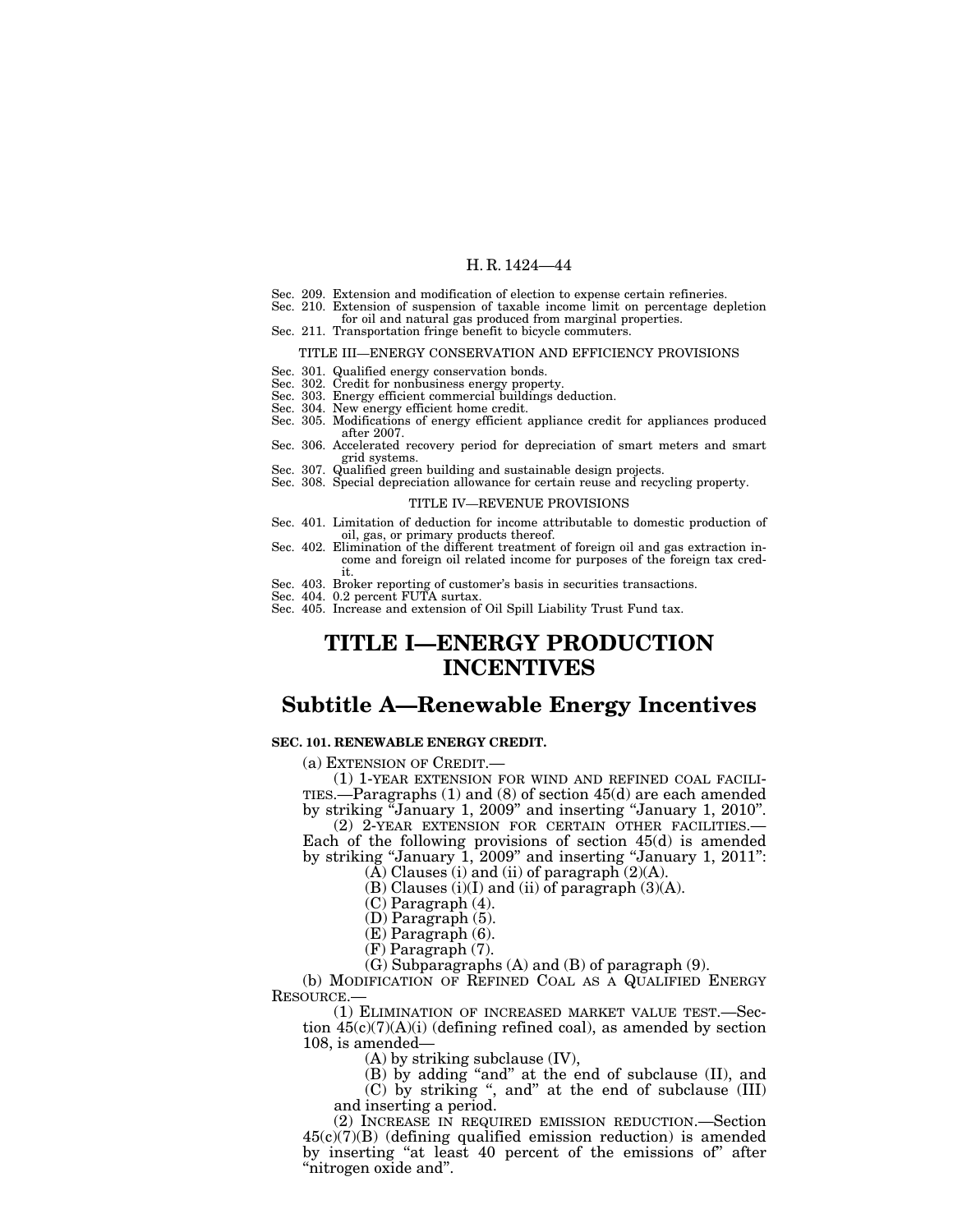- Sec. 209. Extension and modification of election to expense certain refineries.
- Sec. 210. Extension of suspension of taxable income limit on percentage depletion for oil and natural gas produced from marginal properties.
- Sec. 211. Transportation fringe benefit to bicycle commuters.

#### TITLE III—ENERGY CONSERVATION AND EFFICIENCY PROVISIONS

- Sec. 301. Qualified energy conservation bonds.
- 
- Sec. 302. Credit for nonbusiness energy property. Sec. 303. Energy efficient commercial buildings deduction.
- Sec. 304. New energy efficient home credit.
- Sec. 305. Modifications of energy efficient appliance credit for appliances produced after 2007.
- Sec. 306. Accelerated recovery period for depreciation of smart meters and smart grid systems.
- Sec. 307. Qualified green building and sustainable design projects.
- Sec. 308. Special depreciation allowance for certain reuse and recycling property.

#### TITLE IV—REVENUE PROVISIONS

- Sec. 401. Limitation of deduction for income attributable to domestic production of oil, gas, or primary products thereof. Sec. 402. Elimination of the different treatment of foreign oil and gas extraction in-
- come and foreign oil related income for purposes of the foreign tax credit.
- Sec. 403. Broker reporting of customer's basis in securities transactions. Sec. 404. 0.2 percent FUTA surtax.
- 
- Sec. 405. Increase and extension of Oil Spill Liability Trust Fund tax.

# **TITLE I—ENERGY PRODUCTION INCENTIVES**

# **Subtitle A—Renewable Energy Incentives**

#### **SEC. 101. RENEWABLE ENERGY CREDIT.**

(a) EXTENSION OF CREDIT.—

(1) 1-YEAR EXTENSION FOR WIND AND REFINED COAL FACILI-TIES.—Paragraphs (1) and (8) of section 45(d) are each amended by striking ''January 1, 2009'' and inserting ''January 1, 2010''.

(2) 2-YEAR EXTENSION FOR CERTAIN OTHER FACILITIES.— Each of the following provisions of section 45(d) is amended by striking "January 1, 2009" and inserting "January 1, 2011":

- $(A)$  Clauses (i) and (ii) of paragraph  $(2)(A)$ .
- (B) Clauses  $(i)(I)$  and  $(ii)$  of paragraph  $(3)(A)$ .
- (C) Paragraph (4).
- (D) Paragraph (5).
- (E) Paragraph (6).
- (F) Paragraph (7).

(G) Subparagraphs (A) and (B) of paragraph (9).

(b) MODIFICATION OF REFINED COAL AS A QUALIFIED ENERGY RESOURCE.—

(1) ELIMINATION OF INCREASED MARKET VALUE TEST.—Section 45(c)(7)(A)(i) (defining refined coal), as amended by section 108, is amended—

(A) by striking subclause (IV),

(B) by adding ''and'' at the end of subclause (II), and

(C) by striking '', and'' at the end of subclause (III) and inserting a period.

(2) INCREASE IN REQUIRED EMISSION REDUCTION.—Section  $45(c)(7)(B)$  (defining qualified emission reduction) is amended by inserting ''at least 40 percent of the emissions of'' after ''nitrogen oxide and''.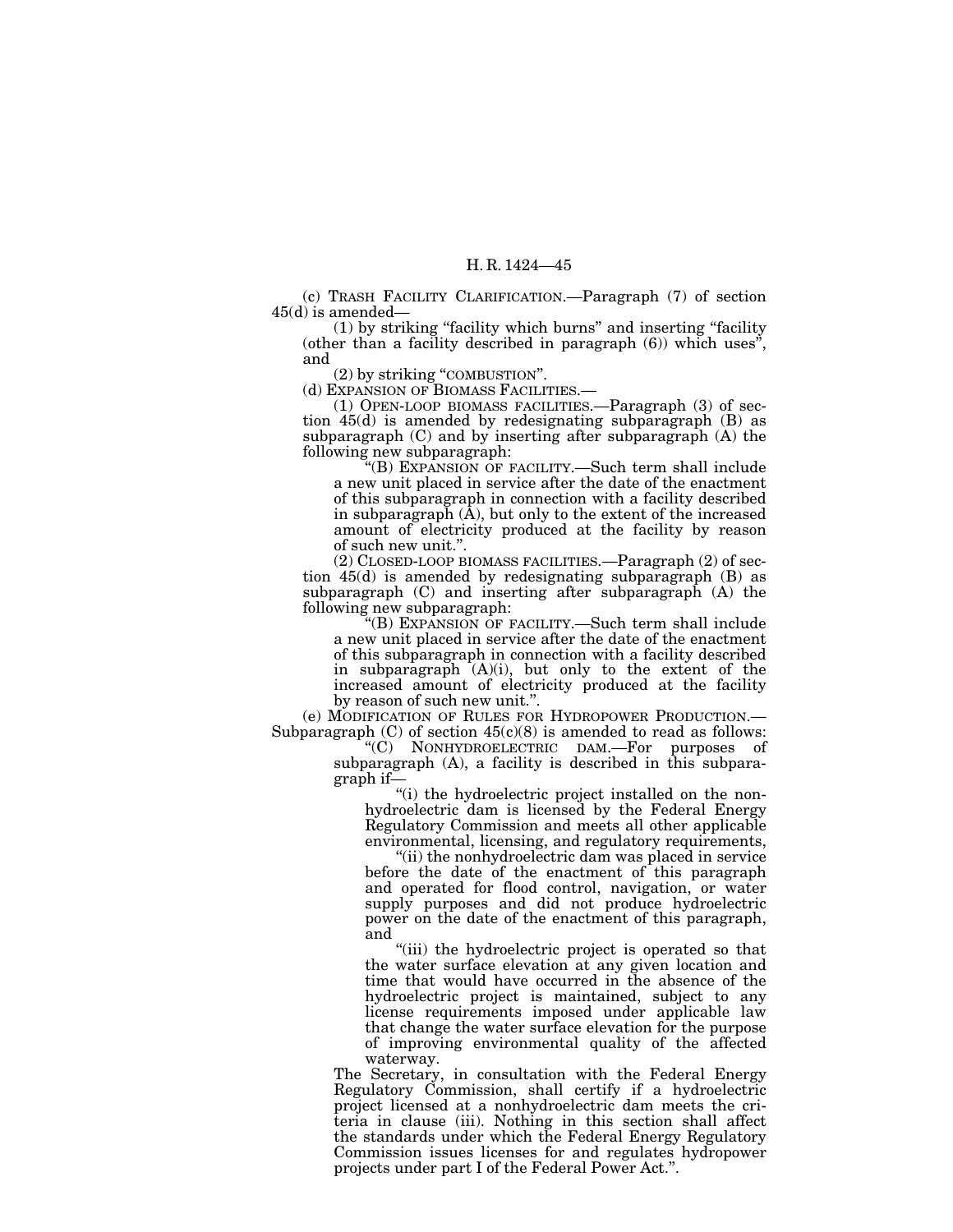(c) TRASH FACILITY CLARIFICATION.—Paragraph (7) of section 45(d) is amended—

(1) by striking ''facility which burns'' and inserting ''facility (other than a facility described in paragraph  $(6)$ ) which uses<sup>"</sup>, and

(2) by striking ''COMBUSTION''.

(d) EXPANSION OF BIOMASS FACILITIES.—

(1) OPEN-LOOP BIOMASS FACILITIES.—Paragraph (3) of section 45(d) is amended by redesignating subparagraph (B) as subparagraph (C) and by inserting after subparagraph (A) the following new subparagraph:

''(B) EXPANSION OF FACILITY.—Such term shall include a new unit placed in service after the date of the enactment of this subparagraph in connection with a facility described in subparagraph  $(\hat{A})$ , but only to the extent of the increased amount of electricity produced at the facility by reason of such new unit.''.

(2) CLOSED-LOOP BIOMASS FACILITIES.—Paragraph (2) of section 45(d) is amended by redesignating subparagraph (B) as subparagraph (C) and inserting after subparagraph (A) the following new subparagraph:

''(B) EXPANSION OF FACILITY.—Such term shall include a new unit placed in service after the date of the enactment of this subparagraph in connection with a facility described in subparagraph (A)(i), but only to the extent of the increased amount of electricity produced at the facility by reason of such new unit.''.

(e) MODIFICATION OF RULES FOR HYDROPOWER PRODUCTION.— Subparagraph  $(C)$  of section  $45(c)(8)$  is amended to read as follows:

''(C) NONHYDROELECTRIC DAM.—For purposes of subparagraph (A), a facility is described in this subparagraph if—

''(i) the hydroelectric project installed on the nonhydroelectric dam is licensed by the Federal Energy Regulatory Commission and meets all other applicable environmental, licensing, and regulatory requirements,

''(ii) the nonhydroelectric dam was placed in service before the date of the enactment of this paragraph and operated for flood control, navigation, or water supply purposes and did not produce hydroelectric power on the date of the enactment of this paragraph, and

''(iii) the hydroelectric project is operated so that the water surface elevation at any given location and time that would have occurred in the absence of the hydroelectric project is maintained, subject to any license requirements imposed under applicable law that change the water surface elevation for the purpose of improving environmental quality of the affected waterway.

The Secretary, in consultation with the Federal Energy Regulatory Commission, shall certify if a hydroelectric project licensed at a nonhydroelectric dam meets the criteria in clause (iii). Nothing in this section shall affect the standards under which the Federal Energy Regulatory Commission issues licenses for and regulates hydropower projects under part I of the Federal Power Act.''.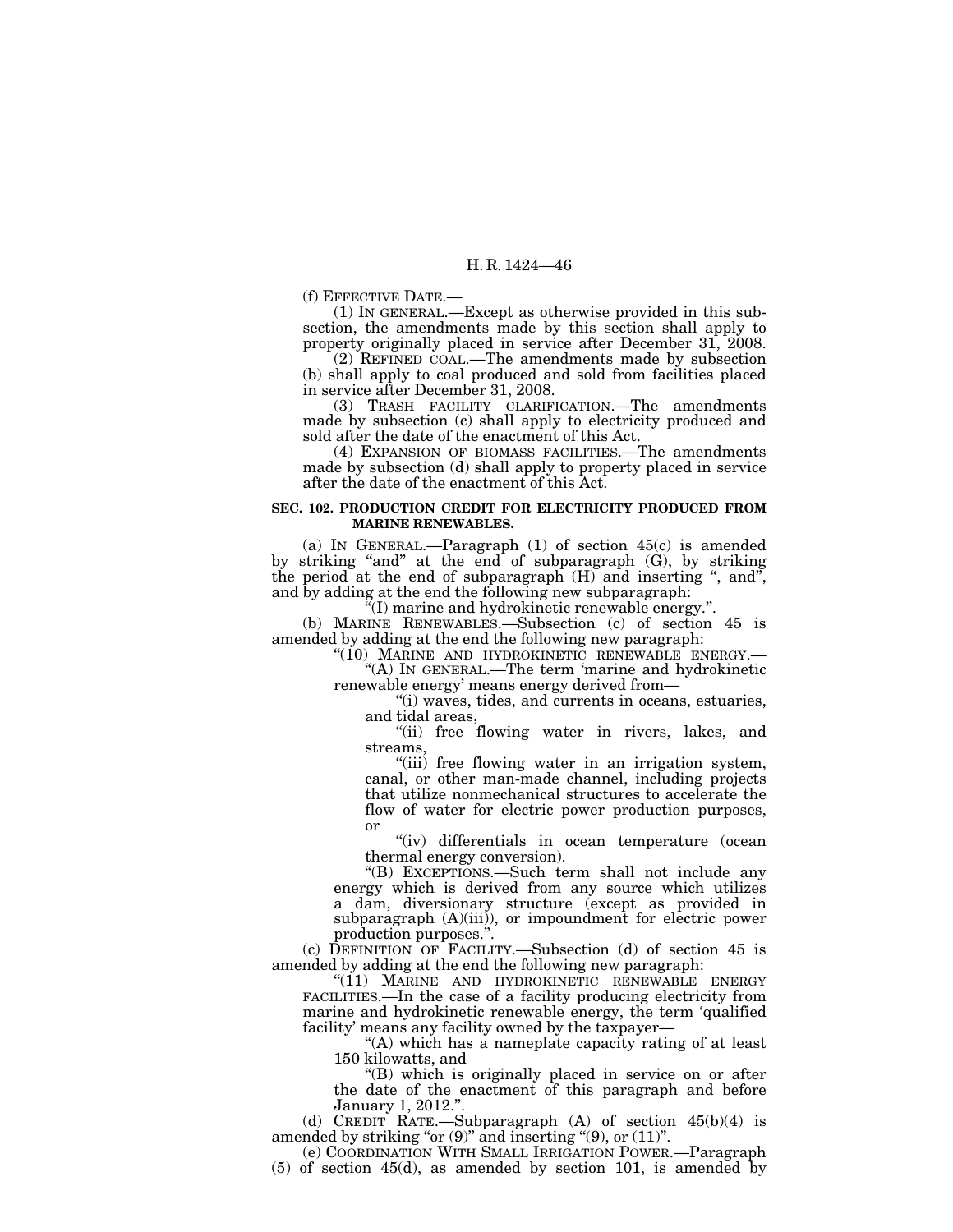(f) EFFECTIVE DATE.—

(1) IN GENERAL.—Except as otherwise provided in this subsection, the amendments made by this section shall apply to property originally placed in service after December 31, 2008.

(2) REFINED COAL.—The amendments made by subsection (b) shall apply to coal produced and sold from facilities placed in service after December 31, 2008.

(3) TRASH FACILITY CLARIFICATION.—The amendments made by subsection (c) shall apply to electricity produced and sold after the date of the enactment of this Act.

(4) EXPANSION OF BIOMASS FACILITIES.—The amendments made by subsection (d) shall apply to property placed in service after the date of the enactment of this Act.

#### **SEC. 102. PRODUCTION CREDIT FOR ELECTRICITY PRODUCED FROM MARINE RENEWABLES.**

(a) IN GENERAL.—Paragraph (1) of section 45(c) is amended by striking "and" at the end of subparagraph (G), by striking the period at the end of subparagraph (H) and inserting '', and'', and by adding at the end the following new subparagraph:

 $\mathbf{H}^{\mathsf{U}}(I)$  marine and hydrokinetic renewable energy.".

(b) MARINE RENEWABLES.—Subsection (c) of section 45 is amended by adding at the end the following new paragraph:

"(10) MARINE AND HYDROKINETIC RENEWABLE ENERGY.

''(A) IN GENERAL.—The term 'marine and hydrokinetic renewable energy' means energy derived from—

''(i) waves, tides, and currents in oceans, estuaries, and tidal areas,

"(ii) free flowing water in rivers, lakes, and streams,

''(iii) free flowing water in an irrigation system, canal, or other man-made channel, including projects that utilize nonmechanical structures to accelerate the flow of water for electric power production purposes, or

''(iv) differentials in ocean temperature (ocean thermal energy conversion).

''(B) EXCEPTIONS.—Such term shall not include any energy which is derived from any source which utilizes a dam, diversionary structure (except as provided in subparagraph  $(A)(iii)$ , or impoundment for electric power production purposes.''.

(c) DEFINITION OF FACILITY.—Subsection (d) of section 45 is amended by adding at the end the following new paragraph:

''(11) MARINE AND HYDROKINETIC RENEWABLE ENERGY FACILITIES.—In the case of a facility producing electricity from marine and hydrokinetic renewable energy, the term 'qualified facility' means any facility owned by the taxpayer—

"(A) which has a nameplate capacity rating of at least 150 kilowatts, and

''(B) which is originally placed in service on or after the date of the enactment of this paragraph and before January 1, 2012."

(d) CREDIT RATE.—Subparagraph (A) of section  $45(b)(4)$  is amended by striking "or  $(9)$ " and inserting " $(9)$ , or  $(11)$ ".

(e) COORDINATION WITH SMALL IRRIGATION POWER.—Paragraph (5) of section 45(d), as amended by section 101, is amended by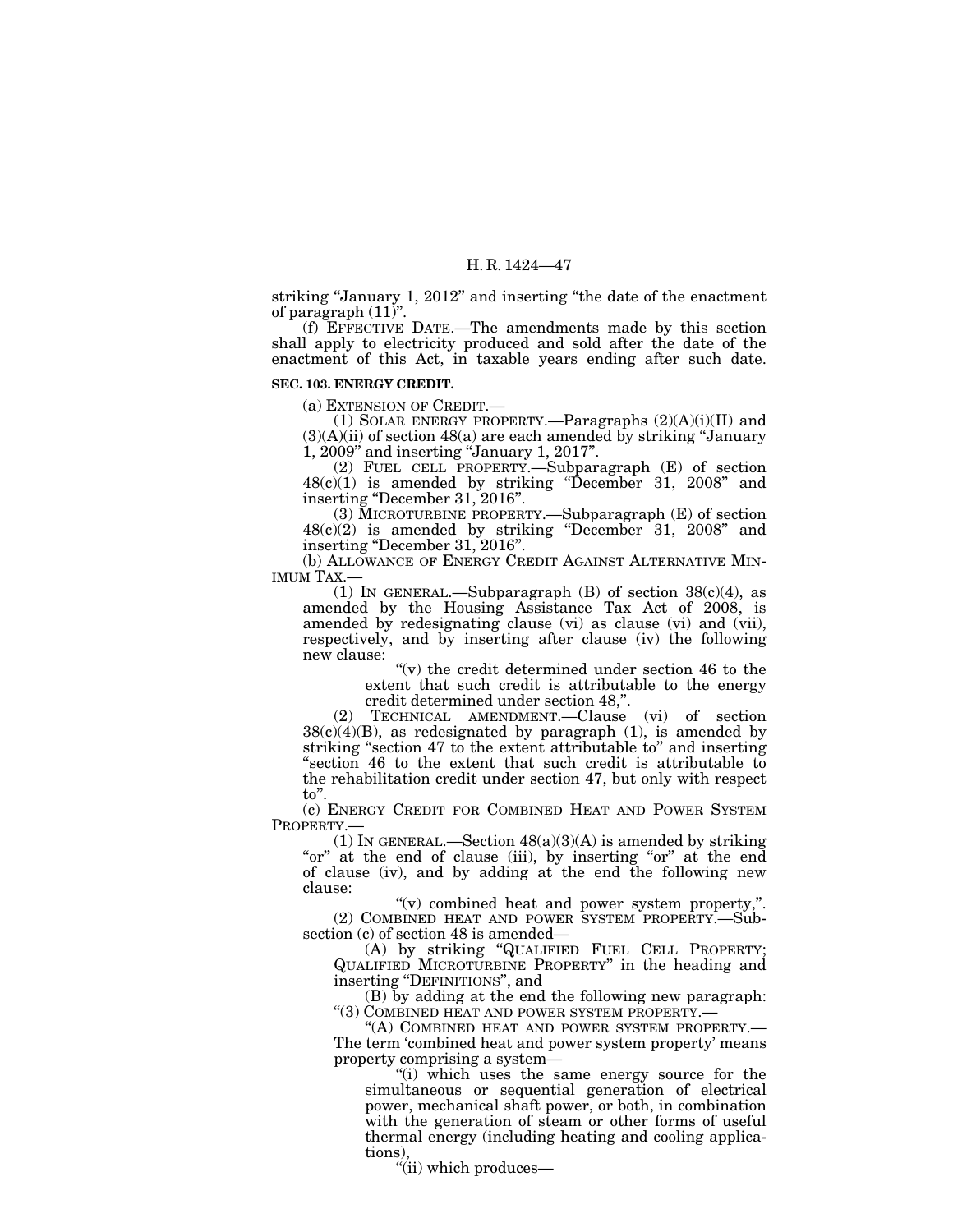striking "January 1, 2012" and inserting "the date of the enactment of paragraph  $(11)$ ".

(f) EFFECTIVE DATE.—The amendments made by this section shall apply to electricity produced and sold after the date of the enactment of this Act, in taxable years ending after such date.

# **SEC. 103. ENERGY CREDIT.**

(a) EXTENSION OF CREDIT.—

(1) SOLAR ENERGY PROPERTY.—Paragraphs  $(2)(A)(i)(II)$  and  $(3)(A)(ii)$  of section  $48(a)$  are each amended by striking "January" 1, 2009'' and inserting ''January 1, 2017''.

(2) FUEL CELL PROPERTY.—Subparagraph (E) of section  $48(c)(1)$  is amended by striking "December 31, 2008" and inserting "December 31, 2016".

(3) MICROTURBINE PROPERTY.—Subparagraph (E) of section 48(c)(2) is amended by striking ''December 31, 2008'' and inserting ''December 31, 2016''.

(b) ALLOWANCE OF ENERGY CREDIT AGAINST ALTERNATIVE MIN-IMUM TAX.—

(1) IN GENERAL.—Subparagraph  $(B)$  of section  $38(c)(4)$ , as amended by the Housing Assistance Tax Act of 2008, is amended by redesignating clause (vi) as clause (vi) and (vii), respectively, and by inserting after clause (iv) the following new clause:

> " $(v)$  the credit determined under section 46 to the extent that such credit is attributable to the energy credit determined under section 48,''.

(2) TECHNICAL AMENDMENT.—Clause (vi) of section  $38(c)(4)(B)$ , as redesignated by paragraph  $(1)$ , is amended by striking ''section 47 to the extent attributable to'' and inserting ''section 46 to the extent that such credit is attributable to the rehabilitation credit under section 47, but only with respect to''.

(c) ENERGY CREDIT FOR COMBINED HEAT AND POWER SYSTEM PROPERTY.—

(1) IN GENERAL.—Section  $48(a)(3)(A)$  is amended by striking "or" at the end of clause (iii), by inserting "or" at the end of clause (iv), and by adding at the end the following new clause:

''(v) combined heat and power system property,''. (2) COMBINED HEAT AND POWER SYSTEM PROPERTY.—Subsection (c) of section 48 is amended—

(A) by striking ''QUALIFIED FUEL CELL PROPERTY; QUALIFIED MICROTURBINE PROPERTY'' in the heading and inserting ''DEFINITIONS'', and

(B) by adding at the end the following new paragraph: ''(3) COMBINED HEAT AND POWER SYSTEM PROPERTY.—

''(A) COMBINED HEAT AND POWER SYSTEM PROPERTY.— The term 'combined heat and power system property' means property comprising a system—

''(i) which uses the same energy source for the simultaneous or sequential generation of electrical power, mechanical shaft power, or both, in combination with the generation of steam or other forms of useful thermal energy (including heating and cooling applications),

''(ii) which produces—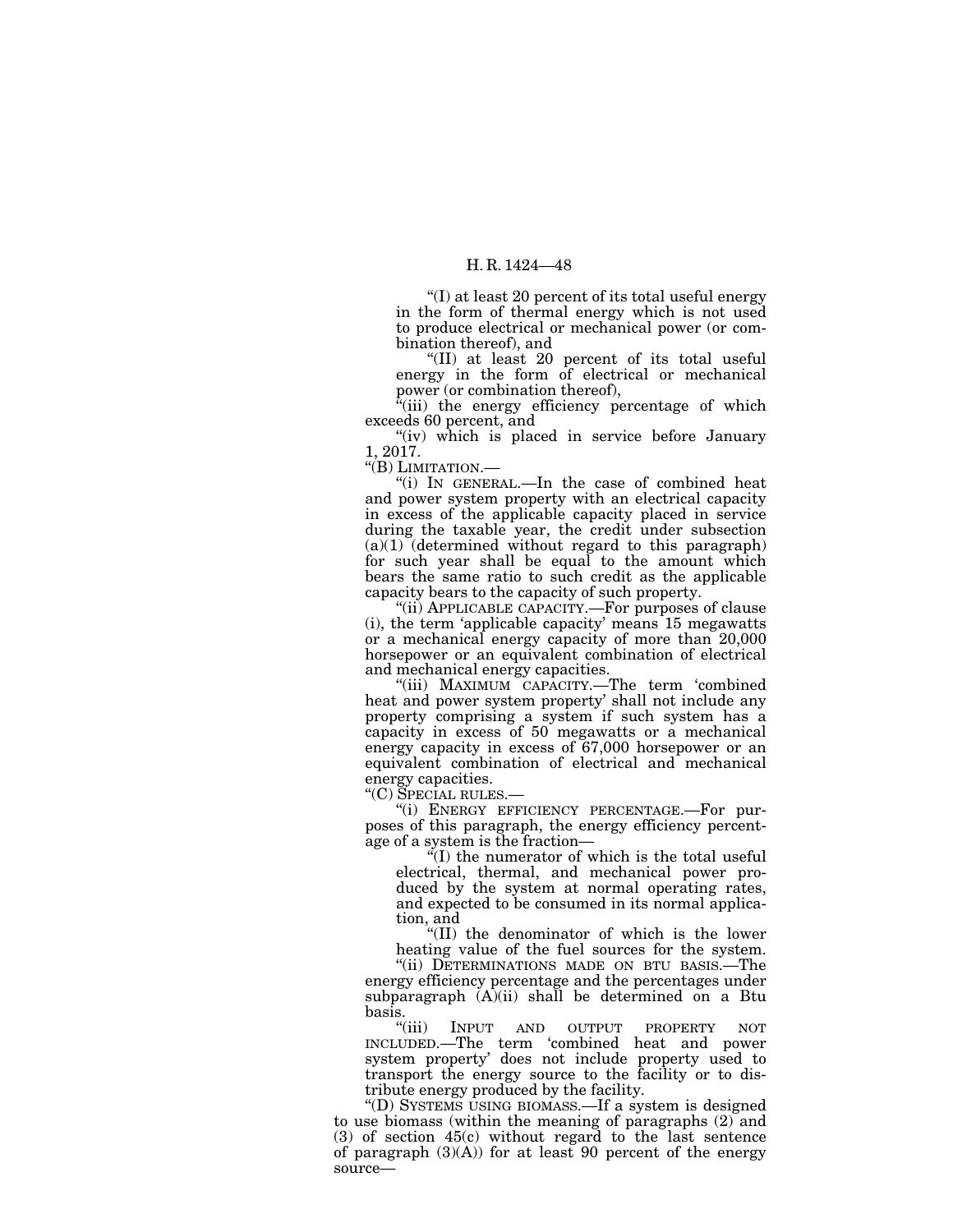''(I) at least 20 percent of its total useful energy in the form of thermal energy which is not used to produce electrical or mechanical power (or combination thereof), and

''(II) at least 20 percent of its total useful energy in the form of electrical or mechanical power (or combination thereof),

''(iii) the energy efficiency percentage of which exceeds 60 percent, and

"(iv) which is placed in service before January 1, 2017.

"(B) LIMITATION.—

''(i) IN GENERAL.—In the case of combined heat and power system property with an electrical capacity in excess of the applicable capacity placed in service during the taxable year, the credit under subsection  $(a)(1)$  (determined without regard to this paragraph) for such year shall be equal to the amount which bears the same ratio to such credit as the applicable capacity bears to the capacity of such property.

''(ii) APPLICABLE CAPACITY.—For purposes of clause (i), the term 'applicable capacity' means 15 megawatts or a mechanical energy capacity of more than 20,000 horsepower or an equivalent combination of electrical and mechanical energy capacities.

''(iii) MAXIMUM CAPACITY.—The term 'combined heat and power system property' shall not include any property comprising a system if such system has a capacity in excess of 50 megawatts or a mechanical energy capacity in excess of 67,000 horsepower or an equivalent combination of electrical and mechanical energy capacities.

''(C) SPECIAL RULES.—

''(i) ENERGY EFFICIENCY PERCENTAGE.—For purposes of this paragraph, the energy efficiency percentage of a system is the fraction—

''(I) the numerator of which is the total useful electrical, thermal, and mechanical power produced by the system at normal operating rates, and expected to be consumed in its normal application, and

''(II) the denominator of which is the lower heating value of the fuel sources for the system.

"(ii) DETERMINATIONS MADE ON BTU BASIS.—The energy efficiency percentage and the percentages under subparagraph (A)(ii) shall be determined on a Btu basis.<br>(iii)<sup>\*</sup>

"(iii) INPUT AND OUTPUT PROPERTY NOT INCLUDED.—The term 'combined heat and power system property' does not include property used to transport the energy source to the facility or to distribute energy produced by the facility.

''(D) SYSTEMS USING BIOMASS.—If a system is designed to use biomass (within the meaning of paragraphs (2) and (3) of section 45(c) without regard to the last sentence of paragraph  $(3)(A)$  for at least 90 percent of the energy source—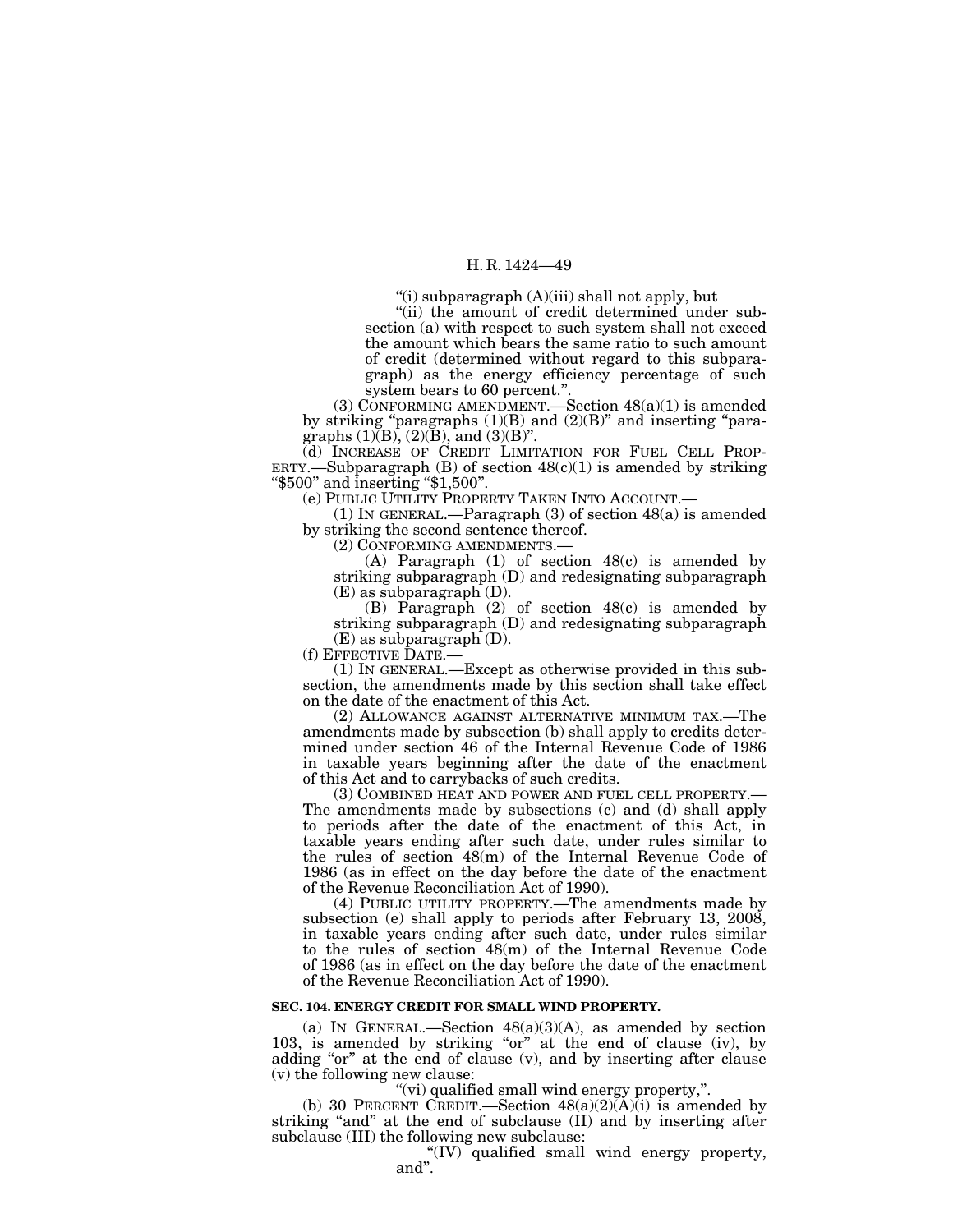''(i) subparagraph (A)(iii) shall not apply, but

"(ii) the amount of credit determined under subsection (a) with respect to such system shall not exceed the amount which bears the same ratio to such amount of credit (determined without regard to this subparagraph) as the energy efficiency percentage of such system bears to 60 percent.''.

(3) CONFORMING AMENDMENT.—Section  $48(a)(1)$  is amended by striking "paragraphs  $(1)(B)$  and  $(2)(B)$ " and inserting "paragraphs  $(1)(B)$ ,  $(2)(\bar{B})$ , and  $(3)(B)$ ".

(d) INCREASE OF CREDIT LIMITATION FOR FUEL CELL PROP-ERTY.—Subparagraph (B) of section  $48(c)(1)$  is amended by striking ''\$500'' and inserting ''\$1,500''.

(e) PUBLIC UTILITY PROPERTY TAKEN INTO ACCOUNT.—

(1) IN GENERAL.—Paragraph  $(3)$  of section  $48(a)$  is amended by striking the second sentence thereof.

(2) CONFORMING AMENDMENTS.—

(A) Paragraph (1) of section 48(c) is amended by striking subparagraph (D) and redesignating subparagraph (E) as subparagraph (D).

(B) Paragraph (2) of section 48(c) is amended by striking subparagraph (D) and redesignating subparagraph (E) as subparagraph (D).

(f) EFFECTIVE DATE.—

(1) IN GENERAL.—Except as otherwise provided in this subsection, the amendments made by this section shall take effect on the date of the enactment of this Act.

(2) ALLOWANCE AGAINST ALTERNATIVE MINIMUM TAX.—The amendments made by subsection (b) shall apply to credits determined under section 46 of the Internal Revenue Code of 1986 in taxable years beginning after the date of the enactment of this Act and to carrybacks of such credits.

(3) COMBINED HEAT AND POWER AND FUEL CELL PROPERTY.— The amendments made by subsections (c) and (d) shall apply to periods after the date of the enactment of this Act, in taxable years ending after such date, under rules similar to the rules of section 48(m) of the Internal Revenue Code of 1986 (as in effect on the day before the date of the enactment of the Revenue Reconciliation Act of 1990).

(4) PUBLIC UTILITY PROPERTY.—The amendments made by subsection (e) shall apply to periods after February 13, 2008, in taxable years ending after such date, under rules similar to the rules of section 48(m) of the Internal Revenue Code of 1986 (as in effect on the day before the date of the enactment of the Revenue Reconciliation Act of 1990).

#### **SEC. 104. ENERGY CREDIT FOR SMALL WIND PROPERTY.**

(a) IN GENERAL.—Section  $48(a)(3)(A)$ , as amended by section 103, is amended by striking "or" at the end of clause (iv), by adding "or" at the end of clause (v), and by inserting after clause (v) the following new clause:

''(vi) qualified small wind energy property,''.

(b) 30 PERCENT CREDIT.—Section  $48(a)(2)(\tilde{A})(i)$  is amended by striking "and" at the end of subclause (II) and by inserting after subclause (III) the following new subclause:

"(IV) qualified small wind energy property, and''.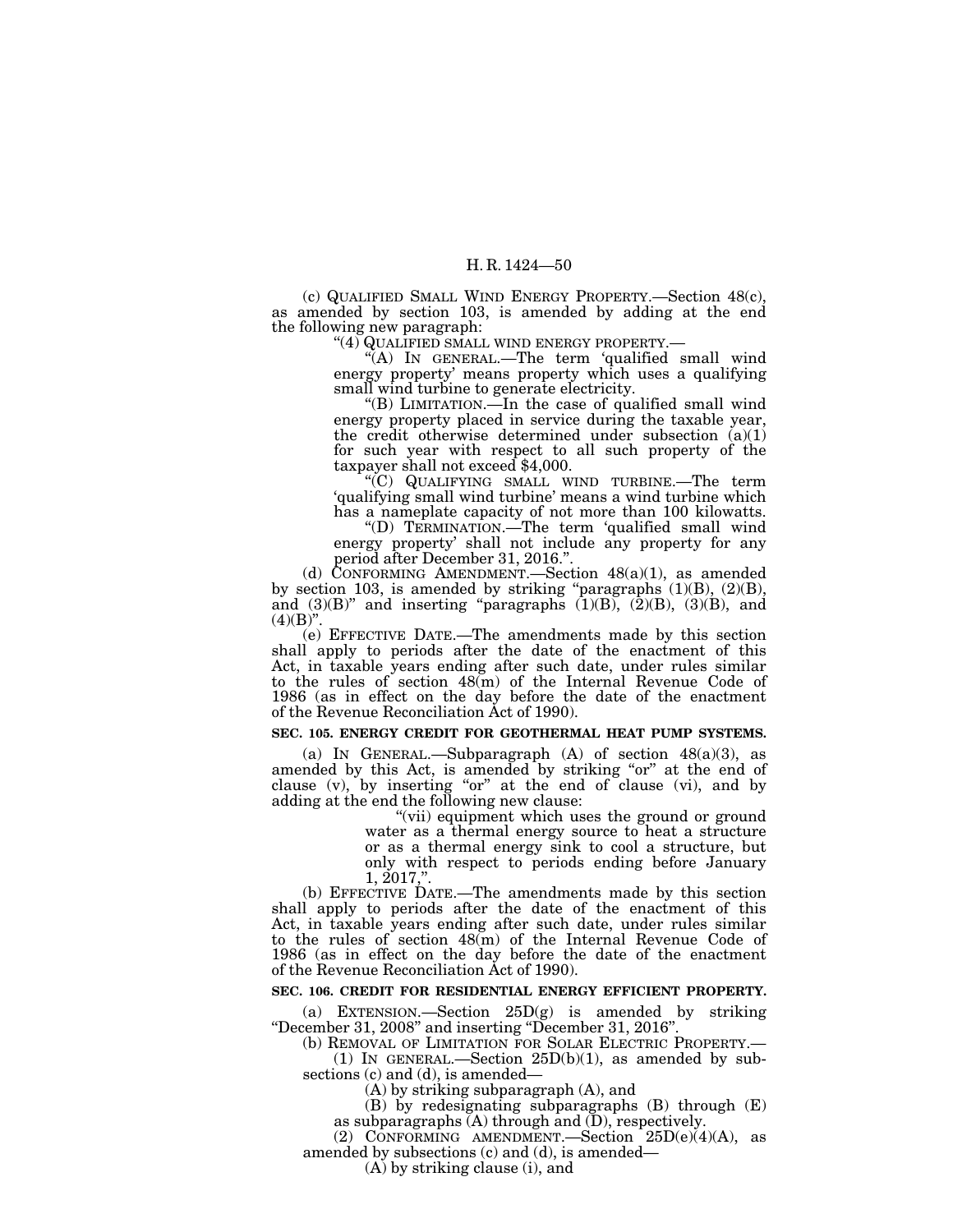(c) QUALIFIED SMALL WIND ENERGY PROPERTY.—Section 48(c), as amended by section 103, is amended by adding at the end the following new paragraph:<br>"(4) QUALIFIED SMALL WIND ENERGY PROPERTY.—

"(A) IN GENERAL.—The term 'qualified small wind energy property' means property which uses a qualifying small wind turbine to generate electricity.

''(B) LIMITATION.—In the case of qualified small wind energy property placed in service during the taxable year, the credit otherwise determined under subsection  $(a)(1)$ for such year with respect to all such property of the taxpayer shall not exceed \$4,000.

''(C) QUALIFYING SMALL WIND TURBINE.—The term 'qualifying small wind turbine' means a wind turbine which has a nameplate capacity of not more than 100 kilowatts.

''(D) TERMINATION.—The term 'qualified small wind energy property' shall not include any property for any period after December 31, 2016.''.

(d) CONFORMING AMENDMENT. Section  $48(a)(1)$ , as amended by section 103, is amended by striking "paragraphs  $(1)(B)$ ,  $(2)(B)$ , and  $(3)(B)$ " and inserting "paragraphs  $(1)(B)$ ,  $(2)(B)$ ,  $(3)(B)$ , and  $(4)(B)$ ".

(e) EFFECTIVE DATE.—The amendments made by this section shall apply to periods after the date of the enactment of this Act, in taxable years ending after such date, under rules similar to the rules of section 48(m) of the Internal Revenue Code of 1986 (as in effect on the day before the date of the enactment of the Revenue Reconciliation Act of 1990).

#### **SEC. 105. ENERGY CREDIT FOR GEOTHERMAL HEAT PUMP SYSTEMS.**

(a) IN GENERAL.—Subparagraph  $(A)$  of section  $48(a)(3)$ , as amended by this Act, is amended by striking "or" at the end of clause  $(v)$ , by inserting "or" at the end of clause  $(vi)$ , and by adding at the end the following new clause:

''(vii) equipment which uses the ground or ground water as a thermal energy source to heat a structure or as a thermal energy sink to cool a structure, but only with respect to periods ending before January  $1, 2017,$ 

(b) EFFECTIVE DATE.—The amendments made by this section shall apply to periods after the date of the enactment of this Act, in taxable years ending after such date, under rules similar to the rules of section 48(m) of the Internal Revenue Code of 1986 (as in effect on the day before the date of the enactment of the Revenue Reconciliation Act of 1990).

#### **SEC. 106. CREDIT FOR RESIDENTIAL ENERGY EFFICIENT PROPERTY.**

(a) EXTENSION.—Section 25D(g) is amended by striking ''December 31, 2008'' and inserting ''December 31, 2016''.

(b) REMOVAL OF LIMITATION FOR SOLAR ELECTRIC PROPERTY.—

(1) IN GENERAL.—Section  $25D(b)(1)$ , as amended by subsections (c) and (d), is amended—

(A) by striking subparagraph (A), and

(B) by redesignating subparagraphs (B) through (E) as subparagraphs  $(A)$  through and  $(D)$ , respectively.

(2) CONFORMING AMENDMENT.—Section  $25D(e)(4)(A)$ , as amended by subsections (c) and (d), is amended—

(A) by striking clause (i), and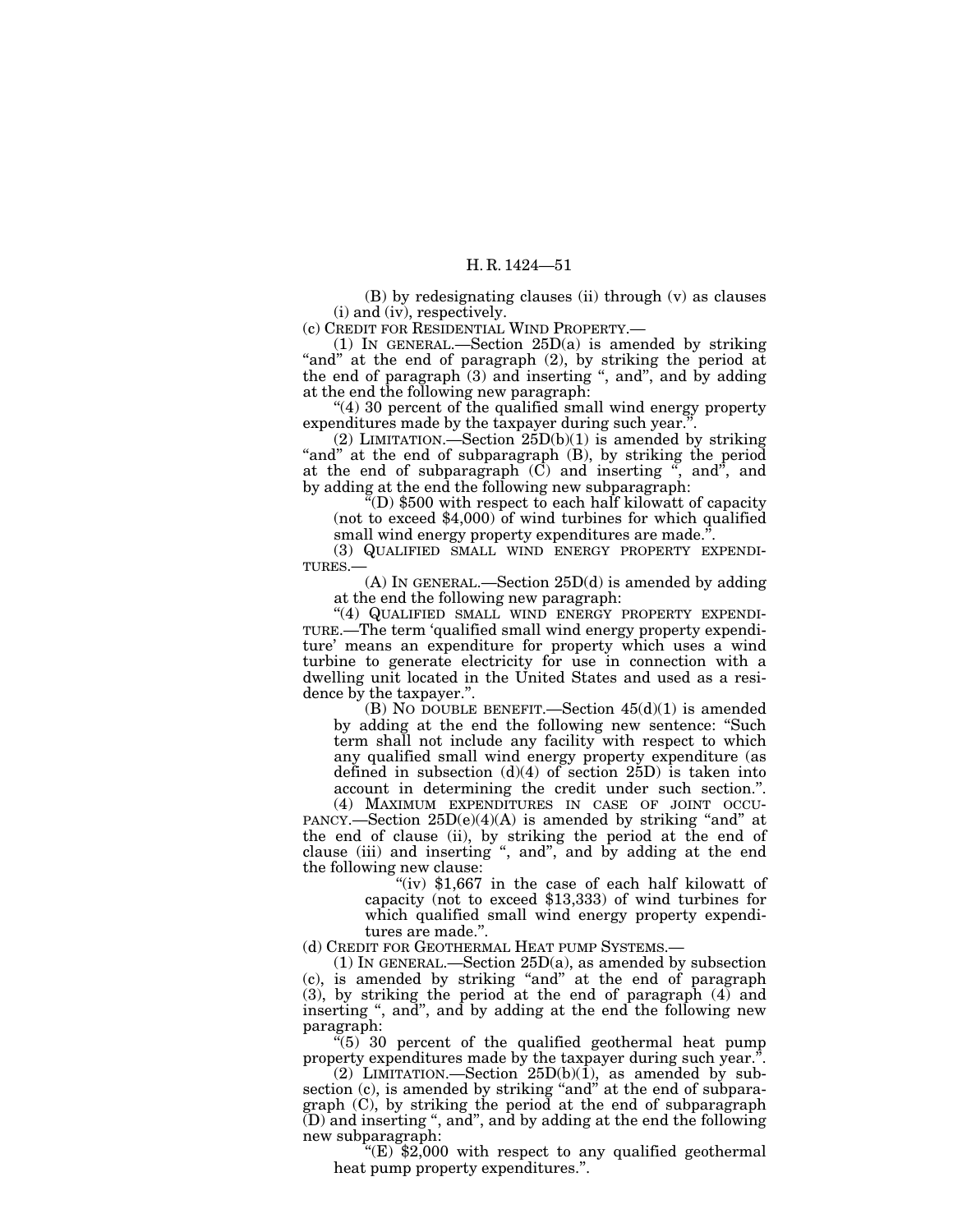(B) by redesignating clauses (ii) through (v) as clauses (i) and (iv), respectively.

(c) CREDIT FOR RESIDENTIAL WIND PROPERTY.—

(1) IN GENERAL.—Section 25D(a) is amended by striking "and" at the end of paragraph  $(2)$ , by striking the period at the end of paragraph (3) and inserting ", and", and by adding at the end the following new paragraph:

''(4) 30 percent of the qualified small wind energy property expenditures made by the taxpayer during such year."

(2) LIMITATION.—Section  $25D(b)(1)$  is amended by striking "and" at the end of subparagraph (B), by striking the period at the end of subparagraph  $(\tilde{C})$  and inserting ", and", and by adding at the end the following new subparagraph:

''(D) \$500 with respect to each half kilowatt of capacity (not to exceed \$4,000) of wind turbines for which qualified small wind energy property expenditures are made.''.

(3) QUALIFIED SMALL WIND ENERGY PROPERTY EXPENDI-TURES.—

(A) IN GENERAL.—Section 25D(d) is amended by adding at the end the following new paragraph:

"(4) QUALIFIED SMALL WIND ENERGY PROPERTY EXPENDI-TURE.—The term 'qualified small wind energy property expenditure' means an expenditure for property which uses a wind turbine to generate electricity for use in connection with a dwelling unit located in the United States and used as a residence by the taxpayer.''.

(B) NO DOUBLE BENEFIT.—Section 45(d)(1) is amended by adding at the end the following new sentence: ''Such term shall not include any facility with respect to which any qualified small wind energy property expenditure (as defined in subsection  $(d)(4)$  of section 25D) is taken into account in determining the credit under such section.''.

(4) MAXIMUM EXPENDITURES IN CASE OF JOINT OCCU-PANCY.—Section  $25D(e)(4)(A)$  is amended by striking "and" at the end of clause (ii), by striking the period at the end of clause (iii) and inserting '', and'', and by adding at the end the following new clause:

"(iv)  $$1,667$  in the case of each half kilowatt of capacity (not to exceed \$13,333) of wind turbines for which qualified small wind energy property expenditures are made.''.

(d) CREDIT FOR GEOTHERMAL HEAT PUMP SYSTEMS.—

(1) IN GENERAL.—Section 25D(a), as amended by subsection (c), is amended by striking ''and'' at the end of paragraph (3), by striking the period at the end of paragraph (4) and inserting ", and", and by adding at the end the following new paragraph:

''(5) 30 percent of the qualified geothermal heat pump property expenditures made by the taxpayer during such year."

(2) LIMITATION.—Section  $25D(b)(1)$ , as amended by subsection (c), is amended by striking "and" at the end of subparagraph (C), by striking the period at the end of subparagraph (D) and inserting '', and'', and by adding at the end the following new subparagraph:

" $(E)$  \$2,000 with respect to any qualified geothermal heat pump property expenditures.''.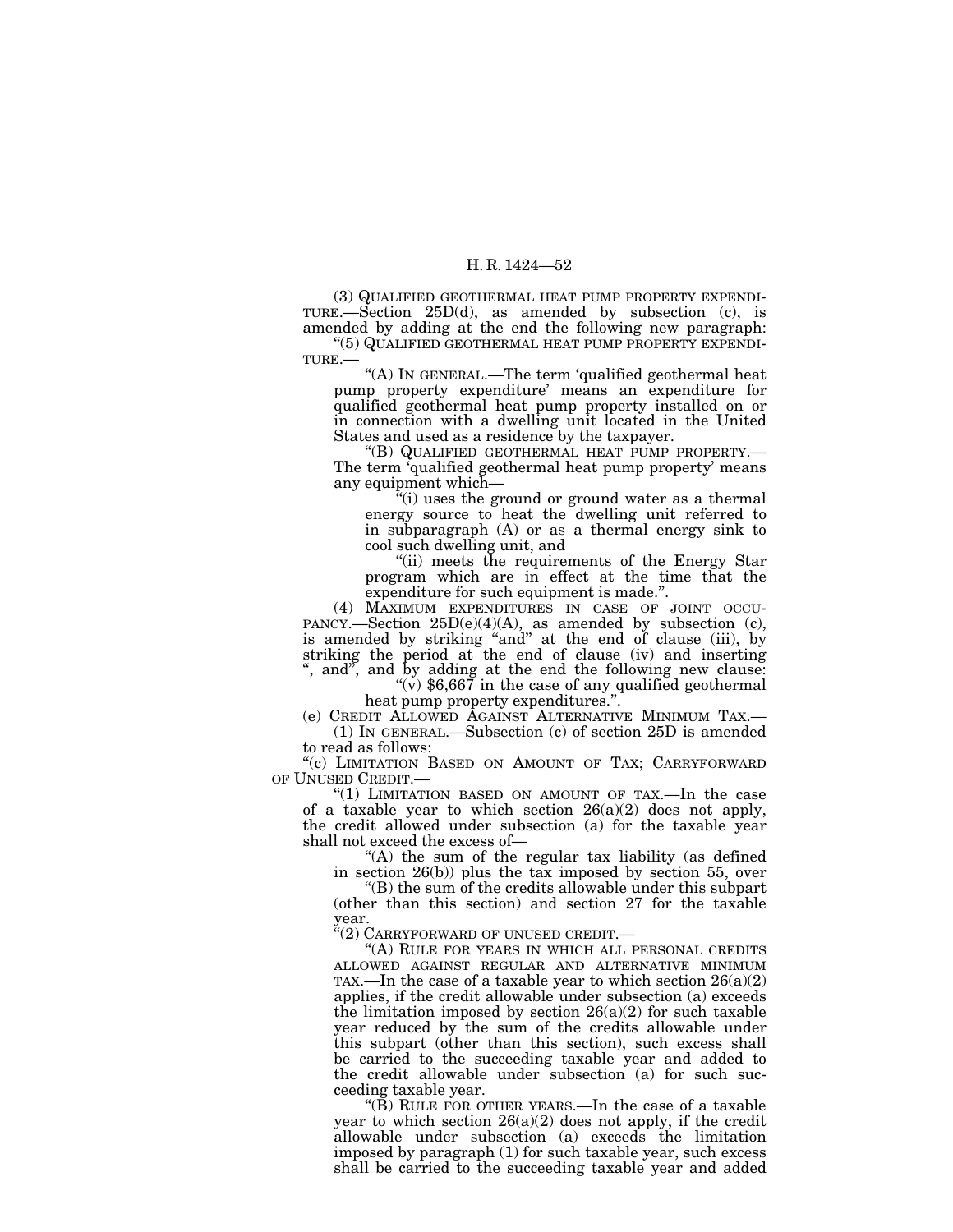(3) QUALIFIED GEOTHERMAL HEAT PUMP PROPERTY EXPENDI-TURE.—Section 25D(d), as amended by subsection (c), is amended by adding at the end the following new paragraph:

''(5) QUALIFIED GEOTHERMAL HEAT PUMP PROPERTY EXPENDI-TURE.—

''(A) IN GENERAL.—The term 'qualified geothermal heat pump property expenditure' means an expenditure for qualified geothermal heat pump property installed on or in connection with a dwelling unit located in the United States and used as a residence by the taxpayer.

''(B) QUALIFIED GEOTHERMAL HEAT PUMP PROPERTY.— The term 'qualified geothermal heat pump property' means any equipment which—

"(i) uses the ground or ground water as a thermal energy source to heat the dwelling unit referred to in subparagraph (A) or as a thermal energy sink to cool such dwelling unit, and

''(ii) meets the requirements of the Energy Star program which are in effect at the time that the expenditure for such equipment is made.''.

(4) MAXIMUM EXPENDITURES IN CASE OF JOINT OCCU-PANCY.—Section  $25D(e)(4)(A)$ , as amended by subsection (c), is amended by striking "and" at the end of clause (iii), by striking the period at the end of clause (iv) and inserting ", and", and by adding at the end the following new clause:

" $(v)$  \$6,667 in the case of any qualified geothermal heat pump property expenditures.''.

(e) CREDIT ALLOWED AGAINST ALTERNATIVE MINIMUM TAX.— (1) IN GENERAL.—Subsection (c) of section 25D is amended

to read as follows:

"(c) LIMITATION BASED ON AMOUNT OF TAX; CARRYFORWARD OF UNUSED CREDIT.—

"(1) LIMITATION BASED ON AMOUNT OF TAX.—In the case of a taxable year to which section  $26(a)(2)$  does not apply, the credit allowed under subsection (a) for the taxable year shall not exceed the excess of—

''(A) the sum of the regular tax liability (as defined in section 26(b)) plus the tax imposed by section 55, over

''(B) the sum of the credits allowable under this subpart (other than this section) and section 27 for the taxable year.

''(2) CARRYFORWARD OF UNUSED CREDIT.—

''(A) RULE FOR YEARS IN WHICH ALL PERSONAL CREDITS ALLOWED AGAINST REGULAR AND ALTERNATIVE MINIMUM TAX.—In the case of a taxable year to which section  $26(a)(2)$ applies, if the credit allowable under subsection (a) exceeds the limitation imposed by section  $26(a)(2)$  for such taxable year reduced by the sum of the credits allowable under this subpart (other than this section), such excess shall be carried to the succeeding taxable year and added to the credit allowable under subsection (a) for such succeeding taxable year.

''(B) RULE FOR OTHER YEARS.—In the case of a taxable year to which section  $26(a)(2)$  does not apply, if the credit allowable under subsection (a) exceeds the limitation imposed by paragraph (1) for such taxable year, such excess shall be carried to the succeeding taxable year and added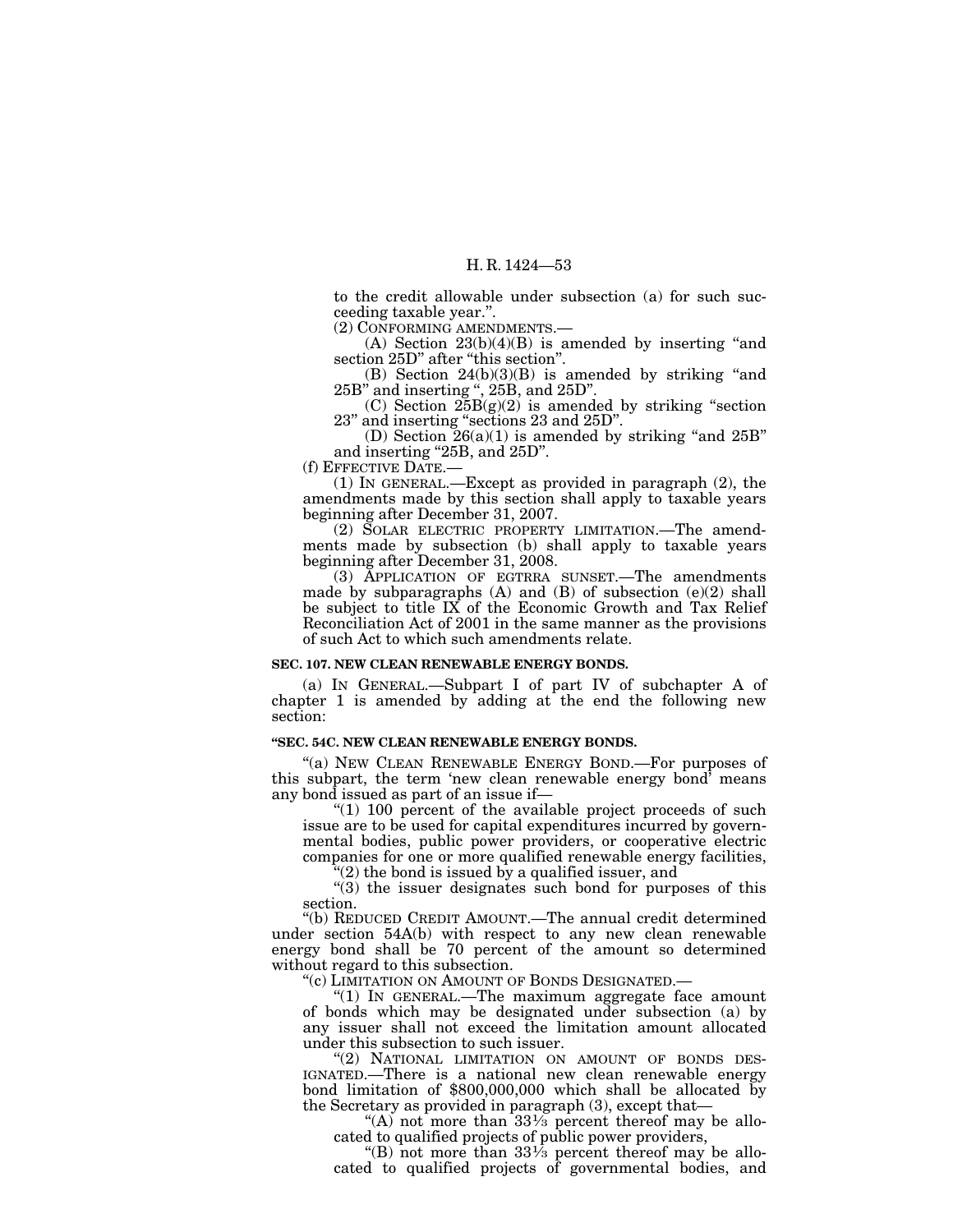to the credit allowable under subsection (a) for such succeeding taxable year.''.

(2) CONFORMING AMENDMENTS.—

 $(A)$  Section  $23(b)(4)(B)$  is amended by inserting "and section 25D" after "this section".

(B) Section  $24(b)(3)(B)$  is amended by striking "and  $25B"$  and inserting ",  $25B$ , and  $25D"$ .

 $(C)$  Section  $25B(g)(2)$  is amended by striking "section" 23'' and inserting ''sections 23 and 25D''.

(D) Section  $26(a)(1)$  is amended by striking "and  $25B$ " and inserting "25B, and 25D".

(f) EFFECTIVE DATE.—

(1) IN GENERAL.—Except as provided in paragraph (2), the amendments made by this section shall apply to taxable years beginning after December 31, 2007.

(2) SOLAR ELECTRIC PROPERTY LIMITATION.—The amendments made by subsection (b) shall apply to taxable years beginning after December 31, 2008.

(3) APPLICATION OF EGTRRA SUNSET.—The amendments made by subparagraphs (A) and (B) of subsection (e)(2) shall be subject to title IX of the Economic Growth and Tax Relief Reconciliation Act of 2001 in the same manner as the provisions of such Act to which such amendments relate.

#### **SEC. 107. NEW CLEAN RENEWABLE ENERGY BONDS.**

(a) IN GENERAL.—Subpart I of part IV of subchapter A of chapter 1 is amended by adding at the end the following new section:

## **''SEC. 54C. NEW CLEAN RENEWABLE ENERGY BONDS.**

"(a) NEW CLEAN RENEWABLE ENERGY BOND.—For purposes of this subpart, the term 'new clean renewable energy bond' means any bond issued as part of an issue if—

"(1) 100 percent of the available project proceeds of such issue are to be used for capital expenditures incurred by governmental bodies, public power providers, or cooperative electric companies for one or more qualified renewable energy facilities,

 $(2)$  the bond is issued by a qualified issuer, and

''(3) the issuer designates such bond for purposes of this section.

''(b) REDUCED CREDIT AMOUNT.—The annual credit determined under section 54A(b) with respect to any new clean renewable energy bond shall be 70 percent of the amount so determined without regard to this subsection.

''(c) LIMITATION ON AMOUNT OF BONDS DESIGNATED.—

"(1) In GENERAL.—The maximum aggregate face amount of bonds which may be designated under subsection (a) by any issuer shall not exceed the limitation amount allocated under this subsection to such issuer.

"(2) NATIONAL LIMITATION ON AMOUNT OF BONDS DES-IGNATED.—There is a national new clean renewable energy bond limitation of \$800,000,000 which shall be allocated by the Secretary as provided in paragraph (3), except that—

"(A) not more than  $33\frac{1}{3}$  percent thereof may be allocated to qualified projects of public power providers,

"(B) not more than  $33\frac{1}{3}$  percent thereof may be allocated to qualified projects of governmental bodies, and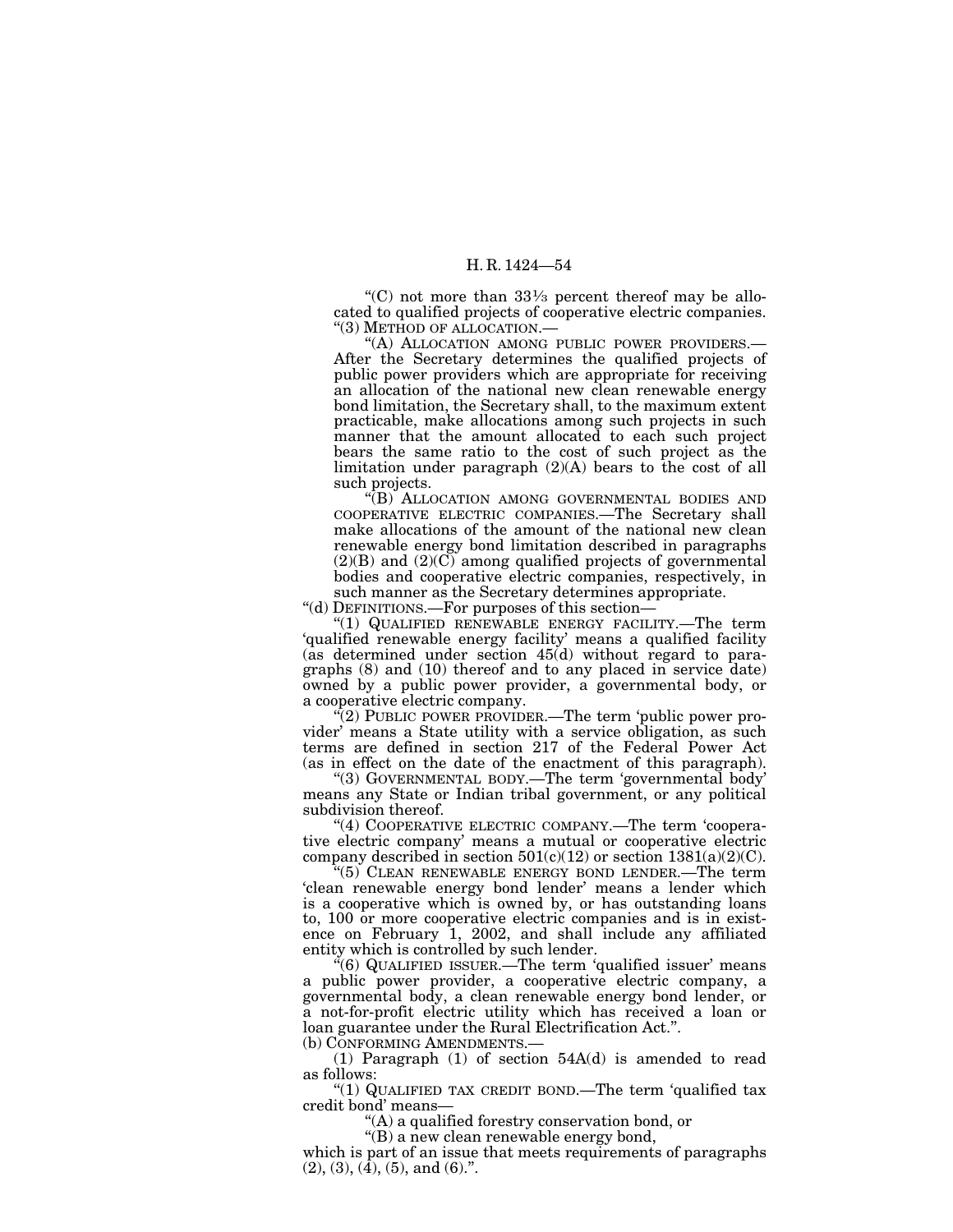"(C) not more than  $33\frac{1}{3}$  percent thereof may be allocated to qualified projects of cooperative electric companies. ''(3) METHOD OF ALLOCATION.—

''(A) ALLOCATION AMONG PUBLIC POWER PROVIDERS.— After the Secretary determines the qualified projects of public power providers which are appropriate for receiving an allocation of the national new clean renewable energy bond limitation, the Secretary shall, to the maximum extent practicable, make allocations among such projects in such manner that the amount allocated to each such project bears the same ratio to the cost of such project as the limitation under paragraph (2)(A) bears to the cost of all such projects.

"(B) ALLOCATION AMONG GOVERNMENTAL BODIES AND COOPERATIVE ELECTRIC COMPANIES.—The Secretary shall make allocations of the amount of the national new clean renewable energy bond limitation described in paragraphs  $(2)(B)$  and  $(2)(C)$  among qualified projects of governmental bodies and cooperative electric companies, respectively, in such manner as the Secretary determines appropriate.

''(d) DEFINITIONS.—For purposes of this section—

"(1) QUALIFIED RENEWABLE ENERGY FACILITY.—The term 'qualified renewable energy facility' means a qualified facility (as determined under section 45(d) without regard to paragraphs (8) and (10) thereof and to any placed in service date) owned by a public power provider, a governmental body, or a cooperative electric company.

"(2) PUBLIC POWER PROVIDER.—The term 'public power provider' means a State utility with a service obligation, as such terms are defined in section 217 of the Federal Power Act (as in effect on the date of the enactment of this paragraph).

''(3) GOVERNMENTAL BODY.—The term 'governmental body' means any State or Indian tribal government, or any political subdivision thereof.

"(4) COOPERATIVE ELECTRIC COMPANY.—The term 'cooperative electric company' means a mutual or cooperative electric company described in section  $501(c)(12)$  or section  $1381(a)(2)(C)$ .

''(5) CLEAN RENEWABLE ENERGY BOND LENDER.—The term 'clean renewable energy bond lender' means a lender which is a cooperative which is owned by, or has outstanding loans to, 100 or more cooperative electric companies and is in existence on February 1, 2002, and shall include any affiliated entity which is controlled by such lender.

 $\cdot$ <sup>"(6)</sup> QUALIFIED ISSUER.—The term 'qualified issuer' means a public power provider, a cooperative electric company, a governmental body, a clean renewable energy bond lender, or a not-for-profit electric utility which has received a loan or loan guarantee under the Rural Electrification Act.''. (b) CONFORMING AMENDMENTS.

(1) Paragraph (1) of section 54A(d) is amended to read as follows:

"(1) QUALIFIED TAX CREDIT BOND.—The term 'qualified tax credit bond' means—

''(A) a qualified forestry conservation bond, or

''(B) a new clean renewable energy bond,

which is part of an issue that meets requirements of paragraphs  $(2), (3), (\overline{4}), (5), \text{ and } (6).$ ".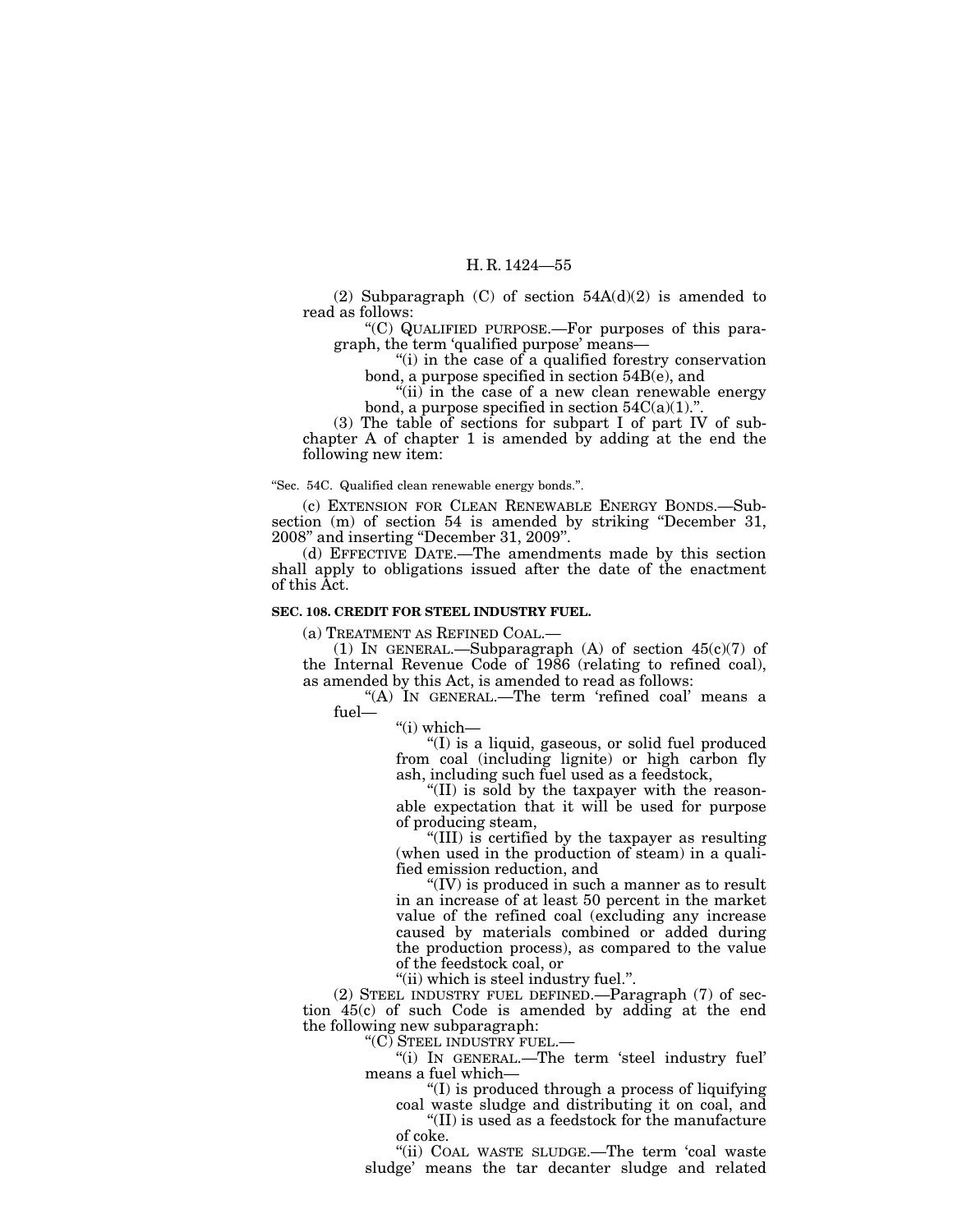(2) Subparagraph (C) of section  $54A(d)(2)$  is amended to read as follows:

"(C) QUALIFIED PURPOSE.—For purposes of this paragraph, the term 'qualified purpose' means—

"(i) in the case of a qualified forestry conservation bond, a purpose specified in section 54B(e), and

 $\lim_{h \to 0}$  in the case of a new clean renewable energy bond, a purpose specified in section  $54C(a)(1)$ .".

(3) The table of sections for subpart I of part IV of subchapter A of chapter 1 is amended by adding at the end the following new item:

''Sec. 54C. Qualified clean renewable energy bonds.''.

(c) EXTENSION FOR CLEAN RENEWABLE ENERGY BONDS.—Subsection (m) of section 54 is amended by striking "December 31, 2008'' and inserting ''December 31, 2009''.

(d) EFFECTIVE DATE.—The amendments made by this section shall apply to obligations issued after the date of the enactment of this Act.

#### **SEC. 108. CREDIT FOR STEEL INDUSTRY FUEL.**

(a) TREATMENT AS REFINED COAL.—

(1) IN GENERAL.—Subparagraph (A) of section 45(c)(7) of the Internal Revenue Code of 1986 (relating to refined coal), as amended by this Act, is amended to read as follows:

"(A) IN GENERAL.—The term 'refined coal' means a fuel—

''(i) which—

''(I) is a liquid, gaseous, or solid fuel produced from coal (including lignite) or high carbon fly ash, including such fuel used as a feedstock,

''(II) is sold by the taxpayer with the reasonable expectation that it will be used for purpose of producing steam,

''(III) is certified by the taxpayer as resulting (when used in the production of steam) in a qualified emission reduction, and

''(IV) is produced in such a manner as to result in an increase of at least 50 percent in the market value of the refined coal (excluding any increase caused by materials combined or added during the production process), as compared to the value of the feedstock coal, or

"(ii) which is steel industry fuel.".

(2) STEEL INDUSTRY FUEL DEFINED.—Paragraph (7) of section 45(c) of such Code is amended by adding at the end the following new subparagraph:

"(C) STEEL INDUSTRY FUEL.-

''(i) IN GENERAL.—The term 'steel industry fuel' means a fuel which—

''(I) is produced through a process of liquifying coal waste sludge and distributing it on coal, and

''(II) is used as a feedstock for the manufacture of coke.

''(ii) COAL WASTE SLUDGE.—The term 'coal waste sludge' means the tar decanter sludge and related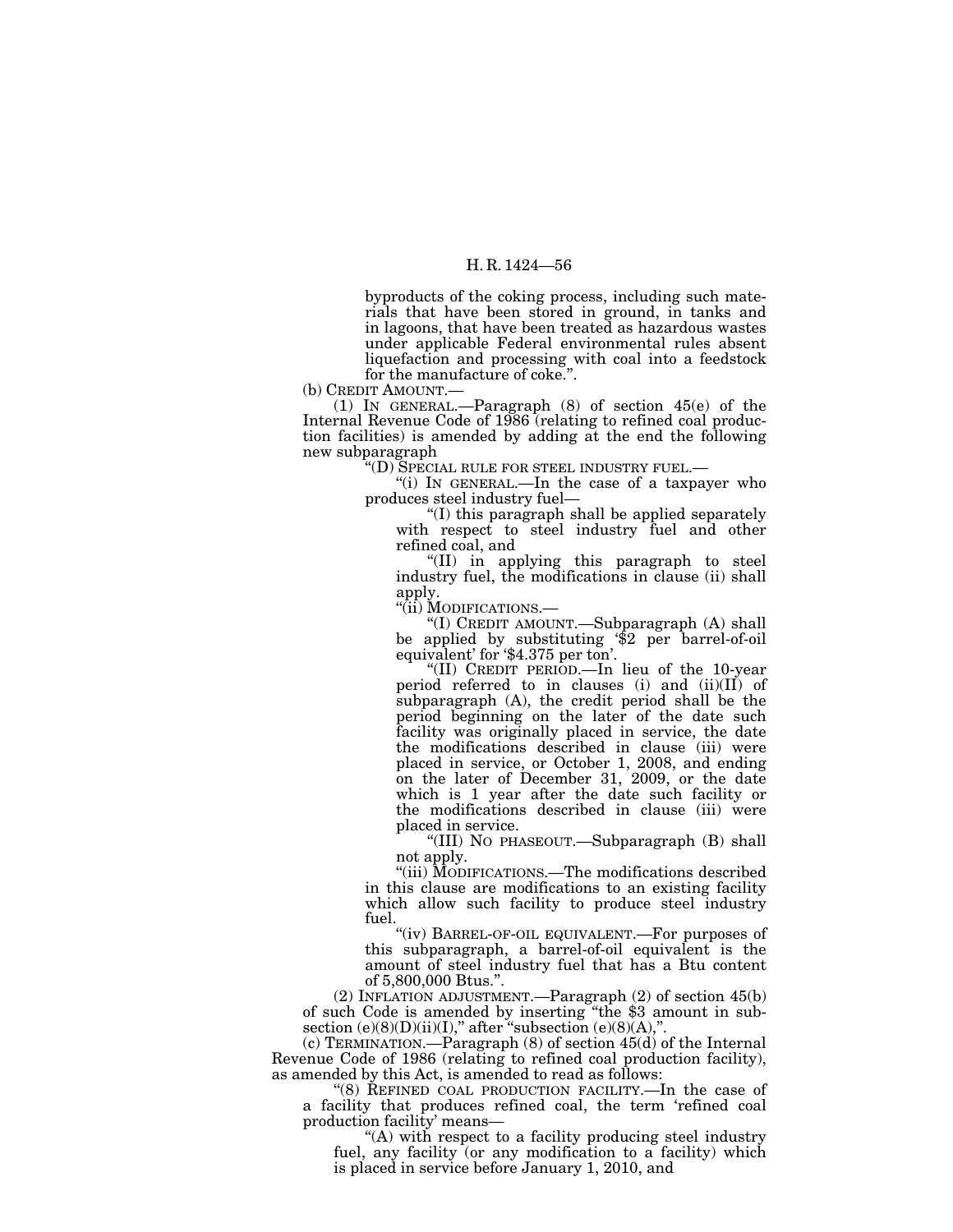byproducts of the coking process, including such materials that have been stored in ground, in tanks and in lagoons, that have been treated as hazardous wastes under applicable Federal environmental rules absent liquefaction and processing with coal into a feedstock for the manufacture of coke.''.

(b) CREDIT AMOUNT.—

(1) IN GENERAL.—Paragraph (8) of section 45(e) of the Internal Revenue Code of 1986 (relating to refined coal production facilities) is amended by adding at the end the following new subparagraph

''(D) SPECIAL RULE FOR STEEL INDUSTRY FUEL.—

''(i) IN GENERAL.—In the case of a taxpayer who produces steel industry fuel—

''(I) this paragraph shall be applied separately with respect to steel industry fuel and other refined coal, and

''(II) in applying this paragraph to steel industry fuel, the modifications in clause (ii) shall apply.

''(ii) MODIFICATIONS.—

''(I) CREDIT AMOUNT.—Subparagraph (A) shall be applied by substituting '\$2 per barrel-of-oil equivalent' for '\$4.375 per ton'.

''(II) CREDIT PERIOD.—In lieu of the 10-year period referred to in clauses (i) and  $(ii)(II)$  of subparagraph (A), the credit period shall be the period beginning on the later of the date such facility was originally placed in service, the date the modifications described in clause (iii) were placed in service, or October 1, 2008, and ending on the later of December 31, 2009, or the date which is 1 year after the date such facility or the modifications described in clause (iii) were placed in service.

''(III) NO PHASEOUT.—Subparagraph (B) shall not apply.

''(iii) MODIFICATIONS.—The modifications described in this clause are modifications to an existing facility which allow such facility to produce steel industry fuel.

"(iv) BARREL-OF-OIL EQUIVALENT.—For purposes of this subparagraph, a barrel-of-oil equivalent is the amount of steel industry fuel that has a Btu content of 5,800,000 Btus.''.

(2) INFLATION ADJUSTMENT.—Paragraph (2) of section 45(b) of such Code is amended by inserting ''the \$3 amount in subsection  $(e)(8)(D)(ii)(I)$ ," after "subsection  $(e)(8)(A)$ ,".

(c) TERMINATION.—Paragraph $(8)$  of section  $45(\mathrm{d})$  of the Internal Revenue Code of 1986 (relating to refined coal production facility), as amended by this Act, is amended to read as follows:

''(8) REFINED COAL PRODUCTION FACILITY.—In the case of a facility that produces refined coal, the term 'refined coal production facility' means—

''(A) with respect to a facility producing steel industry fuel, any facility (or any modification to a facility) which is placed in service before January 1, 2010, and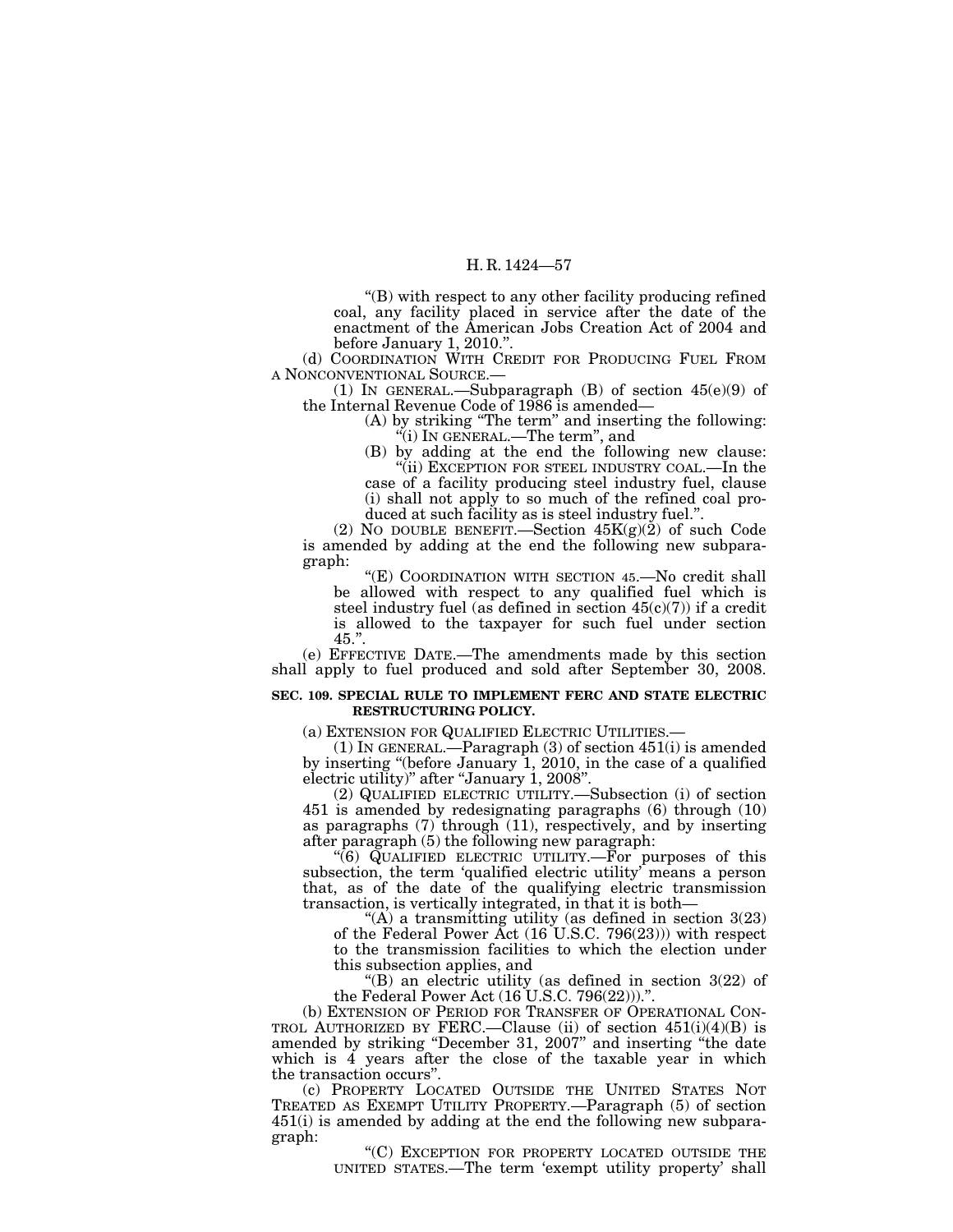''(B) with respect to any other facility producing refined coal, any facility placed in service after the date of the enactment of the American Jobs Creation Act of 2004 and before January 1, 2010.''.

(d) COORDINATION WITH CREDIT FOR PRODUCING FUEL FROM A NONCONVENTIONAL SOURCE.

(1) IN GENERAL.—Subparagraph  $(B)$  of section  $45(e)(9)$  of the Internal Revenue Code of 1986 is amended—

(A) by striking ''The term'' and inserting the following: ''(i) IN GENERAL.—The term'', and

(B) by adding at the end the following new clause: ''(ii) EXCEPTION FOR STEEL INDUSTRY COAL.—In the case of a facility producing steel industry fuel, clause (i) shall not apply to so much of the refined coal pro-

duced at such facility as is steel industry fuel.". (2) NO DOUBLE BENEFIT.—Section  $45K(g)(2)$  of such Code is amended by adding at the end the following new subparagraph:

''(E) COORDINATION WITH SECTION 45.—No credit shall be allowed with respect to any qualified fuel which is steel industry fuel (as defined in section  $45(c)(7)$ ) if a credit is allowed to the taxpayer for such fuel under section 45.''.

(e) EFFECTIVE DATE.—The amendments made by this section shall apply to fuel produced and sold after September 30, 2008.

#### **SEC. 109. SPECIAL RULE TO IMPLEMENT FERC AND STATE ELECTRIC RESTRUCTURING POLICY.**

(a) EXTENSION FOR QUALIFIED ELECTRIC UTILITIES.—

(1) IN GENERAL.—Paragraph (3) of section 451(i) is amended by inserting ''(before January 1, 2010, in the case of a qualified electric utility)'' after ''January 1, 2008''.

(2) QUALIFIED ELECTRIC UTILITY.—Subsection (i) of section 451 is amended by redesignating paragraphs (6) through (10) as paragraphs (7) through (11), respectively, and by inserting after paragraph (5) the following new paragraph:

''(6) QUALIFIED ELECTRIC UTILITY.—For purposes of this subsection, the term 'qualified electric utility' means a person that, as of the date of the qualifying electric transmission transaction, is vertically integrated, in that it is both—

"(A) a transmitting utility (as defined in section  $3(23)$ of the Federal Power Act (16 U.S.C. 796(23))) with respect to the transmission facilities to which the election under this subsection applies, and

"(B) an electric utility (as defined in section  $3(22)$  of the Federal Power Act (16 U.S.C. 796(22))).''.

(b) EXTENSION OF PERIOD FOR TRANSFER OF OPERATIONAL CON- TROL AUTHORIZED BY FERC.—Clause (ii) of section  $451(i)(4)(B)$  is amended by striking ''December 31, 2007'' and inserting ''the date which is 4 years after the close of the taxable year in which the transaction occurs''.

(c) PROPERTY LOCATED OUTSIDE THE UNITED STATES NOT TREATED AS EXEMPT UTILITY PROPERTY.—Paragraph (5) of section 451(i) is amended by adding at the end the following new subparagraph:

> ''(C) EXCEPTION FOR PROPERTY LOCATED OUTSIDE THE UNITED STATES.—The term 'exempt utility property' shall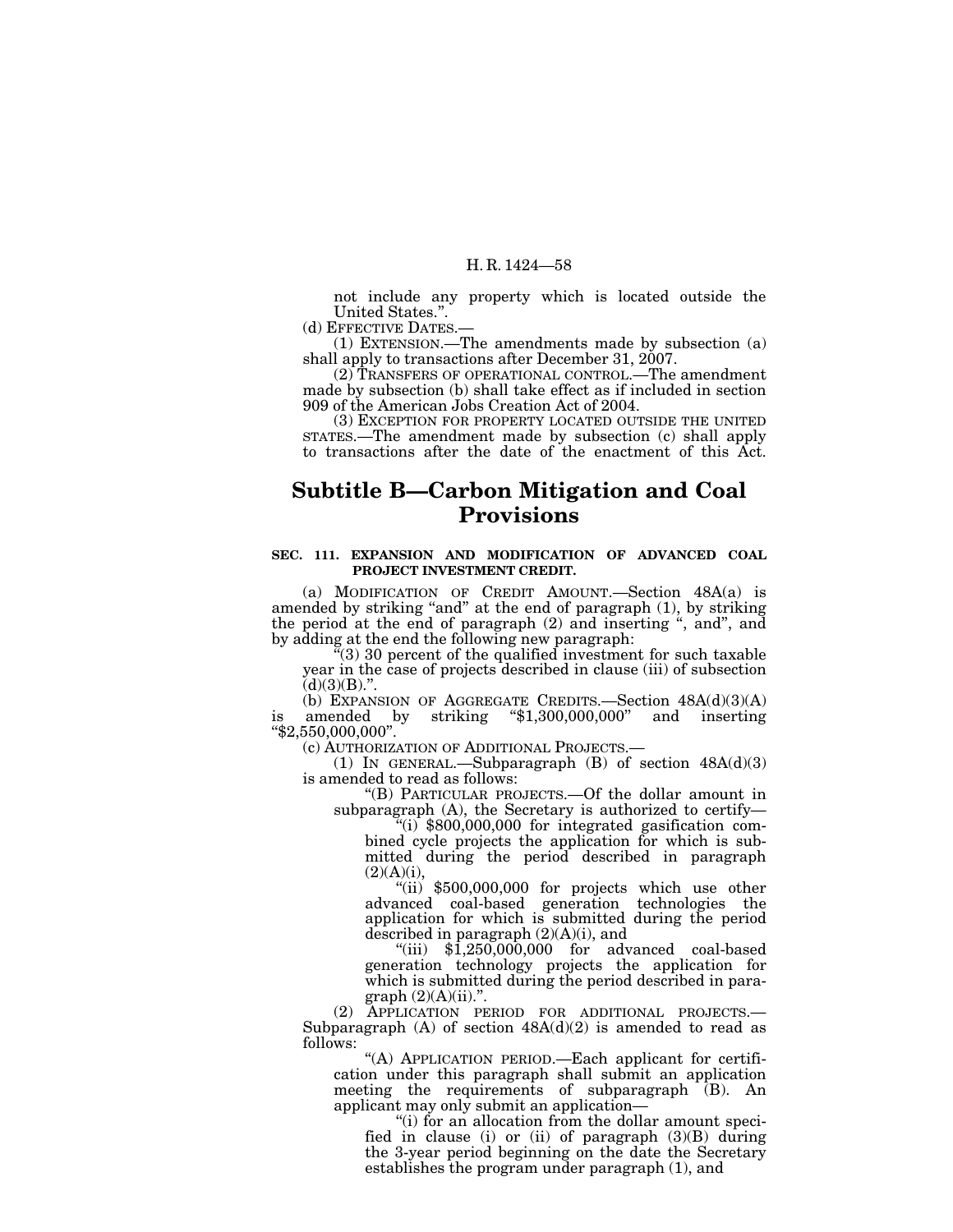not include any property which is located outside the United States.''.

(d) EFFECTIVE DATES.—

(1) EXTENSION.—The amendments made by subsection (a) shall apply to transactions after December 31, 2007.

(2) TRANSFERS OF OPERATIONAL CONTROL.—The amendment made by subsection (b) shall take effect as if included in section 909 of the American Jobs Creation Act of 2004.

(3) EXCEPTION FOR PROPERTY LOCATED OUTSIDE THE UNITED STATES.—The amendment made by subsection (c) shall apply to transactions after the date of the enactment of this Act.

# **Subtitle B—Carbon Mitigation and Coal Provisions**

#### **SEC. 111. EXPANSION AND MODIFICATION OF ADVANCED COAL PROJECT INVESTMENT CREDIT.**

(a) MODIFICATION OF CREDIT AMOUNT.—Section 48A(a) is amended by striking "and" at the end of paragraph (1), by striking the period at the end of paragraph (2) and inserting ", and", and by adding at the end the following new paragraph:

 $\mathcal{L}(3)$  30 percent of the qualified investment for such taxable year in the case of projects described in clause (iii) of subsection  $(d)(3)(B)$ .".

(b) EXPANSION OF AGGREGATE CREDITS.—Section  $48A(d)(3)(A)$  amended by striking "\$1,300,000,000" and inserting  $\text{\textdegree$1,300,000,000''}$  and inserting ''\$2,550,000,000''.

(c) AUTHORIZATION OF ADDITIONAL PROJECTS.—

(1) IN GENERAL.—Subparagraph  $(B)$  of section  $48A(d)(3)$ is amended to read as follows:

''(B) PARTICULAR PROJECTS.—Of the dollar amount in subparagraph (A), the Secretary is authorized to certify—

 $i$ <sup>"(i)</sup> \$800,000,000 for integrated gasification combined cycle projects the application for which is submitted during the period described in paragraph  $(2)(A)(i),$ 

"(ii) \$500,000,000 for projects which use other advanced coal-based generation technologies the application for which is submitted during the period described in paragraph  $(2)(A)(i)$ , and

''(iii) \$1,250,000,000 for advanced coal-based generation technology projects the application for which is submitted during the period described in paragraph (2)(A)(ii).''.

(2) APPLICATION PERIOD FOR ADDITIONAL PROJECTS.— Subparagraph (A) of section  $48A(d)(2)$  is amended to read as follows:

''(A) APPLICATION PERIOD.—Each applicant for certification under this paragraph shall submit an application meeting the requirements of subparagraph (B). An applicant may only submit an application—

''(i) for an allocation from the dollar amount specified in clause (i) or (ii) of paragraph (3)(B) during the 3-year period beginning on the date the Secretary establishes the program under paragraph (1), and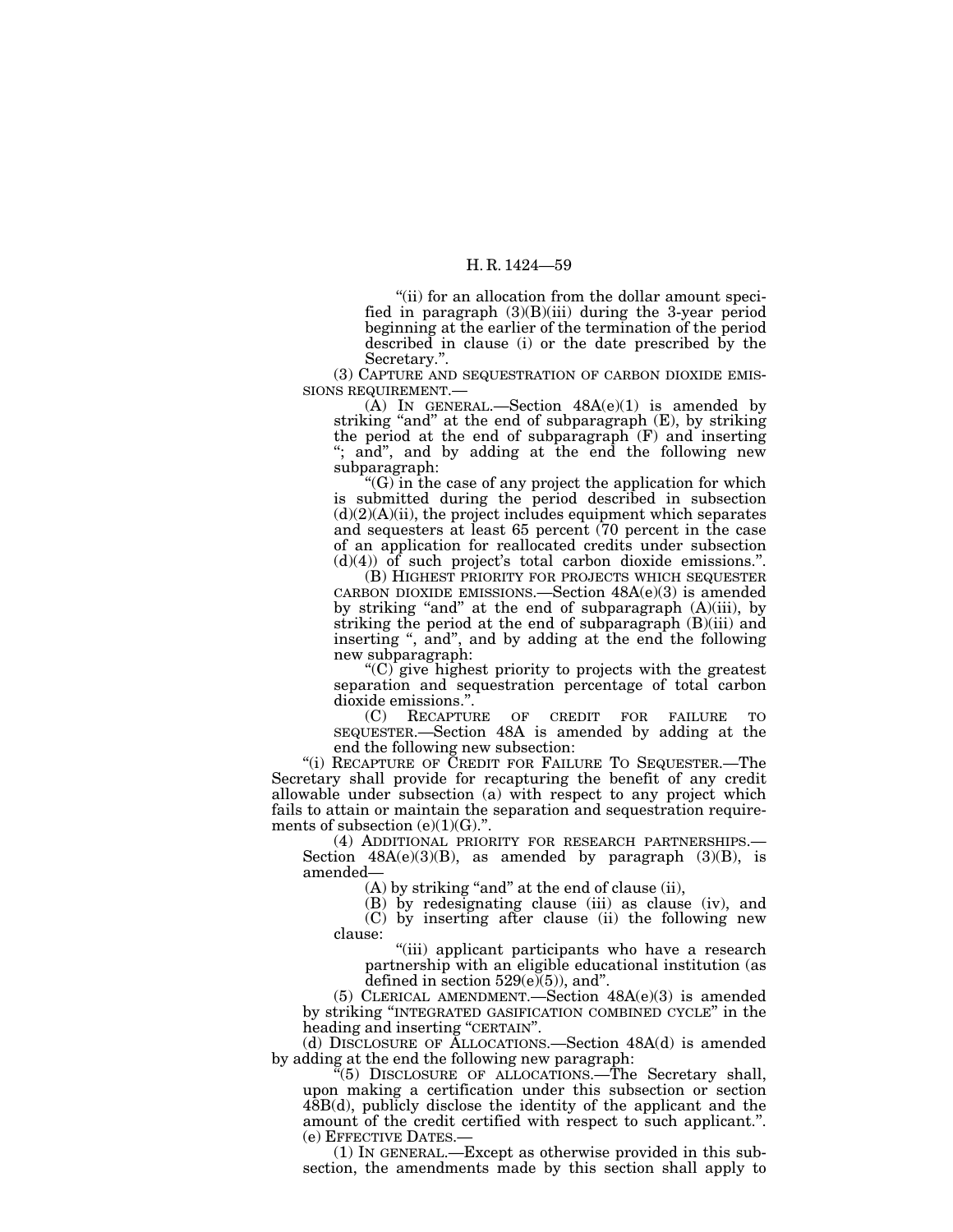"(ii) for an allocation from the dollar amount specified in paragraph  $(3)(B)(iii)$  during the 3-year period beginning at the earlier of the termination of the period described in clause (i) or the date prescribed by the Secretary.''.

(3) CAPTURE AND SEQUESTRATION OF CARBON DIOXIDE EMIS-SIONS REQUIREMENT.—

(A) IN GENERAL.—Section  $48A(e)(1)$  is amended by striking "and" at the end of subparagraph  $(E)$ , by striking the period at the end of subparagraph (F) and inserting "; and", and by adding at the end the following new subparagraph:

 $\mathrm{``(G)}$  in the case of any project the application for which is submitted during the period described in subsection  $(d)(2)(A)(ii)$ , the project includes equipment which separates and sequesters at least 65 percent (70 percent in the case of an application for reallocated credits under subsection  $(d)(4)$  of such project's total carbon dioxide emissions.".

(B) HIGHEST PRIORITY FOR PROJECTS WHICH SEQUESTER CARBON DIOXIDE EMISSIONS.—Section 48A(e)(3) is amended by striking "and" at the end of subparagraph (A)(iii), by striking the period at the end of subparagraph (B)(iii) and inserting ", and", and by adding at the end the following new subparagraph:

''(C) give highest priority to projects with the greatest separation and sequestration percentage of total carbon dioxide emissions.''.

(C) RECAPTURE OF CREDIT FOR FAILURE TO SEQUESTER.—Section 48A is amended by adding at the end the following new subsection:

''(i) RECAPTURE OF CREDIT FOR FAILURE TO SEQUESTER.—The Secretary shall provide for recapturing the benefit of any credit allowable under subsection (a) with respect to any project which fails to attain or maintain the separation and sequestration requirements of subsection  $(e)(1)(G)$ .".

(4) ADDITIONAL PRIORITY FOR RESEARCH PARTNERSHIPS.— Section  $48A(e)(3)(B)$ , as amended by paragraph  $(3)(B)$ , is amended—

(A) by striking "and" at the end of clause (ii),

(B) by redesignating clause (iii) as clause (iv), and

(C) by inserting after clause (ii) the following new clause:

"(iii) applicant participants who have a research partnership with an eligible educational institution (as defined in section  $529(e)(5)$ , and".

(5) CLERICAL AMENDMENT.—Section 48A(e)(3) is amended by striking ''INTEGRATED GASIFICATION COMBINED CYCLE'' in the heading and inserting ''CERTAIN''.

(d) DISCLOSURE OF ALLOCATIONS.—Section 48A(d) is amended by adding at the end the following new paragraph:

''(5) DISCLOSURE OF ALLOCATIONS.—The Secretary shall, upon making a certification under this subsection or section 48B(d), publicly disclose the identity of the applicant and the amount of the credit certified with respect to such applicant.''. (e) EFFECTIVE DATES.—

(1) IN GENERAL.—Except as otherwise provided in this subsection, the amendments made by this section shall apply to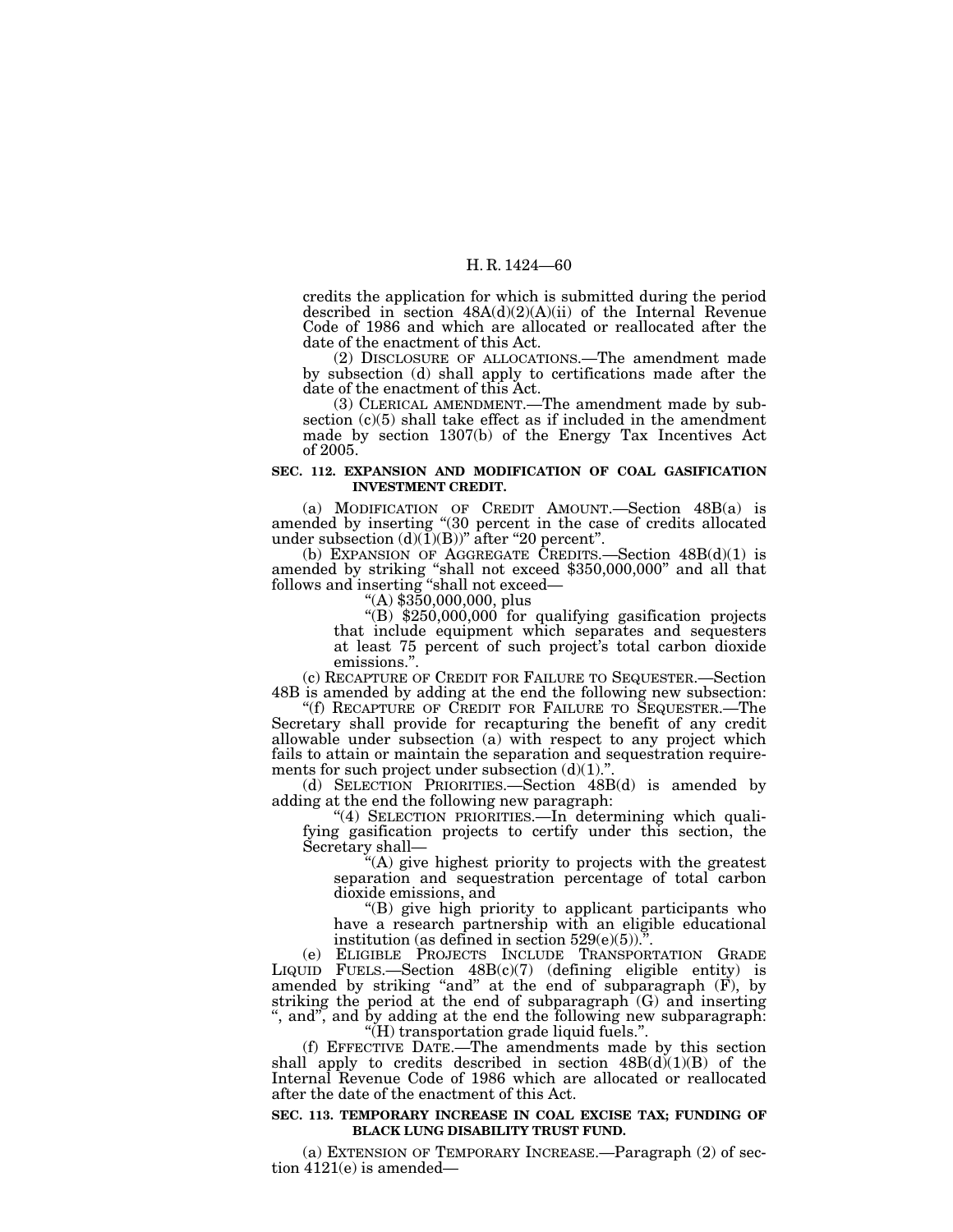credits the application for which is submitted during the period described in section 48A(d)(2)(A)(ii) of the Internal Revenue Code of 1986 and which are allocated or reallocated after the date of the enactment of this Act.

(2) DISCLOSURE OF ALLOCATIONS.—The amendment made by subsection (d) shall apply to certifications made after the date of the enactment of this Act.

(3) CLERICAL AMENDMENT.—The amendment made by subsection (c)(5) shall take effect as if included in the amendment made by section 1307(b) of the Energy Tax Incentives Act of 2005.

#### **SEC. 112. EXPANSION AND MODIFICATION OF COAL GASIFICATION INVESTMENT CREDIT.**

(a) MODIFICATION OF CREDIT AMOUNT.—Section 48B(a) is amended by inserting ''(30 percent in the case of credits allocated under subsection  $(d)(1)(B)$ " after "20 percent".

(b) EXPANSION OF AGGREGATE CREDITS.—Section  $48B(d)(1)$  is amended by striking ''shall not exceed \$350,000,000'' and all that follows and inserting ''shall not exceed— ''(A) \$350,000,000, plus

 $((A)$ \$350,000,000, plus<br>  $((B)$  \$250,000,000 for qualifying gasification projects that include equipment which separates and sequesters at least 75 percent of such project's total carbon dioxide emissions."

(c) RECAPTURE OF CREDIT FOR FAILURE TO SEQUESTER.—Section 48B is amended by adding at the end the following new subsection:

''(f) RECAPTURE OF CREDIT FOR FAILURE TO SEQUESTER.—The Secretary shall provide for recapturing the benefit of any credit allowable under subsection (a) with respect to any project which fails to attain or maintain the separation and sequestration requirements for such project under subsection  $(d)(1)$ ."

(d) SELECTION PRIORITIES.—Section 48B(d) is amended by adding at the end the following new paragraph:

''(4) SELECTION PRIORITIES.—In determining which qualifying gasification projects to certify under this section, the Secretary shall—

''(A) give highest priority to projects with the greatest separation and sequestration percentage of total carbon dioxide emissions, and

''(B) give high priority to applicant participants who have a research partnership with an eligible educational institution (as defined in section  $529(e)(5)$ ).".

(e) ELIGIBLE PROJECTS INCLUDE TRANSPORTATION GRADE LIQUID FUELS.—Section 48B(c)(7) (defining eligible entity) is amended by striking "and" at the end of subparagraph (F), by striking the period at the end of subparagraph (G) and inserting '', and'', and by adding at the end the following new subparagraph: ''(H) transportation grade liquid fuels.''.

(f) EFFECTIVE DATE.—The amendments made by this section shall apply to credits described in section  $48B(d)(1)(B)$  of the Internal Revenue Code of 1986 which are allocated or reallocated after the date of the enactment of this Act.

#### **SEC. 113. TEMPORARY INCREASE IN COAL EXCISE TAX; FUNDING OF BLACK LUNG DISABILITY TRUST FUND.**

(a) EXTENSION OF TEMPORARY INCREASE.—Paragraph (2) of section 4121(e) is amended—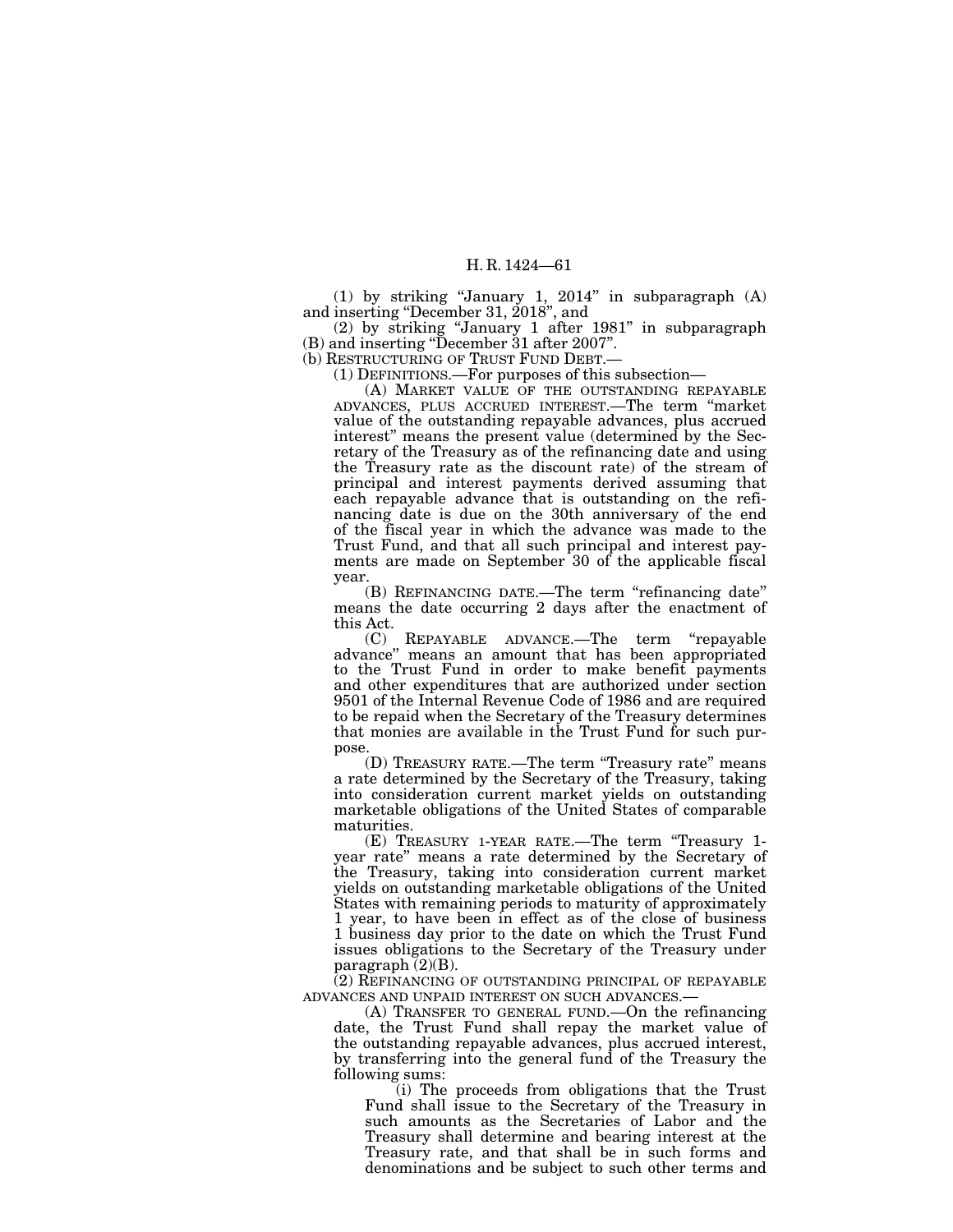(1) by striking ''January 1, 2014'' in subparagraph (A) and inserting ''December 31, 2018'', and

(2) by striking ''January 1 after 1981'' in subparagraph (B) and inserting ''December 31 after 2007''.

(b) RESTRUCTURING OF TRUST FUND DEBT.—

(1) DEFINITIONS.—For purposes of this subsection—

(A) MARKET VALUE OF THE OUTSTANDING REPAYABLE ADVANCES, PLUS ACCRUED INTEREST.—The term ''market value of the outstanding repayable advances, plus accrued interest'' means the present value (determined by the Secretary of the Treasury as of the refinancing date and using the Treasury rate as the discount rate) of the stream of principal and interest payments derived assuming that each repayable advance that is outstanding on the refinancing date is due on the 30th anniversary of the end of the fiscal year in which the advance was made to the Trust Fund, and that all such principal and interest payments are made on September 30 of the applicable fiscal year.

(B) REFINANCING DATE.—The term ''refinancing date'' means the date occurring 2 days after the enactment of this Act.

(C) REPAYABLE ADVANCE.—The term ''repayable advance'' means an amount that has been appropriated to the Trust Fund in order to make benefit payments and other expenditures that are authorized under section 9501 of the Internal Revenue Code of 1986 and are required to be repaid when the Secretary of the Treasury determines that monies are available in the Trust Fund for such purpose.

(D) TREASURY RATE.—The term ''Treasury rate'' means a rate determined by the Secretary of the Treasury, taking into consideration current market yields on outstanding marketable obligations of the United States of comparable maturities.

(E) TREASURY 1-YEAR RATE.—The term ''Treasury 1 year rate'' means a rate determined by the Secretary of the Treasury, taking into consideration current market yields on outstanding marketable obligations of the United States with remaining periods to maturity of approximately 1 year, to have been in effect as of the close of business 1 business day prior to the date on which the Trust Fund issues obligations to the Secretary of the Treasury under paragraph  $(2)(B)$ .

(2) REFINANCING OF OUTSTANDING PRINCIPAL OF REPAYABLE ADVANCES AND UNPAID INTEREST ON SUCH ADVANCES.—

(A) TRANSFER TO GENERAL FUND.—On the refinancing date, the Trust Fund shall repay the market value of the outstanding repayable advances, plus accrued interest, by transferring into the general fund of the Treasury the following sums:

(i) The proceeds from obligations that the Trust Fund shall issue to the Secretary of the Treasury in such amounts as the Secretaries of Labor and the Treasury shall determine and bearing interest at the Treasury rate, and that shall be in such forms and denominations and be subject to such other terms and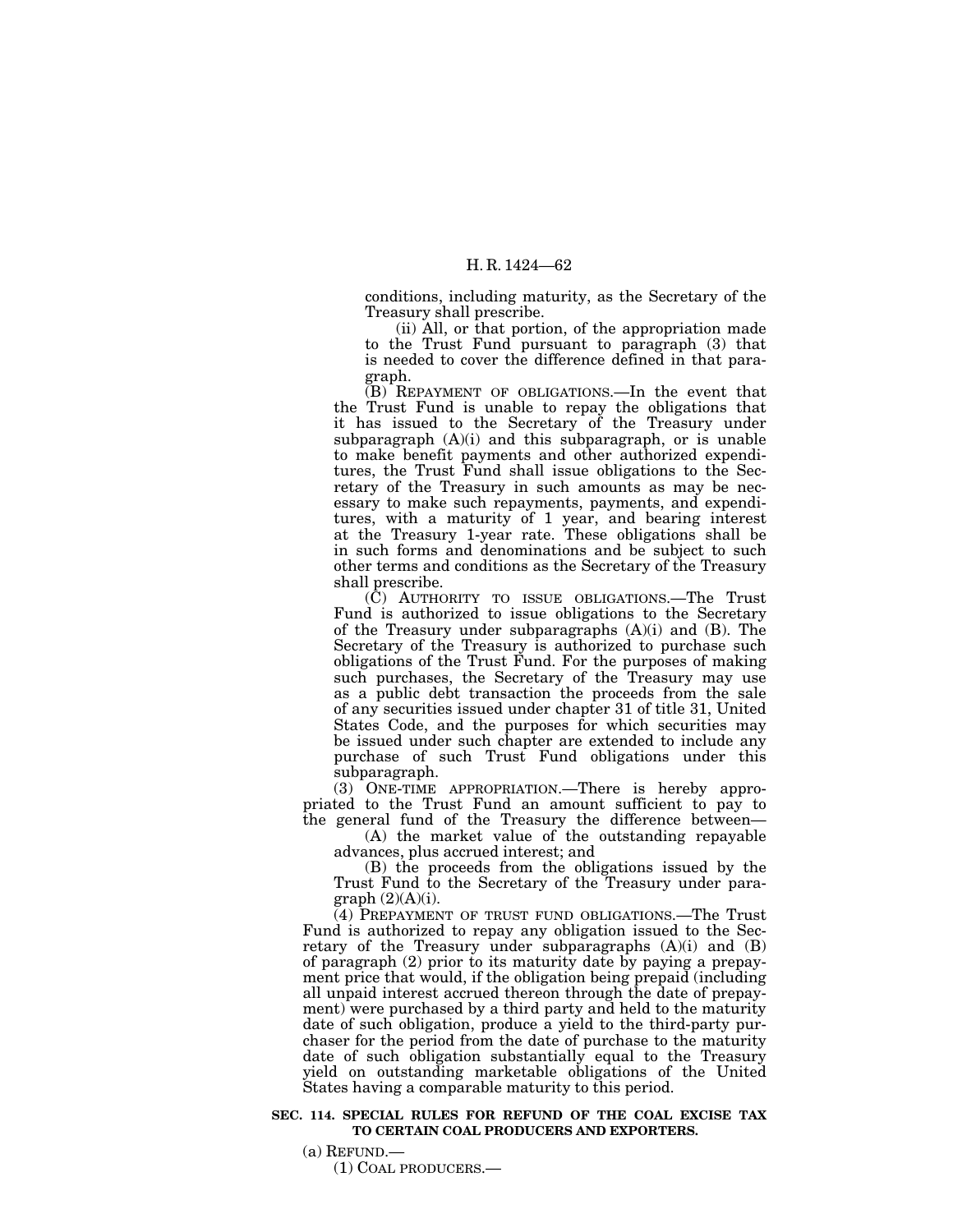conditions, including maturity, as the Secretary of the Treasury shall prescribe.

(ii) All, or that portion, of the appropriation made to the Trust Fund pursuant to paragraph (3) that is needed to cover the difference defined in that paragraph.

(B) REPAYMENT OF OBLIGATIONS.—In the event that the Trust Fund is unable to repay the obligations that it has issued to the Secretary of the Treasury under subparagraph  $(A)(i)$  and this subparagraph, or is unable to make benefit payments and other authorized expenditures, the Trust Fund shall issue obligations to the Secretary of the Treasury in such amounts as may be necessary to make such repayments, payments, and expenditures, with a maturity of 1 year, and bearing interest at the Treasury 1-year rate. These obligations shall be in such forms and denominations and be subject to such other terms and conditions as the Secretary of the Treasury shall prescribe.

(C) AUTHORITY TO ISSUE OBLIGATIONS.—The Trust Fund is authorized to issue obligations to the Secretary of the Treasury under subparagraphs (A)(i) and (B). The Secretary of the Treasury is authorized to purchase such obligations of the Trust Fund. For the purposes of making such purchases, the Secretary of the Treasury may use as a public debt transaction the proceeds from the sale of any securities issued under chapter 31 of title 31, United States Code, and the purposes for which securities may be issued under such chapter are extended to include any purchase of such Trust Fund obligations under this subparagraph.

(3) ONE-TIME APPROPRIATION.—There is hereby appropriated to the Trust Fund an amount sufficient to pay to the general fund of the Treasury the difference between—

(A) the market value of the outstanding repayable advances, plus accrued interest; and

(B) the proceeds from the obligations issued by the Trust Fund to the Secretary of the Treasury under paragraph (2)(A)(i).

(4) PREPAYMENT OF TRUST FUND OBLIGATIONS.—The Trust Fund is authorized to repay any obligation issued to the Secretary of the Treasury under subparagraphs (A)(i) and (B) of paragraph (2) prior to its maturity date by paying a prepayment price that would, if the obligation being prepaid (including all unpaid interest accrued thereon through the date of prepayment) were purchased by a third party and held to the maturity date of such obligation, produce a yield to the third-party purchaser for the period from the date of purchase to the maturity date of such obligation substantially equal to the Treasury yield on outstanding marketable obligations of the United States having a comparable maturity to this period.

#### **SEC. 114. SPECIAL RULES FOR REFUND OF THE COAL EXCISE TAX TO CERTAIN COAL PRODUCERS AND EXPORTERS.**

(a) REFUND.—

(1) COAL PRODUCERS.—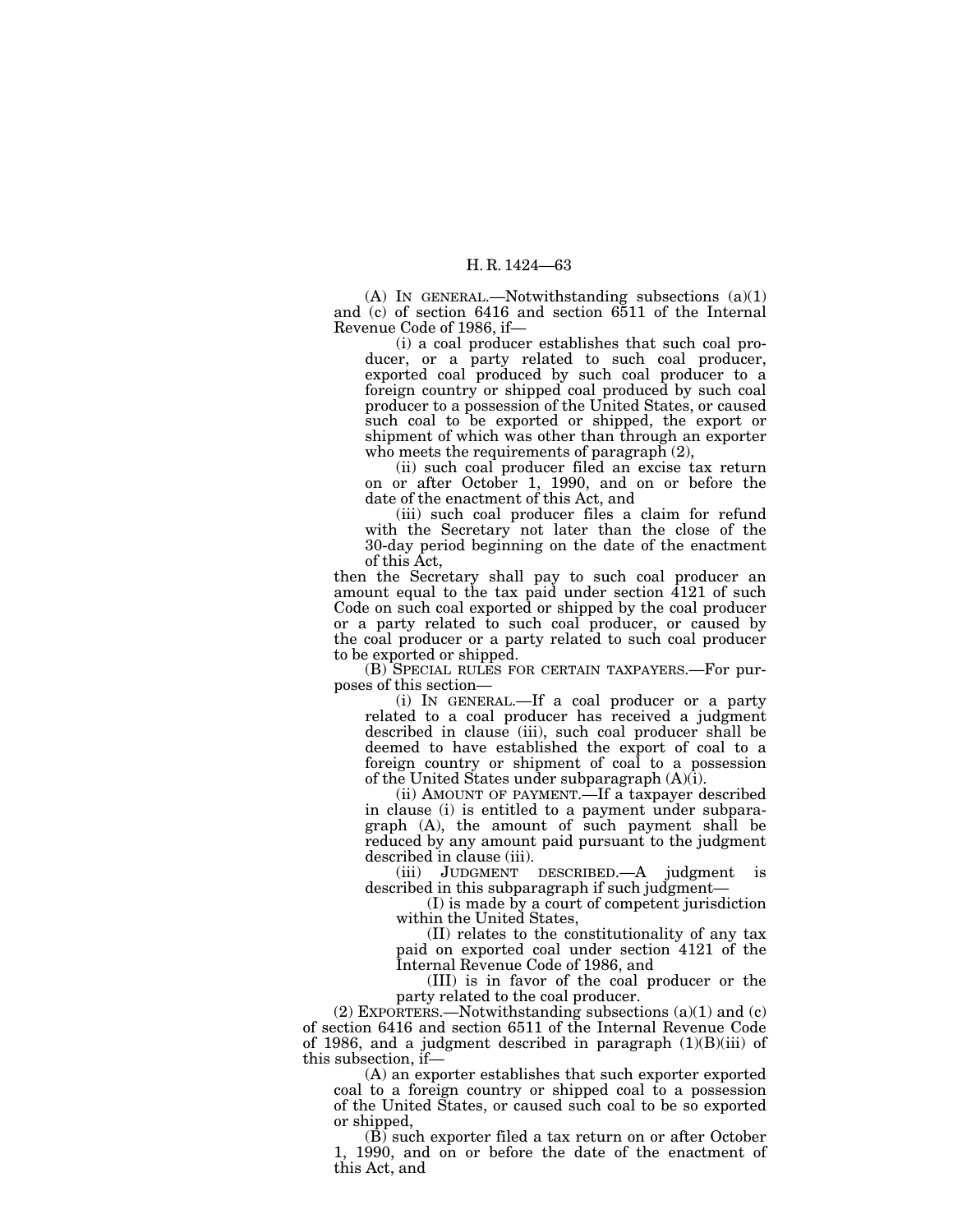(A) IN GENERAL.—Notwithstanding subsections  $(a)(1)$ and (c) of section 6416 and section 6511 of the Internal Revenue Code of 1986, if—

(i) a coal producer establishes that such coal producer, or a party related to such coal producer, exported coal produced by such coal producer to a foreign country or shipped coal produced by such coal producer to a possession of the United States, or caused such coal to be exported or shipped, the export or shipment of which was other than through an exporter who meets the requirements of paragraph  $(2)$ ,

(ii) such coal producer filed an excise tax return on or after October 1, 1990, and on or before the date of the enactment of this Act, and

(iii) such coal producer files a claim for refund with the Secretary not later than the close of the 30-day period beginning on the date of the enactment of this Act,

then the Secretary shall pay to such coal producer an amount equal to the tax paid under section 4121 of such Code on such coal exported or shipped by the coal producer or a party related to such coal producer, or caused by the coal producer or a party related to such coal producer to be exported or shipped.

(B) SPECIAL RULES FOR CERTAIN TAXPAYERS.—For purposes of this section—

(i) IN GENERAL.—If a coal producer or a party related to a coal producer has received a judgment described in clause (iii), such coal producer shall be deemed to have established the export of coal to a foreign country or shipment of coal to a possession of the United States under subparagraph (A)(i).

(ii) AMOUNT OF PAYMENT.—If a taxpayer described in clause (i) is entitled to a payment under subparagraph (A), the amount of such payment shall be reduced by any amount paid pursuant to the judgment described in clause (iii).

(iii) JUDGMENT DESCRIBED.—A judgment is described in this subparagraph if such judgment—

(I) is made by a court of competent jurisdiction within the United States,

(II) relates to the constitutionality of any tax paid on exported coal under section 4121 of the Internal Revenue Code of 1986, and

(III) is in favor of the coal producer or the party related to the coal producer.

(2) EXPORTERS.—Notwithstanding subsections (a)(1) and (c) of section 6416 and section 6511 of the Internal Revenue Code of 1986, and a judgment described in paragraph (1)(B)(iii) of this subsection, if—

(A) an exporter establishes that such exporter exported coal to a foreign country or shipped coal to a possession of the United States, or caused such coal to be so exported or shipped,

(B) such exporter filed a tax return on or after October 1, 1990, and on or before the date of the enactment of this Act, and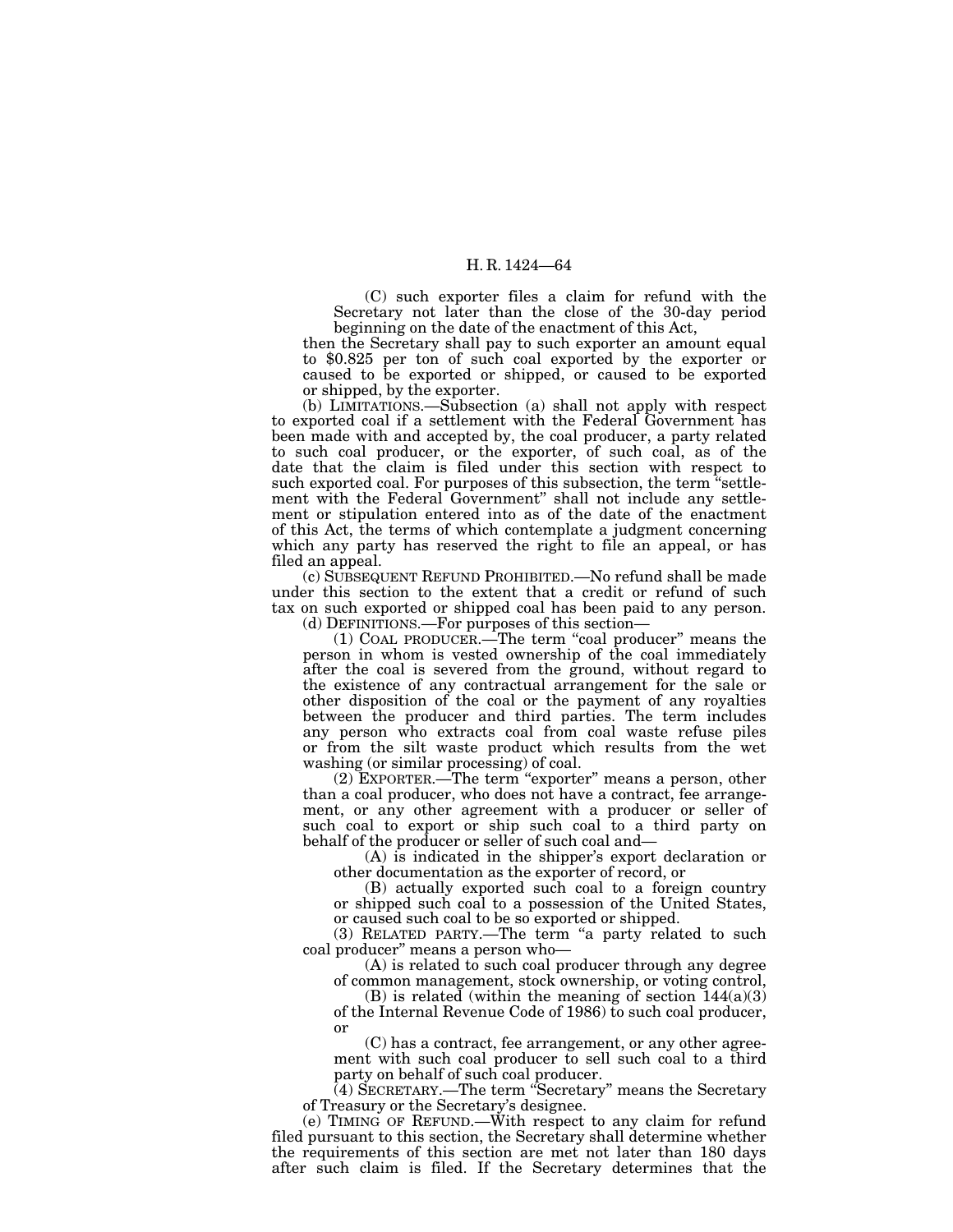(C) such exporter files a claim for refund with the Secretary not later than the close of the 30-day period beginning on the date of the enactment of this Act,

then the Secretary shall pay to such exporter an amount equal to \$0.825 per ton of such coal exported by the exporter or caused to be exported or shipped, or caused to be exported or shipped, by the exporter.

(b) LIMITATIONS.—Subsection (a) shall not apply with respect to exported coal if a settlement with the Federal Government has been made with and accepted by, the coal producer, a party related to such coal producer, or the exporter, of such coal, as of the date that the claim is filed under this section with respect to such exported coal. For purposes of this subsection, the term "settlement with the Federal Government'' shall not include any settlement or stipulation entered into as of the date of the enactment of this Act, the terms of which contemplate a judgment concerning which any party has reserved the right to file an appeal, or has filed an appeal.

(c) SUBSEQUENT REFUND PROHIBITED.—No refund shall be made under this section to the extent that a credit or refund of such tax on such exported or shipped coal has been paid to any person. (d) DEFINITIONS.—For purposes of this section—

(1) COAL PRODUCER.—The term ''coal producer'' means the person in whom is vested ownership of the coal immediately after the coal is severed from the ground, without regard to the existence of any contractual arrangement for the sale or other disposition of the coal or the payment of any royalties between the producer and third parties. The term includes any person who extracts coal from coal waste refuse piles or from the silt waste product which results from the wet washing (or similar processing) of coal.

(2) EXPORTER.—The term ''exporter'' means a person, other than a coal producer, who does not have a contract, fee arrangement, or any other agreement with a producer or seller of such coal to export or ship such coal to a third party on behalf of the producer or seller of such coal and—

(A) is indicated in the shipper's export declaration or other documentation as the exporter of record, or

(B) actually exported such coal to a foreign country or shipped such coal to a possession of the United States, or caused such coal to be so exported or shipped.

(3) RELATED PARTY.—The term "a party related to such coal producer'' means a person who—

(A) is related to such coal producer through any degree of common management, stock ownership, or voting control,

(B) is related (within the meaning of section  $144(a)(3)$ of the Internal Revenue Code of 1986) to such coal producer, or

(C) has a contract, fee arrangement, or any other agreement with such coal producer to sell such coal to a third party on behalf of such coal producer.

(4) SECRETARY.—The term ''Secretary'' means the Secretary of Treasury or the Secretary's designee.

(e) TIMING OF REFUND.—With respect to any claim for refund filed pursuant to this section, the Secretary shall determine whether the requirements of this section are met not later than 180 days after such claim is filed. If the Secretary determines that the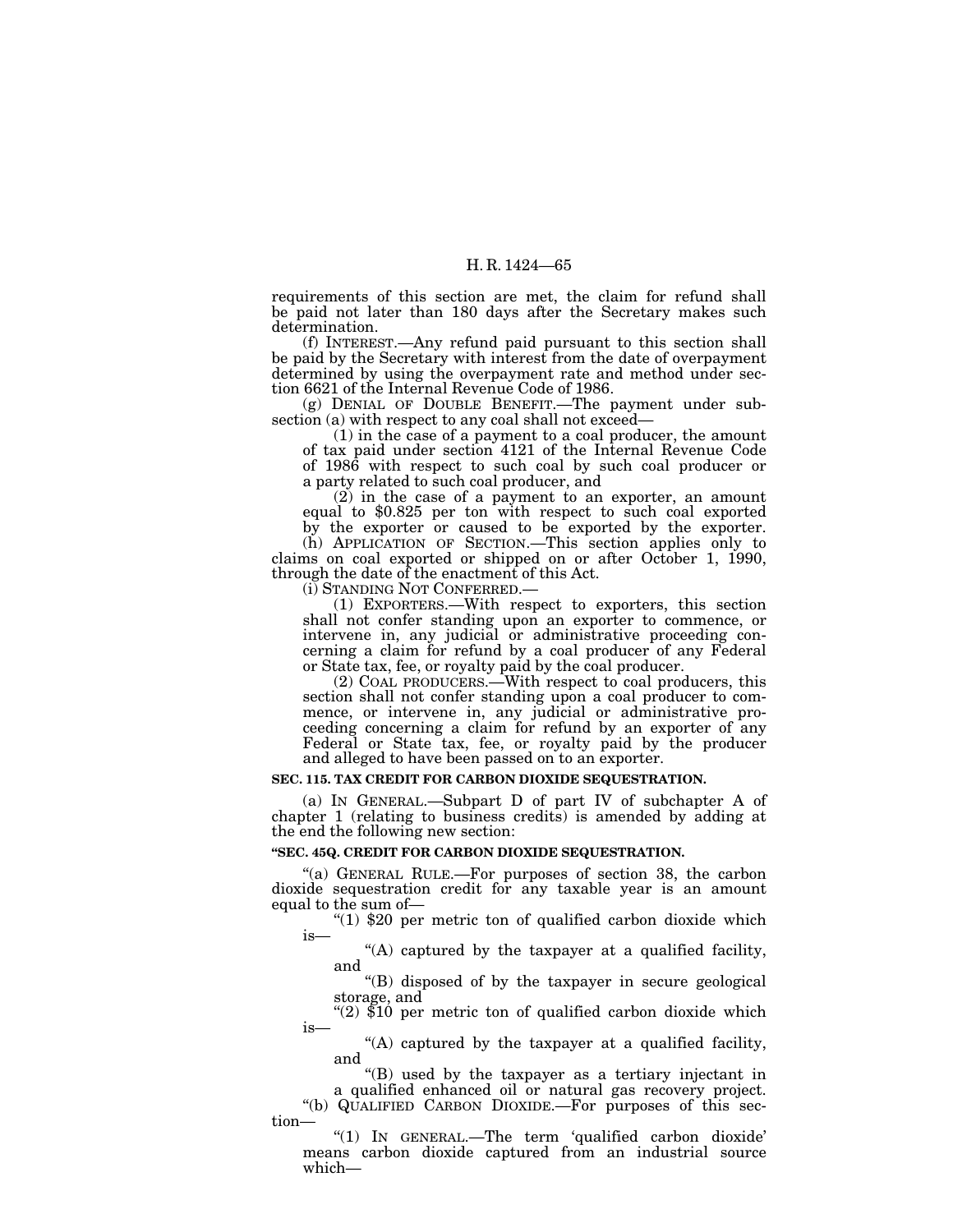requirements of this section are met, the claim for refund shall be paid not later than 180 days after the Secretary makes such determination.

(f) INTEREST.—Any refund paid pursuant to this section shall be paid by the Secretary with interest from the date of overpayment determined by using the overpayment rate and method under section 6621 of the Internal Revenue Code of 1986.

(g) DENIAL OF DOUBLE BENEFIT.—The payment under subsection (a) with respect to any coal shall not exceed—

(1) in the case of a payment to a coal producer, the amount of tax paid under section 4121 of the Internal Revenue Code of 1986 with respect to such coal by such coal producer or a party related to such coal producer, and<br>(2) in the case of a payment to an exporter, an amount

equal to \$0.825 per ton with respect to such coal exported by the exporter or caused to be exported by the exporter.

(h) APPLICATION OF SECTION.—This section applies only to claims on coal exported or shipped on or after October 1, 1990, through the date of the enactment of this Act.<br>(i) STANDING NOT CONFERRED.—

(1) EXPORTERS.—With respect to exporters, this section shall not confer standing upon an exporter to commence, or intervene in, any judicial or administrative proceeding concerning a claim for refund by a coal producer of any Federal or State tax, fee, or royalty paid by the coal producer.

(2) COAL PRODUCERS.—With respect to coal producers, this section shall not confer standing upon a coal producer to commence, or intervene in, any judicial or administrative proceeding concerning a claim for refund by an exporter of any Federal or State tax, fee, or royalty paid by the producer and alleged to have been passed on to an exporter.

### **SEC. 115. TAX CREDIT FOR CARBON DIOXIDE SEQUESTRATION.**

(a) IN GENERAL.—Subpart D of part IV of subchapter A of chapter 1 (relating to business credits) is amended by adding at the end the following new section:

#### **''SEC. 45Q. CREDIT FOR CARBON DIOXIDE SEQUESTRATION.**

''(a) GENERAL RULE.—For purposes of section 38, the carbon dioxide sequestration credit for any taxable year is an amount

"(1) \$20 per metric ton of qualified carbon dioxide which is—

''(A) captured by the taxpayer at a qualified facility, and

''(B) disposed of by the taxpayer in secure geological storage, and

" $(2)$  \$10 per metric ton of qualified carbon dioxide which is—

''(A) captured by the taxpayer at a qualified facility, and

''(B) used by the taxpayer as a tertiary injectant in a qualified enhanced oil or natural gas recovery project. ''(b) QUALIFIED CARBON DIOXIDE.—For purposes of this sec-

tion—

''(1) IN GENERAL.—The term 'qualified carbon dioxide' means carbon dioxide captured from an industrial source which—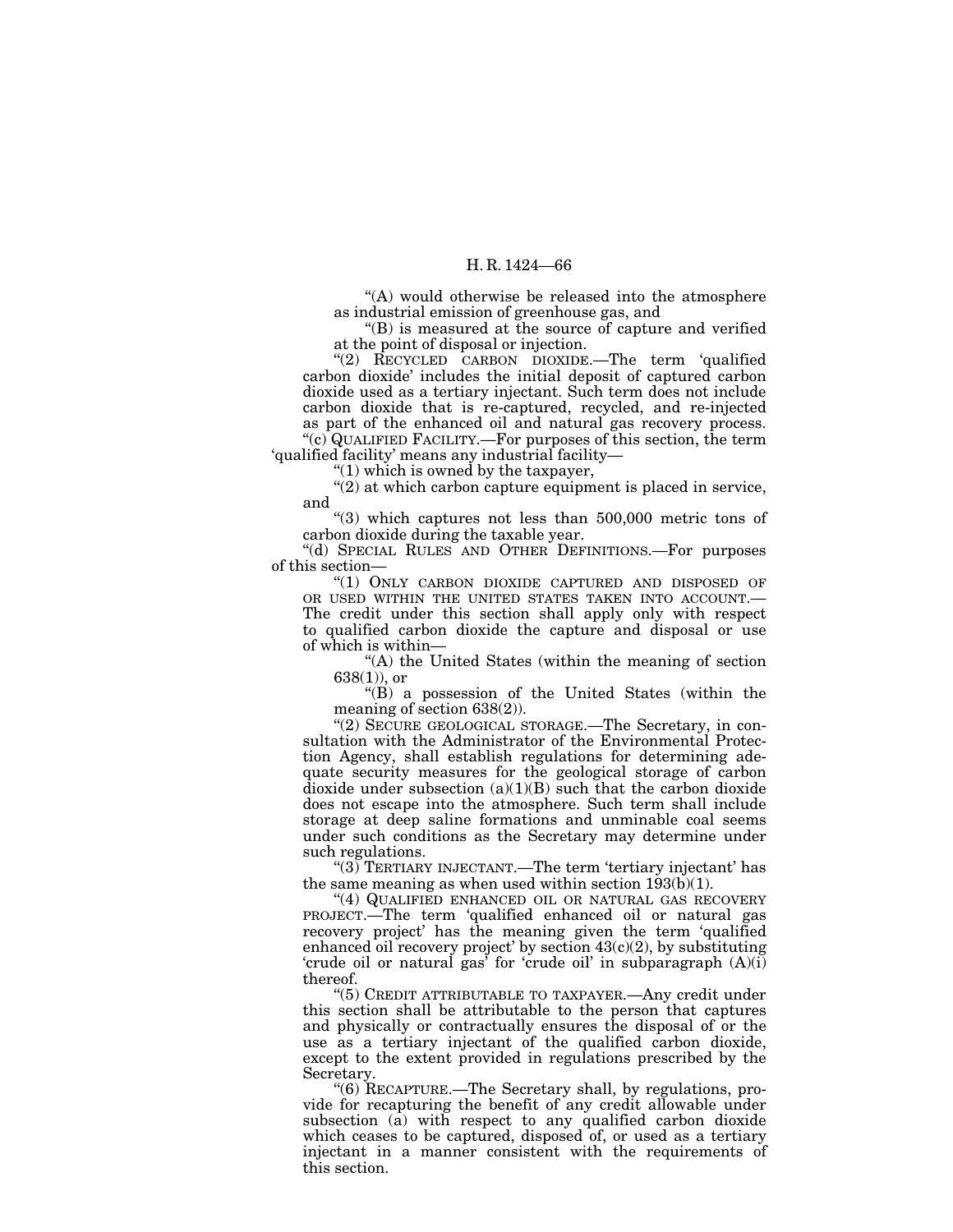''(A) would otherwise be released into the atmosphere as industrial emission of greenhouse gas, and

''(B) is measured at the source of capture and verified at the point of disposal or injection.

"(2) RECYCLED CARBON DIOXIDE.—The term 'qualified carbon dioxide' includes the initial deposit of captured carbon dioxide used as a tertiary injectant. Such term does not include carbon dioxide that is re-captured, recycled, and re-injected as part of the enhanced oil and natural gas recovery process. ''(c) QUALIFIED FACILITY.—For purposes of this section, the term

'qualified facility' means any industrial facility—

" $(1)$  which is owned by the taxpayer,

 $''(2)$  at which carbon capture equipment is placed in service, and

''(3) which captures not less than 500,000 metric tons of carbon dioxide during the taxable year.

''(d) SPECIAL RULES AND OTHER DEFINITIONS.—For purposes of this section—

''(1) ONLY CARBON DIOXIDE CAPTURED AND DISPOSED OF OR USED WITHIN THE UNITED STATES TAKEN INTO ACCOUNT.— The credit under this section shall apply only with respect to qualified carbon dioxide the capture and disposal or use of which is within—

''(A) the United States (within the meaning of section 638(1)), or

''(B) a possession of the United States (within the meaning of section 638(2)).

"(2) SECURE GEOLOGICAL STORAGE.—The Secretary, in consultation with the Administrator of the Environmental Protection Agency, shall establish regulations for determining adequate security measures for the geological storage of carbon dioxide under subsection  $(a)(1)(B)$  such that the carbon dioxide does not escape into the atmosphere. Such term shall include storage at deep saline formations and unminable coal seems under such conditions as the Secretary may determine under such regulations.

''(3) TERTIARY INJECTANT.—The term 'tertiary injectant' has the same meaning as when used within section  $193(b)(1)$ .

"(4) QUALIFIED ENHANCED OIL OR NATURAL GAS RECOVERY PROJECT.—The term 'qualified enhanced oil or natural gas recovery project' has the meaning given the term 'qualified enhanced oil recovery project' by section  $43(c)(2)$ , by substituting 'crude oil or natural gas' for 'crude oil' in subparagraph (A)(i) thereof.

''(5) CREDIT ATTRIBUTABLE TO TAXPAYER.—Any credit under this section shall be attributable to the person that captures and physically or contractually ensures the disposal of or the use as a tertiary injectant of the qualified carbon dioxide, except to the extent provided in regulations prescribed by the Secretary.

''(6) RECAPTURE.—The Secretary shall, by regulations, provide for recapturing the benefit of any credit allowable under subsection (a) with respect to any qualified carbon dioxide which ceases to be captured, disposed of, or used as a tertiary injectant in a manner consistent with the requirements of this section.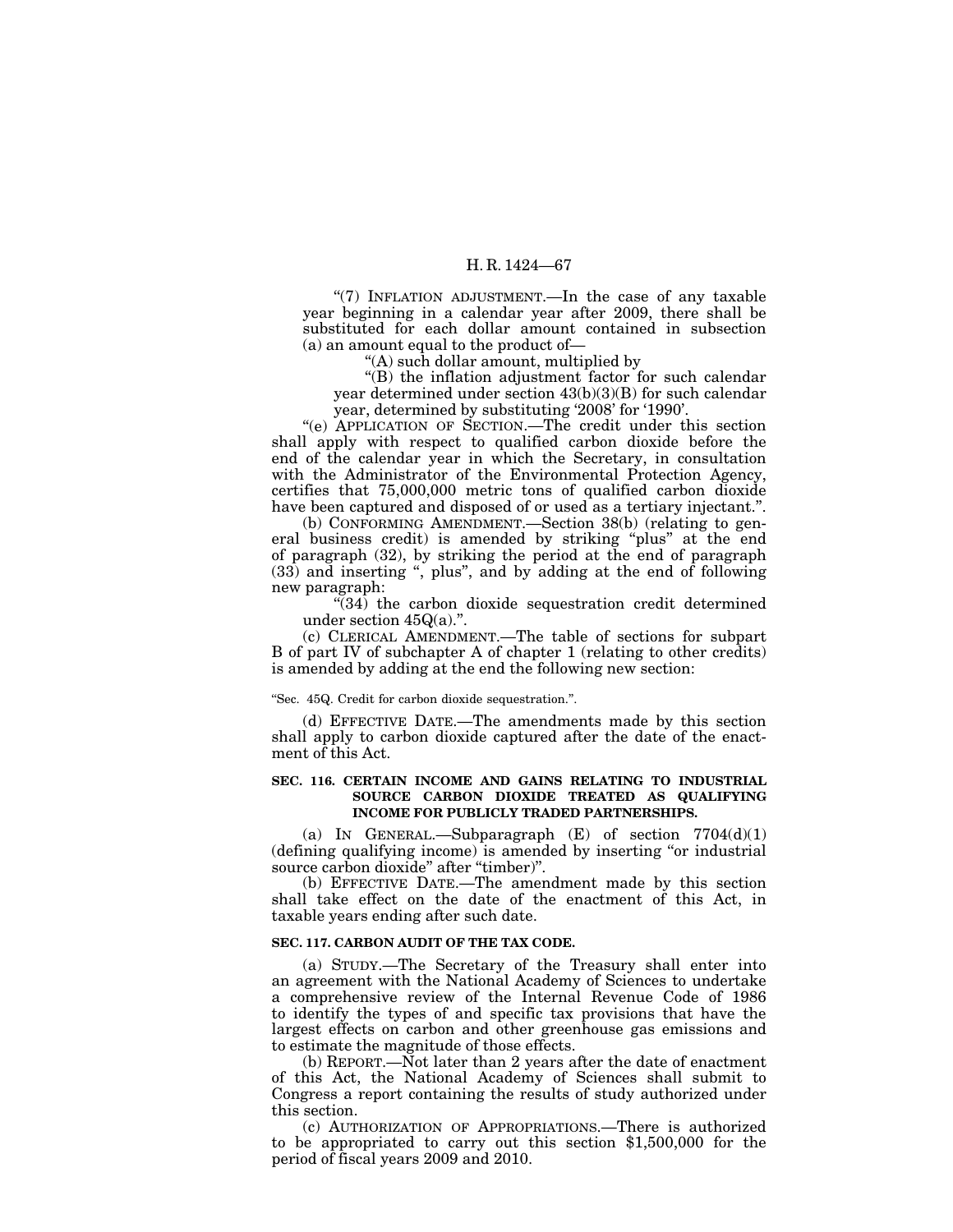"(7) INFLATION ADJUSTMENT.—In the case of any taxable year beginning in a calendar year after 2009, there shall be substituted for each dollar amount contained in subsection (a) an amount equal to the product of—

''(A) such dollar amount, multiplied by

''(B) the inflation adjustment factor for such calendar year determined under section 43(b)(3)(B) for such calendar year, determined by substituting '2008' for '1990'.

''(e) APPLICATION OF SECTION.—The credit under this section shall apply with respect to qualified carbon dioxide before the end of the calendar year in which the Secretary, in consultation with the Administrator of the Environmental Protection Agency, certifies that 75,000,000 metric tons of qualified carbon dioxide have been captured and disposed of or used as a tertiary injectant.".

(b) CONFORMING AMENDMENT.—Section 38(b) (relating to general business credit) is amended by striking ''plus'' at the end of paragraph (32), by striking the period at the end of paragraph (33) and inserting '', plus'', and by adding at the end of following new paragraph:

 $\sqrt{34}$  the carbon dioxide sequestration credit determined under section  $45Q(a)$ .".

(c) CLERICAL AMENDMENT.—The table of sections for subpart B of part IV of subchapter A of chapter 1 (relating to other credits) is amended by adding at the end the following new section:

#### ''Sec. 45Q. Credit for carbon dioxide sequestration.''.

(d) EFFECTIVE DATE.—The amendments made by this section shall apply to carbon dioxide captured after the date of the enactment of this Act.

## **SEC. 116. CERTAIN INCOME AND GAINS RELATING TO INDUSTRIAL SOURCE CARBON DIOXIDE TREATED AS QUALIFYING INCOME FOR PUBLICLY TRADED PARTNERSHIPS.**

(a) IN GENERAL.—Subparagraph  $(E)$  of section 7704(d)(1) (defining qualifying income) is amended by inserting ''or industrial source carbon dioxide" after "timber)".

(b) EFFECTIVE DATE.—The amendment made by this section shall take effect on the date of the enactment of this Act, in taxable years ending after such date.

## **SEC. 117. CARBON AUDIT OF THE TAX CODE.**

(a) STUDY.—The Secretary of the Treasury shall enter into an agreement with the National Academy of Sciences to undertake a comprehensive review of the Internal Revenue Code of 1986 to identify the types of and specific tax provisions that have the largest effects on carbon and other greenhouse gas emissions and to estimate the magnitude of those effects.

(b) REPORT.—Not later than 2 years after the date of enactment of this Act, the National Academy of Sciences shall submit to Congress a report containing the results of study authorized under this section.

(c) AUTHORIZATION OF APPROPRIATIONS.—There is authorized to be appropriated to carry out this section \$1,500,000 for the period of fiscal years 2009 and 2010.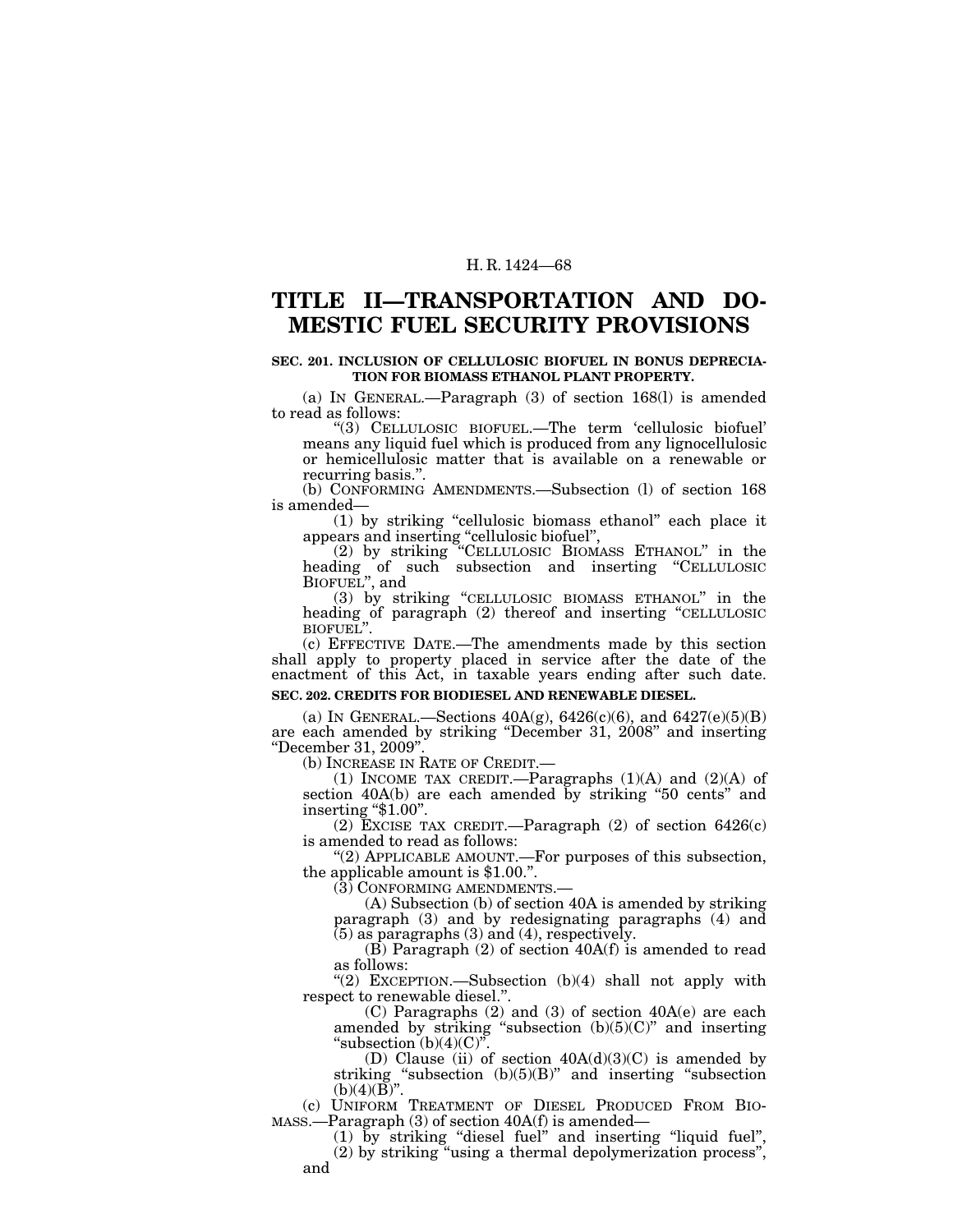# **TITLE II—TRANSPORTATION AND DO-MESTIC FUEL SECURITY PROVISIONS**

### **SEC. 201. INCLUSION OF CELLULOSIC BIOFUEL IN BONUS DEPRECIA-TION FOR BIOMASS ETHANOL PLANT PROPERTY.**

(a) IN GENERAL.—Paragraph (3) of section 168(l) is amended to read as follows:

''(3) CELLULOSIC BIOFUEL.—The term 'cellulosic biofuel' means any liquid fuel which is produced from any lignocellulosic or hemicellulosic matter that is available on a renewable or recurring basis.''.

(b) CONFORMING AMENDMENTS.—Subsection (l) of section 168 is amended—

(1) by striking ''cellulosic biomass ethanol'' each place it appears and inserting ''cellulosic biofuel'',

(2) by striking ''CELLULOSIC BIOMASS ETHANOL'' in the heading of such subsection and inserting ''CELLULOSIC BIOFUEL'', and

(3) by striking ''CELLULOSIC BIOMASS ETHANOL'' in the heading of paragraph (2) thereof and inserting "CELLULOSIC BIOFUEL''.

(c) EFFECTIVE DATE.—The amendments made by this section shall apply to property placed in service after the date of the enactment of this Act, in taxable years ending after such date. **SEC. 202. CREDITS FOR BIODIESEL AND RENEWABLE DIESEL.** 

(a) IN GENERAL.—Sections  $40A(g)$ ,  $6426(c)(6)$ , and  $6427(e)(5)(B)$ are each amended by striking "December 31, 2008" and inserting "December 31, 2009".<br>
(b) INCREASE IN RATE OF CREDIT.—

(1) INCOME TAX CREDIT.— $Paragraphs$  (1)(A) and (2)(A) of section 40A(b) are each amended by striking "50 cents" and inserting "\$1.00".

(2) EXCISE TAX CREDIT.—Paragraph  $(2)$  of section  $6426(c)$ is amended to read as follows:

"(2) APPLICABLE AMOUNT.—For purposes of this subsection, the applicable amount is \$1.00.".<br>(3) CONFORMING AMENDMENTS.—

 $(A)$  Subsection  $(b)$  of section 40A is amended by striking paragraph (3) and by redesignating paragraphs (4) and  $(5)$  as paragraphs  $(3)$  and  $(4)$ , respectively.

 $(B)$  Paragraph  $(2)$  of section  $40A(f)$  is amended to read as follows:

"(2) EXCEPTION.—Subsection  $(b)(4)$  shall not apply with respect to renewable diesel.''.

(C) Paragraphs (2) and (3) of section 40A(e) are each amended by striking "subsection  $(b)(5)(C)$ " and inserting "subsection  $(b)(4)(C)$ ".

(D) Clause (ii) of section  $40A(d)(3)(C)$  is amended by striking "subsection (b)(5)(B)" and inserting "subsection  $(b)(4)(B)$ ".

(c) UNIFORM TREATMENT OF DIESEL PRODUCED FROM BIO-MASS.—Paragraph (3) of section 40A(f) is amended—

(1) by striking ''diesel fuel'' and inserting ''liquid fuel'', (2) by striking ''using a thermal depolymerization process'',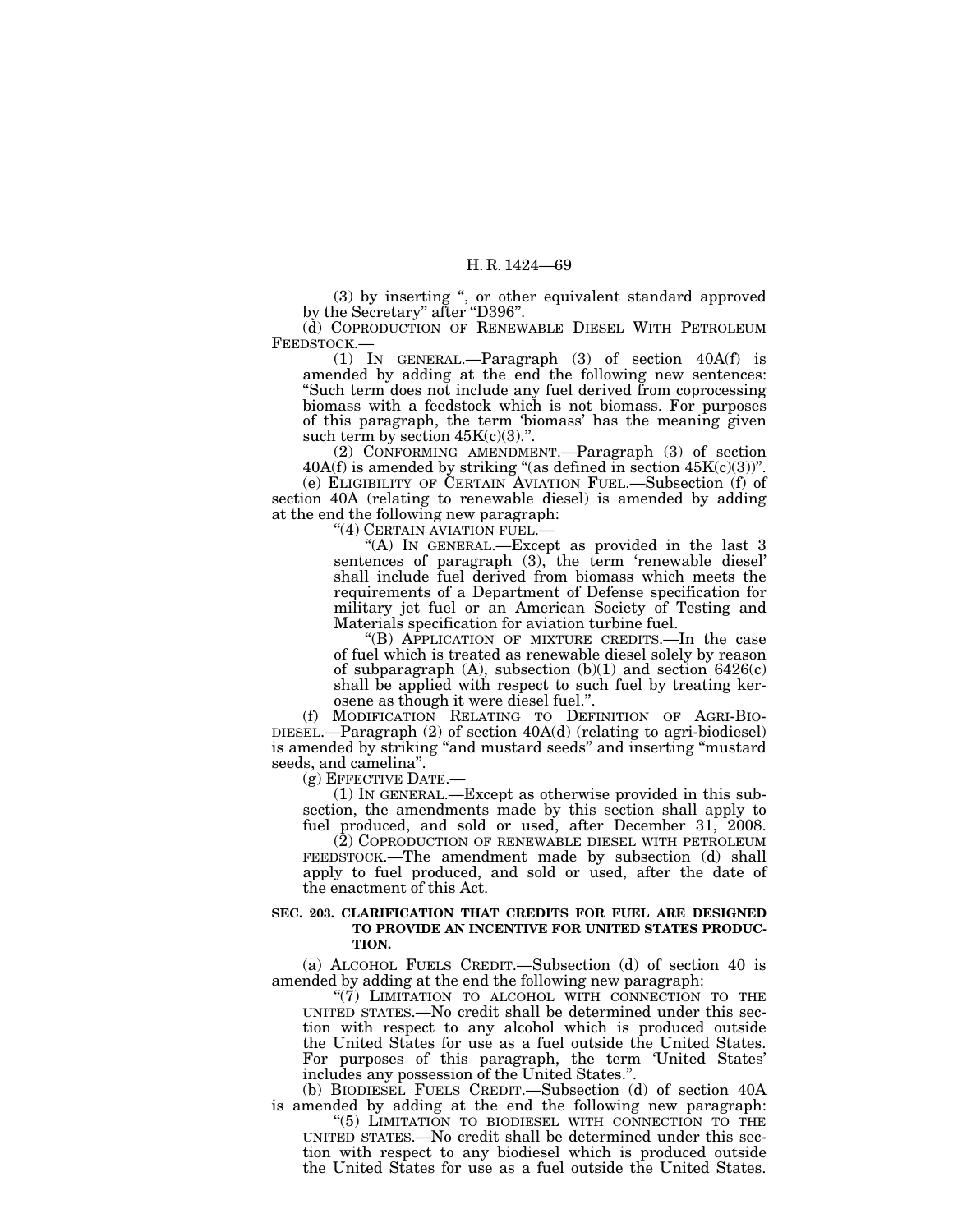(3) by inserting '', or other equivalent standard approved by the Secretary" after "D396".

(d) COPRODUCTION OF RENEWABLE DIESEL WITH PETROLEUM FEEDSTOCK.—

(1) IN GENERAL.—Paragraph (3) of section 40A(f) is amended by adding at the end the following new sentences: ''Such term does not include any fuel derived from coprocessing biomass with a feedstock which is not biomass. For purposes of this paragraph, the term 'biomass' has the meaning given such term by section  $45K(c)(3)$ .".

(2) CONFORMING AMENDMENT.—Paragraph (3) of section  $40A(f)$  is amended by striking "(as defined in section  $45K(c)(3)$ )".

(e) ELIGIBILITY OF CERTAIN AVIATION FUEL.—Subsection (f) of section 40A (relating to renewable diesel) is amended by adding at the end the following new paragraph:

"(4) CERTAIN AVIATION FUEL.-

"(A) IN GENERAL.—Except as provided in the last 3 sentences of paragraph (3), the term 'renewable diesel' shall include fuel derived from biomass which meets the requirements of a Department of Defense specification for military jet fuel or an American Society of Testing and Materials specification for aviation turbine fuel.

''(B) APPLICATION OF MIXTURE CREDITS.—In the case of fuel which is treated as renewable diesel solely by reason of subparagraph  $(A)$ , subsection  $(b)(1)$  and section  $6426(c)$ shall be applied with respect to such fuel by treating kerosene as though it were diesel fuel.''.

(f) MODIFICATION RELATING TO DEFINITION OF AGRI-BIO-DIESEL.—Paragraph (2) of section 40A(d) (relating to agri-biodiesel) is amended by striking ''and mustard seeds'' and inserting ''mustard seeds, and camelina''.

(g) EFFECTIVE DATE.—

(1) IN GENERAL.—Except as otherwise provided in this subsection, the amendments made by this section shall apply to fuel produced, and sold or used, after December 31, 2008.

(2) COPRODUCTION OF RENEWABLE DIESEL WITH PETROLEUM FEEDSTOCK.—The amendment made by subsection (d) shall apply to fuel produced, and sold or used, after the date of the enactment of this Act.

#### **SEC. 203. CLARIFICATION THAT CREDITS FOR FUEL ARE DESIGNED TO PROVIDE AN INCENTIVE FOR UNITED STATES PRODUC-TION.**

(a) ALCOHOL FUELS CREDIT.—Subsection (d) of section 40 is amended by adding at the end the following new paragraph:

" $(7)$  LIMITATION TO ALCOHOL WITH CONNECTION TO THE UNITED STATES.—No credit shall be determined under this section with respect to any alcohol which is produced outside the United States for use as a fuel outside the United States. For purposes of this paragraph, the term 'United States' includes any possession of the United States.''.

(b) BIODIESEL FUELS CREDIT.—Subsection (d) of section 40A is amended by adding at the end the following new paragraph:

''(5) LIMITATION TO BIODIESEL WITH CONNECTION TO THE UNITED STATES.—No credit shall be determined under this section with respect to any biodiesel which is produced outside the United States for use as a fuel outside the United States.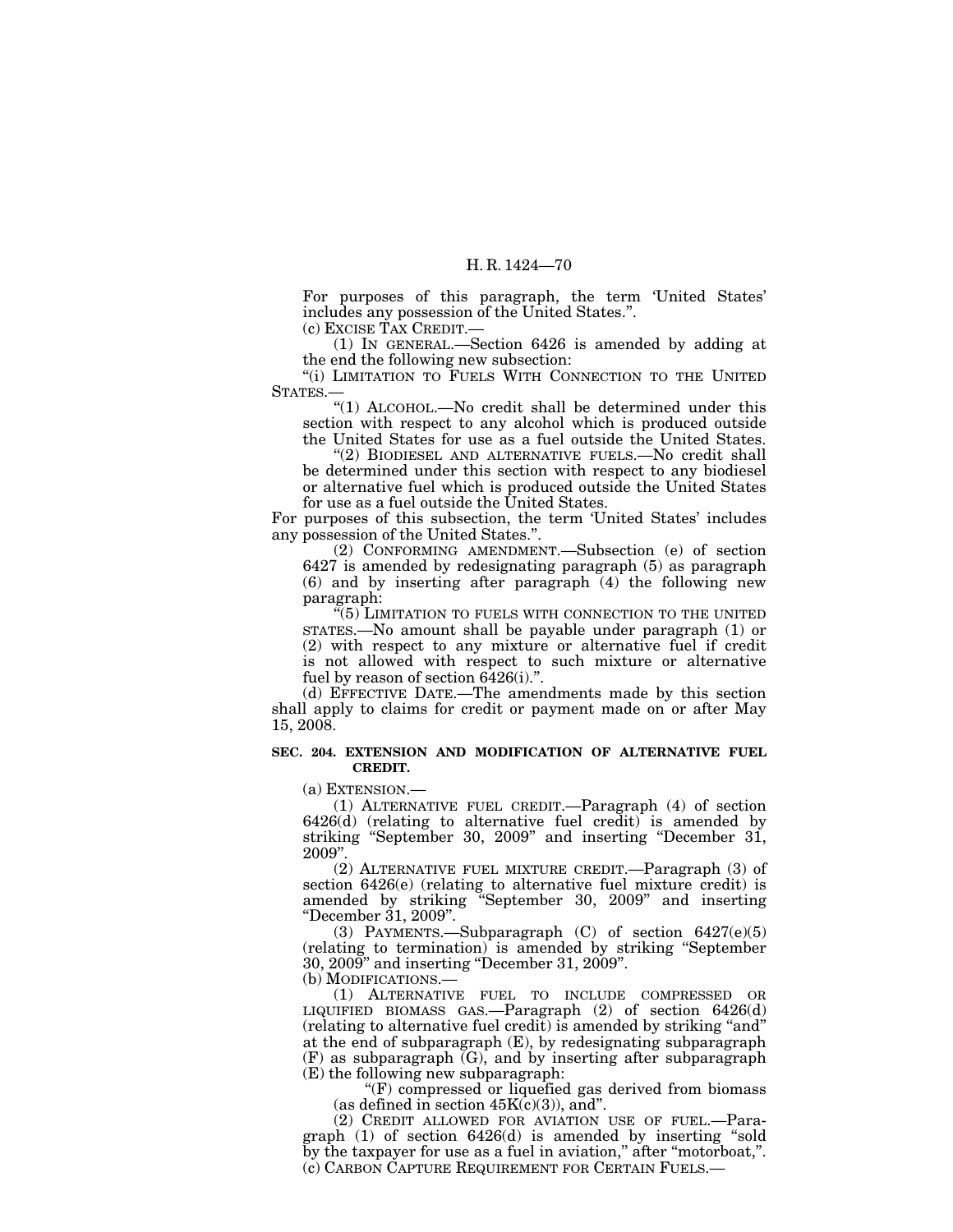For purposes of this paragraph, the term 'United States' includes any possession of the United States.''.

(c) EXCISE TAX CREDIT.—

(1) IN GENERAL.—Section 6426 is amended by adding at the end the following new subsection:

"(i) LIMITATION TO FUELS WITH CONNECTION TO THE UNITED STATES.—

"(1) ALCOHOL.—No credit shall be determined under this section with respect to any alcohol which is produced outside the United States for use as a fuel outside the United States.

"(2) BIODIESEL AND ALTERNATIVE FUELS.—No credit shall be determined under this section with respect to any biodiesel or alternative fuel which is produced outside the United States for use as a fuel outside the United States.

For purposes of this subsection, the term 'United States' includes any possession of the United States.''.

(2) CONFORMING AMENDMENT.—Subsection (e) of section 6427 is amended by redesignating paragraph (5) as paragraph (6) and by inserting after paragraph (4) the following new paragraph:

"(5) LIMITATION TO FUELS WITH CONNECTION TO THE UNITED STATES.—No amount shall be payable under paragraph (1) or (2) with respect to any mixture or alternative fuel if credit is not allowed with respect to such mixture or alternative fuel by reason of section 6426(i).''.

(d) EFFECTIVE DATE.—The amendments made by this section shall apply to claims for credit or payment made on or after May 15, 2008.

#### **SEC. 204. EXTENSION AND MODIFICATION OF ALTERNATIVE FUEL CREDIT.**

(a) EXTENSION.—

(1) ALTERNATIVE FUEL CREDIT.—Paragraph (4) of section  $6426(d)$  (relating to alternative fuel credit) is amended by striking "September 30, 2009" and inserting "December 31, 2009''.

(2) ALTERNATIVE FUEL MIXTURE CREDIT.—Paragraph (3) of section 6426(e) (relating to alternative fuel mixture credit) is amended by striking ''September 30, 2009'' and inserting ''December 31, 2009''.

(3) PAYMENTS.—Subparagraph (C) of section 6427(e)(5) (relating to termination) is amended by striking ''September 30, 2009'' and inserting ''December 31, 2009''.

(b) MODIFICATIONS.—

(1) ALTERNATIVE FUEL TO INCLUDE COMPRESSED OR LIQUIFIED BIOMASS GAS.—Paragraph (2) of section 6426(d) (relating to alternative fuel credit) is amended by striking ''and'' at the end of subparagraph (E), by redesignating subparagraph (F) as subparagraph (G), and by inserting after subparagraph (E) the following new subparagraph:

''(F) compressed or liquefied gas derived from biomass (as defined in section  $45K(c)(3)$ ), and".

(2) CREDIT ALLOWED FOR AVIATION USE OF FUEL.—Paragraph (1) of section 6426(d) is amended by inserting ''sold by the taxpayer for use as a fuel in aviation," after "motorboat,". (c) CARBON CAPTURE REQUIREMENT FOR CERTAIN FUELS.—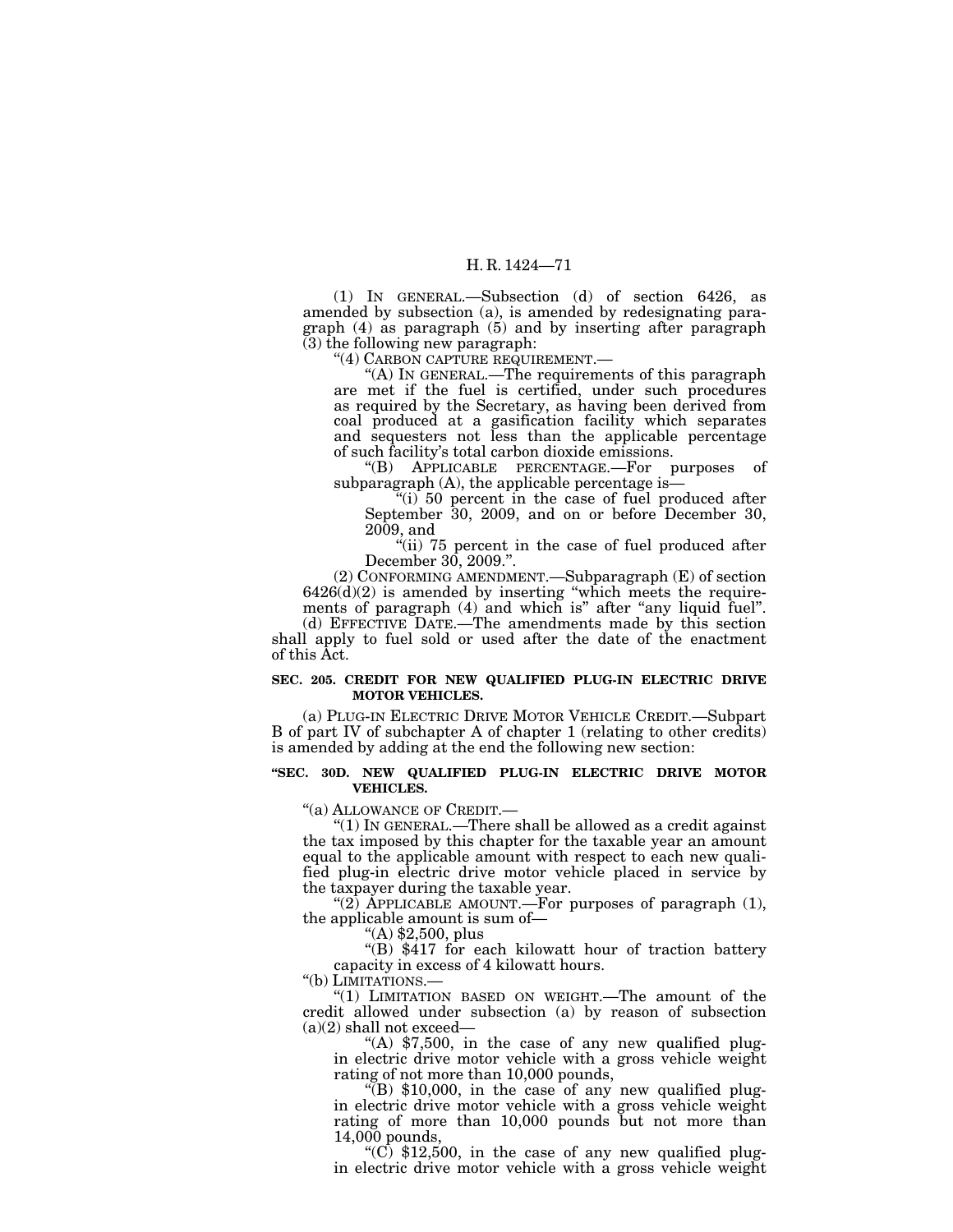(1) IN GENERAL.—Subsection (d) of section 6426, as amended by subsection (a), is amended by redesignating paragraph (4) as paragraph (5) and by inserting after paragraph (3) the following new paragraph:

''(4) CARBON CAPTURE REQUIREMENT.—

"(A) IN GENERAL.—The requirements of this paragraph are met if the fuel is certified, under such procedures as required by the Secretary, as having been derived from coal produced at a gasification facility which separates and sequesters not less than the applicable percentage of such facility's total carbon dioxide emissions.

''(B) APPLICABLE PERCENTAGE.—For purposes of subparagraph  $(A)$ , the applicable percentage is-

 $i$ (i) 50 percent in the case of fuel produced after September 30, 2009, and on or before December 30, 2009, and

"(ii) 75 percent in the case of fuel produced after December 30, 2009.".

(2) CONFORMING AMENDMENT.—Subparagraph (E) of section  $6426(d)(2)$  is amended by inserting "which meets the requirements of paragraph (4) and which is" after "any liquid fuel".

(d) EFFECTIVE DATE.—The amendments made by this section shall apply to fuel sold or used after the date of the enactment of this Act.

#### **SEC. 205. CREDIT FOR NEW QUALIFIED PLUG-IN ELECTRIC DRIVE MOTOR VEHICLES.**

(a) PLUG-IN ELECTRIC DRIVE MOTOR VEHICLE CREDIT.—Subpart B of part IV of subchapter A of chapter 1 (relating to other credits) is amended by adding at the end the following new section:

### **''SEC. 30D. NEW QUALIFIED PLUG-IN ELECTRIC DRIVE MOTOR VEHICLES.**

''(a) ALLOWANCE OF CREDIT.—

" $(1)$  In GENERAL.—There shall be allowed as a credit against the tax imposed by this chapter for the taxable year an amount equal to the applicable amount with respect to each new qualified plug-in electric drive motor vehicle placed in service by the taxpayer during the taxable year.

"(2) APPLICABLE AMOUNT.—For purposes of paragraph (1), the applicable amount is sum of—

''(A) \$2,500, plus

"(B) \$417 for each kilowatt hour of traction battery capacity in excess of 4 kilowatt hours.

''(b) LIMITATIONS.—

"(1) LIMITATION BASED ON WEIGHT.—The amount of the credit allowed under subsection (a) by reason of subsection  $(a)(2)$  shall not exceed—

"(A)  $$7,500$ , in the case of any new qualified plugin electric drive motor vehicle with a gross vehicle weight rating of not more than 10,000 pounds,

 $\sqrt{\text{B}}$  \$10,000, in the case of any new qualified plugin electric drive motor vehicle with a gross vehicle weight rating of more than 10,000 pounds but not more than 14,000 pounds,

" $(C)$  \$12,500, in the case of any new qualified plugin electric drive motor vehicle with a gross vehicle weight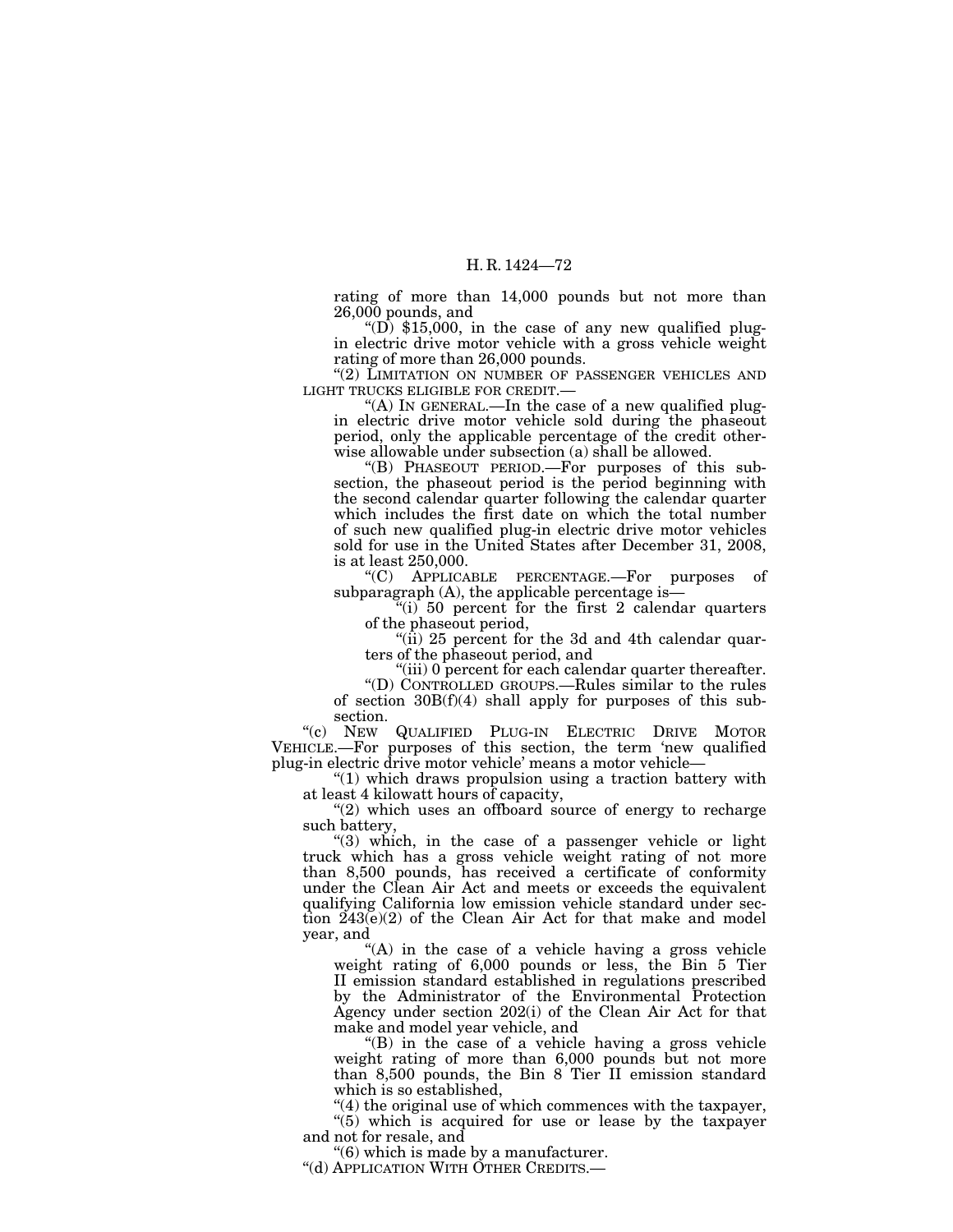rating of more than 14,000 pounds but not more than 26,000 pounds, and

" $(D)$  \$15,000, in the case of any new qualified plugin electric drive motor vehicle with a gross vehicle weight rating of more than 26,000 pounds.

''(2) LIMITATION ON NUMBER OF PASSENGER VEHICLES AND LIGHT TRUCKS ELIGIBLE FOR CREDIT.—

"(A) IN GENERAL.—In the case of a new qualified plugin electric drive motor vehicle sold during the phaseout period, only the applicable percentage of the credit otherwise allowable under subsection (a) shall be allowed.

''(B) PHASEOUT PERIOD.—For purposes of this subsection, the phaseout period is the period beginning with the second calendar quarter following the calendar quarter which includes the first date on which the total number of such new qualified plug-in electric drive motor vehicles sold for use in the United States after December 31, 2008, is at least 250,000.

''(C) APPLICABLE PERCENTAGE.—For purposes of subparagraph (A), the applicable percentage is—

 $(i)$  50 percent for the first 2 calendar quarters of the phaseout period,

" $(i)$  25 percent for the 3d and 4th calendar quarters of the phaseout period, and

"(iii) 0 percent for each calendar quarter thereafter.

''(D) CONTROLLED GROUPS.—Rules similar to the rules of section  $30B(f)(4)$  shall apply for purposes of this subsection.

''(c) NEW QUALIFIED PLUG-IN ELECTRIC DRIVE MOTOR VEHICLE.—For purposes of this section, the term 'new qualified plug-in electric drive motor vehicle' means a motor vehicle—

''(1) which draws propulsion using a traction battery with at least 4 kilowatt hours of capacity,

"(2) which uses an offboard source of energy to recharge such battery,

''(3) which, in the case of a passenger vehicle or light truck which has a gross vehicle weight rating of not more than 8,500 pounds, has received a certificate of conformity under the Clean Air Act and meets or exceeds the equivalent qualifying California low emission vehicle standard under section 243(e)(2) of the Clean Air Act for that make and model year, and

"(A) in the case of a vehicle having a gross vehicle weight rating of 6,000 pounds or less, the Bin 5 Tier II emission standard established in regulations prescribed by the Administrator of the Environmental Protection Agency under section 202(i) of the Clean Air Act for that make and model year vehicle, and

''(B) in the case of a vehicle having a gross vehicle weight rating of more than 6,000 pounds but not more than 8,500 pounds, the Bin 8 Tier II emission standard which is so established,

''(4) the original use of which commences with the taxpayer, "(5) which is acquired for use or lease by the taxpayer and not for resale, and

''(6) which is made by a manufacturer.

''(d) APPLICATION WITH OTHER CREDITS.—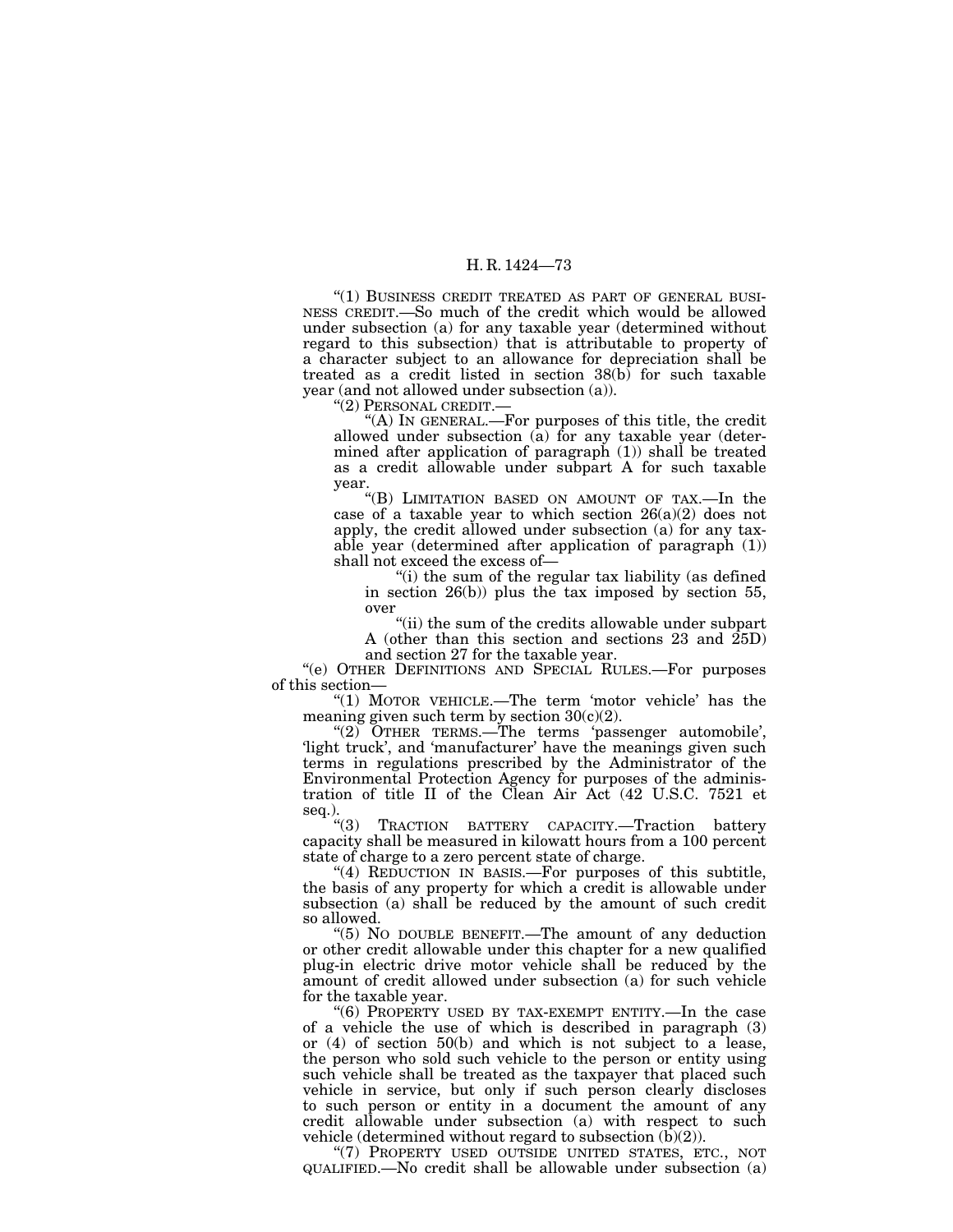"(1) BUSINESS CREDIT TREATED AS PART OF GENERAL BUSI-NESS CREDIT.—So much of the credit which would be allowed under subsection (a) for any taxable year (determined without regard to this subsection) that is attributable to property of a character subject to an allowance for depreciation shall be treated as a credit listed in section 38(b) for such taxable year (and not allowed under subsection (a)).

''(2) PERSONAL CREDIT.—

''(A) IN GENERAL.—For purposes of this title, the credit allowed under subsection (a) for any taxable year (determined after application of paragraph (1)) shall be treated as a credit allowable under subpart A for such taxable year.

''(B) LIMITATION BASED ON AMOUNT OF TAX.—In the case of a taxable year to which section 26(a)(2) does not apply, the credit allowed under subsection (a) for any taxable year (determined after application of paragraph (1)) shall not exceed the excess of—

''(i) the sum of the regular tax liability (as defined in section 26(b)) plus the tax imposed by section 55, over

''(ii) the sum of the credits allowable under subpart A (other than this section and sections 23 and 25D) and section 27 for the taxable year.

''(e) OTHER DEFINITIONS AND SPECIAL RULES.—For purposes of this section—

"(1) MOTOR VEHICLE.—The term 'motor vehicle' has the meaning given such term by section 30(c)(2).

"(2) OTHER TERMS.—The terms 'passenger automobile', 'light truck', and 'manufacturer' have the meanings given such terms in regulations prescribed by the Administrator of the Environmental Protection Agency for purposes of the administration of title II of the Clean Air Act (42 U.S.C. 7521 et tre seq.).<br> $\overset{\text{``(3)}}{\overset{\text{``(3)}}{\cdot}}$ 

TRACTION BATTERY CAPACITY.—Traction battery capacity shall be measured in kilowatt hours from a 100 percent state of charge to a zero percent state of charge.

"(4) REDUCTION IN BASIS.—For purposes of this subtitle, the basis of any property for which a credit is allowable under subsection (a) shall be reduced by the amount of such credit so allowed.

''(5) NO DOUBLE BENEFIT.—The amount of any deduction or other credit allowable under this chapter for a new qualified plug-in electric drive motor vehicle shall be reduced by the amount of credit allowed under subsection (a) for such vehicle for the taxable year.

''(6) PROPERTY USED BY TAX-EXEMPT ENTITY.—In the case of a vehicle the use of which is described in paragraph (3) or (4) of section 50(b) and which is not subject to a lease, the person who sold such vehicle to the person or entity using such vehicle shall be treated as the taxpayer that placed such vehicle in service, but only if such person clearly discloses to such person or entity in a document the amount of any credit allowable under subsection (a) with respect to such vehicle (determined without regard to subsection  $(b)(2)$ ).

"(7) PROPERTY USED OUTSIDE UNITED STATES, ETC., NOT QUALIFIED.—No credit shall be allowable under subsection (a)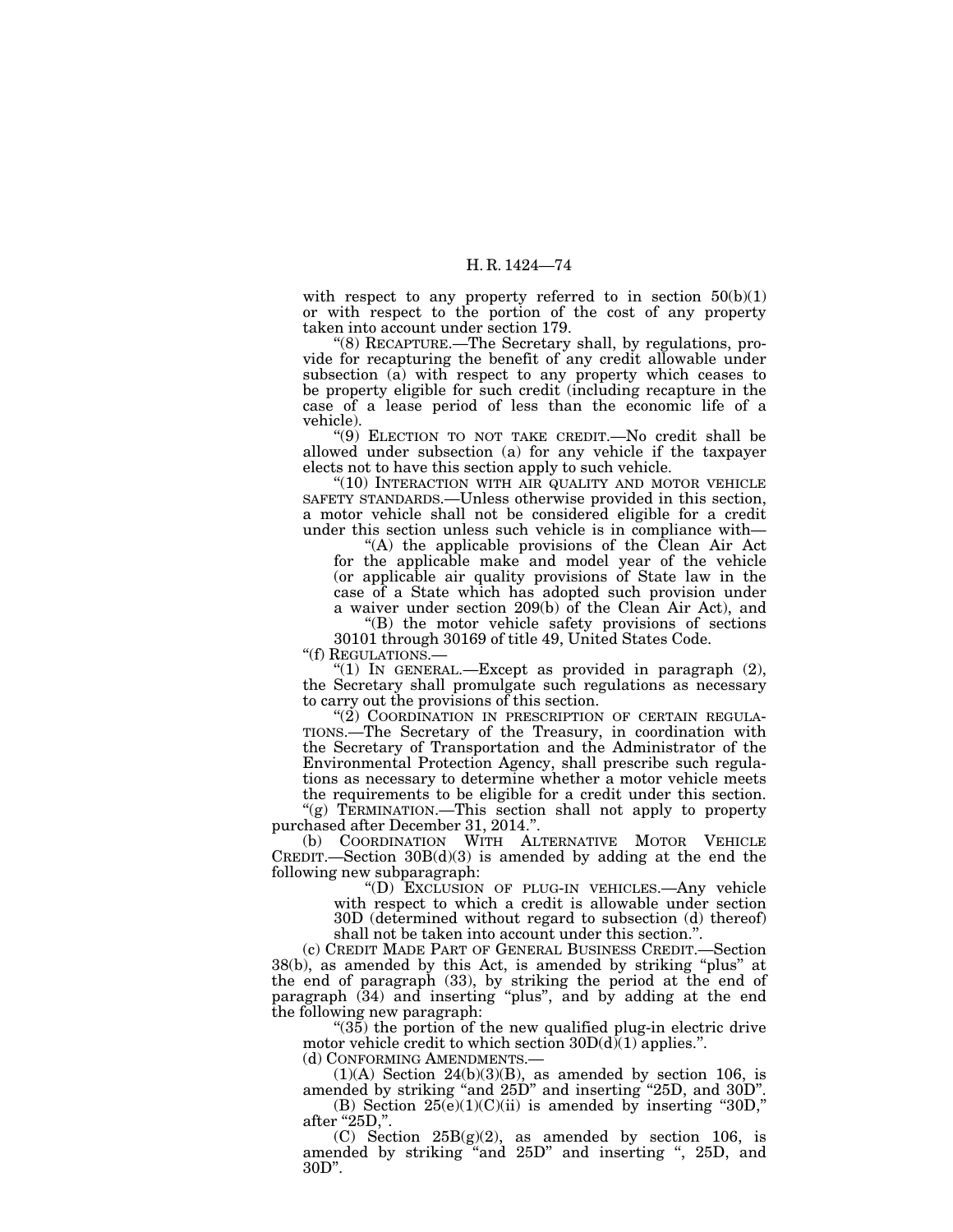with respect to any property referred to in section 50(b)(1) or with respect to the portion of the cost of any property taken into account under section 179.

''(8) RECAPTURE.—The Secretary shall, by regulations, provide for recapturing the benefit of any credit allowable under subsection (a) with respect to any property which ceases to be property eligible for such credit (including recapture in the case of a lease period of less than the economic life of a vehicle).

''(9) ELECTION TO NOT TAKE CREDIT.—No credit shall be allowed under subsection (a) for any vehicle if the taxpayer elects not to have this section apply to such vehicle.

"(10) INTERACTION WITH AIR QUALITY AND MOTOR VEHICLE SAFETY STANDARDS.—Unless otherwise provided in this section, a motor vehicle shall not be considered eligible for a credit under this section unless such vehicle is in compliance with—

''(A) the applicable provisions of the Clean Air Act for the applicable make and model year of the vehicle (or applicable air quality provisions of State law in the case of a State which has adopted such provision under a waiver under section 209(b) of the Clean Air Act), and

''(B) the motor vehicle safety provisions of sections 30101 through 30169 of title 49, United States Code. "(f) REGULATIONS.-

"(1) IN GENERAL.—Except as provided in paragraph  $(2)$ , the Secretary shall promulgate such regulations as necessary to carry out the provisions of this section.

"(2) COORDINATION IN PRESCRIPTION OF CERTAIN REGULA-TIONS.—The Secretary of the Treasury, in coordination with the Secretary of Transportation and the Administrator of the Environmental Protection Agency, shall prescribe such regulations as necessary to determine whether a motor vehicle meets the requirements to be eligible for a credit under this section.

''(g) TERMINATION.—This section shall not apply to property purchased after December 31, 2014.''.

(b) COORDINATION WITH ALTERNATIVE MOTOR VEHICLE CREDIT.—Section  $30B(d)(3)$  is amended by adding at the end the following new subparagraph:

''(D) EXCLUSION OF PLUG-IN VEHICLES.—Any vehicle with respect to which a credit is allowable under section 30D (determined without regard to subsection (d) thereof) shall not be taken into account under this section.''.

(c) CREDIT MADE PART OF GENERAL BUSINESS CREDIT.—Section 38(b), as amended by this Act, is amended by striking "plus" at the end of paragraph (33), by striking the period at the end of paragraph (34) and inserting ''plus'', and by adding at the end the following new paragraph:

 $(35)$  the portion of the new qualified plug-in electric drive motor vehicle credit to which section  $30D(d)(1)$  applies.".<br>(d) CONFORMING AMENDMENTS.—

 $(1)(A)$  Section 24(b)(3)(B), as amended by section 106, is amended by striking "and 25D" and inserting "25D, and 30D". (B) Section  $25(e)(1)(C)(ii)$  is amended by inserting "30D,"

after "25D,".

(C) Section  $25B(g)(2)$ , as amended by section 106, is amended by striking "and 25D" and inserting ", 25D, and 30D''.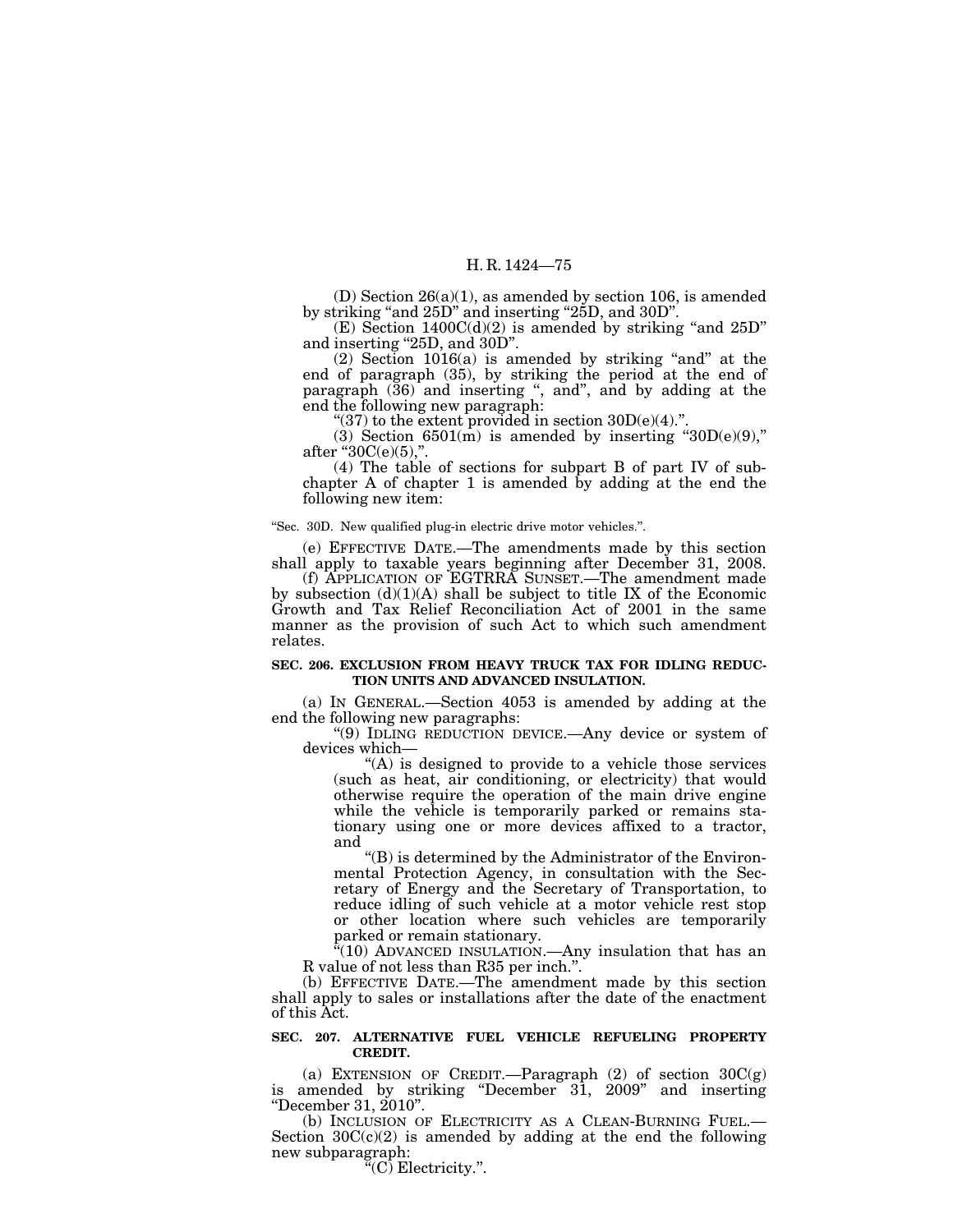(D) Section 26(a)(1), as amended by section 106, is amended by striking "and  $25D$ " and inserting " $25D$ , and  $30D$ ".

 $(E)$  Section 1400 $C(d)(2)$  is amended by striking "and 25D" and inserting "25D, and 30D".

 $(2)$  Section 1016 $(a)$  is amended by striking "and" at the end of paragraph (35), by striking the period at the end of paragraph (36) and inserting '', and'', and by adding at the end the following new paragraph:

"(37) to the extent provided in section  $30D(e)(4)$ .".

(3) Section  $6501(m)$  is amended by inserting "30D(e)(9)," after " $30C(e)(5)$ ,

(4) The table of sections for subpart B of part IV of subchapter A of chapter 1 is amended by adding at the end the following new item:

#### ''Sec. 30D. New qualified plug-in electric drive motor vehicles.''.

(e) EFFECTIVE DATE.—The amendments made by this section shall apply to taxable years beginning after December 31, 2008.

(f) APPLICATION OF EGTRRA SUNSET.—The amendment made by subsection  $(d)(1)(A)$  shall be subject to title IX of the Economic Growth and Tax Relief Reconciliation Act of 2001 in the same manner as the provision of such Act to which such amendment relates.

## **SEC. 206. EXCLUSION FROM HEAVY TRUCK TAX FOR IDLING REDUC-TION UNITS AND ADVANCED INSULATION.**

(a) IN GENERAL.—Section 4053 is amended by adding at the end the following new paragraphs:

''(9) IDLING REDUCTION DEVICE.—Any device or system of devices which—

"(A) is designed to provide to a vehicle those services (such as heat, air conditioning, or electricity) that would otherwise require the operation of the main drive engine while the vehicle is temporarily parked or remains stationary using one or more devices affixed to a tractor, and

''(B) is determined by the Administrator of the Environmental Protection Agency, in consultation with the Secretary of Energy and the Secretary of Transportation, to reduce idling of such vehicle at a motor vehicle rest stop or other location where such vehicles are temporarily parked or remain stationary.

 $\sqrt[n]{(10)}$  ADVANCED INSULATION.—Any insulation that has an R value of not less than R35 per inch.''.

(b) EFFECTIVE DATE.—The amendment made by this section shall apply to sales or installations after the date of the enactment of this Act.

## **SEC. 207. ALTERNATIVE FUEL VEHICLE REFUELING PROPERTY CREDIT.**

(a) EXTENSION OF CREDIT.—Paragraph  $(2)$  of section  $30C(g)$ is amended by striking ''December 31, 2009'' and inserting ''December 31, 2010''.

(b) INCLUSION OF ELECTRICITY AS A CLEAN-BURNING FUEL.— Section  $30C(c)(2)$  is amended by adding at the end the following new subparagraph:

 $C$ <sup>T</sup> $\leq$  Electricity.".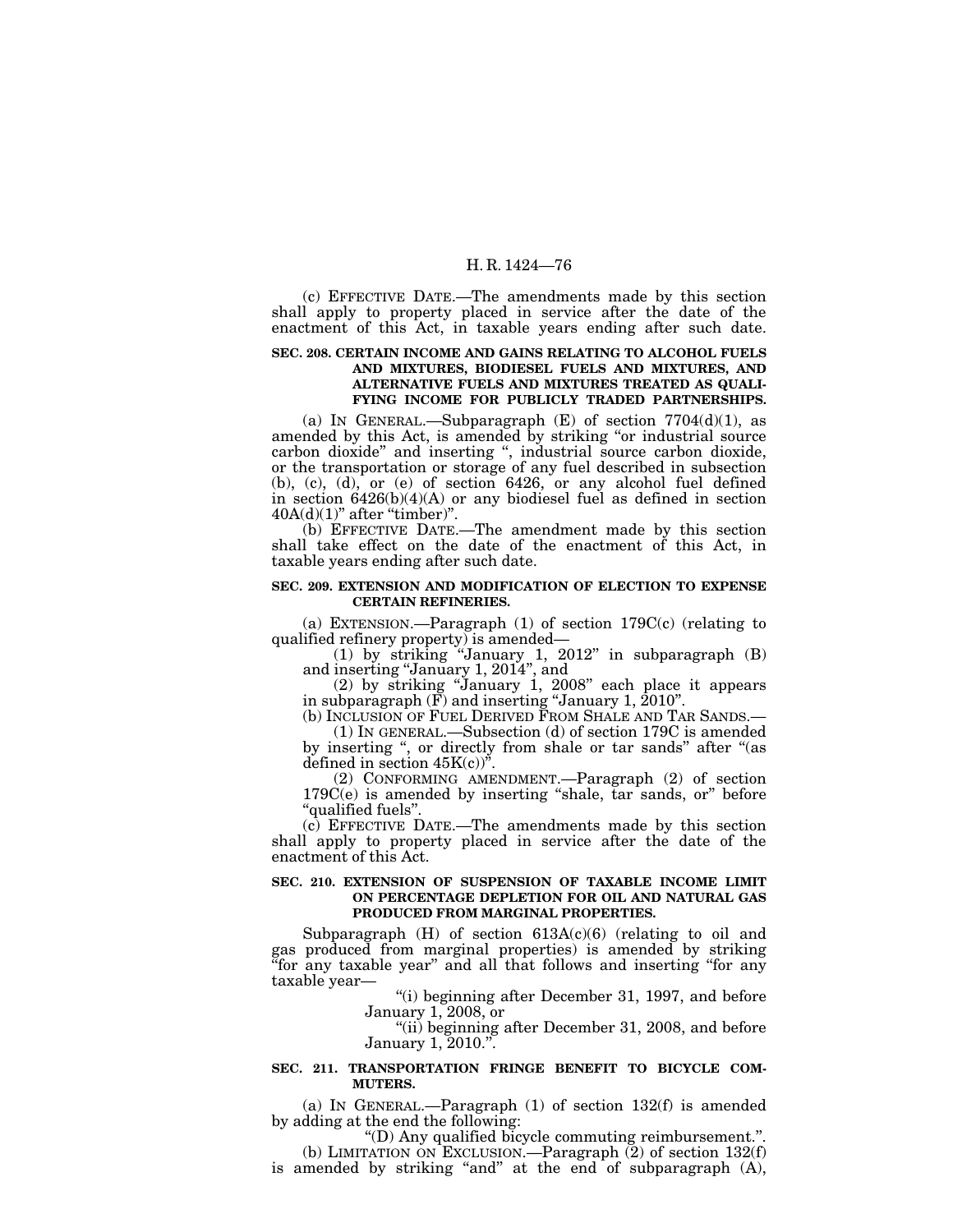(c) EFFECTIVE DATE.—The amendments made by this section shall apply to property placed in service after the date of the enactment of this Act, in taxable years ending after such date.

## **SEC. 208. CERTAIN INCOME AND GAINS RELATING TO ALCOHOL FUELS AND MIXTURES, BIODIESEL FUELS AND MIXTURES, AND ALTERNATIVE FUELS AND MIXTURES TREATED AS QUALI-FYING INCOME FOR PUBLICLY TRADED PARTNERSHIPS.**

(a) IN GENERAL.—Subparagraph  $(E)$  of section 7704(d)(1), as amended by this Act, is amended by striking "or industrial source carbon dioxide'' and inserting '', industrial source carbon dioxide, or the transportation or storage of any fuel described in subsection (b), (c), (d), or (e) of section 6426, or any alcohol fuel defined in section 6426(b)(4)(A) or any biodiesel fuel as defined in section  $40A(d)(1)$ " after "timber)".

(b) EFFECTIVE DATE.—The amendment made by this section shall take effect on the date of the enactment of this Act, in taxable years ending after such date.

#### **SEC. 209. EXTENSION AND MODIFICATION OF ELECTION TO EXPENSE CERTAIN REFINERIES.**

(a) EXTENSION.—Paragraph  $(1)$  of section 179 $C(c)$  (relating to qualified refinery property) is amended—

(1) by striking ''January 1, 2012'' in subparagraph (B) and inserting ''January 1, 2014'', and

(2) by striking ''January 1, 2008'' each place it appears in subparagraph  $(F)$  and inserting "January 1, 2010".

(b) INCLUSION OF FUEL DERIVED FROM SHALE AND TAR SANDS.—

(1) IN GENERAL.—Subsection (d) of section 179C is amended by inserting ", or directly from shale or tar sands" after "(as defined in section  $45K(c)$ ".

(2) CONFORMING AMENDMENT.—Paragraph (2) of section  $179C(e)$  is amended by inserting "shale,  $ar$  sands, or" before ''qualified fuels''.

(c) EFFECTIVE DATE.—The amendments made by this section shall apply to property placed in service after the date of the enactment of this Act.

## **SEC. 210. EXTENSION OF SUSPENSION OF TAXABLE INCOME LIMIT ON PERCENTAGE DEPLETION FOR OIL AND NATURAL GAS PRODUCED FROM MARGINAL PROPERTIES.**

Subparagraph  $(H)$  of section  $613A(c)(6)$  (relating to oil and gas produced from marginal properties) is amended by striking ''for any taxable year'' and all that follows and inserting ''for any taxable year—

> ''(i) beginning after December 31, 1997, and before January 1, 2008, or

> ''(ii) beginning after December 31, 2008, and before January 1, 2010.''.

## **SEC. 211. TRANSPORTATION FRINGE BENEFIT TO BICYCLE COM-MUTERS.**

(a) IN GENERAL.—Paragraph (1) of section 132(f) is amended by adding at the end the following:

''(D) Any qualified bicycle commuting reimbursement.''. (b) LIMITATION ON EXCLUSION.—Paragraph (2) of section 132(f) is amended by striking "and" at the end of subparagraph (A),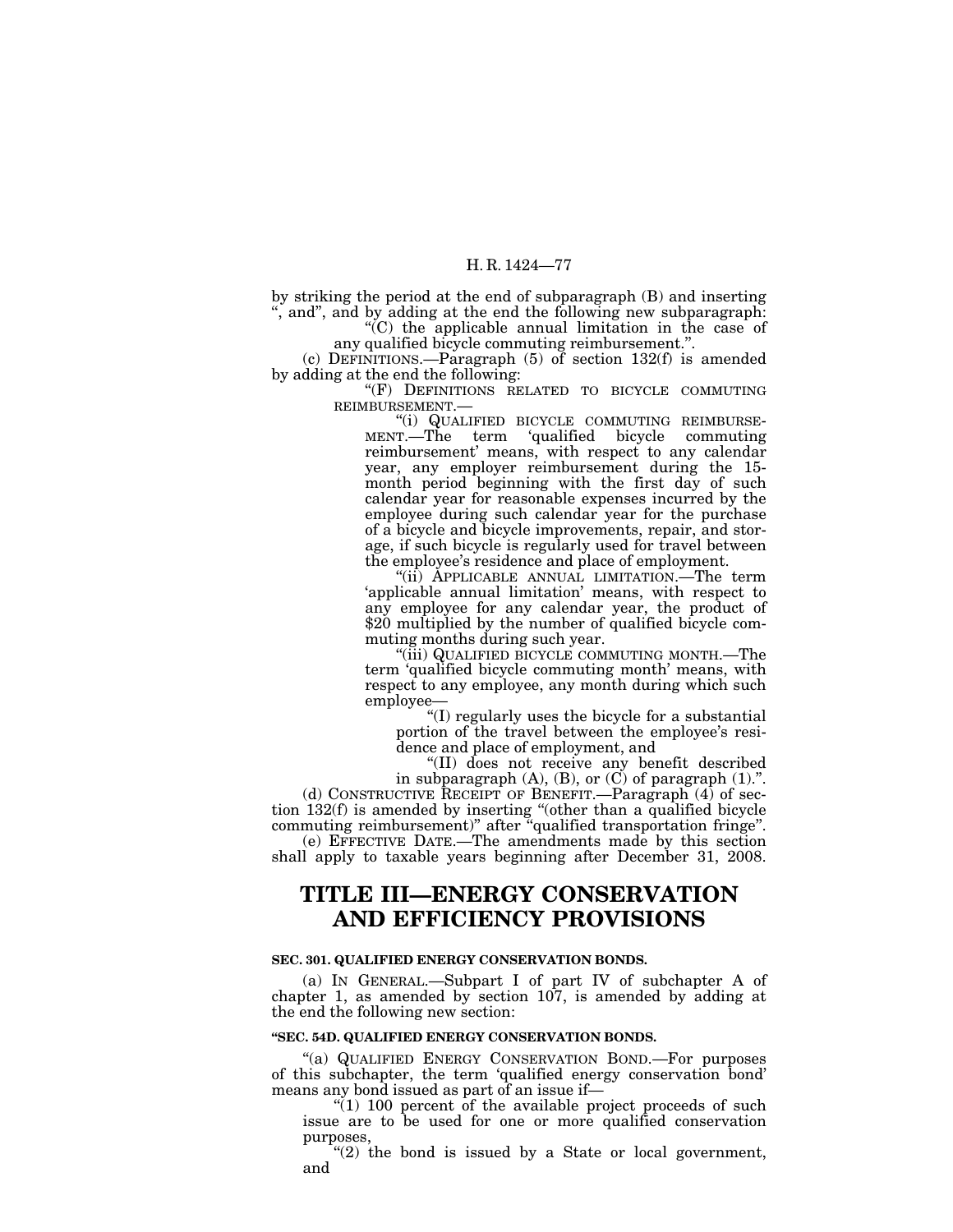by striking the period at the end of subparagraph (B) and inserting ', and", and by adding at the end the following new subparagraph:

''(C) the applicable annual limitation in the case of

any qualified bicycle commuting reimbursement.''.

(c) DEFINITIONS.—Paragraph (5) of section 132(f) is amended by adding at the end the following:

''(F) DEFINITIONS RELATED TO BICYCLE COMMUTING REIMBURSEMENT.—

> ''(i) QUALIFIED BICYCLE COMMUTING REIMBURSE-MENT.—The term 'qualified bicycle commuting reimbursement' means, with respect to any calendar year, any employer reimbursement during the 15 month period beginning with the first day of such calendar year for reasonable expenses incurred by the employee during such calendar year for the purchase of a bicycle and bicycle improvements, repair, and storage, if such bicycle is regularly used for travel between the employee's residence and place of employment.

> ''(ii) APPLICABLE ANNUAL LIMITATION.—The term 'applicable annual limitation' means, with respect to any employee for any calendar year, the product of \$20 multiplied by the number of qualified bicycle commuting months during such year.

> ''(iii) QUALIFIED BICYCLE COMMUTING MONTH.—The term 'qualified bicycle commuting month' means, with respect to any employee, any month during which such employee—

''(I) regularly uses the bicycle for a substantial portion of the travel between the employee's residence and place of employment, and

''(II) does not receive any benefit described in subparagraph  $(A)$ ,  $(B)$ , or  $(C)$  of paragraph  $(1)$ .".

(d) CONSTRUCTIVE RECEIPT OF BENEFIT.—Paragraph  $(4)$  of section 132(f) is amended by inserting ''(other than a qualified bicycle commuting reimbursement)'' after ''qualified transportation fringe''.

(e) EFFECTIVE DATE.—The amendments made by this section shall apply to taxable years beginning after December 31, 2008.

# **TITLE III—ENERGY CONSERVATION AND EFFICIENCY PROVISIONS**

## **SEC. 301. QUALIFIED ENERGY CONSERVATION BONDS.**

(a) IN GENERAL.—Subpart I of part IV of subchapter A of chapter 1, as amended by section 107, is amended by adding at the end the following new section:

### **''SEC. 54D. QUALIFIED ENERGY CONSERVATION BONDS.**

''(a) QUALIFIED ENERGY CONSERVATION BOND.—For purposes of this subchapter, the term 'qualified energy conservation bond' means any bond issued as part of an issue if—

 $(1)$  100 percent of the available project proceeds of such issue are to be used for one or more qualified conservation purposes,

 $(2)$  the bond is issued by a State or local government, and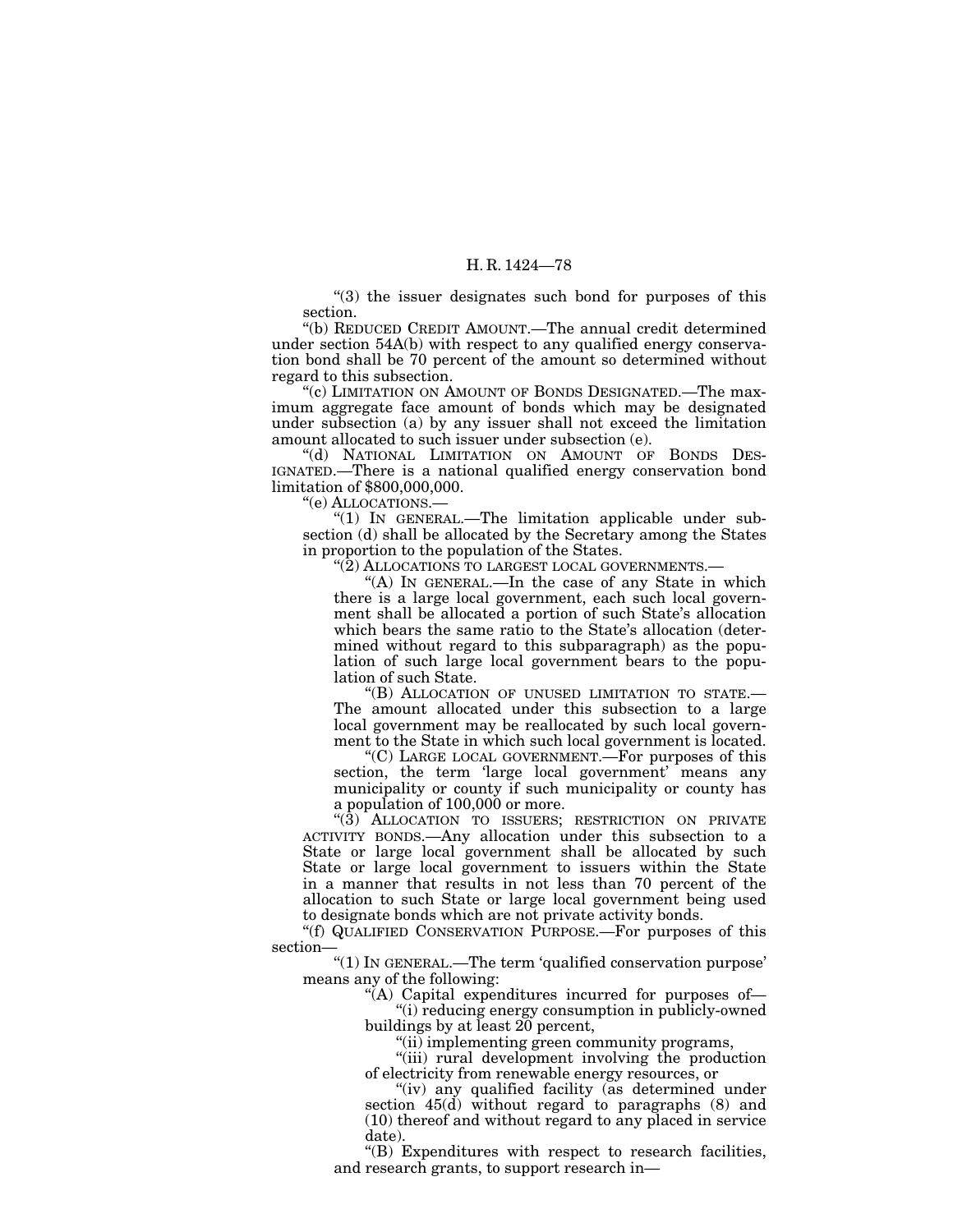"(3) the issuer designates such bond for purposes of this section.

''(b) REDUCED CREDIT AMOUNT.—The annual credit determined under section 54A(b) with respect to any qualified energy conservation bond shall be 70 percent of the amount so determined without regard to this subsection.

''(c) LIMITATION ON AMOUNT OF BONDS DESIGNATED.—The maximum aggregate face amount of bonds which may be designated under subsection (a) by any issuer shall not exceed the limitation amount allocated to such issuer under subsection (e).

''(d) NATIONAL LIMITATION ON AMOUNT OF BONDS DES-IGNATED.—There is a national qualified energy conservation bond limitation of \$800,000,000.

''(e) ALLOCATIONS.—

''(1) IN GENERAL.—The limitation applicable under subsection (d) shall be allocated by the Secretary among the States in proportion to the population of the States.

''(2) ALLOCATIONS TO LARGEST LOCAL GOVERNMENTS.—

''(A) IN GENERAL.—In the case of any State in which there is a large local government, each such local government shall be allocated a portion of such State's allocation which bears the same ratio to the State's allocation (determined without regard to this subparagraph) as the population of such large local government bears to the population of such State.

''(B) ALLOCATION OF UNUSED LIMITATION TO STATE.— The amount allocated under this subsection to a large local government may be reallocated by such local government to the State in which such local government is located.

''(C) LARGE LOCAL GOVERNMENT.—For purposes of this section, the term 'large local government' means any municipality or county if such municipality or county has a population of 100,000 or more.

"(3) ALLOCATION TO ISSUERS; RESTRICTION ON PRIVATE ACTIVITY BONDS.—Any allocation under this subsection to a State or large local government shall be allocated by such State or large local government to issuers within the State in a manner that results in not less than 70 percent of the allocation to such State or large local government being used to designate bonds which are not private activity bonds.

''(f) QUALIFIED CONSERVATION PURPOSE.—For purposes of this section—

''(1) IN GENERAL.—The term 'qualified conservation purpose' means any of the following:

 $\mathcal{H}(A)$  Capital expenditures incurred for purposes of-

''(i) reducing energy consumption in publicly-owned buildings by at least 20 percent,

''(ii) implementing green community programs,

"(iii) rural development involving the production of electricity from renewable energy resources, or

"(iv) any qualified facility (as determined under section 45(d) without regard to paragraphs (8) and (10) thereof and without regard to any placed in service date).

''(B) Expenditures with respect to research facilities, and research grants, to support research in—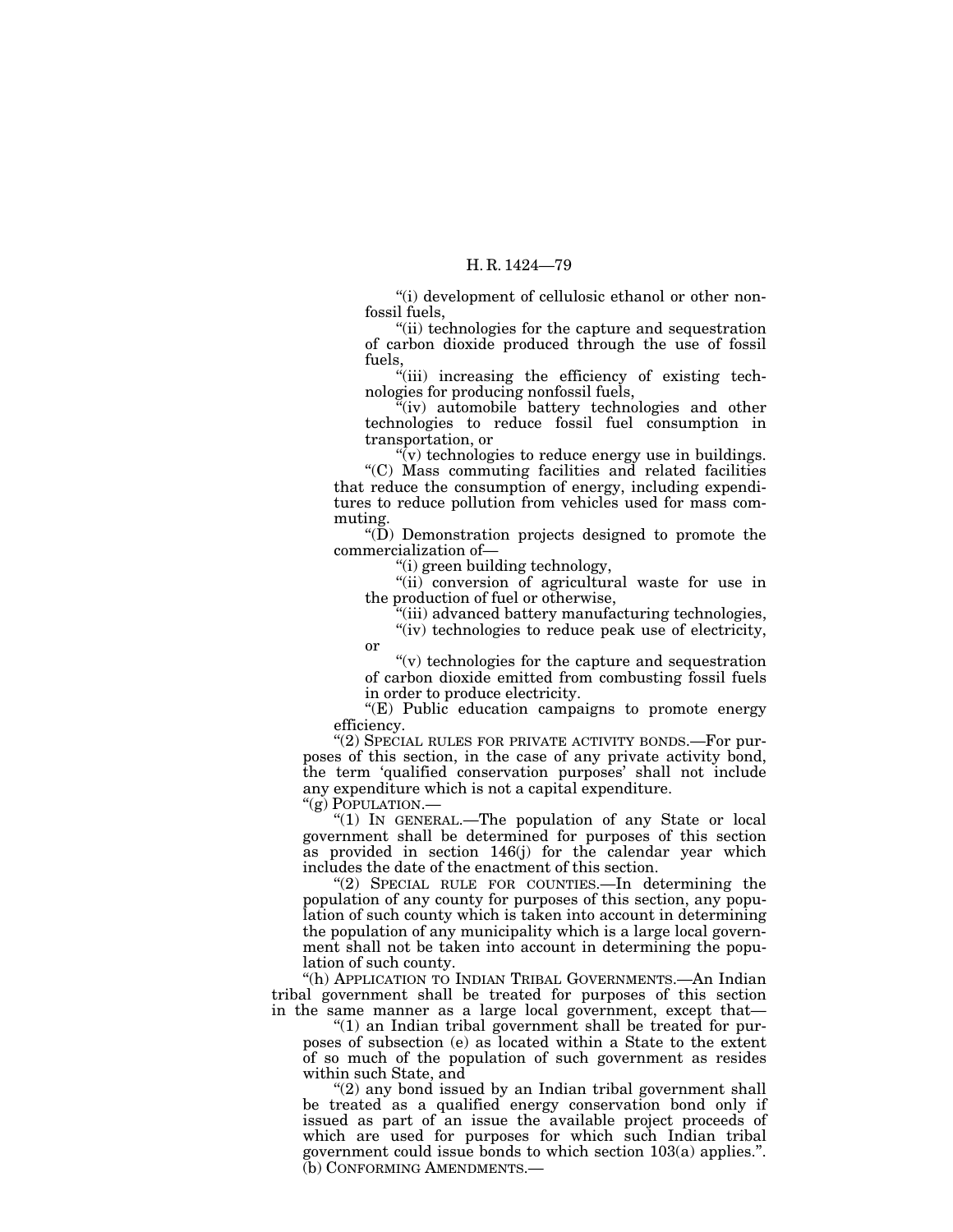''(i) development of cellulosic ethanol or other nonfossil fuels,

''(ii) technologies for the capture and sequestration of carbon dioxide produced through the use of fossil fuels,

''(iii) increasing the efficiency of existing technologies for producing nonfossil fuels,

"(iv) automobile battery technologies and other technologies to reduce fossil fuel consumption in transportation, or

 $\sqrt[n]{v}$  technologies to reduce energy use in buildings.

''(C) Mass commuting facilities and related facilities that reduce the consumption of energy, including expenditures to reduce pollution from vehicles used for mass commuting.

''(D) Demonstration projects designed to promote the commercialization of—

''(i) green building technology,

"(ii) conversion of agricultural waste for use in the production of fuel or otherwise,

''(iii) advanced battery manufacturing technologies,

"(iv) technologies to reduce peak use of electricity, or

 $''(v)$  technologies for the capture and sequestration of carbon dioxide emitted from combusting fossil fuels in order to produce electricity.

''(E) Public education campaigns to promote energy efficiency.

"(2) SPECIAL RULES FOR PRIVATE ACTIVITY BONDS.—For purposes of this section, in the case of any private activity bond, the term 'qualified conservation purposes' shall not include any expenditure which is not a capital expenditure.

''(g) POPULATION.—

" $(1)$  IN GENERAL.—The population of any State or local government shall be determined for purposes of this section as provided in section 146(j) for the calendar year which includes the date of the enactment of this section.

''(2) SPECIAL RULE FOR COUNTIES.—In determining the population of any county for purposes of this section, any population of such county which is taken into account in determining the population of any municipality which is a large local government shall not be taken into account in determining the population of such county.

''(h) APPLICATION TO INDIAN TRIBAL GOVERNMENTS.—An Indian tribal government shall be treated for purposes of this section in the same manner as a large local government, except that—

''(1) an Indian tribal government shall be treated for purposes of subsection (e) as located within a State to the extent of so much of the population of such government as resides within such State, and

" $(2)$  any bond issued by an Indian tribal government shall be treated as a qualified energy conservation bond only if issued as part of an issue the available project proceeds of which are used for purposes for which such Indian tribal government could issue bonds to which section 103(a) applies.''. (b) CONFORMING AMENDMENTS.—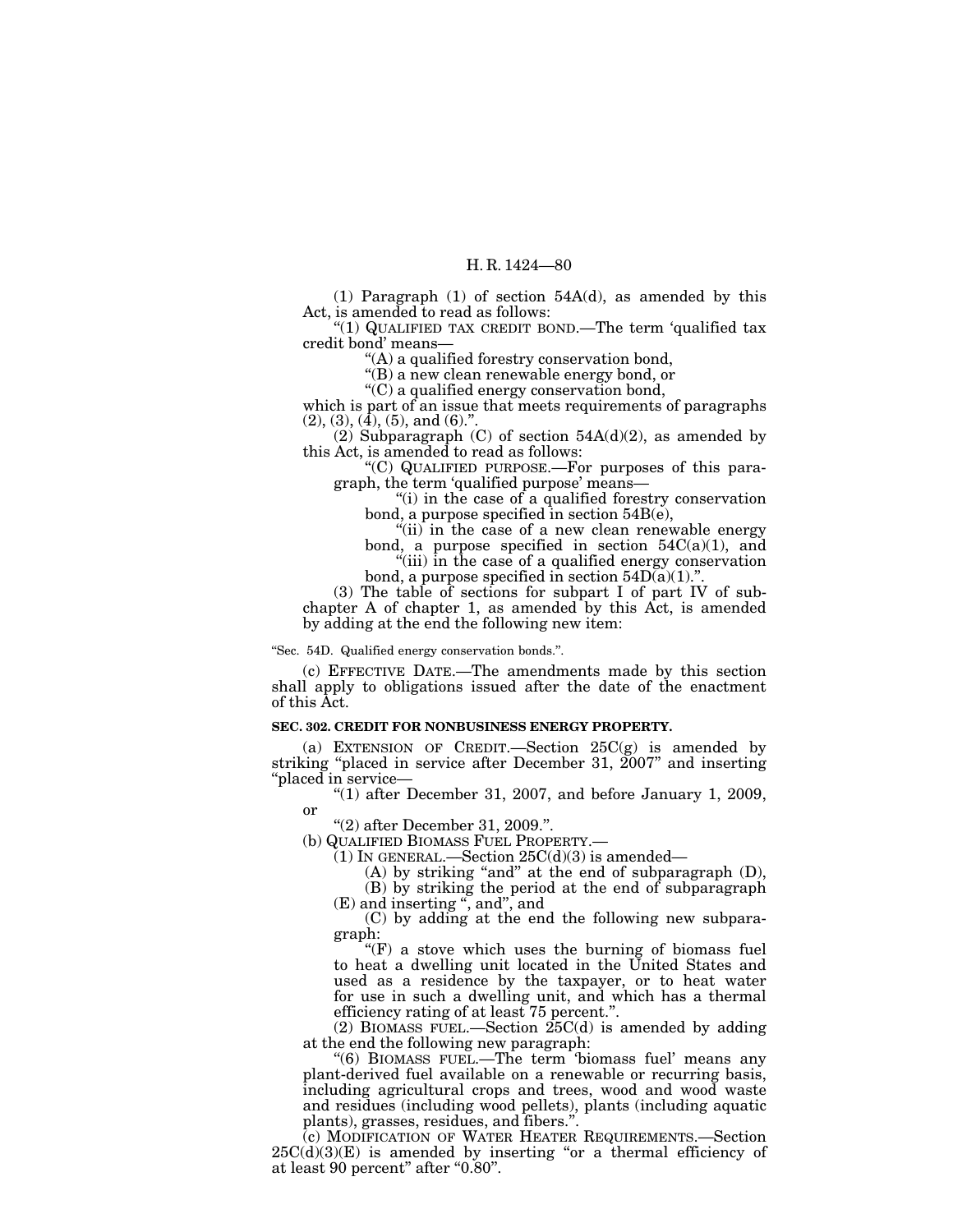(1) Paragraph (1) of section 54A(d), as amended by this Act, is amended to read as follows:

"(1) QUALIFIED TAX CREDIT BOND.—The term 'qualified tax credit bond' means—

''(A) a qualified forestry conservation bond,

''(B) a new clean renewable energy bond, or

''(C) a qualified energy conservation bond,

which is part of an issue that meets requirements of paragraphs  $(2), (3), (4), (5),$  and  $(6)$ ."

(2) Subparagraph (C) of section  $54A(d)(2)$ , as amended by this Act, is amended to read as follows:

''(C) QUALIFIED PURPOSE.—For purposes of this paragraph, the term 'qualified purpose' means—

"(i) in the case of a qualified forestry conservation bond, a purpose specified in section  $54B(e)$ ,

 $\cdot$ "(ii) in the case of a new clean renewable energy

bond, a purpose specified in section  $54C(a)(1)$ , and "(iii) in the case of a qualified energy conservation bond, a purpose specified in section  $54D(a)(1)$ .".

(3) The table of sections for subpart I of part IV of subchapter A of chapter 1, as amended by this Act, is amended by adding at the end the following new item:

''Sec. 54D. Qualified energy conservation bonds.''.

(c) EFFECTIVE DATE.—The amendments made by this section shall apply to obligations issued after the date of the enactment of this Act.

## **SEC. 302. CREDIT FOR NONBUSINESS ENERGY PROPERTY.**

(a) EXTENSION OF CREDIT.—Section  $25C(g)$  is amended by striking "placed in service after December 31,  $2007$ " and inserting ''placed in service—

" $(1)$  after December 31, 2007, and before January 1, 2009, or

''(2) after December 31, 2009.''.

(b) QUALIFIED BIOMASS FUEL PROPERTY.—

(1) IN GENERAL.—Section  $25C(d)(3)$  is amended—

(A) by striking "and" at the end of subparagraph  $(D)$ ,

(B) by striking the period at the end of subparagraph (E) and inserting '', and'', and

(C) by adding at the end the following new subparagraph:

" $(F)$  a stove which uses the burning of biomass fuel to heat a dwelling unit located in the United States and used as a residence by the taxpayer, or to heat water for use in such a dwelling unit, and which has a thermal efficiency rating of at least 75 percent.''.

(2) BIOMASS FUEL.—Section  $25C(d)$  is amended by adding at the end the following new paragraph:

''(6) BIOMASS FUEL.—The term 'biomass fuel' means any plant-derived fuel available on a renewable or recurring basis, including agricultural crops and trees, wood and wood waste and residues (including wood pellets), plants (including aquatic plants), grasses, residues, and fibers.''.

(c) MODIFICATION OF WATER HEATER REQUIREMENTS.—Section  $25C(d)(3)(E)$  is amended by inserting "or a thermal efficiency of at least 90 percent" after "0.80".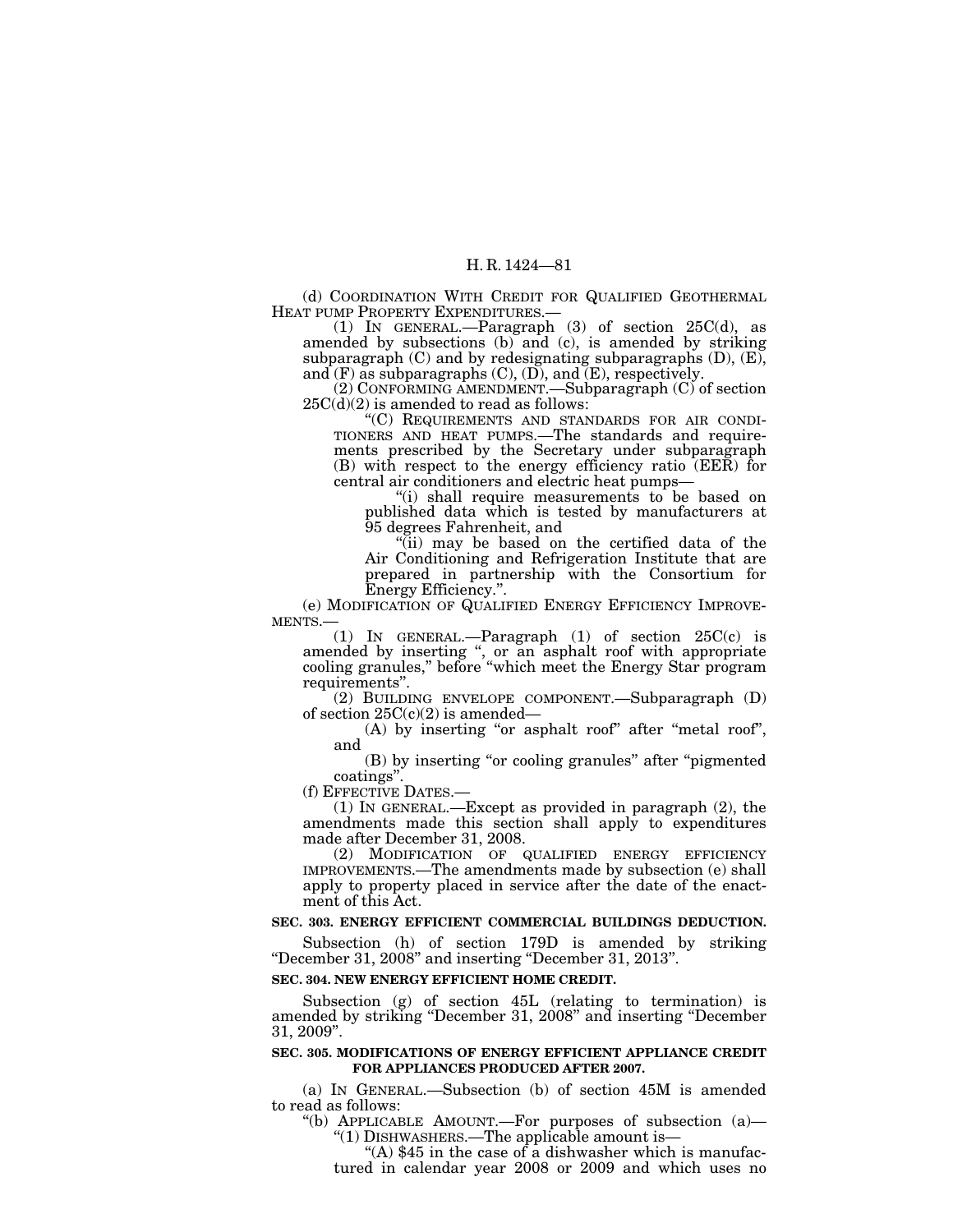(d) COORDINATION WITH CREDIT FOR QUALIFIED GEOTHERMAL HEAT PUMP PROPERTY EXPENDITURES.—

(1) IN GENERAL.—Paragraph (3) of section  $25C(d)$ , as amended by subsections (b) and (c), is amended by striking subparagraph  $(C)$  and by redesignating subparagraphs  $(D)$ ,  $(E)$ , and  $(F)$  as subparagraphs  $(C)$ ,  $(D)$ , and  $(E)$ , respectively.

(2) CONFORMING AMENDMENT.—Subparagraph (C) of section  $25C(d)(2)$  is amended to read as follows:

''(C) REQUIREMENTS AND STANDARDS FOR AIR CONDI- TIONERS AND HEAT PUMPS.—The standards and requirements prescribed by the Secretary under subparagraph (B) with respect to the energy efficiency ratio (EER) for central air conditioners and electric heat pumps—

''(i) shall require measurements to be based on published data which is tested by manufacturers at 95 degrees Fahrenheit, and

''(ii) may be based on the certified data of the Air Conditioning and Refrigeration Institute that are prepared in partnership with the Consortium for Energy Efficiency.''.

(e) MODIFICATION OF QUALIFIED ENERGY EFFICIENCY IMPROVE- MENTS.—

(1) IN GENERAL.—Paragraph (1) of section 25C(c) is amended by inserting '', or an asphalt roof with appropriate cooling granules,'' before ''which meet the Energy Star program requirements''.

(2) BUILDING ENVELOPE COMPONENT.—Subparagraph (D) of section  $25C(c)(2)$  is amended—

(A) by inserting "or asphalt roof" after "metal roof", and

(B) by inserting "or cooling granules" after "pigmented coatings''.

(f) EFFECTIVE DATES.—<br>(1) IN GENERAL.—Except as provided in paragraph (2), the amendments made this section shall apply to expenditures made after December 31, 2008.

(2) MODIFICATION OF QUALIFIED ENERGY EFFICIENCY IMPROVEMENTS.—The amendments made by subsection (e) shall apply to property placed in service after the date of the enactment of this Act.

# **SEC. 303. ENERGY EFFICIENT COMMERCIAL BUILDINGS DEDUCTION.**

Subsection (h) of section 179D is amended by striking ''December 31, 2008'' and inserting ''December 31, 2013''.

### **SEC. 304. NEW ENERGY EFFICIENT HOME CREDIT.**

Subsection (g) of section 45L (relating to termination) is amended by striking ''December 31, 2008'' and inserting ''December 31, 2009''.

## **SEC. 305. MODIFICATIONS OF ENERGY EFFICIENT APPLIANCE CREDIT FOR APPLIANCES PRODUCED AFTER 2007.**

(a) IN GENERAL.—Subsection (b) of section 45M is amended to read as follows:

"(b) APPLICABLE AMOUNT.—For purposes of subsection  $(a)$ — ''(1) DISHWASHERS.—The applicable amount is—

"(A)  $$45$  in the case of a dishwasher which is manufactured in calendar year 2008 or 2009 and which uses no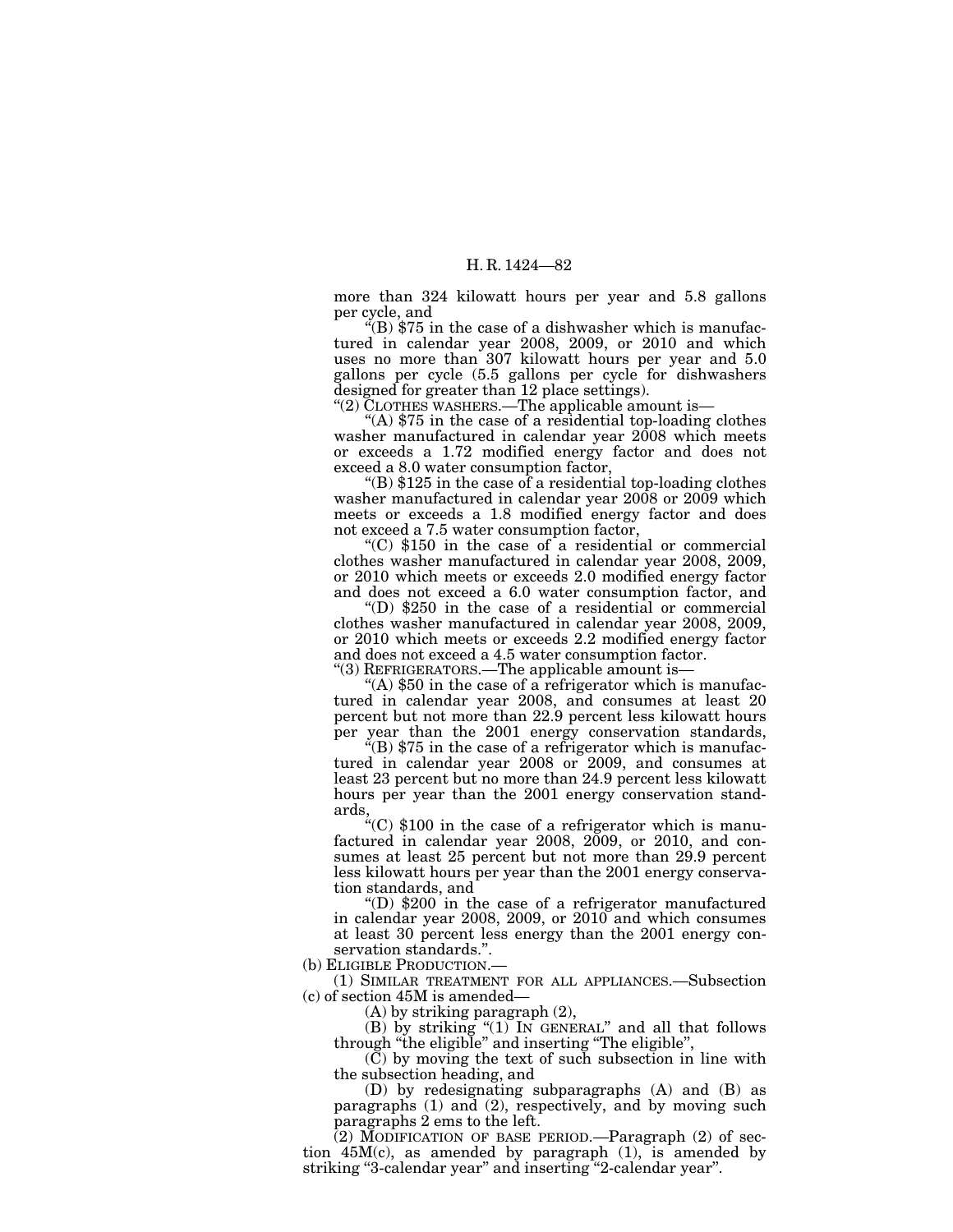more than 324 kilowatt hours per year and 5.8 gallons per cycle, and

 $\mathcal{L}(B)$  \$75 in the case of a dishwasher which is manufactured in calendar year 2008, 2009, or 2010 and which uses no more than 307 kilowatt hours per year and 5.0 gallons per cycle (5.5 gallons per cycle for dishwashers designed for greater than 12 place settings).

''(2) CLOTHES WASHERS.—The applicable amount is—

"(A) \$75 in the case of a residential top-loading clothes washer manufactured in calendar year 2008 which meets or exceeds a 1.72 modified energy factor and does not exceed a 8.0 water consumption factor,

 $\degree$ (B) \$125 in the case of a residential top-loading clothes washer manufactured in calendar year 2008 or 2009 which meets or exceeds a 1.8 modified energy factor and does not exceed a 7.5 water consumption factor,

"(C)  $$150$  in the case of a residential or commercial clothes washer manufactured in calendar year 2008, 2009, or 2010 which meets or exceeds 2.0 modified energy factor and does not exceed a 6.0 water consumption factor, and

''(D) \$250 in the case of a residential or commercial clothes washer manufactured in calendar year 2008, 2009, or 2010 which meets or exceeds 2.2 modified energy factor and does not exceed a 4.5 water consumption factor.

''(3) REFRIGERATORS.—The applicable amount is—

"(A)  $$50$  in the case of a refrigerator which is manufactured in calendar year 2008, and consumes at least 20 percent but not more than 22.9 percent less kilowatt hours per year than the 2001 energy conservation standards,

 $\mathrm{``(B)}$  \$75 in the case of a refrigerator which is manufactured in calendar year 2008 or 2009, and consumes at least 23 percent but no more than 24.9 percent less kilowatt hours per year than the 2001 energy conservation standards,

''(C) \$100 in the case of a refrigerator which is manufactured in calendar year 2008, 2009, or 2010, and consumes at least 25 percent but not more than 29.9 percent less kilowatt hours per year than the 2001 energy conservation standards, and

"(D)  $$200$  in the case of a refrigerator manufactured in calendar year 2008, 2009, or 2010 and which consumes at least 30 percent less energy than the 2001 energy conservation standards.''.

(b) ELIGIBLE PRODUCTION.—

(1) SIMILAR TREATMENT FOR ALL APPLIANCES.—Subsection (c) of section 45M is amended—

(A) by striking paragraph (2),

(B) by striking " $(1)$  In GENERAL" and all that follows through ''the eligible'' and inserting ''The eligible'',

(C) by moving the text of such subsection in line with the subsection heading, and

(D) by redesignating subparagraphs (A) and (B) as paragraphs (1) and (2), respectively, and by moving such paragraphs 2 ems to the left.

 $(2)$  MODIFICATION OF BASE PERIOD.—Paragraph  $(2)$  of section  $45M(c)$ , as amended by paragraph  $(1)$ , is amended by striking ''3-calendar year'' and inserting ''2-calendar year''.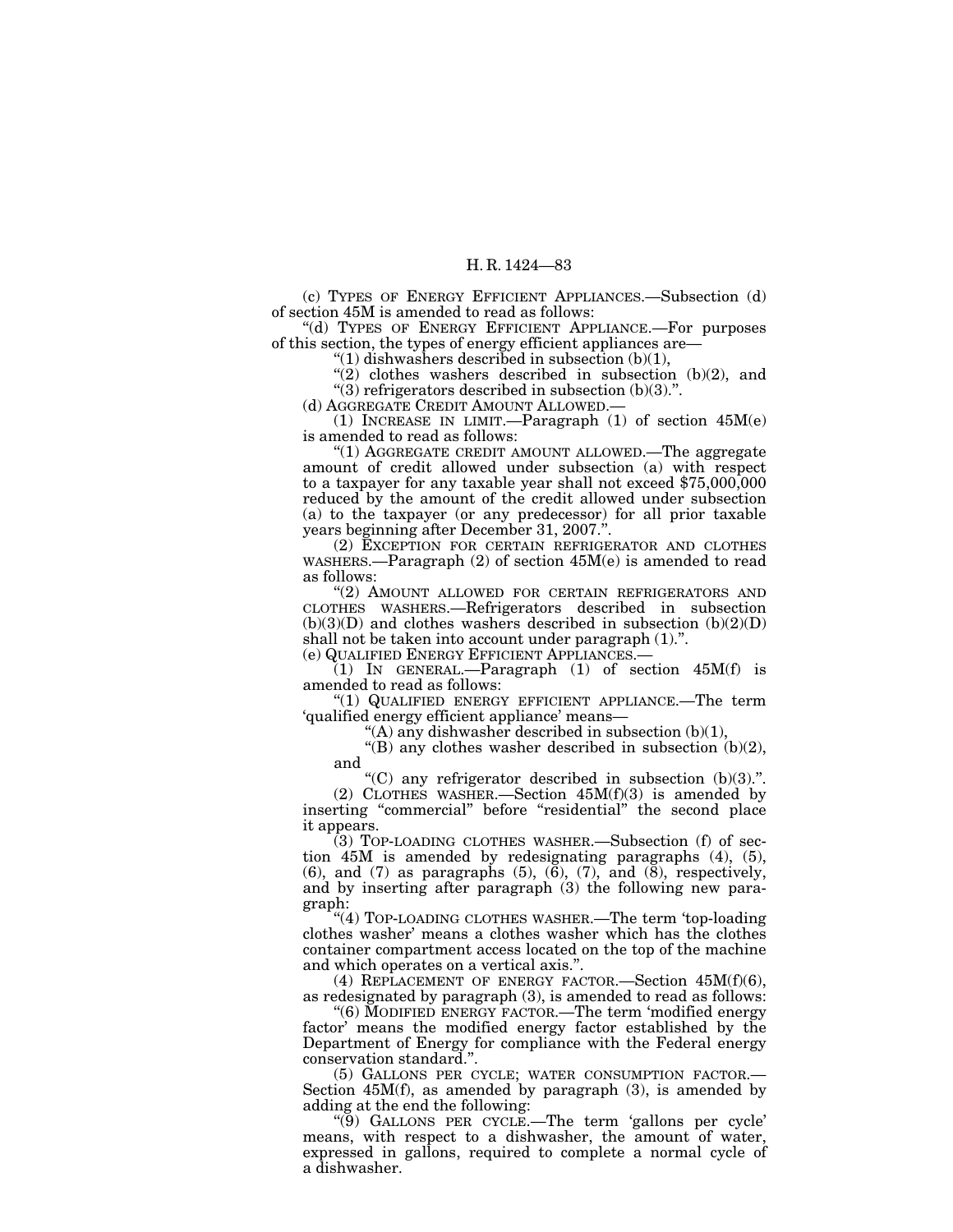(c) TYPES OF ENERGY EFFICIENT APPLIANCES.—Subsection (d) of section 45M is amended to read as follows:

''(d) TYPES OF ENERGY EFFICIENT APPLIANCE.—For purposes of this section, the types of energy efficient appliances are—

" $(1)$  dishwashers described in subsection  $(b)(1)$ ,

"(2) clothes washers described in subsection (b)(2), and " $(3)$  refrigerators described in subsection  $(b)(3)$ .".

(d) AGGREGATE CREDIT AMOUNT ALLOWED.—

(1) INCREASE IN LIMIT.—Paragraph (1) of section 45M(e) is amended to read as follows:

''(1) AGGREGATE CREDIT AMOUNT ALLOWED.—The aggregate amount of credit allowed under subsection (a) with respect to a taxpayer for any taxable year shall not exceed \$75,000,000 reduced by the amount of the credit allowed under subsection (a) to the taxpayer (or any predecessor) for all prior taxable years beginning after December 31, 2007.''.

(2) EXCEPTION FOR CERTAIN REFRIGERATOR AND CLOTHES WASHERS.—Paragraph (2) of section 45M(e) is amended to read as follows:

''(2) AMOUNT ALLOWED FOR CERTAIN REFRIGERATORS AND CLOTHES WASHERS.—Refrigerators described in subsection  $(b)(3)(D)$  and clothes washers described in subsection  $(b)(2)(D)$ shall not be taken into account under paragraph (1).''.

(e) QUALIFIED ENERGY EFFICIENT APPLIANCES.—

(1) IN GENERAL.—Paragraph (1) of section 45M(f) is amended to read as follows:

"(1) QUALIFIED ENERGY EFFICIENT APPLIANCE.—The term 'qualified energy efficient appliance' means—

"(A) any dishwasher described in subsection  $(b)(1)$ ,

"(B) any clothes washer described in subsection (b)(2), and

"(C) any refrigerator described in subsection  $(b)(3)$ .".

(2) CLOTHES WASHER.—Section  $45M(f)(3)$  is amended by inserting "commercial" before "residential" the second place it appears.

(3) TOP-LOADING CLOTHES WASHER.—Subsection (f) of section 45M is amended by redesignating paragraphs (4), (5), (6), and (7) as paragraphs (5),  $(\overline{6})$ ,  $(7)$ , and  $(\overline{8})$ , respectively, and by inserting after paragraph (3) the following new paragraph:

"(4) TOP-LOADING CLOTHES WASHER.—The term 'top-loading clothes washer' means a clothes washer which has the clothes container compartment access located on the top of the machine and which operates on a vertical axis.''.

(4) REPLACEMENT OF ENERGY FACTOR.—Section 45M(f)(6), as redesignated by paragraph (3), is amended to read as follows:

''(6) MODIFIED ENERGY FACTOR.—The term 'modified energy factor' means the modified energy factor established by the Department of Energy for compliance with the Federal energy conservation standard.''.

(5) GALLONS PER CYCLE; WATER CONSUMPTION FACTOR.— Section 45M(f), as amended by paragraph (3), is amended by adding at the end the following:

''(9) GALLONS PER CYCLE.—The term 'gallons per cycle' means, with respect to a dishwasher, the amount of water, expressed in gallons, required to complete a normal cycle of a dishwasher.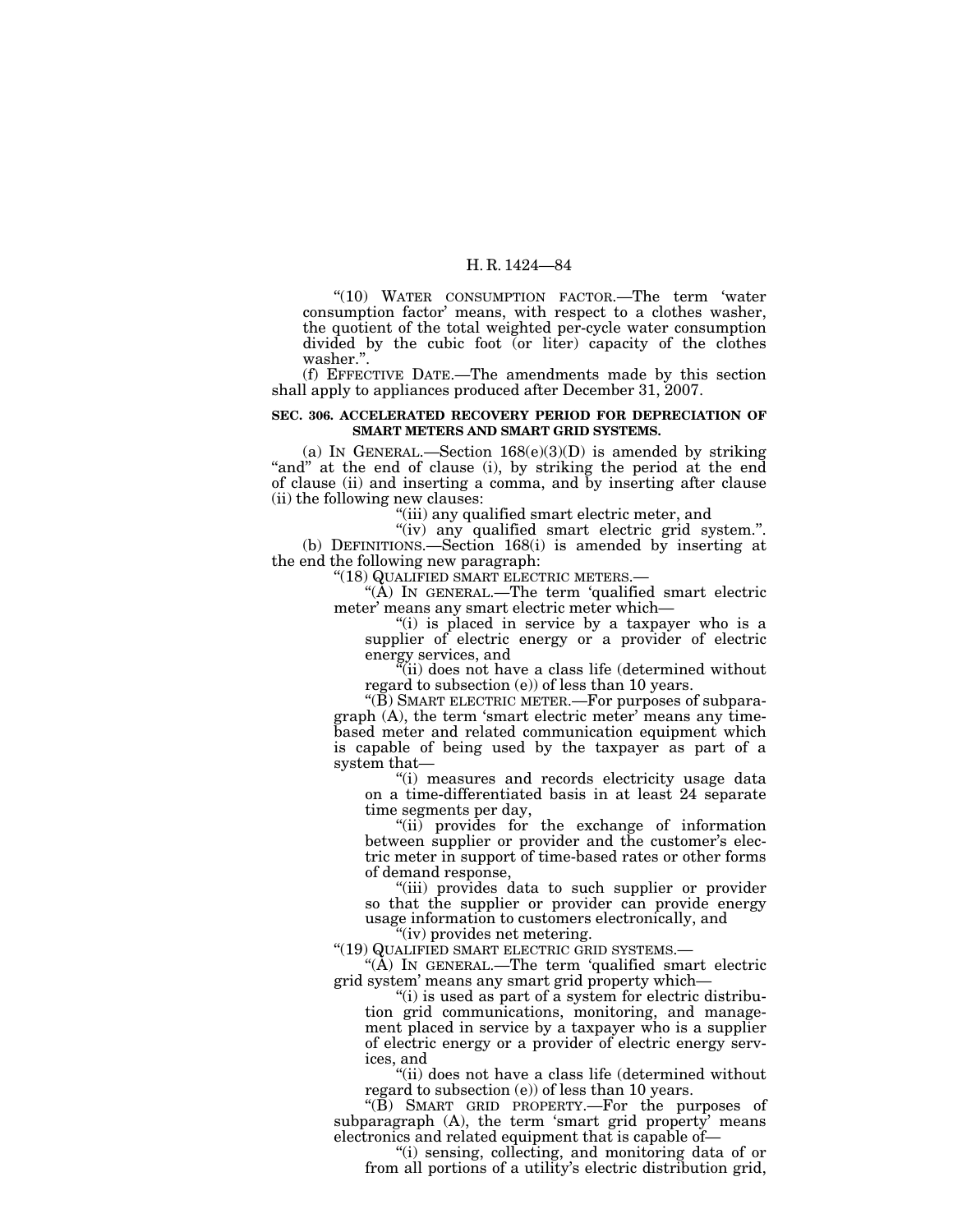''(10) WATER CONSUMPTION FACTOR.—The term 'water consumption factor' means, with respect to a clothes washer, the quotient of the total weighted per-cycle water consumption divided by the cubic foot (or liter) capacity of the clothes washer.''.

(f) EFFECTIVE DATE.—The amendments made by this section shall apply to appliances produced after December 31, 2007.

### **SEC. 306. ACCELERATED RECOVERY PERIOD FOR DEPRECIATION OF SMART METERS AND SMART GRID SYSTEMS.**

(a) IN GENERAL.—Section 168(e)(3)(D) is amended by striking "and" at the end of clause (i), by striking the period at the end of clause (ii) and inserting a comma, and by inserting after clause (ii) the following new clauses:

''(iii) any qualified smart electric meter, and

"(iv) any qualified smart electric grid system.". (b) DEFINITIONS.—Section 168(i) is amended by inserting at the end the following new paragraph:

''(18) QUALIFIED SMART ELECTRIC METERS.—

"(A) IN GENERAL.—The term 'qualified smart electric meter' means any smart electric meter which—

"(i) is placed in service by a taxpayer who is a supplier of electric energy or a provider of electric energy services, and

''(ii) does not have a class life (determined without regard to subsection (e)) of less than 10 years.

''(B) SMART ELECTRIC METER.—For purposes of subparagraph (A), the term 'smart electric meter' means any timebased meter and related communication equipment which is capable of being used by the taxpayer as part of a system that—

''(i) measures and records electricity usage data on a time-differentiated basis in at least 24 separate time segments per day,

''(ii) provides for the exchange of information between supplier or provider and the customer's electric meter in support of time-based rates or other forms of demand response,

''(iii) provides data to such supplier or provider so that the supplier or provider can provide energy usage information to customers electronically, and ''(iv) provides net metering.

''(19) QUALIFIED SMART ELECTRIC GRID SYSTEMS.—

"( $\vec{A}$ ) In GENERAL.—The term 'qualified smart electric grid system' means any smart grid property which—

''(i) is used as part of a system for electric distribution grid communications, monitoring, and management placed in service by a taxpayer who is a supplier of electric energy or a provider of electric energy services, and

''(ii) does not have a class life (determined without regard to subsection (e)) of less than 10 years.

" $(B)$  SMART GRID PROPERTY.—For the purposes of subparagraph (A), the term 'smart grid property' means electronics and related equipment that is capable of—

''(i) sensing, collecting, and monitoring data of or from all portions of a utility's electric distribution grid,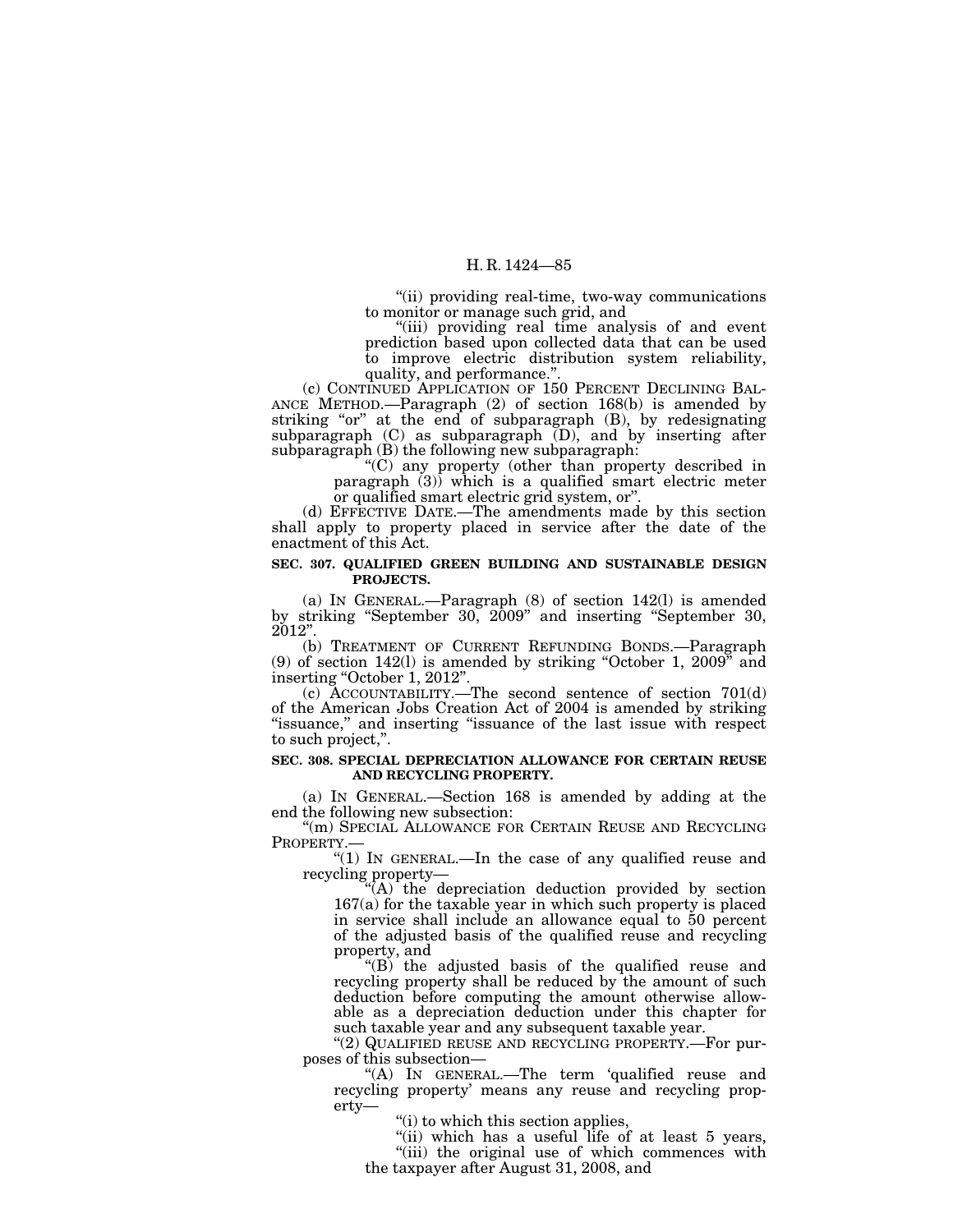"(ii) providing real-time, two-way communications to monitor or manage such grid, and

''(iii) providing real time analysis of and event prediction based upon collected data that can be used to improve electric distribution system reliability, quality, and performance.''.

(c) CONTINUED APPLICATION OF 150 PERCENT DECLINING BAL- ANCE METHOD.—Paragraph (2) of section 168(b) is amended by striking "or" at the end of subparagraph (B), by redesignating subparagraph (C) as subparagraph (D), and by inserting after subparagraph (B) the following new subparagraph:

''(C) any property (other than property described in paragraph (3)) which is a qualified smart electric meter or qualified smart electric grid system, or''.

(d) EFFECTIVE DATE.—The amendments made by this section shall apply to property placed in service after the date of the enactment of this Act.

## **SEC. 307. QUALIFIED GREEN BUILDING AND SUSTAINABLE DESIGN PROJECTS.**

(a) IN GENERAL.—Paragraph (8) of section 142(l) is amended by striking ''September 30, 2009'' and inserting ''September 30, 2012''.

(b) TREATMENT OF CURRENT REFUNDING BONDS.—Paragraph (9) of section 142(l) is amended by striking "October 1, 2009" and inserting "October 1, 2012".

(c)  $ACCOUNTABILITY.—The second sentence of section 701(d)$ of the American Jobs Creation Act of 2004 is amended by striking ''issuance,'' and inserting ''issuance of the last issue with respect to such project,''.

## **SEC. 308. SPECIAL DEPRECIATION ALLOWANCE FOR CERTAIN REUSE AND RECYCLING PROPERTY.**

(a) IN GENERAL.—Section 168 is amended by adding at the end the following new subsection:

''(m) SPECIAL ALLOWANCE FOR CERTAIN REUSE AND RECYCLING PROPERTY.—

" $(1)$  In GENERAL.—In the case of any qualified reuse and recycling property—

''(A) the depreciation deduction provided by section 167(a) for the taxable year in which such property is placed in service shall include an allowance equal to 50 percent of the adjusted basis of the qualified reuse and recycling property, and

 $'(B)$  the adjusted basis of the qualified reuse and recycling property shall be reduced by the amount of such deduction before computing the amount otherwise allowable as a depreciation deduction under this chapter for such taxable year and any subsequent taxable year.

''(2) QUALIFIED REUSE AND RECYCLING PROPERTY.—For purposes of this subsection—

''(A) IN GENERAL.—The term 'qualified reuse and recycling property' means any reuse and recycling property—

''(i) to which this section applies,

"(ii) which has a useful life of at least 5 years, "(iii) the original use of which commences with

the taxpayer after August 31, 2008, and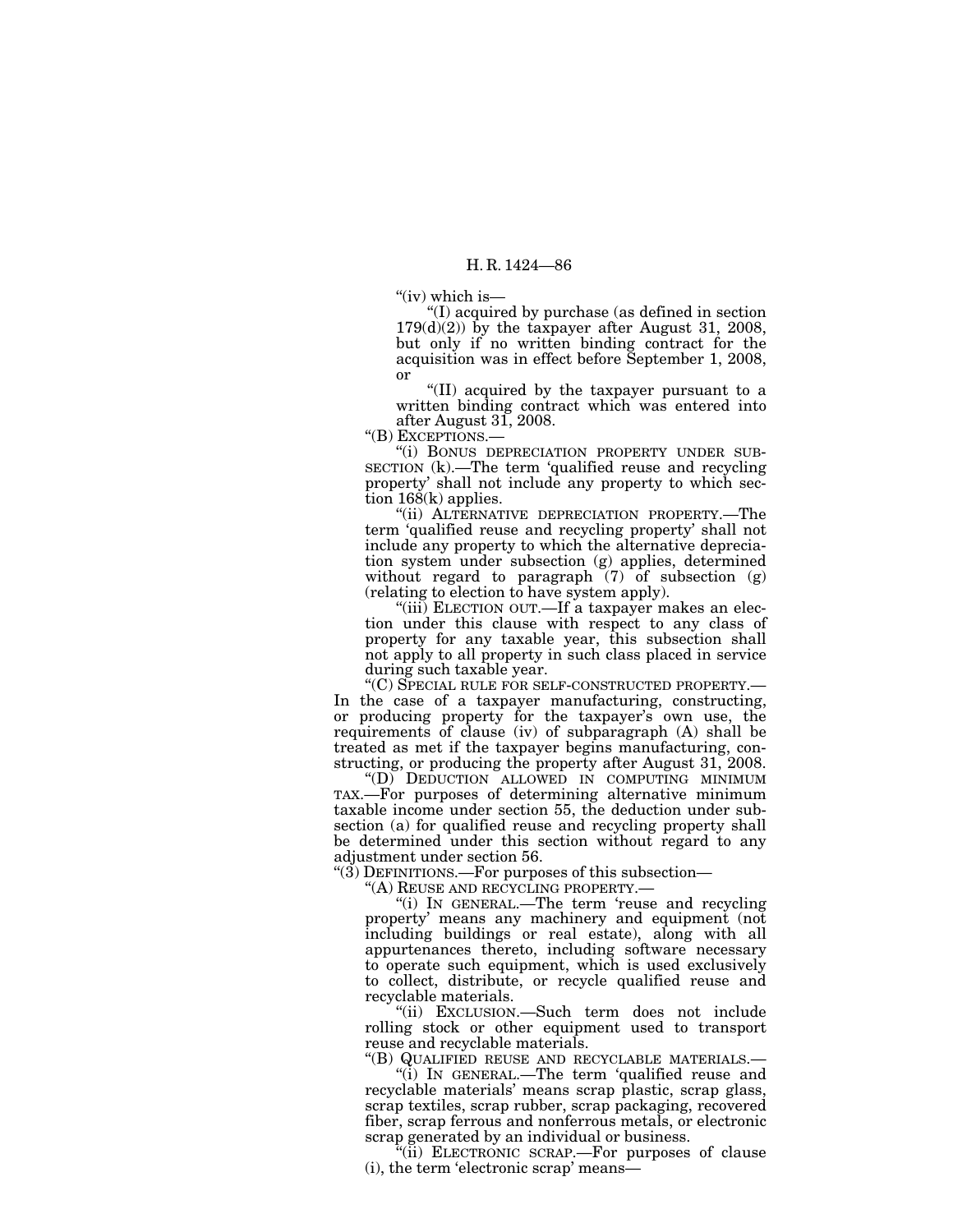"(iv) which is-

''(I) acquired by purchase (as defined in section  $179(d)(2)$  by the taxpayer after August 31, 2008, but only if no written binding contract for the acquisition was in effect before September 1, 2008, or

''(II) acquired by the taxpayer pursuant to a written binding contract which was entered into after August 31, 2008.

''(B) EXCEPTIONS.—

''(i) BONUS DEPRECIATION PROPERTY UNDER SUB-SECTION (k).—The term 'qualified reuse and recycling property' shall not include any property to which section 168(k) applies.

''(ii) ALTERNATIVE DEPRECIATION PROPERTY.—The term 'qualified reuse and recycling property' shall not include any property to which the alternative depreciation system under subsection (g) applies, determined without regard to paragraph (7) of subsection (g) (relating to election to have system apply).

"(iii) ELECTION OUT.—If a taxpayer makes an election under this clause with respect to any class of property for any taxable year, this subsection shall not apply to all property in such class placed in service during such taxable year.

''(C) SPECIAL RULE FOR SELF-CONSTRUCTED PROPERTY.— In the case of a taxpayer manufacturing, constructing, or producing property for the taxpayer's own use, the requirements of clause (iv) of subparagraph (A) shall be treated as met if the taxpayer begins manufacturing, constructing, or producing the property after August 31, 2008.

''(D) DEDUCTION ALLOWED IN COMPUTING MINIMUM TAX.—For purposes of determining alternative minimum taxable income under section 55, the deduction under subsection (a) for qualified reuse and recycling property shall be determined under this section without regard to any adjustment under section 56.

" $(3)$  DEFINITIONS.—For purposes of this subsection—

''(A) REUSE AND RECYCLING PROPERTY.—

''(i) IN GENERAL.—The term 'reuse and recycling property' means any machinery and equipment (not including buildings or real estate), along with all appurtenances thereto, including software necessary to operate such equipment, which is used exclusively to collect, distribute, or recycle qualified reuse and recyclable materials.

''(ii) EXCLUSION.—Such term does not include rolling stock or other equipment used to transport reuse and recyclable materials.

''(B) QUALIFIED REUSE AND RECYCLABLE MATERIALS.— ''(i) IN GENERAL.—The term 'qualified reuse and

recyclable materials' means scrap plastic, scrap glass, scrap textiles, scrap rubber, scrap packaging, recovered fiber, scrap ferrous and nonferrous metals, or electronic scrap generated by an individual or business.

 $(iii)$  ELECTRONIC SCRAP.—For purposes of clause (i), the term 'electronic scrap' means—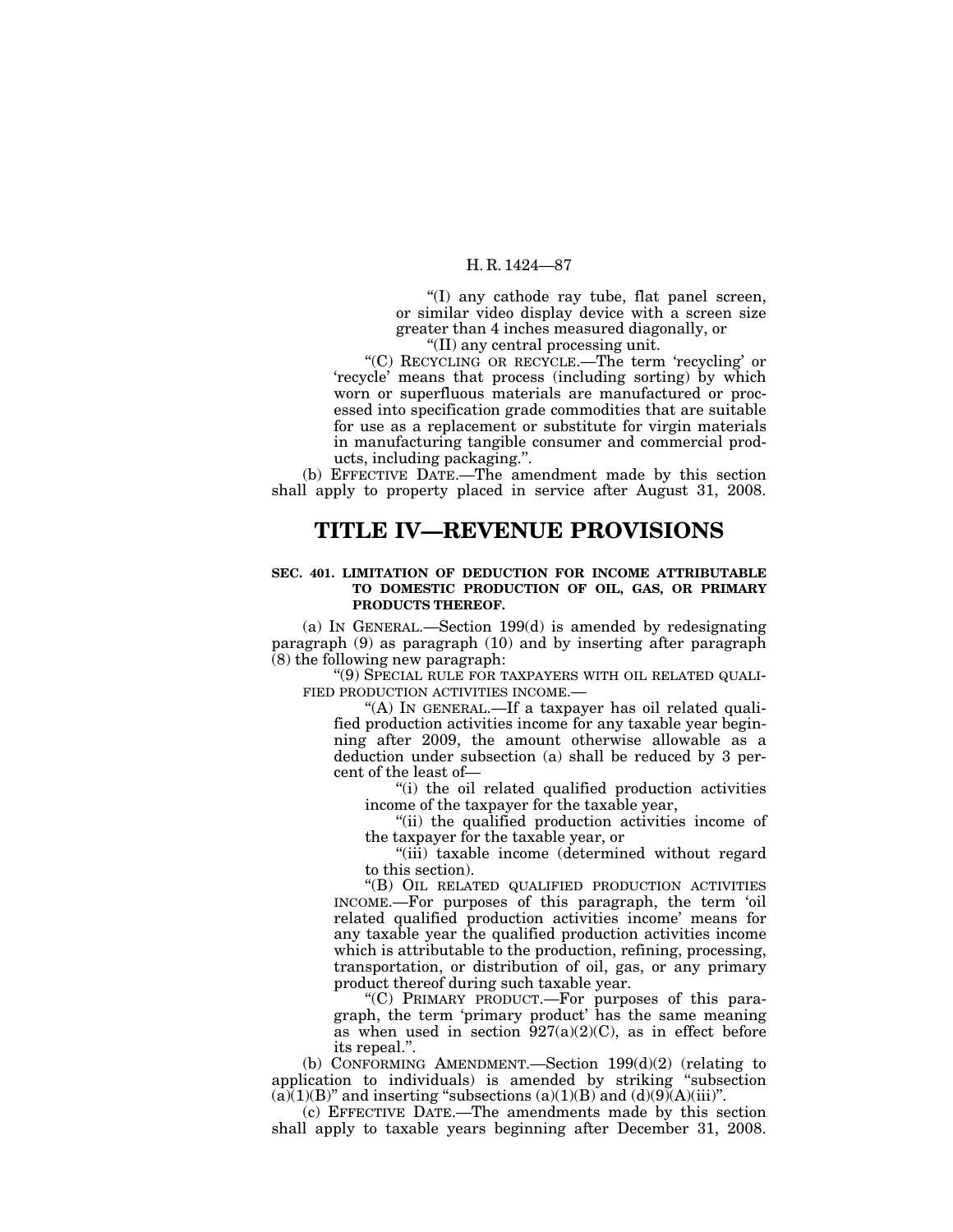''(I) any cathode ray tube, flat panel screen, or similar video display device with a screen size greater than 4 inches measured diagonally, or

''(II) any central processing unit.

''(C) RECYCLING OR RECYCLE.—The term 'recycling' or 'recycle' means that process (including sorting) by which worn or superfluous materials are manufactured or processed into specification grade commodities that are suitable for use as a replacement or substitute for virgin materials in manufacturing tangible consumer and commercial products, including packaging.''.

(b) EFFECTIVE DATE.—The amendment made by this section shall apply to property placed in service after August 31, 2008.

# **TITLE IV—REVENUE PROVISIONS**

# **SEC. 401. LIMITATION OF DEDUCTION FOR INCOME ATTRIBUTABLE TO DOMESTIC PRODUCTION OF OIL, GAS, OR PRIMARY PRODUCTS THEREOF.**

(a) IN GENERAL.—Section 199(d) is amended by redesignating paragraph (9) as paragraph (10) and by inserting after paragraph (8) the following new paragraph:

''(9) SPECIAL RULE FOR TAXPAYERS WITH OIL RELATED QUALI-FIED PRODUCTION ACTIVITIES INCOME.—

''(A) IN GENERAL.—If a taxpayer has oil related qualified production activities income for any taxable year beginning after 2009, the amount otherwise allowable as a deduction under subsection (a) shall be reduced by 3 percent of the least of—

''(i) the oil related qualified production activities income of the taxpayer for the taxable year,

''(ii) the qualified production activities income of the taxpayer for the taxable year, or

''(iii) taxable income (determined without regard to this section).

''(B) OIL RELATED QUALIFIED PRODUCTION ACTIVITIES INCOME.—For purposes of this paragraph, the term 'oil related qualified production activities income' means for any taxable year the qualified production activities income which is attributable to the production, refining, processing, transportation, or distribution of oil, gas, or any primary product thereof during such taxable year.

''(C) PRIMARY PRODUCT.—For purposes of this paragraph, the term 'primary product' has the same meaning as when used in section  $927(a)(2)(C)$ , as in effect before its repeal.''.

(b) CONFORMING AMENDMENT.—Section 199(d)(2) (relating to application to individuals) is amended by striking ''subsection  $(a)(1)(B)$ " and inserting "subsections  $(a)(1)(B)$  and  $(d)(9)(A)(iii)$ ".

(c) EFFECTIVE DATE.—The amendments made by this section shall apply to taxable years beginning after December 31, 2008.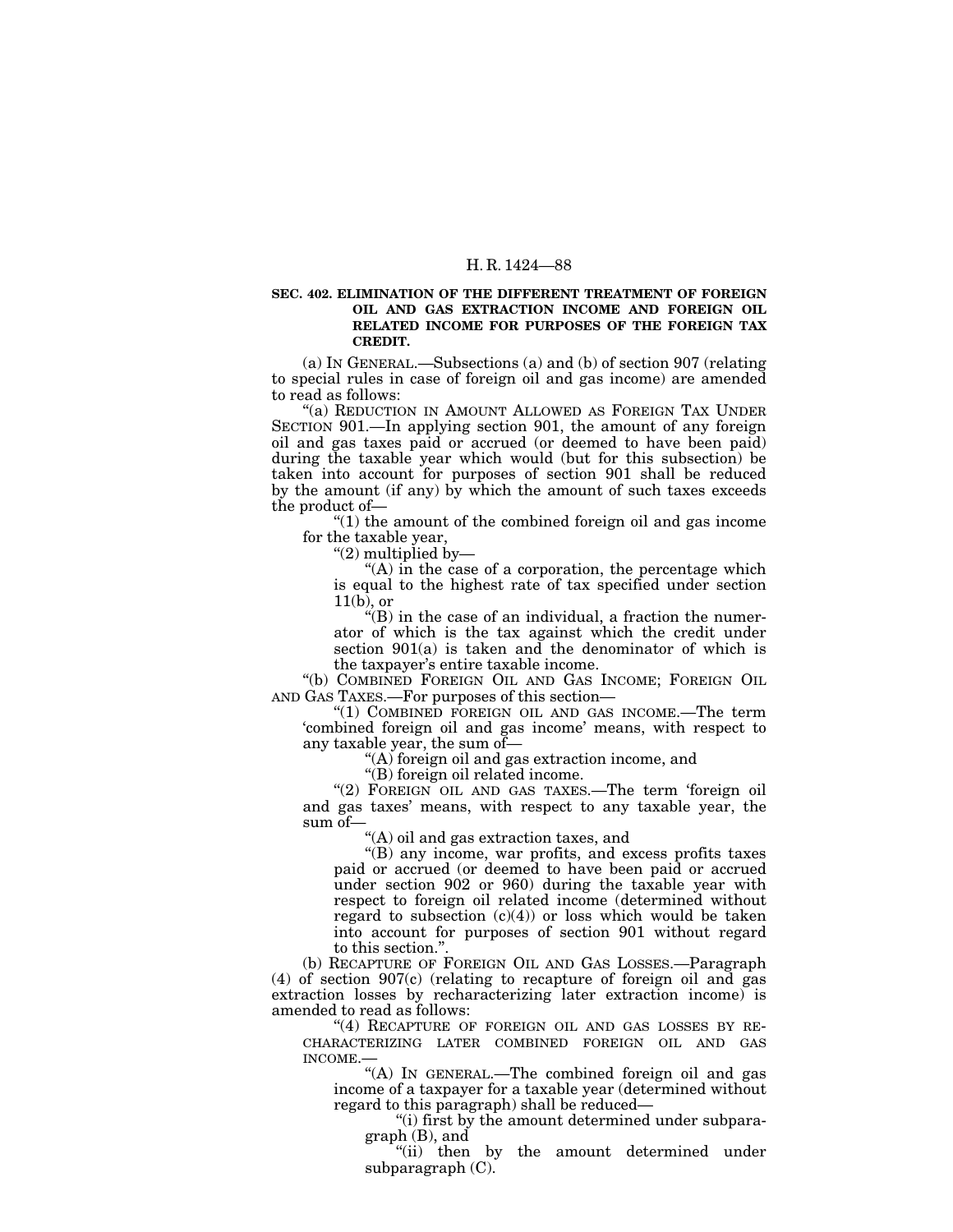## **SEC. 402. ELIMINATION OF THE DIFFERENT TREATMENT OF FOREIGN OIL AND GAS EXTRACTION INCOME AND FOREIGN OIL RELATED INCOME FOR PURPOSES OF THE FOREIGN TAX CREDIT.**

(a) IN GENERAL.—Subsections (a) and (b) of section 907 (relating to special rules in case of foreign oil and gas income) are amended to read as follows:

"(a) REDUCTION IN AMOUNT ALLOWED AS FOREIGN TAX UNDER SECTION 901.—In applying section 901, the amount of any foreign oil and gas taxes paid or accrued (or deemed to have been paid) during the taxable year which would (but for this subsection) be taken into account for purposes of section 901 shall be reduced by the amount (if any) by which the amount of such taxes exceeds the product of—

''(1) the amount of the combined foreign oil and gas income for the taxable year,

 $''(2)$  multiplied by-

 $(A)$  in the case of a corporation, the percentage which is equal to the highest rate of tax specified under section 11(b), or

''(B) in the case of an individual, a fraction the numerator of which is the tax against which the credit under section 901(a) is taken and the denominator of which is the taxpayer's entire taxable income.

''(b) COMBINED FOREIGN OIL AND GAS INCOME; FOREIGN OIL AND GAS TAXES.—For purposes of this section—

''(1) COMBINED FOREIGN OIL AND GAS INCOME.—The term 'combined foreign oil and gas income' means, with respect to any taxable year, the sum of—

''(A) foreign oil and gas extraction income, and

''(B) foreign oil related income.

"(2) FOREIGN OIL AND GAS TAXES.—The term 'foreign oil and gas taxes' means, with respect to any taxable year, the sum of—

''(A) oil and gas extraction taxes, and

"(B) any income, war profits, and excess profits taxes paid or accrued (or deemed to have been paid or accrued under section 902 or 960) during the taxable year with respect to foreign oil related income (determined without regard to subsection  $(c)(4)$  or loss which would be taken into account for purposes of section 901 without regard to this section."

(b) RECAPTURE OF FOREIGN OIL AND GAS LOSSES.—Paragraph (4) of section 907(c) (relating to recapture of foreign oil and gas extraction losses by recharacterizing later extraction income) is amended to read as follows:

"(4) RECAPTURE OF FOREIGN OIL AND GAS LOSSES BY RE-CHARACTERIZING LATER COMBINED FOREIGN OIL AND GAS INCOME.—

''(A) IN GENERAL.—The combined foreign oil and gas income of a taxpayer for a taxable year (determined without regard to this paragraph) shall be reduced—

''(i) first by the amount determined under subparagraph (B), and

"(ii) then by the amount determined under subparagraph $(C)$ .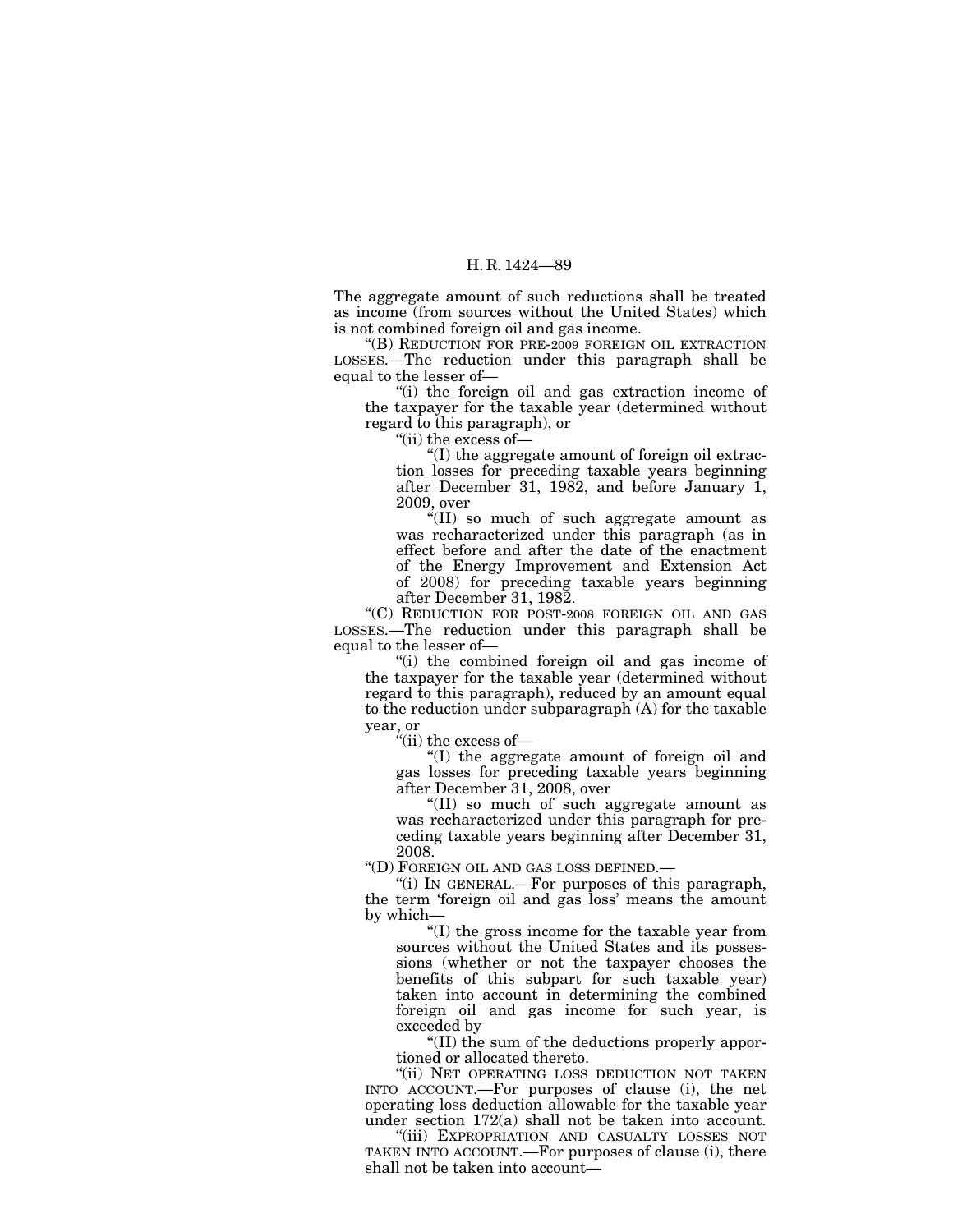The aggregate amount of such reductions shall be treated as income (from sources without the United States) which is not combined foreign oil and gas income.

''(B) REDUCTION FOR PRE-2009 FOREIGN OIL EXTRACTION LOSSES.—The reduction under this paragraph shall be equal to the lesser of—

''(i) the foreign oil and gas extraction income of the taxpayer for the taxable year (determined without regard to this paragraph), or

"(ii) the excess of-

''(I) the aggregate amount of foreign oil extraction losses for preceding taxable years beginning after December 31, 1982, and before January 1, 2009, over

''(II) so much of such aggregate amount as was recharacterized under this paragraph (as in effect before and after the date of the enactment of the Energy Improvement and Extension Act of 2008) for preceding taxable years beginning after December 31, 1982.

''(C) REDUCTION FOR POST-2008 FOREIGN OIL AND GAS LOSSES.—The reduction under this paragraph shall be equal to the lesser of—

''(i) the combined foreign oil and gas income of the taxpayer for the taxable year (determined without regard to this paragraph), reduced by an amount equal to the reduction under subparagraph (A) for the taxable year, or

''(ii) the excess of—

''(I) the aggregate amount of foreign oil and gas losses for preceding taxable years beginning after December 31, 2008, over

''(II) so much of such aggregate amount as was recharacterized under this paragraph for preceding taxable years beginning after December 31, 2008.

''(D) FOREIGN OIL AND GAS LOSS DEFINED.—

''(i) IN GENERAL.—For purposes of this paragraph, the term 'foreign oil and gas loss' means the amount by which—

''(I) the gross income for the taxable year from sources without the United States and its possessions (whether or not the taxpayer chooses the benefits of this subpart for such taxable year) taken into account in determining the combined foreign oil and gas income for such year, is exceeded by

''(II) the sum of the deductions properly apportioned or allocated thereto.

''(ii) NET OPERATING LOSS DEDUCTION NOT TAKEN INTO ACCOUNT.—For purposes of clause (i), the net operating loss deduction allowable for the taxable year under section 172(a) shall not be taken into account.

''(iii) EXPROPRIATION AND CASUALTY LOSSES NOT TAKEN INTO ACCOUNT.—For purposes of clause (i), there shall not be taken into account—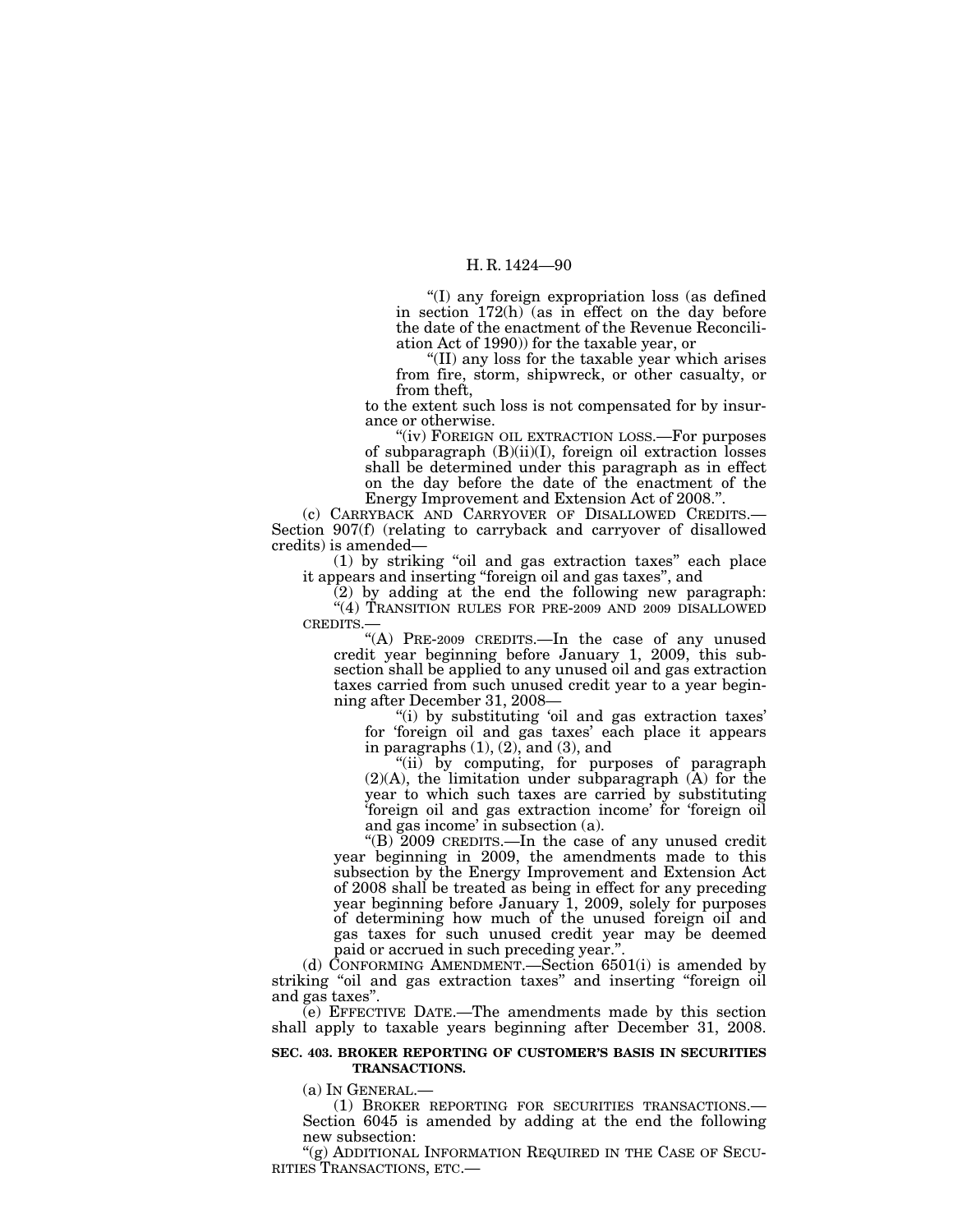''(I) any foreign expropriation loss (as defined in section  $172(h)$  (as in effect on the day before the date of the enactment of the Revenue Reconciliation Act of 1990)) for the taxable year, or

''(II) any loss for the taxable year which arises from fire, storm, shipwreck, or other casualty, or from theft,

to the extent such loss is not compensated for by insurance or otherwise.

''(iv) FOREIGN OIL EXTRACTION LOSS.—For purposes of subparagraph (B)(ii)(I), foreign oil extraction losses shall be determined under this paragraph as in effect on the day before the date of the enactment of the Energy Improvement and Extension Act of 2008.'

(c) CARRYBACK AND CARRYOVER OF DISALLOWED CREDITS.— Section 907(f) (relating to carryback and carryover of disallowed credits) is amended—

(1) by striking ''oil and gas extraction taxes'' each place it appears and inserting ''foreign oil and gas taxes'', and

(2) by adding at the end the following new paragraph: ''(4) TRANSITION RULES FOR PRE-2009 AND 2009 DISALLOWED CREDITS.—

''(A) PRE-2009 CREDITS.—In the case of any unused credit year beginning before January 1, 2009, this subsection shall be applied to any unused oil and gas extraction taxes carried from such unused credit year to a year beginning after December 31, 2008—

''(i) by substituting 'oil and gas extraction taxes' for 'foreign oil and gas taxes' each place it appears in paragraphs  $(1)$ ,  $(2)$ , and  $(3)$ , and

''(ii) by computing, for purposes of paragraph (2)(A), the limitation under subparagraph (A) for the year to which such taxes are carried by substituting 'foreign oil and gas extraction income' for 'foreign oil and gas income' in subsection (a).

''(B) 2009 CREDITS.—In the case of any unused credit year beginning in 2009, the amendments made to this subsection by the Energy Improvement and Extension Act of 2008 shall be treated as being in effect for any preceding year beginning before January 1, 2009, solely for purposes of determining how much of the unused foreign oil and gas taxes for such unused credit year may be deemed paid or accrued in such preceding year.''.

(d) CONFORMING AMENDMENT.—Section 6501(i) is amended by striking ''oil and gas extraction taxes'' and inserting ''foreign oil and gas taxes''.

(e) EFFECTIVE DATE.—The amendments made by this section shall apply to taxable years beginning after December 31, 2008.

## **SEC. 403. BROKER REPORTING OF CUSTOMER'S BASIS IN SECURITIES TRANSACTIONS.**

(a) IN GENERAL.— (1) BROKER REPORTING FOR SECURITIES TRANSACTIONS.— Section 6045 is amended by adding at the end the following new subsection:

''(g) ADDITIONAL INFORMATION REQUIRED IN THE CASE OF SECU- RITIES TRANSACTIONS, ETC.—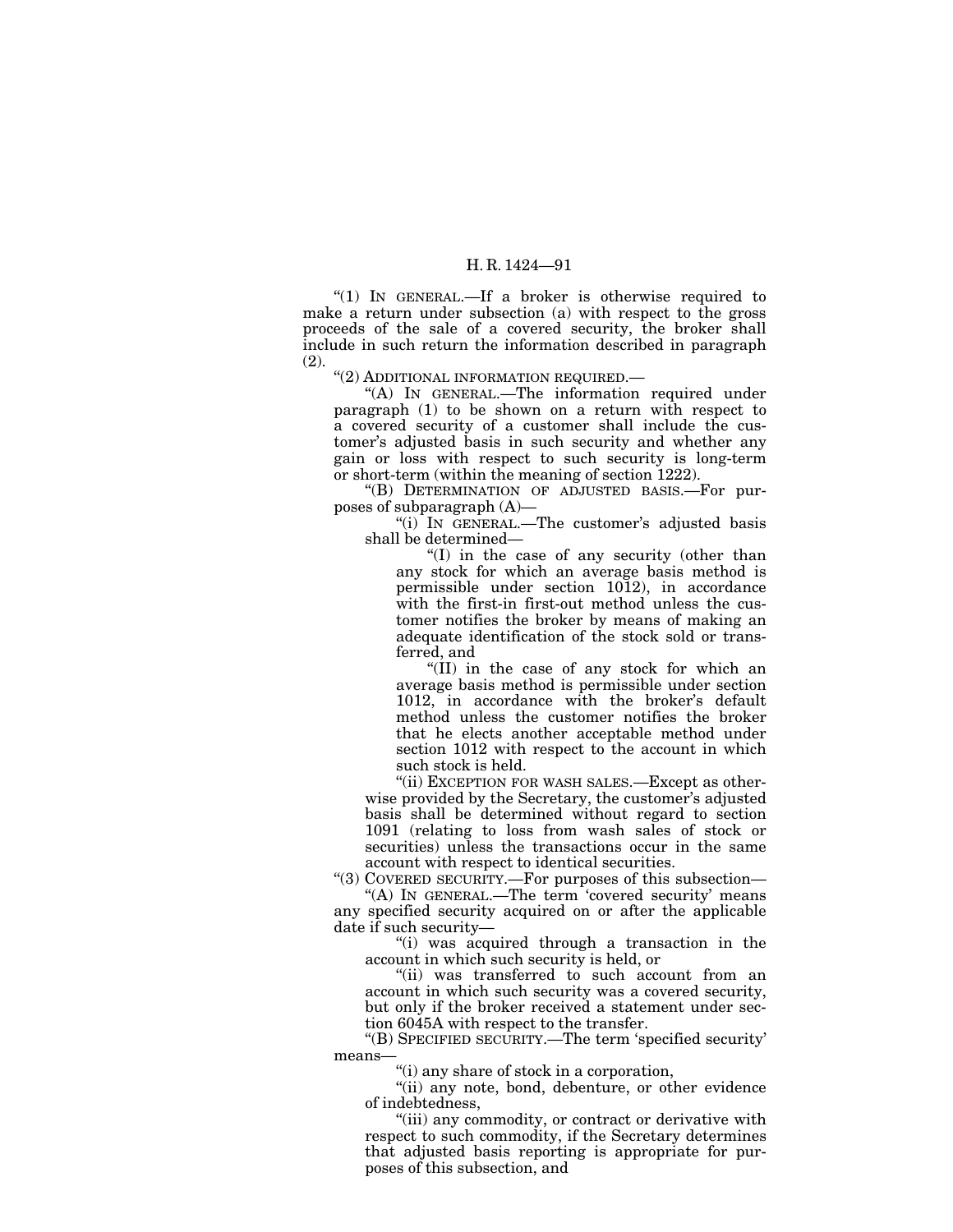" $(1)$  IN GENERAL.—If a broker is otherwise required to make a return under subsection (a) with respect to the gross proceeds of the sale of a covered security, the broker shall include in such return the information described in paragraph (2).

''(2) ADDITIONAL INFORMATION REQUIRED.—

''(A) IN GENERAL.—The information required under paragraph (1) to be shown on a return with respect to a covered security of a customer shall include the customer's adjusted basis in such security and whether any gain or loss with respect to such security is long-term or short-term (within the meaning of section 1222).

''(B) DETERMINATION OF ADJUSTED BASIS.—For purposes of subparagraph (A)—

''(i) IN GENERAL.—The customer's adjusted basis shall be determined—

''(I) in the case of any security (other than any stock for which an average basis method is permissible under section 1012), in accordance with the first-in first-out method unless the customer notifies the broker by means of making an adequate identification of the stock sold or transferred, and

''(II) in the case of any stock for which an average basis method is permissible under section 1012, in accordance with the broker's default method unless the customer notifies the broker that he elects another acceptable method under section 1012 with respect to the account in which such stock is held.

"(ii) EXCEPTION FOR WASH SALES.—Except as otherwise provided by the Secretary, the customer's adjusted basis shall be determined without regard to section 1091 (relating to loss from wash sales of stock or securities) unless the transactions occur in the same account with respect to identical securities.

''(3) COVERED SECURITY.—For purposes of this subsection—

"(A) In GENERAL.—The term 'covered security' means any specified security acquired on or after the applicable date if such security—

''(i) was acquired through a transaction in the account in which such security is held, or

''(ii) was transferred to such account from an account in which such security was a covered security, but only if the broker received a statement under section 6045A with respect to the transfer.

''(B) SPECIFIED SECURITY.—The term 'specified security' means—

''(i) any share of stock in a corporation,

"(ii) any note, bond, debenture, or other evidence" of indebtedness,

"(iii) any commodity, or contract or derivative with respect to such commodity, if the Secretary determines that adjusted basis reporting is appropriate for purposes of this subsection, and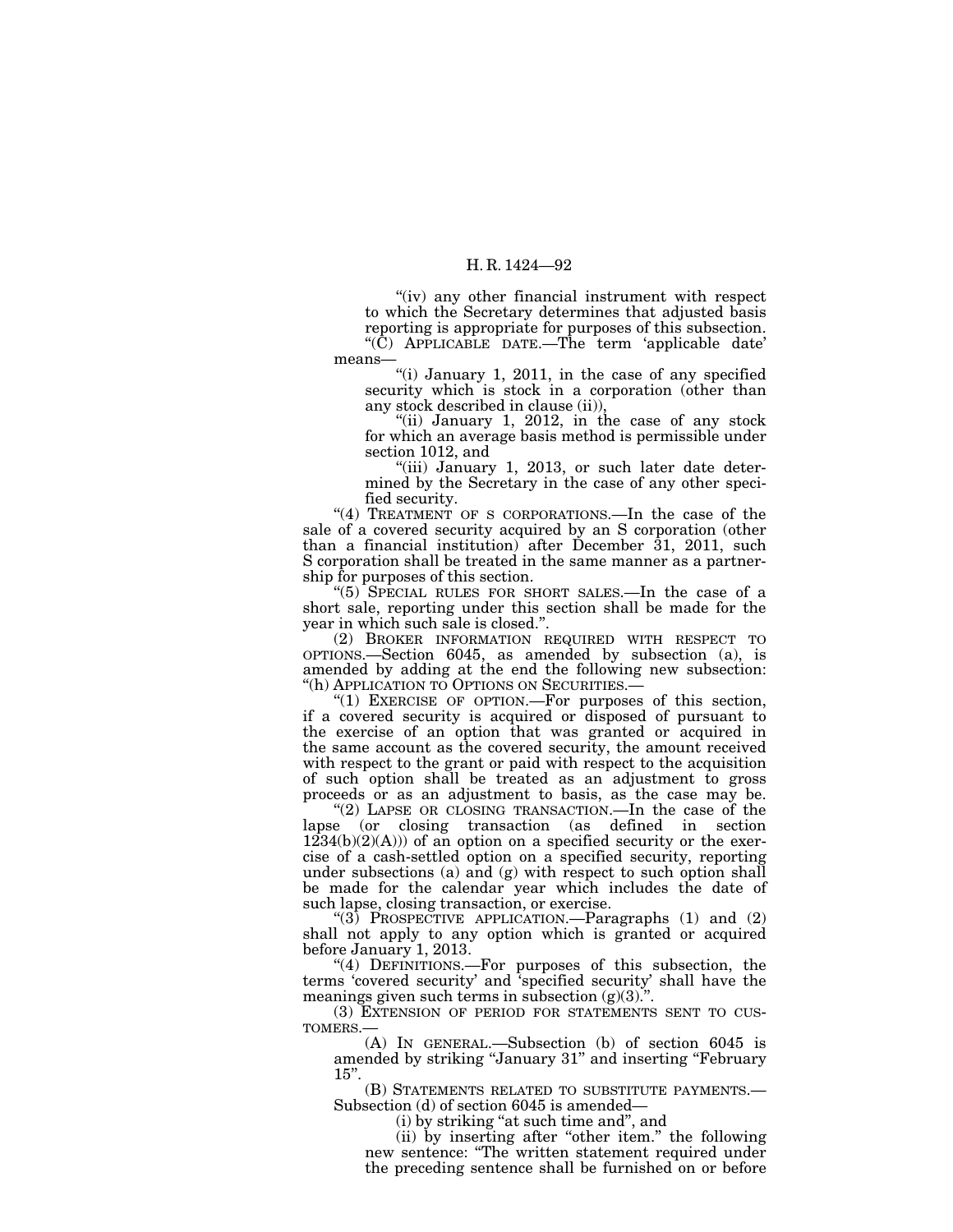"(iv) any other financial instrument with respect to which the Secretary determines that adjusted basis reporting is appropriate for purposes of this subsection.  $\langle C \rangle$  APPLICABLE DATE.—The term 'applicable date'

means— "(i) January 1, 2011, in the case of any specified

security which is stock in a corporation (other than any stock described in clause (ii)),

"(ii) January 1, 2012, in the case of any stock for which an average basis method is permissible under section 1012, and

"(iii) January 1, 2013, or such later date determined by the Secretary in the case of any other specified security.

"(4) TREATMENT OF S CORPORATIONS.—In the case of the sale of a covered security acquired by an S corporation (other than a financial institution) after December 31, 2011, such S corporation shall be treated in the same manner as a partnership for purposes of this section.

''(5) SPECIAL RULES FOR SHORT SALES.—In the case of a short sale, reporting under this section shall be made for the year in which such sale is closed.''.

(2) BROKER INFORMATION REQUIRED WITH RESPECT TO OPTIONS.—Section 6045, as amended by subsection (a), is amended by adding at the end the following new subsection: ''(h) APPLICATION TO OPTIONS ON SECURITIES.—

" $(1)$  EXERCISE OF OPTION.—For purposes of this section, if a covered security is acquired or disposed of pursuant to the exercise of an option that was granted or acquired in the same account as the covered security, the amount received with respect to the grant or paid with respect to the acquisition of such option shall be treated as an adjustment to gross proceeds or as an adjustment to basis, as the case may be.

"(2) LAPSE OR CLOSING TRANSACTION.—In the case of the lapse (or closing transaction (as defined in section  $1234(b)(2)(A))$  of an option on a specified security or the exercise of a cash-settled option on a specified security, reporting under subsections (a) and (g) with respect to such option shall be made for the calendar year which includes the date of such lapse, closing transaction, or exercise.

''(3) PROSPECTIVE APPLICATION.—Paragraphs (1) and (2) shall not apply to any option which is granted or acquired before January 1, 2013.

"(4) DEFINITIONS.—For purposes of this subsection, the terms 'covered security' and 'specified security' shall have the meanings given such terms in subsection  $(g)(3)$ .".

(3) EXTENSION OF PERIOD FOR STATEMENTS SENT TO CUS-TOMERS.—

(A) IN GENERAL.—Subsection (b) of section 6045 is amended by striking "January 31" and inserting "February  $15"$ .

(B) STATEMENTS RELATED TO SUBSTITUTE PAYMENTS.— Subsection (d) of section 6045 is amended—

(i) by striking ''at such time and'', and

(ii) by inserting after ''other item.'' the following new sentence: ''The written statement required under the preceding sentence shall be furnished on or before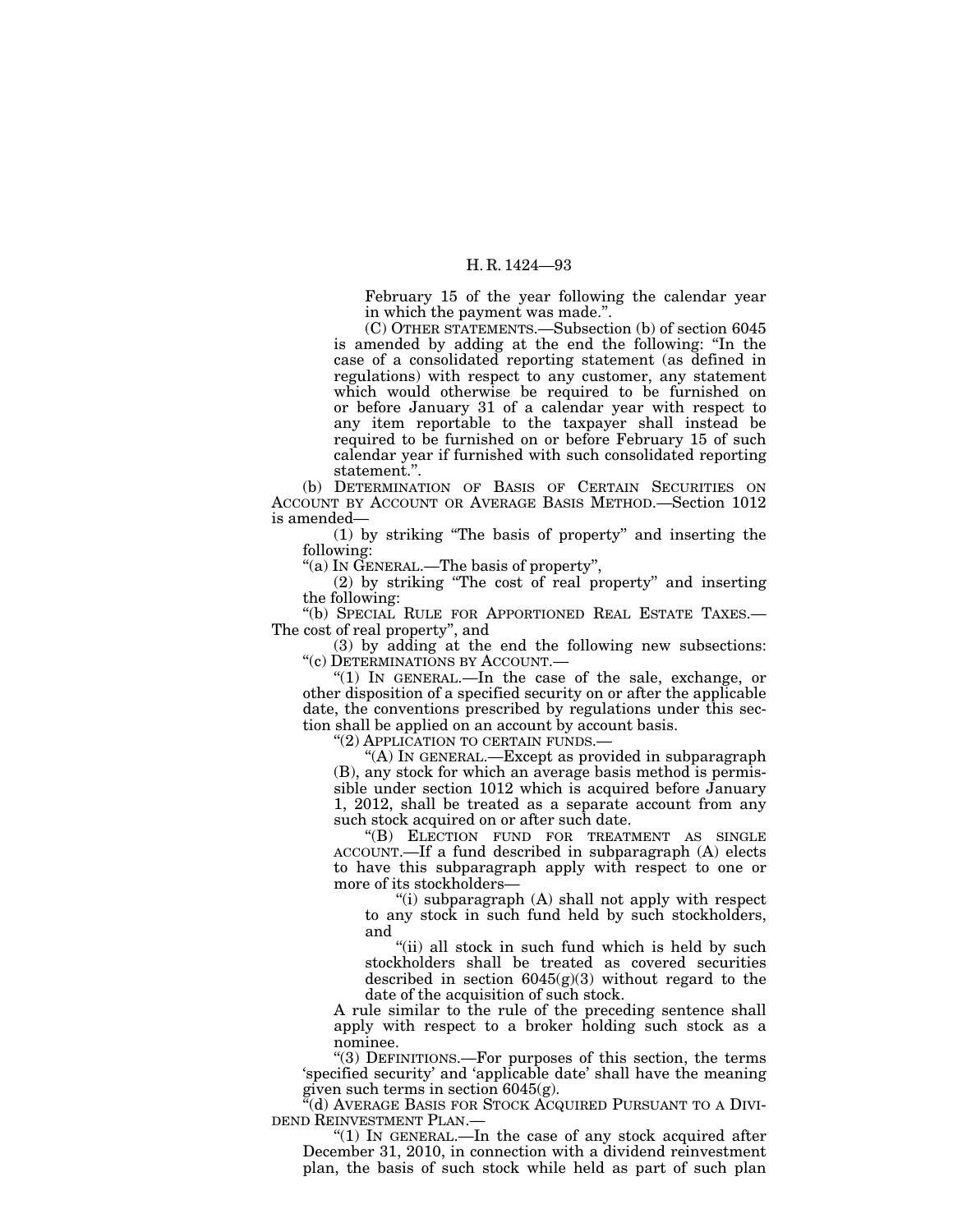February 15 of the year following the calendar year in which the payment was made.''.

(C) OTHER STATEMENTS.—Subsection (b) of section 6045 is amended by adding at the end the following: ''In the case of a consolidated reporting statement (as defined in regulations) with respect to any customer, any statement which would otherwise be required to be furnished on or before January 31 of a calendar year with respect to any item reportable to the taxpayer shall instead be required to be furnished on or before February 15 of such calendar year if furnished with such consolidated reporting statement.''.

(b) DETERMINATION OF BASIS OF CERTAIN SECURITIES ON ACCOUNT BY ACCOUNT OR AVERAGE BASIS METHOD.—Section 1012 is amended—

(1) by striking ''The basis of property'' and inserting the following:

''(a) IN GENERAL.—The basis of property'',

(2) by striking ''The cost of real property'' and inserting the following:

''(b) SPECIAL RULE FOR APPORTIONED REAL ESTATE TAXES.— The cost of real property'', and

(3) by adding at the end the following new subsections: ''(c) DETERMINATIONS BY ACCOUNT.—

''(1) IN GENERAL.—In the case of the sale, exchange, or other disposition of a specified security on or after the applicable date, the conventions prescribed by regulations under this section shall be applied on an account by account basis.

''(2) APPLICATION TO CERTAIN FUNDS.—

''(A) IN GENERAL.—Except as provided in subparagraph (B), any stock for which an average basis method is permissible under section 1012 which is acquired before January 1, 2012, shall be treated as a separate account from any such stock acquired on or after such date.

"(B) ELECTION FUND FOR TREATMENT AS SINGLE ACCOUNT.—If a fund described in subparagraph (A) elects to have this subparagraph apply with respect to one or more of its stockholders—

"(i) subparagraph  $(A)$  shall not apply with respect to any stock in such fund held by such stockholders, and

"(ii) all stock in such fund which is held by such stockholders shall be treated as covered securities described in section  $6045(g)(3)$  without regard to the date of the acquisition of such stock.

A rule similar to the rule of the preceding sentence shall apply with respect to a broker holding such stock as a nominee.

''(3) DEFINITIONS.—For purposes of this section, the terms 'specified security' and 'applicable date' shall have the meaning given such terms in section 6045(g).

''(d) AVERAGE BASIS FOR STOCK ACQUIRED PURSUANT TO A DIVI-DEND REINVESTMENT PLAN.—

" $(1)$  In GENERAL.—In the case of any stock acquired after December 31, 2010, in connection with a dividend reinvestment plan, the basis of such stock while held as part of such plan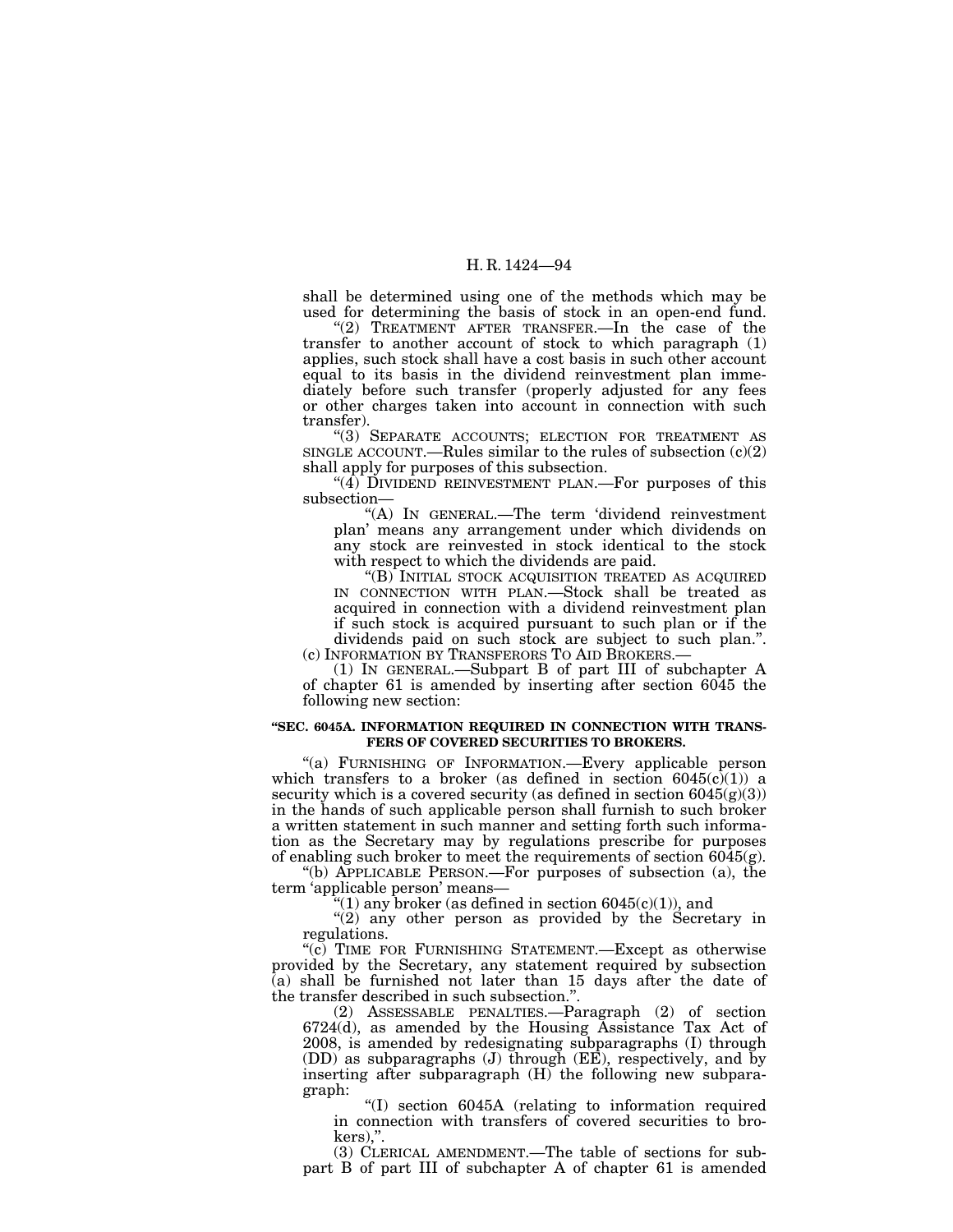shall be determined using one of the methods which may be used for determining the basis of stock in an open-end fund.

"(2) TREATMENT AFTER TRANSFER.—In the case of the transfer to another account of stock to which paragraph (1) applies, such stock shall have a cost basis in such other account equal to its basis in the dividend reinvestment plan immediately before such transfer (properly adjusted for any fees or other charges taken into account in connection with such transfer).

"(3) SEPARATE ACCOUNTS; ELECTION FOR TREATMENT AS SINGLE ACCOUNT.—Rules similar to the rules of subsection  $(c)(2)$ shall apply for purposes of this subsection.

" $(4)$  DIVIDEND REINVESTMENT PLAN.—For purposes of this subsection—

''(A) IN GENERAL.—The term 'dividend reinvestment plan' means any arrangement under which dividends on any stock are reinvested in stock identical to the stock with respect to which the dividends are paid.

''(B) INITIAL STOCK ACQUISITION TREATED AS ACQUIRED IN CONNECTION WITH PLAN.—Stock shall be treated as acquired in connection with a dividend reinvestment plan if such stock is acquired pursuant to such plan or if the dividends paid on such stock are subject to such plan.''. (c) INFORMATION BY TRANSFERORS TO AID BROKERS.—

(1) IN GENERAL.—Subpart B of part III of subchapter A of chapter 61 is amended by inserting after section 6045 the following new section:

### **''SEC. 6045A. INFORMATION REQUIRED IN CONNECTION WITH TRANS-FERS OF COVERED SECURITIES TO BROKERS.**

"(a) FURNISHING OF INFORMATION.—Every applicable person which transfers to a broker (as defined in section  $6045(c)(1)$ ) a security which is a covered security (as defined in section  $6045(g)(3)$ ) in the hands of such applicable person shall furnish to such broker a written statement in such manner and setting forth such information as the Secretary may by regulations prescribe for purposes of enabling such broker to meet the requirements of section  $60\overline{45}$ (g).

''(b) APPLICABLE PERSON.—For purposes of subsection (a), the term 'applicable person' means—

 $(1)$  any broker (as defined in section  $6045(c)(1)$ ), and

 $(2)$  any other person as provided by the Secretary in regulations.

"(c) TIME FOR FURNISHING STATEMENT.—Except as otherwise provided by the Secretary, any statement required by subsection (a) shall be furnished not later than 15 days after the date of the transfer described in such subsection.''.

(2) ASSESSABLE PENALTIES.—Paragraph (2) of section 6724(d), as amended by the Housing Assistance Tax Act of 2008, is amended by redesignating subparagraphs (I) through (DD) as subparagraphs (J) through (EE), respectively, and by inserting after subparagraph (H) the following new subparagraph:

''(I) section 6045A (relating to information required in connection with transfers of covered securities to brokers),''.

(3) CLERICAL AMENDMENT.—The table of sections for subpart B of part III of subchapter A of chapter 61 is amended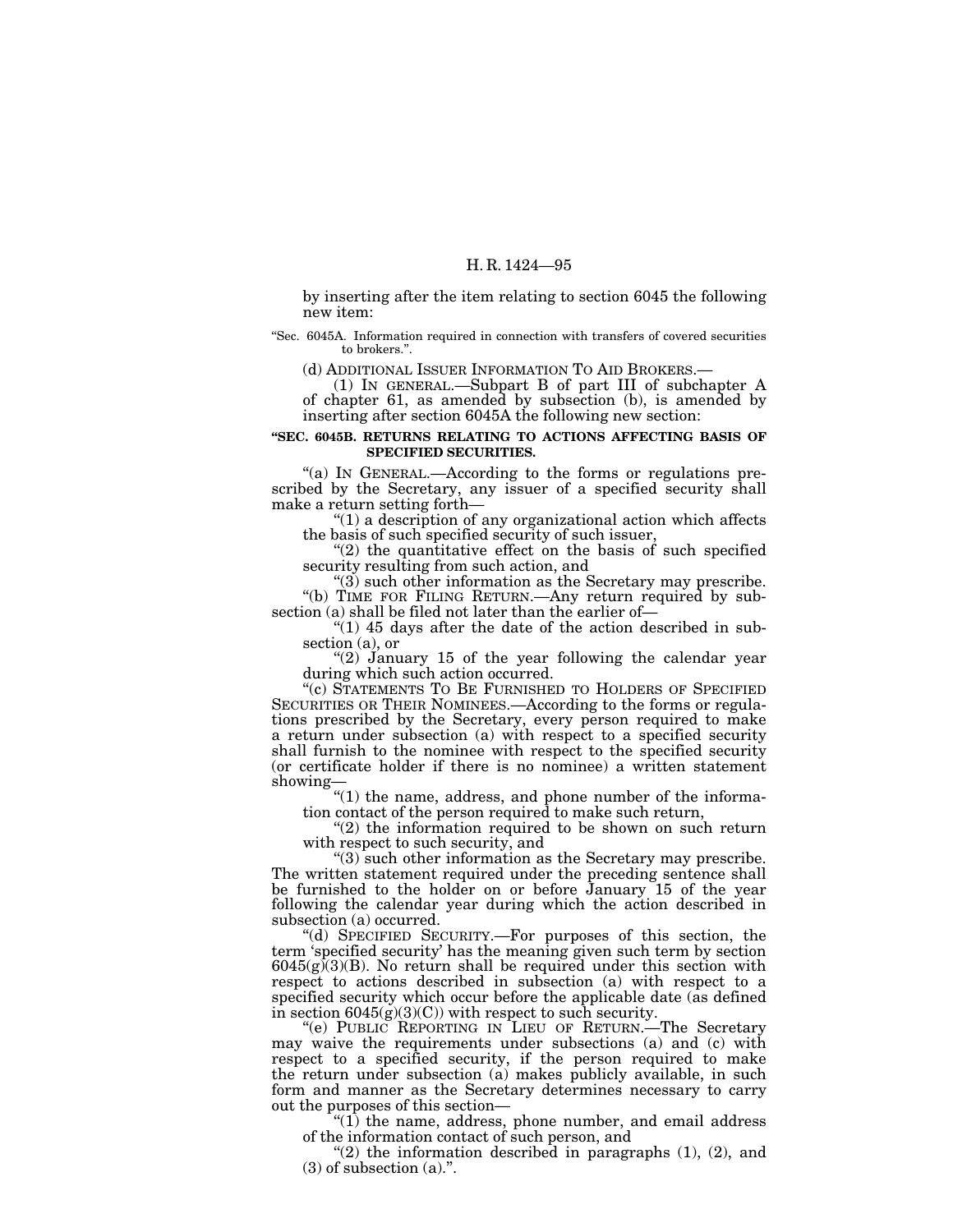by inserting after the item relating to section 6045 the following new item:

''Sec. 6045A. Information required in connection with transfers of covered securities to brokers.''.

(d) ADDITIONAL ISSUER INFORMATION TO AID BROKERS.— (1) IN GENERAL.—Subpart B of part III of subchapter A of chapter 61, as amended by subsection (b), is amended by inserting after section 6045A the following new section:

## **''SEC. 6045B. RETURNS RELATING TO ACTIONS AFFECTING BASIS OF SPECIFIED SECURITIES.**

''(a) IN GENERAL.—According to the forms or regulations prescribed by the Secretary, any issuer of a specified security shall make a return setting forth—

 $''(1)$  a description of any organizational action which affects the basis of such specified security of such issuer,

 $''(2)$  the quantitative effect on the basis of such specified security resulting from such action, and

 $(3)$  such other information as the Secretary may prescribe. "(b) TIME FOR FILING RETURN.—Any return required by subsection (a) shall be filed not later than the earlier of—

" $(1)$  45 days after the date of the action described in subsection (a), or

"(2) January 15 of the year following the calendar year during which such action occurred.

''(c) STATEMENTS TO BE FURNISHED TO HOLDERS OF SPECIFIED SECURITIES OR THEIR NOMINEES.—According to the forms or regulations prescribed by the Secretary, every person required to make a return under subsection (a) with respect to a specified security shall furnish to the nominee with respect to the specified security (or certificate holder if there is no nominee) a written statement showing—

"(1) the name, address, and phone number of the information contact of the person required to make such return,

" $(2)$  the information required to be shown on such return with respect to such security, and

''(3) such other information as the Secretary may prescribe. The written statement required under the preceding sentence shall be furnished to the holder on or before January 15 of the year following the calendar year during which the action described in subsection (a) occurred.

''(d) SPECIFIED SECURITY.—For purposes of this section, the term 'specified security' has the meaning given such term by section  $6045(g)(3)(B)$ . No return shall be required under this section with respect to actions described in subsection (a) with respect to a specified security which occur before the applicable date (as defined in section  $6045(g)(3)(C)$  with respect to such security.

''(e) PUBLIC REPORTING IN LIEU OF RETURN.—The Secretary may waive the requirements under subsections (a) and (c) with respect to a specified security, if the person required to make the return under subsection (a) makes publicly available, in such form and manner as the Secretary determines necessary to carry out the purposes of this section—

 $\degree$ (1) the name, address, phone number, and email address of the information contact of such person, and

" $(2)$  the information described in paragraphs  $(1)$ ,  $(2)$ , and  $(3)$  of subsection  $(a)$ .".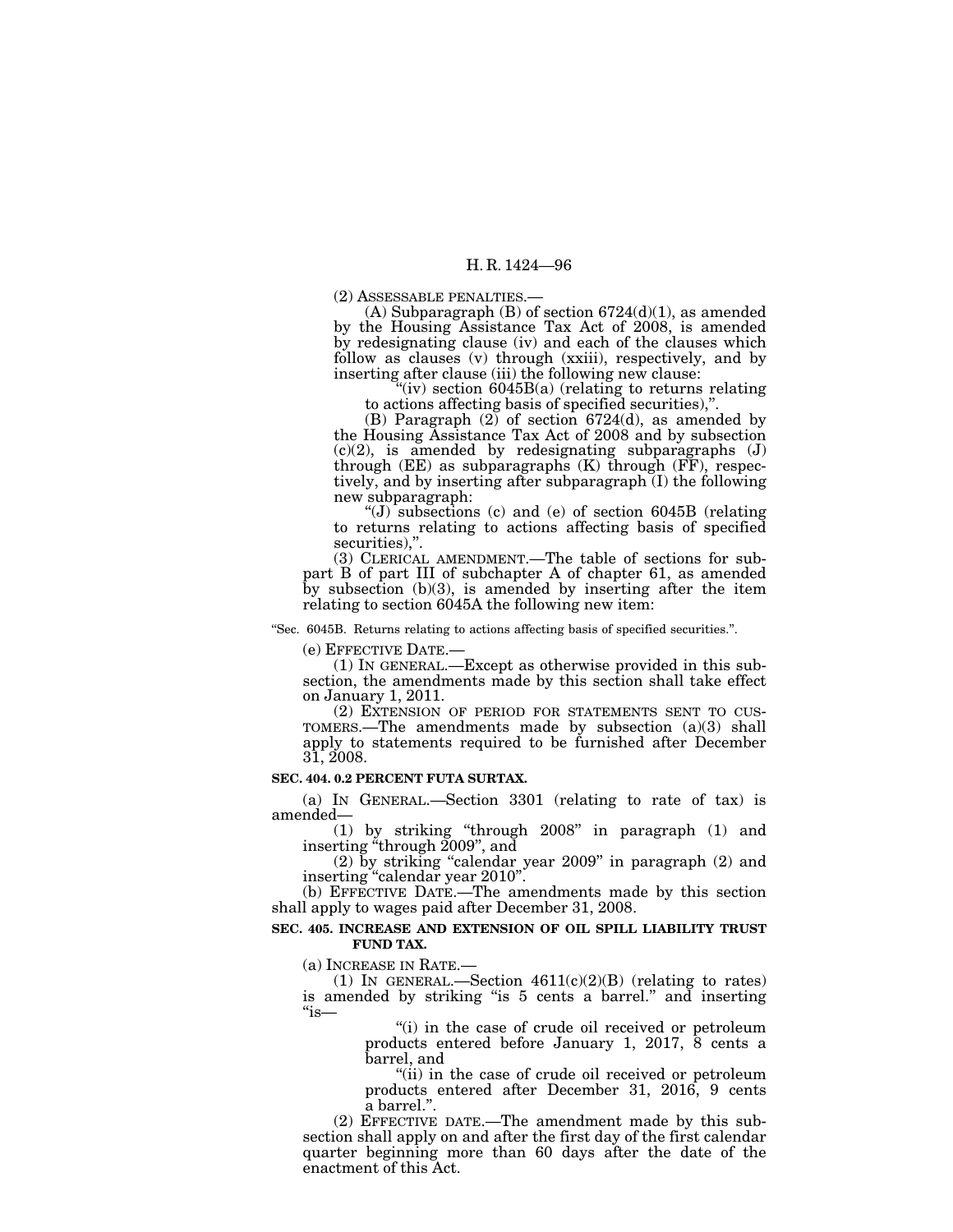(2) ASSESSABLE PENALTIES.—<br>(A) Subparagraph (B) of section  $6724(d)(1)$ , as amended by the Housing Assistance Tax Act of 2008, is amended by redesignating clause (iv) and each of the clauses which follow as clauses (v) through (xxiii), respectively, and by inserting after clause (iii) the following new clause:

"(iv) section  $6045B(a)$  (relating to returns relating to actions affecting basis of specified securities),''.

(B) Paragraph  $(2)$  of section 6724 $(d)$ , as amended by the Housing Assistance Tax Act of 2008 and by subsection  $(c)(2)$ , is amended by redesignating subparagraphs  $(J)$ through (EE) as subparagraphs (K) through (FF), respectively, and by inserting after subparagraph (I) the following new subparagraph:

" $(J)$  subsections (c) and (e) of section 6045B (relating to returns relating to actions affecting basis of specified securities),".

(3) CLERICAL AMENDMENT.—The table of sections for subpart B of part III of subchapter A of chapter 61, as amended by subsection (b)(3), is amended by inserting after the item relating to section 6045A the following new item:

''Sec. 6045B. Returns relating to actions affecting basis of specified securities.''.

(e) EFFECTIVE DATE.— (1) IN GENERAL.—Except as otherwise provided in this subsection, the amendments made by this section shall take effect on January 1, 2011.<br>
(2) EXTENSION OF PERIOD FOR STATEMENTS SENT TO CUS-

 $TOMERS$ . The amendments made by subsection (a)(3) shall apply to statements required to be furnished after December 31, 2008.

# **SEC. 404. 0.2 PERCENT FUTA SURTAX.**

(a) IN GENERAL.—Section 3301 (relating to rate of tax) is amended—

(1) by striking ''through 2008'' in paragraph (1) and inserting "through 2009", and

(2) by striking ''calendar year 2009'' in paragraph (2) and inserting ''calendar year 2010''.

(b) EFFECTIVE DATE.—The amendments made by this section shall apply to wages paid after December 31, 2008.

## **SEC. 405. INCREASE AND EXTENSION OF OIL SPILL LIABILITY TRUST FUND TAX.**

(a) INCREASE IN RATE.—<br>(1) IN GENERAL.—Section  $4611(c)(2)(B)$  (relating to rates) is amended by striking ''is 5 cents a barrel.'' and inserting  $"$ is—

''(i) in the case of crude oil received or petroleum products entered before January 1, 2017, 8 cents a barrel, and

"(ii) in the case of crude oil received or petroleum products entered after December 31, 2016, 9 cents a barrel.''.

(2) EFFECTIVE DATE.—The amendment made by this subsection shall apply on and after the first day of the first calendar quarter beginning more than 60 days after the date of the enactment of this Act.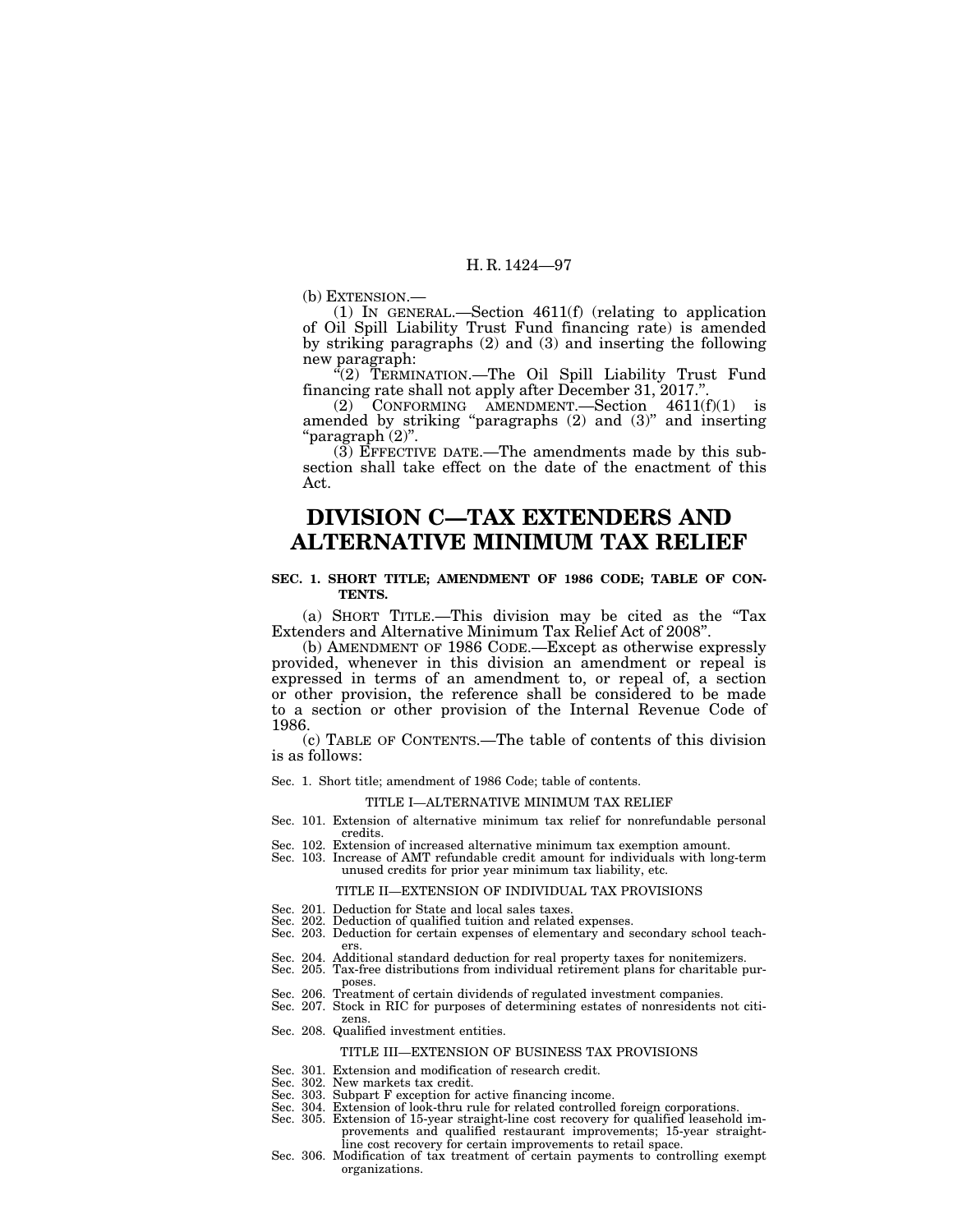(b) EXTENSION.—

(1) IN GENERAL.—Section 4611(f) (relating to application of Oil Spill Liability Trust Fund financing rate) is amended by striking paragraphs (2) and (3) and inserting the following new paragraph:

"(2) TERMINATION.—The Oil Spill Liability Trust Fund financing rate shall not apply after December 31, 2017.''.

(2) CONFORMING AMENDMENT.—Section  $4611(f)(1)$  is amended by striking "paragraphs (2) and (3)" and inserting ''paragraph (2)''.

(3) EFFECTIVE DATE.—The amendments made by this subsection shall take effect on the date of the enactment of this Act.

# **DIVISION C—TAX EXTENDERS AND ALTERNATIVE MINIMUM TAX RELIEF**

## **SEC. 1. SHORT TITLE; AMENDMENT OF 1986 CODE; TABLE OF CON-TENTS.**

(a) SHORT TITLE.—This division may be cited as the ''Tax Extenders and Alternative Minimum Tax Relief Act of 2008''.

(b) AMENDMENT OF 1986 CODE.—Except as otherwise expressly provided, whenever in this division an amendment or repeal is expressed in terms of an amendment to, or repeal of, a section or other provision, the reference shall be considered to be made to a section or other provision of the Internal Revenue Code of 1986.

(c) TABLE OF CONTENTS.—The table of contents of this division is as follows:

Sec. 1. Short title; amendment of 1986 Code; table of contents.

#### TITLE I—ALTERNATIVE MINIMUM TAX RELIEF

- Sec. 101. Extension of alternative minimum tax relief for nonrefundable personal credits.
- Sec. 102. Extension of increased alternative minimum tax exemption amount.
- Sec. 103. Increase of AMT refundable credit amount for individuals with long-term unused credits for prior year minimum tax liability, etc.

## TITLE II—EXTENSION OF INDIVIDUAL TAX PROVISIONS

- Sec. 201. Deduction for State and local sales taxes.
- Sec. 202. Deduction of qualified tuition and related expenses.
- Sec. 203. Deduction for certain expenses of elementary and secondary school teach-
- ers. Sec. 204. Additional standard deduction for real property taxes for nonitemizers.
- Sec. 205. Tax-free distributions from individual retirement plans for charitable purposes.
- Sec. 206. Treatment of certain dividends of regulated investment companies. Sec. 207. Stock in RIC for purposes of determining estates of nonresidents not citi-
- zens. Sec. 208. Qualified investment entities.
- 

# TITLE III—EXTENSION OF BUSINESS TAX PROVISIONS

- Sec. 301. Extension and modification of research credit.
- Sec. 302. New markets tax credit.
- Sec. 303. Subpart F exception for active financing income.
- Sec. 304. Extension of look-thru rule for related controlled foreign corporations.
- Sec. 305. Extension of 15-year straight-line cost recovery for qualified leasehold improvements and qualified restaurant improvements; 15-year straightline cost recovery for certain improvements to retail space.
- Sec. 306. Modification of tax treatment of certain payments to controlling exempt organizations.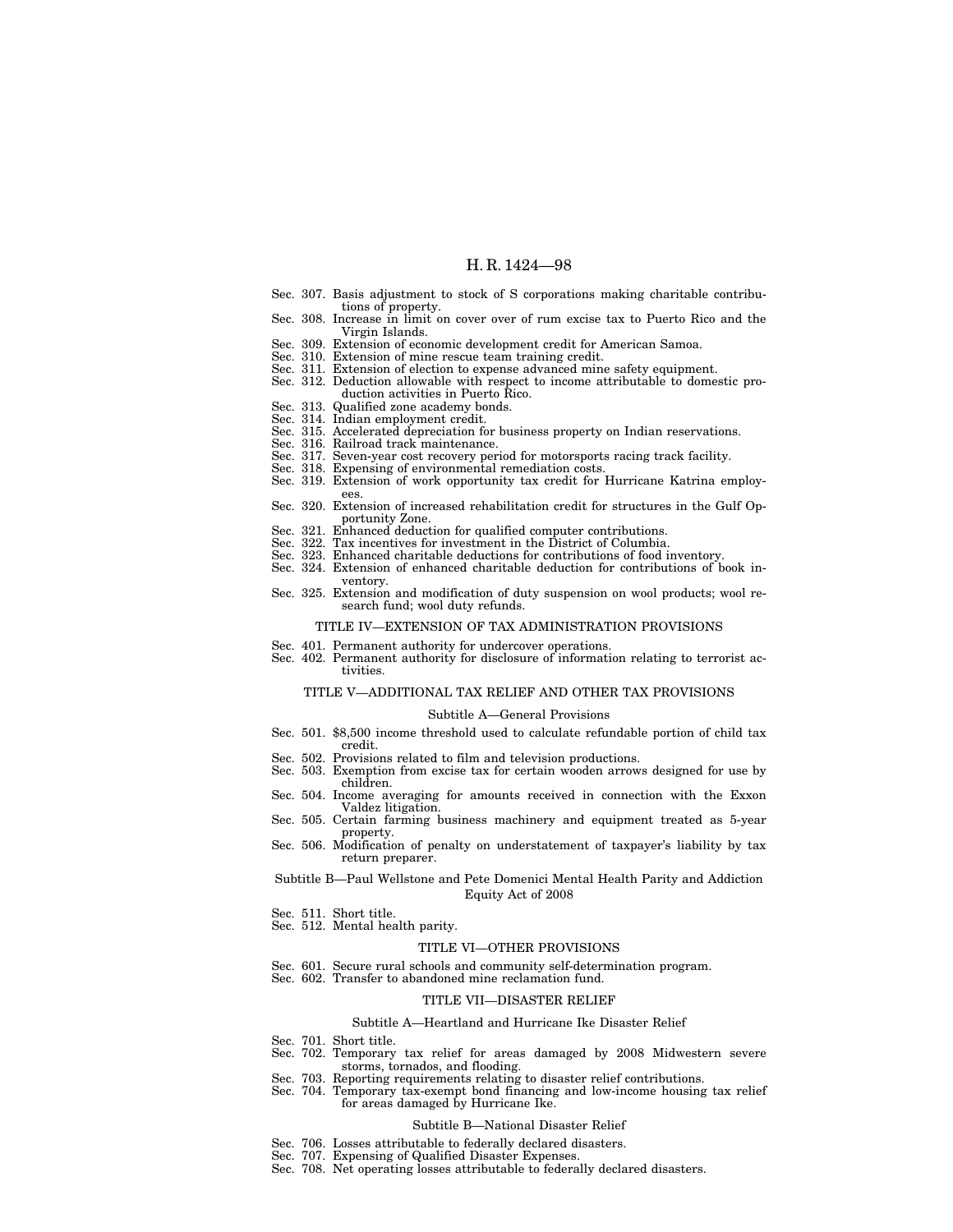- Sec. 307. Basis adjustment to stock of S corporations making charitable contributions of property.
- Sec. 308. Increase in limit on cover over of rum excise tax to Puerto Rico and the Virgin Islands.
- Sec. 309. Extension of economic development credit for American Samoa.
- Sec. 310. Extension of mine rescue team training credit.
- Sec. 311. Extension of election to expense advanced mine safety equipment.
- Sec. 312. Deduction allowable with respect to income attributable to domestic production activities in Puerto Rico.
- Sec. 313. Qualified zone academy bonds.
- Sec. 314. Indian employment credit. Sec. 315. Accelerated depreciation for business property on Indian reservations.
- Sec. 316. Railroad track maintenance.
- Sec. 317. Seven-year cost recovery period for motorsports racing track facility.
- Sec. 318. Expensing of environmental remediation costs.
- Sec. 319. Extension of work opportunity tax credit for Hurricane Katrina employees.
- Sec. 320. Extension of increased rehabilitation credit for structures in the Gulf Opportunity Zone.
- Sec. 321. Enhanced deduction for qualified computer contributions.
- Sec. 322. Tax incentives for investment in the District of Columbia.
- Sec. 323. Enhanced charitable deductions for contributions of food inventory.
- Sec. 324. Extension of enhanced charitable deduction for contributions of book inventory.
- Sec. 325. Extension and modification of duty suspension on wool products; wool research fund; wool duty refunds.

#### TITLE IV—EXTENSION OF TAX ADMINISTRATION PROVISIONS

- Sec. 401. Permanent authority for undercover operations.
- Sec. 402. Permanent authority for disclosure of information relating to terrorist activities.

#### TITLE V—ADDITIONAL TAX RELIEF AND OTHER TAX PROVISIONS

#### Subtitle A—General Provisions

- Sec. 501. \$8,500 income threshold used to calculate refundable portion of child tax credit.
- Sec. 502. Provisions related to film and television productions.
- Sec. 503. Exemption from excise tax for certain wooden arrows designed for use by children.
- Sec. 504. Income averaging for amounts received in connection with the Exxon Valdez litigation.
- Sec. 505. Certain farming business machinery and equipment treated as 5-year property.
- Sec. 506. Modification of penalty on understatement of taxpayer's liability by tax return preparer.

Subtitle B—Paul Wellstone and Pete Domenici Mental Health Parity and Addiction Equity Act of 2008

- Sec. 511. Short title.
- Sec. 512. Mental health parity.

#### TITLE VI—OTHER PROVISIONS

- Sec. 601. Secure rural schools and community self-determination program.
- Sec. 602. Transfer to abandoned mine reclamation fund.

#### TITLE VII—DISASTER RELIEF

#### Subtitle A—Heartland and Hurricane Ike Disaster Relief

- Sec. 701. Short title.
- Sec. 702. Temporary tax relief for areas damaged by 2008 Midwestern severe storms, tornados, and flooding.
- Sec. 703. Reporting requirements relating to disaster relief contributions.
- Sec. 704. Temporary tax-exempt bond financing and low-income housing tax relief for areas damaged by Hurricane Ike.

#### Subtitle B—National Disaster Relief

- Sec. 706. Losses attributable to federally declared disasters.
- Sec. 707. Expensing of Qualified Disaster Expenses.
- Sec. 708. Net operating losses attributable to federally declared disasters.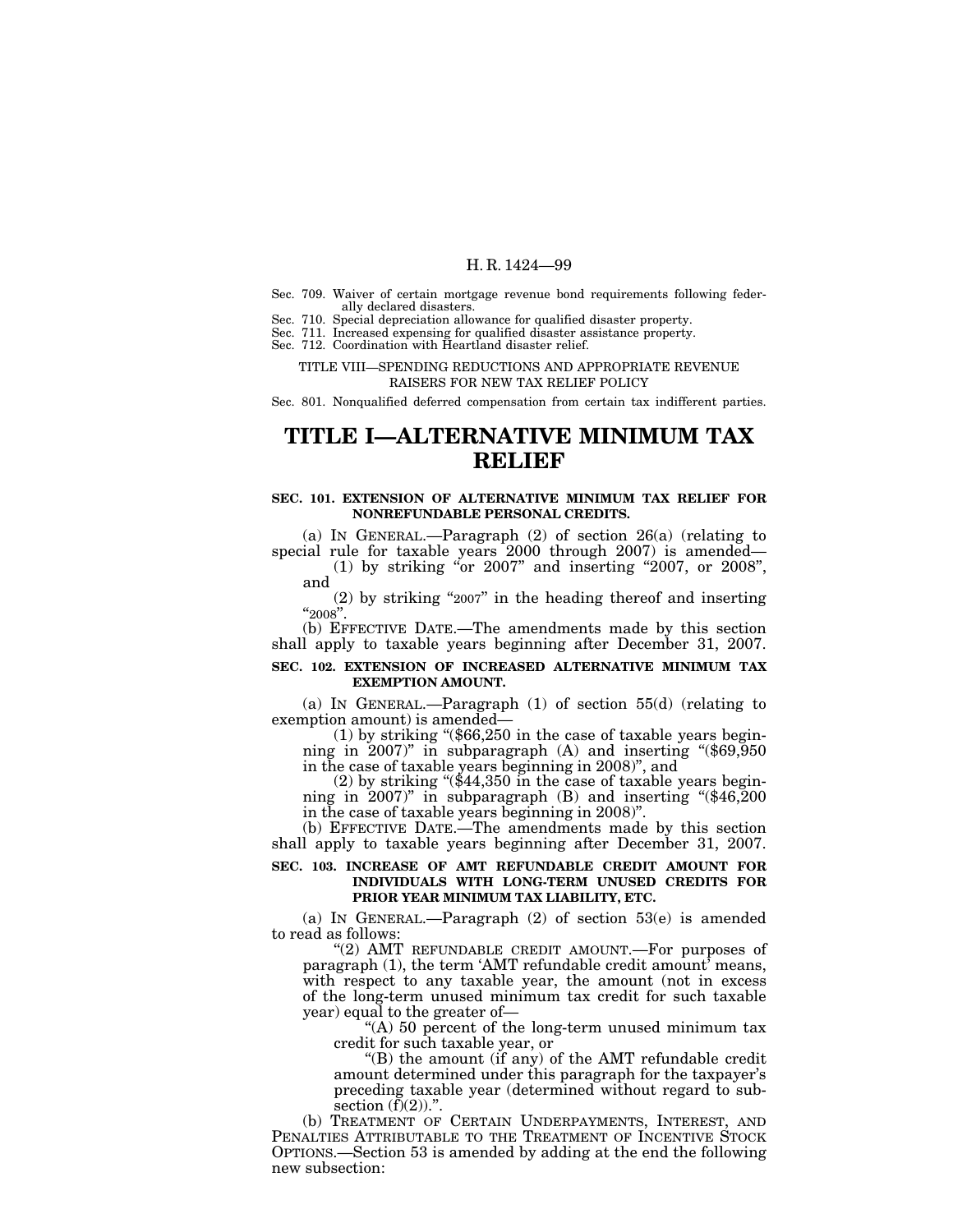- Sec. 709. Waiver of certain mortgage revenue bond requirements following federally declared disasters.
- Sec. 710. Special depreciation allowance for qualified disaster property.
- Sec. 711. Increased expensing for qualified disaster assistance property.

Sec. 712. Coordination with Heartland disaster relief.

### TITLE VIII—SPENDING REDUCTIONS AND APPROPRIATE REVENUE RAISERS FOR NEW TAX RELIEF POLICY

Sec. 801. Nonqualified deferred compensation from certain tax indifferent parties.

# **TITLE I—ALTERNATIVE MINIMUM TAX RELIEF**

## **SEC. 101. EXTENSION OF ALTERNATIVE MINIMUM TAX RELIEF FOR NONREFUNDABLE PERSONAL CREDITS.**

(a) IN GENERAL.—Paragraph (2) of section 26(a) (relating to special rule for taxable years 2000 through 2007) is amended—

 $(1)$  by striking "or  $2007$ " and inserting " $2007$ , or  $2008$ ", and

(2) by striking ''2007'' in the heading thereof and inserting  $"2008"$ 

(b) EFFECTIVE DATE.—The amendments made by this section shall apply to taxable years beginning after December 31, 2007.

# **SEC. 102. EXTENSION OF INCREASED ALTERNATIVE MINIMUM TAX EXEMPTION AMOUNT.**

(a) IN GENERAL.—Paragraph (1) of section 55(d) (relating to exemption amount) is amended—

(1) by striking " $$66,250$  in the case of taxable years beginning in 2007)" in subparagraph  $(A)$  and inserting " $(\$69,950$ in the case of taxable years beginning in 2008)'', and

 $(2)$  by striking " $$44,350$  in the case of taxable years beginning in 2007)" in subparagraph (B) and inserting "(\$46,200) in the case of taxable years beginning in 2008)''.

(b) EFFECTIVE DATE.—The amendments made by this section shall apply to taxable years beginning after December 31, 2007.

## **SEC. 103. INCREASE OF AMT REFUNDABLE CREDIT AMOUNT FOR INDIVIDUALS WITH LONG-TERM UNUSED CREDITS FOR PRIOR YEAR MINIMUM TAX LIABILITY, ETC.**

(a) IN GENERAL.—Paragraph (2) of section 53(e) is amended to read as follows:

"(2) AMT REFUNDABLE CREDIT AMOUNT.—For purposes of paragraph (1), the term 'AMT refundable credit amount' means, with respect to any taxable year, the amount (not in excess of the long-term unused minimum tax credit for such taxable year) equal to the greater of—

"(A) 50 percent of the long-term unused minimum tax credit for such taxable year, or

''(B) the amount (if any) of the AMT refundable credit amount determined under this paragraph for the taxpayer's preceding taxable year (determined without regard to subsection  $(f)(2)$ ."

(b) TREATMENT OF CERTAIN UNDERPAYMENTS, INTEREST, AND PENALTIES ATTRIBUTABLE TO THE TREATMENT OF INCENTIVE STOCK OPTIONS.—Section 53 is amended by adding at the end the following new subsection: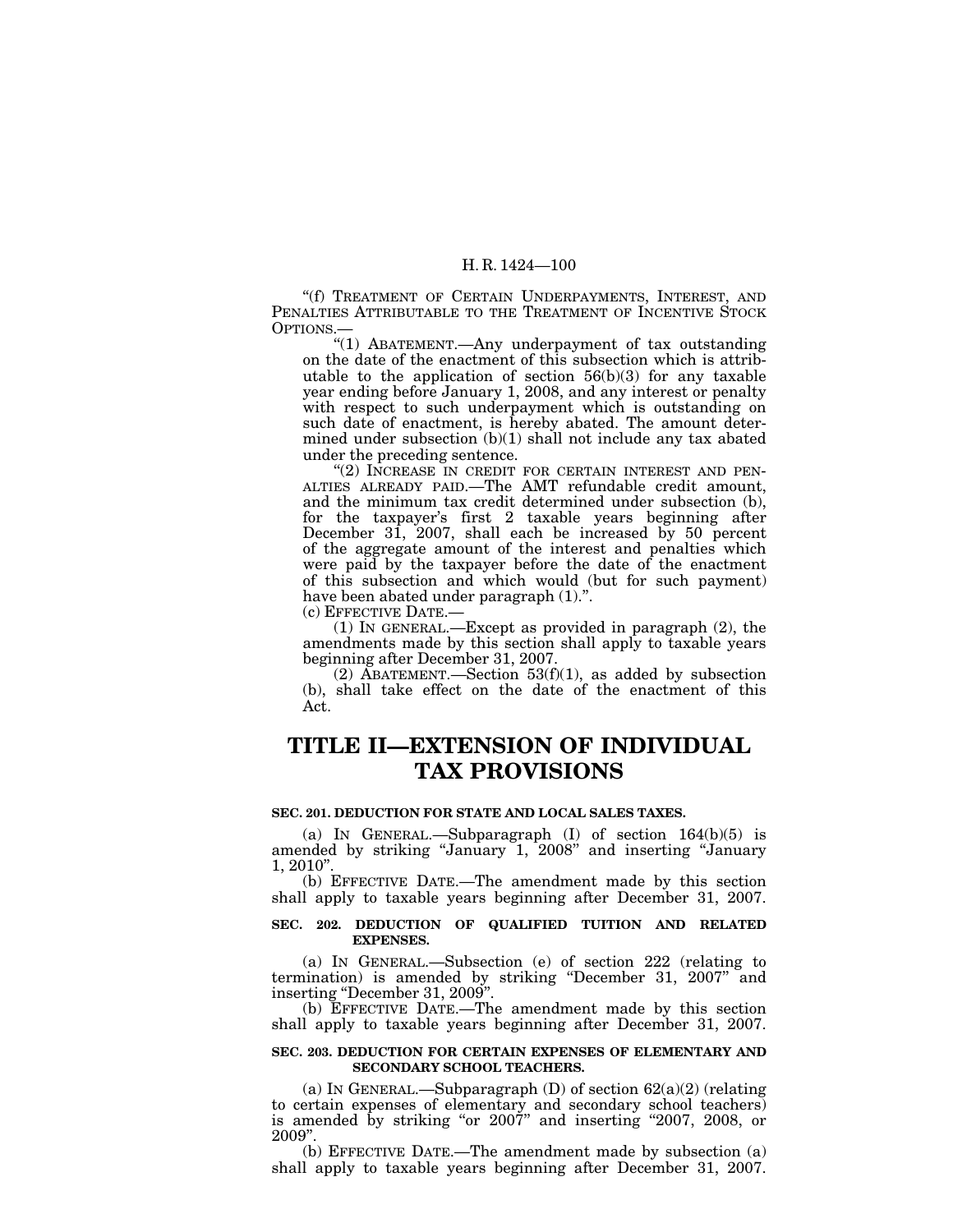''(f) TREATMENT OF CERTAIN UNDERPAYMENTS, INTEREST, AND PENALTIES ATTRIBUTABLE TO THE TREATMENT OF INCENTIVE STOCK OPTIONS.—

''(1) ABATEMENT.—Any underpayment of tax outstanding on the date of the enactment of this subsection which is attributable to the application of section 56(b)(3) for any taxable year ending before January 1, 2008, and any interest or penalty with respect to such underpayment which is outstanding on such date of enactment, is hereby abated. The amount determined under subsection (b)(1) shall not include any tax abated under the preceding sentence.

"(2) INCREASE IN CREDIT FOR CERTAIN INTEREST AND PEN-ALTIES ALREADY PAID.—The AMT refundable credit amount, and the minimum tax credit determined under subsection (b), for the taxpayer's first 2 taxable years beginning after December 31, 2007, shall each be increased by 50 percent of the aggregate amount of the interest and penalties which were paid by the taxpayer before the date of the enactment of this subsection and which would (but for such payment) have been abated under paragraph  $(1)$ .".

(c) EFFECTIVE DATE.—

(1) IN GENERAL.—Except as provided in paragraph (2), the amendments made by this section shall apply to taxable years beginning after December 31, 2007.

(2) ABATEMENT.—Section  $53(f)(1)$ , as added by subsection (b), shall take effect on the date of the enactment of this Act.

# **TITLE II—EXTENSION OF INDIVIDUAL TAX PROVISIONS**

## **SEC. 201. DEDUCTION FOR STATE AND LOCAL SALES TAXES.**

(a) IN GENERAL.—Subparagraph (I) of section 164(b)(5) is amended by striking ''January 1, 2008'' and inserting ''January 1, 2010''.

(b) EFFECTIVE DATE.—The amendment made by this section shall apply to taxable years beginning after December 31, 2007.

### **SEC. 202. DEDUCTION OF QUALIFIED TUITION AND RELATED EXPENSES.**

(a) IN GENERAL.—Subsection (e) of section 222 (relating to termination) is amended by striking ''December 31, 2007'' and inserting ''December 31, 2009''.

(b) EFFECTIVE DATE.—The amendment made by this section shall apply to taxable years beginning after December 31, 2007.

## **SEC. 203. DEDUCTION FOR CERTAIN EXPENSES OF ELEMENTARY AND SECONDARY SCHOOL TEACHERS.**

(a) IN GENERAL.—Subparagraph (D) of section  $62(a)(2)$  (relating to certain expenses of elementary and secondary school teachers) is amended by striking "or  $2007$ " and inserting "2007, 2008, or 2009''.

(b) EFFECTIVE DATE.—The amendment made by subsection (a) shall apply to taxable years beginning after December 31, 2007.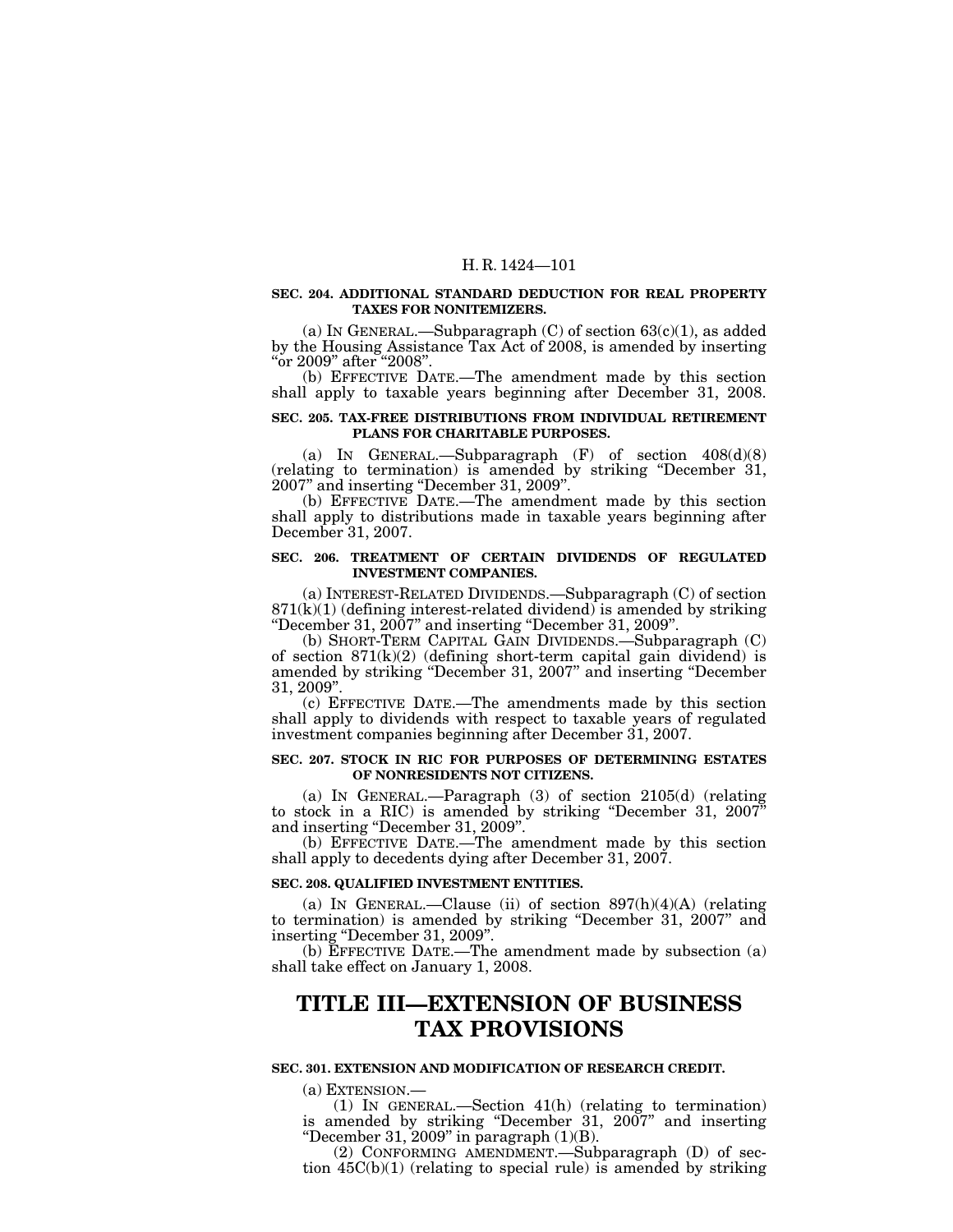### **SEC. 204. ADDITIONAL STANDARD DEDUCTION FOR REAL PROPERTY TAXES FOR NONITEMIZERS.**

(a) IN GENERAL.—Subparagraph  $(C)$  of section  $63(c)(1)$ , as added by the Housing Assistance Tax Act of 2008, is amended by inserting "or 2009" after "2008".

(b) EFFECTIVE DATE.—The amendment made by this section shall apply to taxable years beginning after December 31, 2008.

## **SEC. 205. TAX-FREE DISTRIBUTIONS FROM INDIVIDUAL RETIREMENT PLANS FOR CHARITABLE PURPOSES.**

(a) IN GENERAL.—Subparagraph  $(F)$  of section  $408(d)(8)$ (relating to termination) is amended by striking ''December 31, 2007'' and inserting ''December 31, 2009''.

(b) EFFECTIVE DATE.—The amendment made by this section shall apply to distributions made in taxable years beginning after December 31, 2007.

## **SEC. 206. TREATMENT OF CERTAIN DIVIDENDS OF REGULATED INVESTMENT COMPANIES.**

(a) INTEREST-RELATED DIVIDENDS.—Subparagraph (C) of section  $871(k)(1)$  (defining interest-related dividend) is amended by striking ''December 31, 2007'' and inserting ''December 31, 2009''.

(b) SHORT-TERM CAPITAL GAIN DIVIDENDS.—Subparagraph (C) of section 871(k)(2) (defining short-term capital gain dividend) is amended by striking ''December 31, 2007'' and inserting ''December 31, 2009''.

(c) EFFECTIVE DATE.—The amendments made by this section shall apply to dividends with respect to taxable years of regulated investment companies beginning after December 31, 2007.

## **SEC. 207. STOCK IN RIC FOR PURPOSES OF DETERMINING ESTATES OF NONRESIDENTS NOT CITIZENS.**

(a) IN GENERAL.—Paragraph (3) of section 2105(d) (relating to stock in a RIC) is amended by striking ''December 31, 2007'' and inserting ''December 31, 2009''.

(b) EFFECTIVE DATE.—The amendment made by this section shall apply to decedents dying after December 31, 2007.

### **SEC. 208. QUALIFIED INVESTMENT ENTITIES.**

(a) IN GENERAL.—Clause (ii) of section  $897(h)(4)(A)$  (relating to termination) is amended by striking ''December 31, 2007'' and inserting "December 31, 2009".

(b) EFFECTIVE DATE.—The amendment made by subsection (a) shall take effect on January 1, 2008.

# **TITLE III—EXTENSION OF BUSINESS TAX PROVISIONS**

# **SEC. 301. EXTENSION AND MODIFICATION OF RESEARCH CREDIT.**

(a) EXTENSION.—<br>(1) IN GENERAL.—Section 41(h) (relating to termination) is amended by striking "December 31, 2007" and inserting "December 31, 2009" in paragraph  $(1)(B)$ .

(2) CONFORMING AMENDMENT.—Subparagraph (D) of section 45C(b)(1) (relating to special rule) is amended by striking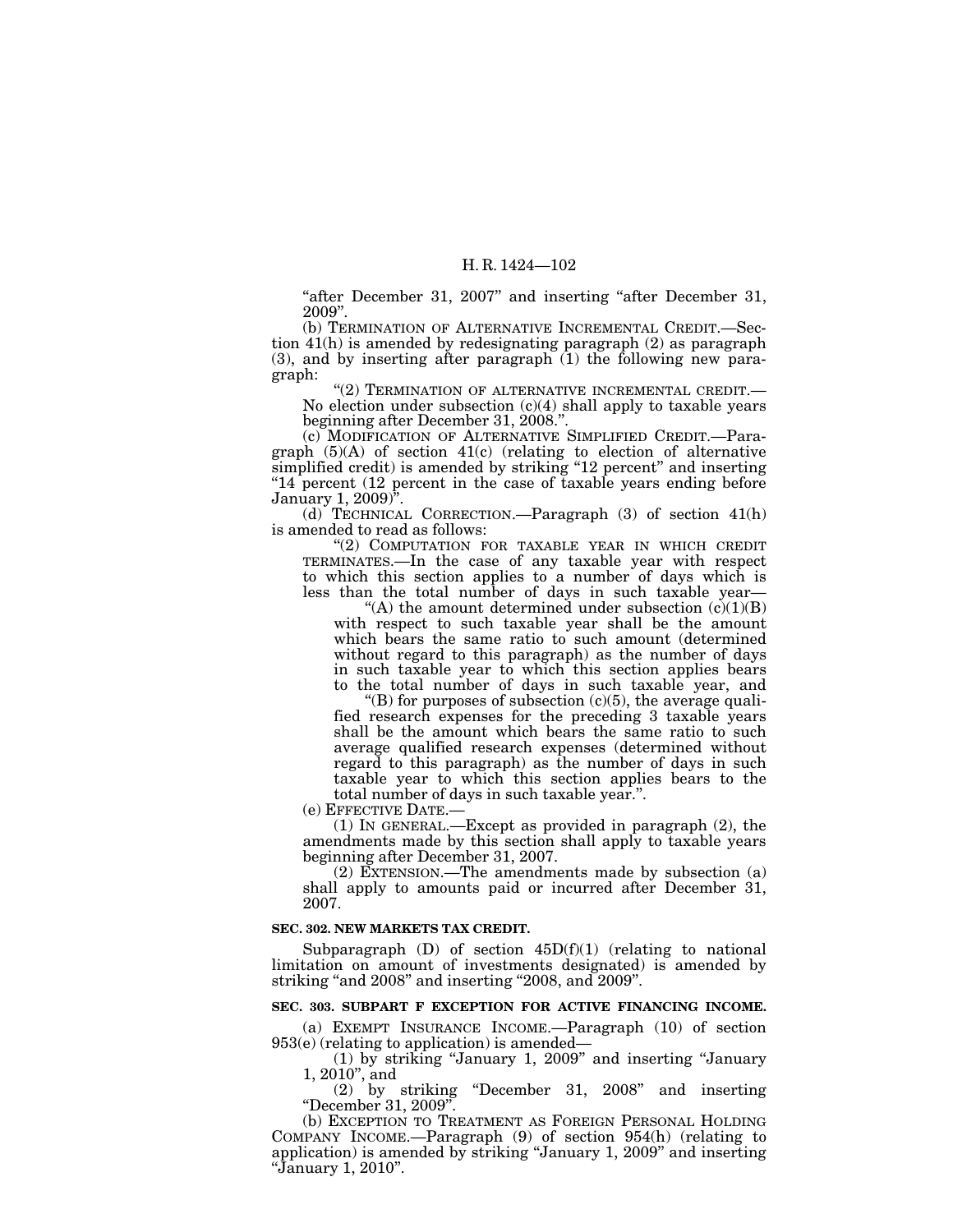"after December 31, 2007" and inserting "after December 31, 2009''.

(b) TERMINATION OF ALTERNATIVE INCREMENTAL CREDIT.—Section 41(h) is amended by redesignating paragraph (2) as paragraph  $(3)$ , and by inserting after paragraph  $(1)$  the following new paragraph:

"(2) TERMINATION OF ALTERNATIVE INCREMENTAL CREDIT.-No election under subsection  $(c)(4)$  shall apply to taxable years beginning after December 31, 2008.''.

(c) MODIFICATION OF ALTERNATIVE SIMPLIFIED CREDIT.—Paragraph (5)(A) of section 41(c) (relating to election of alternative simplified credit) is amended by striking "12 percent" and inserting "14 percent (12 percent in the case of taxable years ending before January 1, 2009)''.

(d) TECHNICAL CORRECTION.—Paragraph  $(3)$  of section  $41(h)$ is amended to read as follows:

"(2) COMPUTATION FOR TAXABLE YEAR IN WHICH CREDIT TERMINATES.—In the case of any taxable year with respect to which this section applies to a number of days which is less than the total number of days in such taxable year—

"(A) the amount determined under subsection  $(c)(1)(B)$ with respect to such taxable year shall be the amount which bears the same ratio to such amount (determined without regard to this paragraph) as the number of days in such taxable year to which this section applies bears to the total number of days in such taxable year, and

 $\degree$ (B) for purposes of subsection (c)(5), the average qualified research expenses for the preceding 3 taxable years shall be the amount which bears the same ratio to such average qualified research expenses (determined without regard to this paragraph) as the number of days in such taxable year to which this section applies bears to the total number of days in such taxable year.''.

(e) EFFECTIVE DATE.—

(1) IN GENERAL.—Except as provided in paragraph (2), the amendments made by this section shall apply to taxable years beginning after December 31, 2007.

(2) EXTENSION.—The amendments made by subsection (a) shall apply to amounts paid or incurred after December 31, 2007.

## **SEC. 302. NEW MARKETS TAX CREDIT.**

Subparagraph  $(D)$  of section  $45D(f)(1)$  (relating to national limitation on amount of investments designated) is amended by striking "and  $2008$ " and inserting " $2008$ , and  $2009$ ".

# **SEC. 303. SUBPART F EXCEPTION FOR ACTIVE FINANCING INCOME.**

(a) EXEMPT INSURANCE INCOME.—Paragraph (10) of section 953(e) (relating to application) is amended—

(1) by striking ''January 1, 2009'' and inserting ''January 1, 2010'', and

(2) by striking ''December 31, 2008'' and inserting ''December 31, 2009''.

(b) EXCEPTION TO TREATMENT AS FOREIGN PERSONAL HOLDING COMPANY INCOME.—Paragraph (9) of section 954(h) (relating to application) is amended by striking ''January 1, 2009'' and inserting ''January 1, 2010''.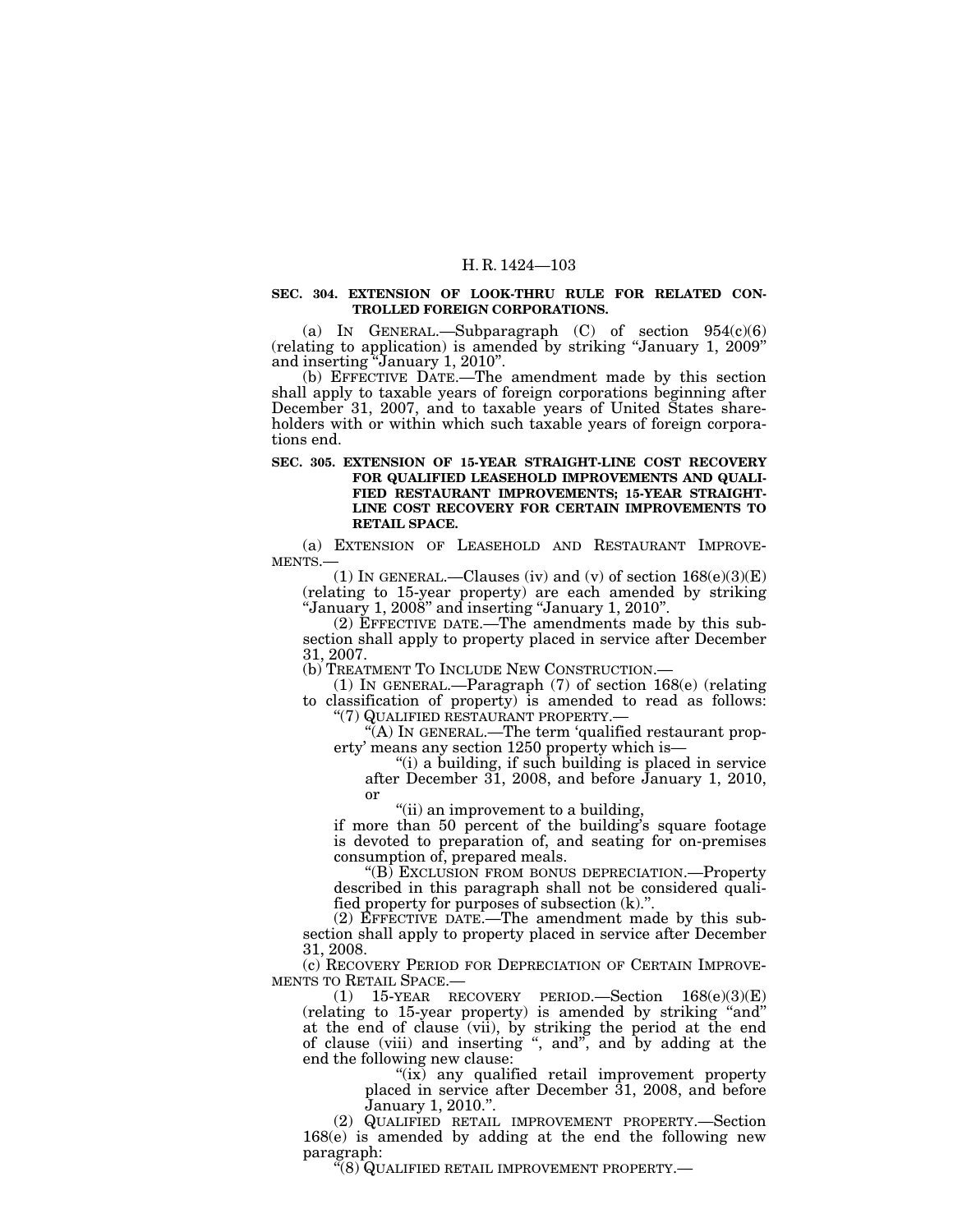## **SEC. 304. EXTENSION OF LOOK-THRU RULE FOR RELATED CON-TROLLED FOREIGN CORPORATIONS.**

(a) IN GENERAL.—Subparagraph  $(C)$  of section  $954(c)(6)$ (relating to application) is amended by striking ''January 1, 2009'' and inserting ''January 1, 2010''.

(b) EFFECTIVE DATE.—The amendment made by this section shall apply to taxable years of foreign corporations beginning after December 31, 2007, and to taxable years of United States shareholders with or within which such taxable years of foreign corporations end.

## **SEC. 305. EXTENSION OF 15-YEAR STRAIGHT-LINE COST RECOVERY FOR QUALIFIED LEASEHOLD IMPROVEMENTS AND QUALI-FIED RESTAURANT IMPROVEMENTS; 15-YEAR STRAIGHT-LINE COST RECOVERY FOR CERTAIN IMPROVEMENTS TO RETAIL SPACE.**

(a) EXTENSION OF LEASEHOLD AND RESTAURANT IMPROVE- MENTS.—

(1) IN GENERAL.—Clauses (iv) and (v) of section  $168(e)(3)(E)$ (relating to 15-year property) are each amended by striking ''January 1, 2008'' and inserting ''January 1, 2010''.

(2) EFFECTIVE DATE.—The amendments made by this subsection shall apply to property placed in service after December 31, 2007.

(b) TREATMENT TO INCLUDE NEW CONSTRUCTION.—

(1) IN GENERAL.—Paragraph (7) of section 168(e) (relating to classification of property) is amended to read as follows:

''(7) QUALIFIED RESTAURANT PROPERTY.—

(A) In GENERAL.—The term 'qualified restaurant property' means any section 1250 property which is—

''(i) a building, if such building is placed in service after December 31, 2008, and before January 1, 2010, or

"(ii) an improvement to a building,

if more than 50 percent of the building's square footage is devoted to preparation of, and seating for on-premises consumption of, prepared meals.

''(B) EXCLUSION FROM BONUS DEPRECIATION.—Property described in this paragraph shall not be considered qualified property for purposes of subsection (k).''.

(2) EFFECTIVE DATE.—The amendment made by this subsection shall apply to property placed in service after December 31, 2008.

(c) RECOVERY PERIOD FOR DEPRECIATION OF CERTAIN IMPROVE-MENTS TO RETAIL SPACE.—<br>
(1) 15-YEAR RECOVERY PERIOD.—Section 168(e)(3)(E)

(relating to 15-year property) is amended by striking ''and'' at the end of clause (vii), by striking the period at the end of clause (viii) and inserting '', and'', and by adding at the end the following new clause:

"(ix) any qualified retail improvement property placed in service after December 31, 2008, and before January 1, 2010.''.

(2) QUALIFIED RETAIL IMPROVEMENT PROPERTY.—Section 168(e) is amended by adding at the end the following new paragraph:

 $\sqrt[G(8)]$ QUALIFIED RETAIL IMPROVEMENT PROPERTY.—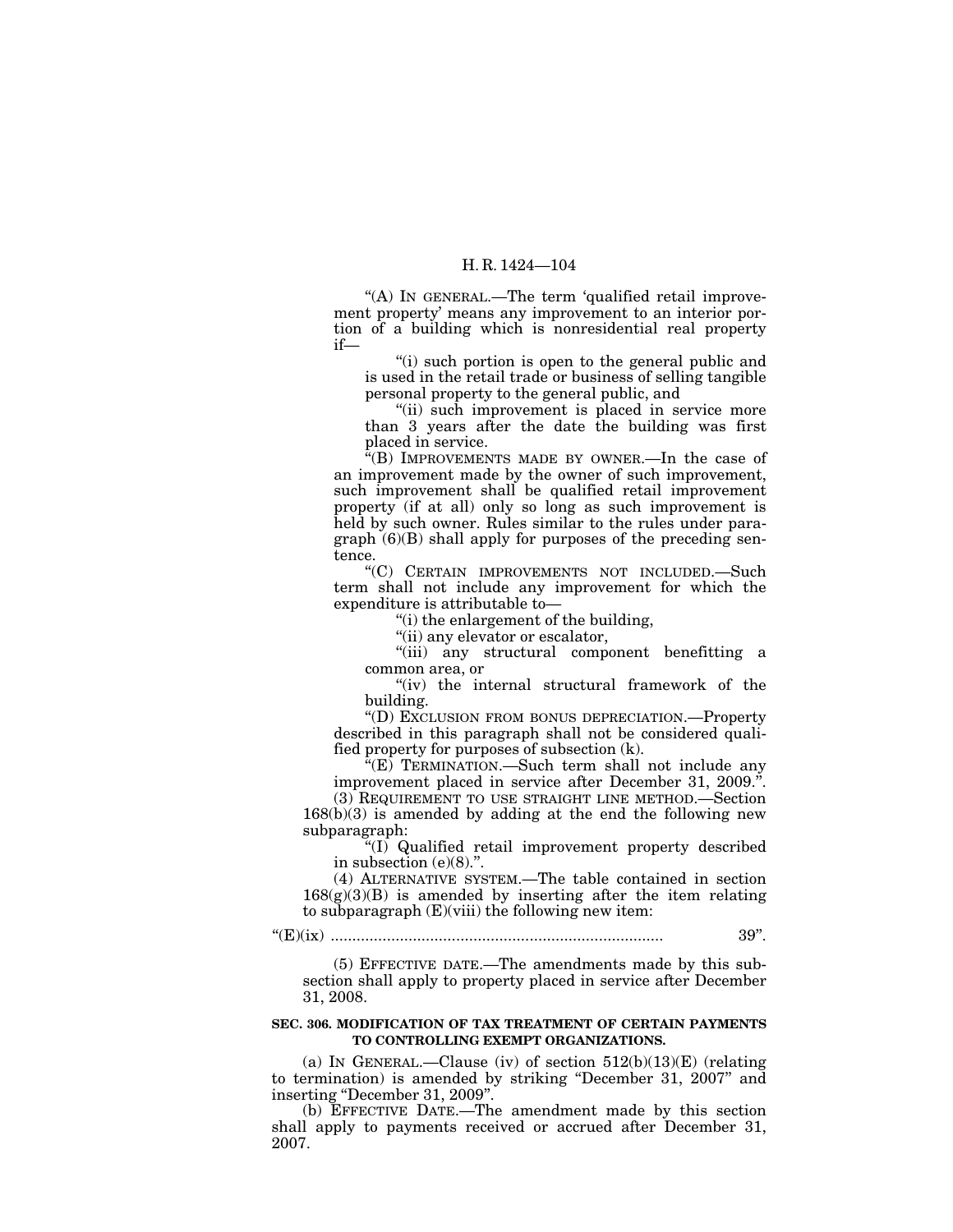''(A) IN GENERAL.—The term 'qualified retail improvement property' means any improvement to an interior portion of a building which is nonresidential real property if—

''(i) such portion is open to the general public and is used in the retail trade or business of selling tangible personal property to the general public, and

"(ii) such improvement is placed in service more than 3 years after the date the building was first placed in service.

 $\frac{\partial^2}{\partial t}(B)$  IMPROVEMENTS MADE BY OWNER.—In the case of an improvement made by the owner of such improvement, such improvement shall be qualified retail improvement property (if at all) only so long as such improvement is held by such owner. Rules similar to the rules under paragraph (6)(B) shall apply for purposes of the preceding sentence.

''(C) CERTAIN IMPROVEMENTS NOT INCLUDED.—Such term shall not include any improvement for which the expenditure is attributable to—

''(i) the enlargement of the building,

''(ii) any elevator or escalator,

''(iii) any structural component benefitting a common area, or

"(iv) the internal structural framework of the building.

''(D) EXCLUSION FROM BONUS DEPRECIATION.—Property described in this paragraph shall not be considered qualified property for purposes of subsection (k).

 $F(E)$  TERMINATION.—Such term shall not include any improvement placed in service after December 31, 2009.''.

(3) REQUIREMENT TO USE STRAIGHT LINE METHOD.—Section  $168(b)(3)$  is amended by adding at the end the following new subparagraph:

''(I) Qualified retail improvement property described in subsection (e)(8).''.

(4) ALTERNATIVE SYSTEM.—The table contained in section  $168(g)(3)(B)$  is amended by inserting after the item relating to subparagraph  $(E)(viii)$  the following new item:

# ''(E)(ix) ............................................................................. 39''.

(5) EFFECTIVE DATE.—The amendments made by this subsection shall apply to property placed in service after December 31, 2008.

## **SEC. 306. MODIFICATION OF TAX TREATMENT OF CERTAIN PAYMENTS TO CONTROLLING EXEMPT ORGANIZATIONS.**

(a) IN GENERAL.—Clause (iv) of section  $512(b)(13)(E)$  (relating to termination) is amended by striking ''December 31, 2007'' and inserting "December 31, 2009".

(b) EFFECTIVE DATE.—The amendment made by this section shall apply to payments received or accrued after December 31, 2007.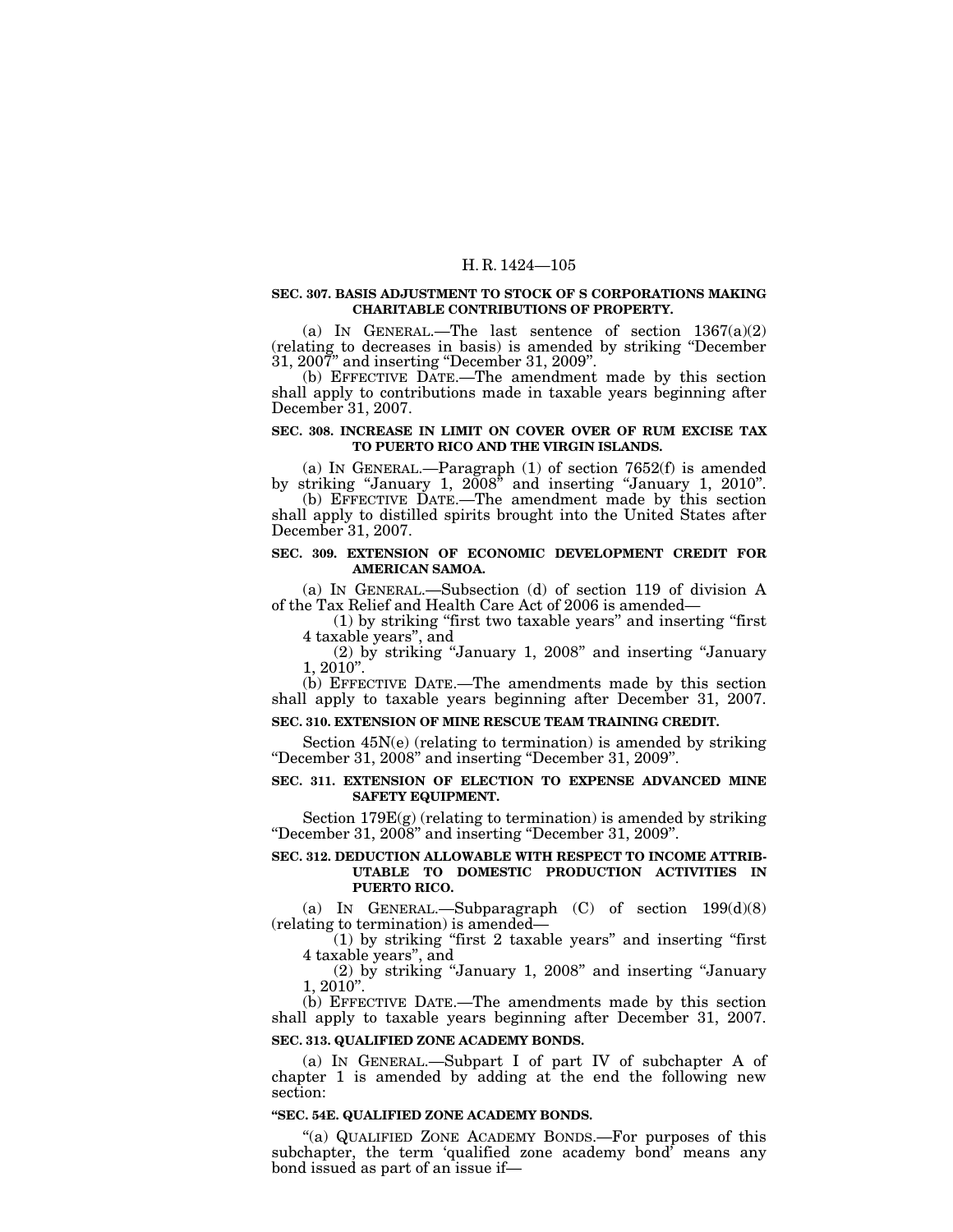## **SEC. 307. BASIS ADJUSTMENT TO STOCK OF S CORPORATIONS MAKING CHARITABLE CONTRIBUTIONS OF PROPERTY.**

(a) IN GENERAL.—The last sentence of section  $1367(a)(2)$ (relating to decreases in basis) is amended by striking ''December 31, 2007'' and inserting ''December 31, 2009''.

(b) EFFECTIVE DATE.—The amendment made by this section shall apply to contributions made in taxable years beginning after December 31, 2007.

## **SEC. 308. INCREASE IN LIMIT ON COVER OVER OF RUM EXCISE TAX TO PUERTO RICO AND THE VIRGIN ISLANDS.**

(a) IN GENERAL.—Paragraph (1) of section 7652(f) is amended by striking ''January 1, 2008'' and inserting ''January 1, 2010''.

(b) EFFECTIVE DATE.—The amendment made by this section shall apply to distilled spirits brought into the United States after December 31, 2007.

## **SEC. 309. EXTENSION OF ECONOMIC DEVELOPMENT CREDIT FOR AMERICAN SAMOA.**

(a) IN GENERAL.—Subsection (d) of section 119 of division A of the Tax Relief and Health Care Act of 2006 is amended—

(1) by striking ''first two taxable years'' and inserting ''first 4 taxable years'', and

(2) by striking ''January 1, 2008'' and inserting ''January 1, 2010''.

(b) EFFECTIVE DATE.—The amendments made by this section shall apply to taxable years beginning after December 31, 2007.

## **SEC. 310. EXTENSION OF MINE RESCUE TEAM TRAINING CREDIT.**

Section 45N(e) (relating to termination) is amended by striking ''December 31, 2008'' and inserting ''December 31, 2009''.

## **SEC. 311. EXTENSION OF ELECTION TO EXPENSE ADVANCED MINE SAFETY EQUIPMENT.**

Section 179E(g) (relating to termination) is amended by striking ''December 31, 2008'' and inserting ''December 31, 2009''.

# **SEC. 312. DEDUCTION ALLOWABLE WITH RESPECT TO INCOME ATTRIB-UTABLE TO DOMESTIC PRODUCTION ACTIVITIES IN PUERTO RICO.**

(a) IN GENERAL.—Subparagraph  $(C)$  of section  $199(d)(8)$ (relating to termination) is amended—

(1) by striking ''first 2 taxable years'' and inserting ''first 4 taxable years'', and

(2) by striking ''January 1, 2008'' and inserting ''January 1, 2010''.

(b) EFFECTIVE DATE.—The amendments made by this section shall apply to taxable years beginning after December 31, 2007.

## **SEC. 313. QUALIFIED ZONE ACADEMY BONDS.**

(a) IN GENERAL.—Subpart I of part IV of subchapter A of chapter 1 is amended by adding at the end the following new section:

#### **''SEC. 54E. QUALIFIED ZONE ACADEMY BONDS.**

"(a) QUALIFIED ZONE ACADEMY BONDS.—For purposes of this subchapter, the term 'qualified zone academy bond' means any bond issued as part of an issue if—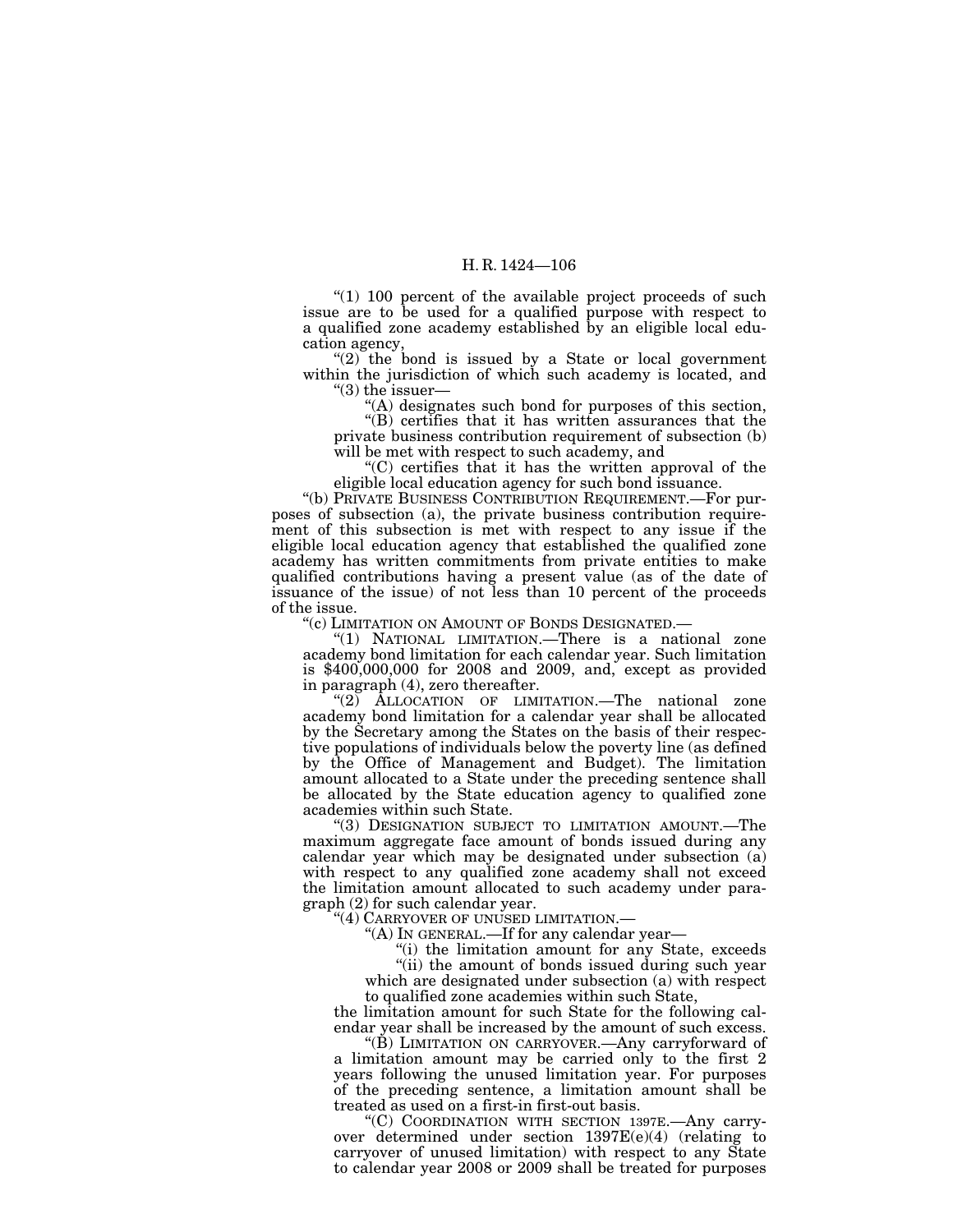" $(1)$  100 percent of the available project proceeds of such issue are to be used for a qualified purpose with respect to a qualified zone academy established by an eligible local education agency,

" $(2)$  the bond is issued by a State or local government within the jurisdiction of which such academy is located, and  $''(3)$  the issuer-

''(A) designates such bond for purposes of this section,

''(B) certifies that it has written assurances that the private business contribution requirement of subsection (b) will be met with respect to such academy, and

''(C) certifies that it has the written approval of the eligible local education agency for such bond issuance.

''(b) PRIVATE BUSINESS CONTRIBUTION REQUIREMENT.—For purposes of subsection (a), the private business contribution requirement of this subsection is met with respect to any issue if the eligible local education agency that established the qualified zone academy has written commitments from private entities to make qualified contributions having a present value (as of the date of issuance of the issue) of not less than 10 percent of the proceeds of the issue.

''(c) LIMITATION ON AMOUNT OF BONDS DESIGNATED.—

"(1) NATIONAL LIMITATION.—There is a national zone academy bond limitation for each calendar year. Such limitation is \$400,000,000 for 2008 and 2009, and, except as provided in paragraph (4), zero thereafter.

"(2) ALLOCATION OF LIMITATION.—The national zone academy bond limitation for a calendar year shall be allocated by the Secretary among the States on the basis of their respective populations of individuals below the poverty line (as defined by the Office of Management and Budget). The limitation amount allocated to a State under the preceding sentence shall be allocated by the State education agency to qualified zone academies within such State.

''(3) DESIGNATION SUBJECT TO LIMITATION AMOUNT.—The maximum aggregate face amount of bonds issued during any calendar year which may be designated under subsection (a) with respect to any qualified zone academy shall not exceed the limitation amount allocated to such academy under paragraph (2) for such calendar year.

''(4) CARRYOVER OF UNUSED LIMITATION.—

''(A) IN GENERAL.—If for any calendar year—

"(i) the limitation amount for any State, exceeds

"(ii) the amount of bonds issued during such year which are designated under subsection (a) with respect to qualified zone academies within such State,

the limitation amount for such State for the following calendar year shall be increased by the amount of such excess.

''(B) LIMITATION ON CARRYOVER.—Any carryforward of a limitation amount may be carried only to the first 2 years following the unused limitation year. For purposes of the preceding sentence, a limitation amount shall be treated as used on a first-in first-out basis.

''(C) COORDINATION WITH SECTION 1397E.—Any carryover determined under section 1397E(e)(4) (relating to carryover of unused limitation) with respect to any State to calendar year 2008 or 2009 shall be treated for purposes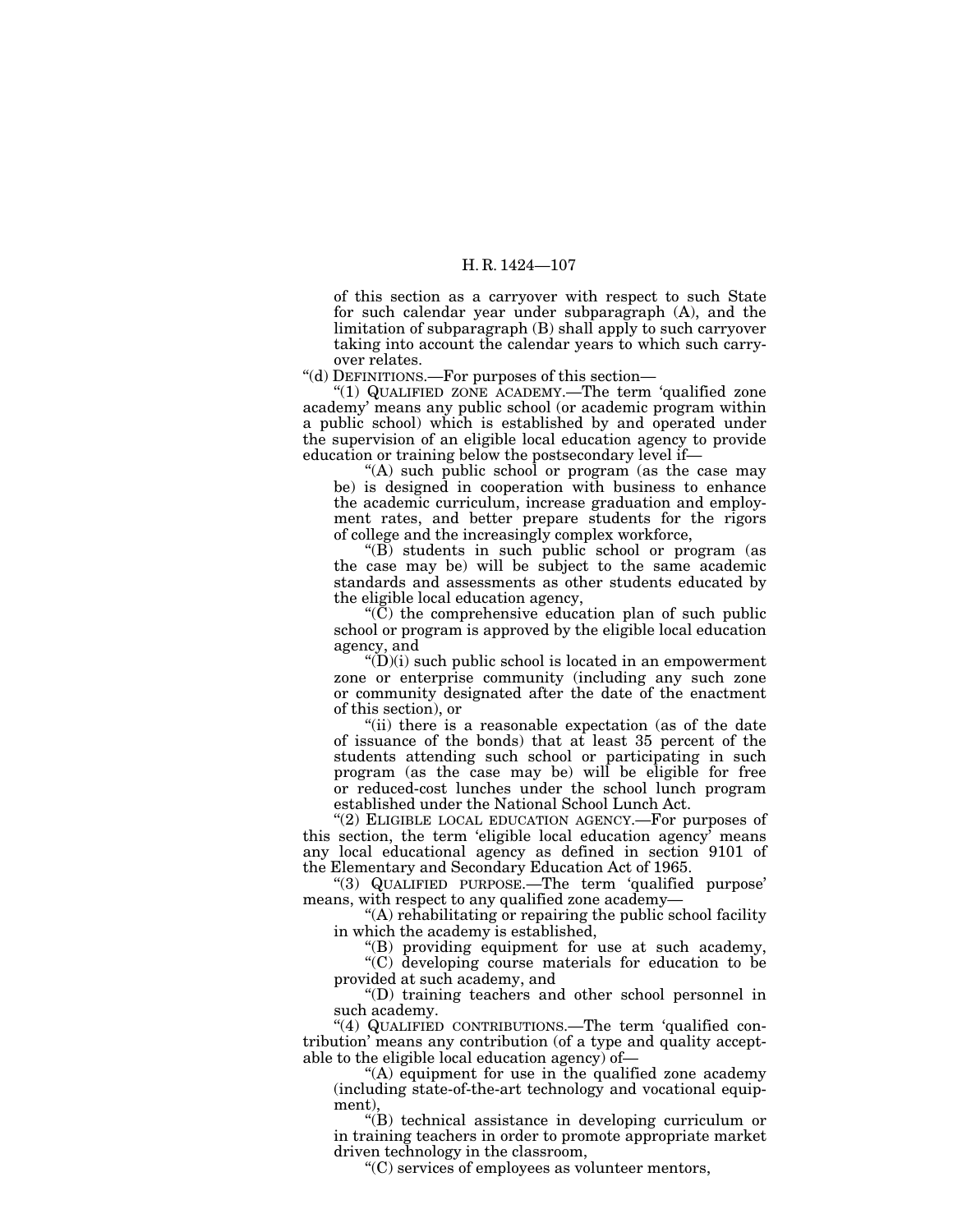of this section as a carryover with respect to such State for such calendar year under subparagraph (A), and the limitation of subparagraph (B) shall apply to such carryover taking into account the calendar years to which such carryover relates.

''(d) DEFINITIONS.—For purposes of this section—

"(1) QUALIFIED ZONE ACADEMY.—The term 'qualified zone academy' means any public school (or academic program within a public school) which is established by and operated under the supervision of an eligible local education agency to provide education or training below the postsecondary level if—

''(A) such public school or program (as the case may be) is designed in cooperation with business to enhance the academic curriculum, increase graduation and employment rates, and better prepare students for the rigors of college and the increasingly complex workforce,

''(B) students in such public school or program (as the case may be) will be subject to the same academic standards and assessments as other students educated by the eligible local education agency,

 $\mathcal{L}(\bar{C})$  the comprehensive education plan of such public school or program is approved by the eligible local education agency, and

 $\sqrt{\langle D \rangle(i)}$  such public school is located in an empowerment zone or enterprise community (including any such zone or community designated after the date of the enactment of this section), or

"(ii) there is a reasonable expectation (as of the date of issuance of the bonds) that at least 35 percent of the students attending such school or participating in such program (as the case may be) will be eligible for free or reduced-cost lunches under the school lunch program established under the National School Lunch Act.

"(2) ELIGIBLE LOCAL EDUCATION AGENCY.—For purposes of this section, the term 'eligible local education agency' means any local educational agency as defined in section 9101 of the Elementary and Secondary Education Act of 1965.

''(3) QUALIFIED PURPOSE.—The term 'qualified purpose' means, with respect to any qualified zone academy—

''(A) rehabilitating or repairing the public school facility in which the academy is established,

''(B) providing equipment for use at such academy,

''(C) developing course materials for education to be provided at such academy, and

''(D) training teachers and other school personnel in such academy.

''(4) QUALIFIED CONTRIBUTIONS.—The term 'qualified contribution' means any contribution (of a type and quality acceptable to the eligible local education agency) of—

''(A) equipment for use in the qualified zone academy (including state-of-the-art technology and vocational equipment),

''(B) technical assistance in developing curriculum or in training teachers in order to promote appropriate market driven technology in the classroom,

''(C) services of employees as volunteer mentors,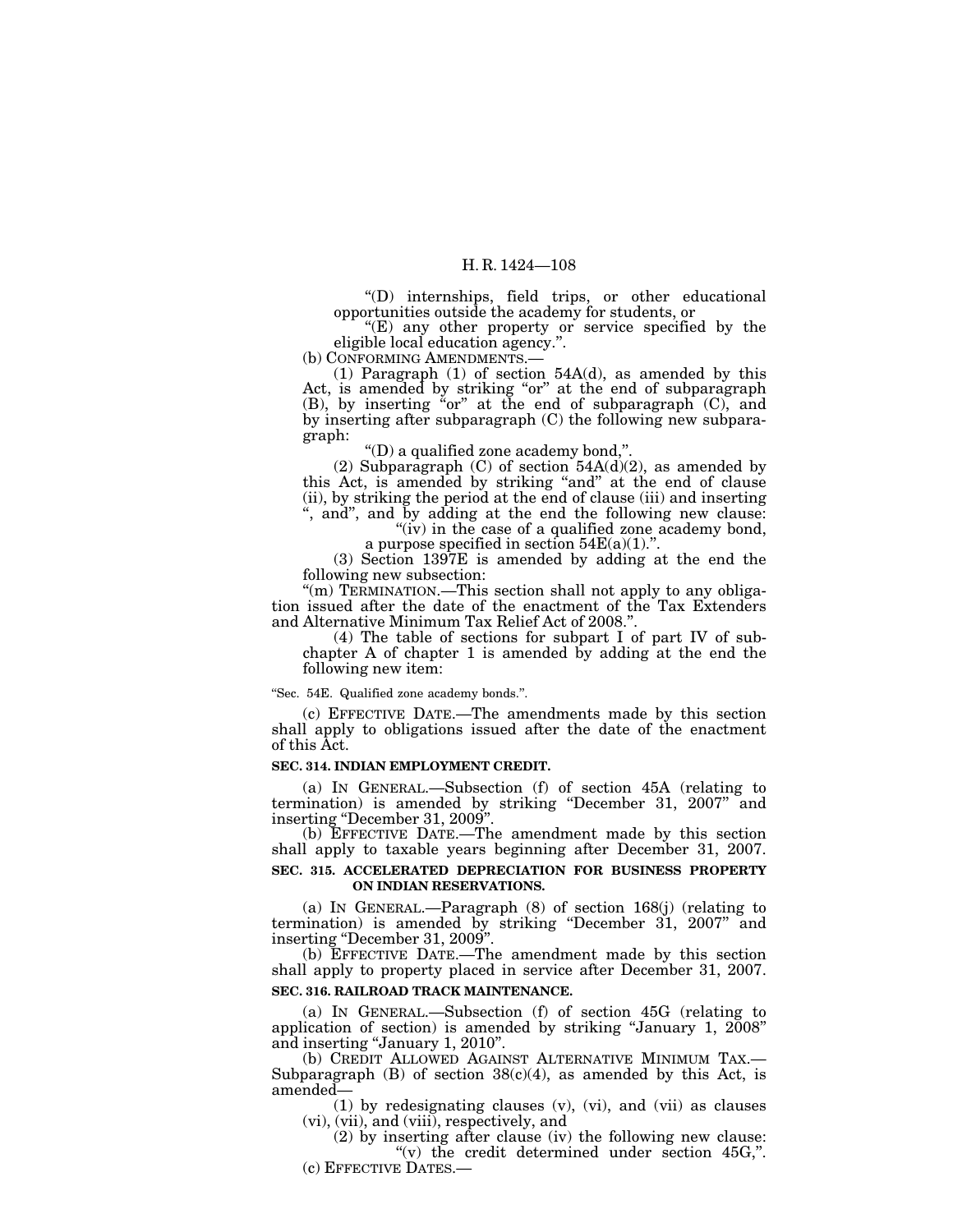''(D) internships, field trips, or other educational opportunities outside the academy for students, or

''(E) any other property or service specified by the eligible local education agency.''.

(b) CONFORMING AMENDMENTS.— (1) Paragraph (1) of section 54A(d), as amended by this Act, is amended by striking "or" at the end of subparagraph (B), by inserting ''or'' at the end of subparagraph (C), and by inserting after subparagraph (C) the following new subparagraph:

 $\mathrm{``(D)}$  a qualified zone academy bond,'

(2) Subparagraph (C) of section  $54A(d)(2)$ , as amended by this Act, is amended by striking ''and'' at the end of clause (ii), by striking the period at the end of clause (iii) and inserting ', and'', and by adding at the end the following new clause:

"(iv) in the case of a qualified zone academy bond,

a purpose specified in section  $54E(a)(1)$ .".

(3) Section 1397E is amended by adding at the end the following new subsection:

"(m) TERMINATION.—This section shall not apply to any obligation issued after the date of the enactment of the Tax Extenders and Alternative Minimum Tax Relief Act of 2008.''.

(4) The table of sections for subpart I of part IV of subchapter A of chapter 1 is amended by adding at the end the following new item:

''Sec. 54E. Qualified zone academy bonds.''.

(c) EFFECTIVE DATE.—The amendments made by this section shall apply to obligations issued after the date of the enactment of this Act.

### **SEC. 314. INDIAN EMPLOYMENT CREDIT.**

(a) IN GENERAL.—Subsection (f) of section 45A (relating to termination) is amended by striking ''December 31, 2007'' and inserting ''December 31, 2009''.

(b) EFFECTIVE DATE.—The amendment made by this section shall apply to taxable years beginning after December 31, 2007.

# **SEC. 315. ACCELERATED DEPRECIATION FOR BUSINESS PROPERTY ON INDIAN RESERVATIONS.**

(a) IN GENERAL.—Paragraph (8) of section 168(j) (relating to termination) is amended by striking ''December 31, 2007'' and inserting "December 31, 2009".

(b) EFFECTIVE DATE.—The amendment made by this section shall apply to property placed in service after December 31, 2007. **SEC. 316. RAILROAD TRACK MAINTENANCE.** 

(a) IN GENERAL.—Subsection (f) of section 45G (relating to application of section) is amended by striking ''January 1, 2008'' and inserting ''January 1, 2010''.

(b) CREDIT ALLOWED AGAINST ALTERNATIVE MINIMUM TAX.— Subparagraph  $(B)$  of section  $38(c)(4)$ , as amended by this Act, is amended—

(1) by redesignating clauses (v), (vi), and (vii) as clauses (vi), (vii), and (viii), respectively, and

(2) by inserting after clause (iv) the following new clause: " $(v)$  the credit determined under section 45G,".

(c) EFFECTIVE DATES.—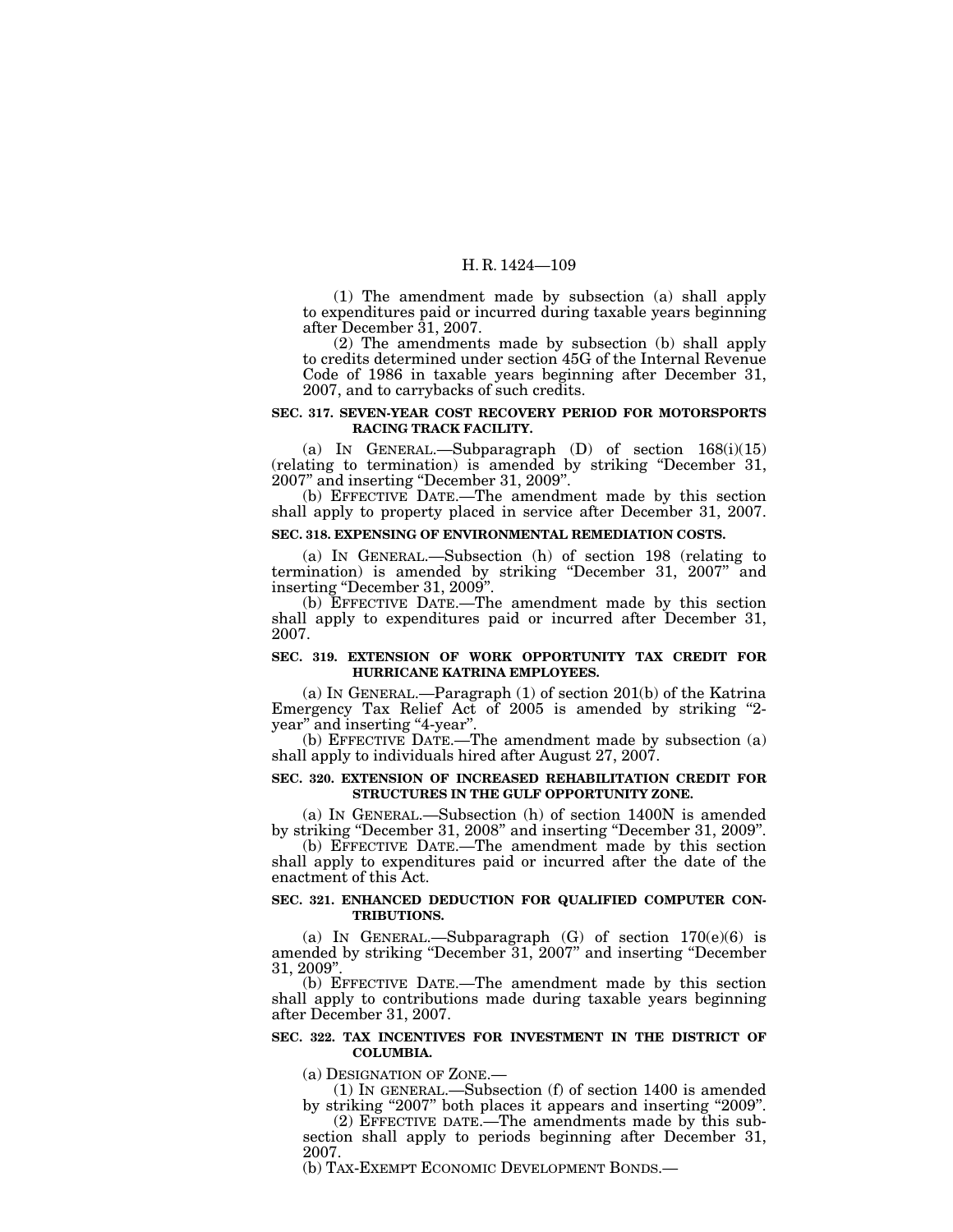(1) The amendment made by subsection (a) shall apply to expenditures paid or incurred during taxable years beginning after December 31, 2007.

(2) The amendments made by subsection (b) shall apply to credits determined under section 45G of the Internal Revenue Code of 1986 in taxable years beginning after December 31, 2007, and to carrybacks of such credits.

#### **SEC. 317. SEVEN-YEAR COST RECOVERY PERIOD FOR MOTORSPORTS RACING TRACK FACILITY.**

(a) IN GENERAL.—Subparagraph  $(D)$  of section  $168(i)(15)$ (relating to termination) is amended by striking ''December 31, 2007'' and inserting ''December 31, 2009''.

(b) EFFECTIVE DATE.—The amendment made by this section shall apply to property placed in service after December 31, 2007.

#### **SEC. 318. EXPENSING OF ENVIRONMENTAL REMEDIATION COSTS.**

(a) IN GENERAL.—Subsection (h) of section 198 (relating to termination) is amended by striking ''December 31, 2007'' and inserting "December 31, 2009".

(b) EFFECTIVE DATE.—The amendment made by this section shall apply to expenditures paid or incurred after December 31, 2007.

#### **SEC. 319. EXTENSION OF WORK OPPORTUNITY TAX CREDIT FOR HURRICANE KATRINA EMPLOYEES.**

(a) IN GENERAL.—Paragraph (1) of section 201(b) of the Katrina Emergency Tax Relief Act of 2005 is amended by striking "2year" and inserting "4-year".

(b) EFFECTIVE DATE.—The amendment made by subsection (a) shall apply to individuals hired after August 27, 2007.

## **SEC. 320. EXTENSION OF INCREASED REHABILITATION CREDIT FOR STRUCTURES IN THE GULF OPPORTUNITY ZONE.**

(a) IN GENERAL.—Subsection (h) of section 1400N is amended by striking ''December 31, 2008'' and inserting ''December 31, 2009''.

(b) EFFECTIVE DATE.—The amendment made by this section shall apply to expenditures paid or incurred after the date of the enactment of this Act.

#### **SEC. 321. ENHANCED DEDUCTION FOR QUALIFIED COMPUTER CON-TRIBUTIONS.**

(a) IN GENERAL.—Subparagraph  $(G)$  of section  $170(e)(6)$  is amended by striking ''December 31, 2007'' and inserting ''December 31, 2009''.

(b) EFFECTIVE DATE.—The amendment made by this section shall apply to contributions made during taxable years beginning after December 31, 2007.

#### **SEC. 322. TAX INCENTIVES FOR INVESTMENT IN THE DISTRICT OF COLUMBIA.**

(a) DESIGNATION OF ZONE.—

(1) IN GENERAL.—Subsection (f) of section 1400 is amended by striking "2007" both places it appears and inserting "2009".

(2) EFFECTIVE DATE.—The amendments made by this subsection shall apply to periods beginning after December 31, 2007.

(b) TAX-EXEMPT ECONOMIC DEVELOPMENT BONDS.—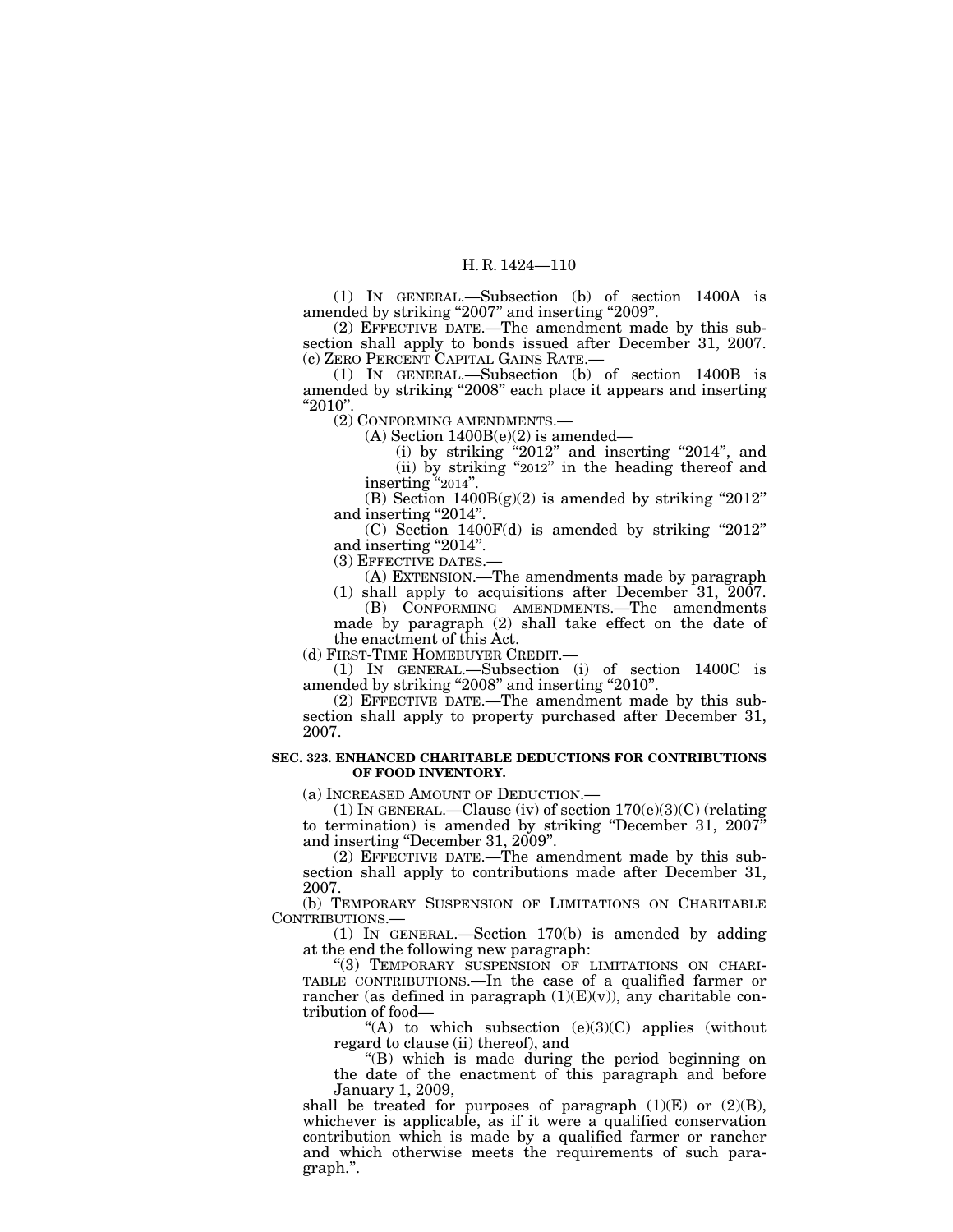(1) IN GENERAL.—Subsection (b) of section 1400A is amended by striking ''2007'' and inserting ''2009''.

(2) EFFECTIVE DATE.—The amendment made by this subsection shall apply to bonds issued after December 31, 2007. (c) ZERO PERCENT CAPITAL GAINS RATE.—

(1) IN GENERAL.—Subsection (b) of section 1400B is amended by striking ''2008'' each place it appears and inserting ''2010''.

(2) CONFORMING AMENDMENTS.—

 $(A)$  Section 1400B $(e)(2)$  is amended—

 $(i)$  by striking "2012" and inserting "2014", and

(ii) by striking "2012" in the heading thereof and inserting "2014"

(B) Section  $1400B(g)(2)$  is amended by striking "2012" and inserting "2014".

 $(C)$  Section 1400 $F(d)$  is amended by striking "2012" and inserting "2014".

(3) EFFECTIVE DATES.—

(A) EXTENSION.—The amendments made by paragraph (1) shall apply to acquisitions after December 31, 2007.

(B) CONFORMING AMENDMENTS.—The amendments made by paragraph (2) shall take effect on the date of the enactment of this Act.

(d) FIRST-TIME HOMEBUYER CREDIT.—

(1) IN GENERAL.—Subsection (i) of section 1400C is amended by striking "2008" and inserting "2010".

(2) EFFECTIVE DATE.—The amendment made by this subsection shall apply to property purchased after December 31, 2007.

#### **SEC. 323. ENHANCED CHARITABLE DEDUCTIONS FOR CONTRIBUTIONS OF FOOD INVENTORY.**

(a) INCREASED AMOUNT OF DEDUCTION.—

(1) IN GENERAL.—Clause (iv) of section  $170(e)(3)(C)$  (relating to termination) is amended by striking "December 31,  $2007$ " and inserting ''December 31, 2009''.

(2) EFFECTIVE DATE.—The amendment made by this subsection shall apply to contributions made after December 31, 2007.

(b) TEMPORARY SUSPENSION OF LIMITATIONS ON CHARITABLE CONTRIBUTIONS.—

(1) IN GENERAL.—Section 170(b) is amended by adding at the end the following new paragraph:

"(3) TEMPORARY SUSPENSION OF LIMITATIONS ON CHARI-TABLE CONTRIBUTIONS.—In the case of a qualified farmer or rancher (as defined in paragraph  $(1)(E)(v)$ ), any charitable contribution of food—

"(A) to which subsection  $(e)(3)(C)$  applies (without regard to clause (ii) thereof), and

''(B) which is made during the period beginning on the date of the enactment of this paragraph and before January 1, 2009,

shall be treated for purposes of paragraph  $(1)(E)$  or  $(2)(B)$ , whichever is applicable, as if it were a qualified conservation contribution which is made by a qualified farmer or rancher and which otherwise meets the requirements of such paragraph.''.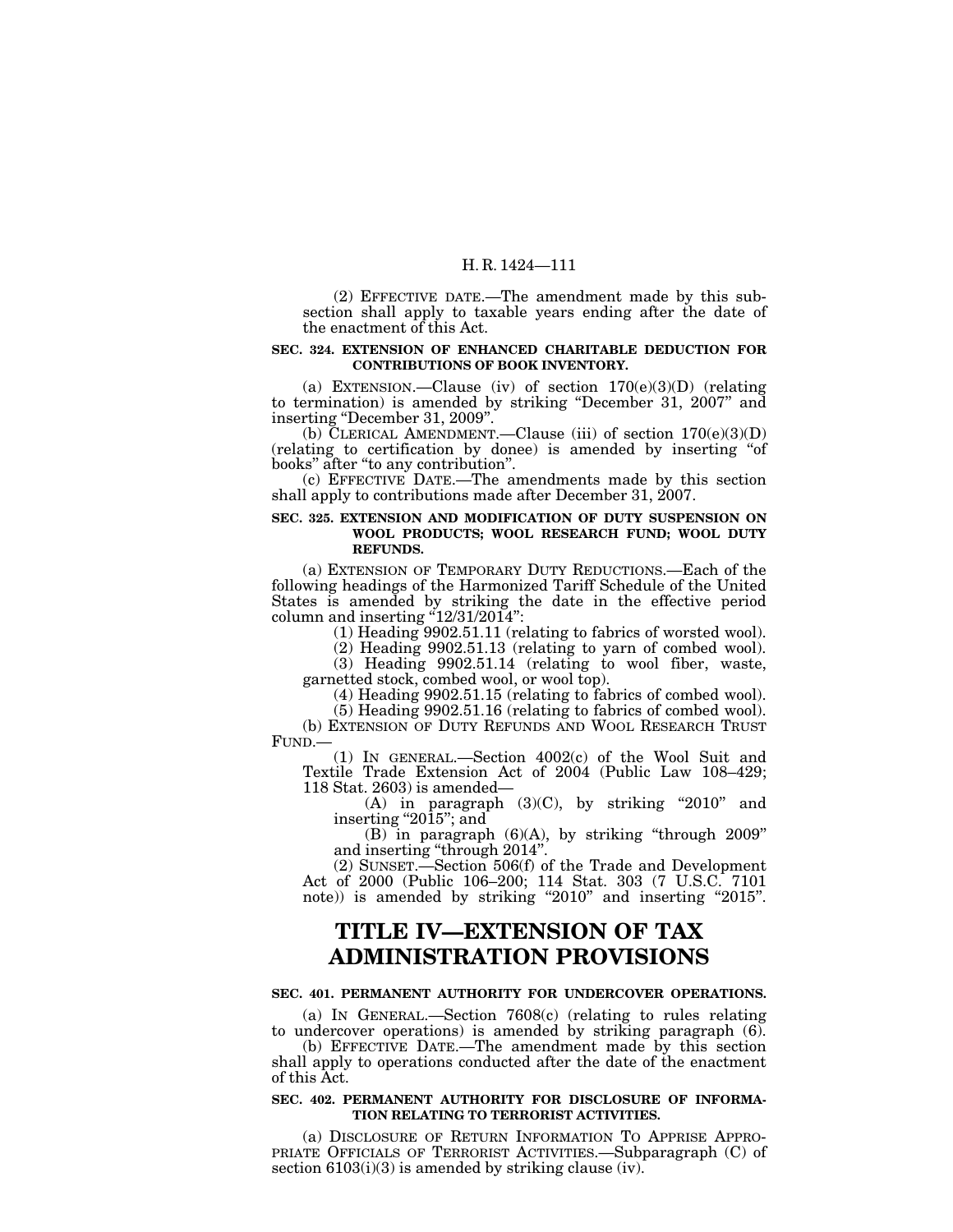(2) EFFECTIVE DATE.—The amendment made by this subsection shall apply to taxable years ending after the date of the enactment of this Act.

#### **SEC. 324. EXTENSION OF ENHANCED CHARITABLE DEDUCTION FOR CONTRIBUTIONS OF BOOK INVENTORY.**

(a) EXTENSION.—Clause (iv) of section  $170(e)(3)(D)$  (relating to termination) is amended by striking ''December 31, 2007'' and inserting ''December 31, 2009''.

(b) CLERICAL AMENDMENT.—Clause (iii) of section  $170(e)(3)(D)$ (relating to certification by donee) is amended by inserting ''of books'' after ''to any contribution''.

(c) EFFECTIVE DATE.—The amendments made by this section shall apply to contributions made after December 31, 2007.

#### **SEC. 325. EXTENSION AND MODIFICATION OF DUTY SUSPENSION ON WOOL PRODUCTS; WOOL RESEARCH FUND; WOOL DUTY REFUNDS.**

(a) EXTENSION OF TEMPORARY DUTY REDUCTIONS.—Each of the following headings of the Harmonized Tariff Schedule of the United States is amended by striking the date in the effective period column and inserting  $"12/31/2014"$ :

(1) Heading 9902.51.11 (relating to fabrics of worsted wool).

(2) Heading 9902.51.13 (relating to yarn of combed wool).

(3) Heading 9902.51.14 (relating to wool fiber, waste, garnetted stock, combed wool, or wool top).

(4) Heading 9902.51.15 (relating to fabrics of combed wool).

(5) Heading 9902.51.16 (relating to fabrics of combed wool). (b) EXTENSION OF DUTY REFUNDS AND WOOL RESEARCH TRUST FUND.—

(1) IN GENERAL.—Section 4002(c) of the Wool Suit and Textile Trade Extension Act of 2004 (Public Law 108–429; 118 Stat. 2603) is amended—

(A) in paragraph  $(3)(C)$ , by striking "2010" and inserting "2015"; and

(B) in paragraph (6)(A), by striking ''through 2009'' and inserting ''through 2014''.

(2) SUNSET.—Section 506(f) of the Trade and Development Act of 2000 (Public 106–200; 114 Stat. 303 (7 U.S.C. 7101 note)) is amended by striking "2010" and inserting "2015".

# **TITLE IV—EXTENSION OF TAX ADMINISTRATION PROVISIONS**

## **SEC. 401. PERMANENT AUTHORITY FOR UNDERCOVER OPERATIONS.**

(a) IN GENERAL.—Section 7608(c) (relating to rules relating to undercover operations) is amended by striking paragraph (6).

(b) EFFECTIVE DATE.—The amendment made by this section shall apply to operations conducted after the date of the enactment of this Act.

#### **SEC. 402. PERMANENT AUTHORITY FOR DISCLOSURE OF INFORMA-TION RELATING TO TERRORIST ACTIVITIES.**

(a) DISCLOSURE OF RETURN INFORMATION TO APPRISE APPRO-PRIATE OFFICIALS OF TERRORIST ACTIVITIES.—Subparagraph (C) of section  $6103(i)(3)$  is amended by striking clause (iv).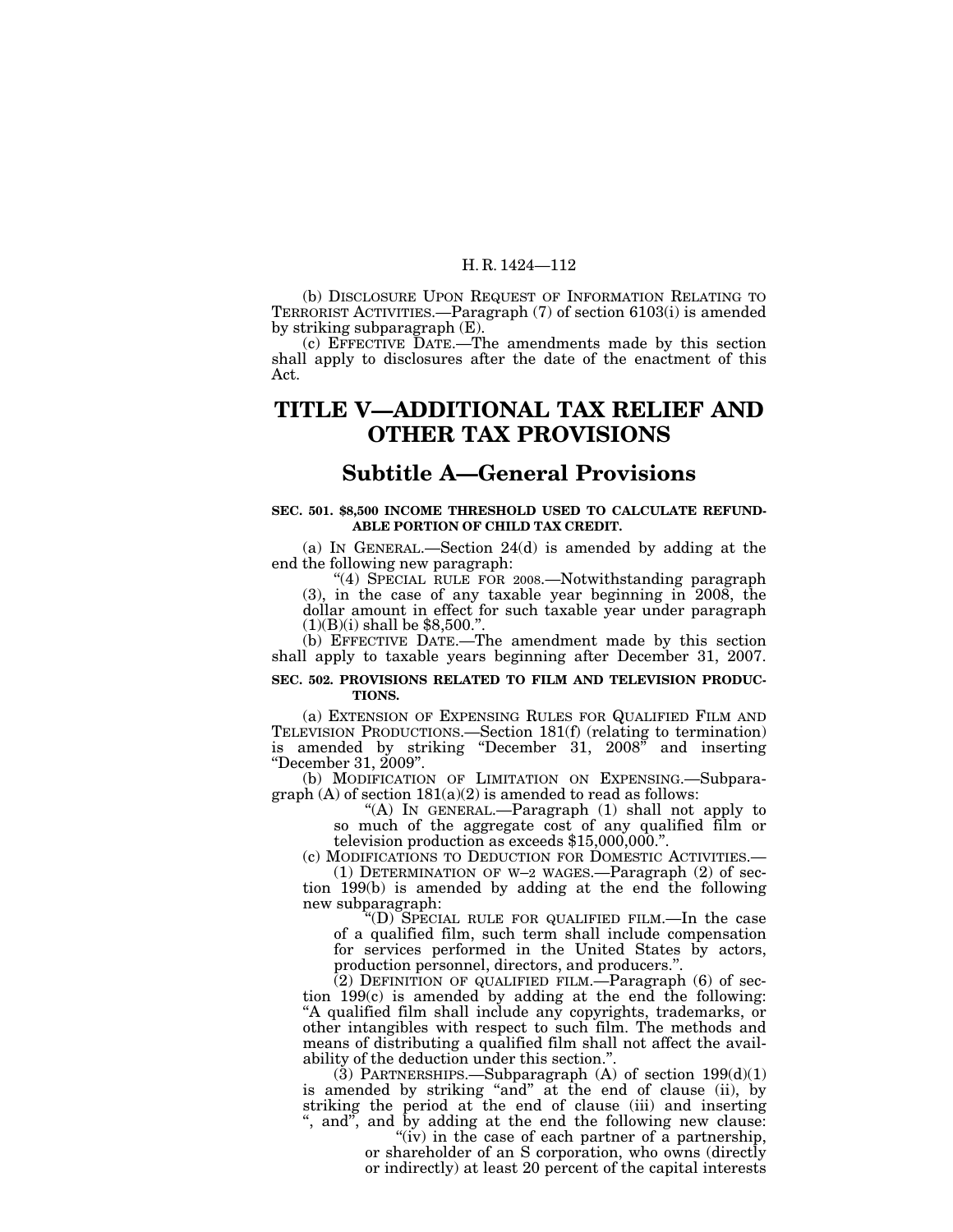(b) DISCLOSURE UPON REQUEST OF INFORMATION RELATING TO TERRORIST ACTIVITIES.—Paragraph (7) of section 6103(i) is amended by striking subparagraph (E).

(c) EFFECTIVE DATE.—The amendments made by this section shall apply to disclosures after the date of the enactment of this Act.

# **TITLE V—ADDITIONAL TAX RELIEF AND OTHER TAX PROVISIONS**

# **Subtitle A—General Provisions**

### **SEC. 501. \$8,500 INCOME THRESHOLD USED TO CALCULATE REFUND-ABLE PORTION OF CHILD TAX CREDIT.**

(a) IN GENERAL.—Section 24(d) is amended by adding at the end the following new paragraph:

"(4) SPECIAL RULE FOR 2008.—Notwithstanding paragraph (3), in the case of any taxable year beginning in 2008, the dollar amount in effect for such taxable year under paragraph  $(1)(B)(i)$  shall be \$8,500.".

(b) EFFECTIVE DATE.—The amendment made by this section shall apply to taxable years beginning after December 31, 2007.

#### **SEC. 502. PROVISIONS RELATED TO FILM AND TELEVISION PRODUC-TIONS.**

(a) EXTENSION OF EXPENSING RULES FOR QUALIFIED FILM AND TELEVISION PRODUCTIONS.—Section 181(f) (relating to termination) is amended by striking ''December 31, 2008'' and inserting ''December 31, 2009''.

(b) MODIFICATION OF LIMITATION ON EXPENSING.—Subpara $graph(A)$  of section  $181(a)(2)$  is amended to read as follows:

"(A) In GENERAL.—Paragraph (1) shall not apply to so much of the aggregate cost of any qualified film or television production as exceeds \$15,000,000.''.

(c) MODIFICATIONS TO DEDUCTION FOR DOMESTIC ACTIVITIES.—

(1) DETERMINATION OF W–2 WAGES.—Paragraph (2) of section 199(b) is amended by adding at the end the following new subparagraph:

''(D) SPECIAL RULE FOR QUALIFIED FILM.—In the case of a qualified film, such term shall include compensation for services performed in the United States by actors, production personnel, directors, and producers.''.

 $(2)$  DEFINITION OF QUALIFIED FILM.—Paragraph  $(6)$  of section 199(c) is amended by adding at the end the following: ''A qualified film shall include any copyrights, trademarks, or other intangibles with respect to such film. The methods and means of distributing a qualified film shall not affect the availability of the deduction under this section.''.

(3) PARTNERSHIPS.—Subparagraph  $(A)$  of section  $199(d)(1)$ is amended by striking "and" at the end of clause (ii), by striking the period at the end of clause (iii) and inserting '', and'', and by adding at the end the following new clause:

''(iv) in the case of each partner of a partnership, or shareholder of an S corporation, who owns (directly or indirectly) at least 20 percent of the capital interests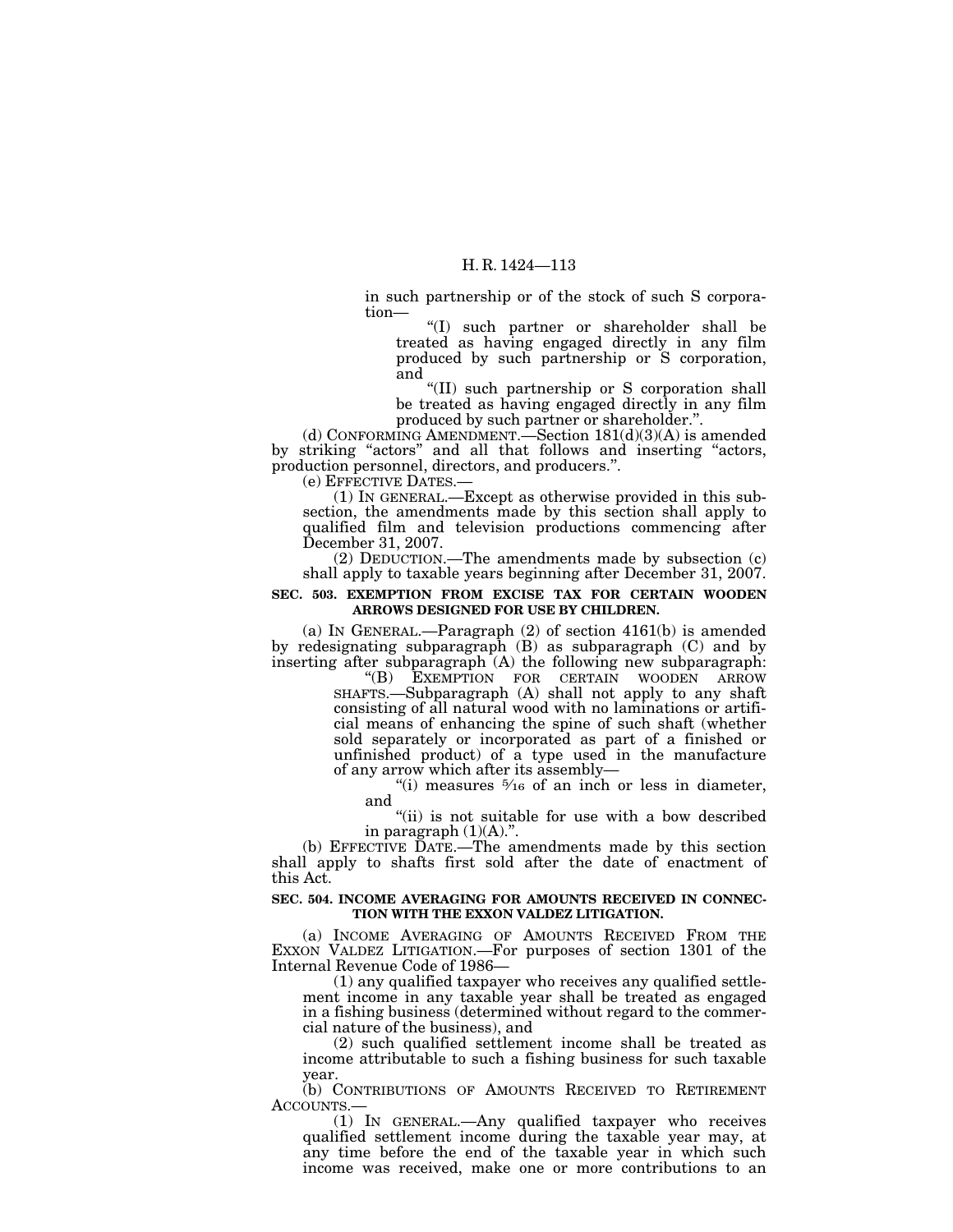in such partnership or of the stock of such S corporation—

''(I) such partner or shareholder shall be treated as having engaged directly in any film produced by such partnership or S corporation, and

''(II) such partnership or S corporation shall be treated as having engaged directly in any film produced by such partner or shareholder.''.

(d) CONFORMING AMENDMENT.—Section 181(d)(3)(A) is amended by striking "actors" and all that follows and inserting "actors, production personnel, directors, and producers.''.

(e) EFFECTIVE DATES.— (1) IN GENERAL.—Except as otherwise provided in this subsection, the amendments made by this section shall apply to qualified film and television productions commencing after December 31, 2007.

(2) DEDUCTION.—The amendments made by subsection (c) shall apply to taxable years beginning after December 31, 2007.

#### **SEC. 503. EXEMPTION FROM EXCISE TAX FOR CERTAIN WOODEN ARROWS DESIGNED FOR USE BY CHILDREN.**

(a) IN GENERAL.—Paragraph (2) of section 4161(b) is amended by redesignating subparagraph (B) as subparagraph (C) and by inserting after subparagraph (A) the following new subparagraph:

''(B) EXEMPTION FOR CERTAIN WOODEN ARROW SHAFTS.—Subparagraph (A) shall not apply to any shaft consisting of all natural wood with no laminations or artificial means of enhancing the spine of such shaft (whether sold separately or incorporated as part of a finished or unfinished product) of a type used in the manufacture of any arrow which after its assembly—

"(i) measures  $\frac{5}{16}$  of an inch or less in diameter, and

"(ii) is not suitable for use with a bow described in paragraph  $(1)(A)$ .".

(b) EFFECTIVE DATE.—The amendments made by this section shall apply to shafts first sold after the date of enactment of this Act.

#### **SEC. 504. INCOME AVERAGING FOR AMOUNTS RECEIVED IN CONNEC-TION WITH THE EXXON VALDEZ LITIGATION.**

(a) INCOME AVERAGING OF AMOUNTS RECEIVED FROM THE EXXON VALDEZ LITIGATION.—For purposes of section 1301 of the Internal Revenue Code of 1986—

(1) any qualified taxpayer who receives any qualified settlement income in any taxable year shall be treated as engaged in a fishing business (determined without regard to the commercial nature of the business), and

(2) such qualified settlement income shall be treated as income attributable to such a fishing business for such taxable year.

(b) CONTRIBUTIONS OF AMOUNTS RECEIVED TO RETIREMENT ACCOUNTS.—

(1) IN GENERAL.—Any qualified taxpayer who receives qualified settlement income during the taxable year may, at any time before the end of the taxable year in which such income was received, make one or more contributions to an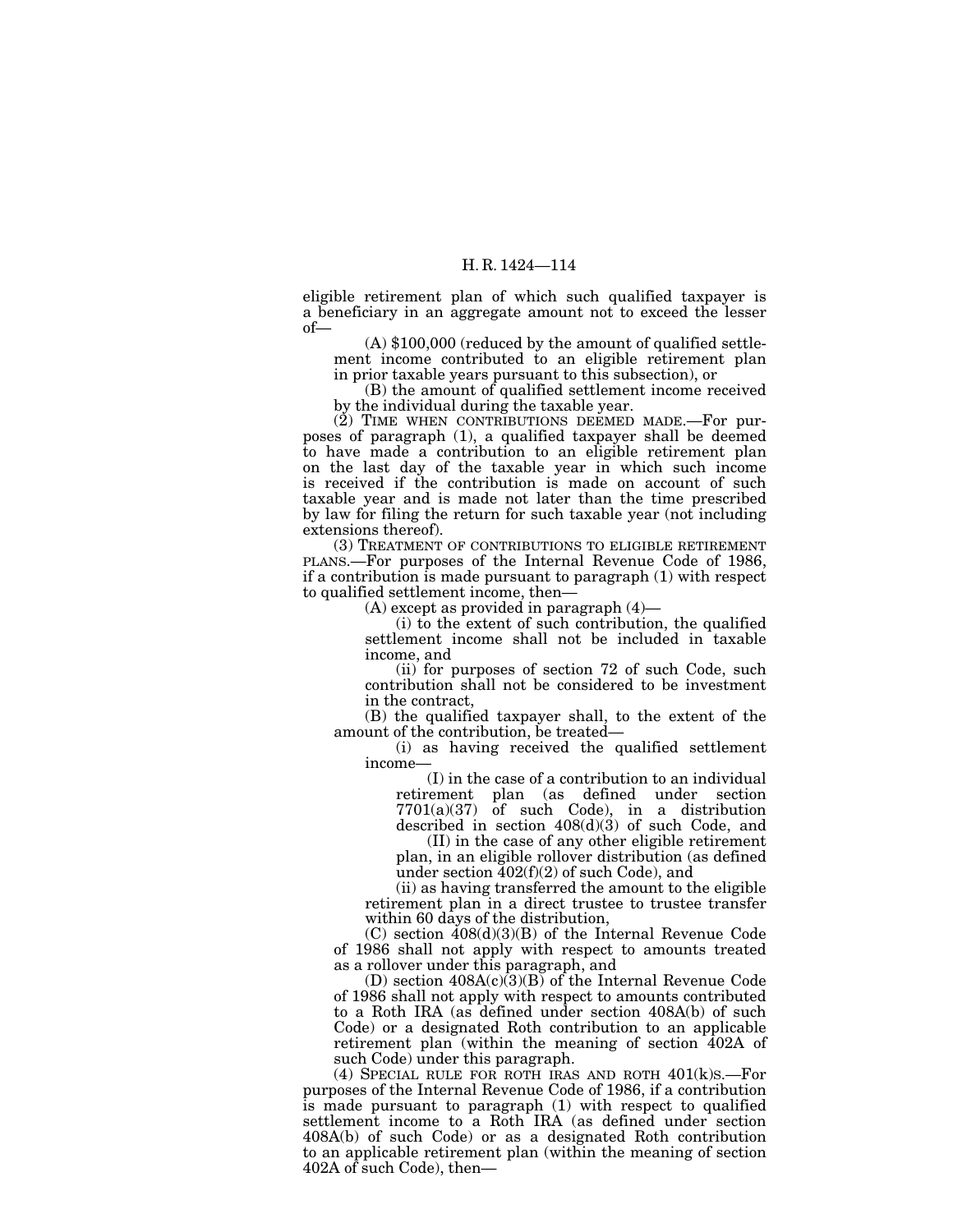eligible retirement plan of which such qualified taxpayer is a beneficiary in an aggregate amount not to exceed the lesser of—

(A) \$100,000 (reduced by the amount of qualified settlement income contributed to an eligible retirement plan in prior taxable years pursuant to this subsection), or

(B) the amount of qualified settlement income received by the individual during the taxable year.

(2) TIME WHEN CONTRIBUTIONS DEEMED MADE.—For purposes of paragraph (1), a qualified taxpayer shall be deemed to have made a contribution to an eligible retirement plan on the last day of the taxable year in which such income is received if the contribution is made on account of such taxable year and is made not later than the time prescribed by law for filing the return for such taxable year (not including extensions thereof).

(3) TREATMENT OF CONTRIBUTIONS TO ELIGIBLE RETIREMENT PLANS.—For purposes of the Internal Revenue Code of 1986, if a contribution is made pursuant to paragraph (1) with respect to qualified settlement income, then—

(A) except as provided in paragraph (4)—

(i) to the extent of such contribution, the qualified settlement income shall not be included in taxable income, and

(ii) for purposes of section 72 of such Code, such contribution shall not be considered to be investment in the contract,

(B) the qualified taxpayer shall, to the extent of the amount of the contribution, be treated—

(i) as having received the qualified settlement income—

(I) in the case of a contribution to an individual retirement plan (as defined under section 7701(a)(37) of such Code), in a distribution described in section 408(d)(3) of such Code, and (II) in the case of any other eligible retirement

plan, in an eligible rollover distribution (as defined under section  $402(f)(2)$  of such Code), and

(ii) as having transferred the amount to the eligible retirement plan in a direct trustee to trustee transfer within 60 days of the distribution,

 $(C)$  section  $\overline{408(d)(3)(B)}$  of the Internal Revenue Code of 1986 shall not apply with respect to amounts treated as a rollover under this paragraph, and

(D) section 408A(c)(3)(B) of the Internal Revenue Code of 1986 shall not apply with respect to amounts contributed to a Roth IRA (as defined under section 408A(b) of such Code) or a designated Roth contribution to an applicable retirement plan (within the meaning of section 402A of such Code) under this paragraph.

(4) SPECIAL RULE FOR ROTH IRAS AND ROTH  $401(k)s.$ -For purposes of the Internal Revenue Code of 1986, if a contribution is made pursuant to paragraph (1) with respect to qualified settlement income to a Roth IRA (as defined under section 408A(b) of such Code) or as a designated Roth contribution to an applicable retirement plan (within the meaning of section 402A of such Code), then—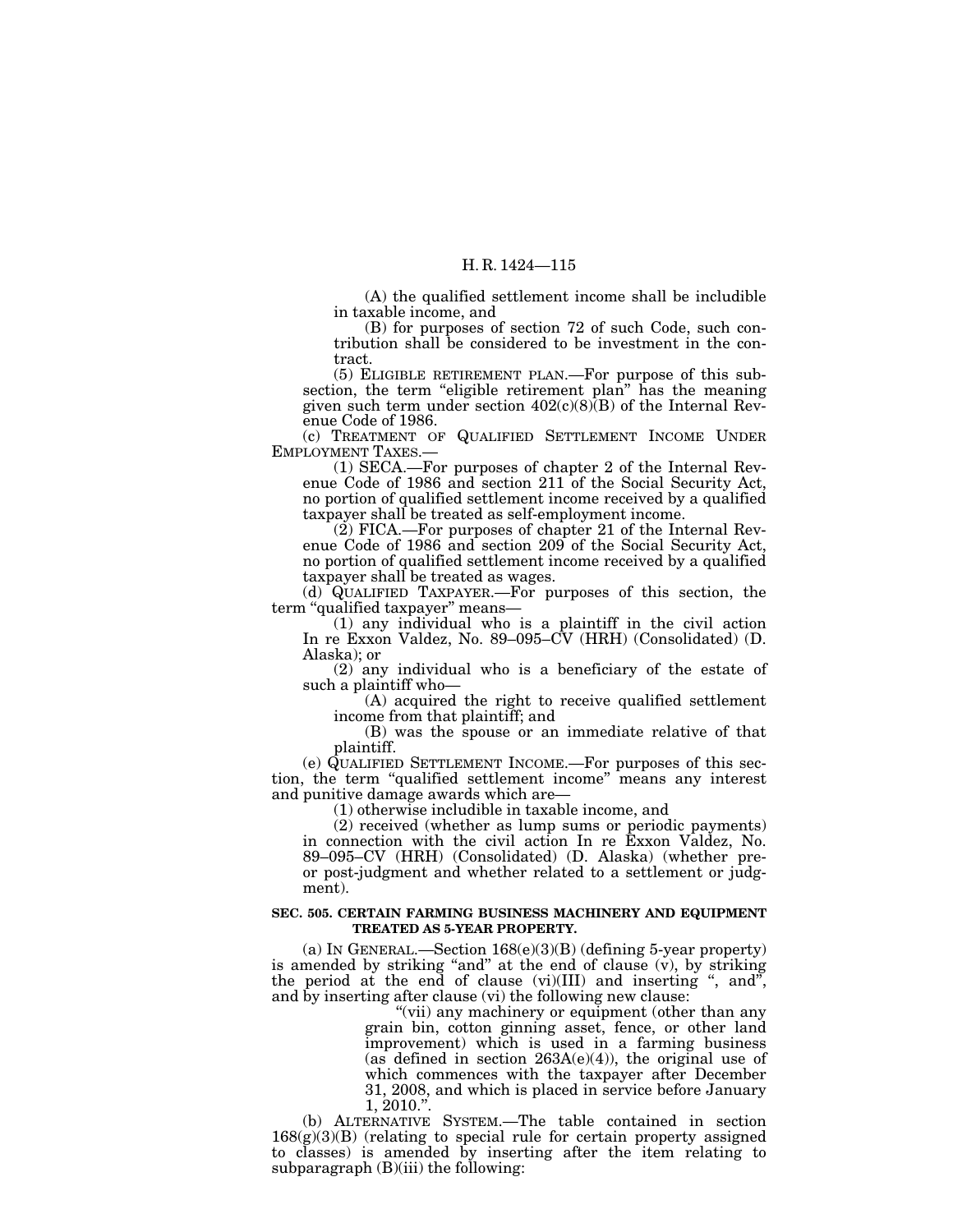(A) the qualified settlement income shall be includible in taxable income, and

(B) for purposes of section 72 of such Code, such contribution shall be considered to be investment in the contract.

(5) ELIGIBLE RETIREMENT PLAN.—For purpose of this subsection, the term "eligible retirement plan" has the meaning given such term under section  $402(c)(8)$ (B) of the Internal Revenue Code of 1986.

(c) TREATMENT OF QUALIFIED SETTLEMENT INCOME UNDER EMPLOYMENT TAXES.—

(1) SECA.—For purposes of chapter 2 of the Internal Revenue Code of 1986 and section 211 of the Social Security Act, no portion of qualified settlement income received by a qualified taxpayer shall be treated as self-employment income.

(2) FICA.—For purposes of chapter 21 of the Internal Revenue Code of 1986 and section 209 of the Social Security Act, no portion of qualified settlement income received by a qualified taxpayer shall be treated as wages.

(d) QUALIFIED TAXPAYER.—For purposes of this section, the term ''qualified taxpayer'' means—

(1) any individual who is a plaintiff in the civil action In re Exxon Valdez, No. 89–095–CV (HRH) (Consolidated) (D. Alaska); or

(2) any individual who is a beneficiary of the estate of such a plaintiff who—

(A) acquired the right to receive qualified settlement income from that plaintiff; and

(B) was the spouse or an immediate relative of that plaintiff.

(e) QUALIFIED SETTLEMENT INCOME.—For purposes of this section, the term ''qualified settlement income'' means any interest and punitive damage awards which are—

(1) otherwise includible in taxable income, and

(2) received (whether as lump sums or periodic payments) in connection with the civil action In re Exxon Valdez, No. 89–095–CV (HRH) (Consolidated) (D. Alaska) (whether preor post-judgment and whether related to a settlement or judgment).

#### **SEC. 505. CERTAIN FARMING BUSINESS MACHINERY AND EQUIPMENT TREATED AS 5-YEAR PROPERTY.**

(a) IN GENERAL.—Section  $168(e)(3)(B)$  (defining 5-year property) is amended by striking "and" at the end of clause (v), by striking the period at the end of clause  $(vi)(III)$  and inserting ", and", and by inserting after clause (vi) the following new clause:

"(vii) any machinery or equipment (other than any grain bin, cotton ginning asset, fence, or other land improvement) which is used in a farming business (as defined in section  $263A(e)(4)$ ), the original use of which commences with the taxpayer after December 31, 2008, and which is placed in service before January  $1, 2010."$ 

(b) ALTERNATIVE SYSTEM.—The table contained in section  $168(g)(3)(B)$  (relating to special rule for certain property assigned to classes) is amended by inserting after the item relating to subparagraph  $(B)(iii)$  the following: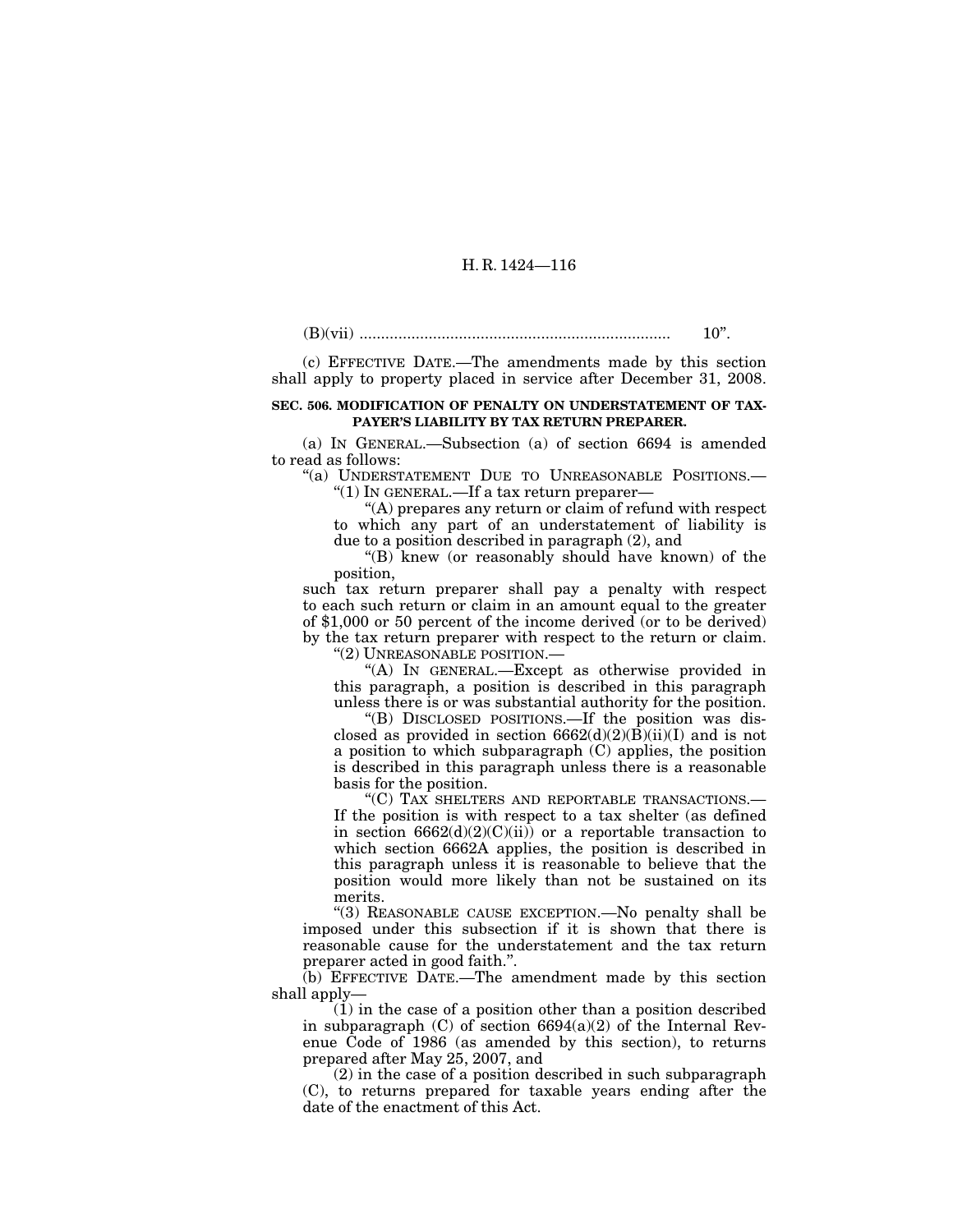# (B)(vii) ........................................................................ 10''.

(c) EFFECTIVE DATE.—The amendments made by this section shall apply to property placed in service after December 31, 2008.

#### **SEC. 506. MODIFICATION OF PENALTY ON UNDERSTATEMENT OF TAX-PAYER'S LIABILITY BY TAX RETURN PREPARER.**

(a) IN GENERAL.—Subsection (a) of section 6694 is amended to read as follows:

''(a) UNDERSTATEMENT DUE TO UNREASONABLE POSITIONS.— ''(1) IN GENERAL.—If a tax return preparer—

''(A) prepares any return or claim of refund with respect to which any part of an understatement of liability is due to a position described in paragraph (2), and

''(B) knew (or reasonably should have known) of the position,

such tax return preparer shall pay a penalty with respect to each such return or claim in an amount equal to the greater of \$1,000 or 50 percent of the income derived (or to be derived) by the tax return preparer with respect to the return or claim.

''(2) UNREASONABLE POSITION.—

''(A) IN GENERAL.—Except as otherwise provided in this paragraph, a position is described in this paragraph unless there is or was substantial authority for the position.

''(B) DISCLOSED POSITIONS.—If the position was disclosed as provided in section  $6662(d)(2)(\overrightarrow{B})(i)(I)$  and is not a position to which subparagraph (C) applies, the position is described in this paragraph unless there is a reasonable basis for the position.

''(C) TAX SHELTERS AND REPORTABLE TRANSACTIONS.— If the position is with respect to a tax shelter (as defined in section  $6662(d)(2)(C(ii))$  or a reportable transaction to which section 6662A applies, the position is described in this paragraph unless it is reasonable to believe that the position would more likely than not be sustained on its merits.

''(3) REASONABLE CAUSE EXCEPTION.—No penalty shall be imposed under this subsection if it is shown that there is reasonable cause for the understatement and the tax return preparer acted in good faith.''.

(b) EFFECTIVE DATE.—The amendment made by this section shall apply—

 $(1)$  in the case of a position other than a position described in subparagraph  $(C)$  of section 6694 $(a)(2)$  of the Internal Revenue Code of 1986 (as amended by this section), to returns prepared after May 25, 2007, and

(2) in the case of a position described in such subparagraph (C), to returns prepared for taxable years ending after the date of the enactment of this Act.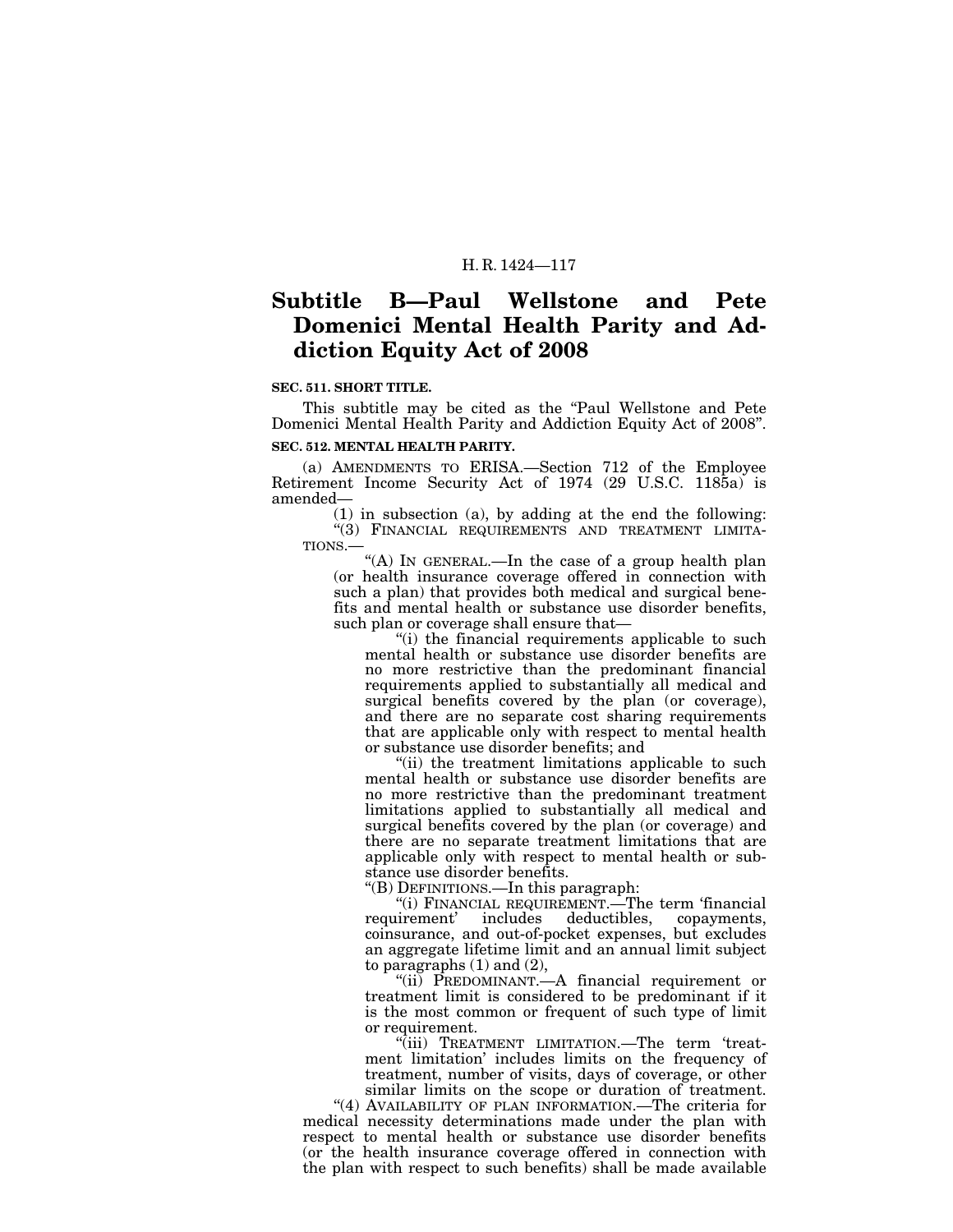# **Subtitle B—Paul Wellstone and Pete Domenici Mental Health Parity and Addiction Equity Act of 2008**

#### **SEC. 511. SHORT TITLE.**

This subtitle may be cited as the "Paul Wellstone and Pete Domenici Mental Health Parity and Addiction Equity Act of 2008''.

#### **SEC. 512. MENTAL HEALTH PARITY.**

(a) AMENDMENTS TO ERISA.—Section 712 of the Employee Retirement Income Security Act of 1974 (29 U.S.C. 1185a) is amended—

(1) in subsection (a), by adding at the end the following: "(3) FINANCIAL REQUIREMENTS AND TREATMENT LIMITA-TIONS.—

"(A) IN GENERAL.—In the case of a group health plan (or health insurance coverage offered in connection with such a plan) that provides both medical and surgical benefits and mental health or substance use disorder benefits, such plan or coverage shall ensure that—

''(i) the financial requirements applicable to such mental health or substance use disorder benefits are no more restrictive than the predominant financial requirements applied to substantially all medical and surgical benefits covered by the plan (or coverage), and there are no separate cost sharing requirements that are applicable only with respect to mental health or substance use disorder benefits; and

''(ii) the treatment limitations applicable to such mental health or substance use disorder benefits are no more restrictive than the predominant treatment limitations applied to substantially all medical and surgical benefits covered by the plan (or coverage) and there are no separate treatment limitations that are applicable only with respect to mental health or substance use disorder benefits.

''(B) DEFINITIONS.—In this paragraph:

''(i) FINANCIAL REQUIREMENT.—The term 'financial requirement' includes deductibles, copayments, coinsurance, and out-of-pocket expenses, but excludes an aggregate lifetime limit and an annual limit subject to paragraphs  $(1)$  and  $(2)$ ,

''(ii) PREDOMINANT.—A financial requirement or treatment limit is considered to be predominant if it is the most common or frequent of such type of limit or requirement.

''(iii) TREATMENT LIMITATION.—The term 'treatment limitation' includes limits on the frequency of treatment, number of visits, days of coverage, or other similar limits on the scope or duration of treatment.

"(4) AVAILABILITY OF PLAN INFORMATION.—The criteria for medical necessity determinations made under the plan with respect to mental health or substance use disorder benefits (or the health insurance coverage offered in connection with the plan with respect to such benefits) shall be made available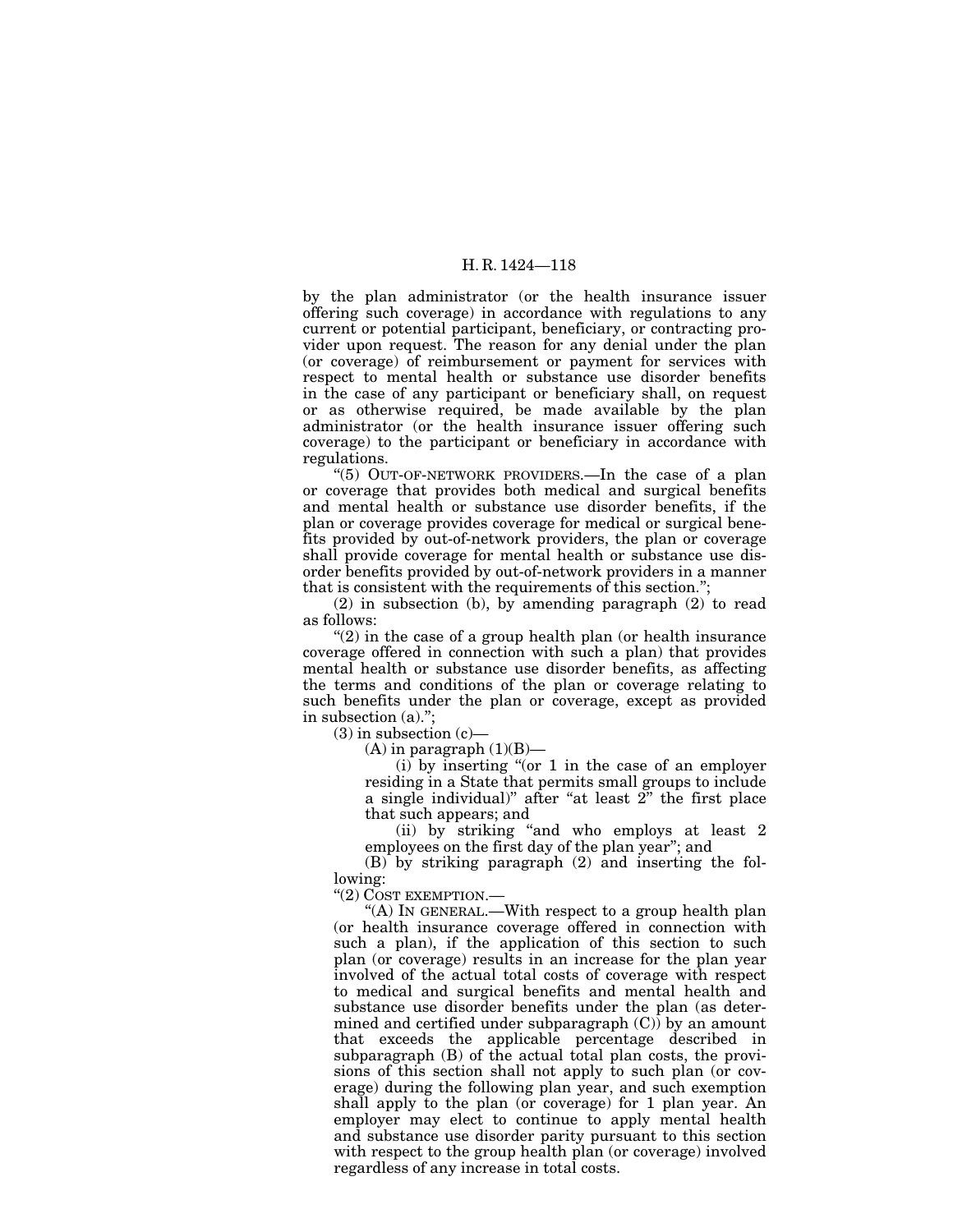by the plan administrator (or the health insurance issuer offering such coverage) in accordance with regulations to any current or potential participant, beneficiary, or contracting provider upon request. The reason for any denial under the plan (or coverage) of reimbursement or payment for services with respect to mental health or substance use disorder benefits in the case of any participant or beneficiary shall, on request or as otherwise required, be made available by the plan administrator (or the health insurance issuer offering such coverage) to the participant or beneficiary in accordance with regulations.

''(5) OUT-OF-NETWORK PROVIDERS.—In the case of a plan or coverage that provides both medical and surgical benefits and mental health or substance use disorder benefits, if the plan or coverage provides coverage for medical or surgical benefits provided by out-of-network providers, the plan or coverage shall provide coverage for mental health or substance use disorder benefits provided by out-of-network providers in a manner that is consistent with the requirements of this section.'';

(2) in subsection (b), by amending paragraph (2) to read as follows:

 $''(2)$  in the case of a group health plan (or health insurance coverage offered in connection with such a plan) that provides mental health or substance use disorder benefits, as affecting the terms and conditions of the plan or coverage relating to such benefits under the plan or coverage, except as provided in subsection (a).'';

 $(3)$  in subsection  $(c)$ —

 $(A)$  in paragraph  $(1)(B)$ —

(i) by inserting ''(or 1 in the case of an employer residing in a State that permits small groups to include a single individual)" after "at least  $2$ " the first place that such appears; and

(ii) by striking ''and who employs at least 2 employees on the first day of the plan year''; and

(B) by striking paragraph (2) and inserting the following:

''(2) COST EXEMPTION.—

''(A) IN GENERAL.—With respect to a group health plan (or health insurance coverage offered in connection with such a plan), if the application of this section to such plan (or coverage) results in an increase for the plan year involved of the actual total costs of coverage with respect to medical and surgical benefits and mental health and substance use disorder benefits under the plan (as determined and certified under subparagraph  $(C)$ ) by an amount that exceeds the applicable percentage described in subparagraph (B) of the actual total plan costs, the provisions of this section shall not apply to such plan (or coverage) during the following plan year, and such exemption shall apply to the plan (or coverage) for 1 plan year. An employer may elect to continue to apply mental health and substance use disorder parity pursuant to this section with respect to the group health plan (or coverage) involved regardless of any increase in total costs.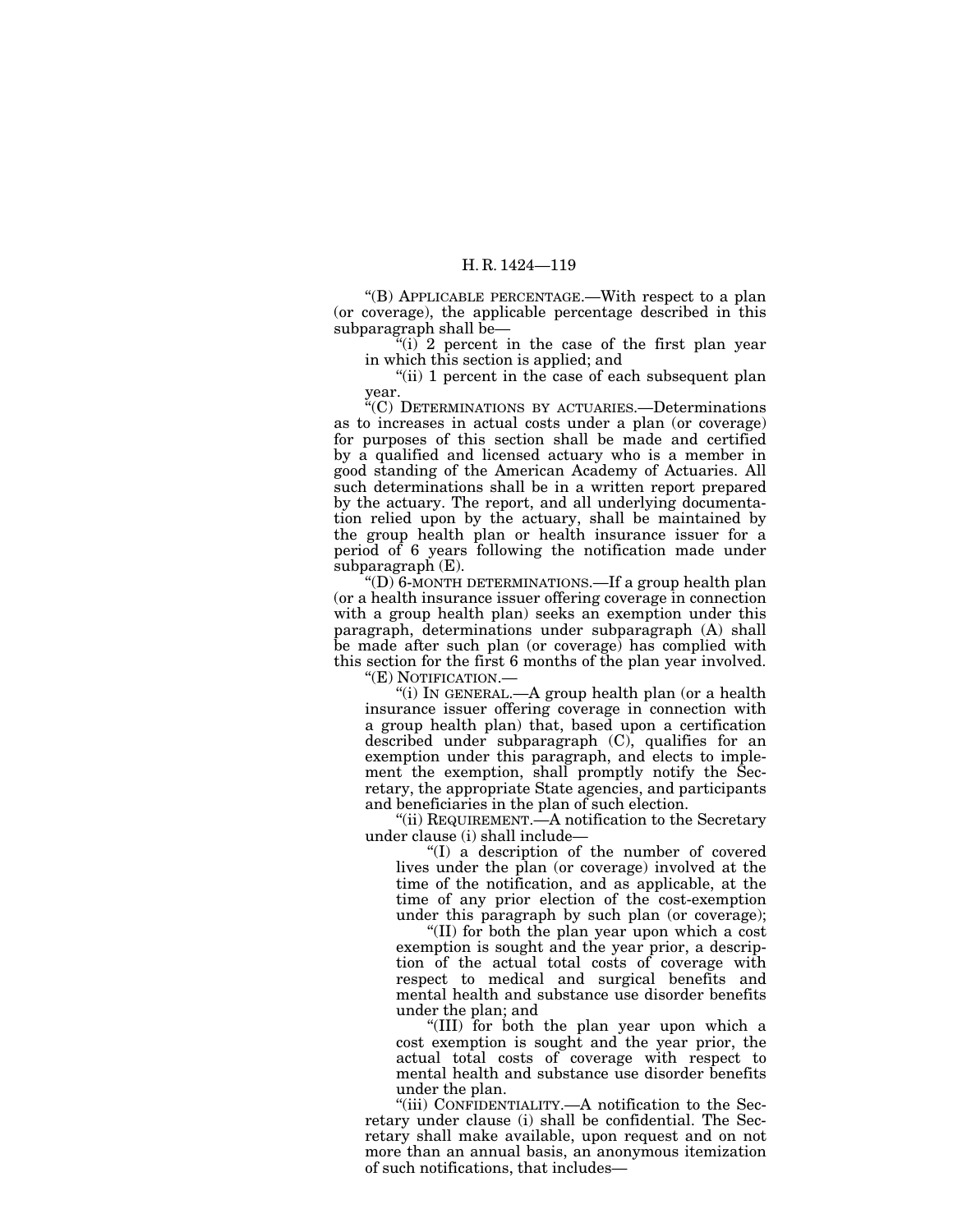''(B) APPLICABLE PERCENTAGE.—With respect to a plan (or coverage), the applicable percentage described in this subparagraph shall be—

"(i) 2 percent in the case of the first plan year in which this section is applied; and

"(ii) 1 percent in the case of each subsequent plan year.

''(C) DETERMINATIONS BY ACTUARIES.—Determinations as to increases in actual costs under a plan (or coverage) for purposes of this section shall be made and certified by a qualified and licensed actuary who is a member in good standing of the American Academy of Actuaries. All such determinations shall be in a written report prepared by the actuary. The report, and all underlying documentation relied upon by the actuary, shall be maintained by the group health plan or health insurance issuer for a period of 6 years following the notification made under subparagraph (E).

''(D) 6-MONTH DETERMINATIONS.—If a group health plan (or a health insurance issuer offering coverage in connection with a group health plan) seeks an exemption under this paragraph, determinations under subparagraph (A) shall be made after such plan (or coverage) has complied with this section for the first 6 months of the plan year involved.

''(E) NOTIFICATION.—

''(i) IN GENERAL.—A group health plan (or a health insurance issuer offering coverage in connection with a group health plan) that, based upon a certification described under subparagraph (C), qualifies for an exemption under this paragraph, and elects to implement the exemption, shall promptly notify the Secretary, the appropriate State agencies, and participants and beneficiaries in the plan of such election.

''(ii) REQUIREMENT.—A notification to the Secretary under clause (i) shall include—

''(I) a description of the number of covered lives under the plan (or coverage) involved at the time of the notification, and as applicable, at the time of any prior election of the cost-exemption under this paragraph by such plan (or coverage);

''(II) for both the plan year upon which a cost exemption is sought and the year prior, a description of the actual total costs of coverage with respect to medical and surgical benefits and mental health and substance use disorder benefits under the plan; and

''(III) for both the plan year upon which a cost exemption is sought and the year prior, the actual total costs of coverage with respect to mental health and substance use disorder benefits under the plan.

''(iii) CONFIDENTIALITY.—A notification to the Secretary under clause (i) shall be confidential. The Secretary shall make available, upon request and on not more than an annual basis, an anonymous itemization of such notifications, that includes—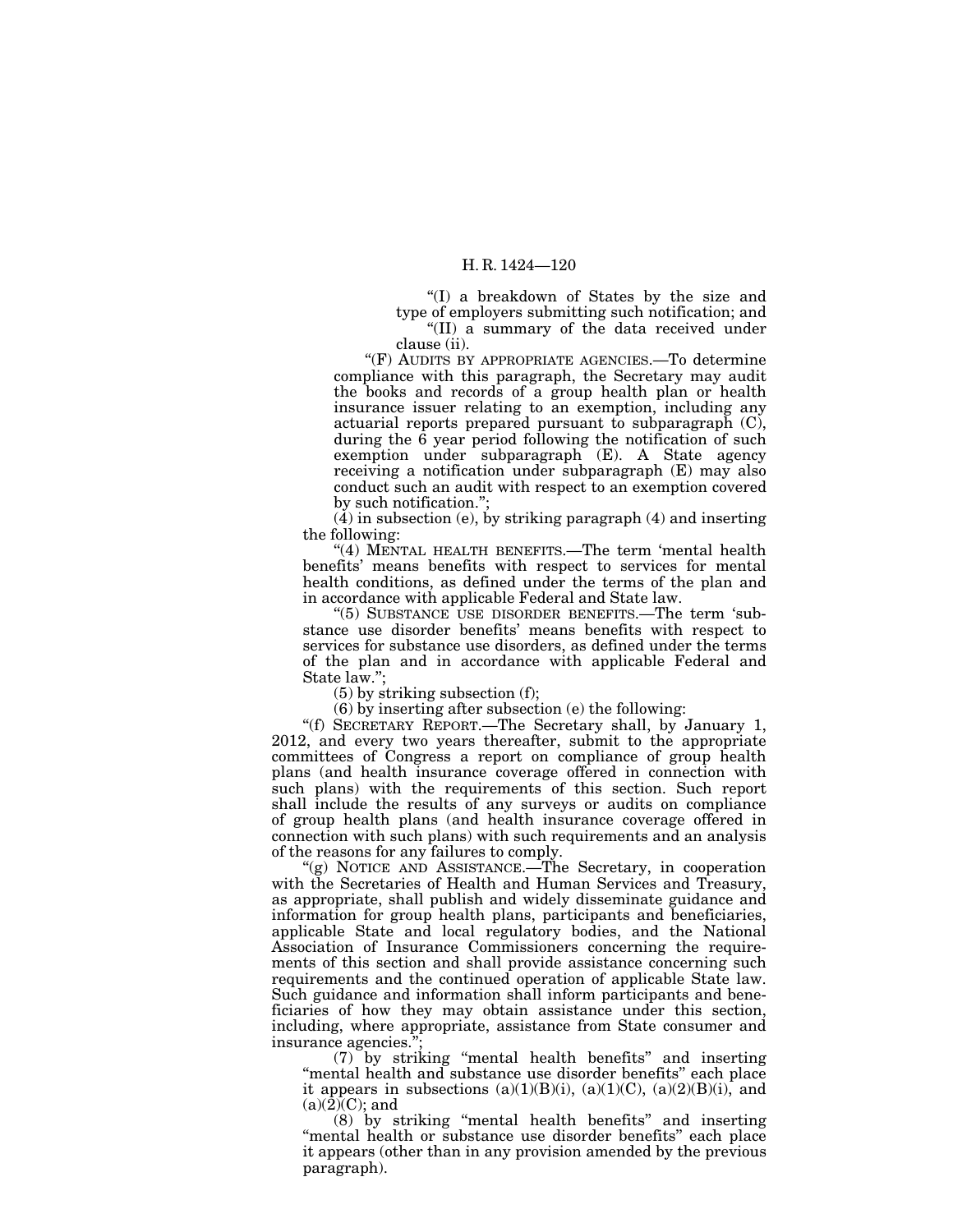''(I) a breakdown of States by the size and type of employers submitting such notification; and ''(II) a summary of the data received under clause (ii).

''(F) AUDITS BY APPROPRIATE AGENCIES.—To determine compliance with this paragraph, the Secretary may audit the books and records of a group health plan or health insurance issuer relating to an exemption, including any actuarial reports prepared pursuant to subparagraph  $(C)$ , during the 6 year period following the notification of such exemption under subparagraph (E). A State agency receiving a notification under subparagraph (E) may also conduct such an audit with respect to an exemption covered by such notification.'';

(4) in subsection (e), by striking paragraph (4) and inserting the following:

"(4) MENTAL HEALTH BENEFITS.—The term 'mental health benefits' means benefits with respect to services for mental health conditions, as defined under the terms of the plan and in accordance with applicable Federal and State law.

''(5) SUBSTANCE USE DISORDER BENEFITS.—The term 'substance use disorder benefits' means benefits with respect to services for substance use disorders, as defined under the terms of the plan and in accordance with applicable Federal and State law.'';

(5) by striking subsection (f);

(6) by inserting after subsection (e) the following:

''(f) SECRETARY REPORT.—The Secretary shall, by January 1, 2012, and every two years thereafter, submit to the appropriate committees of Congress a report on compliance of group health plans (and health insurance coverage offered in connection with such plans) with the requirements of this section. Such report shall include the results of any surveys or audits on compliance of group health plans (and health insurance coverage offered in connection with such plans) with such requirements and an analysis of the reasons for any failures to comply.

"(g) NOTICE AND ASSISTANCE.—The Secretary, in cooperation with the Secretaries of Health and Human Services and Treasury, as appropriate, shall publish and widely disseminate guidance and information for group health plans, participants and beneficiaries, applicable State and local regulatory bodies, and the National Association of Insurance Commissioners concerning the requirements of this section and shall provide assistance concerning such requirements and the continued operation of applicable State law. Such guidance and information shall inform participants and beneficiaries of how they may obtain assistance under this section, including, where appropriate, assistance from State consumer and insurance agencies.'';

(7) by striking ''mental health benefits'' and inserting "mental health and substance use disorder benefits" each place it appears in subsections (a)(1)(B)(i), (a)(1)(C), (a)(2)(B)(i), and  $(a)(2)(C)$ ; and

(8) by striking ''mental health benefits'' and inserting "mental health or substance use disorder benefits" each place it appears (other than in any provision amended by the previous paragraph).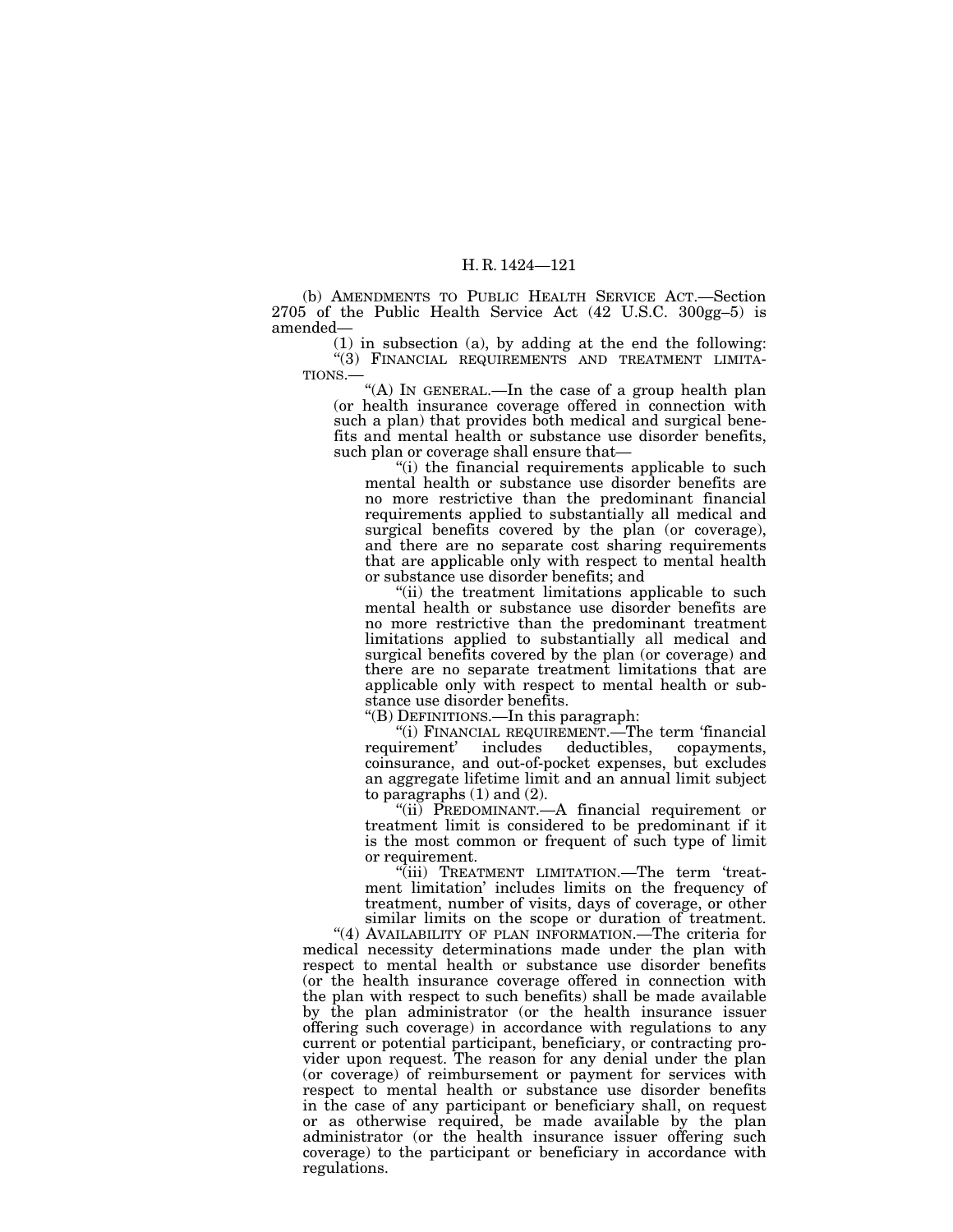(b) AMENDMENTS TO PUBLIC HEALTH SERVICE ACT.—Section 2705 of the Public Health Service Act (42 U.S.C. 300gg–5) is amended—

(1) in subsection (a), by adding at the end the following: "(3) FINANCIAL REQUIREMENTS AND TREATMENT LIMITA-TIONS.—

"(A) IN GENERAL.—In the case of a group health plan (or health insurance coverage offered in connection with such a plan) that provides both medical and surgical benefits and mental health or substance use disorder benefits, such plan or coverage shall ensure that—

''(i) the financial requirements applicable to such mental health or substance use disorder benefits are no more restrictive than the predominant financial requirements applied to substantially all medical and surgical benefits covered by the plan (or coverage), and there are no separate cost sharing requirements that are applicable only with respect to mental health or substance use disorder benefits; and

"(ii) the treatment limitations applicable to such mental health or substance use disorder benefits are no more restrictive than the predominant treatment limitations applied to substantially all medical and surgical benefits covered by the plan (or coverage) and there are no separate treatment limitations that are applicable only with respect to mental health or substance use disorder benefits.

''(B) DEFINITIONS.—In this paragraph:

"(i) FINANCIAL REQUIREMENT.—The term 'financial<br>irement' includes deductibles, copayments, requirement' includes deductibles, copayments, coinsurance, and out-of-pocket expenses, but excludes an aggregate lifetime limit and an annual limit subject to paragraphs (1) and (2).

''(ii) PREDOMINANT.—A financial requirement or treatment limit is considered to be predominant if it is the most common or frequent of such type of limit or requirement.

''(iii) TREATMENT LIMITATION.—The term 'treatment limitation' includes limits on the frequency of treatment, number of visits, days of coverage, or other similar limits on the scope or duration of treatment.

"(4) AVAILABILITY OF PLAN INFORMATION.—The criteria for medical necessity determinations made under the plan with respect to mental health or substance use disorder benefits (or the health insurance coverage offered in connection with the plan with respect to such benefits) shall be made available by the plan administrator (or the health insurance issuer offering such coverage) in accordance with regulations to any current or potential participant, beneficiary, or contracting provider upon request. The reason for any denial under the plan (or coverage) of reimbursement or payment for services with respect to mental health or substance use disorder benefits in the case of any participant or beneficiary shall, on request or as otherwise required, be made available by the plan administrator (or the health insurance issuer offering such coverage) to the participant or beneficiary in accordance with regulations.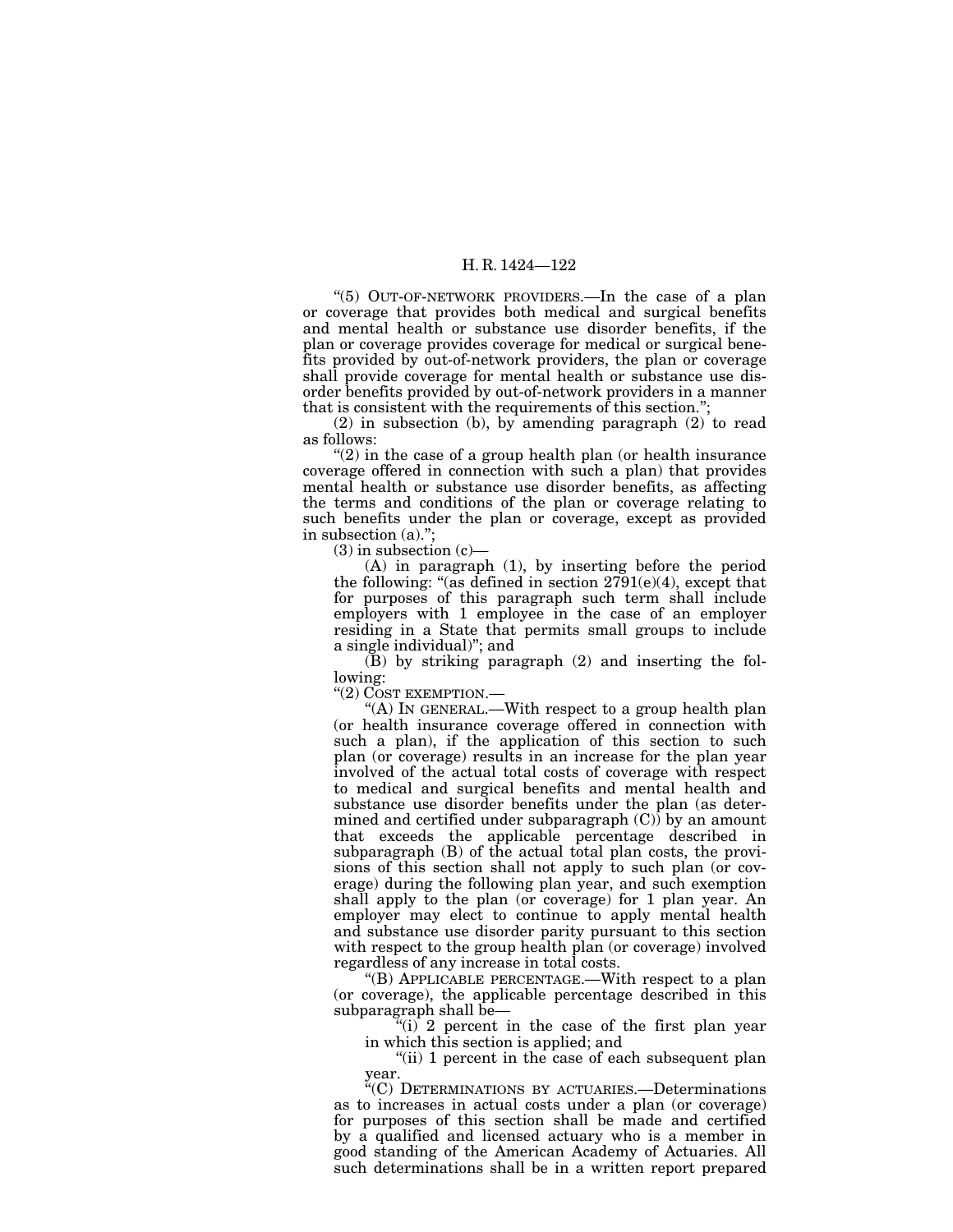''(5) OUT-OF-NETWORK PROVIDERS.—In the case of a plan or coverage that provides both medical and surgical benefits and mental health or substance use disorder benefits, if the plan or coverage provides coverage for medical or surgical benefits provided by out-of-network providers, the plan or coverage shall provide coverage for mental health or substance use disorder benefits provided by out-of-network providers in a manner that is consistent with the requirements of this section.'';

(2) in subsection (b), by amending paragraph  $(2)$  to read as follows:

" $(2)$  in the case of a group health plan (or health insurance coverage offered in connection with such a plan) that provides mental health or substance use disorder benefits, as affecting the terms and conditions of the plan or coverage relating to such benefits under the plan or coverage, except as provided in subsection (a).'';

 $(3)$  in subsection  $(c)$ –

(A) in paragraph (1), by inserting before the period the following: "(as defined in section  $2791(e)(4)$ , except that for purposes of this paragraph such term shall include employers with 1 employee in the case of an employer residing in a State that permits small groups to include a single individual)''; and

 $(B)$  by striking paragraph  $(2)$  and inserting the following:

''(2) COST EXEMPTION.—

"(A) IN GENERAL.—With respect to a group health plan (or health insurance coverage offered in connection with such a plan), if the application of this section to such plan (or coverage) results in an increase for the plan year involved of the actual total costs of coverage with respect to medical and surgical benefits and mental health and substance use disorder benefits under the plan (as determined and certified under subparagraph  $(C)$ ) by an amount that exceeds the applicable percentage described in subparagraph (B) of the actual total plan costs, the provisions of this section shall not apply to such plan (or coverage) during the following plan year, and such exemption shall apply to the plan (or coverage) for 1 plan year. An employer may elect to continue to apply mental health and substance use disorder parity pursuant to this section with respect to the group health plan (or coverage) involved regardless of any increase in total costs.

''(B) APPLICABLE PERCENTAGE.—With respect to a plan (or coverage), the applicable percentage described in this subparagraph shall be—

"(i) 2 percent in the case of the first plan year in which this section is applied; and

"(ii) 1 percent in the case of each subsequent plan year.

''(C) DETERMINATIONS BY ACTUARIES.—Determinations as to increases in actual costs under a plan (or coverage) for purposes of this section shall be made and certified by a qualified and licensed actuary who is a member in good standing of the American Academy of Actuaries. All such determinations shall be in a written report prepared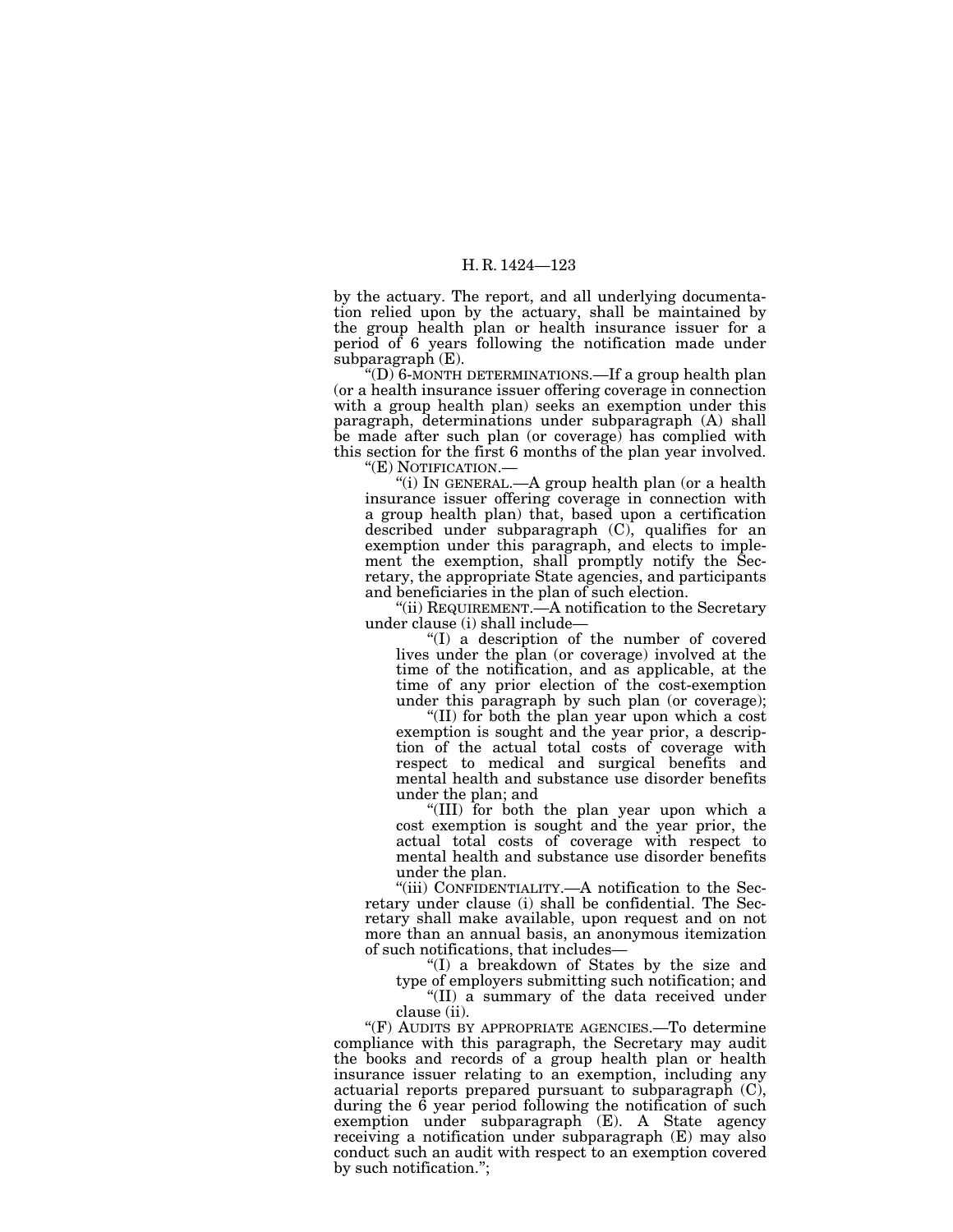by the actuary. The report, and all underlying documentation relied upon by the actuary, shall be maintained by the group health plan or health insurance issuer for a period of 6 years following the notification made under subparagraph (E).

" $(D)$  6-MONTH DETERMINATIONS.—If a group health plan (or a health insurance issuer offering coverage in connection with a group health plan) seeks an exemption under this paragraph, determinations under subparagraph (A) shall be made after such plan (or coverage) has complied with this section for the first 6 months of the plan year involved.

''(E) NOTIFICATION.—

''(i) IN GENERAL.—A group health plan (or a health insurance issuer offering coverage in connection with a group health plan) that, based upon a certification described under subparagraph (C), qualifies for an exemption under this paragraph, and elects to implement the exemption, shall promptly notify the Secretary, the appropriate State agencies, and participants and beneficiaries in the plan of such election.

''(ii) REQUIREMENT.—A notification to the Secretary under clause (i) shall include—

''(I) a description of the number of covered lives under the plan (or coverage) involved at the time of the notification, and as applicable, at the time of any prior election of the cost-exemption under this paragraph by such plan (or coverage);

''(II) for both the plan year upon which a cost exemption is sought and the year prior, a description of the actual total costs of coverage with respect to medical and surgical benefits and mental health and substance use disorder benefits under the plan; and

''(III) for both the plan year upon which a cost exemption is sought and the year prior, the actual total costs of coverage with respect to mental health and substance use disorder benefits under the plan.

''(iii) CONFIDENTIALITY.—A notification to the Secretary under clause (i) shall be confidential. The Secretary shall make available, upon request and on not more than an annual basis, an anonymous itemization of such notifications, that includes—

''(I) a breakdown of States by the size and type of employers submitting such notification; and

''(II) a summary of the data received under clause (ii).

''(F) AUDITS BY APPROPRIATE AGENCIES.—To determine compliance with this paragraph, the Secretary may audit the books and records of a group health plan or health insurance issuer relating to an exemption, including any actuarial reports prepared pursuant to subparagraph (C), during the 6 year period following the notification of such exemption under subparagraph (E). A State agency receiving a notification under subparagraph (E) may also conduct such an audit with respect to an exemption covered by such notification.'';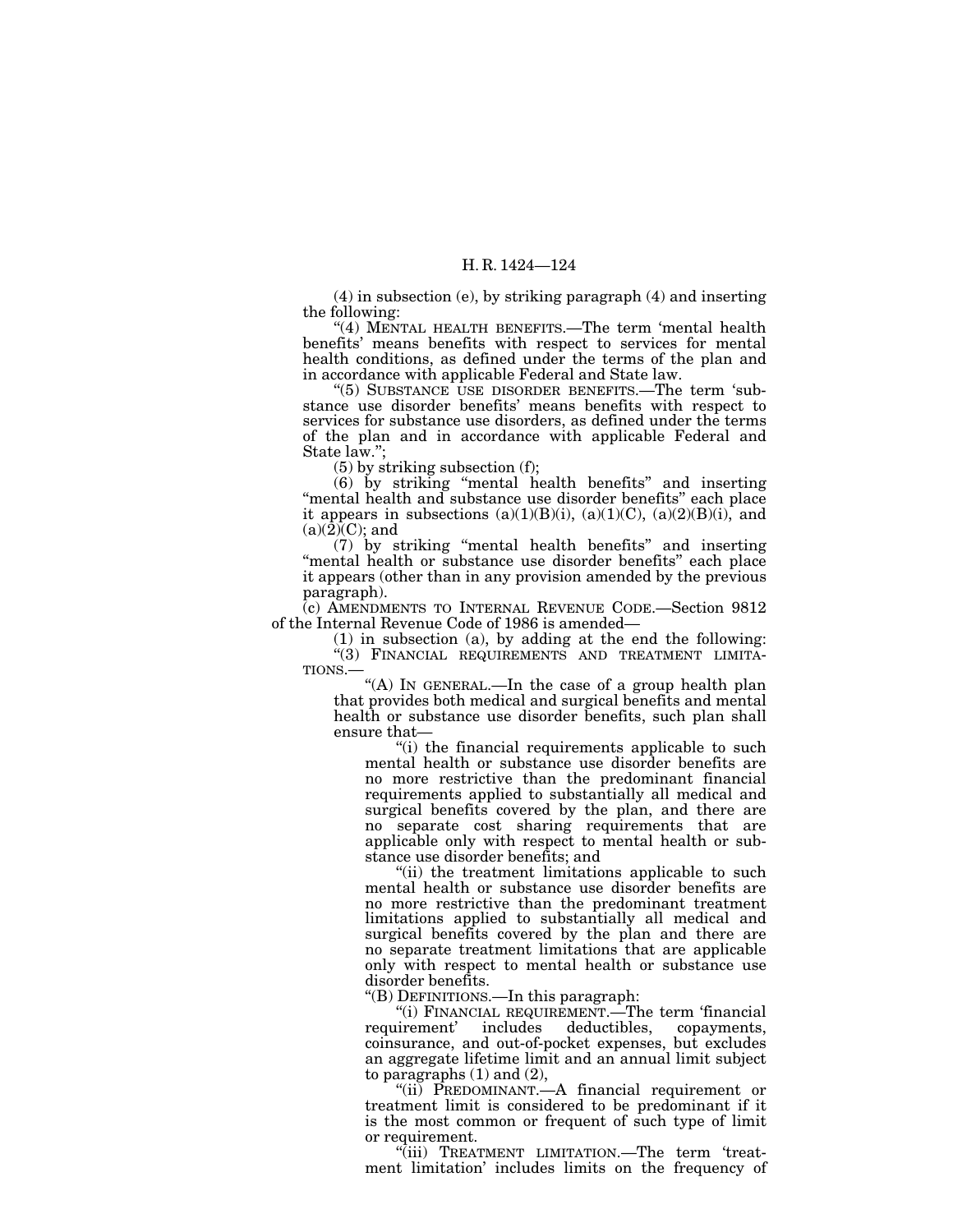(4) in subsection (e), by striking paragraph (4) and inserting the following:

"(4) MENTAL HEALTH BENEFITS.—The term 'mental health benefits' means benefits with respect to services for mental health conditions, as defined under the terms of the plan and in accordance with applicable Federal and State law.

''(5) SUBSTANCE USE DISORDER BENEFITS.—The term 'substance use disorder benefits' means benefits with respect to services for substance use disorders, as defined under the terms of the plan and in accordance with applicable Federal and State law.'';

(5) by striking subsection (f);

(6) by striking ''mental health benefits'' and inserting "mental health and substance use disorder benefits" each place it appears in subsections  $(a)(1)(B)(i)$ ,  $(a)(1)(C)$ ,  $(a)(2)(B)(i)$ , and  $(a)(\overline{2})(C)$ ; and

(7) by striking ''mental health benefits'' and inserting "mental health or substance use disorder benefits" each place it appears (other than in any provision amended by the previous paragraph).

(c) AMENDMENTS TO INTERNAL REVENUE CODE.—Section 9812 of the Internal Revenue Code of 1986 is amended—

(1) in subsection (a), by adding at the end the following: "(3) FINANCIAL REQUIREMENTS AND TREATMENT LIMITA-TIONS.—

''(A) IN GENERAL.—In the case of a group health plan that provides both medical and surgical benefits and mental health or substance use disorder benefits, such plan shall ensure that—

''(i) the financial requirements applicable to such mental health or substance use disorder benefits are no more restrictive than the predominant financial requirements applied to substantially all medical and surgical benefits covered by the plan, and there are no separate cost sharing requirements that are applicable only with respect to mental health or substance use disorder benefits; and

"(ii) the treatment limitations applicable to such mental health or substance use disorder benefits are no more restrictive than the predominant treatment limitations applied to substantially all medical and surgical benefits covered by the plan and there are no separate treatment limitations that are applicable only with respect to mental health or substance use disorder benefits.

''(B) DEFINITIONS.—In this paragraph:

"(i) FINANCIAL REQUIREMENT.—The term 'financial requirement' includes deductibles, copayments, includes deductibles, copayments, coinsurance, and out-of-pocket expenses, but excludes an aggregate lifetime limit and an annual limit subject to paragraphs  $(1)$  and  $(2)$ ,

''(ii) PREDOMINANT.—A financial requirement or treatment limit is considered to be predominant if it is the most common or frequent of such type of limit or requirement.

''(iii) TREATMENT LIMITATION.—The term 'treatment limitation' includes limits on the frequency of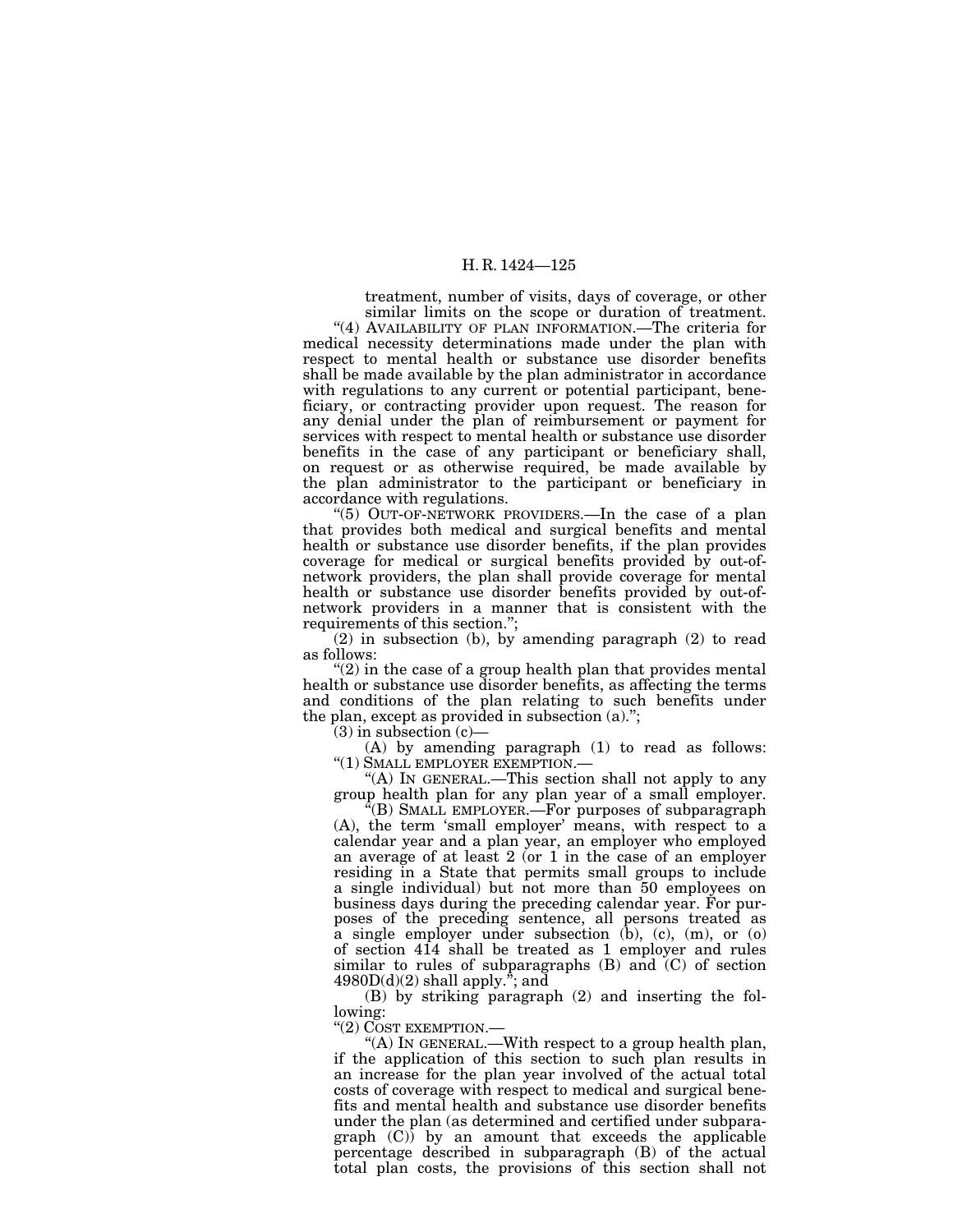treatment, number of visits, days of coverage, or other similar limits on the scope or duration of treatment.

"(4) AVAILABILITY OF PLAN INFORMATION.—The criteria for medical necessity determinations made under the plan with respect to mental health or substance use disorder benefits shall be made available by the plan administrator in accordance with regulations to any current or potential participant, beneficiary, or contracting provider upon request. The reason for any denial under the plan of reimbursement or payment for services with respect to mental health or substance use disorder benefits in the case of any participant or beneficiary shall, on request or as otherwise required, be made available by the plan administrator to the participant or beneficiary in accordance with regulations.

"(5) OUT-OF-NETWORK PROVIDERS.—In the case of a plan that provides both medical and surgical benefits and mental health or substance use disorder benefits, if the plan provides coverage for medical or surgical benefits provided by out-ofnetwork providers, the plan shall provide coverage for mental health or substance use disorder benefits provided by out-ofnetwork providers in a manner that is consistent with the requirements of this section.'';

(2) in subsection (b), by amending paragraph (2) to read as follows:

" $(2)$  in the case of a group health plan that provides mental health or substance use disorder benefits, as affecting the terms and conditions of the plan relating to such benefits under the plan, except as provided in subsection (a).'';

(3) in subsection (c)—

(A) by amending paragraph (1) to read as follows: ''(1) SMALL EMPLOYER EXEMPTION.—

''(A) IN GENERAL.—This section shall not apply to any group health plan for any plan year of a small employer.

''(B) SMALL EMPLOYER.—For purposes of subparagraph (A), the term 'small employer' means, with respect to a calendar year and a plan year, an employer who employed an average of at least 2 (or 1 in the case of an employer residing in a State that permits small groups to include a single individual) but not more than 50 employees on business days during the preceding calendar year. For purposes of the preceding sentence, all persons treated as a single employer under subsection (b), (c), (m), or (o) of section 414 shall be treated as 1 employer and rules similar to rules of subparagraphs (B) and (C) of section  $4980D(d)(2)$  shall apply."; and

(B) by striking paragraph (2) and inserting the following:

"(2) COST EXEMPTION.

''(A) IN GENERAL.—With respect to a group health plan, if the application of this section to such plan results in an increase for the plan year involved of the actual total costs of coverage with respect to medical and surgical benefits and mental health and substance use disorder benefits under the plan (as determined and certified under subpara $graph (C)$  by an amount that exceeds the applicable percentage described in subparagraph (B) of the actual total plan costs, the provisions of this section shall not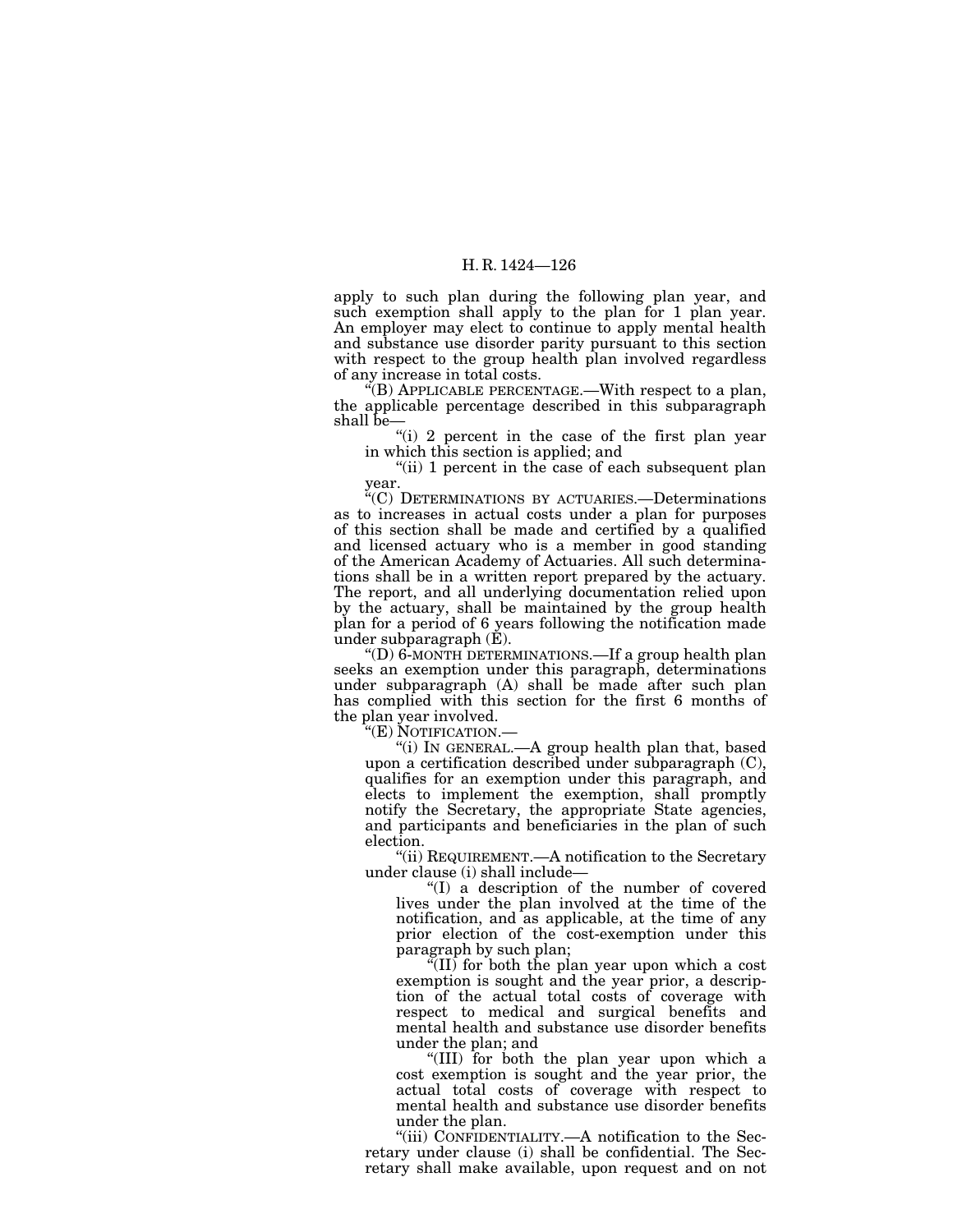apply to such plan during the following plan year, and such exemption shall apply to the plan for 1 plan year. An employer may elect to continue to apply mental health and substance use disorder parity pursuant to this section with respect to the group health plan involved regardless of any increase in total costs.

''(B) APPLICABLE PERCENTAGE.—With respect to a plan, the applicable percentage described in this subparagraph shall be—

''(i) 2 percent in the case of the first plan year in which this section is applied; and

''(ii) 1 percent in the case of each subsequent plan year.

''(C) DETERMINATIONS BY ACTUARIES.—Determinations as to increases in actual costs under a plan for purposes of this section shall be made and certified by a qualified and licensed actuary who is a member in good standing of the American Academy of Actuaries. All such determinations shall be in a written report prepared by the actuary. The report, and all underlying documentation relied upon by the actuary, shall be maintained by the group health plan for a period of 6 years following the notification made under subparagraph (E).

''(D) 6-MONTH DETERMINATIONS.—If a group health plan seeks an exemption under this paragraph, determinations under subparagraph (A) shall be made after such plan has complied with this section for the first 6 months of the plan year involved.

''(E) NOTIFICATION.—

''(i) IN GENERAL.—A group health plan that, based upon a certification described under subparagraph (C), qualifies for an exemption under this paragraph, and elects to implement the exemption, shall promptly notify the Secretary, the appropriate State agencies, and participants and beneficiaries in the plan of such election.

''(ii) REQUIREMENT.—A notification to the Secretary under clause (i) shall include—

''(I) a description of the number of covered lives under the plan involved at the time of the notification, and as applicable, at the time of any prior election of the cost-exemption under this paragraph by such plan;

 $\sqrt{\text{III}}$  for both the plan year upon which a cost exemption is sought and the year prior, a description of the actual total costs of coverage with respect to medical and surgical benefits and mental health and substance use disorder benefits under the plan; and

''(III) for both the plan year upon which a cost exemption is sought and the year prior, the actual total costs of coverage with respect to mental health and substance use disorder benefits under the plan.

''(iii) CONFIDENTIALITY.—A notification to the Secretary under clause (i) shall be confidential. The Secretary shall make available, upon request and on not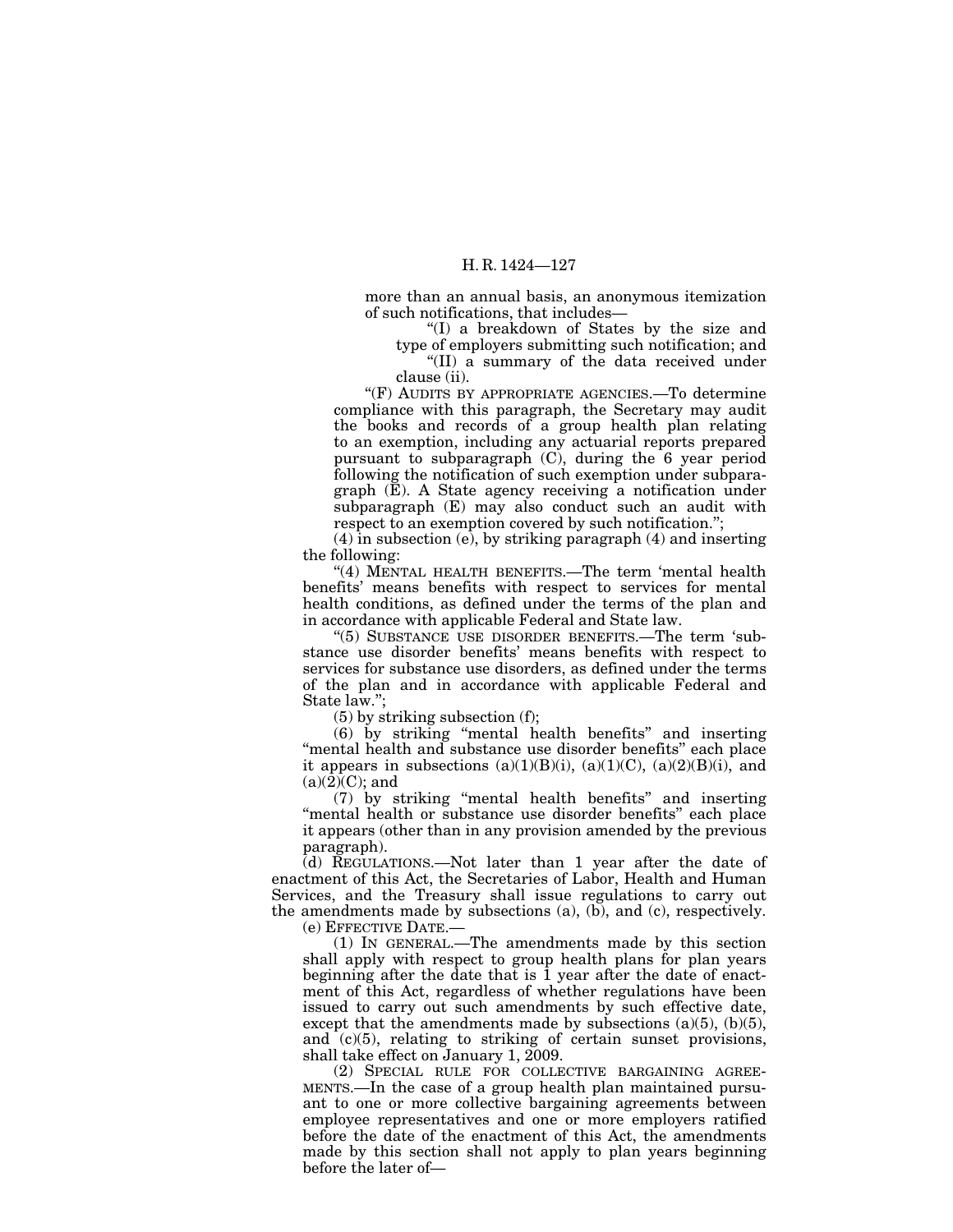more than an annual basis, an anonymous itemization of such notifications, that includes—

''(I) a breakdown of States by the size and

type of employers submitting such notification; and ''(II) a summary of the data received under

clause (ii).

''(F) AUDITS BY APPROPRIATE AGENCIES.—To determine compliance with this paragraph, the Secretary may audit the books and records of a group health plan relating to an exemption, including any actuarial reports prepared pursuant to subparagraph (C), during the 6 year period following the notification of such exemption under subparagraph (E). A State agency receiving a notification under subparagraph (E) may also conduct such an audit with respect to an exemption covered by such notification.'';

(4) in subsection (e), by striking paragraph (4) and inserting the following:

"(4) MENTAL HEALTH BENEFITS.—The term 'mental health benefits' means benefits with respect to services for mental health conditions, as defined under the terms of the plan and in accordance with applicable Federal and State law.

''(5) SUBSTANCE USE DISORDER BENEFITS.—The term 'substance use disorder benefits' means benefits with respect to services for substance use disorders, as defined under the terms of the plan and in accordance with applicable Federal and State law.'';

(5) by striking subsection (f);

(6) by striking ''mental health benefits'' and inserting "mental health and substance use disorder benefits" each place it appears in subsections (a)(1)(B)(i), (a)(1)(C), (a)(2)(B)(i), and  $(a)(2)(C)$ ; and

(7) by striking ''mental health benefits'' and inserting "mental health or substance use disorder benefits" each place it appears (other than in any provision amended by the previous paragraph).

(d) REGULATIONS.—Not later than 1 year after the date of enactment of this Act, the Secretaries of Labor, Health and Human Services, and the Treasury shall issue regulations to carry out the amendments made by subsections (a), (b), and (c), respectively. (e) EFFECTIVE DATE.—

(1) IN GENERAL.—The amendments made by this section shall apply with respect to group health plans for plan years beginning after the date that is 1 year after the date of enactment of this Act, regardless of whether regulations have been issued to carry out such amendments by such effective date, except that the amendments made by subsections  $(a)(5)$ ,  $(b)(5)$ , and  $(c)(5)$ , relating to striking of certain sunset provisions, shall take effect on January 1, 2009.

(2) SPECIAL RULE FOR COLLECTIVE BARGAINING AGREE-MENTS.—In the case of a group health plan maintained pursuant to one or more collective bargaining agreements between employee representatives and one or more employers ratified before the date of the enactment of this Act, the amendments made by this section shall not apply to plan years beginning before the later of—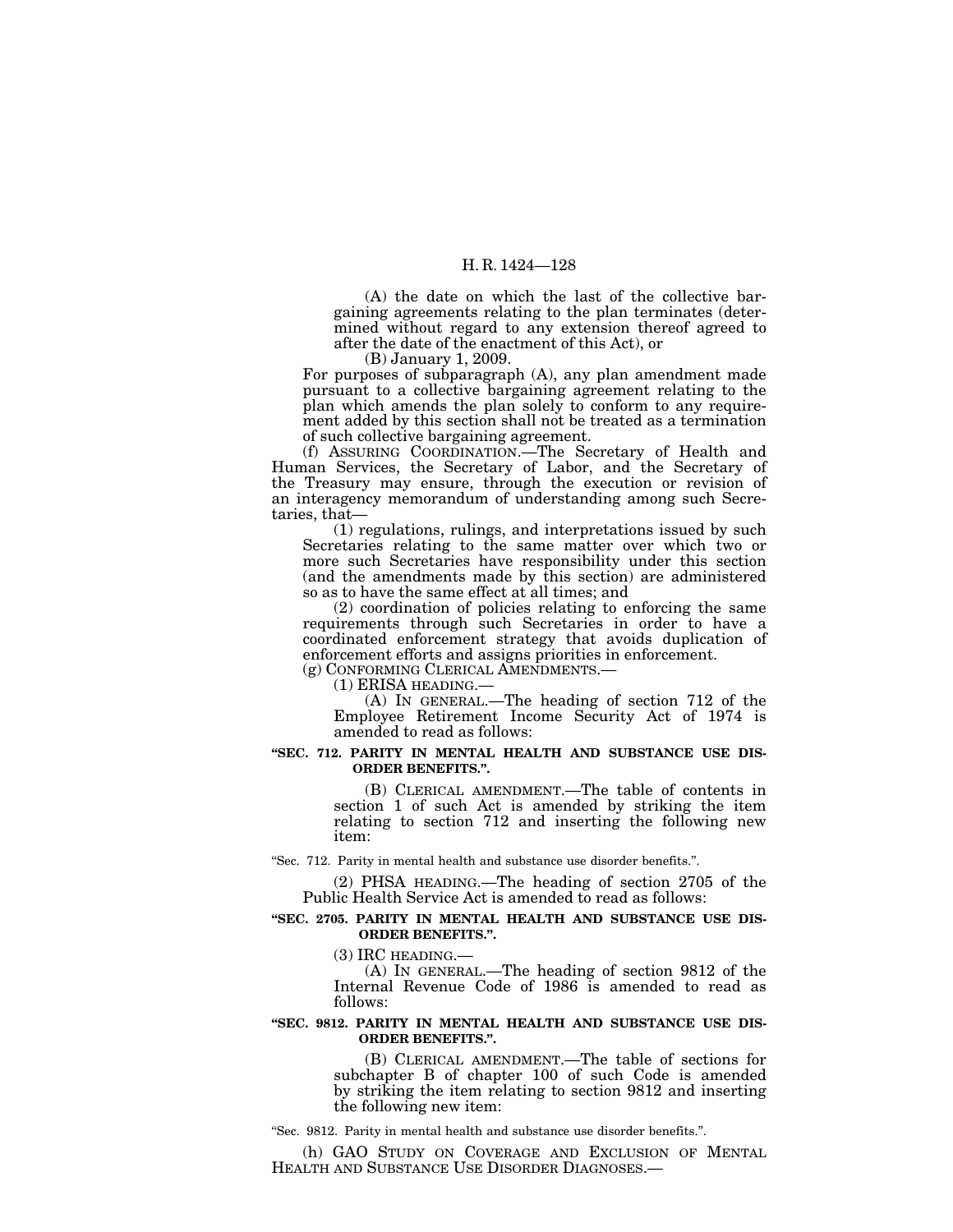(A) the date on which the last of the collective bargaining agreements relating to the plan terminates (determined without regard to any extension thereof agreed to after the date of the enactment of this Act), or

(B) January 1, 2009.

For purposes of subparagraph (A), any plan amendment made pursuant to a collective bargaining agreement relating to the plan which amends the plan solely to conform to any requirement added by this section shall not be treated as a termination of such collective bargaining agreement.

(f) ASSURING COORDINATION.—The Secretary of Health and Human Services, the Secretary of Labor, and the Secretary of the Treasury may ensure, through the execution or revision of an interagency memorandum of understanding among such Secretaries, that—

(1) regulations, rulings, and interpretations issued by such Secretaries relating to the same matter over which two or more such Secretaries have responsibility under this section (and the amendments made by this section) are administered so as to have the same effect at all times; and

(2) coordination of policies relating to enforcing the same requirements through such Secretaries in order to have a coordinated enforcement strategy that avoids duplication of enforcement efforts and assigns priorities in enforcement.

(g) CONFORMING CLERICAL AMENDMENTS.—

(1) ERISA HEADING.—

(A) IN GENERAL.—The heading of section 712 of the Employee Retirement Income Security Act of 1974 is amended to read as follows:

#### **''SEC. 712. PARITY IN MENTAL HEALTH AND SUBSTANCE USE DIS-ORDER BENEFITS.''.**

(B) CLERICAL AMENDMENT.—The table of contents in section 1 of such Act is amended by striking the item relating to section 712 and inserting the following new item:

''Sec. 712. Parity in mental health and substance use disorder benefits.''.

(2) PHSA HEADING.—The heading of section 2705 of the Public Health Service Act is amended to read as follows:

#### **''SEC. 2705. PARITY IN MENTAL HEALTH AND SUBSTANCE USE DIS-ORDER BENEFITS.''.**

(3) IRC HEADING.—

(A) IN GENERAL.—The heading of section 9812 of the Internal Revenue Code of 1986 is amended to read as follows:

#### **''SEC. 9812. PARITY IN MENTAL HEALTH AND SUBSTANCE USE DIS-ORDER BENEFITS.''.**

(B) CLERICAL AMENDMENT.—The table of sections for subchapter B of chapter 100 of such Code is amended by striking the item relating to section 9812 and inserting the following new item:

''Sec. 9812. Parity in mental health and substance use disorder benefits.''.

(h) GAO STUDY ON COVERAGE AND EXCLUSION OF MENTAL HEALTH AND SUBSTANCE USE DISORDER DIAGNOSES.—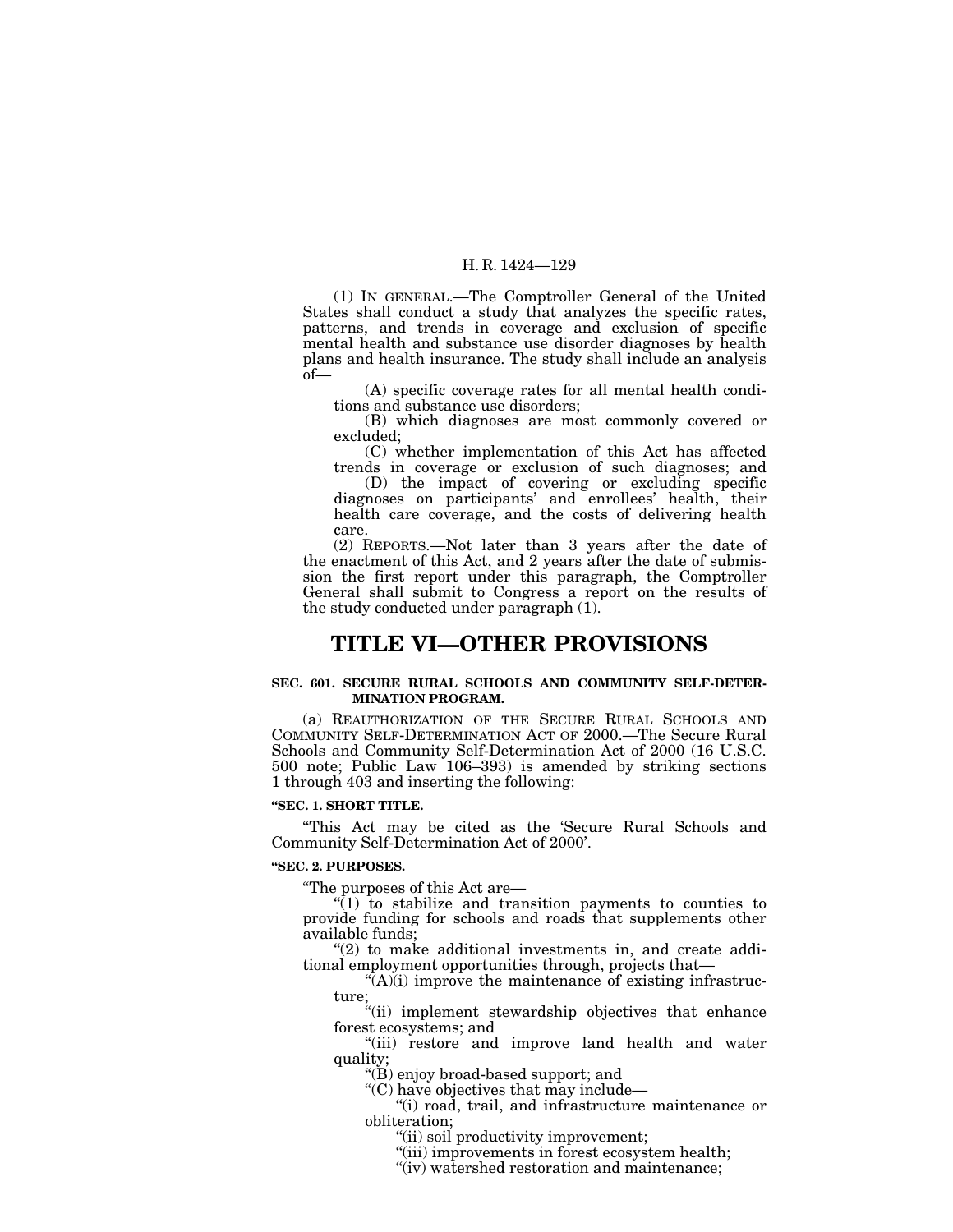(1) IN GENERAL.—The Comptroller General of the United States shall conduct a study that analyzes the specific rates, patterns, and trends in coverage and exclusion of specific mental health and substance use disorder diagnoses by health plans and health insurance. The study shall include an analysis  $of$ 

(A) specific coverage rates for all mental health conditions and substance use disorders;

(B) which diagnoses are most commonly covered or excluded;

(C) whether implementation of this Act has affected trends in coverage or exclusion of such diagnoses; and

(D) the impact of covering or excluding specific diagnoses on participants' and enrollees' health, their health care coverage, and the costs of delivering health care.

(2) REPORTS.—Not later than 3 years after the date of the enactment of this Act, and 2 years after the date of submission the first report under this paragraph, the Comptroller General shall submit to Congress a report on the results of the study conducted under paragraph (1).

# **TITLE VI—OTHER PROVISIONS**

#### **SEC. 601. SECURE RURAL SCHOOLS AND COMMUNITY SELF-DETER-MINATION PROGRAM.**

(a) REAUTHORIZATION OF THE SECURE RURAL SCHOOLS AND COMMUNITY SELF-DETERMINATION ACT OF 2000.—The Secure Rural Schools and Community Self-Determination Act of 2000 (16 U.S.C. 500 note; Public Law 106–393) is amended by striking sections 1 through 403 and inserting the following:

### **''SEC. 1. SHORT TITLE.**

''This Act may be cited as the 'Secure Rural Schools and Community Self-Determination Act of 2000'.

#### **''SEC. 2. PURPOSES.**

''The purposes of this Act are—

''(1) to stabilize and transition payments to counties to provide funding for schools and roads that supplements other available funds;

 $''(2)$  to make additional investments in, and create additional employment opportunities through, projects that—

 $\sqrt{\hat{A}}(i)$  improve the maintenance of existing infrastructure;

''(ii) implement stewardship objectives that enhance forest ecosystems; and

"(iii) restore and improve land health and water quality;

"(B) enjoy broad-based support; and

''(C) have objectives that may include—

''(i) road, trail, and infrastructure maintenance or obliteration;

''(ii) soil productivity improvement;

"(iii) improvements in forest ecosystem health;

''(iv) watershed restoration and maintenance;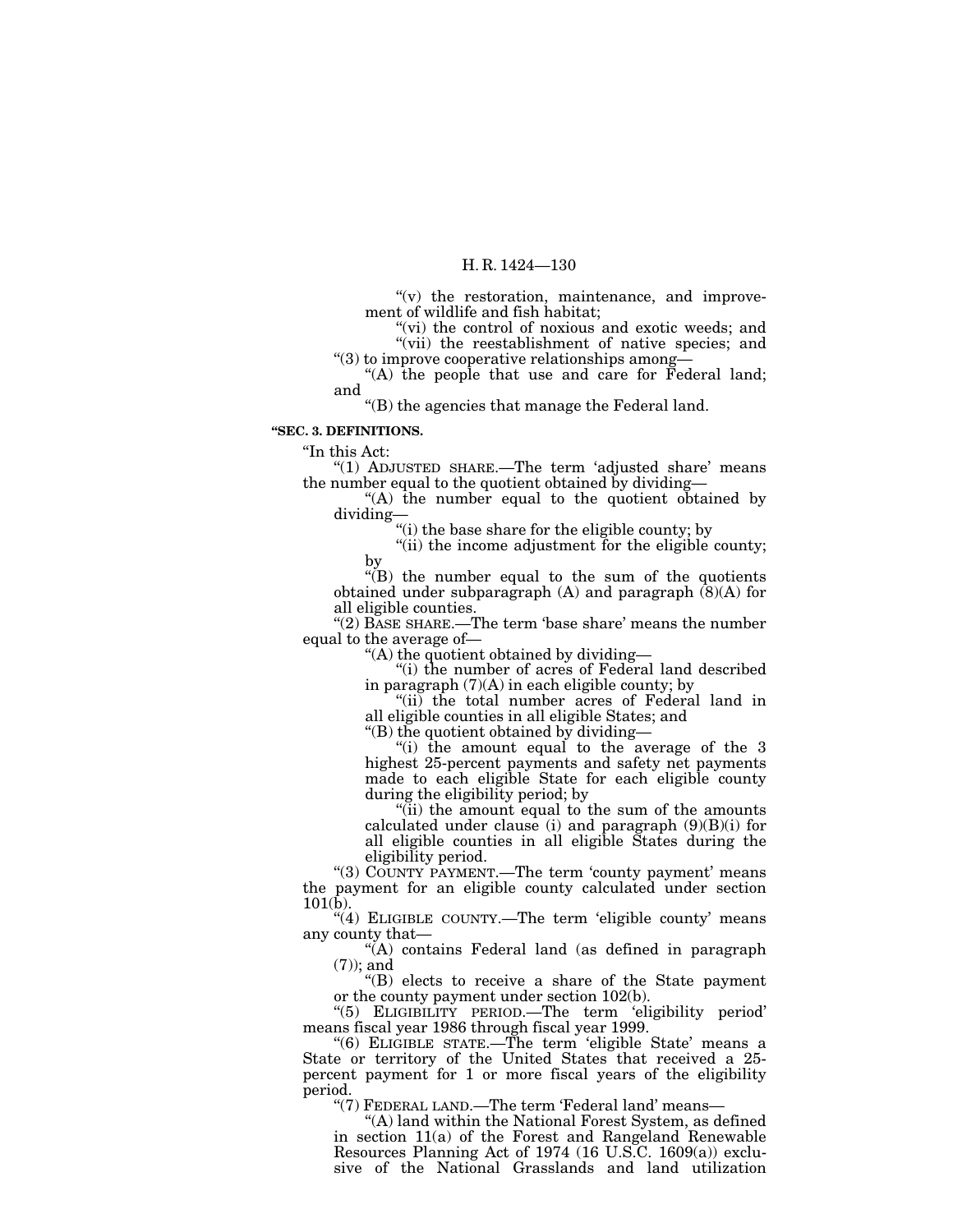"(v) the restoration, maintenance, and improvement of wildlife and fish habitat;

''(vi) the control of noxious and exotic weeds; and "(vii) the reestablishment of native species; and

''(3) to improve cooperative relationships among— "(A) the people that use and care for Federal land;

and

''(B) the agencies that manage the Federal land.

## **''SEC. 3. DEFINITIONS.**

''In this Act:

"(1) ADJUSTED SHARE.—The term 'adjusted share' means the number equal to the quotient obtained by dividing—

''(A) the number equal to the quotient obtained by dividing—

''(i) the base share for the eligible county; by

"(ii) the income adjustment for the eligible county; by

''(B) the number equal to the sum of the quotients obtained under subparagraph  $(A)$  and paragraph  $(B)(A)$  for all eligible counties.

"(2) BASE SHARE.—The term 'base share' means the number equal to the average of—

''(A) the quotient obtained by dividing—

"(i) the number of acres of Federal land described in paragraph  $(7)(A)$  in each eligible county; by

''(ii) the total number acres of Federal land in all eligible counties in all eligible States; and

''(B) the quotient obtained by dividing—

''(i) the amount equal to the average of the 3 highest 25-percent payments and safety net payments made to each eligible State for each eligible county during the eligibility period; by

''(ii) the amount equal to the sum of the amounts calculated under clause (i) and paragraph  $(9)(B)(i)$  for all eligible counties in all eligible States during the eligibility period.

"(3) COUNTY PAYMENT.—The term 'county payment' means the payment for an eligible county calculated under section  $101(b)$ .

"(4) ELIGIBLE COUNTY.—The term 'eligible county' means any county that—

''(A) contains Federal land (as defined in paragraph (7)); and

''(B) elects to receive a share of the State payment or the county payment under section 102(b).

''(5) ELIGIBILITY PERIOD.—The term 'eligibility period' means fiscal year 1986 through fiscal year 1999.

''(6) ELIGIBLE STATE.—The term 'eligible State' means a State or territory of the United States that received a 25 percent payment for 1 or more fiscal years of the eligibility period.

''(7) FEDERAL LAND.—The term 'Federal land' means—

''(A) land within the National Forest System, as defined in section 11(a) of the Forest and Rangeland Renewable Resources Planning Act of 1974 (16 U.S.C. 1609(a)) exclusive of the National Grasslands and land utilization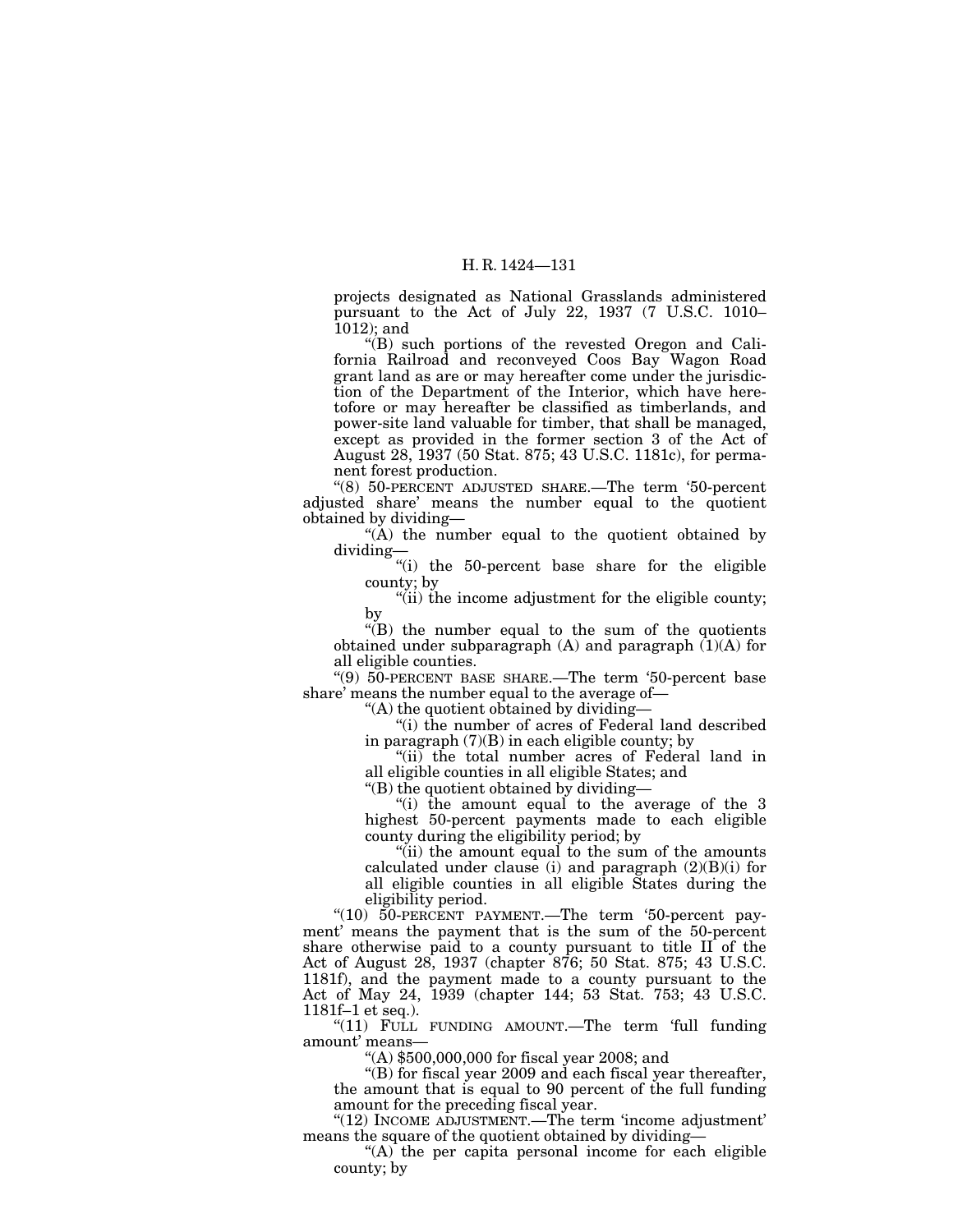projects designated as National Grasslands administered pursuant to the Act of July 22, 1937 (7 U.S.C. 1010– 1012); and

 $\mathcal{C}(B)$  such portions of the revested Oregon and California Railroad and reconveyed Coos Bay Wagon Road grant land as are or may hereafter come under the jurisdiction of the Department of the Interior, which have heretofore or may hereafter be classified as timberlands, and power-site land valuable for timber, that shall be managed, except as provided in the former section 3 of the Act of August 28, 1937 (50 Stat. 875; 43 U.S.C. 1181c), for permanent forest production.

''(8) 50-PERCENT ADJUSTED SHARE.—The term '50-percent adjusted share' means the number equal to the quotient obtained by dividing—

 $(A)$  the number equal to the quotient obtained by dividing—

''(i) the 50-percent base share for the eligible county; by

''(ii) the income adjustment for the eligible county; by

''(B) the number equal to the sum of the quotients obtained under subparagraph  $(A)$  and paragraph  $(1)(A)$  for all eligible counties.

''(9) 50-PERCENT BASE SHARE.—The term '50-percent base share' means the number equal to the average of—

''(A) the quotient obtained by dividing—

''(i) the number of acres of Federal land described in paragraph (7)(B) in each eligible county; by

''(ii) the total number acres of Federal land in all eligible counties in all eligible States; and

''(B) the quotient obtained by dividing—

"(i) the amount equal to the average of the 3 highest 50-percent payments made to each eligible county during the eligibility period; by

''(ii) the amount equal to the sum of the amounts calculated under clause (i) and paragraph  $(2)(B)(i)$  for all eligible counties in all eligible States during the eligibility period.

"(10) 50-PERCENT PAYMENT.—The term '50-percent payment' means the payment that is the sum of the 50-percent share otherwise paid to a county pursuant to title II of the Act of August 28, 1937 (chapter 876; 50 Stat. 875; 43 U.S.C. 1181f), and the payment made to a county pursuant to the Act of May 24, 1939 (chapter 144; 53 Stat. 753; 43 U.S.C. 1181f–1 et seq.).

"(11) FULL FUNDING AMOUNT.—The term 'full funding amount' means—

''(A) \$500,000,000 for fiscal year 2008; and

''(B) for fiscal year 2009 and each fiscal year thereafter, the amount that is equal to 90 percent of the full funding amount for the preceding fiscal year.

"(12) INCOME ADJUSTMENT.—The term 'income adjustment' means the square of the quotient obtained by dividing—

" $(A)$  the per capita personal income for each eligible county; by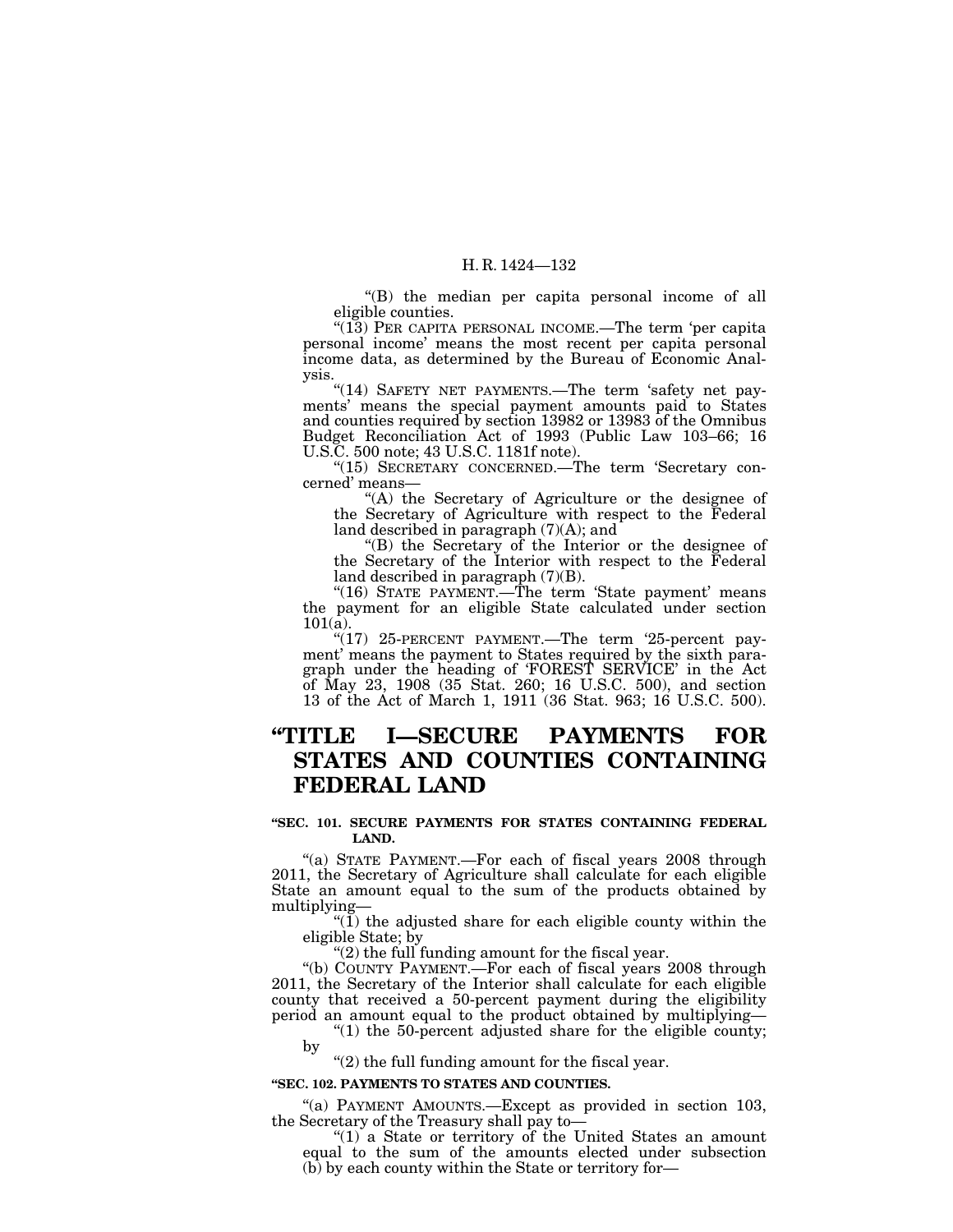''(B) the median per capita personal income of all eligible counties.

"(13) PER CAPITA PERSONAL INCOME.—The term 'per capita personal income' means the most recent per capita personal income data, as determined by the Bureau of Economic Analysis.

"(14) SAFETY NET PAYMENTS.—The term 'safety net payments' means the special payment amounts paid to States and counties required by section 13982 or 13983 of the Omnibus Budget Reconciliation Act of 1993 (Public Law 103–66; 16 U.S.C. 500 note; 43 U.S.C. 1181f note).

"(15) SECRETARY CONCERNED.—The term 'Secretary concerned' means—

''(A) the Secretary of Agriculture or the designee of the Secretary of Agriculture with respect to the Federal land described in paragraph (7)(A); and

''(B) the Secretary of the Interior or the designee of the Secretary of the Interior with respect to the Federal land described in paragraph (7)(B).

"(16) STATE PAYMENT.—The term 'State payment' means the payment for an eligible State calculated under section  $101(a)$ .

"(17) 25-PERCENT PAYMENT. The term '25-percent payment' means the payment to States required by the sixth paragraph under the heading of 'FOREST SERVICE' in the Act of May 23, 1908 (35 Stat. 260; 16 U.S.C. 500), and section 13 of the Act of March 1, 1911 (36 Stat. 963; 16 U.S.C. 500).

# **''TITLE I—SECURE PAYMENTS FOR STATES AND COUNTIES CONTAINING FEDERAL LAND**

#### **''SEC. 101. SECURE PAYMENTS FOR STATES CONTAINING FEDERAL LAND.**

"(a) STATE PAYMENT.—For each of fiscal years 2008 through 2011, the Secretary of Agriculture shall calculate for each eligible State an amount equal to the sum of the products obtained by multiplying—

 $\cdot$ (1) the adjusted share for each eligible county within the eligible State; by

''(2) the full funding amount for the fiscal year.

''(b) COUNTY PAYMENT.—For each of fiscal years 2008 through 2011, the Secretary of the Interior shall calculate for each eligible county that received a 50-percent payment during the eligibility period an amount equal to the product obtained by multiplying—

 $(1)$  the 50-percent adjusted share for the eligible county; by

''(2) the full funding amount for the fiscal year.

#### **''SEC. 102. PAYMENTS TO STATES AND COUNTIES.**

''(a) PAYMENT AMOUNTS.—Except as provided in section 103, the Secretary of the Treasury shall pay to—

''(1) a State or territory of the United States an amount equal to the sum of the amounts elected under subsection (b) by each county within the State or territory for—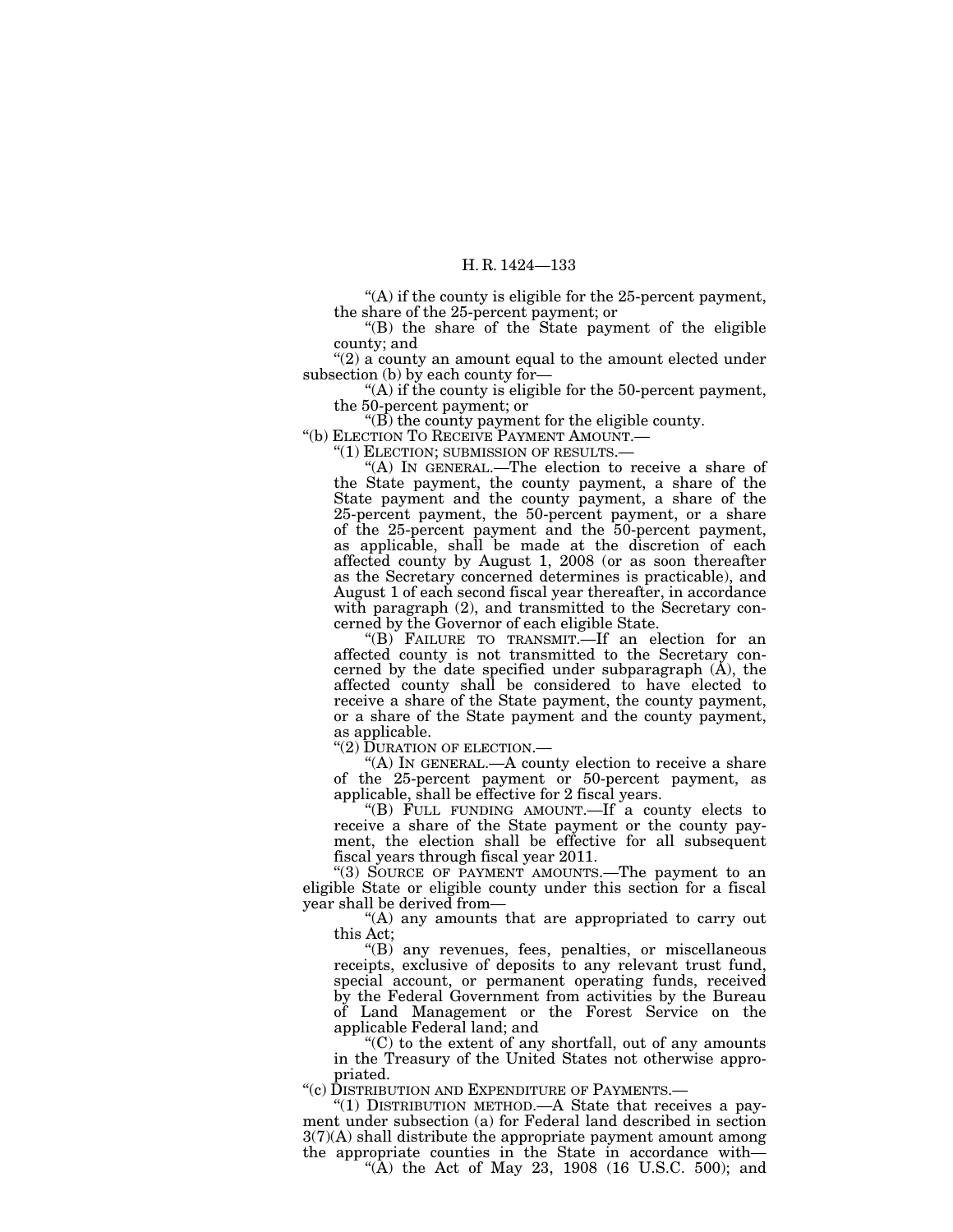''(A) if the county is eligible for the 25-percent payment, the share of the 25-percent payment; or

''(B) the share of the State payment of the eligible county; and

''(2) a county an amount equal to the amount elected under subsection (b) by each county for—

 $(A)$  if the county is eligible for the 50-percent payment, the 50-percent payment; or

 $\mathcal{F}(B)$  the county payment for the eligible county.

''(b) ELECTION TO RECEIVE PAYMENT AMOUNT.—

''(1) ELECTION; SUBMISSION OF RESULTS.—

''(A) IN GENERAL.—The election to receive a share of the State payment, the county payment, a share of the State payment and the county payment, a share of the 25-percent payment, the 50-percent payment, or a share of the 25-percent payment and the 50-percent payment, as applicable, shall be made at the discretion of each affected county by August 1, 2008 (or as soon thereafter as the Secretary concerned determines is practicable), and August 1 of each second fiscal year thereafter, in accordance with paragraph  $(2)$ , and transmitted to the Secretary concerned by the Governor of each eligible State.

"(B) FAILURE TO TRANSMIT.—If an election for an affected county is not transmitted to the Secretary concerned by the date specified under subparagraph (A), the affected county shall be considered to have elected to receive a share of the State payment, the county payment, or a share of the State payment and the county payment, as applicable.

''(2) DURATION OF ELECTION.—

''(A) IN GENERAL.—A county election to receive a share of the 25-percent payment or 50-percent payment, as applicable, shall be effective for 2 fiscal years.

''(B) FULL FUNDING AMOUNT.—If a county elects to receive a share of the State payment or the county payment, the election shall be effective for all subsequent fiscal years through fiscal year 2011.

"(3) SOURCE OF PAYMENT AMOUNTS.—The payment to an eligible State or eligible county under this section for a fiscal year shall be derived from—

"(A) any amounts that are appropriated to carry out this Act;

"(B) any revenues, fees, penalties, or miscellaneous receipts, exclusive of deposits to any relevant trust fund, special account, or permanent operating funds, received by the Federal Government from activities by the Bureau of Land Management or the Forest Service on the applicable Federal land; and

''(C) to the extent of any shortfall, out of any amounts in the Treasury of the United States not otherwise appro-

priated.<br>"(c) DISTRIBUTION AND EXPENDITURE OF PAYMENTS.—

"(1) DISTRIBUTION METHOD.—A State that receives a payment under subsection (a) for Federal land described in section 3(7)(A) shall distribute the appropriate payment amount among the appropriate counties in the State in accordance with—

"(A) the Act of May 23, 1908 (16 U.S.C. 500); and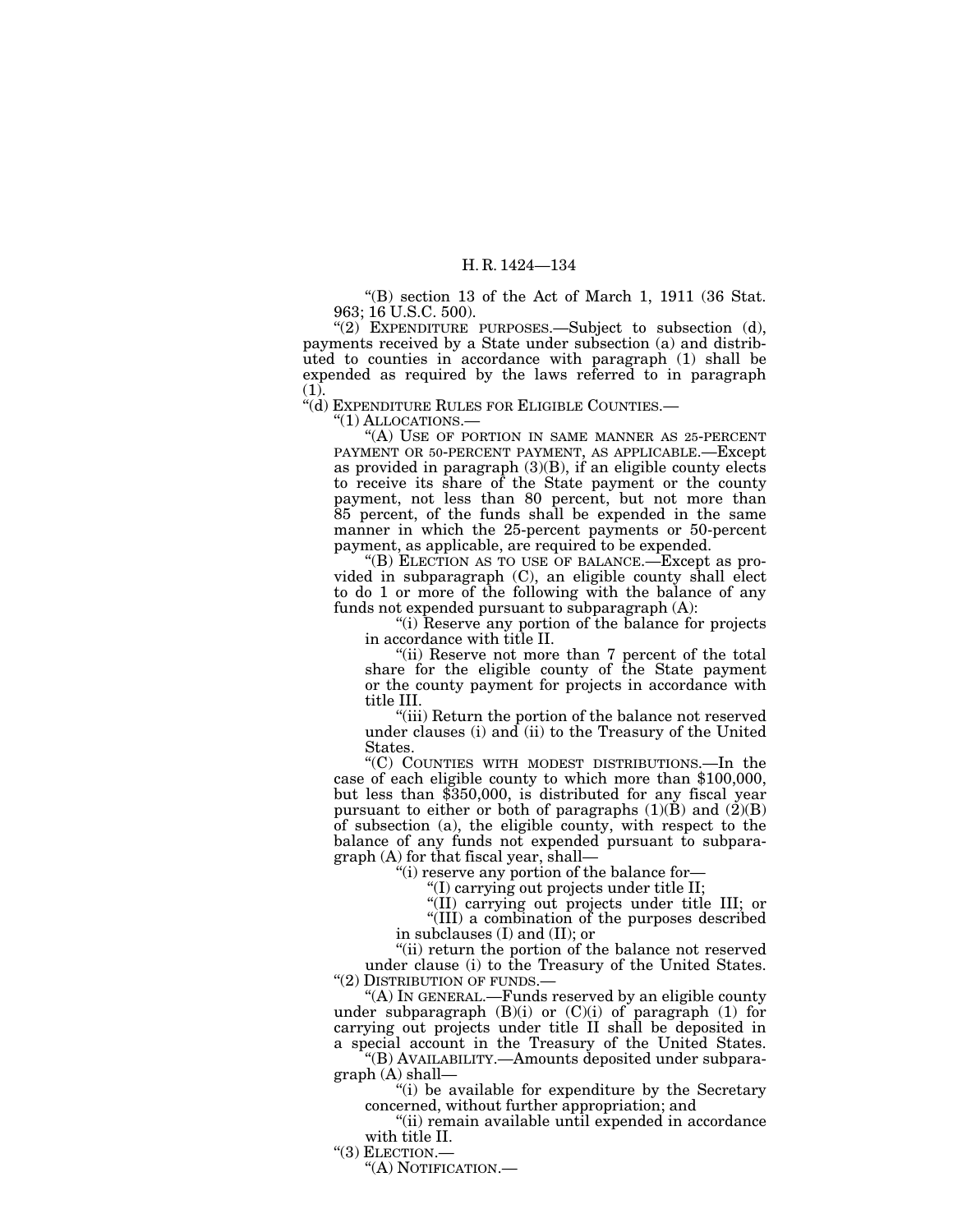''(B) section 13 of the Act of March 1, 1911 (36 Stat. 963; 16 U.S.C. 500).

"(2) EXPENDITURE PURPOSES.—Subject to subsection (d), payments received by a State under subsection (a) and distributed to counties in accordance with paragraph (1) shall be expended as required by the laws referred to in paragraph (1).

''(d) EXPENDITURE RULES FOR ELIGIBLE COUNTIES.—

''(1) ALLOCATIONS.—

''(A) USE OF PORTION IN SAME MANNER AS 25-PERCENT PAYMENT OR 50-PERCENT PAYMENT, AS APPLICABLE.—Except as provided in paragraph  $(3)(B)$ , if an eligible county elects to receive its share of the State payment or the county payment, not less than 80 percent, but not more than 85 percent, of the funds shall be expended in the same manner in which the 25-percent payments or 50-percent payment, as applicable, are required to be expended.

''(B) ELECTION AS TO USE OF BALANCE.—Except as provided in subparagraph (C), an eligible county shall elect to do 1 or more of the following with the balance of any funds not expended pursuant to subparagraph (A):

''(i) Reserve any portion of the balance for projects in accordance with title II.

"(ii) Reserve not more than 7 percent of the total share for the eligible county of the State payment or the county payment for projects in accordance with title III.

''(iii) Return the portion of the balance not reserved under clauses (i) and (ii) to the Treasury of the United States.

''(C) COUNTIES WITH MODEST DISTRIBUTIONS.—In the case of each eligible county to which more than \$100,000, but less than \$350,000, is distributed for any fiscal year pursuant to either or both of paragraphs  $(1)(B)$  and  $(2)(B)$ of subsection (a), the eligible county, with respect to the balance of any funds not expended pursuant to subparagraph (A) for that fiscal year, shall—

''(i) reserve any portion of the balance for—

''(I) carrying out projects under title II;

''(II) carrying out projects under title III; or ''(III) a combination of the purposes described in subclauses (I) and (II); or

"(ii) return the portion of the balance not reserved under clause (i) to the Treasury of the United States.<br>"(2) DISTRIBUTION OF FUNDS.—

"(A) IN GENERAL.—Funds reserved by an eligible county under subparagraph (B)(i) or (C)(i) of paragraph (1) for carrying out projects under title II shall be deposited in a special account in the Treasury of the United States.

''(B) AVAILABILITY.—Amounts deposited under subparagraph (A) shall—

''(i) be available for expenditure by the Secretary concerned, without further appropriation; and

''(ii) remain available until expended in accordance

with title II.<br>
"(3) ELECTION.—

"(A) NOTIFICATION.—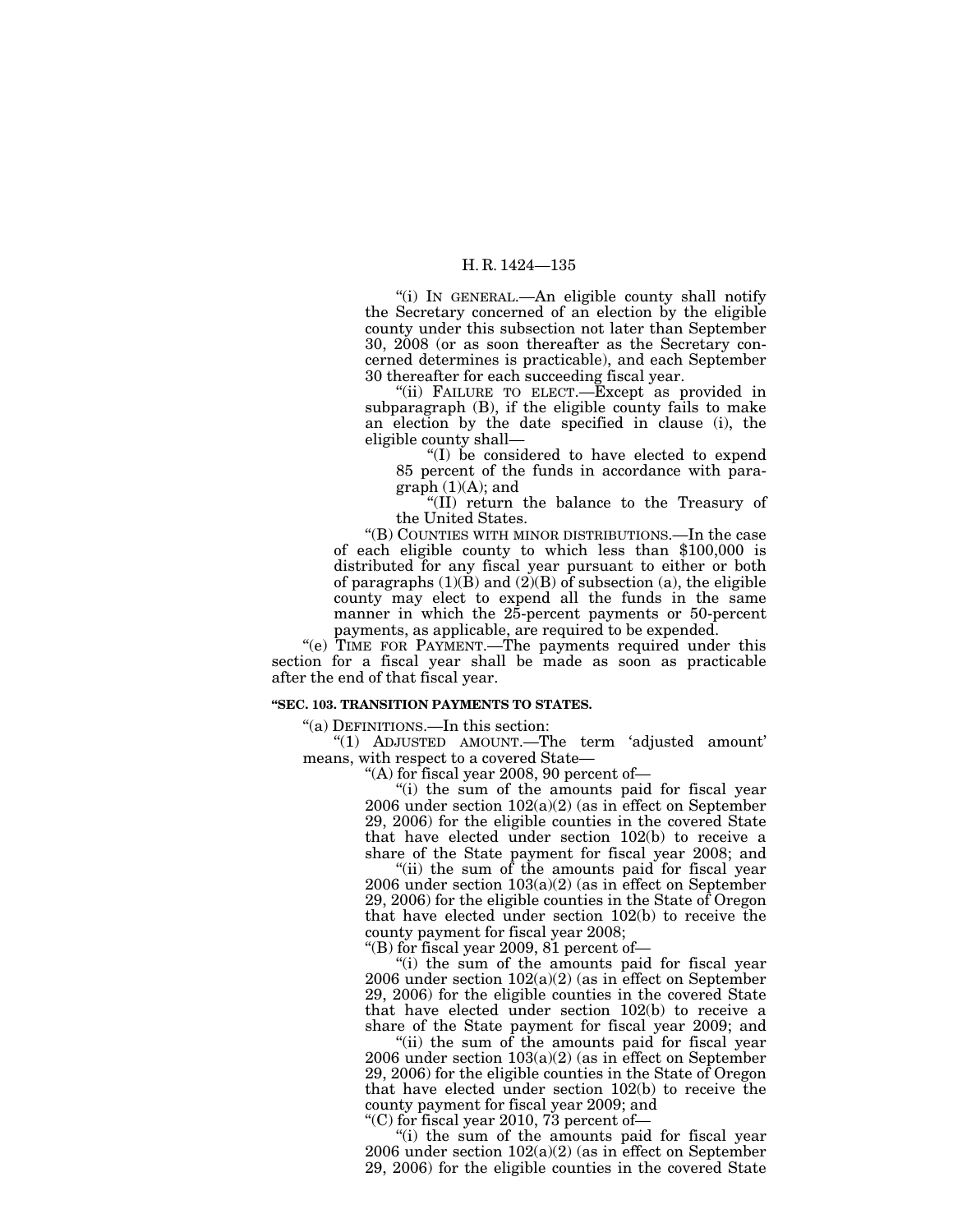''(i) IN GENERAL.—An eligible county shall notify the Secretary concerned of an election by the eligible county under this subsection not later than September 30, 2008 (or as soon thereafter as the Secretary concerned determines is practicable), and each September 30 thereafter for each succeeding fiscal year.

"(ii) FAILURE TO ELECT.—Except as provided in subparagraph (B), if the eligible county fails to make an election by the date specified in clause (i), the eligible county shall—

''(I) be considered to have elected to expend 85 percent of the funds in accordance with para $graph (1)(A);$  and

''(II) return the balance to the Treasury of the United States.

''(B) COUNTIES WITH MINOR DISTRIBUTIONS.—In the case of each eligible county to which less than \$100,000 is distributed for any fiscal year pursuant to either or both of paragraphs  $(1)(B)$  and  $(2)(B)$  of subsection  $(a)$ , the eligible county may elect to expend all the funds in the same manner in which the 25-percent payments or 50-percent payments, as applicable, are required to be expended.

''(e) TIME FOR PAYMENT.—The payments required under this section for a fiscal year shall be made as soon as practicable after the end of that fiscal year.

#### **''SEC. 103. TRANSITION PAYMENTS TO STATES.**

''(a) DEFINITIONS.—In this section:

''(1) ADJUSTED AMOUNT.—The term 'adjusted amount' means, with respect to a covered State—

''(A) for fiscal year 2008, 90 percent of—

''(i) the sum of the amounts paid for fiscal year 2006 under section  $102(a)(2)$  (as in effect on September 29, 2006) for the eligible counties in the covered State that have elected under section 102(b) to receive a share of the State payment for fiscal year 2008; and

"(ii) the sum of the amounts paid for fiscal year 2006 under section 103(a)(2) (as in effect on September 29, 2006) for the eligible counties in the State of Oregon that have elected under section 102(b) to receive the county payment for fiscal year 2008;

"(B) for fiscal year 2009, 81 percent of-

''(i) the sum of the amounts paid for fiscal year 2006 under section 102(a)(2) (as in effect on September 29, 2006) for the eligible counties in the covered State that have elected under section 102(b) to receive a share of the State payment for fiscal year 2009; and

''(ii) the sum of the amounts paid for fiscal year 2006 under section 103(a)(2) (as in effect on September 29, 2006) for the eligible counties in the State of Oregon that have elected under section 102(b) to receive the county payment for fiscal year 2009; and ''(C) for fiscal year 2010, 73 percent of—

''(i) the sum of the amounts paid for fiscal year 2006 under section 102(a)(2) (as in effect on September 29, 2006) for the eligible counties in the covered State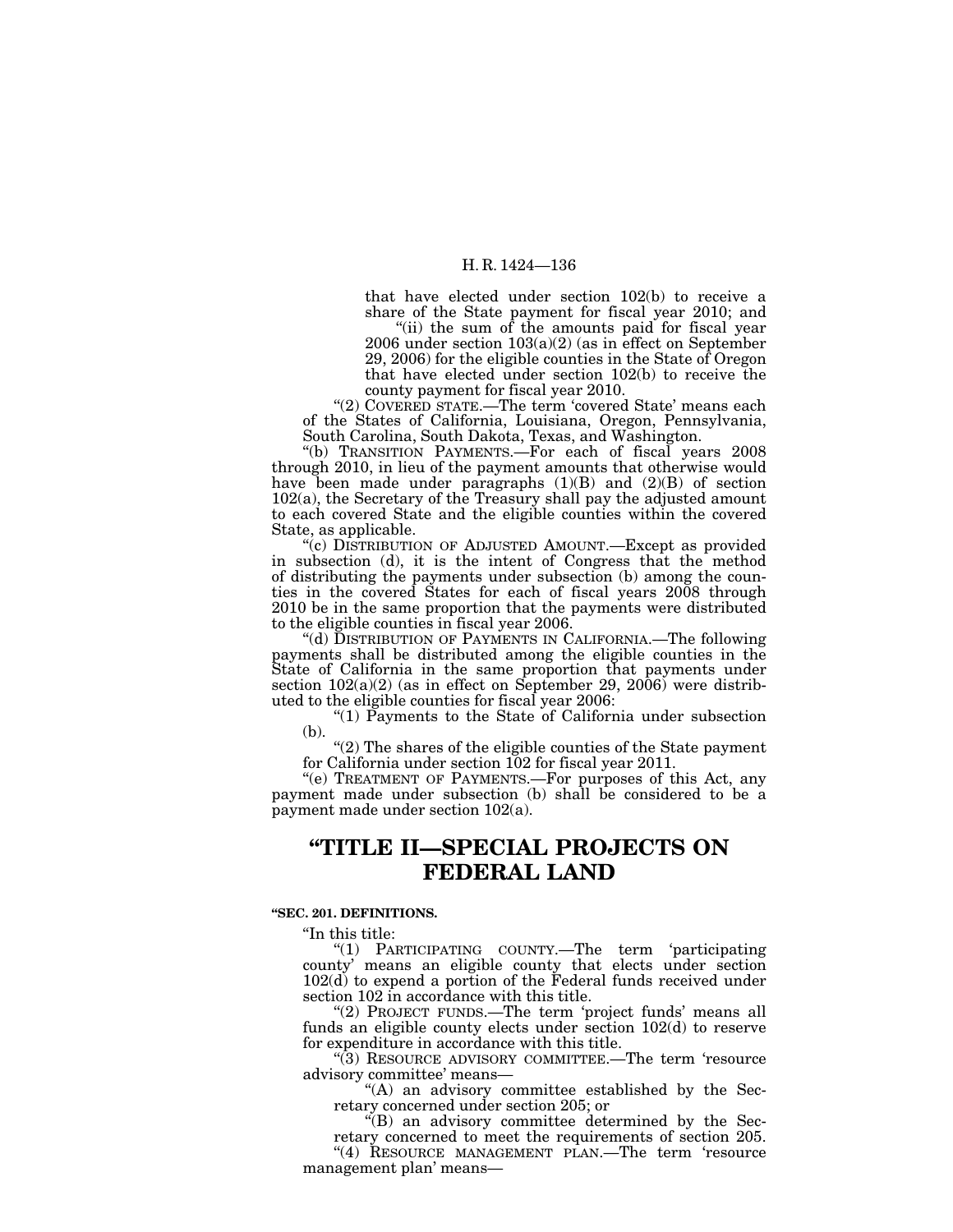that have elected under section 102(b) to receive a share of the State payment for fiscal year 2010; and

''(ii) the sum of the amounts paid for fiscal year  $2006$  under section  $103(a)(2)$  (as in effect on September 29, 2006) for the eligible counties in the State of Oregon that have elected under section 102(b) to receive the county payment for fiscal year 2010.

"(2) COVERED STATE.—The term 'covered State' means each of the States of California, Louisiana, Oregon, Pennsylvania, South Carolina, South Dakota, Texas, and Washington.

''(b) TRANSITION PAYMENTS.—For each of fiscal years 2008 through 2010, in lieu of the payment amounts that otherwise would have been made under paragraphs (1)(B) and (2)(B) of section 102(a), the Secretary of the Treasury shall pay the adjusted amount to each covered State and the eligible counties within the covered State, as applicable.

''(c) DISTRIBUTION OF ADJUSTED AMOUNT.—Except as provided in subsection (d), it is the intent of Congress that the method of distributing the payments under subsection (b) among the counties in the covered States for each of fiscal years 2008 through 2010 be in the same proportion that the payments were distributed to the eligible counties in fiscal year 2006.

''(d) DISTRIBUTION OF PAYMENTS IN CALIFORNIA.—The following payments shall be distributed among the eligible counties in the State of California in the same proportion that payments under section 102(a)(2) (as in effect on September 29, 2006) were distributed to the eligible counties for fiscal year 2006:

''(1) Payments to the State of California under subsection (b).

''(2) The shares of the eligible counties of the State payment for California under section 102 for fiscal year 2011.

"(e) TREATMENT OF PAYMENTS.—For purposes of this Act, any payment made under subsection (b) shall be considered to be a payment made under section 102(a).

# **''TITLE II—SPECIAL PROJECTS ON FEDERAL LAND**

#### **''SEC. 201. DEFINITIONS.**

''In this title:

''(1) PARTICIPATING COUNTY.—The term 'participating county' means an eligible county that elects under section 102(d) to expend a portion of the Federal funds received under section 102 in accordance with this title.

"(2) PROJECT FUNDS.—The term 'project funds' means all funds an eligible county elects under section 102(d) to reserve for expenditure in accordance with this title.

''(3) RESOURCE ADVISORY COMMITTEE.—The term 'resource advisory committee' means—

"(A) an advisory committee established by the Secretary concerned under section 205; or

''(B) an advisory committee determined by the Secretary concerned to meet the requirements of section 205.

"(4) RESOURCE MANAGEMENT PLAN.—The term 'resource management plan' means—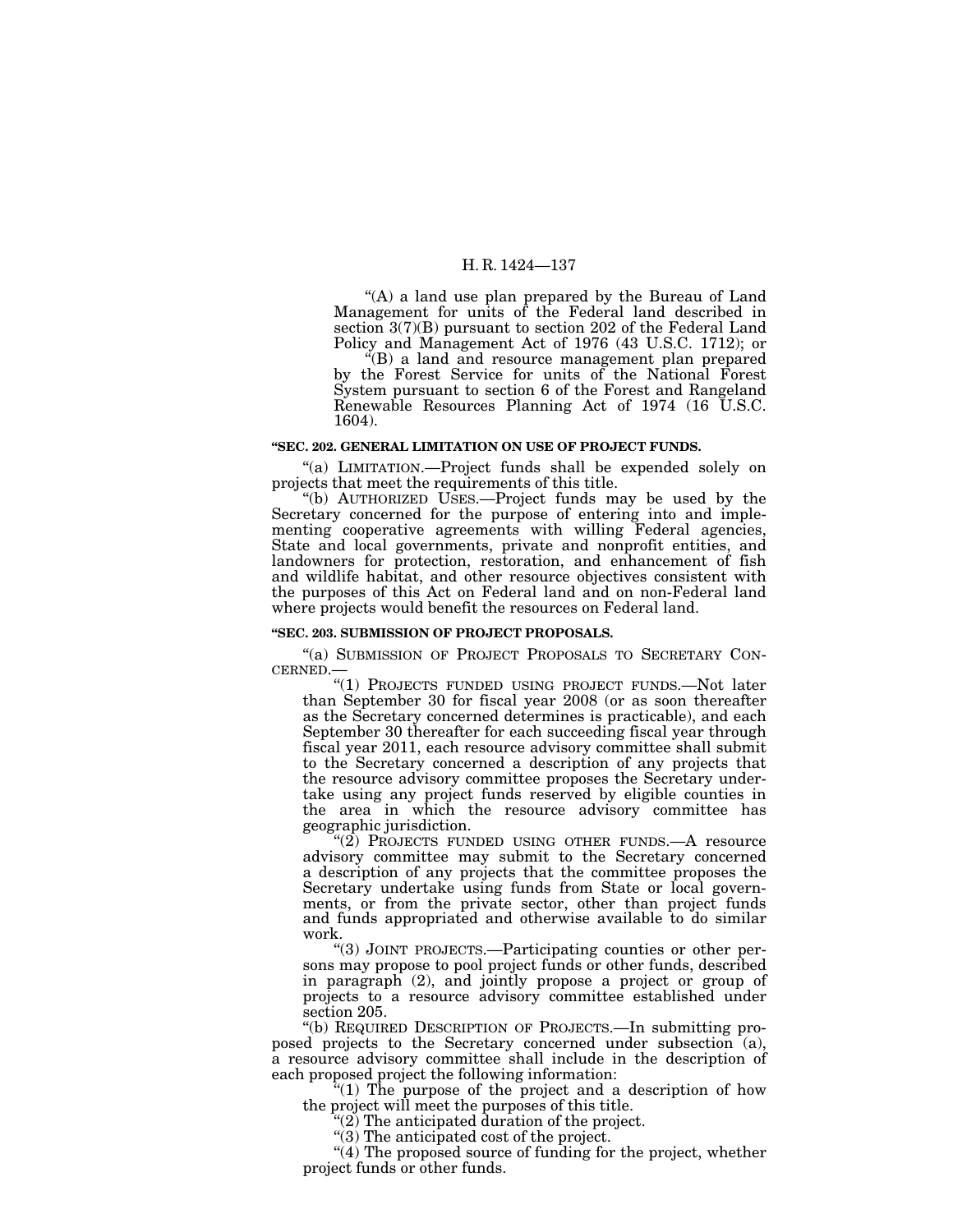"(A) a land use plan prepared by the Bureau of Land Management for units of the Federal land described in section 3(7)(B) pursuant to section 202 of the Federal Land Policy and Management Act of 1976 (43 U.S.C. 1712); or

''(B) a land and resource management plan prepared by the Forest Service for units of the National Forest System pursuant to section 6 of the Forest and Rangeland Renewable Resources Planning Act of 1974 (16 U.S.C. 1604).

#### **''SEC. 202. GENERAL LIMITATION ON USE OF PROJECT FUNDS.**

''(a) LIMITATION.—Project funds shall be expended solely on projects that meet the requirements of this title.

''(b) AUTHORIZED USES.—Project funds may be used by the Secretary concerned for the purpose of entering into and implementing cooperative agreements with willing Federal agencies, State and local governments, private and nonprofit entities, and landowners for protection, restoration, and enhancement of fish and wildlife habitat, and other resource objectives consistent with the purposes of this Act on Federal land and on non-Federal land where projects would benefit the resources on Federal land.

### **''SEC. 203. SUBMISSION OF PROJECT PROPOSALS.**

"(a) SUBMISSION OF PROJECT PROPOSALS TO SECRETARY CON-CERNED.—

''(1) PROJECTS FUNDED USING PROJECT FUNDS.—Not later than September 30 for fiscal year 2008 (or as soon thereafter as the Secretary concerned determines is practicable), and each September 30 thereafter for each succeeding fiscal year through fiscal year 2011, each resource advisory committee shall submit to the Secretary concerned a description of any projects that the resource advisory committee proposes the Secretary undertake using any project funds reserved by eligible counties in the area in which the resource advisory committee has geographic jurisdiction.

" $(2)$  PROJECTS FUNDED USING OTHER FUNDS.—A resource advisory committee may submit to the Secretary concerned a description of any projects that the committee proposes the Secretary undertake using funds from State or local governments, or from the private sector, other than project funds and funds appropriated and otherwise available to do similar work.

''(3) JOINT PROJECTS.—Participating counties or other persons may propose to pool project funds or other funds, described in paragraph (2), and jointly propose a project or group of projects to a resource advisory committee established under section 205.

''(b) REQUIRED DESCRIPTION OF PROJECTS.—In submitting proposed projects to the Secretary concerned under subsection (a), a resource advisory committee shall include in the description of each proposed project the following information:

 $f''(1)$  The purpose of the project and a description of how the project will meet the purposes of this title.

''(2) The anticipated duration of the project.

''(3) The anticipated cost of the project.

''(4) The proposed source of funding for the project, whether project funds or other funds.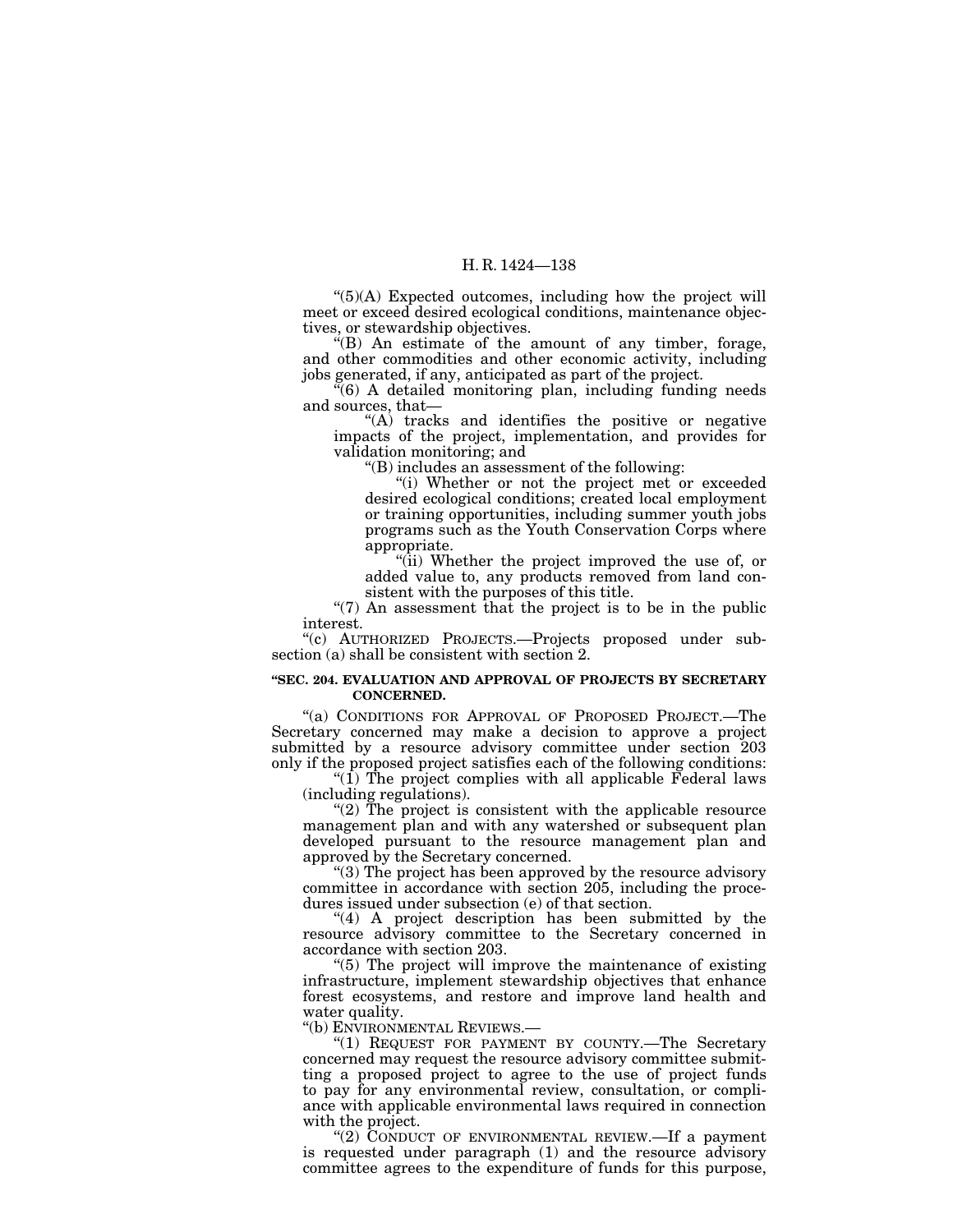"(5)(A) Expected outcomes, including how the project will meet or exceed desired ecological conditions, maintenance objectives, or stewardship objectives.

 $'(B)$  An estimate of the amount of any timber, forage, and other commodities and other economic activity, including jobs generated, if any, anticipated as part of the project.

''(6) A detailed monitoring plan, including funding needs and sources, that—

"(A) tracks and identifies the positive or negative impacts of the project, implementation, and provides for validation monitoring; and

''(B) includes an assessment of the following:

''(i) Whether or not the project met or exceeded desired ecological conditions; created local employment or training opportunities, including summer youth jobs programs such as the Youth Conservation Corps where appropriate.

''(ii) Whether the project improved the use of, or added value to, any products removed from land consistent with the purposes of this title.

''(7) An assessment that the project is to be in the public interest.

''(c) AUTHORIZED PROJECTS.—Projects proposed under subsection (a) shall be consistent with section 2.

#### **''SEC. 204. EVALUATION AND APPROVAL OF PROJECTS BY SECRETARY CONCERNED.**

"(a) CONDITIONS FOR APPROVAL OF PROPOSED PROJECT.—The Secretary concerned may make a decision to approve a project submitted by a resource advisory committee under section 203 only if the proposed project satisfies each of the following conditions:

"(1) The project complies with all applicable Federal laws (including regulations).

"(2) The project is consistent with the applicable resource management plan and with any watershed or subsequent plan developed pursuant to the resource management plan and approved by the Secretary concerned.

''(3) The project has been approved by the resource advisory committee in accordance with section 205, including the procedures issued under subsection (e) of that section.

''(4) A project description has been submitted by the resource advisory committee to the Secretary concerned in accordance with section 203.

''(5) The project will improve the maintenance of existing infrastructure, implement stewardship objectives that enhance forest ecosystems, and restore and improve land health and water quality.

''(b) ENVIRONMENTAL REVIEWS.—

"(1) REQUEST FOR PAYMENT BY COUNTY.—The Secretary concerned may request the resource advisory committee submitting a proposed project to agree to the use of project funds to pay for any environmental review, consultation, or compliance with applicable environmental laws required in connection with the project.

"(2) CONDUCT OF ENVIRONMENTAL REVIEW.—If a payment is requested under paragraph (1) and the resource advisory committee agrees to the expenditure of funds for this purpose,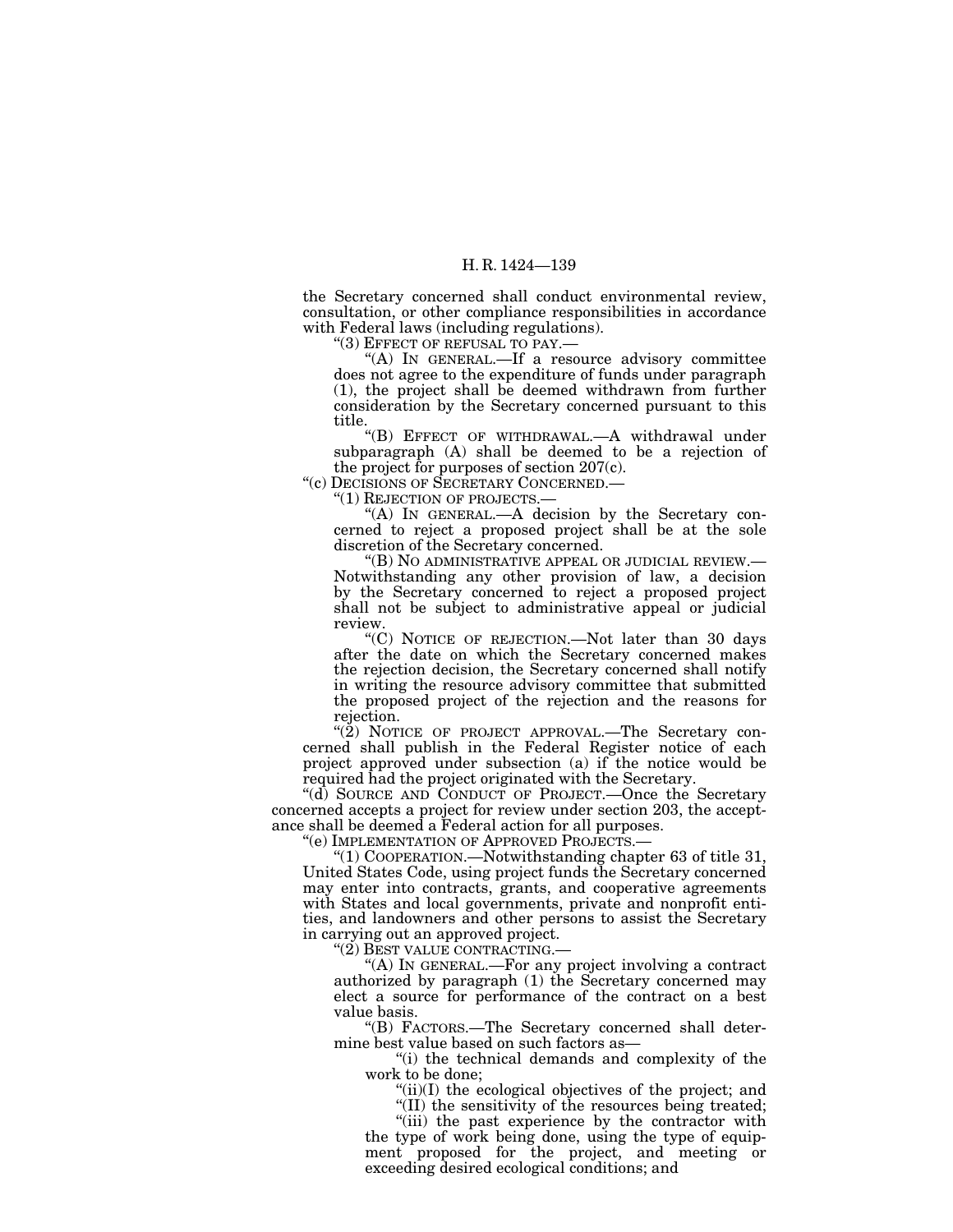the Secretary concerned shall conduct environmental review, consultation, or other compliance responsibilities in accordance with Federal laws (including regulations).

''(3) EFFECT OF REFUSAL TO PAY.—

''(A) IN GENERAL.—If a resource advisory committee does not agree to the expenditure of funds under paragraph (1), the project shall be deemed withdrawn from further consideration by the Secretary concerned pursuant to this title.

''(B) EFFECT OF WITHDRAWAL.—A withdrawal under subparagraph (A) shall be deemed to be a rejection of the project for purposes of section 207(c).

''(c) DECISIONS OF SECRETARY CONCERNED.—

''(1) REJECTION OF PROJECTS.—

''(A) IN GENERAL.—A decision by the Secretary concerned to reject a proposed project shall be at the sole discretion of the Secretary concerned.

''(B) NO ADMINISTRATIVE APPEAL OR JUDICIAL REVIEW.— Notwithstanding any other provision of law, a decision by the Secretary concerned to reject a proposed project shall not be subject to administrative appeal or judicial review.

''(C) NOTICE OF REJECTION.—Not later than 30 days after the date on which the Secretary concerned makes the rejection decision, the Secretary concerned shall notify in writing the resource advisory committee that submitted the proposed project of the rejection and the reasons for rejection.

" $(2)$  NOTICE OF PROJECT APPROVAL.—The Secretary concerned shall publish in the Federal Register notice of each project approved under subsection (a) if the notice would be required had the project originated with the Secretary.

"(d) SOURCE AND CONDUCT OF PROJECT.—Once the Secretary concerned accepts a project for review under section 203, the acceptance shall be deemed a Federal action for all purposes.

''(e) IMPLEMENTATION OF APPROVED PROJECTS.—

''(1) COOPERATION.—Notwithstanding chapter 63 of title 31, United States Code, using project funds the Secretary concerned may enter into contracts, grants, and cooperative agreements with States and local governments, private and nonprofit entities, and landowners and other persons to assist the Secretary in carrying out an approved project.

''(2) BEST VALUE CONTRACTING.—

''(A) IN GENERAL.—For any project involving a contract authorized by paragraph (1) the Secretary concerned may elect a source for performance of the contract on a best value basis.

''(B) FACTORS.—The Secretary concerned shall determine best value based on such factors as—

''(i) the technical demands and complexity of the work to be done;

"(ii)(I) the ecological objectives of the project; and

"(II) the sensitivity of the resources being treated;

''(iii) the past experience by the contractor with the type of work being done, using the type of equipment proposed for the project, and meeting or exceeding desired ecological conditions; and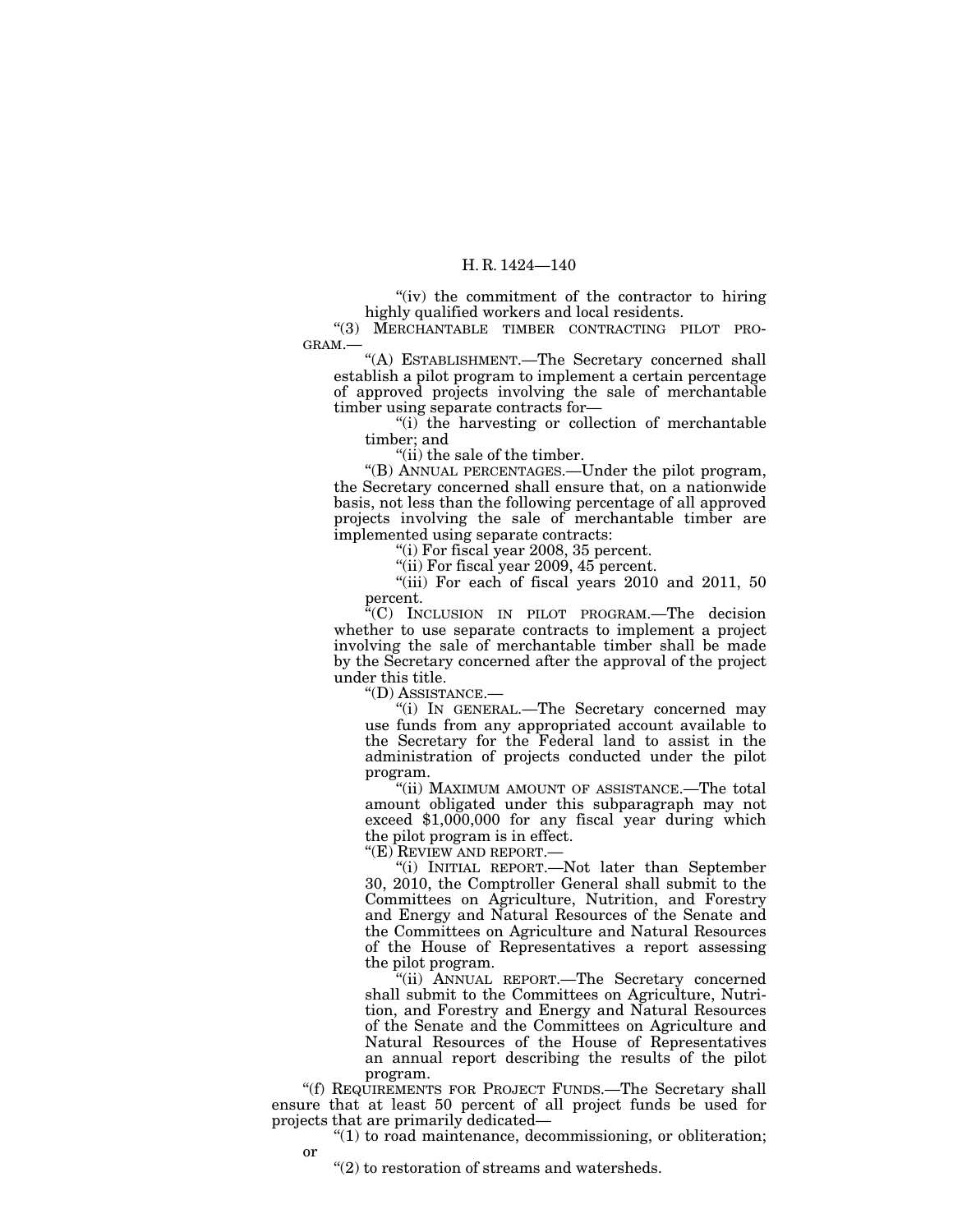"(iv) the commitment of the contractor to hiring highly qualified workers and local residents.

''(3) MERCHANTABLE TIMBER CONTRACTING PILOT PRO-GRAM.—

''(A) ESTABLISHMENT.—The Secretary concerned shall establish a pilot program to implement a certain percentage of approved projects involving the sale of merchantable timber using separate contracts for—

"(i) the harvesting or collection of merchantable timber; and

''(ii) the sale of the timber.

''(B) ANNUAL PERCENTAGES.—Under the pilot program, the Secretary concerned shall ensure that, on a nationwide basis, not less than the following percentage of all approved projects involving the sale of merchantable timber are implemented using separate contracts:

''(i) For fiscal year 2008, 35 percent.

''(ii) For fiscal year 2009, 45 percent.

"(iii) For each of fiscal years 2010 and 2011, 50 percent.

 $E^{\text{c}}(C)$  INCLUSION IN PILOT PROGRAM.—The decision whether to use separate contracts to implement a project involving the sale of merchantable timber shall be made by the Secretary concerned after the approval of the project under this title.

''(D) ASSISTANCE.—

''(i) IN GENERAL.—The Secretary concerned may use funds from any appropriated account available to the Secretary for the Federal land to assist in the administration of projects conducted under the pilot program.

''(ii) MAXIMUM AMOUNT OF ASSISTANCE.—The total amount obligated under this subparagraph may not exceed \$1,000,000 for any fiscal year during which the pilot program is in effect.

''(E) REVIEW AND REPORT.—

''(i) INITIAL REPORT.—Not later than September 30, 2010, the Comptroller General shall submit to the Committees on Agriculture, Nutrition, and Forestry and Energy and Natural Resources of the Senate and the Committees on Agriculture and Natural Resources of the House of Representatives a report assessing the pilot program.

''(ii) ANNUAL REPORT.—The Secretary concerned shall submit to the Committees on Agriculture, Nutrition, and Forestry and Energy and Natural Resources of the Senate and the Committees on Agriculture and Natural Resources of the House of Representatives an annual report describing the results of the pilot program.

''(f) REQUIREMENTS FOR PROJECT FUNDS.—The Secretary shall ensure that at least 50 percent of all project funds be used for projects that are primarily dedicated—

 $"(1)$  to road maintenance, decommissioning, or obliteration;

''(2) to restoration of streams and watersheds.

or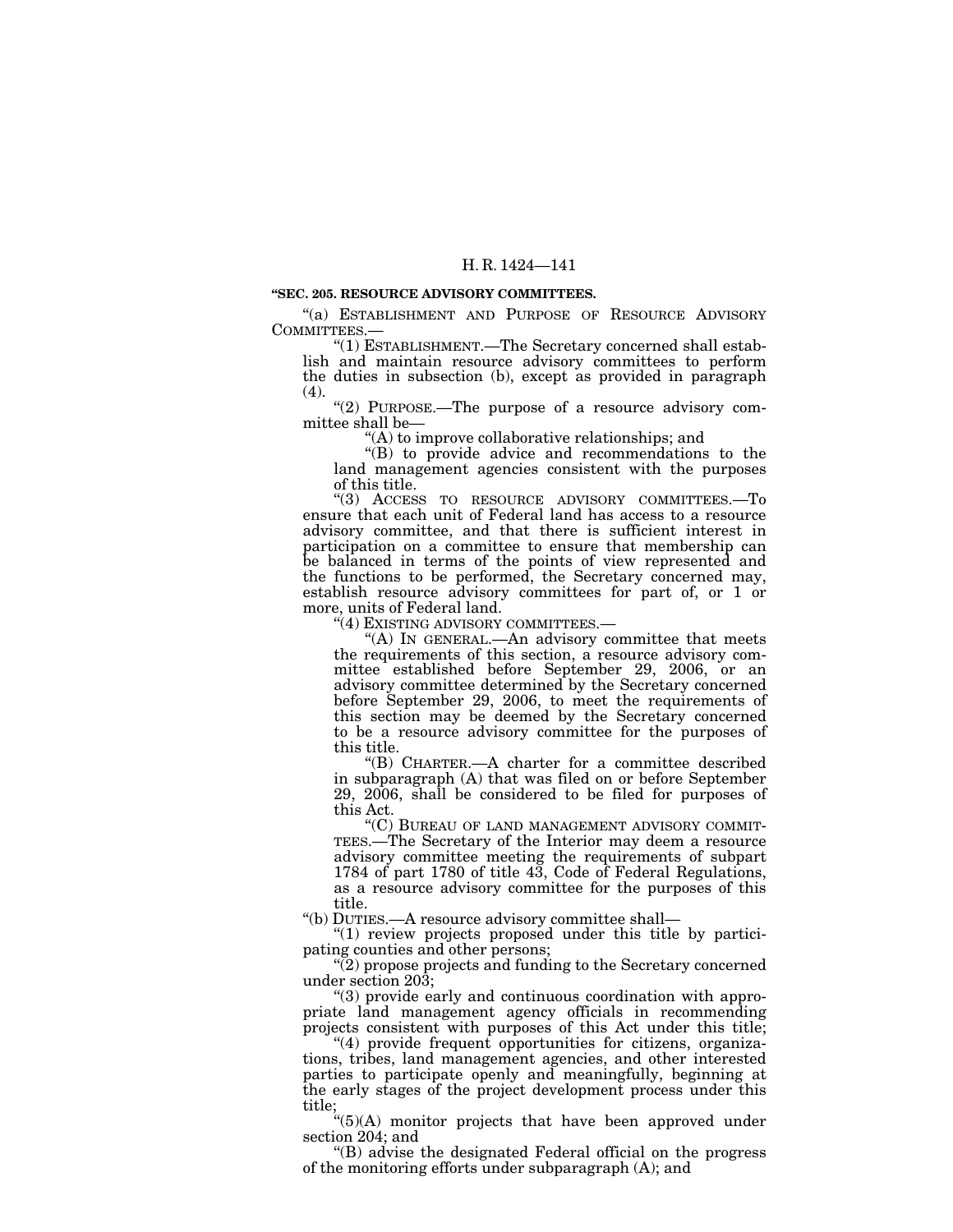#### **''SEC. 205. RESOURCE ADVISORY COMMITTEES.**

''(a) ESTABLISHMENT AND PURPOSE OF RESOURCE ADVISORY

COMMITTEES.— ''(1) ESTABLISHMENT.—The Secretary concerned shall establish and maintain resource advisory committees to perform the duties in subsection (b), except as provided in paragraph (4).

"(2) PURPOSE.—The purpose of a resource advisory committee shall be—

''(A) to improve collaborative relationships; and

''(B) to provide advice and recommendations to the land management agencies consistent with the purposes of this title.

''(3) ACCESS TO RESOURCE ADVISORY COMMITTEES.—To ensure that each unit of Federal land has access to a resource advisory committee, and that there is sufficient interest in participation on a committee to ensure that membership can be balanced in terms of the points of view represented and the functions to be performed, the Secretary concerned may, establish resource advisory committees for part of, or 1 or more, units of Federal land.

"(4) EXISTING ADVISORY COMMITTEES.-

''(A) IN GENERAL.—An advisory committee that meets the requirements of this section, a resource advisory committee established before September 29, 2006, or an advisory committee determined by the Secretary concerned before September 29, 2006, to meet the requirements of this section may be deemed by the Secretary concerned to be a resource advisory committee for the purposes of this title.

''(B) CHARTER.—A charter for a committee described in subparagraph (A) that was filed on or before September 29, 2006, shall be considered to be filed for purposes of this Act.<br>"(C) BUREAU OF LAND MANAGEMENT ADVISORY COMMIT-

TEES.—The Secretary of the Interior may deem a resource advisory committee meeting the requirements of subpart 1784 of part 1780 of title 43, Code of Federal Regulations, as a resource advisory committee for the purposes of this title.

''(b) DUTIES.—A resource advisory committee shall—

''(1) review projects proposed under this title by participating counties and other persons;

''(2) propose projects and funding to the Secretary concerned under section 203;

''(3) provide early and continuous coordination with appropriate land management agency officials in recommending projects consistent with purposes of this Act under this title;

"(4) provide frequent opportunities for citizens, organizations, tribes, land management agencies, and other interested parties to participate openly and meaningfully, beginning at the early stages of the project development process under this title;

 $(5)(A)$  monitor projects that have been approved under section 204; and

''(B) advise the designated Federal official on the progress of the monitoring efforts under subparagraph (A); and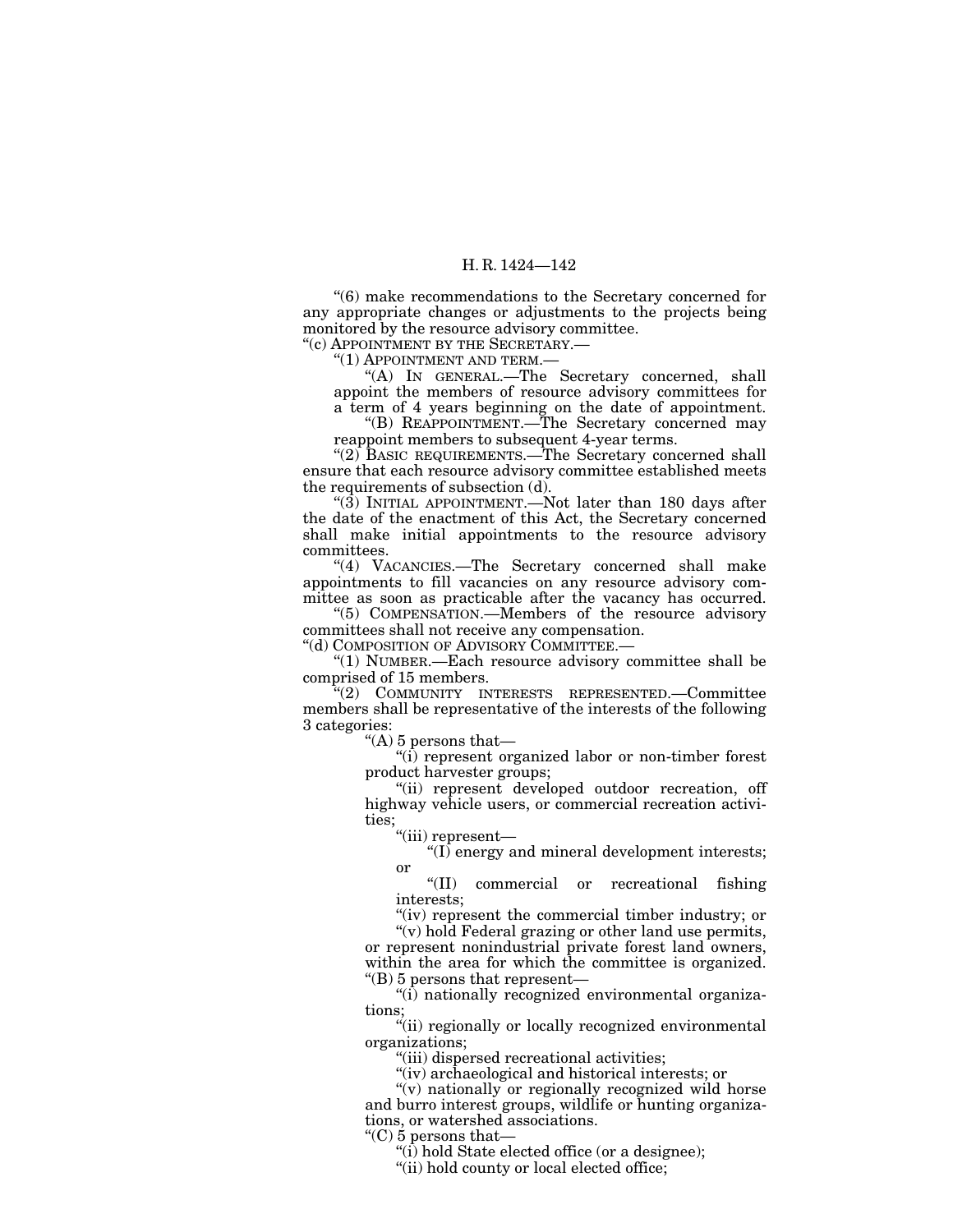''(6) make recommendations to the Secretary concerned for any appropriate changes or adjustments to the projects being monitored by the resource advisory committee.

''(c) APPOINTMENT BY THE SECRETARY.—

"(1) APPOINTMENT AND TERM.-

''(A) IN GENERAL.—The Secretary concerned, shall appoint the members of resource advisory committees for a term of 4 years beginning on the date of appointment.

''(B) REAPPOINTMENT.—The Secretary concerned may reappoint members to subsequent 4-year terms.

"(2) BASIC REQUIREMENTS.—The Secretary concerned shall ensure that each resource advisory committee established meets the requirements of subsection (d).

" $(3)$  INITIAL APPOINTMENT.—Not later than 180 days after the date of the enactment of this Act, the Secretary concerned shall make initial appointments to the resource advisory committees.

''(4) VACANCIES.—The Secretary concerned shall make appointments to fill vacancies on any resource advisory committee as soon as practicable after the vacancy has occurred.

''(5) COMPENSATION.—Members of the resource advisory committees shall not receive any compensation.

''(d) COMPOSITION OF ADVISORY COMMITTEE.—

''(1) NUMBER.—Each resource advisory committee shall be comprised of 15 members.

''(2) COMMUNITY INTERESTS REPRESENTED.—Committee members shall be representative of the interests of the following 3 categories:

''(A) 5 persons that—

 $\hat{f}$ ) represent organized labor or non-timber forest product harvester groups;

''(ii) represent developed outdoor recreation, off highway vehicle users, or commercial recreation activities;

''(iii) represent—

''(I) energy and mineral development interests; or

''(II) commercial or recreational fishing interests;

"(iv) represent the commercial timber industry; or

''(v) hold Federal grazing or other land use permits, or represent nonindustrial private forest land owners, within the area for which the committee is organized. ''(B) 5 persons that represent—

''(i) nationally recognized environmental organizations;

''(ii) regionally or locally recognized environmental organizations;

''(iii) dispersed recreational activities;

''(iv) archaeological and historical interests; or

" $(v)$  nationally or regionally recognized wild horse and burro interest groups, wildlife or hunting organizations, or watershed associations.

"(C)  $\ddot{\text{o}}$  persons that-

"( $i$ ) hold State elected office (or a designee);

"(ii) hold county or local elected office;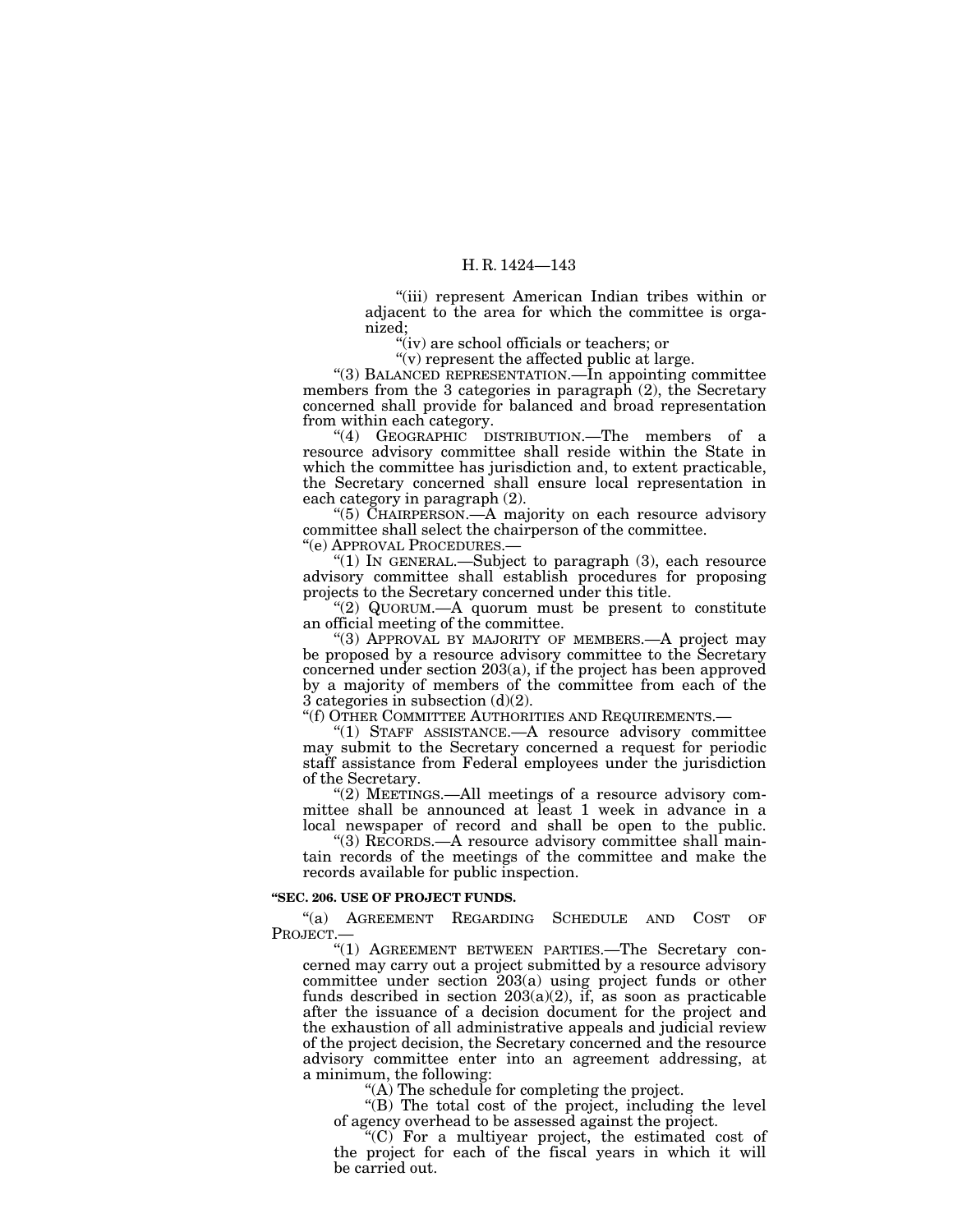''(iii) represent American Indian tribes within or adjacent to the area for which the committee is organized;

"(iv) are school officials or teachers; or

" $(v)$  represent the affected public at large.

''(3) BALANCED REPRESENTATION.—In appointing committee members from the 3 categories in paragraph (2), the Secretary concerned shall provide for balanced and broad representation from within each category.

''(4) GEOGRAPHIC DISTRIBUTION.—The members of a resource advisory committee shall reside within the State in which the committee has jurisdiction and, to extent practicable, the Secretary concerned shall ensure local representation in each category in paragraph (2).

''(5) CHAIRPERSON.—A majority on each resource advisory committee shall select the chairperson of the committee.

''(e) APPROVAL PROCEDURES.—

" $(1)$  In GENERAL.—Subject to paragraph  $(3)$ , each resource advisory committee shall establish procedures for proposing projects to the Secretary concerned under this title.

''(2) QUORUM.—A quorum must be present to constitute an official meeting of the committee.

"(3) APPROVAL BY MAJORITY OF MEMBERS.—A project may be proposed by a resource advisory committee to the Secretary concerned under section 203(a), if the project has been approved by a majority of members of the committee from each of the 3 categories in subsection (d)(2).

''(f) OTHER COMMITTEE AUTHORITIES AND REQUIREMENTS.—

''(1) STAFF ASSISTANCE.—A resource advisory committee may submit to the Secretary concerned a request for periodic staff assistance from Federal employees under the jurisdiction of the Secretary.

"(2) MEETINGS.—All meetings of a resource advisory committee shall be announced at least 1 week in advance in a local newspaper of record and shall be open to the public.

''(3) RECORDS.—A resource advisory committee shall maintain records of the meetings of the committee and make the records available for public inspection.

#### **''SEC. 206. USE OF PROJECT FUNDS.**

''(a) AGREEMENT REGARDING SCHEDULE AND COST OF PROJECT.—

''(1) AGREEMENT BETWEEN PARTIES.—The Secretary concerned may carry out a project submitted by a resource advisory committee under section 203(a) using project funds or other funds described in section  $203(a)(2)$ , if, as soon as practicable after the issuance of a decision document for the project and the exhaustion of all administrative appeals and judicial review of the project decision, the Secretary concerned and the resource advisory committee enter into an agreement addressing, at a minimum, the following:

''(A) The schedule for completing the project.

''(B) The total cost of the project, including the level of agency overhead to be assessed against the project.

''(C) For a multiyear project, the estimated cost of the project for each of the fiscal years in which it will be carried out.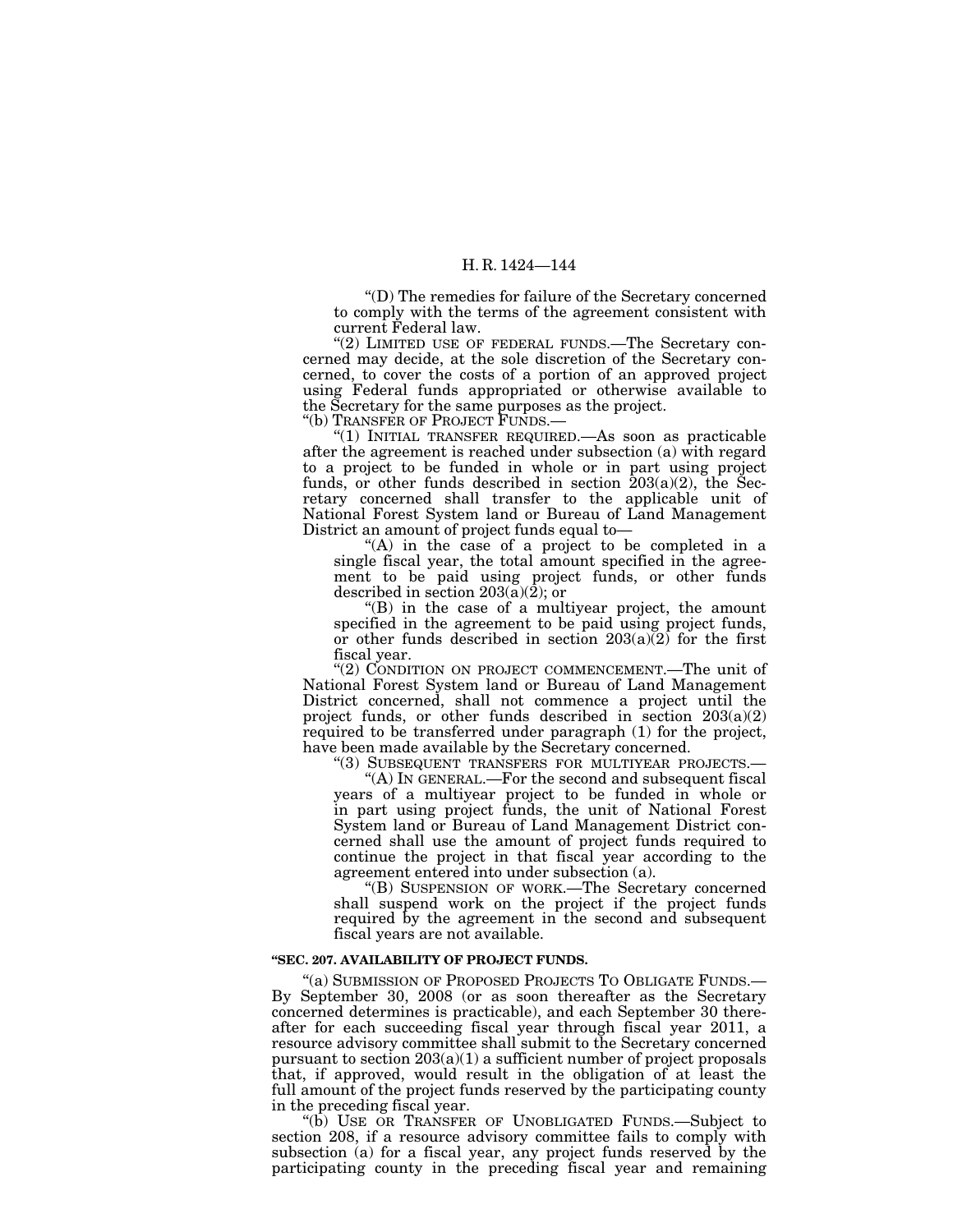''(D) The remedies for failure of the Secretary concerned to comply with the terms of the agreement consistent with current Federal law.

"(2) LIMITED USE OF FEDERAL FUNDS.—The Secretary concerned may decide, at the sole discretion of the Secretary concerned, to cover the costs of a portion of an approved project using Federal funds appropriated or otherwise available to the Secretary for the same purposes as the project. ''(b) TRANSFER OF PROJECT FUNDS.—

''(1) INITIAL TRANSFER REQUIRED.—As soon as practicable after the agreement is reached under subsection (a) with regard to a project to be funded in whole or in part using project funds, or other funds described in section  $203(a)(2)$ , the Secretary concerned shall transfer to the applicable unit of National Forest System land or Bureau of Land Management District an amount of project funds equal to—

"(A) in the case of a project to be completed in a single fiscal year, the total amount specified in the agreement to be paid using project funds, or other funds described in section 203(a)(2); or

''(B) in the case of a multiyear project, the amount specified in the agreement to be paid using project funds, or other funds described in section  $203(a)\overline{(2)}$  for the first fiscal year.

"(2) CONDITION ON PROJECT COMMENCEMENT.—The unit of National Forest System land or Bureau of Land Management District concerned, shall not commence a project until the project funds, or other funds described in section  $203(a)(2)$ required to be transferred under paragraph (1) for the project, have been made available by the Secretary concerned.

"(3) SUBSEQUENT TRANSFERS FOR MULTIYEAR PROJECTS.-

''(A) IN GENERAL.—For the second and subsequent fiscal years of a multiyear project to be funded in whole or in part using project funds, the unit of National Forest System land or Bureau of Land Management District concerned shall use the amount of project funds required to continue the project in that fiscal year according to the agreement entered into under subsection (a).

''(B) SUSPENSION OF WORK.—The Secretary concerned shall suspend work on the project if the project funds required by the agreement in the second and subsequent fiscal years are not available.

#### **''SEC. 207. AVAILABILITY OF PROJECT FUNDS.**

''(a) SUBMISSION OF PROPOSED PROJECTS TO OBLIGATE FUNDS.— By September 30, 2008 (or as soon thereafter as the Secretary concerned determines is practicable), and each September 30 thereafter for each succeeding fiscal year through fiscal year 2011, a resource advisory committee shall submit to the Secretary concerned pursuant to section 203(a)(1) a sufficient number of project proposals that, if approved, would result in the obligation of at least the full amount of the project funds reserved by the participating county in the preceding fiscal year.

''(b) USE OR TRANSFER OF UNOBLIGATED FUNDS.—Subject to section 208, if a resource advisory committee fails to comply with subsection (a) for a fiscal year, any project funds reserved by the participating county in the preceding fiscal year and remaining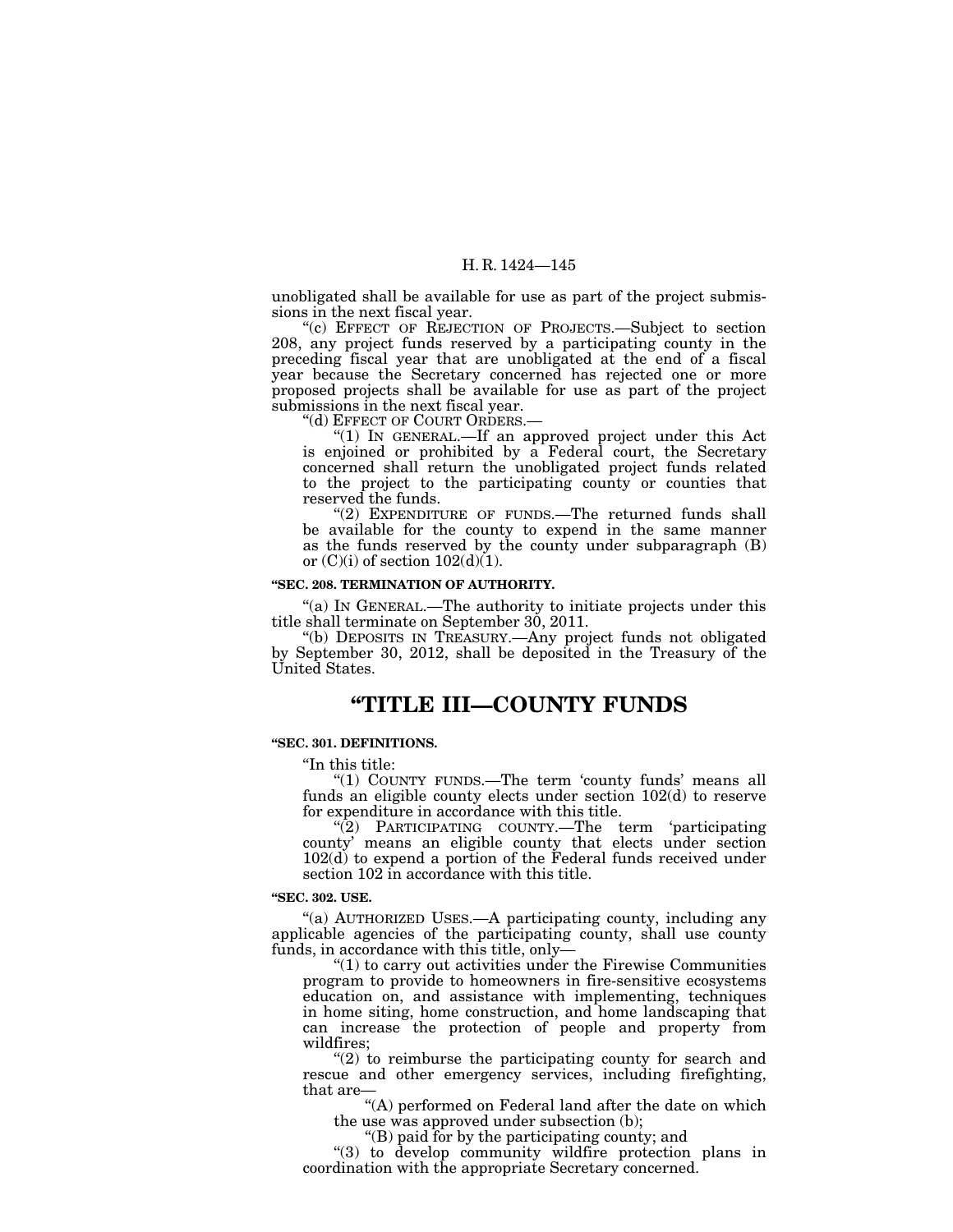unobligated shall be available for use as part of the project submissions in the next fiscal year.

''(c) EFFECT OF REJECTION OF PROJECTS.—Subject to section 208, any project funds reserved by a participating county in the preceding fiscal year that are unobligated at the end of a fiscal year because the Secretary concerned has rejected one or more proposed projects shall be available for use as part of the project submissions in the next fiscal year.

''(d) EFFECT OF COURT ORDERS.—

"(1) IN GENERAL.—If an approved project under this Act is enjoined or prohibited by a Federal court, the Secretary concerned shall return the unobligated project funds related to the project to the participating county or counties that reserved the funds.

"(2) EXPENDITURE OF FUNDS.—The returned funds shall be available for the county to expend in the same manner as the funds reserved by the county under subparagraph (B) or  $(C)(i)$  of section  $102(d)(1)$ .

#### **''SEC. 208. TERMINATION OF AUTHORITY.**

''(a) IN GENERAL.—The authority to initiate projects under this title shall terminate on September 30, 2011.

''(b) DEPOSITS IN TREASURY.—Any project funds not obligated by September 30, 2012, shall be deposited in the Treasury of the United States.

# **''TITLE III—COUNTY FUNDS**

#### **''SEC. 301. DEFINITIONS.**

''In this title:

''(1) COUNTY FUNDS.—The term 'county funds' means all funds an eligible county elects under section 102(d) to reserve for expenditure in accordance with this title.

''(2) PARTICIPATING COUNTY.—The term 'participating county' means an eligible county that elects under section  $102<sub>d</sub>$  to expend a portion of the Federal funds received under section 102 in accordance with this title.

#### **''SEC. 302. USE.**

''(a) AUTHORIZED USES.—A participating county, including any applicable agencies of the participating county, shall use county funds, in accordance with this title, only-

''(1) to carry out activities under the Firewise Communities program to provide to homeowners in fire-sensitive ecosystems education on, and assistance with implementing, techniques in home siting, home construction, and home landscaping that can increase the protection of people and property from wildfires;

 $(2)$  to reimburse the participating county for search and rescue and other emergency services, including firefighting, that are-

"(A) performed on Federal land after the date on which the use was approved under subsection (b);

''(B) paid for by the participating county; and

''(3) to develop community wildfire protection plans in coordination with the appropriate Secretary concerned.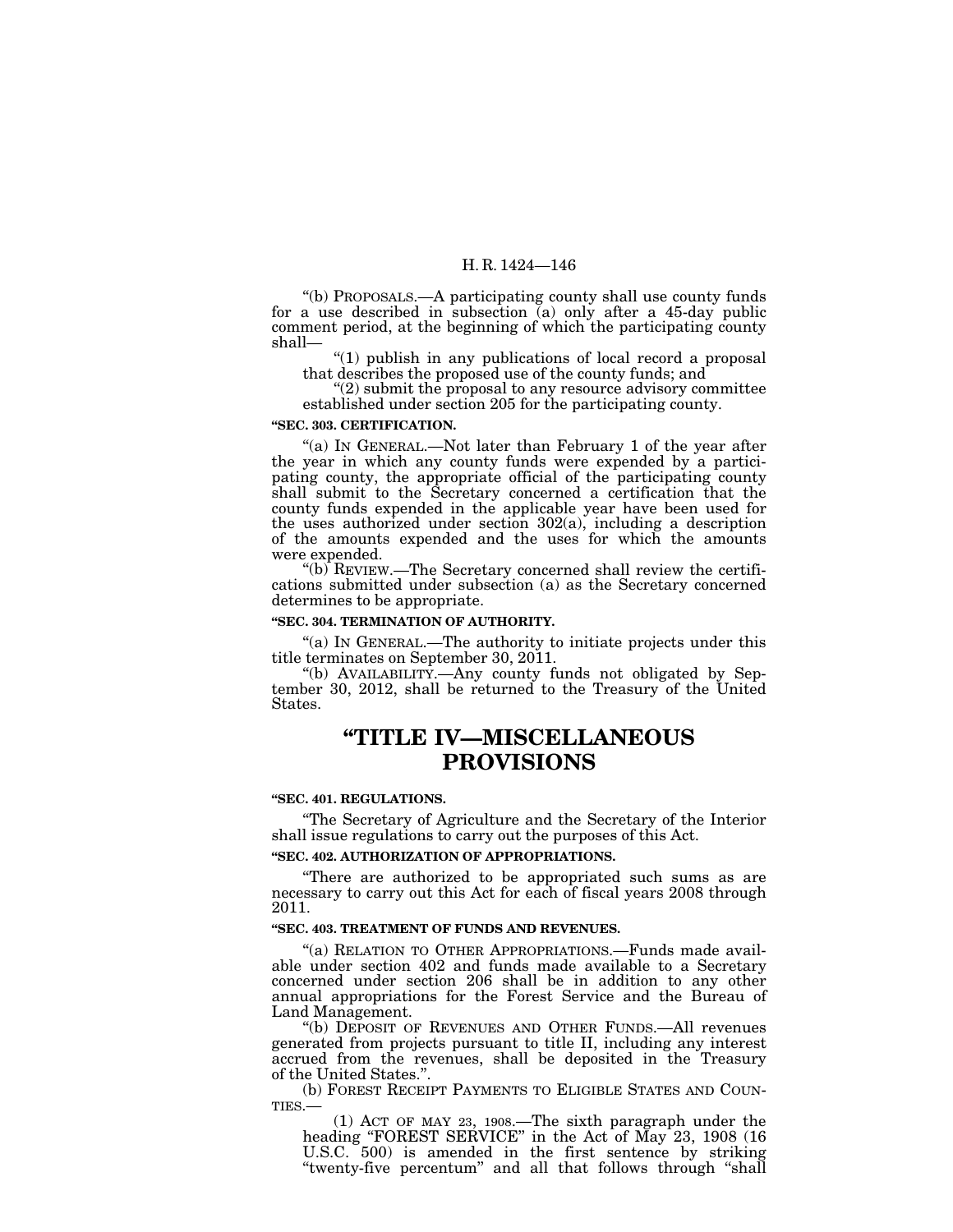''(b) PROPOSALS.—A participating county shall use county funds for a use described in subsection (a) only after a 45-day public comment period, at the beginning of which the participating county shall—

''(1) publish in any publications of local record a proposal that describes the proposed use of the county funds; and

''(2) submit the proposal to any resource advisory committee established under section 205 for the participating county.

#### **''SEC. 303. CERTIFICATION.**

"(a) IN GENERAL.—Not later than February 1 of the year after the year in which any county funds were expended by a participating county, the appropriate official of the participating county shall submit to the Secretary concerned a certification that the county funds expended in the applicable year have been used for the uses authorized under section 302(a), including a description of the amounts expended and the uses for which the amounts were expended.

''(b) REVIEW.—The Secretary concerned shall review the certifications submitted under subsection (a) as the Secretary concerned determines to be appropriate.

### **''SEC. 304. TERMINATION OF AUTHORITY.**

"(a) IN GENERAL.—The authority to initiate projects under this title terminates on September 30, 2011.

''(b) AVAILABILITY.—Any county funds not obligated by September 30, 2012, shall be returned to the Treasury of the United States.

# **''TITLE IV—MISCELLANEOUS PROVISIONS**

#### **''SEC. 401. REGULATIONS.**

''The Secretary of Agriculture and the Secretary of the Interior shall issue regulations to carry out the purposes of this Act.

#### **''SEC. 402. AUTHORIZATION OF APPROPRIATIONS.**

''There are authorized to be appropriated such sums as are necessary to carry out this Act for each of fiscal years 2008 through 2011.

#### **''SEC. 403. TREATMENT OF FUNDS AND REVENUES.**

''(a) RELATION TO OTHER APPROPRIATIONS.—Funds made available under section 402 and funds made available to a Secretary concerned under section 206 shall be in addition to any other annual appropriations for the Forest Service and the Bureau of Land Management.

''(b) DEPOSIT OF REVENUES AND OTHER FUNDS.—All revenues generated from projects pursuant to title II, including any interest accrued from the revenues, shall be deposited in the Treasury of the United States.''.

(b) FOREST RECEIPT PAYMENTS TO ELIGIBLE STATES AND COUN-TIES.—

(1) ACT OF MAY 23, 1908.—The sixth paragraph under the heading "FOREST SERVICE" in the Act of May 23, 1908 (16 U.S.C. 500) is amended in the first sentence by striking "twenty-five percentum" and all that follows through "shall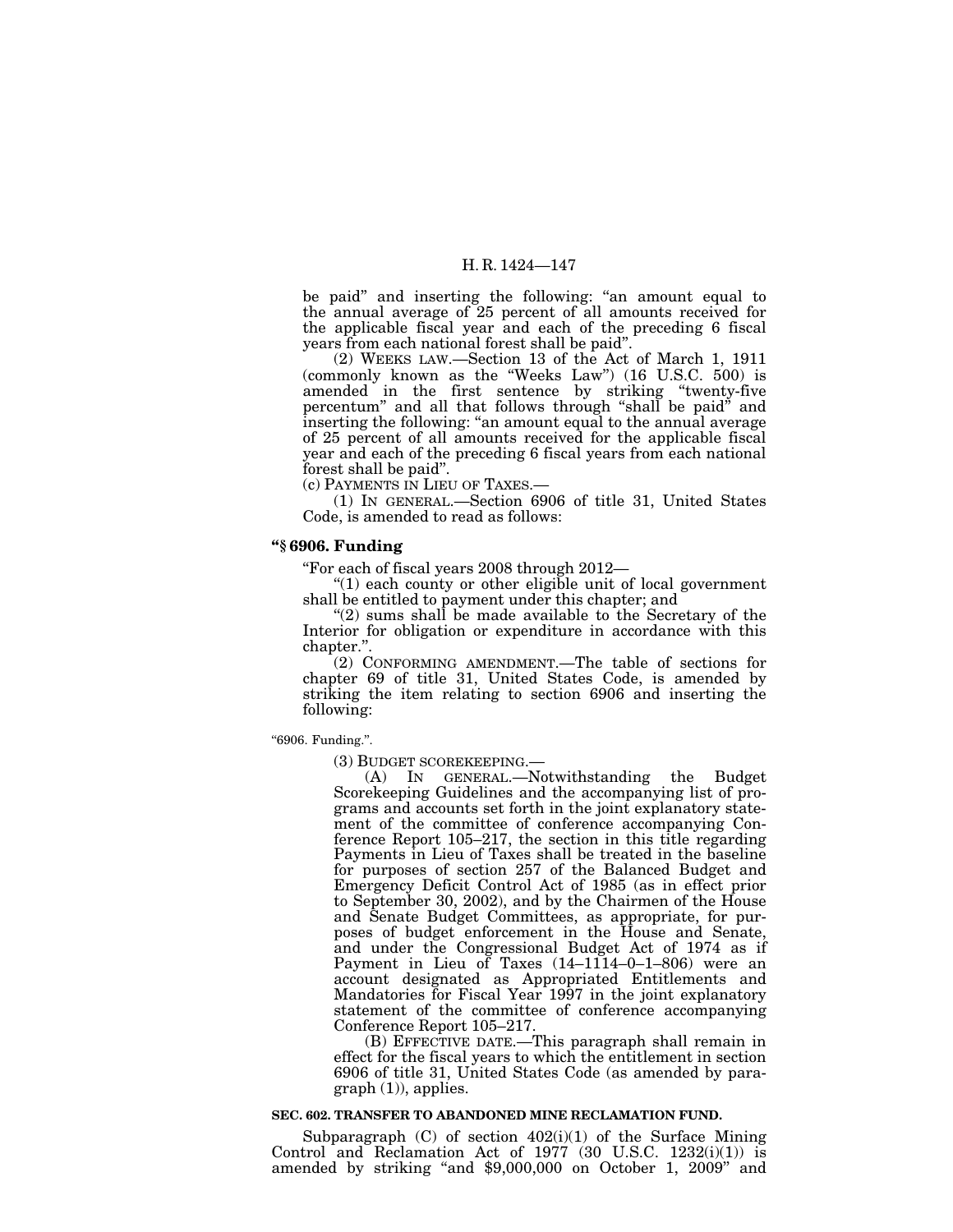be paid'' and inserting the following: ''an amount equal to the annual average of 25 percent of all amounts received for the applicable fiscal year and each of the preceding 6 fiscal years from each national forest shall be paid''.

(2) WEEKS LAW.—Section 13 of the Act of March 1, 1911 (commonly known as the ''Weeks Law'') (16 U.S.C. 500) is amended in the first sentence by striking ''twenty-five percentum" and all that follows through "shall be paid" and inserting the following: "an amount equal to the annual average of 25 percent of all amounts received for the applicable fiscal year and each of the preceding 6 fiscal years from each national forest shall be paid''.

(c) PAYMENTS IN LIEU OF TAXES.—

(1) IN GENERAL.—Section 6906 of title 31, United States Code, is amended to read as follows:

#### **''§ 6906. Funding**

''For each of fiscal years 2008 through 2012—

 $''(1)$  each county or other eligible unit of local government shall be entitled to payment under this chapter; and

"(2) sums shall be made available to the Secretary of the Interior for obligation or expenditure in accordance with this chapter.''.

(2) CONFORMING AMENDMENT.—The table of sections for chapter 69 of title 31, United States Code, is amended by striking the item relating to section 6906 and inserting the following:

''6906. Funding.''.

(3) BUDGET SCOREKEEPING.— (A) IN GENERAL.—Notwithstanding the Budget Scorekeeping Guidelines and the accompanying list of programs and accounts set forth in the joint explanatory statement of the committee of conference accompanying Conference Report 105–217, the section in this title regarding Payments in Lieu of Taxes shall be treated in the baseline for purposes of section 257 of the Balanced Budget and Emergency Deficit Control Act of 1985 (as in effect prior to September 30, 2002), and by the Chairmen of the House and Senate Budget Committees, as appropriate, for purposes of budget enforcement in the House and Senate, and under the Congressional Budget Act of 1974 as if Payment in Lieu of Taxes  $(14-1114-0-1-806)$  were an account designated as Appropriated Entitlements and Mandatories for Fiscal Year 1997 in the joint explanatory statement of the committee of conference accompanying Conference Report 105–217.

(B) EFFECTIVE DATE.—This paragraph shall remain in effect for the fiscal years to which the entitlement in section 6906 of title 31, United States Code (as amended by para $graph (1)$ , applies.

#### **SEC. 602. TRANSFER TO ABANDONED MINE RECLAMATION FUND.**

Subparagraph  $(C)$  of section  $402(i)(1)$  of the Surface Mining Control and Reclamation Act of 1977 (30 U.S.C. 1232 $(i)(1)$ ) is amended by striking "and \$9,000,000 on October 1, 2009" and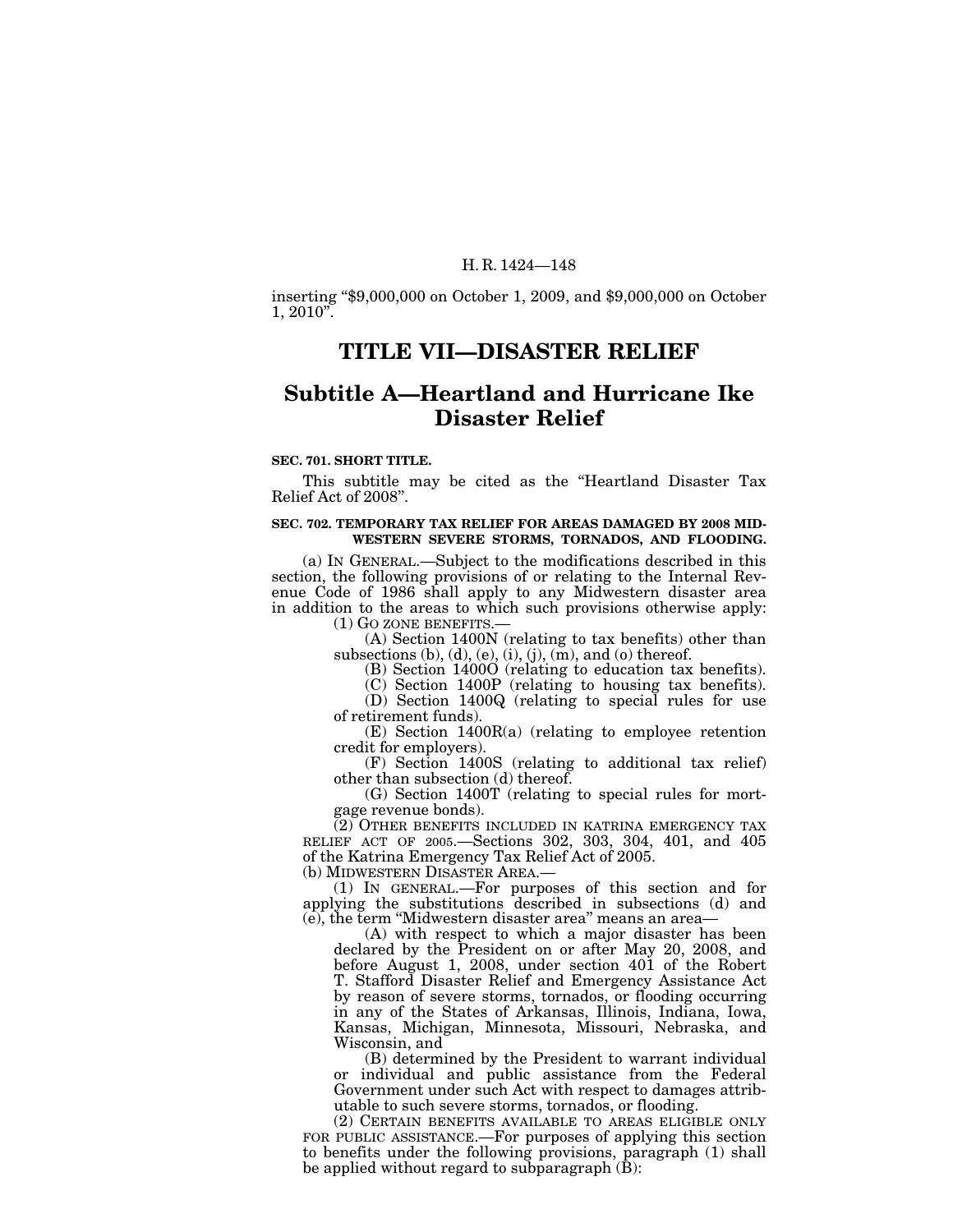inserting ''\$9,000,000 on October 1, 2009, and \$9,000,000 on October 1, 2010''.

# **TITLE VII—DISASTER RELIEF**

# **Subtitle A—Heartland and Hurricane Ike Disaster Relief**

### **SEC. 701. SHORT TITLE.**

This subtitle may be cited as the ''Heartland Disaster Tax Relief Act of 2008''.

#### **SEC. 702. TEMPORARY TAX RELIEF FOR AREAS DAMAGED BY 2008 MID-WESTERN SEVERE STORMS, TORNADOS, AND FLOODING.**

(a) IN GENERAL.—Subject to the modifications described in this section, the following provisions of or relating to the Internal Revenue Code of 1986 shall apply to any Midwestern disaster area in addition to the areas to which such provisions otherwise apply:

 $(1)$  Go zone benefits.

(A) Section 1400N (relating to tax benefits) other than subsections  $(b)$ ,  $(d)$ ,  $(e)$ ,  $(i)$ ,  $(j)$ ,  $(m)$ , and  $(o)$  thereof.

(B) Section 1400O (relating to education tax benefits).

(C) Section 1400P (relating to housing tax benefits).

(D) Section 1400Q (relating to special rules for use of retirement funds).

(E) Section 1400R(a) (relating to employee retention credit for employers).

(F) Section 1400S (relating to additional tax relief) other than subsection (d) thereof.

(G) Section 1400T (relating to special rules for mortgage revenue bonds).

(2) OTHER BENEFITS INCLUDED IN KATRINA EMERGENCY TAX RELIEF ACT OF 2005.—Sections 302, 303, 304, 401, and 405 of the Katrina Emergency Tax Relief Act of 2005.

(b) MIDWESTERN DISASTER AREA.—

(1) IN GENERAL.—For purposes of this section and for applying the substitutions described in subsections (d) and (e), the term ''Midwestern disaster area'' means an area—

(A) with respect to which a major disaster has been declared by the President on or after May 20, 2008, and before August 1, 2008, under section 401 of the Robert T. Stafford Disaster Relief and Emergency Assistance Act by reason of severe storms, tornados, or flooding occurring in any of the States of Arkansas, Illinois, Indiana, Iowa, Kansas, Michigan, Minnesota, Missouri, Nebraska, and Wisconsin, and

(B) determined by the President to warrant individual or individual and public assistance from the Federal Government under such Act with respect to damages attributable to such severe storms, tornados, or flooding.

(2) CERTAIN BENEFITS AVAILABLE TO AREAS ELIGIBLE ONLY FOR PUBLIC ASSISTANCE.—For purposes of applying this section to benefits under the following provisions, paragraph (1) shall be applied without regard to subparagraph  $(\bar{B})$ :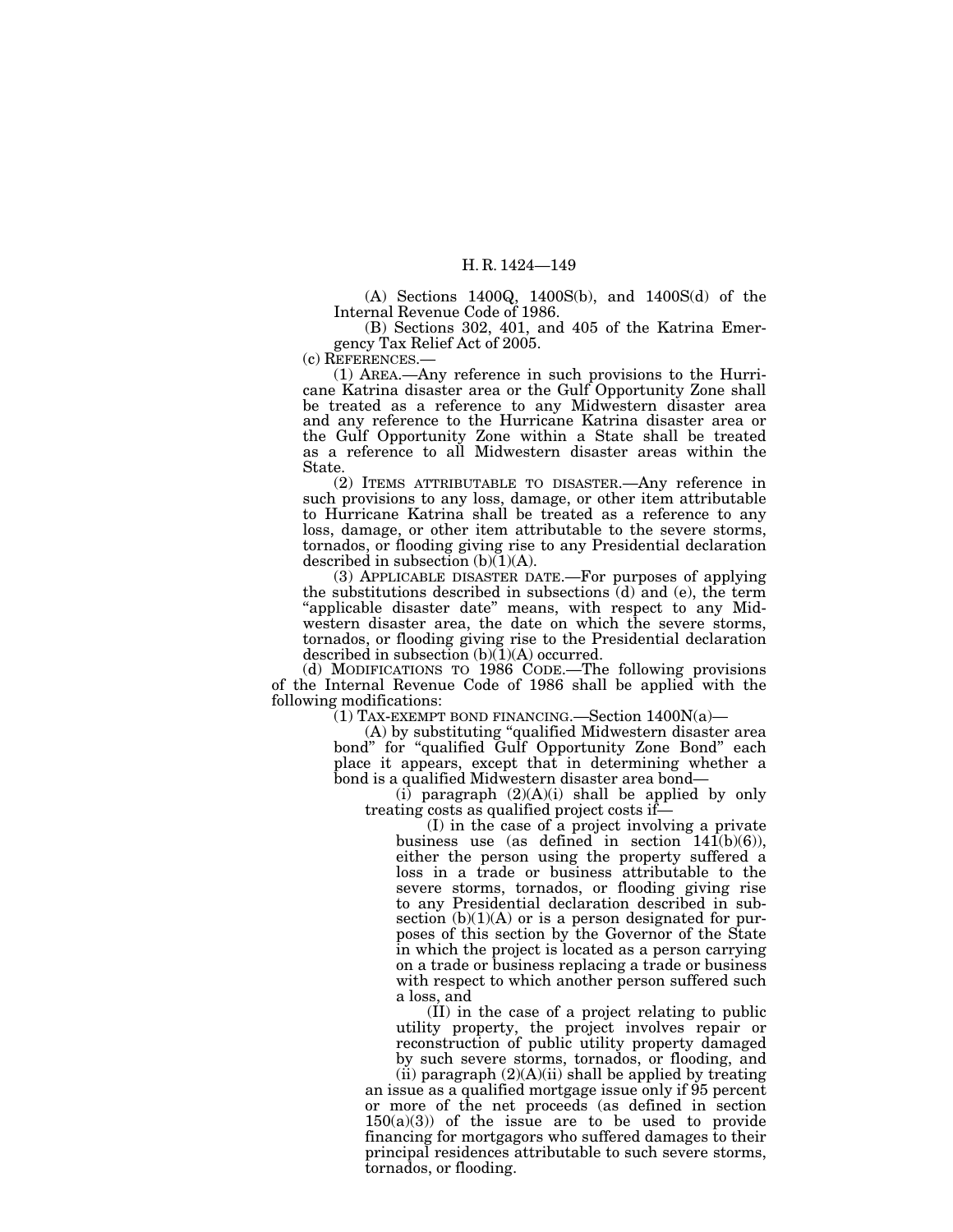(A) Sections 1400Q, 1400S(b), and 1400S(d) of the Internal Revenue Code of 1986.

(B) Sections 302, 401, and 405 of the Katrina Emergency Tax Relief Act of 2005.

(c) REFERENCES.—

(1) AREA.—Any reference in such provisions to the Hurricane Katrina disaster area or the Gulf Opportunity Zone shall be treated as a reference to any Midwestern disaster area and any reference to the Hurricane Katrina disaster area or the Gulf Opportunity Zone within a State shall be treated as a reference to all Midwestern disaster areas within the State.

(2) ITEMS ATTRIBUTABLE TO DISASTER.—Any reference in such provisions to any loss, damage, or other item attributable to Hurricane Katrina shall be treated as a reference to any loss, damage, or other item attributable to the severe storms, tornados, or flooding giving rise to any Presidential declaration described in subsection  $(b)(1)(A)$ .

(3) APPLICABLE DISASTER DATE.—For purposes of applying the substitutions described in subsections (d) and (e), the term "applicable disaster date" means, with respect to any Midwestern disaster area, the date on which the severe storms, tornados, or flooding giving rise to the Presidential declaration described in subsection  $(b)(1)(A)$  occurred.

(d) MODIFICATIONS TO 1986 CODE.—The following provisions of the Internal Revenue Code of 1986 shall be applied with the following modifications:

 $(1)$  TAX-EXEMPT BOND FINANCING.—Section  $1400N(a)$ —

(A) by substituting ''qualified Midwestern disaster area bond'' for ''qualified Gulf Opportunity Zone Bond'' each place it appears, except that in determining whether a bond is a qualified Midwestern disaster area bond—

(i) paragraph  $(2)(A)(i)$  shall be applied by only treating costs as qualified project costs if—

(I) in the case of a project involving a private business use (as defined in section  $141(b)(6)$ ), either the person using the property suffered a loss in a trade or business attributable to the severe storms, tornados, or flooding giving rise to any Presidential declaration described in subsection  $(b)(1)(A)$  or is a person designated for purposes of this section by the Governor of the State in which the project is located as a person carrying on a trade or business replacing a trade or business with respect to which another person suffered such a loss, and

(II) in the case of a project relating to public utility property, the project involves repair or reconstruction of public utility property damaged by such severe storms, tornados, or flooding, and  $(ii)$  paragraph  $(2)(A)(ii)$  shall be applied by treating

an issue as a qualified mortgage issue only if 95 percent or more of the net proceeds (as defined in section  $150(a)(3)$  of the issue are to be used to provide financing for mortgagors who suffered damages to their principal residences attributable to such severe storms, tornados, or flooding.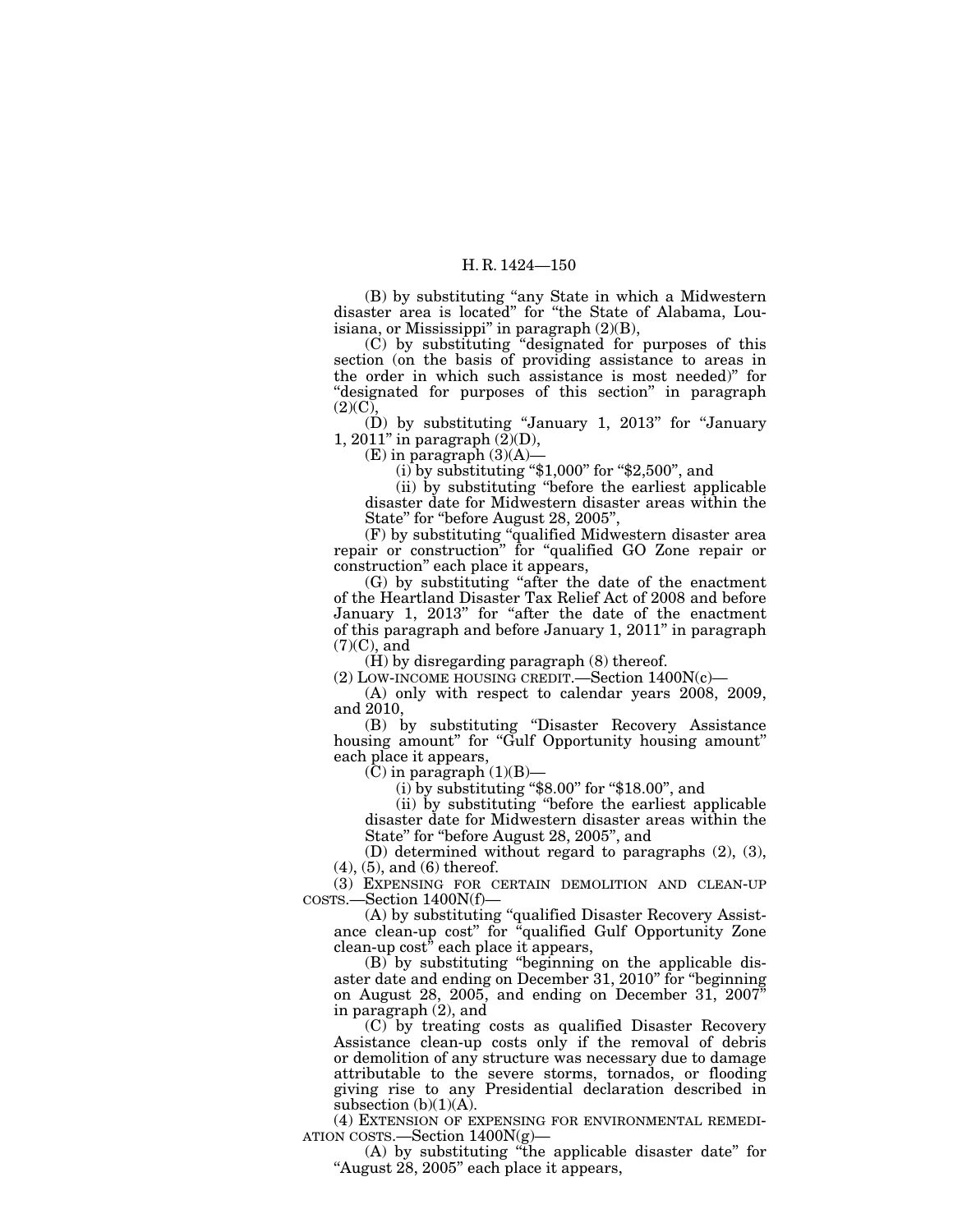(B) by substituting ''any State in which a Midwestern disaster area is located'' for ''the State of Alabama, Louisiana, or Mississippi'' in paragraph (2)(B),

(C) by substituting ''designated for purposes of this section (on the basis of providing assistance to areas in the order in which such assistance is most needed)'' for "designated for purposes of this section" in paragraph  $(2)(C)$ ,

 $(D)$  by substituting "January 1, 2013" for "January" 1, 2011" in paragraph  $(2)(D)$ ,

 $(E)$  in paragraph  $(3)(A)$ —

 $(i)$  by substituting "\$1,000" for "\$2,500", and

(ii) by substituting ''before the earliest applicable disaster date for Midwestern disaster areas within the State'' for ''before August 28, 2005'',

(F) by substituting ''qualified Midwestern disaster area repair or construction'' for ''qualified GO Zone repair or construction'' each place it appears,

(G) by substituting ''after the date of the enactment of the Heartland Disaster Tax Relief Act of 2008 and before January 1, 2013" for "after the date of the enactment of this paragraph and before January 1, 2011'' in paragraph (7)(C), and

(H) by disregarding paragraph (8) thereof.

(2) LOW-INCOME HOUSING CREDIT.—Section 1400N(c)—

(A) only with respect to calendar years 2008, 2009, and 2010,

(B) by substituting ''Disaster Recovery Assistance housing amount" for "Gulf Opportunity housing amount" each place it appears,

 $(C)$  in paragraph  $(1)(B)$ -

 $(i)$  by substituting "\$8.00" for "\$18.00", and

(ii) by substituting ''before the earliest applicable disaster date for Midwestern disaster areas within the State'' for ''before August 28, 2005'', and

(D) determined without regard to paragraphs (2), (3), (4), (5), and (6) thereof.

(3) EXPENSING FOR CERTAIN DEMOLITION AND CLEAN-UP COSTS.—Section 1400N(f)—

(A) by substituting ''qualified Disaster Recovery Assistance clean-up cost'' for ''qualified Gulf Opportunity Zone clean-up  $cost^{\hat{v}}$  each place it appears,

(B) by substituting ''beginning on the applicable disaster date and ending on December 31, 2010'' for ''beginning on August 28, 2005, and ending on December 31, 2007 in paragraph (2), and

(C) by treating costs as qualified Disaster Recovery Assistance clean-up costs only if the removal of debris or demolition of any structure was necessary due to damage attributable to the severe storms, tornados, or flooding giving rise to any Presidential declaration described in subsection  $(b)(1)(A)$ .

(4) EXTENSION OF EXPENSING FOR ENVIRONMENTAL REMEDI-ATION COSTS.—Section 1400N(g)—

(A) by substituting ''the applicable disaster date'' for ''August 28, 2005'' each place it appears,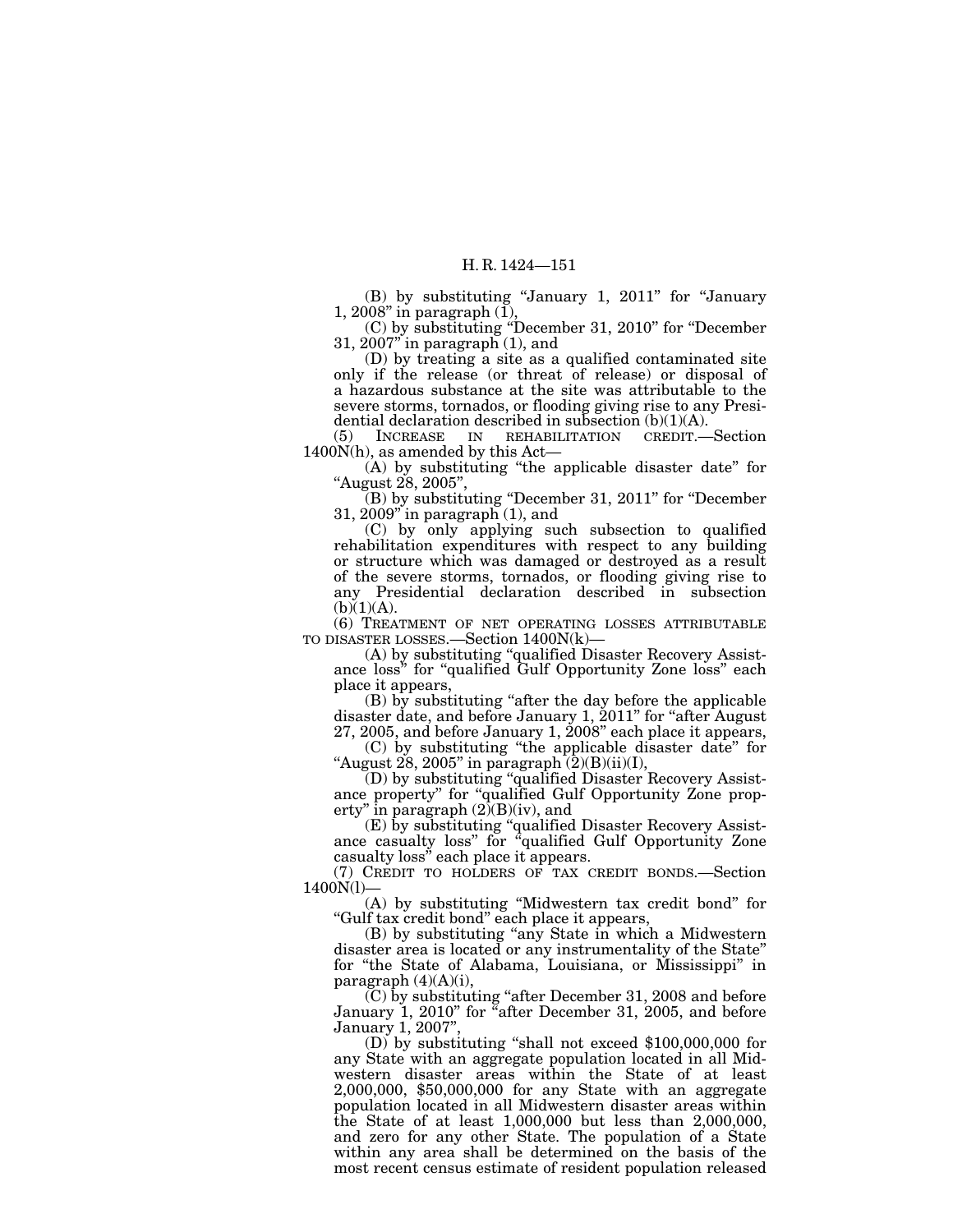(B) by substituting ''January 1, 2011'' for ''January 1, 2008" in paragraph  $(1)$ ,

(C) by substituting ''December 31, 2010'' for ''December 31, 2007'' in paragraph (1), and

(D) by treating a site as a qualified contaminated site only if the release (or threat of release) or disposal of a hazardous substance at the site was attributable to the severe storms, tornados, or flooding giving rise to any Presidential declaration described in subsection  $(b)(1)(A)$ .<br>(5) INCREASE IN REHABILITATION CREDIT.—Section

(5) INCREASE IN REHABILITATION 1400N(h), as amended by this Act—

(A) by substituting ''the applicable disaster date'' for ''August 28, 2005'',

(B) by substituting ''December 31, 2011'' for ''December 31,  $2009$ " in paragraph  $(1)$ , and

(C) by only applying such subsection to qualified rehabilitation expenditures with respect to any building or structure which was damaged or destroyed as a result of the severe storms, tornados, or flooding giving rise to any Presidential declaration described in subsection  $(b)(1)(A)$ .

(6) TREATMENT OF NET OPERATING LOSSES ATTRIBUTABLE TO DISASTER LOSSES.—Section 1400N(k)—

(A) by substituting ''qualified Disaster Recovery Assistance loss'' for ''qualified Gulf Opportunity Zone loss'' each place it appears,

(B) by substituting ''after the day before the applicable disaster date, and before January 1, 2011" for "after August" 27, 2005, and before January 1, 2008'' each place it appears,

(C) by substituting ''the applicable disaster date'' for "August 28, 2005" in paragraph  $\overline{(2)}$ (B) $\overline{(ii)}$ (I),

(D) by substituting ''qualified Disaster Recovery Assistance property'' for ''qualified Gulf Opportunity Zone property" in paragraph  $(2)(B)(iv)$ , and

(E) by substituting ''qualified Disaster Recovery Assistance casualty loss'' for ''qualified Gulf Opportunity Zone casualty loss'' each place it appears.

(7) CREDIT TO HOLDERS OF TAX CREDIT BONDS.—Section 1400N(l)—

(A) by substituting ''Midwestern tax credit bond'' for ''Gulf tax credit bond'' each place it appears,

(B) by substituting ''any State in which a Midwestern disaster area is located or any instrumentality of the State'' for ''the State of Alabama, Louisiana, or Mississippi'' in paragraph  $(4)(A)(i)$ ,

(C) by substituting ''after December 31, 2008 and before January 1, 2010'' for ''after December 31, 2005, and before

January 1, 2007",<br>
(D) by substituting "shall not exceed \$100,000,000 for any State with an aggregate population located in all Midwestern disaster areas within the State of at least 2,000,000, \$50,000,000 for any State with an aggregate population located in all Midwestern disaster areas within the State of at least 1,000,000 but less than 2,000,000, and zero for any other State. The population of a State within any area shall be determined on the basis of the most recent census estimate of resident population released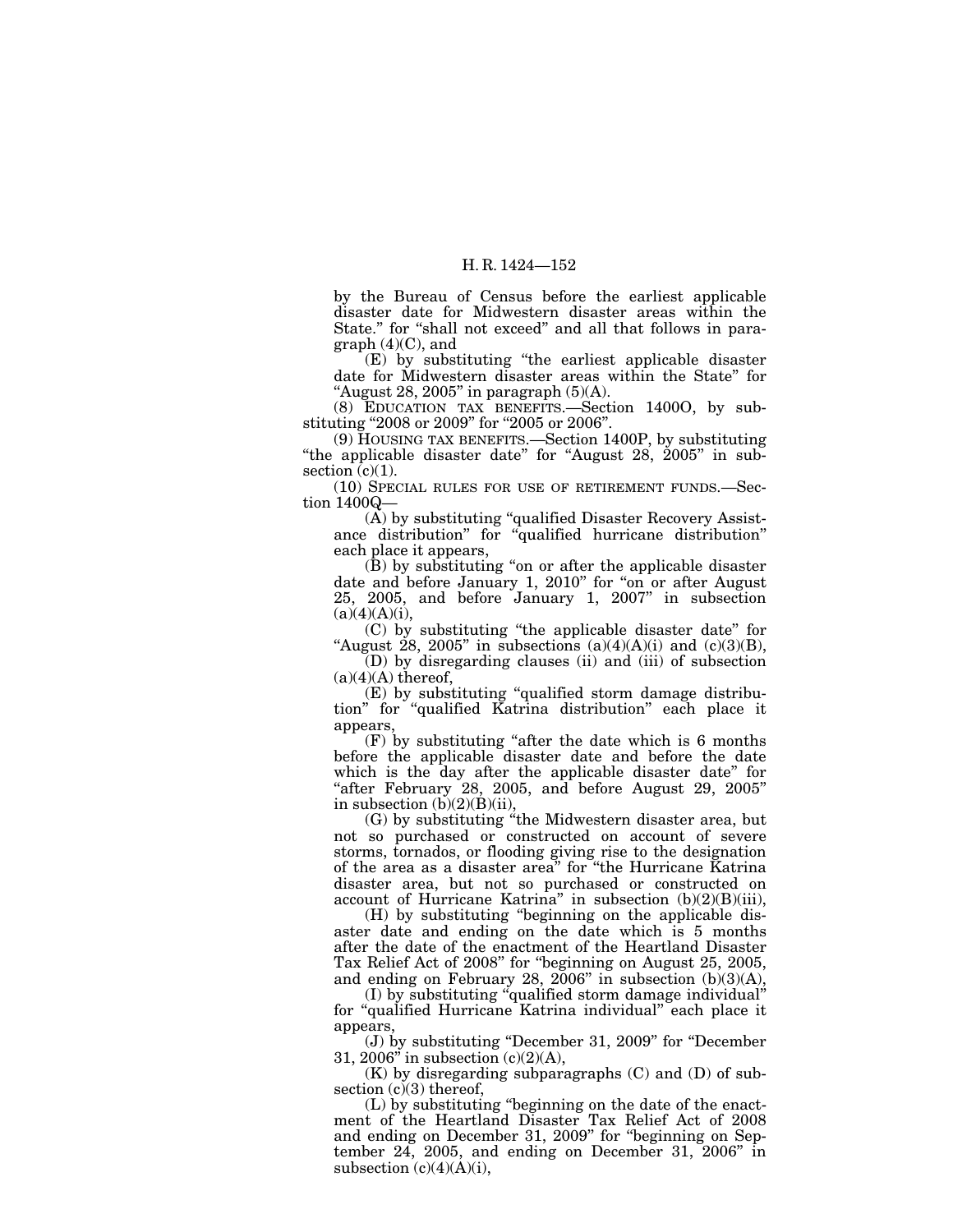by the Bureau of Census before the earliest applicable disaster date for Midwestern disaster areas within the State." for "shall not exceed" and all that follows in paragraph (4)(C), and

(E) by substituting ''the earliest applicable disaster date for Midwestern disaster areas within the State'' for "August  $28$ ,  $2005$ " in paragraph  $(5)(A)$ .

(8) EDUCATION TAX BENEFITS.—Section 1400O, by substituting "2008 or 2009" for "2005 or 2006".

(9) HOUSING TAX BENEFITS.—Section 1400P, by substituting "the applicable disaster date" for "August 28, 2005" in subsection  $(c)(1)$ .

(10) SPECIAL RULES FOR USE OF RETIREMENT FUNDS.—Section 1400Q—

(A) by substituting ''qualified Disaster Recovery Assistance distribution'' for ''qualified hurricane distribution'' each place it appears,

 $(\hat{B})$  by substituting "on or after the applicable disaster date and before January 1, 2010" for "on or after August 25, 2005, and before January 1, 2007'' in subsection  $(a)(4)(A)(i),$ 

(C) by substituting ''the applicable disaster date'' for "August 28, 2005" in subsections  $(a)(4)(A)(i)$  and  $(c)(3)(B)$ ,

 $(D)$  by disregarding clauses (ii) and (iii) of subsection  $(a)(4)(A)$  thereof,

(E) by substituting ''qualified storm damage distribution'' for ''qualified Katrina distribution'' each place it appears,

(F) by substituting ''after the date which is 6 months before the applicable disaster date and before the date which is the day after the applicable disaster date'' for ''after February 28, 2005, and before August 29, 2005'' in subsection  $(b)(2)(B)(ii)$ ,

(G) by substituting ''the Midwestern disaster area, but not so purchased or constructed on account of severe storms, tornados, or flooding giving rise to the designation of the area as a disaster area'' for ''the Hurricane Katrina disaster area, but not so purchased or constructed on account of Hurricane Katrina" in subsection  $(b)(2)(B)(iii)$ ,

(H) by substituting ''beginning on the applicable disaster date and ending on the date which is 5 months after the date of the enactment of the Heartland Disaster Tax Relief Act of 2008" for "beginning on August 25, 2005, and ending on February 28, 2006" in subsection  $(b)(3)(A)$ ,

(I) by substituting ''qualified storm damage individual'' for ''qualified Hurricane Katrina individual'' each place it appears,

(J) by substituting ''December 31, 2009'' for ''December 31, 2006" in subsection  $(c)(2)(A)$ ,

(K) by disregarding subparagraphs (C) and (D) of subsection  $(c)(3)$  thereof,

(L) by substituting ''beginning on the date of the enactment of the Heartland Disaster Tax Relief Act of 2008 and ending on December 31, 2009'' for ''beginning on September 24, 2005, and ending on December 31, 2006'' in subsection  $(c)(4)(A)(i)$ ,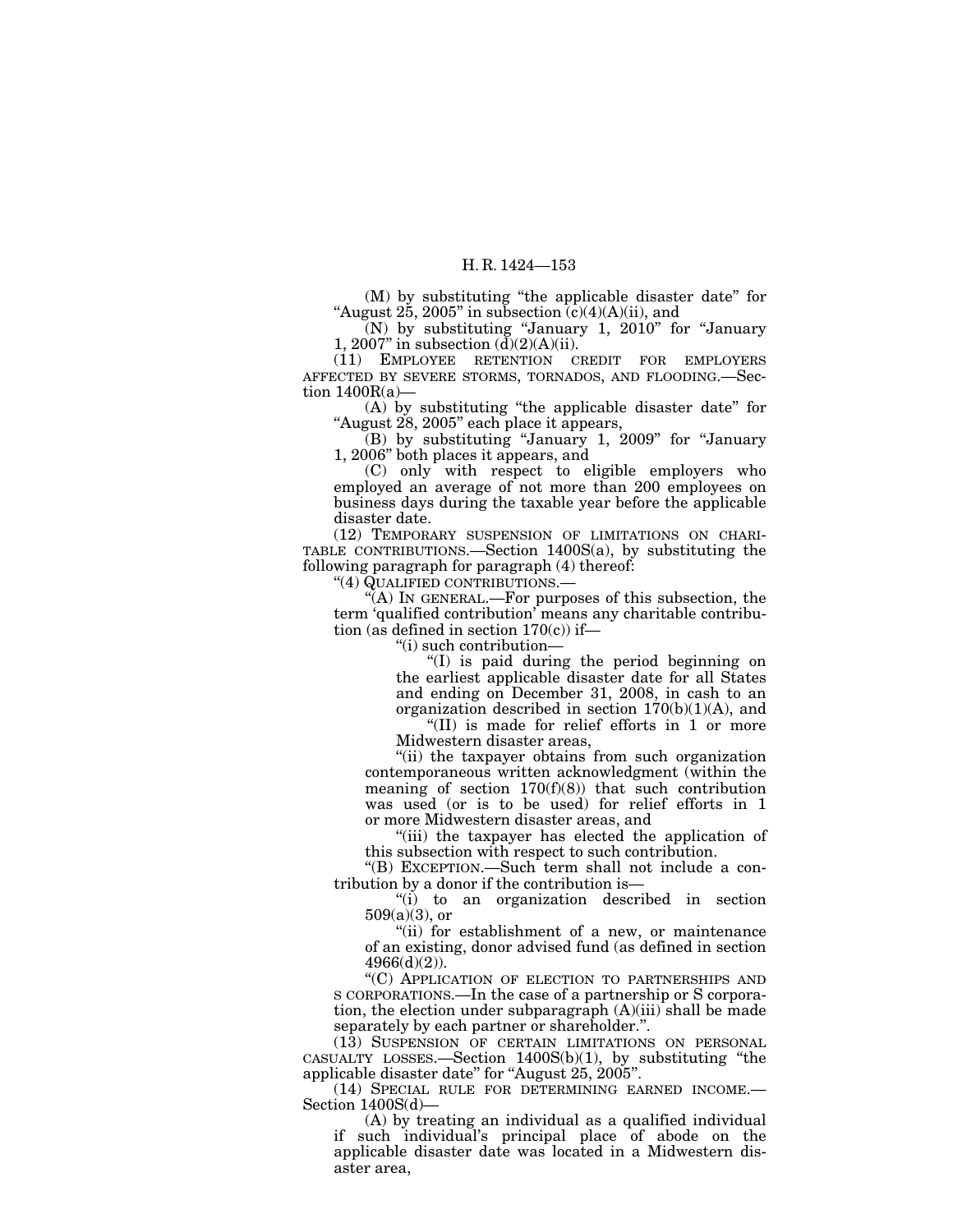(M) by substituting ''the applicable disaster date'' for "August 25, 2005" in subsection  $\overline{(c)}(4)(A)(ii)$ , and

(N) by substituting ''January 1, 2010'' for ''January 1, 2007" in subsection  $(d)(2)(A)(ii)$ .

(11) EMPLOYEE RETENTION CREDIT FOR EMPLOYERS AFFECTED BY SEVERE STORMS, TORNADOS, AND FLOODING.—Section  $1400R(a)$ 

(A) by substituting ''the applicable disaster date'' for "August 28, 2005" each place it appears,

(B) by substituting ''January 1, 2009'' for ''January 1, 2006'' both places it appears, and

(C) only with respect to eligible employers who employed an average of not more than 200 employees on business days during the taxable year before the applicable disaster date.

(12) TEMPORARY SUSPENSION OF LIMITATIONS ON CHARI-TABLE CONTRIBUTIONS.—Section 1400S(a), by substituting the following paragraph for paragraph (4) thereof:

''(4) QUALIFIED CONTRIBUTIONS.—

 $\sqrt{\rm A}$ ) In GENERAL.—For purposes of this subsection, the term 'qualified contribution' means any charitable contribution (as defined in section  $170(c)$ ) if—

''(i) such contribution—

''(I) is paid during the period beginning on the earliest applicable disaster date for all States and ending on December 31, 2008, in cash to an organization described in section  $170(b)(1)(A)$ , and

''(II) is made for relief efforts in 1 or more Midwestern disaster areas,

"(ii) the taxpayer obtains from such organization contemporaneous written acknowledgment (within the meaning of section  $170(f)(8)$  that such contribution was used (or is to be used) for relief efforts in 1 or more Midwestern disaster areas, and

''(iii) the taxpayer has elected the application of this subsection with respect to such contribution.

''(B) EXCEPTION.—Such term shall not include a contribution by a donor if the contribution is—

''(i) to an organization described in section  $509(a)(3)$ , or

''(ii) for establishment of a new, or maintenance of an existing, donor advised fund (as defined in section  $4966(d)(2)$ ).

''(C) APPLICATION OF ELECTION TO PARTNERSHIPS AND S CORPORATIONS.—In the case of a partnership or S corporation, the election under subparagraph (A)(iii) shall be made separately by each partner or shareholder.''.

(13) SUSPENSION OF CERTAIN LIMITATIONS ON PERSONAL CASUALTY LOSSES.—Section 1400S(b)(1), by substituting ''the applicable disaster date'' for ''August 25, 2005''.

(14) SPECIAL RULE FOR DETERMINING EARNED INCOME.— Section 1400S(d)—

(A) by treating an individual as a qualified individual if such individual's principal place of abode on the applicable disaster date was located in a Midwestern disaster area,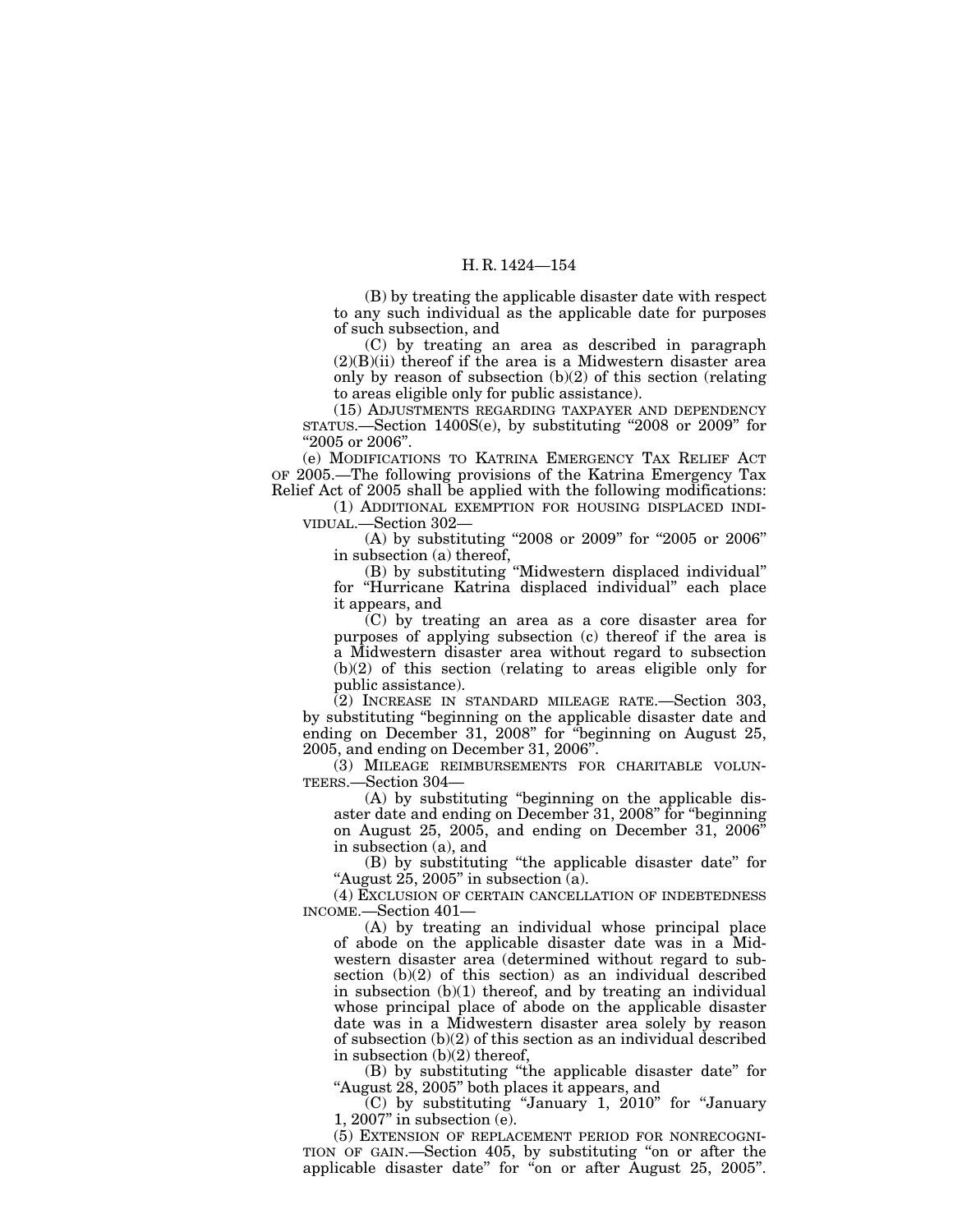(B) by treating the applicable disaster date with respect to any such individual as the applicable date for purposes of such subsection, and

(C) by treating an area as described in paragraph  $(2)(B)(ii)$  thereof if the area is a Midwestern disaster area only by reason of subsection  $(b)(2)$  of this section (relating to areas eligible only for public assistance).

(15) ADJUSTMENTS REGARDING TAXPAYER AND DEPENDENCY STATUS.—Section 1400S(e), by substituting ''2008 or 2009'' for ''2005 or 2006''.

(e) MODIFICATIONS TO KATRINA EMERGENCY TAX RELIEF ACT OF 2005.—The following provisions of the Katrina Emergency Tax Relief Act of 2005 shall be applied with the following modifications:

(1) ADDITIONAL EXEMPTION FOR HOUSING DISPLACED INDI-VIDUAL.—Section 302—

(A) by substituting "2008 or 2009" for "2005 or 2006" in subsection (a) thereof,

(B) by substituting ''Midwestern displaced individual'' for ''Hurricane Katrina displaced individual'' each place it appears, and

(C) by treating an area as a core disaster area for purposes of applying subsection (c) thereof if the area is a Midwestern disaster area without regard to subsection (b)(2) of this section (relating to areas eligible only for public assistance).

(2) INCREASE IN STANDARD MILEAGE RATE.—Section 303, by substituting ''beginning on the applicable disaster date and ending on December 31, 2008" for "beginning on August 25, 2005, and ending on December 31, 2006''.

(3) MILEAGE REIMBURSEMENTS FOR CHARITABLE VOLUN-TEERS.—Section 304—

(A) by substituting ''beginning on the applicable disaster date and ending on December 31, 2008'' for ''beginning on August 25, 2005, and ending on December 31, 2006'' in subsection (a), and

(B) by substituting ''the applicable disaster date'' for "August  $25$ ,  $2005$ " in subsection (a).

(4) EXCLUSION OF CERTAIN CANCELLATION OF INDEBTEDNESS INCOME.—Section 401—

(A) by treating an individual whose principal place of abode on the applicable disaster date was in a Midwestern disaster area (determined without regard to subsection (b)(2) of this section) as an individual described in subsection (b)(1) thereof, and by treating an individual whose principal place of abode on the applicable disaster date was in a Midwestern disaster area solely by reason of subsection  $(b)(2)$  of this section as an individual described in subsection (b)(2) thereof,

(B) by substituting ''the applicable disaster date'' for ''August 28, 2005'' both places it appears, and

 $(C)$  by substituting "January 1, 2010" for "January 1, 2007" in subsection  $(e)$ .

(5) EXTENSION OF REPLACEMENT PERIOD FOR NONRECOGNI-TION OF GAIN.—Section 405, by substituting ''on or after the applicable disaster date" for "on or after August 25, 2005".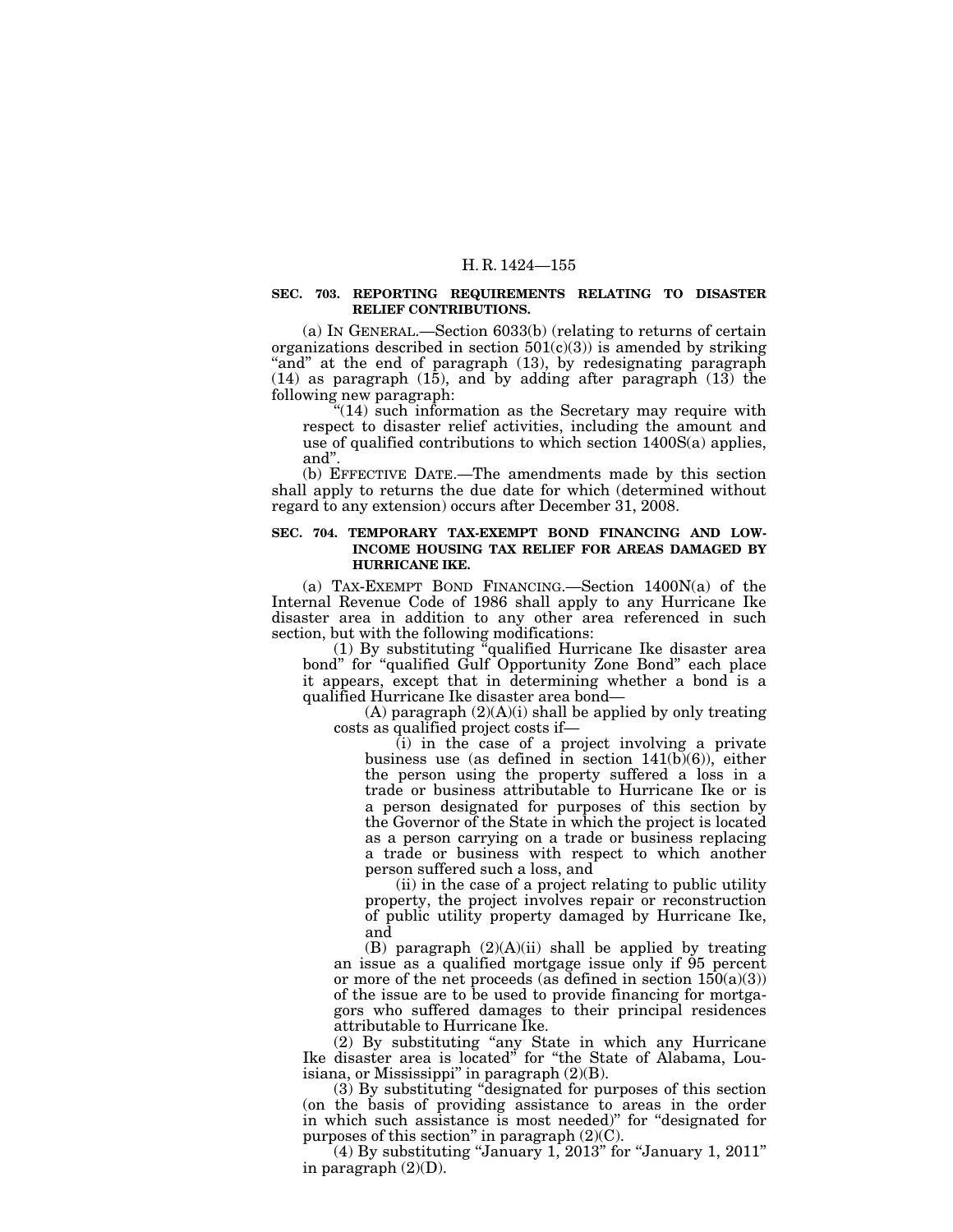#### **SEC. 703. REPORTING REQUIREMENTS RELATING TO DISASTER RELIEF CONTRIBUTIONS.**

(a) IN GENERAL.—Section 6033(b) (relating to returns of certain organizations described in section  $501(c)(3)$  is amended by striking "and" at the end of paragraph (13), by redesignating paragraph  $(14)$  as paragraph  $(15)$ , and by adding after paragraph  $(13)$  the following new paragraph:

 $(14)$  such information as the Secretary may require with respect to disaster relief activities, including the amount and use of qualified contributions to which section 1400S(a) applies, and''.

(b) EFFECTIVE DATE.—The amendments made by this section shall apply to returns the due date for which (determined without regard to any extension) occurs after December 31, 2008.

#### **SEC. 704. TEMPORARY TAX-EXEMPT BOND FINANCING AND LOW-INCOME HOUSING TAX RELIEF FOR AREAS DAMAGED BY HURRICANE IKE.**

(a) TAX-EXEMPT BOND FINANCING.—Section 1400N(a) of the Internal Revenue Code of 1986 shall apply to any Hurricane Ike disaster area in addition to any other area referenced in such section, but with the following modifications:

(1) By substituting ''qualified Hurricane Ike disaster area bond'' for ''qualified Gulf Opportunity Zone Bond'' each place it appears, except that in determining whether a bond is a qualified Hurricane Ike disaster area bond—

 $(A)$  paragraph  $(2)(A)(i)$  shall be applied by only treating costs as qualified project costs if—

(i) in the case of a project involving a private business use (as defined in section 141(b)(6)), either the person using the property suffered a loss in a trade or business attributable to Hurricane Ike or is a person designated for purposes of this section by the Governor of the State in which the project is located as a person carrying on a trade or business replacing a trade or business with respect to which another person suffered such a loss, and

(ii) in the case of a project relating to public utility property, the project involves repair or reconstruction of public utility property damaged by Hurricane Ike, and

(B) paragraph  $(2)(A)(ii)$  shall be applied by treating an issue as a qualified mortgage issue only if 95 percent or more of the net proceeds (as defined in section  $150(a)(3)$ ) of the issue are to be used to provide financing for mortgagors who suffered damages to their principal residences attributable to Hurricane Ike.

(2) By substituting ''any State in which any Hurricane Ike disaster area is located'' for ''the State of Alabama, Louisiana, or Mississippi'' in paragraph (2)(B).

(3) By substituting ''designated for purposes of this section (on the basis of providing assistance to areas in the order in which such assistance is most needed)'' for ''designated for purposes of this section" in paragraph  $(2)(C)$ .

(4) By substituting ''January 1, 2013'' for ''January 1, 2011'' in paragraph (2)(D).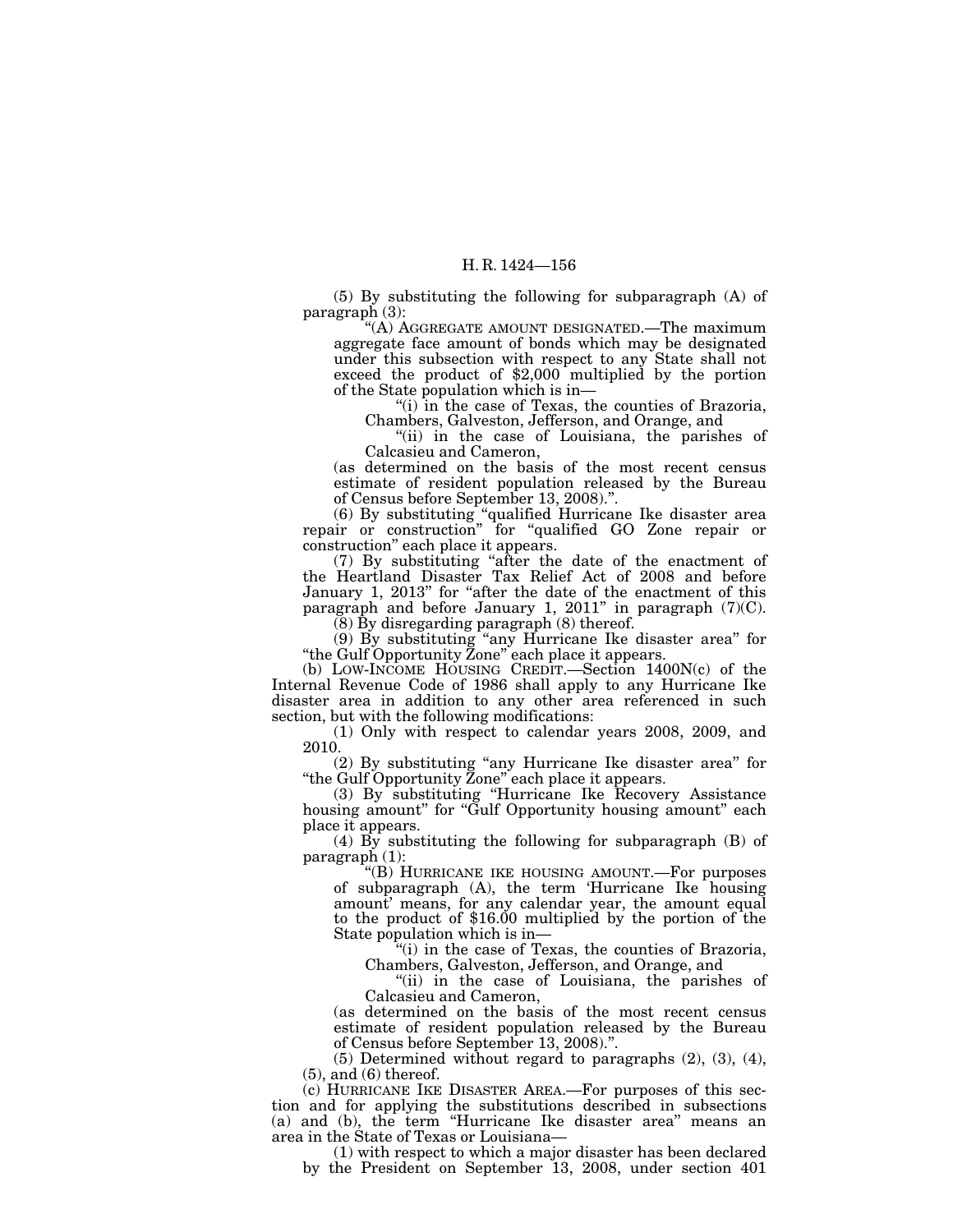(5) By substituting the following for subparagraph (A) of paragraph (3):

''(A) AGGREGATE AMOUNT DESIGNATED.—The maximum aggregate face amount of bonds which may be designated under this subsection with respect to any State shall not exceed the product of \$2,000 multiplied by the portion of the State population which is in—

''(i) in the case of Texas, the counties of Brazoria, Chambers, Galveston, Jefferson, and Orange, and

"(ii) in the case of Louisiana, the parishes of Calcasieu and Cameron,

(as determined on the basis of the most recent census estimate of resident population released by the Bureau of Census before September 13, 2008).''.

(6) By substituting ''qualified Hurricane Ike disaster area repair or construction'' for ''qualified GO Zone repair or construction'' each place it appears.

(7) By substituting ''after the date of the enactment of the Heartland Disaster Tax Relief Act of 2008 and before January 1, 2013" for "after the date of the enactment of this paragraph and before January 1, 2011" in paragraph  $(7)(C)$ .

(8) By disregarding paragraph (8) thereof.

(9) By substituting ''any Hurricane Ike disaster area'' for ''the Gulf Opportunity Zone'' each place it appears.

(b) LOW-INCOME HOUSING CREDIT.—Section 1400N(c) of the Internal Revenue Code of 1986 shall apply to any Hurricane Ike disaster area in addition to any other area referenced in such section, but with the following modifications:

(1) Only with respect to calendar years 2008, 2009, and 2010.

(2) By substituting ''any Hurricane Ike disaster area'' for ''the Gulf Opportunity Zone'' each place it appears.

(3) By substituting ''Hurricane Ike Recovery Assistance housing amount" for "Gulf Opportunity housing amount" each place it appears.

(4)  $\overline{By}$  substituting the following for subparagraph (B) of paragraph (1):

''(B) HURRICANE IKE HOUSING AMOUNT.—For purposes of subparagraph (A), the term 'Hurricane Ike housing amount' means, for any calendar year, the amount equal to the product of  $$16.00$  multiplied by the portion of the State population which is in—

''(i) in the case of Texas, the counties of Brazoria, Chambers, Galveston, Jefferson, and Orange, and

''(ii) in the case of Louisiana, the parishes of Calcasieu and Cameron,

(as determined on the basis of the most recent census estimate of resident population released by the Bureau of Census before September 13, 2008).''.

(5) Determined without regard to paragraphs (2), (3), (4), (5), and (6) thereof.

(c) HURRICANE IKE DISASTER AREA.—For purposes of this section and for applying the substitutions described in subsections (a) and (b), the term ''Hurricane Ike disaster area'' means an area in the State of Texas or Louisiana—

(1) with respect to which a major disaster has been declared by the President on September 13, 2008, under section 401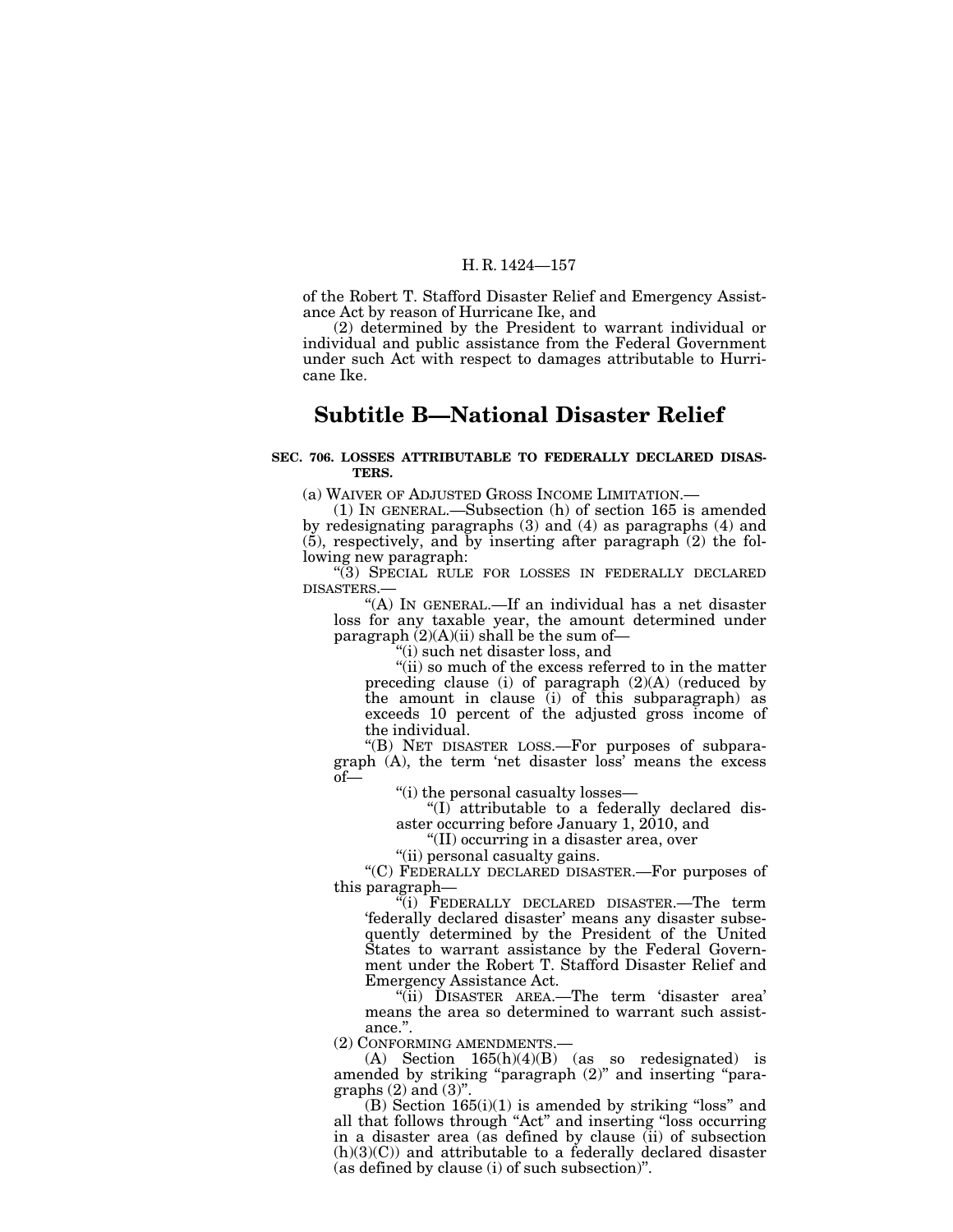of the Robert T. Stafford Disaster Relief and Emergency Assistance Act by reason of Hurricane Ike, and

(2) determined by the President to warrant individual or individual and public assistance from the Federal Government under such Act with respect to damages attributable to Hurricane Ike.

# **Subtitle B—National Disaster Relief**

#### **SEC. 706. LOSSES ATTRIBUTABLE TO FEDERALLY DECLARED DISAS-TERS.**

(a) WAIVER OF ADJUSTED GROSS INCOME LIMITATION.—

(1) IN GENERAL.—Subsection (h) of section 165 is amended by redesignating paragraphs (3) and (4) as paragraphs (4) and (5), respectively, and by inserting after paragraph (2) the following new paragraph:

''(3) SPECIAL RULE FOR LOSSES IN FEDERALLY DECLARED DISASTERS.—

''(A) IN GENERAL.—If an individual has a net disaster loss for any taxable year, the amount determined under paragraph  $(2)(A)(ii)$  shall be the sum of-

''(i) such net disaster loss, and

''(ii) so much of the excess referred to in the matter preceding clause (i) of paragraph (2)(A) (reduced by the amount in clause (i) of this subparagraph) as exceeds 10 percent of the adjusted gross income of the individual.

''(B) NET DISASTER LOSS.—For purposes of subparagraph (A), the term 'net disaster loss' means the excess of—

''(i) the personal casualty losses—

''(I) attributable to a federally declared disaster occurring before January 1, 2010, and

''(II) occurring in a disaster area, over

''(ii) personal casualty gains.

''(C) FEDERALLY DECLARED DISASTER.—For purposes of this paragraph—

''(i) FEDERALLY DECLARED DISASTER.—The term 'federally declared disaster' means any disaster subsequently determined by the President of the United States to warrant assistance by the Federal Government under the Robert T. Stafford Disaster Relief and Emergency Assistance Act.

''(ii) DISASTER AREA.—The term 'disaster area' means the area so determined to warrant such assistance.".<br>(2) CONFORMING AMENDMENTS.-

(2) CONFORMING AMENDMENTS.—<br>
(A) Section  $165(h)(4)(B)$  (as so redesignated) is amended by striking ''paragraph (2)'' and inserting ''paragraphs  $(2)$  and  $(3)$ ".

 $(B)$  Section  $165(i)(1)$  is amended by striking "loss" and all that follows through ''Act'' and inserting ''loss occurring in a disaster area (as defined by clause (ii) of subsection  $(h)(3)(C)$  and attributable to a federally declared disaster (as defined by clause (i) of such subsection)''.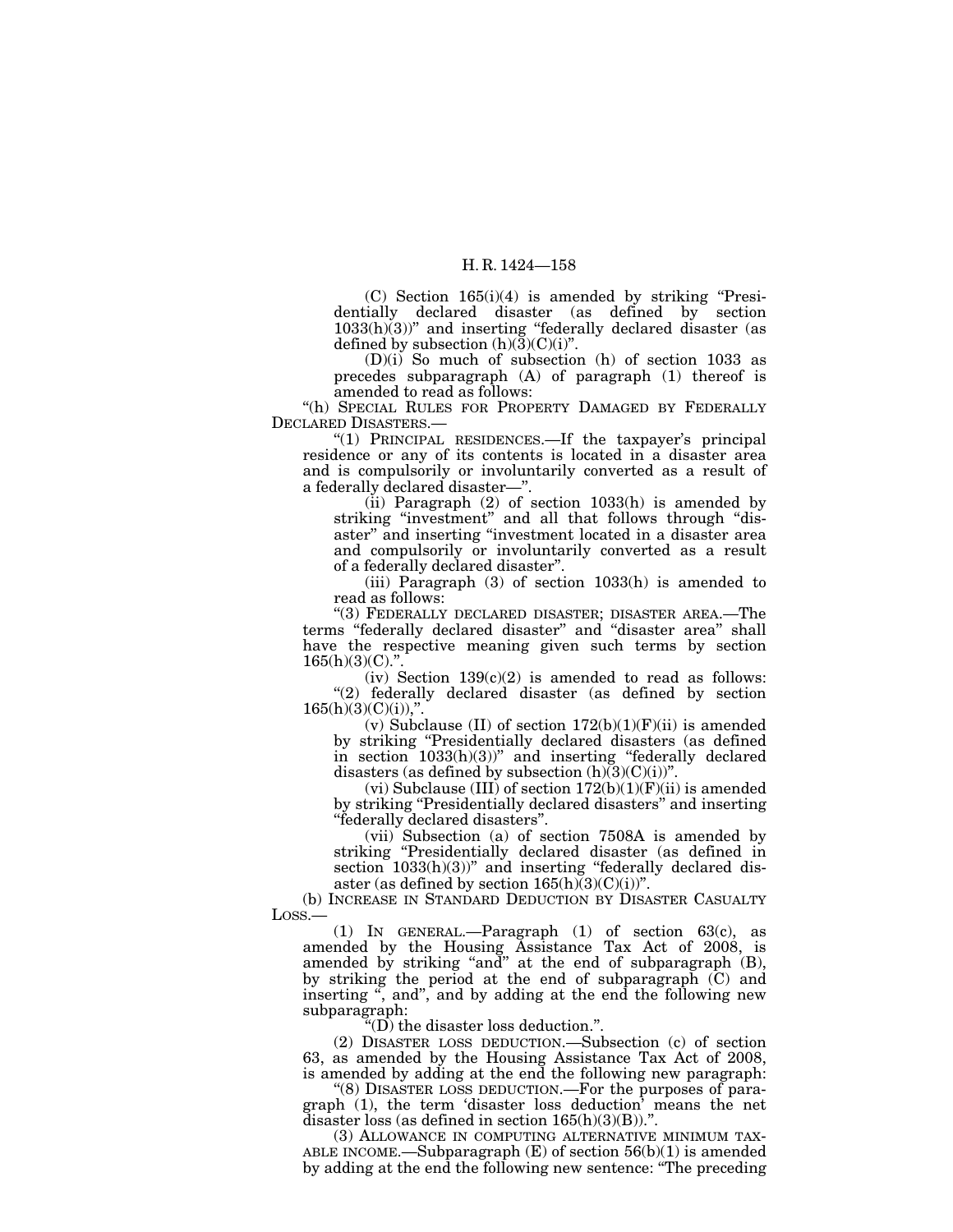$(C)$  Section 165 $(i)(4)$  is amended by striking "Presidentially declared disaster (as defined by section  $1033(h)(3)$ " and inserting "federally declared disaster (as defined by subsection  $(h)(3)(C)(i)$ ".

(D)(i) So much of subsection (h) of section 1033 as precedes subparagraph (A) of paragraph (1) thereof is amended to read as follows:

"(h) SPECIAL RULES FOR PROPERTY DAMAGED BY FEDERALLY DECLARED DISASTERS.—

''(1) PRINCIPAL RESIDENCES.—If the taxpayer's principal residence or any of its contents is located in a disaster area and is compulsorily or involuntarily converted as a result of a federally declared disaster—''.

 $(iii)$  Paragraph  $(2)$  of section 1033 $(h)$  is amended by striking "investment" and all that follows through "disaster'' and inserting ''investment located in a disaster area and compulsorily or involuntarily converted as a result of a federally declared disaster''.

(iii) Paragraph (3) of section 1033(h) is amended to read as follows:

''(3) FEDERALLY DECLARED DISASTER; DISASTER AREA.—The terms ''federally declared disaster'' and ''disaster area'' shall have the respective meaning given such terms by section  $165(h)(3)(C)$ ."

(iv) Section  $139(c)(2)$  is amended to read as follows: "(2) federally declared disaster (as defined by section  $165(h)(3)(C)(i))$ ,".

(v) Subclause (II) of section  $172(b)(1)(F)(ii)$  is amended by striking ''Presidentially declared disasters (as defined in section  $1033(h)(3)$ " and inserting "federally declared disasters (as defined by subsection  $(h)(3)(C)(i)$ )".

(vi) Subclause (III) of section  $172(b)(1)(F)(ii)$  is amended by striking ''Presidentially declared disasters'' and inserting ''federally declared disasters''.

(vii) Subsection (a) of section 7508A is amended by striking ''Presidentially declared disaster (as defined in section  $1033(h)(3)$ " and inserting "federally declared disaster (as defined by section  $165(h)(3)(C)(i)$ )".

(b) INCREASE IN STANDARD DEDUCTION BY DISASTER CASUALTY LOSS.—

(1) IN GENERAL.—Paragraph (1) of section 63(c), as amended by the Housing Assistance Tax Act of 2008, is amended by striking "and" at the end of subparagraph (B), by striking the period at the end of subparagraph (C) and inserting ", and", and by adding at the end the following new subparagraph:

''(D) the disaster loss deduction.''.

(2) DISASTER LOSS DEDUCTION.—Subsection (c) of section 63, as amended by the Housing Assistance Tax Act of 2008, is amended by adding at the end the following new paragraph:

''(8) DISASTER LOSS DEDUCTION.—For the purposes of paragraph (1), the term 'disaster loss deduction' means the net disaster loss (as defined in section  $165(h)(3)(B)$ ).".

(3) ALLOWANCE IN COMPUTING ALTERNATIVE MINIMUM TAX-ABLE INCOME.—Subparagraph (E) of section 56(b)(1) is amended by adding at the end the following new sentence: ''The preceding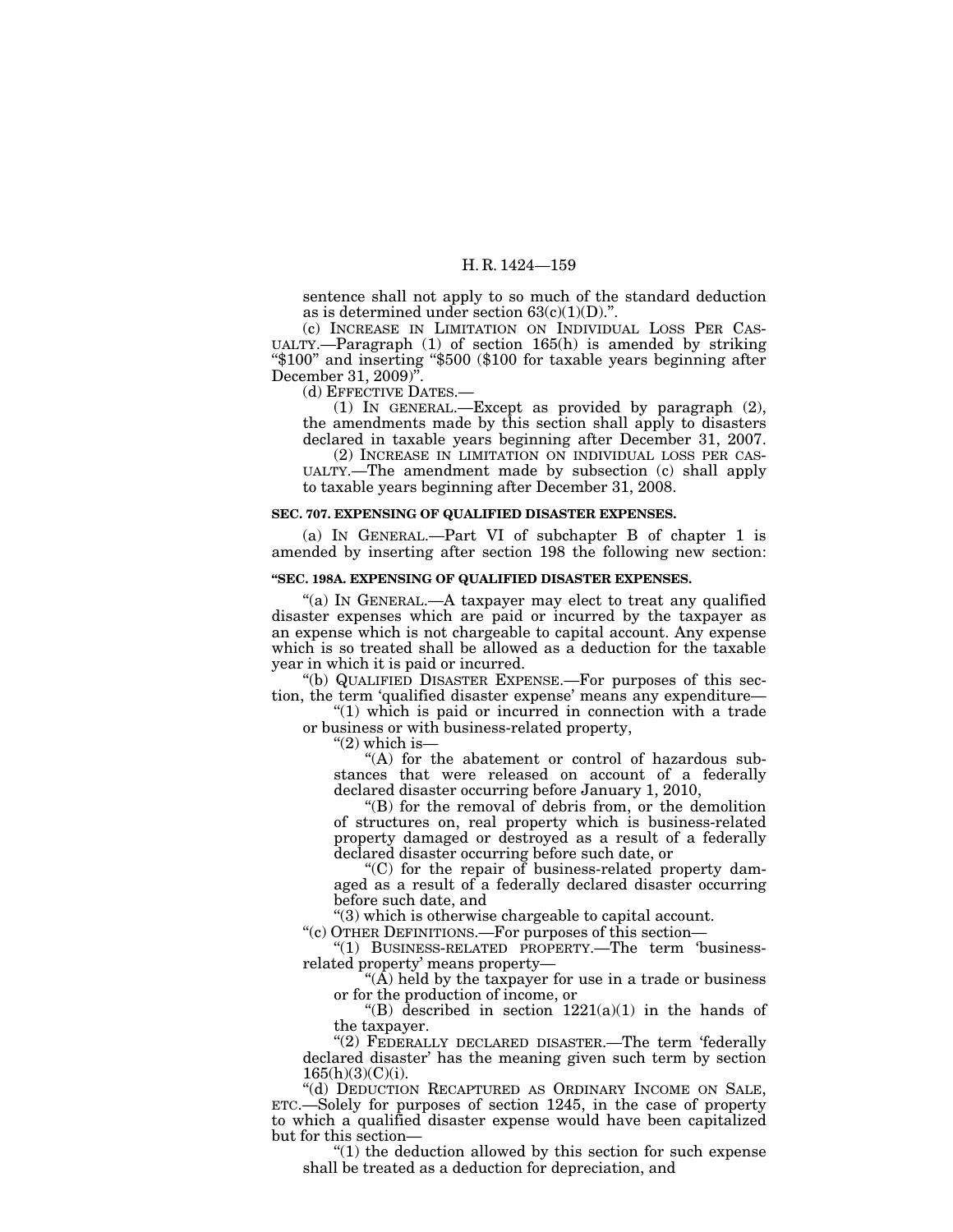sentence shall not apply to so much of the standard deduction as is determined under section  $63(c)(1)(D)$ .".

(c) INCREASE IN LIMITATION ON INDIVIDUAL LOSS PER CAS-UALTY.—Paragraph (1) of section 165(h) is amended by striking ''\$100'' and inserting ''\$500 (\$100 for taxable years beginning after December 31, 2009)<sup>"</sup>.

(d) EFFECTIVE DATES.—

(1) IN GENERAL.—Except as provided by paragraph (2), the amendments made by this section shall apply to disasters declared in taxable years beginning after December 31, 2007.

(2) INCREASE IN LIMITATION ON INDIVIDUAL LOSS PER CAS-UALTY.—The amendment made by subsection (c) shall apply to taxable years beginning after December 31, 2008.

#### **SEC. 707. EXPENSING OF QUALIFIED DISASTER EXPENSES.**

(a) IN GENERAL.—Part VI of subchapter B of chapter 1 is amended by inserting after section 198 the following new section:

#### **''SEC. 198A. EXPENSING OF QUALIFIED DISASTER EXPENSES.**

"(a) IN GENERAL.—A taxpayer may elect to treat any qualified disaster expenses which are paid or incurred by the taxpayer as an expense which is not chargeable to capital account. Any expense which is so treated shall be allowed as a deduction for the taxable year in which it is paid or incurred.

''(b) QUALIFIED DISASTER EXPENSE.—For purposes of this section, the term 'qualified disaster expense' means any expenditure—

" $(1)$  which is paid or incurred in connection with a trade or business or with business-related property,

 $''(2)$  which is-

''(A) for the abatement or control of hazardous substances that were released on account of a federally declared disaster occurring before January 1, 2010,

''(B) for the removal of debris from, or the demolition of structures on, real property which is business-related property damaged or destroyed as a result of a federally declared disaster occurring before such date, or

''(C) for the repair of business-related property damaged as a result of a federally declared disaster occurring before such date, and

''(3) which is otherwise chargeable to capital account.

''(c) OTHER DEFINITIONS.—For purposes of this section—

''(1) BUSINESS-RELATED PROPERTY.—The term 'businessrelated property' means property—

" $(\hat{A})$  held by the taxpayer for use in a trade or business or for the production of income, or

"(B) described in section  $1221(a)(1)$  in the hands of the taxpayer.

"(2) FEDERALLY DECLARED DISASTER.—The term 'federally declared disaster' has the meaning given such term by section  $165(h)(3)(C)(i)$ .

''(d) DEDUCTION RECAPTURED AS ORDINARY INCOME ON SALE, ETC.—Solely for purposes of section 1245, in the case of property to which a qualified disaster expense would have been capitalized but for this section—

''(1) the deduction allowed by this section for such expense shall be treated as a deduction for depreciation, and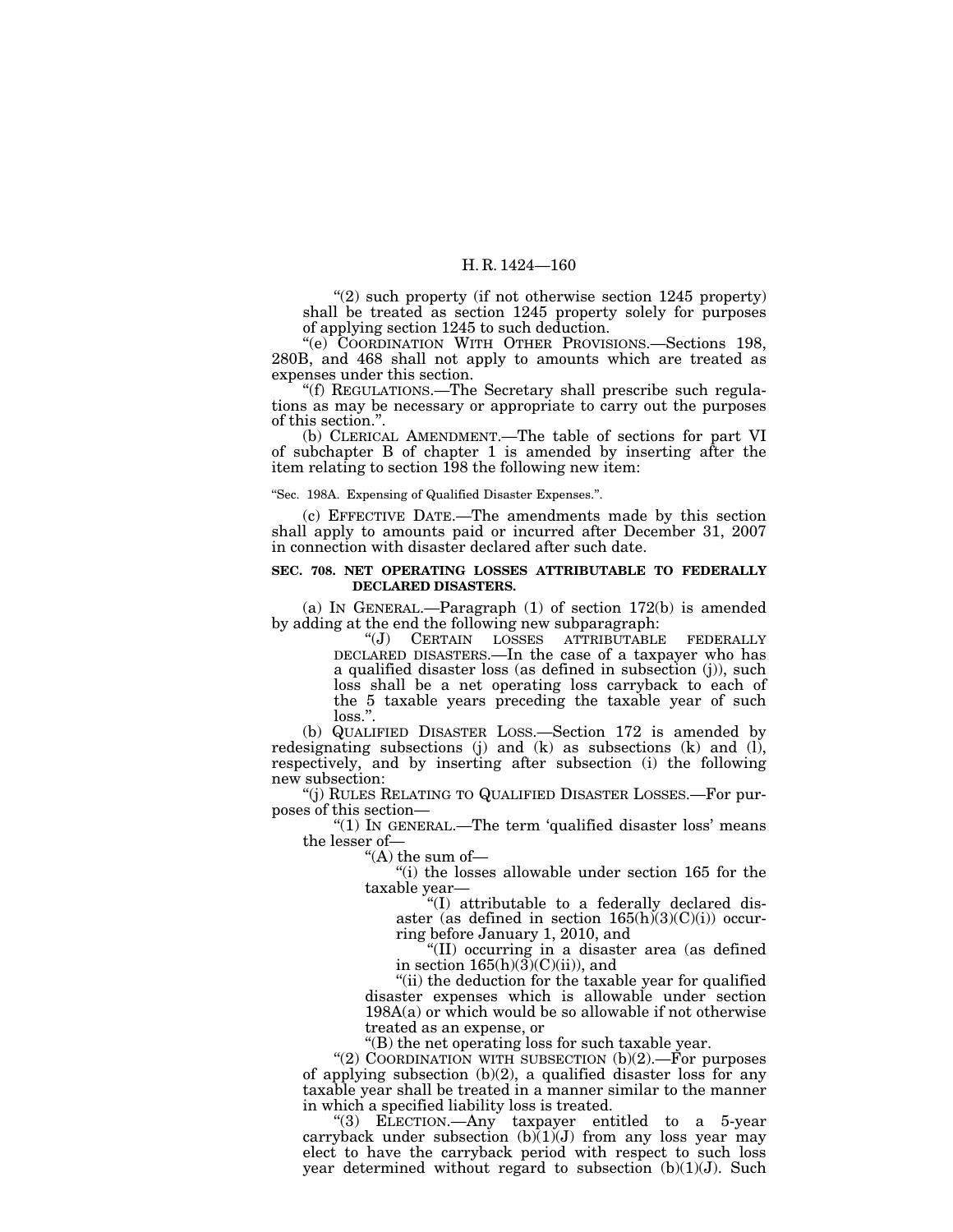" $(2)$  such property (if not otherwise section 1245 property) shall be treated as section 1245 property solely for purposes of applying section 1245 to such deduction.

"(e) COORDINATION WITH OTHER PROVISIONS.—Sections 198, 280B, and 468 shall not apply to amounts which are treated as expenses under this section.

''(f) REGULATIONS.—The Secretary shall prescribe such regulations as may be necessary or appropriate to carry out the purposes of this section.''.

(b) CLERICAL AMENDMENT.—The table of sections for part VI of subchapter B of chapter 1 is amended by inserting after the item relating to section 198 the following new item:

#### ''Sec. 198A. Expensing of Qualified Disaster Expenses.''.

(c) EFFECTIVE DATE.—The amendments made by this section shall apply to amounts paid or incurred after December 31, 2007 in connection with disaster declared after such date.

#### **SEC. 708. NET OPERATING LOSSES ATTRIBUTABLE TO FEDERALLY DECLARED DISASTERS.**

(a) IN GENERAL.—Paragraph (1) of section 172(b) is amended by adding at the end the following new subparagraph:

''(J) CERTAIN LOSSES ATTRIBUTABLE FEDERALLY DECLARED DISASTERS.—In the case of a taxpayer who has a qualified disaster loss (as defined in subsection (j)), such loss shall be a net operating loss carryback to each of the 5 taxable years preceding the taxable year of such loss.''.

(b) QUALIFIED DISASTER LOSS.—Section 172 is amended by redesignating subsections (j) and (k) as subsections (k) and (l), respectively, and by inserting after subsection (i) the following new subsection:

''(j) RULES RELATING TO QUALIFIED DISASTER LOSSES.—For purposes of this section—

''(1) IN GENERAL.—The term 'qualified disaster loss' means the lesser of—

''(A) the sum of—

''(i) the losses allowable under section 165 for the taxable year—

''(I) attributable to a federally declared disaster (as defined in section  $165(h)(3)(C(i))$  occurring before January 1, 2010, and

''(II) occurring in a disaster area (as defined in section  $165(h)(3)(C)(ii)$ , and

''(ii) the deduction for the taxable year for qualified disaster expenses which is allowable under section  $198A(a)$  or which would be so allowable if not otherwise treated as an expense, or

''(B) the net operating loss for such taxable year.

"(2) COORDINATION WITH SUBSECTION (b)(2).-For purposes of applying subsection  $(b)(2)$ , a qualified disaster loss for any taxable year shall be treated in a manner similar to the manner in which a specified liability loss is treated.

''(3) ELECTION.—Any taxpayer entitled to a 5-year carryback under subsection  $(b)$  $(1)$  $(J)$  from any loss year may elect to have the carryback period with respect to such loss year determined without regard to subsection  $(b)(1)(J)$ . Such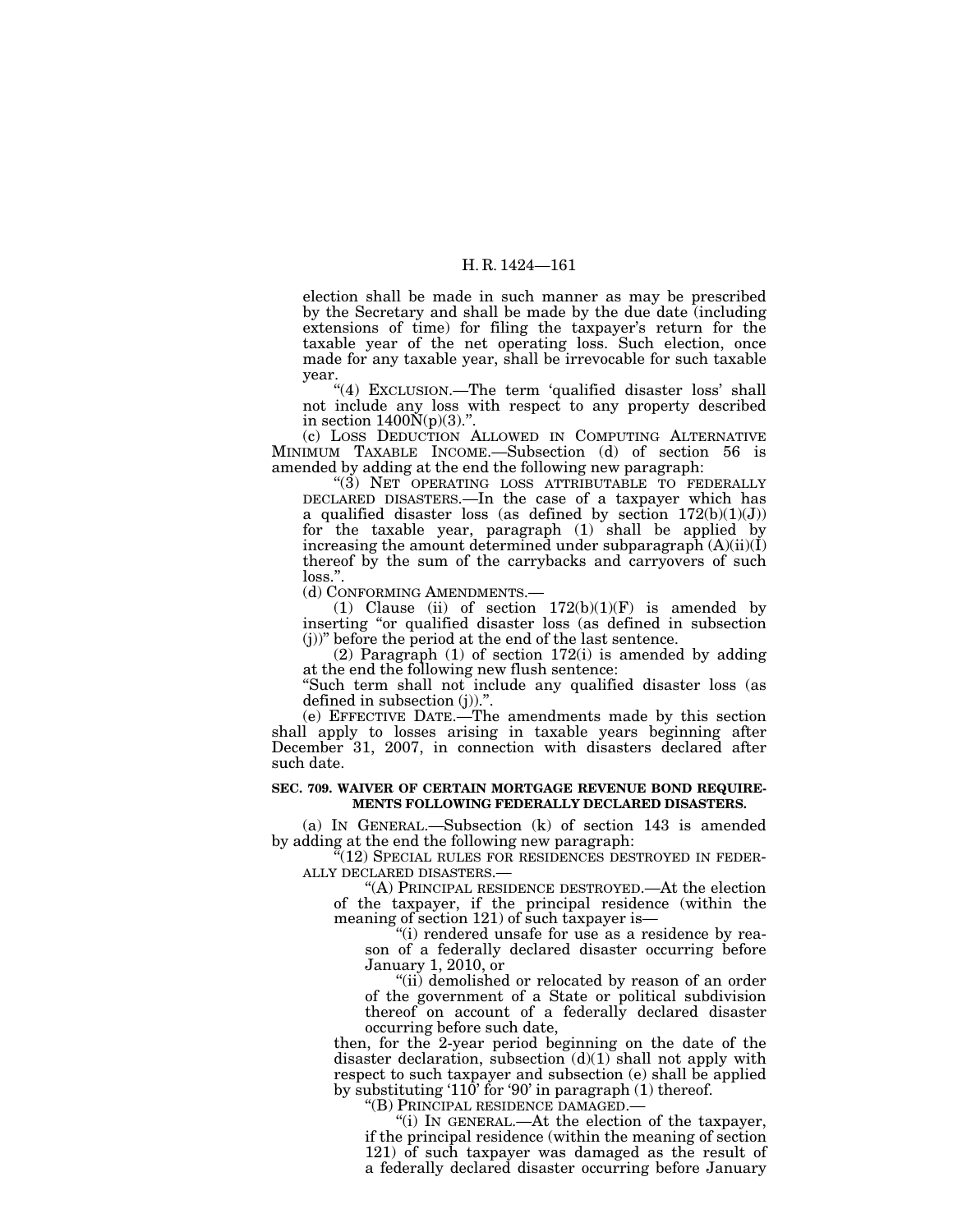election shall be made in such manner as may be prescribed by the Secretary and shall be made by the due date (including extensions of time) for filing the taxpayer's return for the taxable year of the net operating loss. Such election, once made for any taxable year, shall be irrevocable for such taxable year.

"(4) EXCLUSION.—The term 'qualified disaster loss' shall not include any loss with respect to any property described in section  $1400N(p)(3)$ .".

(c) LOSS DEDUCTION ALLOWED IN COMPUTING ALTERNATIVE MINIMUM TAXABLE INCOME.—Subsection (d) of section 56 is amended by adding at the end the following new paragraph:

"(3) NET OPERATING LOSS ATTRIBUTABLE TO FEDERALLY DECLARED DISASTERS.—In the case of a taxpayer which has a qualified disaster loss (as defined by section  $172(b)(1)(J)$ ) for the taxable year, paragraph (1) shall be applied by increasing the amount determined under subparagraph  $(A)(ii)(I)$ thereof by the sum of the carrybacks and carryovers of such loss.''.

(d) CONFORMING AMENDMENTS.—

(1) Clause (ii) of section  $172(b)(1)(F)$  is amended by inserting "or qualified disaster loss (as defined in subsection (j))'' before the period at the end of the last sentence.

(2) Paragraph (1) of section 172(i) is amended by adding at the end the following new flush sentence:

''Such term shall not include any qualified disaster loss (as defined in subsection (j)).''.

(e) EFFECTIVE DATE.—The amendments made by this section shall apply to losses arising in taxable years beginning after December 31, 2007, in connection with disasters declared after such date.

#### **SEC. 709. WAIVER OF CERTAIN MORTGAGE REVENUE BOND REQUIRE-MENTS FOLLOWING FEDERALLY DECLARED DISASTERS.**

(a) IN GENERAL.—Subsection (k) of section 143 is amended by adding at the end the following new paragraph:

"(12) SPECIAL RULES FOR RESIDENCES DESTROYED IN FEDER-ALLY DECLARED DISASTERS.—

''(A) PRINCIPAL RESIDENCE DESTROYED.—At the election of the taxpayer, if the principal residence (within the meaning of section 121) of such taxpayer is—

''(i) rendered unsafe for use as a residence by reason of a federally declared disaster occurring before January 1, 2010, or

''(ii) demolished or relocated by reason of an order of the government of a State or political subdivision thereof on account of a federally declared disaster occurring before such date,

then, for the 2-year period beginning on the date of the disaster declaration, subsection  $(d)(1)$  shall not apply with respect to such taxpayer and subsection (e) shall be applied by substituting '110' for '90' in paragraph (1) thereof.

''(B) PRINCIPAL RESIDENCE DAMAGED.—

''(i) IN GENERAL.—At the election of the taxpayer, if the principal residence (within the meaning of section 121) of such taxpayer was damaged as the result of a federally declared disaster occurring before January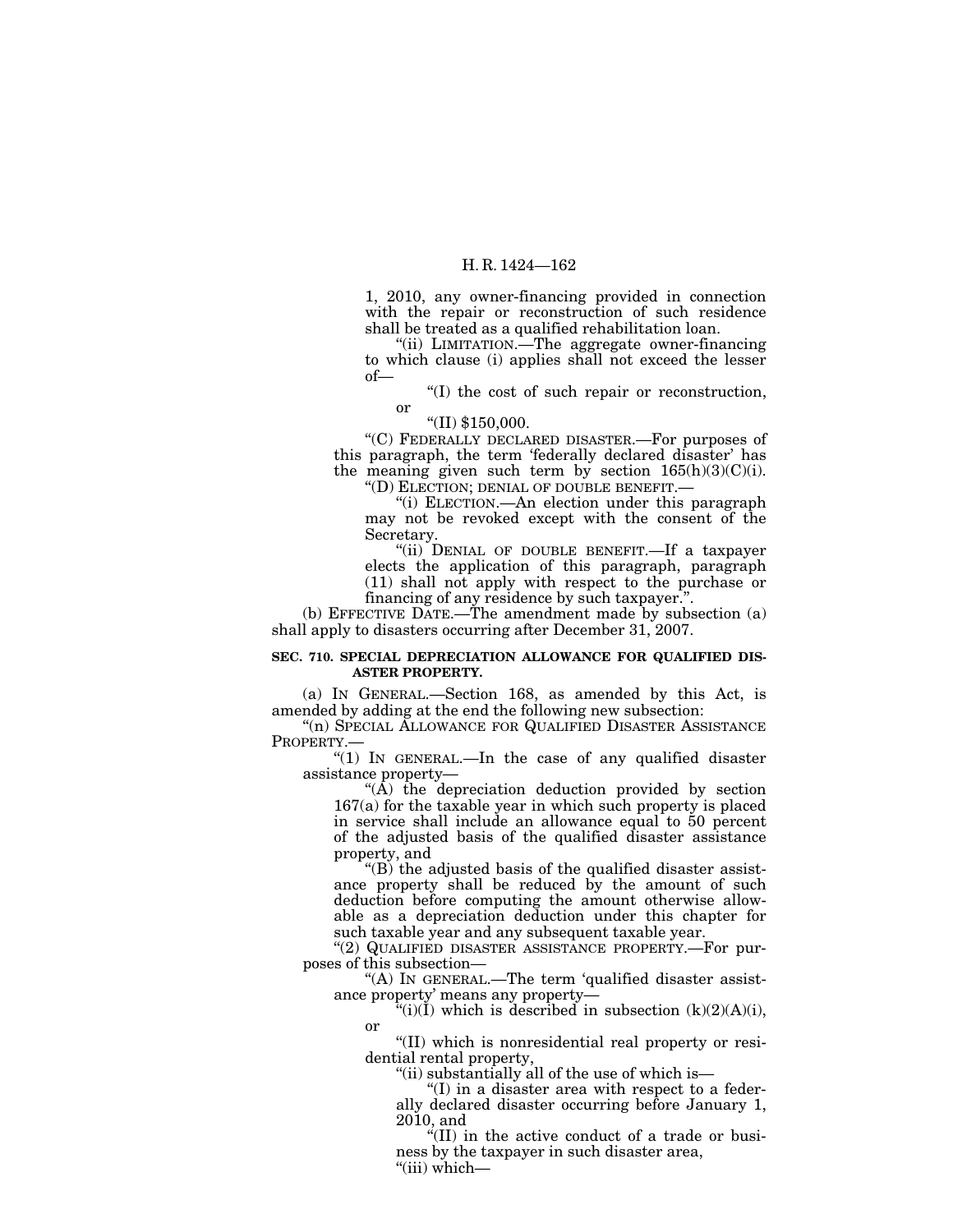1, 2010, any owner-financing provided in connection with the repair or reconstruction of such residence shall be treated as a qualified rehabilitation loan.

''(ii) LIMITATION.—The aggregate owner-financing to which clause (i) applies shall not exceed the lesser of—

''(I) the cost of such repair or reconstruction,

''(II) \$150,000.

or

''(C) FEDERALLY DECLARED DISASTER.—For purposes of this paragraph, the term 'federally declared disaster' has the meaning given such term by section  $165(h)(3)(C)(i)$ . ''(D) ELECTION; DENIAL OF DOUBLE BENEFIT.—

''(i) ELECTION.—An election under this paragraph may not be revoked except with the consent of the Secretary.

''(ii) DENIAL OF DOUBLE BENEFIT.—If a taxpayer elects the application of this paragraph, paragraph (11) shall not apply with respect to the purchase or financing of any residence by such taxpayer.''.

(b) EFFECTIVE DATE.—The amendment made by subsection (a) shall apply to disasters occurring after December 31, 2007.

#### **SEC. 710. SPECIAL DEPRECIATION ALLOWANCE FOR QUALIFIED DIS-ASTER PROPERTY.**

(a) IN GENERAL.—Section 168, as amended by this Act, is amended by adding at the end the following new subsection:

''(n) SPECIAL ALLOWANCE FOR QUALIFIED DISASTER ASSISTANCE PROPERTY.—

" $(1)$  In GENERAL.—In the case of any qualified disaster assistance property—

 $\angle$ (A) the depreciation deduction provided by section 167(a) for the taxable year in which such property is placed in service shall include an allowance equal to 50 percent of the adjusted basis of the qualified disaster assistance property, and

 $'(B)$  the adjusted basis of the qualified disaster assistance property shall be reduced by the amount of such deduction before computing the amount otherwise allowable as a depreciation deduction under this chapter for such taxable year and any subsequent taxable year.

''(2) QUALIFIED DISASTER ASSISTANCE PROPERTY.—For purposes of this subsection—

''(A) IN GENERAL.—The term 'qualified disaster assistance property' means any property—

 $\ell(i)(I)$  which is described in subsection  $(k)(2)(A)(i)$ , or

''(II) which is nonresidential real property or residential rental property,

''(ii) substantially all of the use of which is—

" $(I)$  in a disaster area with respect to a federally declared disaster occurring before January 1, 2010, and

 $\sqrt{\text{III}}$  in the active conduct of a trade or business by the taxpayer in such disaster area,

''(iii) which—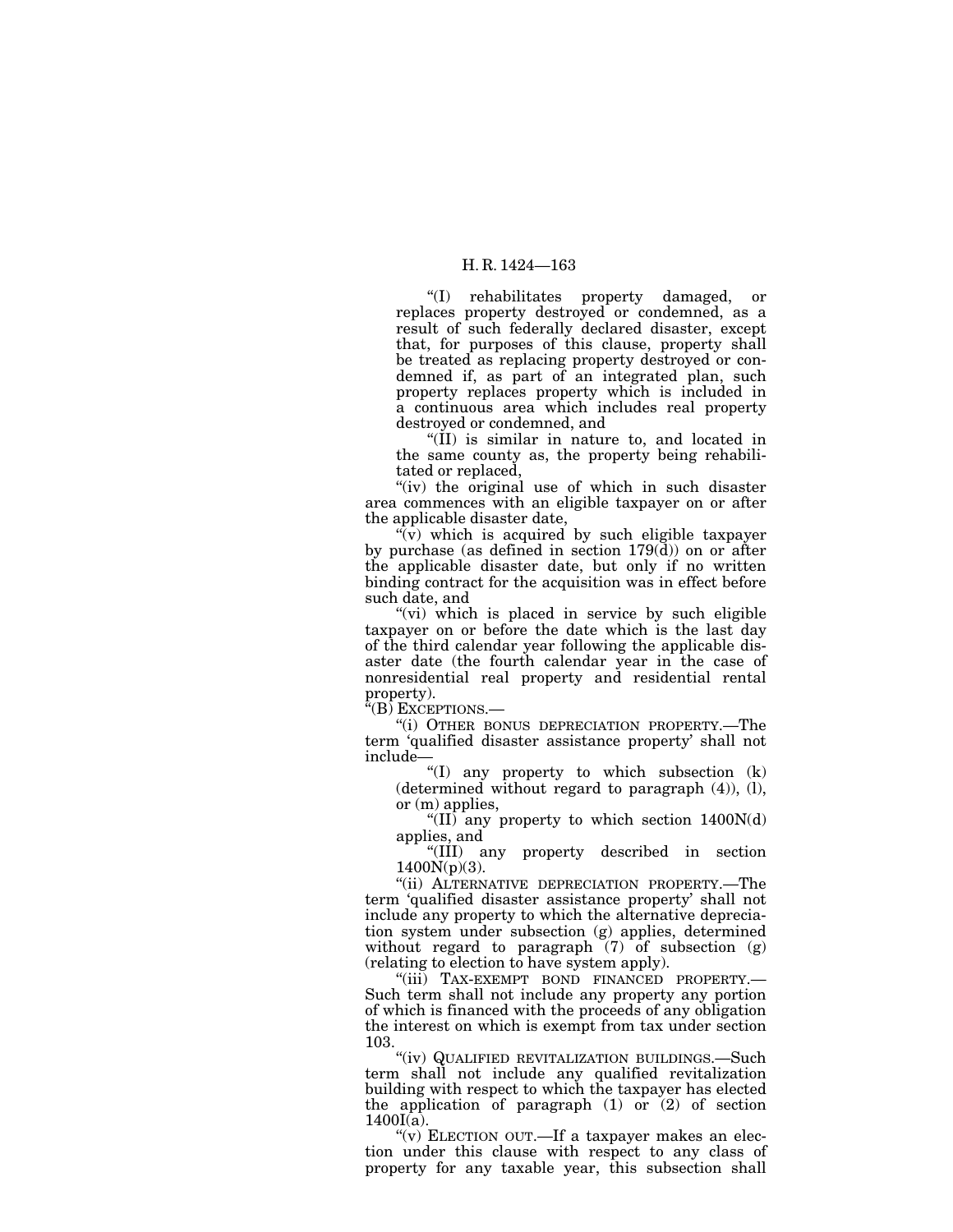''(I) rehabilitates property damaged, or replaces property destroyed or condemned, as a result of such federally declared disaster, except that, for purposes of this clause, property shall be treated as replacing property destroyed or condemned if, as part of an integrated plan, such property replaces property which is included in a continuous area which includes real property destroyed or condemned, and

''(II) is similar in nature to, and located in the same county as, the property being rehabilitated or replaced,

"(iv) the original use of which in such disaster area commences with an eligible taxpayer on or after the applicable disaster date,

 $\sqrt[n]{v}$  which is acquired by such eligible taxpayer by purchase (as defined in section  $179(d)$ ) on or after the applicable disaster date, but only if no written binding contract for the acquisition was in effect before such date, and

"(vi) which is placed in service by such eligible taxpayer on or before the date which is the last day of the third calendar year following the applicable disaster date (the fourth calendar year in the case of nonresidential real property and residential rental property).

''(B) EXCEPTIONS.—

''(i) OTHER BONUS DEPRECIATION PROPERTY.—The term 'qualified disaster assistance property' shall not include—

"(I) any property to which subsection  $(k)$ (determined without regard to paragraph (4)), (l), or (m) applies,

"(II) any property to which section  $1400N(d)$ applies, and

''(III) any property described in section 1400N(p)(3).

''(ii) ALTERNATIVE DEPRECIATION PROPERTY.—The term 'qualified disaster assistance property' shall not include any property to which the alternative depreciation system under subsection (g) applies, determined without regard to paragraph  $(7)$  of subsection  $(g)$ (relating to election to have system apply).

"(iii) TAX-EXEMPT BOND FINANCED PROPERTY.-Such term shall not include any property any portion of which is financed with the proceeds of any obligation the interest on which is exempt from tax under section 103.

"(iv) QUALIFIED REVITALIZATION BUILDINGS.—Such term shall not include any qualified revitalization building with respect to which the taxpayer has elected the application of paragraph  $(1)$  or  $(2)$  of section  $1400I(a)$ .

"(v) ELECTION OUT.—If a taxpayer makes an election under this clause with respect to any class of property for any taxable year, this subsection shall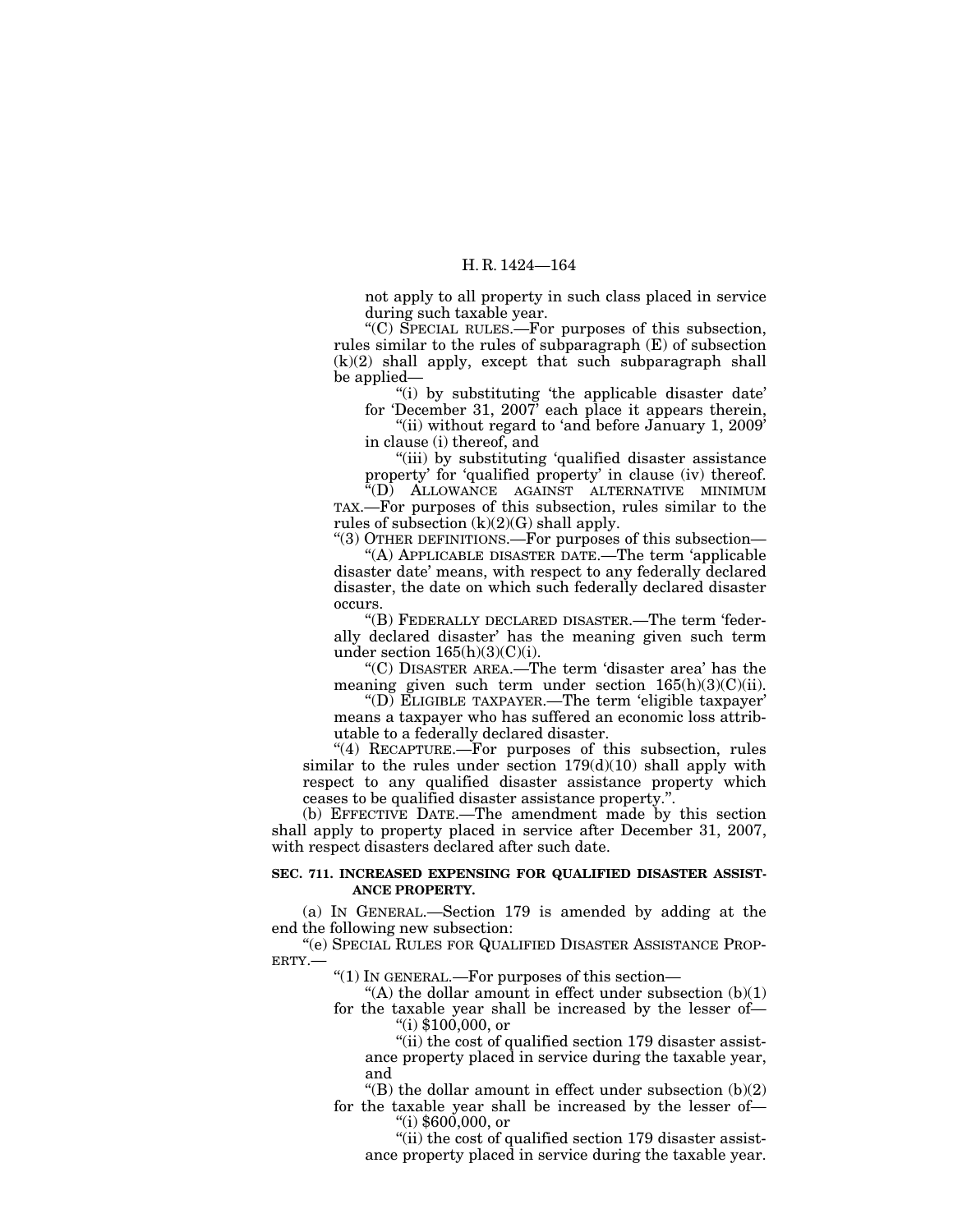not apply to all property in such class placed in service during such taxable year.

''(C) SPECIAL RULES.—For purposes of this subsection, rules similar to the rules of subparagraph (E) of subsection  $(k)(2)$  shall apply, except that such subparagraph shall be applied—

"(i) by substituting 'the applicable disaster date' for 'December 31, 2007' each place it appears therein,

"(ii) without regard to 'and before January 1, 2009' in clause (i) thereof, and

''(iii) by substituting 'qualified disaster assistance property' for 'qualified property' in clause (iv) thereof.

"(D) ALLOWANCE AGAINST ALTERNATIVE MINIMUM TAX.—For purposes of this subsection, rules similar to the rules of subsection  $(k)(2)(G)$  shall apply.

''(3) OTHER DEFINITIONS.—For purposes of this subsection— ''(A) APPLICABLE DISASTER DATE.—The term 'applicable disaster date' means, with respect to any federally declared disaster, the date on which such federally declared disaster occurs.

''(B) FEDERALLY DECLARED DISASTER.—The term 'federally declared disaster' has the meaning given such term under section  $165(h)(3)(C)(i)$ .

''(C) DISASTER AREA.—The term 'disaster area' has the meaning given such term under section  $165(h)(3)(C)(ii)$ .

''(D) ELIGIBLE TAXPAYER.—The term 'eligible taxpayer' means a taxpayer who has suffered an economic loss attributable to a federally declared disaster.

"(4) RECAPTURE.—For purposes of this subsection, rules similar to the rules under section  $179(d)(10)$  shall apply with respect to any qualified disaster assistance property which ceases to be qualified disaster assistance property.''.

(b) EFFECTIVE DATE.—The amendment made by this section shall apply to property placed in service after December 31, 2007, with respect disasters declared after such date.

#### **SEC. 711. INCREASED EXPENSING FOR QUALIFIED DISASTER ASSIST-ANCE PROPERTY.**

(a) IN GENERAL.—Section 179 is amended by adding at the end the following new subsection:

''(e) SPECIAL RULES FOR QUALIFIED DISASTER ASSISTANCE PROP-ERTY.—

''(1) IN GENERAL.—For purposes of this section—

"(A) the dollar amount in effect under subsection  $(b)(1)$ for the taxable year shall be increased by the lesser of—

''(i) \$100,000, or

"(ii) the cost of qualified section 179 disaster assistance property placed in service during the taxable year, and

"(B) the dollar amount in effect under subsection  $(b)(2)$ for the taxable year shall be increased by the lesser of—

''(i) \$600,000, or

"(ii) the cost of qualified section 179 disaster assistance property placed in service during the taxable year.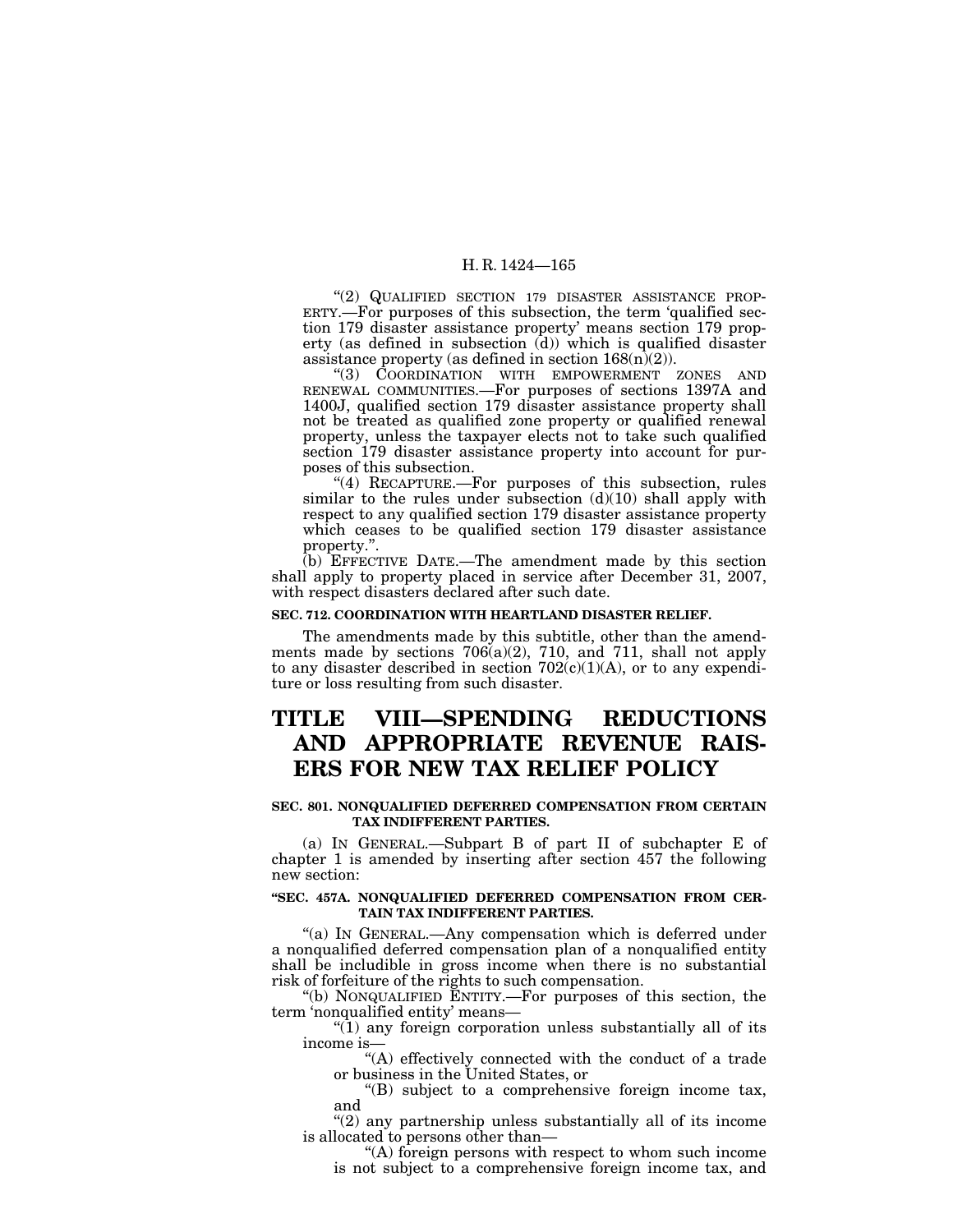"(2) QUALIFIED SECTION 179 DISASTER ASSISTANCE PROP-ERTY.—For purposes of this subsection, the term 'qualified section 179 disaster assistance property' means section 179 property (as defined in subsection (d)) which is qualified disaster assistance property (as defined in section  $168(n)(2)$ ).

''(3) COORDINATION WITH EMPOWERMENT ZONES AND RENEWAL COMMUNITIES.—For purposes of sections 1397A and 1400J, qualified section 179 disaster assistance property shall not be treated as qualified zone property or qualified renewal property, unless the taxpayer elects not to take such qualified section 179 disaster assistance property into account for purposes of this subsection.

"(4) RECAPTURE.—For purposes of this subsection, rules similar to the rules under subsection (d)(10) shall apply with respect to any qualified section 179 disaster assistance property which ceases to be qualified section 179 disaster assistance property.''.

(b) EFFECTIVE DATE.—The amendment made by this section shall apply to property placed in service after December 31, 2007, with respect disasters declared after such date.

### **SEC. 712. COORDINATION WITH HEARTLAND DISASTER RELIEF.**

The amendments made by this subtitle, other than the amendments made by sections  $706(a)(2)$ , 710, and 711, shall not apply to any disaster described in section  $702(c)(1)(A)$ , or to any expenditure or loss resulting from such disaster.

# **TITLE VIII—SPENDING REDUCTIONS AND APPROPRIATE REVENUE RAIS-ERS FOR NEW TAX RELIEF POLICY**

#### **SEC. 801. NONQUALIFIED DEFERRED COMPENSATION FROM CERTAIN TAX INDIFFERENT PARTIES.**

(a) IN GENERAL.—Subpart B of part II of subchapter E of chapter 1 is amended by inserting after section 457 the following new section:

### **''SEC. 457A. NONQUALIFIED DEFERRED COMPENSATION FROM CER-TAIN TAX INDIFFERENT PARTIES.**

''(a) IN GENERAL.—Any compensation which is deferred under a nonqualified deferred compensation plan of a nonqualified entity shall be includible in gross income when there is no substantial risk of forfeiture of the rights to such compensation.

''(b) NONQUALIFIED ENTITY.—For purposes of this section, the term 'nonqualified entity' means—

" $(1)$  any foreign corporation unless substantially all of its income is—

''(A) effectively connected with the conduct of a trade or business in the United States, or

''(B) subject to a comprehensive foreign income tax, and

''(2) any partnership unless substantially all of its income is allocated to persons other than—

''(A) foreign persons with respect to whom such income is not subject to a comprehensive foreign income tax, and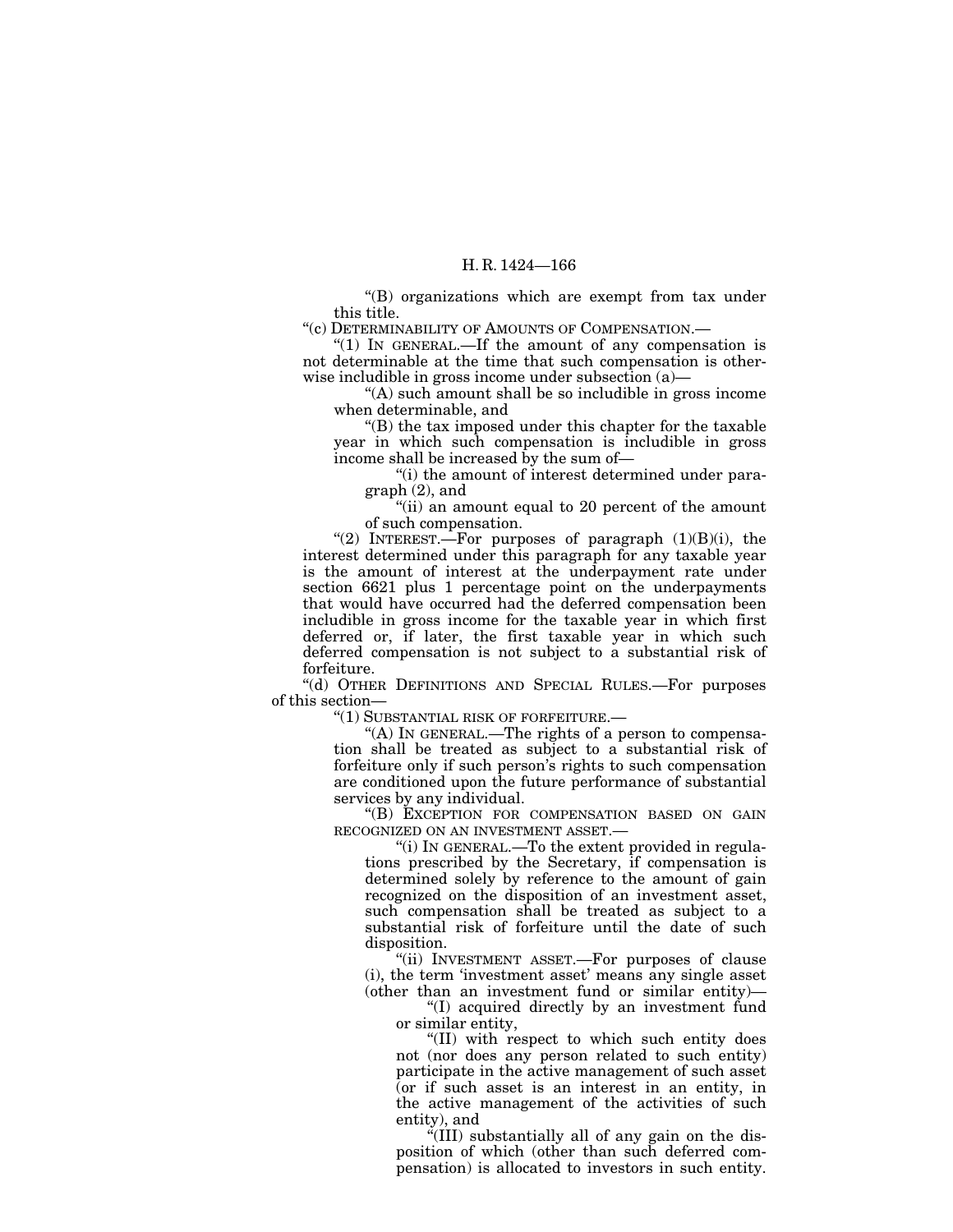''(B) organizations which are exempt from tax under this title.

''(c) DETERMINABILITY OF AMOUNTS OF COMPENSATION.—

" $(1)$  IN GENERAL.—If the amount of any compensation is not determinable at the time that such compensation is otherwise includible in gross income under subsection (a)—

''(A) such amount shall be so includible in gross income when determinable, and

''(B) the tax imposed under this chapter for the taxable year in which such compensation is includible in gross income shall be increased by the sum of—

''(i) the amount of interest determined under paragraph (2), and

''(ii) an amount equal to 20 percent of the amount of such compensation.

"(2) INTEREST.—For purposes of paragraph  $(1)(B)(i)$ , the interest determined under this paragraph for any taxable year is the amount of interest at the underpayment rate under section 6621 plus 1 percentage point on the underpayments that would have occurred had the deferred compensation been includible in gross income for the taxable year in which first deferred or, if later, the first taxable year in which such deferred compensation is not subject to a substantial risk of forfeiture.

''(d) OTHER DEFINITIONS AND SPECIAL RULES.—For purposes of this section—

''(1) SUBSTANTIAL RISK OF FORFEITURE.—

"(A) In GENERAL.—The rights of a person to compensation shall be treated as subject to a substantial risk of forfeiture only if such person's rights to such compensation are conditioned upon the future performance of substantial services by any individual.

''(B) EXCEPTION FOR COMPENSATION BASED ON GAIN RECOGNIZED ON AN INVESTMENT ASSET.—

''(i) IN GENERAL.—To the extent provided in regulations prescribed by the Secretary, if compensation is determined solely by reference to the amount of gain recognized on the disposition of an investment asset, such compensation shall be treated as subject to a substantial risk of forfeiture until the date of such disposition.

''(ii) INVESTMENT ASSET.—For purposes of clause (i), the term 'investment asset' means any single asset (other than an investment fund or similar entity)—

''(I) acquired directly by an investment fund or similar entity,

''(II) with respect to which such entity does not (nor does any person related to such entity) participate in the active management of such asset (or if such asset is an interest in an entity, in the active management of the activities of such entity), and

''(III) substantially all of any gain on the disposition of which (other than such deferred compensation) is allocated to investors in such entity.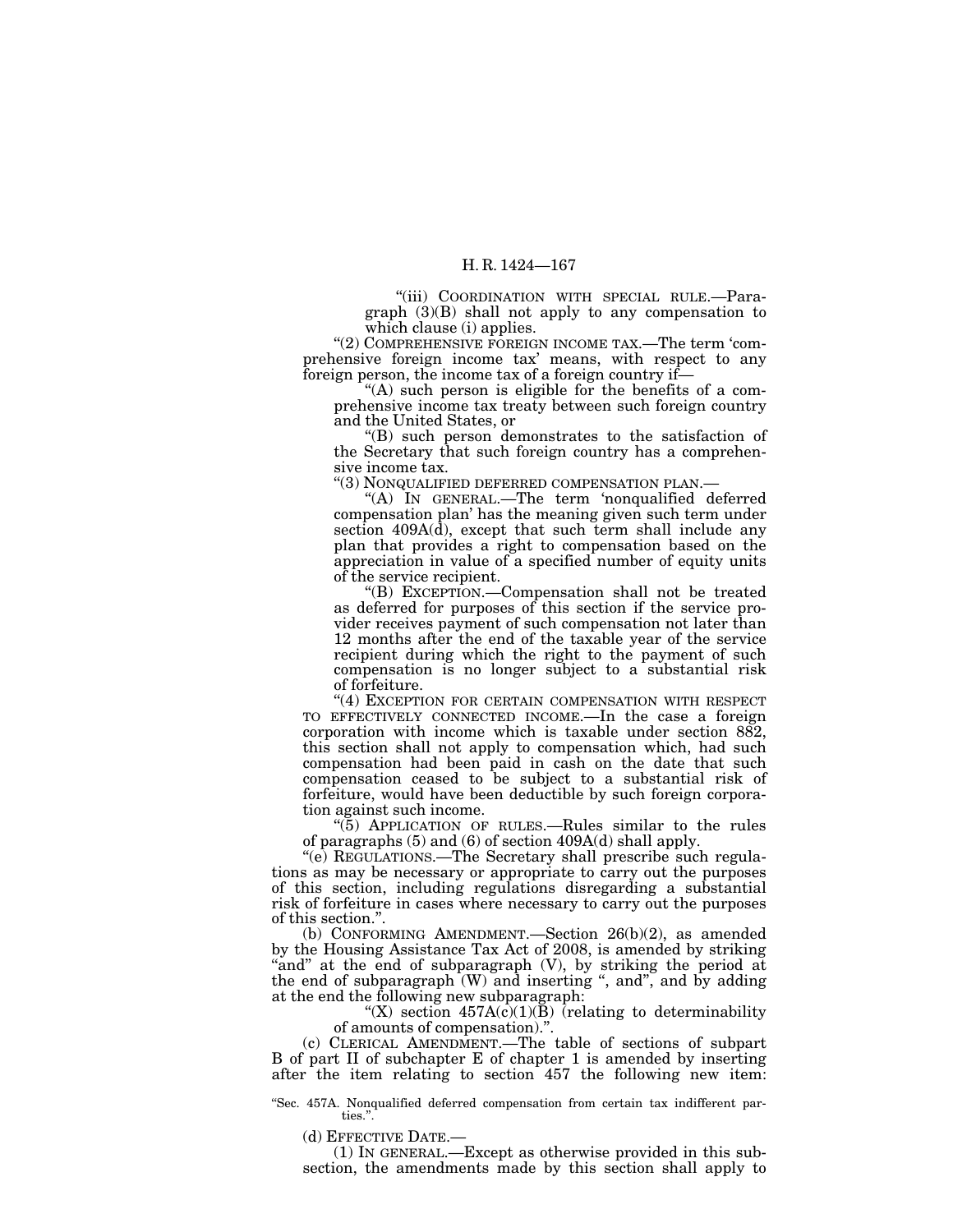''(iii) COORDINATION WITH SPECIAL RULE.—Paragraph (3)(B) shall not apply to any compensation to which clause (i) applies.

''(2) COMPREHENSIVE FOREIGN INCOME TAX.—The term 'comprehensive foreign income tax' means, with respect to any foreign person, the income tax of a foreign country if—

"(A) such person is eligible for the benefits of a comprehensive income tax treaty between such foreign country and the United States, or

''(B) such person demonstrates to the satisfaction of the Secretary that such foreign country has a comprehensive income tax.

''(3) NONQUALIFIED DEFERRED COMPENSATION PLAN.—

"(A) IN GENERAL.—The term 'nonqualified deferred compensation plan' has the meaning given such term under section 409A(d), except that such term shall include any plan that provides a right to compensation based on the appreciation in value of a specified number of equity units of the service recipient.

''(B) EXCEPTION.—Compensation shall not be treated as deferred for purposes of this section if the service provider receives payment of such compensation not later than 12 months after the end of the taxable year of the service recipient during which the right to the payment of such compensation is no longer subject to a substantial risk of forfeiture.

"(4) EXCEPTION FOR CERTAIN COMPENSATION WITH RESPECT TO EFFECTIVELY CONNECTED INCOME.—In the case a foreign corporation with income which is taxable under section 882, this section shall not apply to compensation which, had such compensation had been paid in cash on the date that such compensation ceased to be subject to a substantial risk of forfeiture, would have been deductible by such foreign corporation against such income.

''(5) APPLICATION OF RULES.—Rules similar to the rules of paragraphs  $(5)$  and  $(6)$  of section 409A $(d)$  shall apply.

''(e) REGULATIONS.—The Secretary shall prescribe such regulations as may be necessary or appropriate to carry out the purposes of this section, including regulations disregarding a substantial risk of forfeiture in cases where necessary to carry out the purposes of this section.''.

(b) CONFORMING AMENDMENT.—Section 26(b)(2), as amended by the Housing Assistance Tax Act of 2008, is amended by striking "and" at the end of subparagraph (V), by striking the period at the end of subparagraph (W) and inserting ", and", and by adding at the end the following new subparagraph:

"(X) section  $457A(c)(1)(B)$  (relating to determinability of amounts of compensation).''.

(c) CLERICAL AMENDMENT.—The table of sections of subpart B of part II of subchapter E of chapter 1 is amended by inserting after the item relating to section 457 the following new item:

''Sec. 457A. Nonqualified deferred compensation from certain tax indifferent parties.''.

(d) EFFECTIVE DATE.—

(1) IN GENERAL.—Except as otherwise provided in this subsection, the amendments made by this section shall apply to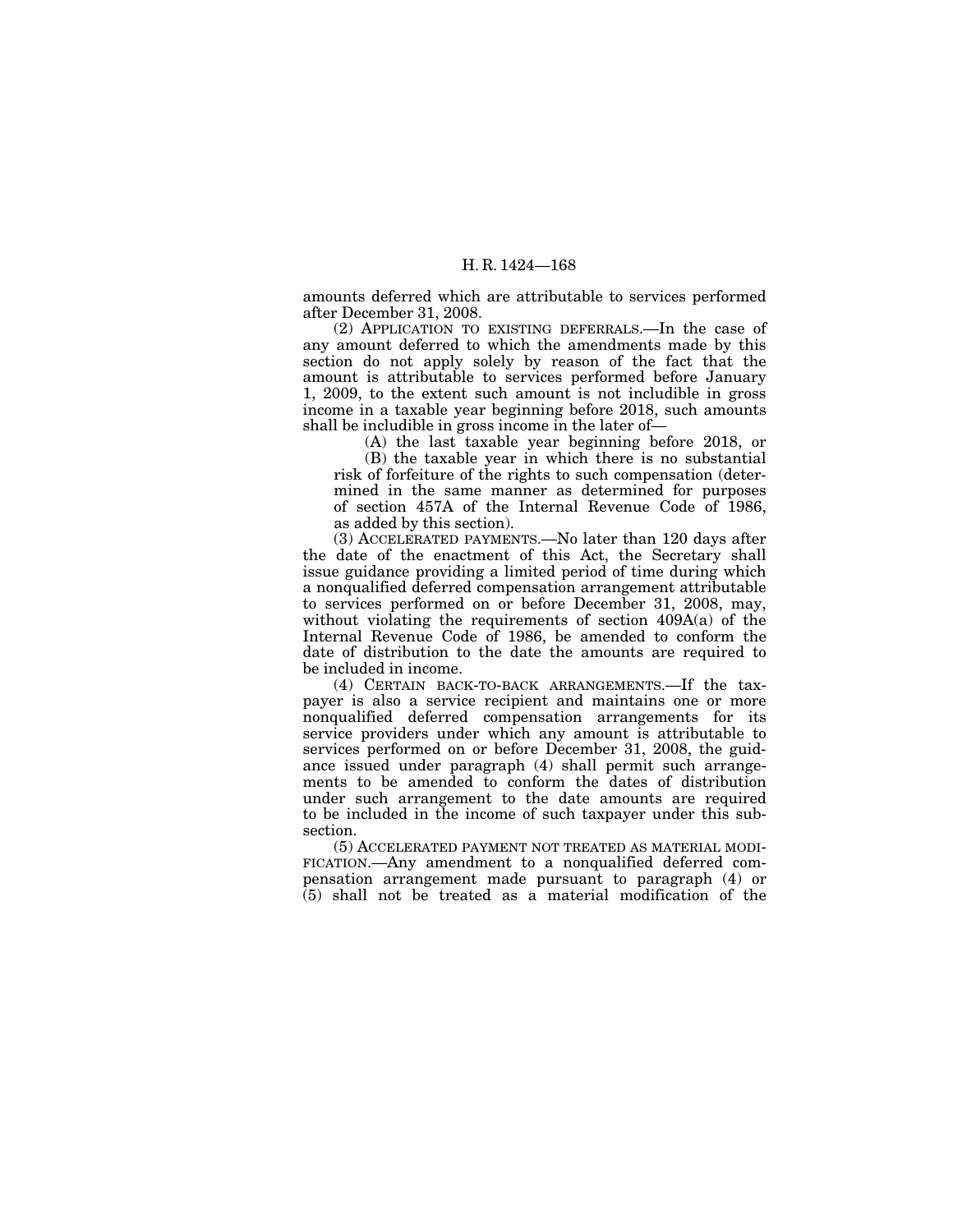amounts deferred which are attributable to services performed after December 31, 2008.

(2) APPLICATION TO EXISTING DEFERRALS.—In the case of any amount deferred to which the amendments made by this section do not apply solely by reason of the fact that the amount is attributable to services performed before January 1, 2009, to the extent such amount is not includible in gross income in a taxable year beginning before 2018, such amounts shall be includible in gross income in the later of—

(A) the last taxable year beginning before 2018, or

(B) the taxable year in which there is no substantial risk of forfeiture of the rights to such compensation (determined in the same manner as determined for purposes of section 457A of the Internal Revenue Code of 1986, as added by this section).

(3) ACCELERATED PAYMENTS.—No later than 120 days after the date of the enactment of this Act, the Secretary shall issue guidance providing a limited period of time during which a nonqualified deferred compensation arrangement attributable to services performed on or before December 31, 2008, may, without violating the requirements of section 409A(a) of the Internal Revenue Code of 1986, be amended to conform the date of distribution to the date the amounts are required to be included in income.

(4) CERTAIN BACK-TO-BACK ARRANGEMENTS.—If the taxpayer is also a service recipient and maintains one or more nonqualified deferred compensation arrangements for its service providers under which any amount is attributable to services performed on or before December 31, 2008, the guidance issued under paragraph (4) shall permit such arrangements to be amended to conform the dates of distribution under such arrangement to the date amounts are required to be included in the income of such taxpayer under this subsection.

(5) ACCELERATED PAYMENT NOT TREATED AS MATERIAL MODI-FICATION.—Any amendment to a nonqualified deferred compensation arrangement made pursuant to paragraph (4) or (5) shall not be treated as a material modification of the